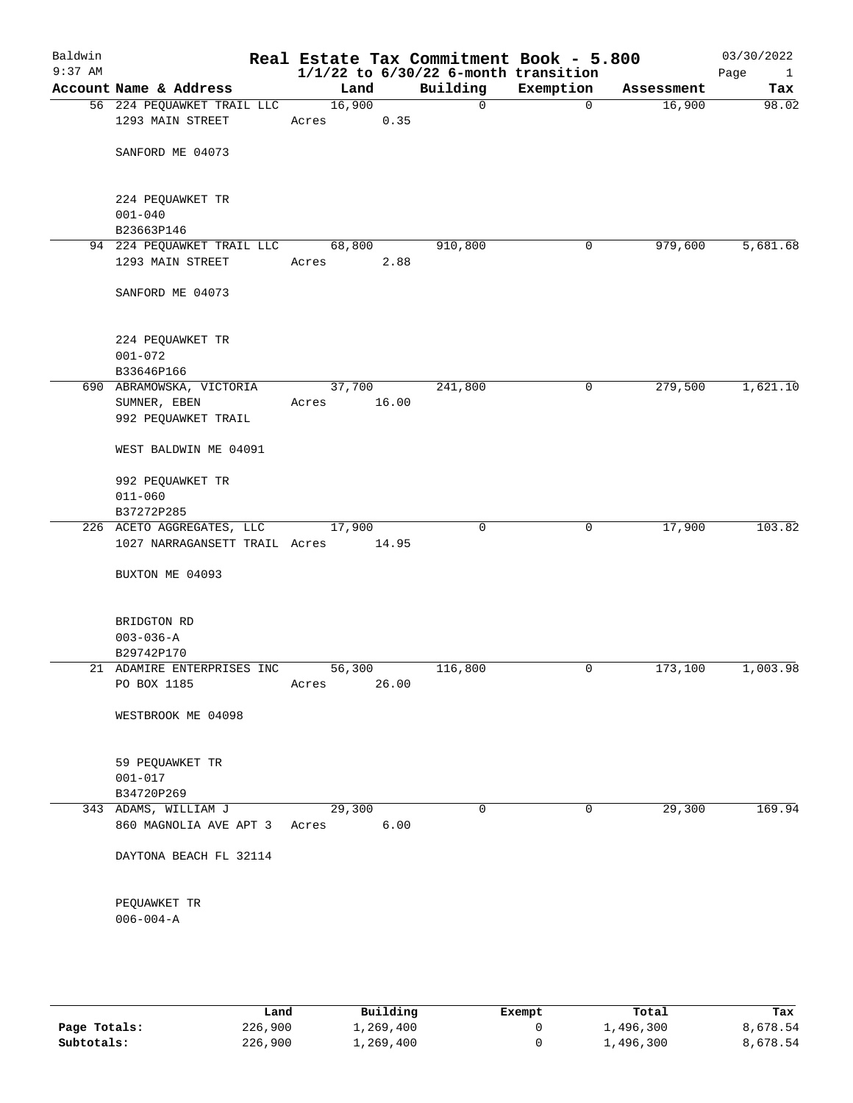| Baldwin<br>$9:37$ AM |                                          |                 |       | Real Estate Tax Commitment Book - 5.800<br>$1/1/22$ to $6/30/22$ 6-month transition |             |            | 03/30/2022<br>Page<br>$\mathbf{1}$ |
|----------------------|------------------------------------------|-----------------|-------|-------------------------------------------------------------------------------------|-------------|------------|------------------------------------|
|                      | Account Name & Address                   | Land            |       | Building                                                                            | Exemption   | Assessment | Tax                                |
|                      | 56 224 PEQUAWKET TRAIL LLC               | 16,900          |       | 0                                                                                   | $\mathbf 0$ | 16,900     | 98.02                              |
|                      | 1293 MAIN STREET                         | Acres           | 0.35  |                                                                                     |             |            |                                    |
|                      |                                          |                 |       |                                                                                     |             |            |                                    |
|                      | SANFORD ME 04073                         |                 |       |                                                                                     |             |            |                                    |
|                      |                                          |                 |       |                                                                                     |             |            |                                    |
|                      | 224 PEQUAWKET TR                         |                 |       |                                                                                     |             |            |                                    |
|                      | $001 - 040$                              |                 |       |                                                                                     |             |            |                                    |
|                      | B23663P146                               |                 |       |                                                                                     |             |            |                                    |
|                      | 94 224 PEQUAWKET TRAIL LLC               | 68,800          |       | 910,800                                                                             | 0           | 979,600    | 5,681.68                           |
|                      | 1293 MAIN STREET                         | Acres           | 2.88  |                                                                                     |             |            |                                    |
|                      |                                          |                 |       |                                                                                     |             |            |                                    |
|                      | SANFORD ME 04073                         |                 |       |                                                                                     |             |            |                                    |
|                      |                                          |                 |       |                                                                                     |             |            |                                    |
|                      |                                          |                 |       |                                                                                     |             |            |                                    |
|                      | 224 PEQUAWKET TR                         |                 |       |                                                                                     |             |            |                                    |
|                      | $001 - 072$                              |                 |       |                                                                                     |             |            |                                    |
|                      | B33646P166                               |                 |       |                                                                                     |             |            |                                    |
|                      | 690 ABRAMOWSKA, VICTORIA<br>SUMNER, EBEN | 37,700<br>Acres | 16.00 | 241,800                                                                             | 0           | 279,500    | 1,621.10                           |
|                      | 992 PEQUAWKET TRAIL                      |                 |       |                                                                                     |             |            |                                    |
|                      |                                          |                 |       |                                                                                     |             |            |                                    |
|                      | WEST BALDWIN ME 04091                    |                 |       |                                                                                     |             |            |                                    |
|                      | 992 PEQUAWKET TR                         |                 |       |                                                                                     |             |            |                                    |
|                      | $011 - 060$                              |                 |       |                                                                                     |             |            |                                    |
|                      | B37272P285                               |                 |       |                                                                                     |             |            |                                    |
|                      | 226 ACETO AGGREGATES, LLC                | 17,900          |       | $\mathbf 0$                                                                         | 0           | 17,900     | 103.82                             |
|                      | 1027 NARRAGANSETT TRAIL Acres            |                 | 14.95 |                                                                                     |             |            |                                    |
|                      |                                          |                 |       |                                                                                     |             |            |                                    |
|                      | BUXTON ME 04093                          |                 |       |                                                                                     |             |            |                                    |
|                      | BRIDGTON RD                              |                 |       |                                                                                     |             |            |                                    |
|                      | $003 - 036 - A$                          |                 |       |                                                                                     |             |            |                                    |
|                      | B29742P170                               |                 |       |                                                                                     |             |            |                                    |
|                      | 21 ADAMIRE ENTERPRISES INC               | 56,300          |       | 116,800                                                                             | 0           | 173,100    | 1,003.98                           |
|                      | PO BOX 1185                              | Acres           | 26.00 |                                                                                     |             |            |                                    |
|                      |                                          |                 |       |                                                                                     |             |            |                                    |
|                      | WESTBROOK ME 04098                       |                 |       |                                                                                     |             |            |                                    |
|                      | 59 PEQUAWKET TR                          |                 |       |                                                                                     |             |            |                                    |
|                      | $001 - 017$                              |                 |       |                                                                                     |             |            |                                    |
|                      | B34720P269                               |                 |       |                                                                                     |             |            |                                    |
|                      | 343 ADAMS, WILLIAM J                     | 29,300          |       | 0                                                                                   | 0           | 29,300     | 169.94                             |
|                      | 860 MAGNOLIA AVE APT 3                   | Acres           | 6.00  |                                                                                     |             |            |                                    |
|                      | DAYTONA BEACH FL 32114                   |                 |       |                                                                                     |             |            |                                    |
|                      | PEQUAWKET TR                             |                 |       |                                                                                     |             |            |                                    |
|                      | $006 - 004 - A$                          |                 |       |                                                                                     |             |            |                                    |
|                      |                                          |                 |       |                                                                                     |             |            |                                    |

|              | Land    | Building  | Exempt | Total     | Tax      |
|--------------|---------|-----------|--------|-----------|----------|
| Page Totals: | 226,900 | 1,269,400 |        | 1,496,300 | 8,678.54 |
| Subtotals:   | 226,900 | 1,269,400 |        | 1,496,300 | 8,678.54 |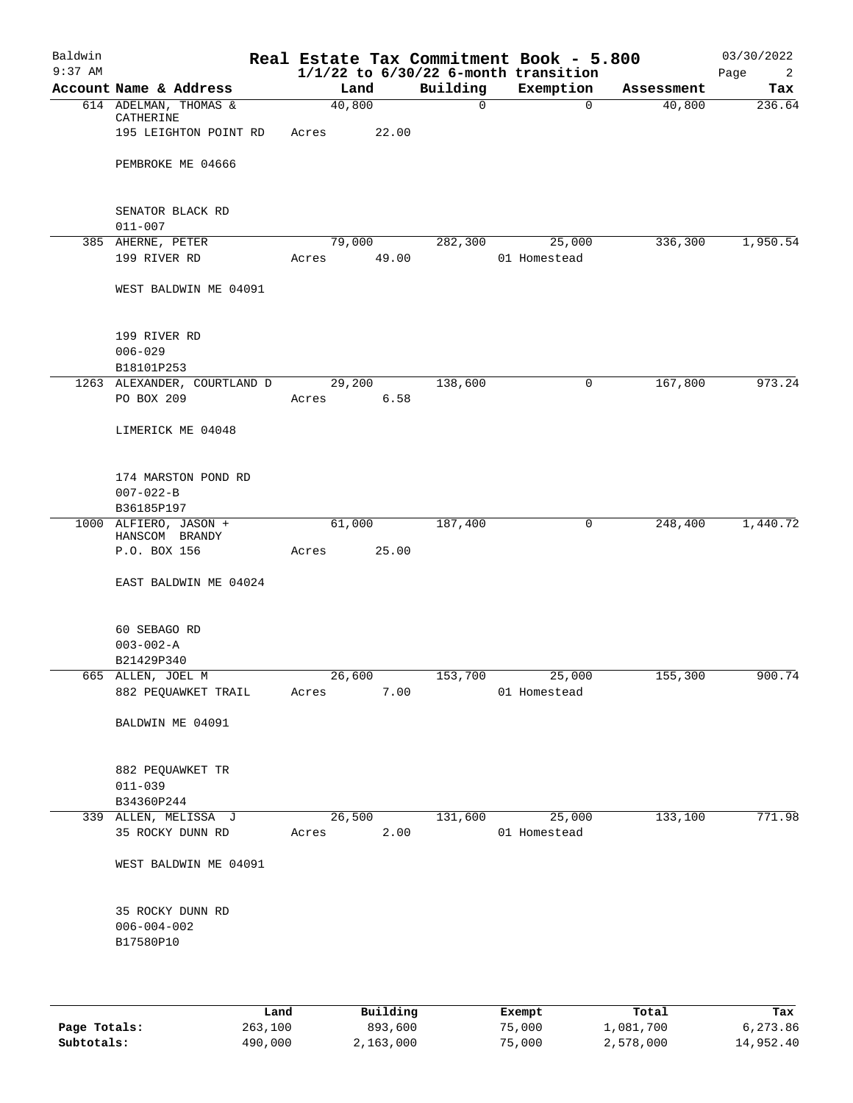| Baldwin<br>$9:37$ AM |                                          |             |        |        |             | Real Estate Tax Commitment Book - 5.800<br>$1/1/22$ to $6/30/22$ 6-month transition |            | 03/30/2022<br>Page<br>2 |
|----------------------|------------------------------------------|-------------|--------|--------|-------------|-------------------------------------------------------------------------------------|------------|-------------------------|
|                      | Account Name & Address                   |             | Land   |        | Building    | Exemption                                                                           | Assessment | Tax                     |
|                      | 614 ADELMAN, THOMAS &<br>CATHERINE       |             | 40,800 |        | $\mathbf 0$ | $\mathbf 0$                                                                         | 40,800     | 236.64                  |
|                      | 195 LEIGHTON POINT RD                    | Acres 22.00 |        |        |             |                                                                                     |            |                         |
|                      | PEMBROKE ME 04666                        |             |        |        |             |                                                                                     |            |                         |
|                      | SENATOR BLACK RD<br>$011 - 007$          |             |        |        |             |                                                                                     |            |                         |
|                      | 385 AHERNE, PETER                        |             |        | 79,000 |             | 282,300 25,000                                                                      | 336,300    | 1,950.54                |
|                      | 199 RIVER RD                             | Acres 49.00 |        |        |             | 01 Homestead                                                                        |            |                         |
|                      | WEST BALDWIN ME 04091                    |             |        |        |             |                                                                                     |            |                         |
|                      | 199 RIVER RD                             |             |        |        |             |                                                                                     |            |                         |
|                      | $006 - 029$                              |             |        |        |             |                                                                                     |            |                         |
|                      | B18101P253                               |             |        |        |             |                                                                                     |            |                         |
|                      | 1263 ALEXANDER, COURTLAND D              |             | 29,200 |        | 138,600     | 0                                                                                   | 167,800    | 973.24                  |
|                      | PO BOX 209                               | Acres       |        | 6.58   |             |                                                                                     |            |                         |
|                      | LIMERICK ME 04048                        |             |        |        |             |                                                                                     |            |                         |
|                      | 174 MARSTON POND RD                      |             |        |        |             |                                                                                     |            |                         |
|                      | $007 - 022 - B$                          |             |        |        |             |                                                                                     |            |                         |
|                      | B36185P197                               |             |        |        |             |                                                                                     |            |                         |
|                      | 1000 ALFIERO, JASON +<br>HANSCOM BRANDY  |             | 61,000 |        | 187,400     | $\mathbf 0$                                                                         | 248,400    | 1,440.72                |
|                      | P.O. BOX 156                             | Acres       |        | 25.00  |             |                                                                                     |            |                         |
|                      | EAST BALDWIN ME 04024                    |             |        |        |             |                                                                                     |            |                         |
|                      | 60 SEBAGO RD                             |             |        |        |             |                                                                                     |            |                         |
|                      | $003 - 002 - A$                          |             |        |        |             |                                                                                     |            |                         |
|                      | B21429P340                               |             |        |        |             |                                                                                     |            |                         |
|                      | 665 ALLEN, JOEL M<br>882 PEQUAWKET TRAIL | Acres       |        | 7.00   |             | 26,600 153,700 25,000<br>01 Homestead                                               | 155,300    | 900.74                  |
|                      |                                          |             |        |        |             |                                                                                     |            |                         |
|                      | BALDWIN ME 04091                         |             |        |        |             |                                                                                     |            |                         |
|                      | 882 PEQUAWKET TR                         |             |        |        |             |                                                                                     |            |                         |
|                      | $011 - 039$                              |             |        |        |             |                                                                                     |            |                         |
|                      | B34360P244                               |             |        |        |             |                                                                                     |            |                         |
|                      | 339 ALLEN, MELISSA J                     |             | 26,500 |        | 131,600     | 25,000                                                                              | 133,100    | 771.98                  |
|                      | 35 ROCKY DUNN RD                         | Acres       |        | 2.00   |             | 01 Homestead                                                                        |            |                         |
|                      | WEST BALDWIN ME 04091                    |             |        |        |             |                                                                                     |            |                         |
|                      | 35 ROCKY DUNN RD                         |             |        |        |             |                                                                                     |            |                         |
|                      | $006 - 004 - 002$                        |             |        |        |             |                                                                                     |            |                         |
|                      | B17580P10                                |             |        |        |             |                                                                                     |            |                         |
|                      |                                          |             |        |        |             |                                                                                     |            |                         |
|                      |                                          |             |        |        |             |                                                                                     |            |                         |

|              | Land    | Building  | Exempt | Total     | Tax       |
|--------------|---------|-----------|--------|-----------|-----------|
| Page Totals: | 263,100 | 893,600   | 75,000 | 1,081,700 | 6,273.86  |
| Subtotals:   | 490,000 | 2,163,000 | 75,000 | 2,578,000 | 14,952.40 |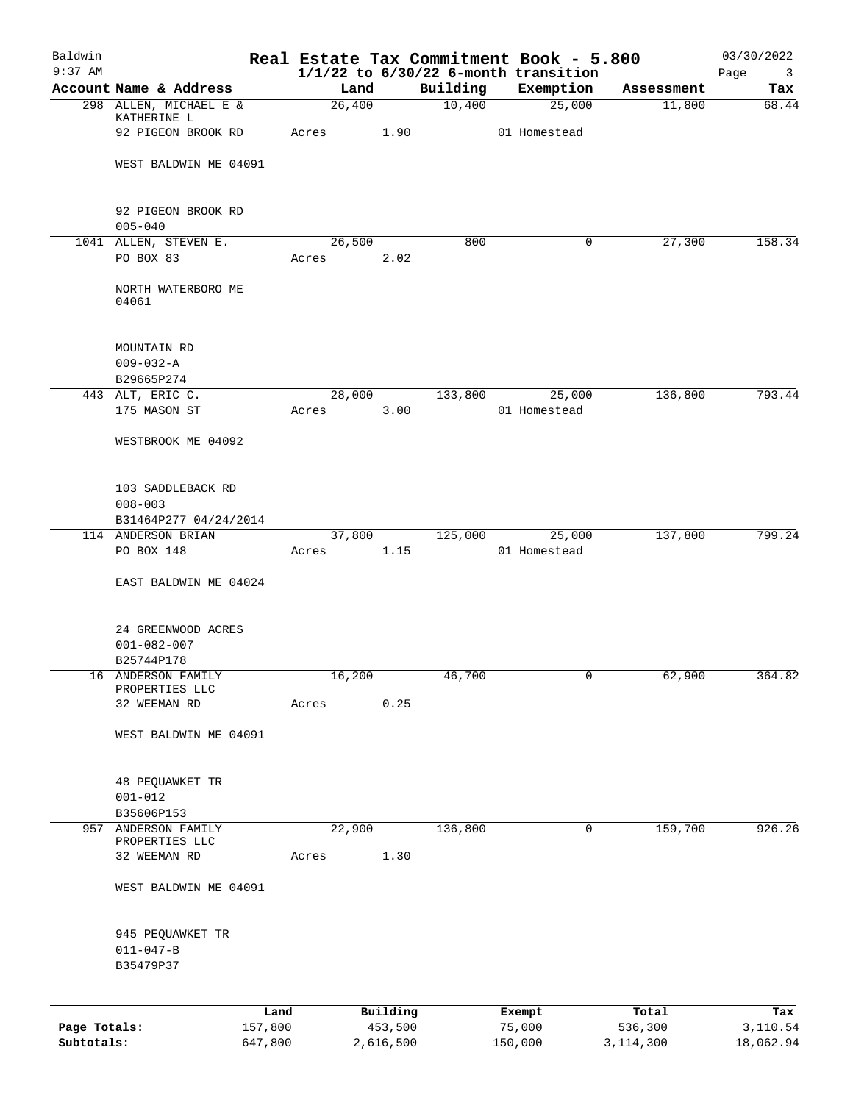| Baldwin<br>$9:37$ AM |                                  |                 |        |                     |          |                  | Real Estate Tax Commitment Book - 5.800<br>$1/1/22$ to $6/30/22$ 6-month transition |                  | 03/30/2022                             |
|----------------------|----------------------------------|-----------------|--------|---------------------|----------|------------------|-------------------------------------------------------------------------------------|------------------|----------------------------------------|
|                      | Account Name & Address           |                 |        | Land                | Building |                  | Exemption                                                                           | Assessment       | Page<br>$\overline{\mathbf{3}}$<br>Tax |
|                      | 298 ALLEN, MICHAEL E &           |                 | 26,400 |                     | 10,400   |                  | 25,000                                                                              | 11,800           | 68.44                                  |
|                      | KATHERINE L                      |                 |        |                     |          |                  |                                                                                     |                  |                                        |
|                      | 92 PIGEON BROOK RD               |                 | Acres  | 1.90                |          |                  | 01 Homestead                                                                        |                  |                                        |
|                      | WEST BALDWIN ME 04091            |                 |        |                     |          |                  |                                                                                     |                  |                                        |
|                      |                                  |                 |        |                     |          |                  |                                                                                     |                  |                                        |
|                      | 92 PIGEON BROOK RD               |                 |        |                     |          |                  |                                                                                     |                  |                                        |
|                      | $005 - 040$                      |                 |        |                     |          |                  |                                                                                     |                  |                                        |
|                      | 1041 ALLEN, STEVEN E.            |                 | 26,500 |                     | 800      |                  | 0                                                                                   | 27,300           | 158.34                                 |
|                      | PO BOX 83                        |                 | Acres  | 2.02                |          |                  |                                                                                     |                  |                                        |
|                      | NORTH WATERBORO ME<br>04061      |                 |        |                     |          |                  |                                                                                     |                  |                                        |
|                      |                                  |                 |        |                     |          |                  |                                                                                     |                  |                                        |
|                      | MOUNTAIN RD                      |                 |        |                     |          |                  |                                                                                     |                  |                                        |
|                      | $009 - 032 - A$                  |                 |        |                     |          |                  |                                                                                     |                  |                                        |
|                      | B29665P274                       |                 |        |                     |          |                  |                                                                                     |                  |                                        |
|                      | 443 ALT, ERIC C.                 |                 |        | 28,000              | 133,800  |                  | 25,000                                                                              | 136,800          | 793.44                                 |
|                      | 175 MASON ST                     |                 | Acres  | 3.00                |          |                  | 01 Homestead                                                                        |                  |                                        |
|                      | WESTBROOK ME 04092               |                 |        |                     |          |                  |                                                                                     |                  |                                        |
|                      | 103 SADDLEBACK RD                |                 |        |                     |          |                  |                                                                                     |                  |                                        |
|                      | $008 - 003$                      |                 |        |                     |          |                  |                                                                                     |                  |                                        |
|                      | B31464P277 04/24/2014            |                 |        |                     |          |                  |                                                                                     |                  |                                        |
|                      | 114 ANDERSON BRIAN               |                 |        | 37,800              |          |                  | 125,000 25,000                                                                      | 137,800          | 799.24                                 |
|                      | PO BOX 148                       |                 | Acres  | 1.15                |          |                  | 01 Homestead                                                                        |                  |                                        |
|                      | EAST BALDWIN ME 04024            |                 |        |                     |          |                  |                                                                                     |                  |                                        |
|                      |                                  |                 |        |                     |          |                  |                                                                                     |                  |                                        |
|                      | 24 GREENWOOD ACRES               |                 |        |                     |          |                  |                                                                                     |                  |                                        |
|                      | $001 - 082 - 007$                |                 |        |                     |          |                  |                                                                                     |                  |                                        |
|                      | B25744P178<br>16 ANDERSON FAMILY |                 | 16,200 |                     | 46,700   |                  |                                                                                     | 62,900           | 364.82                                 |
|                      | PROPERTIES LLC                   |                 |        |                     |          |                  | 0                                                                                   |                  |                                        |
|                      | 32 WEEMAN RD                     |                 | Acres  | 0.25                |          |                  |                                                                                     |                  |                                        |
|                      |                                  |                 |        |                     |          |                  |                                                                                     |                  |                                        |
|                      | WEST BALDWIN ME 04091            |                 |        |                     |          |                  |                                                                                     |                  |                                        |
|                      | 48 PEQUAWKET TR                  |                 |        |                     |          |                  |                                                                                     |                  |                                        |
|                      | $001 - 012$                      |                 |        |                     |          |                  |                                                                                     |                  |                                        |
|                      | B35606P153                       |                 |        |                     |          |                  |                                                                                     |                  |                                        |
| 957                  | ANDERSON FAMILY                  |                 | 22,900 |                     | 136,800  |                  | 0                                                                                   | 159,700          | 926.26                                 |
|                      | PROPERTIES LLC                   |                 |        |                     |          |                  |                                                                                     |                  |                                        |
|                      | 32 WEEMAN RD                     |                 | Acres  | 1.30                |          |                  |                                                                                     |                  |                                        |
|                      | WEST BALDWIN ME 04091            |                 |        |                     |          |                  |                                                                                     |                  |                                        |
|                      | 945 PEQUAWKET TR                 |                 |        |                     |          |                  |                                                                                     |                  |                                        |
|                      | $011 - 047 - B$                  |                 |        |                     |          |                  |                                                                                     |                  |                                        |
|                      | B35479P37                        |                 |        |                     |          |                  |                                                                                     |                  |                                        |
|                      |                                  |                 |        |                     |          |                  |                                                                                     |                  |                                        |
| Page Totals:         |                                  | Land<br>157,800 |        | Building<br>453,500 |          | Exempt<br>75,000 |                                                                                     | Total<br>536,300 | Tax<br>3,110.54                        |
| Subtotals:           |                                  | 647,800         |        | 2,616,500           |          | 150,000          |                                                                                     | 3, 114, 300      | 18,062.94                              |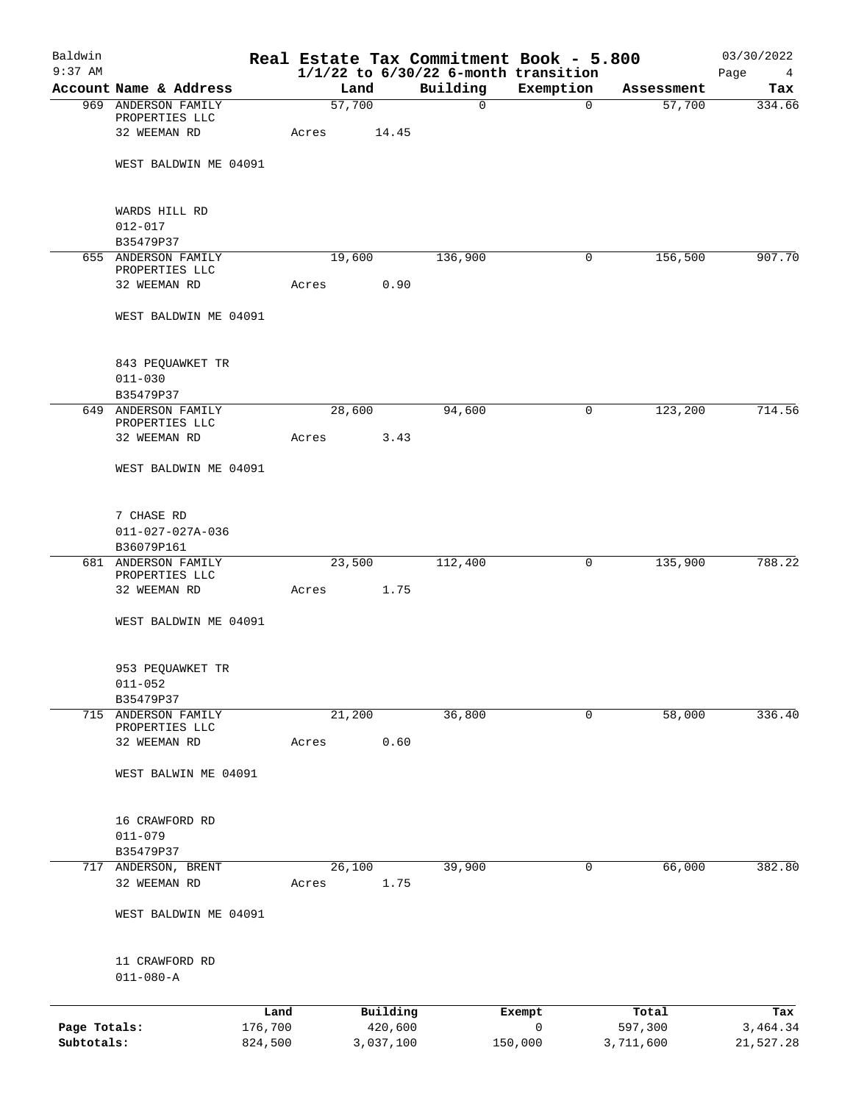| Baldwin<br>$9:37$ AM |                                                       |         |                 |           |             | Real Estate Tax Commitment Book - 5.800<br>$1/1/22$ to $6/30/22$ 6-month transition |            | 03/30/2022<br>Page<br>$\overline{4}$ |
|----------------------|-------------------------------------------------------|---------|-----------------|-----------|-------------|-------------------------------------------------------------------------------------|------------|--------------------------------------|
|                      | Account Name & Address                                |         | Land            |           | Building    | Exemption                                                                           | Assessment | Tax                                  |
|                      | 969 ANDERSON FAMILY                                   |         | 57,700          |           | $\mathbf 0$ | $\mathbf 0$                                                                         | 57,700     | 334.66                               |
|                      | PROPERTIES LLC<br>32 WEEMAN RD                        |         | Acres           | 14.45     |             |                                                                                     |            |                                      |
|                      | WEST BALDWIN ME 04091                                 |         |                 |           |             |                                                                                     |            |                                      |
|                      | WARDS HILL RD                                         |         |                 |           |             |                                                                                     |            |                                      |
|                      | $012 - 017$                                           |         |                 |           |             |                                                                                     |            |                                      |
|                      | B35479P37                                             |         |                 |           |             |                                                                                     |            |                                      |
|                      | 655 ANDERSON FAMILY<br>PROPERTIES LLC                 |         | 19,600          |           | 136,900     | 0                                                                                   | 156,500    | 907.70                               |
|                      | 32 WEEMAN RD                                          |         | Acres           | 0.90      |             |                                                                                     |            |                                      |
|                      | WEST BALDWIN ME 04091                                 |         |                 |           |             |                                                                                     |            |                                      |
|                      | 843 PEQUAWKET TR                                      |         |                 |           |             |                                                                                     |            |                                      |
|                      | $011 - 030$                                           |         |                 |           |             |                                                                                     |            |                                      |
|                      | B35479P37                                             |         |                 |           |             |                                                                                     |            |                                      |
|                      | 649 ANDERSON FAMILY<br>PROPERTIES LLC<br>32 WEEMAN RD |         | 28,600<br>Acres | 3.43      | 94,600      | 0                                                                                   | 123,200    | 714.56                               |
|                      | WEST BALDWIN ME 04091                                 |         |                 |           |             |                                                                                     |            |                                      |
|                      |                                                       |         |                 |           |             |                                                                                     |            |                                      |
|                      | 7 CHASE RD                                            |         |                 |           |             |                                                                                     |            |                                      |
|                      | $011 - 027 - 027A - 036$                              |         |                 |           |             |                                                                                     |            |                                      |
|                      | B36079P161                                            |         |                 |           |             |                                                                                     |            |                                      |
|                      | 681 ANDERSON FAMILY<br>PROPERTIES LLC                 |         | 23,500          |           | 112,400     | 0                                                                                   | 135,900    | 788.22                               |
|                      | 32 WEEMAN RD                                          |         | Acres           | 1.75      |             |                                                                                     |            |                                      |
|                      | WEST BALDWIN ME 04091                                 |         |                 |           |             |                                                                                     |            |                                      |
|                      | 953 PEQUAWKET TR                                      |         |                 |           |             |                                                                                     |            |                                      |
|                      | $011 - 052$                                           |         |                 |           |             |                                                                                     |            |                                      |
|                      | B35479P37<br>715 ANDERSON FAMILY                      |         | 21,200          |           | 36,800      | 0                                                                                   | 58,000     | 336.40                               |
|                      | PROPERTIES LLC                                        |         |                 |           |             |                                                                                     |            |                                      |
|                      | 32 WEEMAN RD                                          |         | Acres           | 0.60      |             |                                                                                     |            |                                      |
|                      | WEST BALWIN ME 04091                                  |         |                 |           |             |                                                                                     |            |                                      |
|                      | 16 CRAWFORD RD                                        |         |                 |           |             |                                                                                     |            |                                      |
|                      | $011 - 079$                                           |         |                 |           |             |                                                                                     |            |                                      |
|                      | B35479P37                                             |         |                 |           |             |                                                                                     |            |                                      |
|                      | 717 ANDERSON, BRENT                                   |         | 26,100          |           | 39,900      | 0                                                                                   | 66,000     | 382.80                               |
|                      | 32 WEEMAN RD                                          |         | Acres           | 1.75      |             |                                                                                     |            |                                      |
|                      | WEST BALDWIN ME 04091                                 |         |                 |           |             |                                                                                     |            |                                      |
|                      | 11 CRAWFORD RD                                        |         |                 |           |             |                                                                                     |            |                                      |
|                      | $011 - 080 - A$                                       |         |                 |           |             |                                                                                     |            |                                      |
|                      |                                                       | Land    |                 | Building  |             | Exempt                                                                              | Total      | Tax                                  |
| Page Totals:         |                                                       | 176,700 |                 | 420,600   |             | 0                                                                                   | 597,300    | 3,464.34                             |
| Subtotals:           |                                                       | 824,500 |                 | 3,037,100 |             | 150,000                                                                             | 3,711,600  | 21,527.28                            |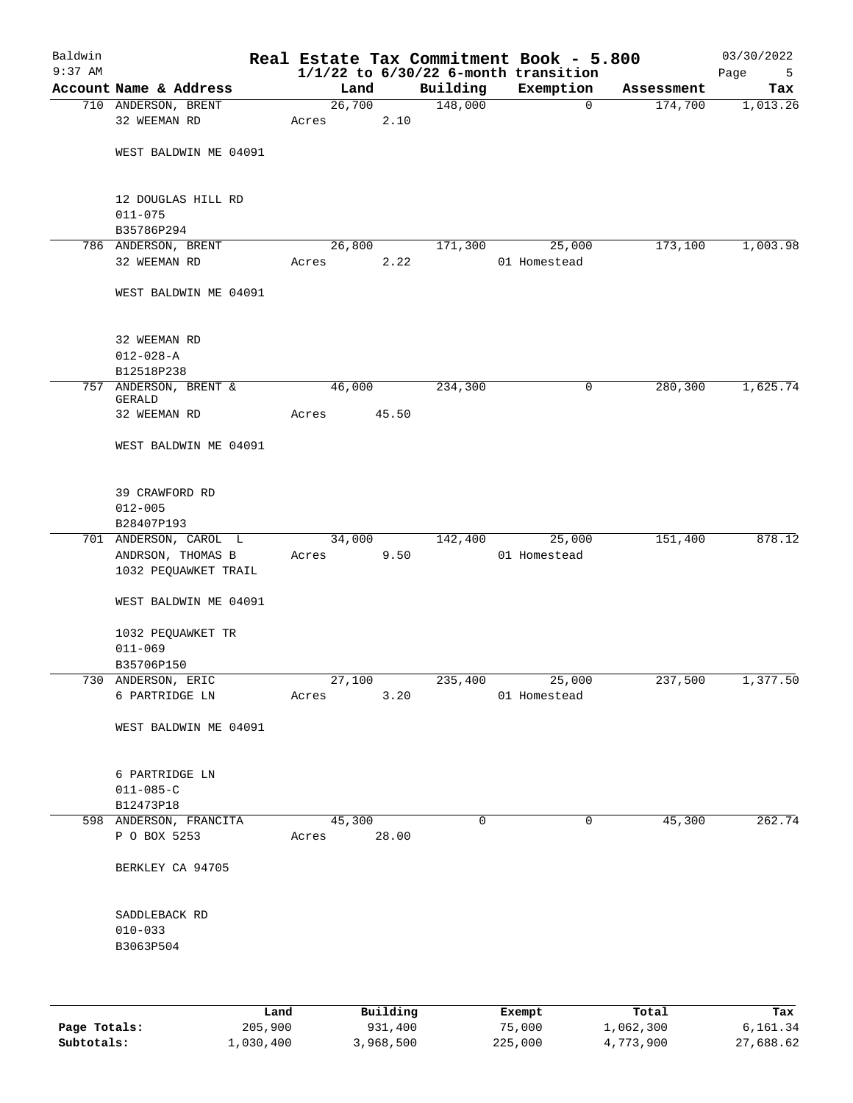| Baldwin<br>$9:37$ AM |                                           |                 |          |             | Real Estate Tax Commitment Book - 5.800<br>$1/1/22$ to $6/30/22$ 6-month transition |            | 03/30/2022<br>Page<br>5 |
|----------------------|-------------------------------------------|-----------------|----------|-------------|-------------------------------------------------------------------------------------|------------|-------------------------|
|                      | Account Name & Address                    | Land            |          | Building    | Exemption                                                                           | Assessment | Tax                     |
|                      | 710 ANDERSON, BRENT                       | 26,700          |          | 148,000     | $\mathbf 0$                                                                         | 174,700    | 1,013.26                |
|                      | 32 WEEMAN RD                              | Acres           | 2.10     |             |                                                                                     |            |                         |
|                      | WEST BALDWIN ME 04091                     |                 |          |             |                                                                                     |            |                         |
|                      | 12 DOUGLAS HILL RD<br>$011 - 075$         |                 |          |             |                                                                                     |            |                         |
|                      | B35786P294                                |                 |          |             |                                                                                     |            |                         |
|                      | 786 ANDERSON, BRENT                       | 26,800          |          | 171,300     | 25,000                                                                              | 173,100    | 1,003.98                |
|                      | 32 WEEMAN RD                              | Acres           | 2.22     |             | 01 Homestead                                                                        |            |                         |
|                      | WEST BALDWIN ME 04091                     |                 |          |             |                                                                                     |            |                         |
|                      | 32 WEEMAN RD                              |                 |          |             |                                                                                     |            |                         |
|                      | $012 - 028 - A$                           |                 |          |             |                                                                                     |            |                         |
|                      | B12518P238                                |                 |          |             |                                                                                     |            |                         |
|                      | 757 ANDERSON, BRENT &<br>GERALD           | 46,000          |          | 234,300     | 0                                                                                   | 280,300    | 1,625.74                |
|                      | 32 WEEMAN RD                              | Acres           | 45.50    |             |                                                                                     |            |                         |
|                      | WEST BALDWIN ME 04091                     |                 |          |             |                                                                                     |            |                         |
|                      | 39 CRAWFORD RD                            |                 |          |             |                                                                                     |            |                         |
|                      | $012 - 005$                               |                 |          |             |                                                                                     |            |                         |
|                      | B28407P193<br>701 ANDERSON, CAROL L       | 34,000          |          | 142,400     | 25,000                                                                              | 151,400    | 878.12                  |
|                      | ANDRSON, THOMAS B<br>1032 PEQUAWKET TRAIL | Acres           | 9.50     |             | 01 Homestead                                                                        |            |                         |
|                      | WEST BALDWIN ME 04091                     |                 |          |             |                                                                                     |            |                         |
|                      | 1032 PEQUAWKET TR                         |                 |          |             |                                                                                     |            |                         |
|                      | $011 - 069$                               |                 |          |             |                                                                                     |            |                         |
|                      | B35706P150                                |                 |          |             |                                                                                     |            |                         |
|                      | 730 ANDERSON, ERIC                        | 27,100          |          | 235,400     | 25,000                                                                              | 237,500    | 1,377.50                |
|                      | 6 PARTRIDGE LN                            | Acres           | 3.20     |             | 01 Homestead                                                                        |            |                         |
|                      | WEST BALDWIN ME 04091                     |                 |          |             |                                                                                     |            |                         |
|                      | 6 PARTRIDGE LN                            |                 |          |             |                                                                                     |            |                         |
|                      | $011 - 085 - C$                           |                 |          |             |                                                                                     |            |                         |
|                      | B12473P18                                 |                 |          |             |                                                                                     |            |                         |
|                      | 598 ANDERSON, FRANCITA<br>P O BOX 5253    | 45,300<br>Acres | 28.00    | $\mathbf 0$ | 0                                                                                   | 45,300     | 262.74                  |
|                      | BERKLEY CA 94705                          |                 |          |             |                                                                                     |            |                         |
|                      | SADDLEBACK RD                             |                 |          |             |                                                                                     |            |                         |
|                      | $010 - 033$                               |                 |          |             |                                                                                     |            |                         |
|                      | B3063P504                                 |                 |          |             |                                                                                     |            |                         |
|                      |                                           |                 |          |             |                                                                                     |            |                         |
|                      | Land                                      |                 | Building |             | Exempt                                                                              | Total      | Tax                     |

| Page Totals: | 205,900   | 931,400   | 75,000  | 1,062,300 | 6,161.34  |
|--------------|-----------|-----------|---------|-----------|-----------|
| Subtotals:   | 1,030,400 | 3,968,500 | 225,000 | 4,773,900 | 27,688.62 |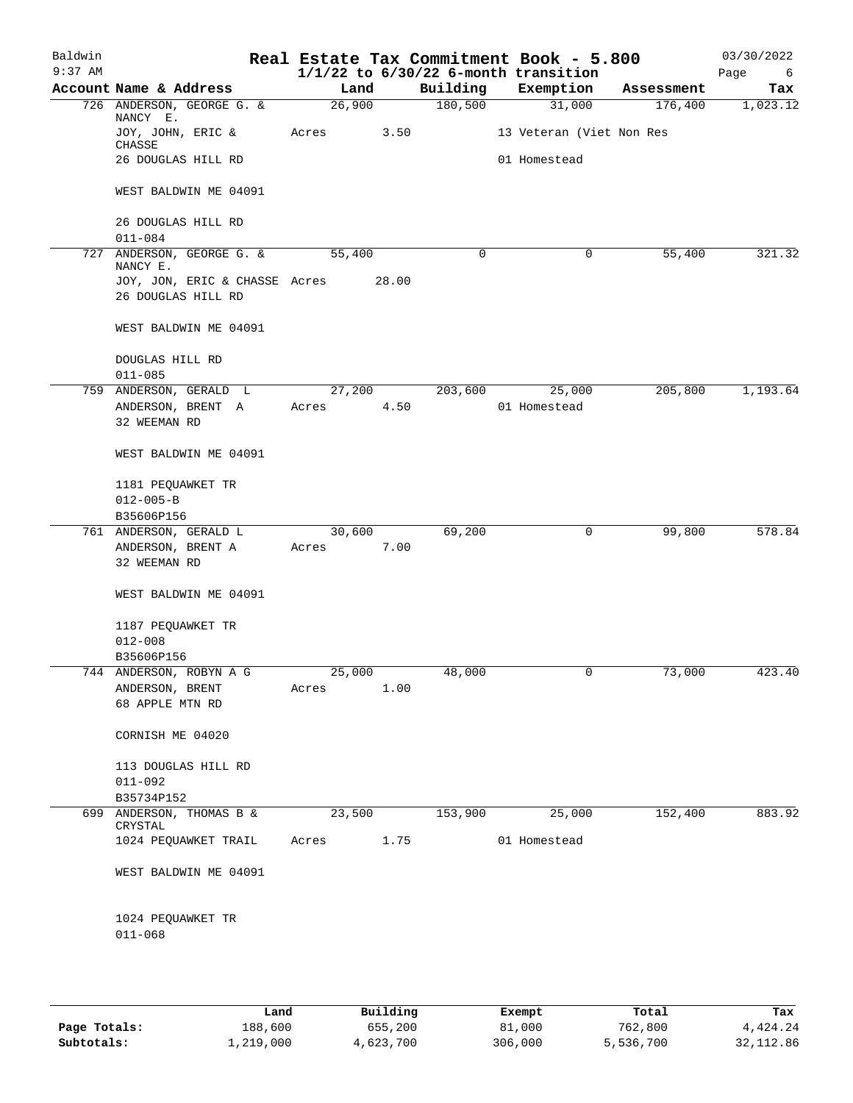| Baldwin<br>$9:37$ AM |                                           |       |        |          | Real Estate Tax Commitment Book - 5.800<br>$1/1/22$ to $6/30/22$ 6-month transition |            | 03/30/2022<br>Page<br>6 |
|----------------------|-------------------------------------------|-------|--------|----------|-------------------------------------------------------------------------------------|------------|-------------------------|
|                      | Account Name & Address                    |       | Land   | Building | Exemption                                                                           | Assessment | Tax                     |
|                      | 726 ANDERSON, GEORGE G. &                 |       | 26,900 | 180,500  | 31,000                                                                              | 176,400    | 1,023.12                |
|                      | NANCY E.<br>JOY, JOHN, ERIC &<br>CHASSE   | Acres | 3.50   |          | 13 Veteran (Viet Non Res                                                            |            |                         |
|                      | 26 DOUGLAS HILL RD                        |       |        |          | 01 Homestead                                                                        |            |                         |
|                      | WEST BALDWIN ME 04091                     |       |        |          |                                                                                     |            |                         |
|                      | 26 DOUGLAS HILL RD<br>$011 - 084$         |       |        |          |                                                                                     |            |                         |
|                      | 727 ANDERSON, GEORGE G. &                 |       | 55,400 | 0        | 0                                                                                   | 55,400     | 321.32                  |
|                      | NANCY E.<br>JOY, JON, ERIC & CHASSE Acres |       | 28.00  |          |                                                                                     |            |                         |
|                      | 26 DOUGLAS HILL RD                        |       |        |          |                                                                                     |            |                         |
|                      | WEST BALDWIN ME 04091                     |       |        |          |                                                                                     |            |                         |
|                      | DOUGLAS HILL RD<br>$011 - 085$            |       |        |          |                                                                                     |            |                         |
|                      | 759 ANDERSON, GERALD L                    |       | 27,200 | 203,600  | 25,000                                                                              | 205,800    | 1,193.64                |
|                      | ANDERSON, BRENT A<br>32 WEEMAN RD         | Acres | 4.50   |          | 01 Homestead                                                                        |            |                         |
|                      | WEST BALDWIN ME 04091                     |       |        |          |                                                                                     |            |                         |
|                      | 1181 PEQUAWKET TR<br>$012 - 005 - B$      |       |        |          |                                                                                     |            |                         |
|                      | B35606P156                                |       |        |          |                                                                                     |            |                         |
|                      | 761 ANDERSON, GERALD L                    |       | 30,600 | 69,200   | 0                                                                                   | 99,800     | 578.84                  |
|                      | ANDERSON, BRENT A<br>32 WEEMAN RD         | Acres | 7.00   |          |                                                                                     |            |                         |
|                      | WEST BALDWIN ME 04091                     |       |        |          |                                                                                     |            |                         |
|                      | 1187 PEQUAWKET TR<br>$012 - 008$          |       |        |          |                                                                                     |            |                         |
|                      | B35606P156                                |       |        |          |                                                                                     |            |                         |
| 744                  | ANDERSON, ROBYN A G                       |       | 25,000 | 48,000   | 0                                                                                   | 73,000     | 423.40                  |
|                      | ANDERSON, BRENT                           | Acres | 1.00   |          |                                                                                     |            |                         |
|                      | 68 APPLE MTN RD                           |       |        |          |                                                                                     |            |                         |
|                      | CORNISH ME 04020                          |       |        |          |                                                                                     |            |                         |
|                      | 113 DOUGLAS HILL RD                       |       |        |          |                                                                                     |            |                         |
|                      | $011 - 092$                               |       |        |          |                                                                                     |            |                         |
|                      | B35734P152                                |       |        |          |                                                                                     |            |                         |
|                      | 699 ANDERSON, THOMAS B &<br>CRYSTAL       |       | 23,500 | 153,900  | 25,000                                                                              | 152,400    | 883.92                  |
|                      | 1024 PEQUAWKET TRAIL                      | Acres | 1.75   |          | 01 Homestead                                                                        |            |                         |
|                      | WEST BALDWIN ME 04091                     |       |        |          |                                                                                     |            |                         |
|                      | 1024 PEQUAWKET TR<br>$011 - 068$          |       |        |          |                                                                                     |            |                         |
|                      |                                           |       |        |          |                                                                                     |            |                         |

|              | Land      | Building  | Exempt  | Total     | Tax       |
|--------------|-----------|-----------|---------|-----------|-----------|
|              |           |           |         |           |           |
| Page Totals: | 188,600   | 655,200   | 81,000  | 762,800   | 4,424.24  |
| Subtotals:   | 1,219,000 | 4,623,700 | 306,000 | 5,536,700 | 32,112.86 |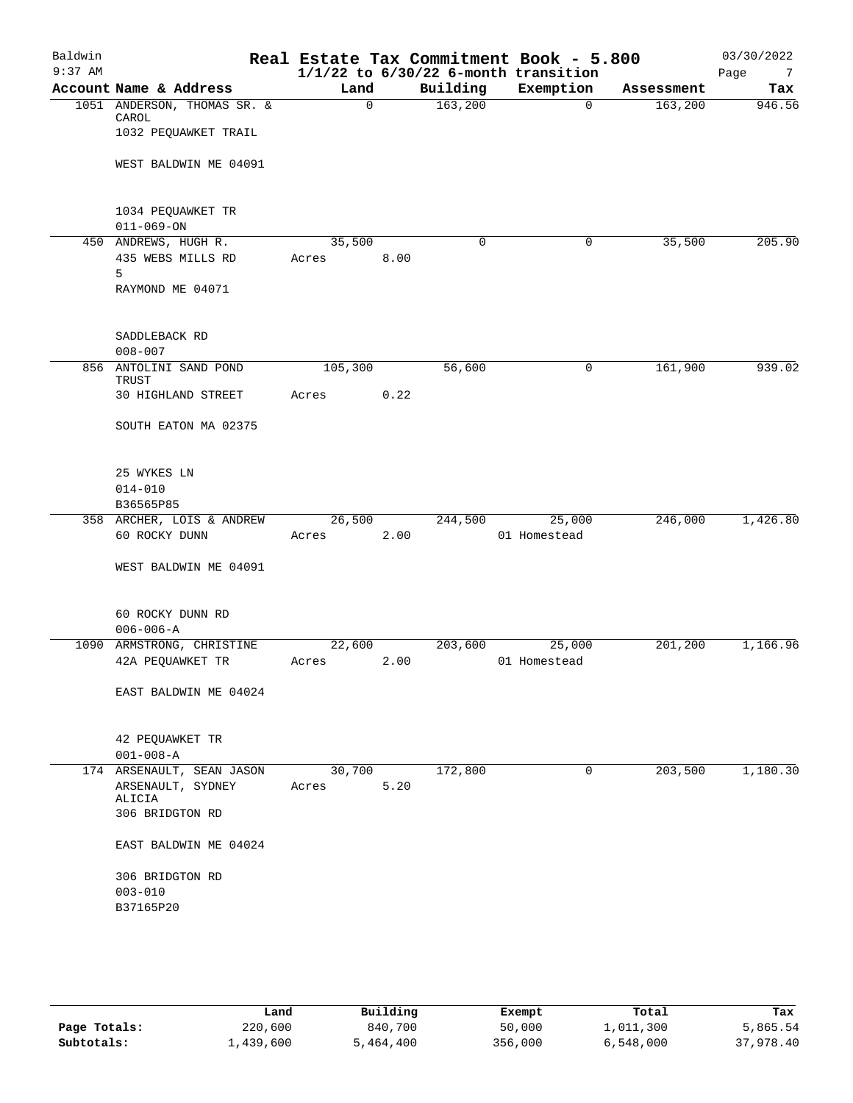| Baldwin<br>$9:37$ AM |                                       |                |      |          | Real Estate Tax Commitment Book - 5.800<br>$1/1/22$ to $6/30/22$ 6-month transition |            | 03/30/2022<br>Page<br>$7\overline{ }$ |
|----------------------|---------------------------------------|----------------|------|----------|-------------------------------------------------------------------------------------|------------|---------------------------------------|
|                      | Account Name & Address                | Land           |      | Building | Exemption                                                                           | Assessment | Tax                                   |
|                      | 1051 ANDERSON, THOMAS SR. &           | $\overline{0}$ |      | 163,200  | $\mathbf 0$                                                                         | 163,200    | 946.56                                |
|                      | CAROL<br>1032 PEQUAWKET TRAIL         |                |      |          |                                                                                     |            |                                       |
|                      | WEST BALDWIN ME 04091                 |                |      |          |                                                                                     |            |                                       |
|                      | 1034 PEQUAWKET TR<br>$011 - 069 - ON$ |                |      |          |                                                                                     |            |                                       |
|                      | 450 ANDREWS, HUGH R.                  | 35,500         |      | $\Omega$ | $\mathbf 0$                                                                         | 35,500     | 205.90                                |
|                      | 435 WEBS MILLS RD<br>5                | Acres          | 8.00 |          |                                                                                     |            |                                       |
|                      | RAYMOND ME 04071                      |                |      |          |                                                                                     |            |                                       |
|                      | SADDLEBACK RD                         |                |      |          |                                                                                     |            |                                       |
|                      | $008 - 007$                           |                |      |          |                                                                                     |            |                                       |
|                      | 856 ANTOLINI SAND POND<br>TRUST       | 105,300        |      | 56,600   | 0                                                                                   | 161,900    | 939.02                                |
|                      | 30 HIGHLAND STREET                    | Acres          | 0.22 |          |                                                                                     |            |                                       |
|                      | SOUTH EATON MA 02375                  |                |      |          |                                                                                     |            |                                       |
|                      | 25 WYKES LN                           |                |      |          |                                                                                     |            |                                       |
|                      | $014 - 010$                           |                |      |          |                                                                                     |            |                                       |
|                      | B36565P85                             |                |      |          |                                                                                     |            |                                       |
|                      | 358 ARCHER, LOIS & ANDREW             | 26,500         |      | 244,500  | 25,000                                                                              | 246,000    | 1,426.80                              |
|                      | 60 ROCKY DUNN                         | Acres          | 2.00 |          | 01 Homestead                                                                        |            |                                       |
|                      | WEST BALDWIN ME 04091                 |                |      |          |                                                                                     |            |                                       |
|                      | 60 ROCKY DUNN RD<br>$006 - 006 - A$   |                |      |          |                                                                                     |            |                                       |
|                      | 1090 ARMSTRONG, CHRISTINE             | 22,600         |      | 203,600  | 25,000                                                                              | 201,200    | 1,166.96                              |
|                      | 42A PEQUAWKET TR                      | Acres          | 2.00 |          | 01 Homestead                                                                        |            |                                       |
|                      | EAST BALDWIN ME 04024                 |                |      |          |                                                                                     |            |                                       |
|                      | 42 PEQUAWKET TR<br>$001 - 008 - A$    |                |      |          |                                                                                     |            |                                       |
|                      | 174 ARSENAULT, SEAN JASON             | 30,700         |      | 172,800  | 0                                                                                   | 203,500    | 1,180.30                              |
|                      | ARSENAULT, SYDNEY                     | Acres          | 5.20 |          |                                                                                     |            |                                       |
|                      | ALICIA<br>306 BRIDGTON RD             |                |      |          |                                                                                     |            |                                       |
|                      | EAST BALDWIN ME 04024                 |                |      |          |                                                                                     |            |                                       |
|                      | 306 BRIDGTON RD                       |                |      |          |                                                                                     |            |                                       |
|                      | $003 - 010$<br>B37165P20              |                |      |          |                                                                                     |            |                                       |
|                      |                                       |                |      |          |                                                                                     |            |                                       |
|                      |                                       |                |      |          |                                                                                     |            |                                       |

|              | Land      | Building  | Exempt  | Total     | Tax       |
|--------------|-----------|-----------|---------|-----------|-----------|
| Page Totals: | 220,600   | 840,700   | 50,000  | 1,011,300 | 5,865.54  |
| Subtotals:   | 1,439,600 | 5,464,400 | 356,000 | 6,548,000 | 37,978.40 |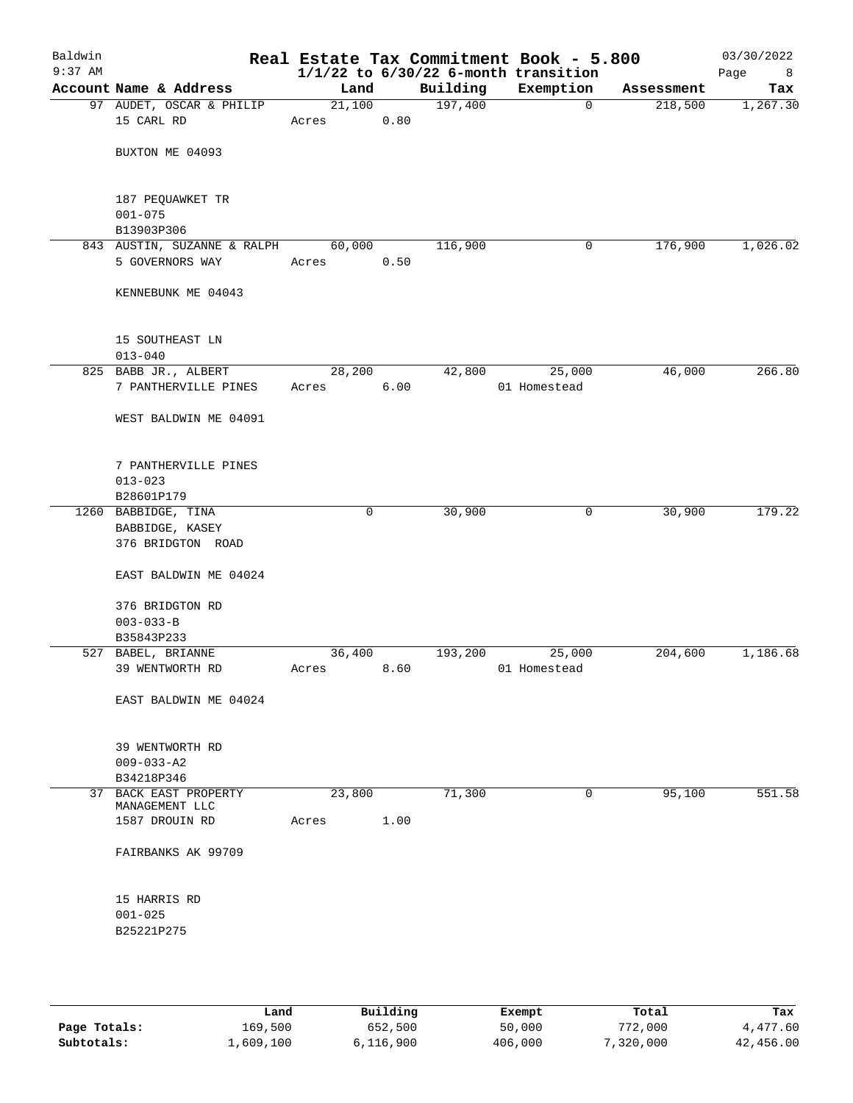| Baldwin<br>$9:37$ AM |                                         |         |      |          | Real Estate Tax Commitment Book - 5.800<br>$1/1/22$ to $6/30/22$ 6-month transition |            | 03/30/2022<br>Page<br>8 |
|----------------------|-----------------------------------------|---------|------|----------|-------------------------------------------------------------------------------------|------------|-------------------------|
|                      | Account Name & Address                  | Land    |      | Building | Exemption                                                                           | Assessment | Tax                     |
|                      | 97 AUDET, OSCAR & PHILIP                | 21,100  |      | 197,400  | $\mathbf 0$                                                                         | 218,500    | 1,267.30                |
|                      | 15 CARL RD                              | Acres   | 0.80 |          |                                                                                     |            |                         |
|                      | BUXTON ME 04093                         |         |      |          |                                                                                     |            |                         |
|                      | 187 PEQUAWKET TR<br>$001 - 075$         |         |      |          |                                                                                     |            |                         |
|                      | B13903P306                              |         |      |          |                                                                                     |            |                         |
|                      | 843 AUSTIN, SUZANNE & RALPH             | 60,000  |      | 116,900  | 0                                                                                   | 176,900    | 1,026.02                |
|                      | 5 GOVERNORS WAY                         | Acres   | 0.50 |          |                                                                                     |            |                         |
|                      | KENNEBUNK ME 04043                      |         |      |          |                                                                                     |            |                         |
|                      | 15 SOUTHEAST LN<br>$013 - 040$          |         |      |          |                                                                                     |            |                         |
|                      | 825 BABB JR., ALBERT                    | 28, 200 |      | 42,800   | 25,000                                                                              | 46,000     | 266.80                  |
|                      | 7 PANTHERVILLE PINES                    | Acres   | 6.00 |          | 01 Homestead                                                                        |            |                         |
|                      | WEST BALDWIN ME 04091                   |         |      |          |                                                                                     |            |                         |
|                      | 7 PANTHERVILLE PINES<br>$013 - 023$     |         |      |          |                                                                                     |            |                         |
|                      | B28601P179                              |         |      |          |                                                                                     |            |                         |
|                      | 1260 BABBIDGE, TINA                     |         | 0    | 30,900   | 0                                                                                   | 30,900     | 179.22                  |
|                      | BABBIDGE, KASEY<br>376 BRIDGTON ROAD    |         |      |          |                                                                                     |            |                         |
|                      | EAST BALDWIN ME 04024                   |         |      |          |                                                                                     |            |                         |
|                      | 376 BRIDGTON RD<br>$003 - 033 - B$      |         |      |          |                                                                                     |            |                         |
|                      | B35843P233                              |         |      |          |                                                                                     |            |                         |
|                      | 527 BABEL, BRIANNE                      | 36,400  |      | 193,200  | 25,000                                                                              | 204,600    | 1,186.68                |
|                      | 39 WENTWORTH RD                         | Acres   | 8.60 |          | 01 Homestead                                                                        |            |                         |
|                      | EAST BALDWIN ME 04024                   |         |      |          |                                                                                     |            |                         |
|                      | 39 WENTWORTH RD                         |         |      |          |                                                                                     |            |                         |
|                      | $009 - 033 - A2$                        |         |      |          |                                                                                     |            |                         |
|                      | B34218P346                              |         |      |          |                                                                                     |            |                         |
|                      | 37 BACK EAST PROPERTY<br>MANAGEMENT LLC | 23,800  |      | 71,300   | 0                                                                                   | 95,100     | 551.58                  |
|                      | 1587 DROUIN RD                          | Acres   | 1.00 |          |                                                                                     |            |                         |
|                      | FAIRBANKS AK 99709                      |         |      |          |                                                                                     |            |                         |
|                      | 15 HARRIS RD                            |         |      |          |                                                                                     |            |                         |
|                      | $001 - 025$                             |         |      |          |                                                                                     |            |                         |
|                      | B25221P275                              |         |      |          |                                                                                     |            |                         |
|                      |                                         |         |      |          |                                                                                     |            |                         |
|                      |                                         |         |      |          |                                                                                     |            |                         |

|              | Land      | Building  | Exempt  | Total     | Tax       |
|--------------|-----------|-----------|---------|-----------|-----------|
| Page Totals: | 169,500   | 652,500   | 50,000  | 772,000   | 4,477.60  |
| Subtotals:   | 1,609,100 | 6,116,900 | 406,000 | 7,320,000 | 42,456.00 |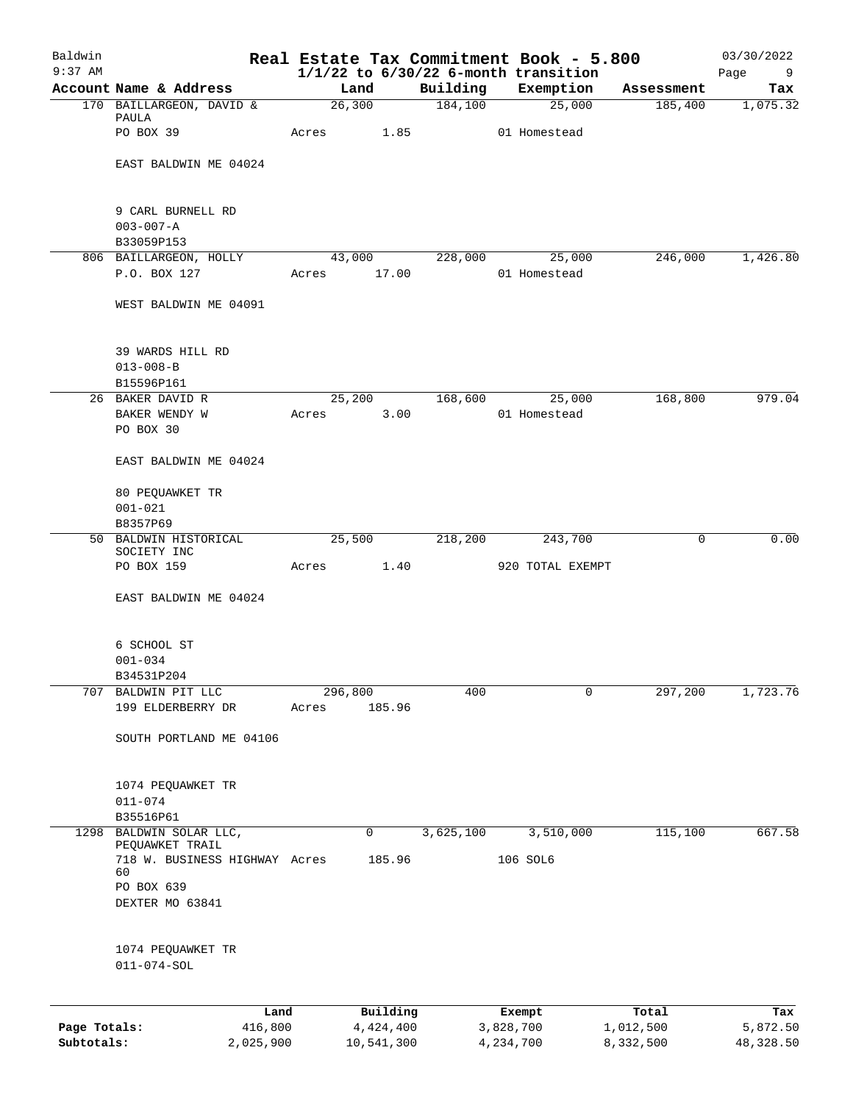| Baldwin<br>$9:37$ AM |                                        |         |            |           | Real Estate Tax Commitment Book - 5.800<br>$1/1/22$ to $6/30/22$ 6-month transition |            | 03/30/2022<br>Page<br>9 |
|----------------------|----------------------------------------|---------|------------|-----------|-------------------------------------------------------------------------------------|------------|-------------------------|
|                      | Account Name & Address                 |         | Land       | Building  | Exemption                                                                           | Assessment | Tax                     |
|                      | 170 BAILLARGEON, DAVID &               |         | 26,300     | 184,100   | 25,000                                                                              | 185,400    | 1,075.32                |
|                      | PAULA                                  |         |            |           |                                                                                     |            |                         |
|                      | PO BOX 39                              | Acres   | 1.85       |           | 01 Homestead                                                                        |            |                         |
|                      |                                        |         |            |           |                                                                                     |            |                         |
|                      | EAST BALDWIN ME 04024                  |         |            |           |                                                                                     |            |                         |
|                      |                                        |         |            |           |                                                                                     |            |                         |
|                      | 9 CARL BURNELL RD                      |         |            |           |                                                                                     |            |                         |
|                      | $003 - 007 - A$                        |         |            |           |                                                                                     |            |                         |
|                      | B33059P153                             |         |            |           |                                                                                     |            |                         |
|                      | 806 BAILLARGEON, HOLLY                 |         | 43,000     | 228,000   | 25,000                                                                              | 246,000    | 1,426.80                |
|                      | P.O. BOX 127                           | Acres   | 17.00      |           | 01 Homestead                                                                        |            |                         |
|                      | WEST BALDWIN ME 04091                  |         |            |           |                                                                                     |            |                         |
|                      |                                        |         |            |           |                                                                                     |            |                         |
|                      | 39 WARDS HILL RD                       |         |            |           |                                                                                     |            |                         |
|                      | $013 - 008 - B$                        |         |            |           |                                                                                     |            |                         |
|                      | B15596P161                             |         |            |           |                                                                                     |            |                         |
|                      | 26 BAKER DAVID R                       |         | 25,200     | 168,600   | 25,000                                                                              | 168,800    | 979.04                  |
|                      | BAKER WENDY W<br>PO BOX 30             | Acres   | 3.00       |           | 01 Homestead                                                                        |            |                         |
|                      |                                        |         |            |           |                                                                                     |            |                         |
|                      | EAST BALDWIN ME 04024                  |         |            |           |                                                                                     |            |                         |
|                      | 80 PEQUAWKET TR                        |         |            |           |                                                                                     |            |                         |
|                      | $001 - 021$                            |         |            |           |                                                                                     |            |                         |
|                      | B8357P69                               |         |            |           |                                                                                     |            |                         |
|                      | 50 BALDWIN HISTORICAL                  |         | 25,500     | 218,200   | 243,700                                                                             | 0          | 0.00                    |
|                      | SOCIETY INC                            |         |            |           |                                                                                     |            |                         |
|                      | PO BOX 159                             | Acres   | 1.40       |           | 920 TOTAL EXEMPT                                                                    |            |                         |
|                      | EAST BALDWIN ME 04024                  |         |            |           |                                                                                     |            |                         |
|                      |                                        |         |            |           |                                                                                     |            |                         |
|                      | 6 SCHOOL ST                            |         |            |           |                                                                                     |            |                         |
|                      | $001 - 034$                            |         |            |           |                                                                                     |            |                         |
|                      | B34531P204                             |         |            |           |                                                                                     |            |                         |
| 707                  | BALDWIN PIT LLC                        | 296,800 |            | 400       | 0                                                                                   | 297,200    | 1,723.76                |
|                      | 199 ELDERBERRY DR                      | Acres   | 185.96     |           |                                                                                     |            |                         |
|                      | SOUTH PORTLAND ME 04106                |         |            |           |                                                                                     |            |                         |
|                      |                                        |         |            |           |                                                                                     |            |                         |
|                      |                                        |         |            |           |                                                                                     |            |                         |
|                      | 1074 PEQUAWKET TR<br>$011 - 074$       |         |            |           |                                                                                     |            |                         |
|                      | B35516P61                              |         |            |           |                                                                                     |            |                         |
| 1298                 | BALDWIN SOLAR LLC,                     |         | 0          | 3,625,100 | 3,510,000                                                                           | 115,100    | 667.58                  |
|                      | PEQUAWKET TRAIL                        |         |            |           |                                                                                     |            |                         |
|                      | 718 W. BUSINESS HIGHWAY Acres          |         | 185.96     |           | 106 SOL6                                                                            |            |                         |
|                      | 60<br>PO BOX 639                       |         |            |           |                                                                                     |            |                         |
|                      | DEXTER MO 63841                        |         |            |           |                                                                                     |            |                         |
|                      |                                        |         |            |           |                                                                                     |            |                         |
|                      |                                        |         |            |           |                                                                                     |            |                         |
|                      | 1074 PEQUAWKET TR<br>$011 - 074 - SOL$ |         |            |           |                                                                                     |            |                         |
|                      |                                        |         |            |           |                                                                                     |            |                         |
|                      | Land                                   |         | Building   |           | Exempt                                                                              | Total      | Tax                     |
| Page Totals:         | 416,800                                |         | 4,424,400  |           | 3,828,700                                                                           | 1,012,500  | 5,872.50                |
| Subtotals:           | 2,025,900                              |         | 10,541,300 |           | 4,234,700                                                                           | 8,332,500  | 48,328.50               |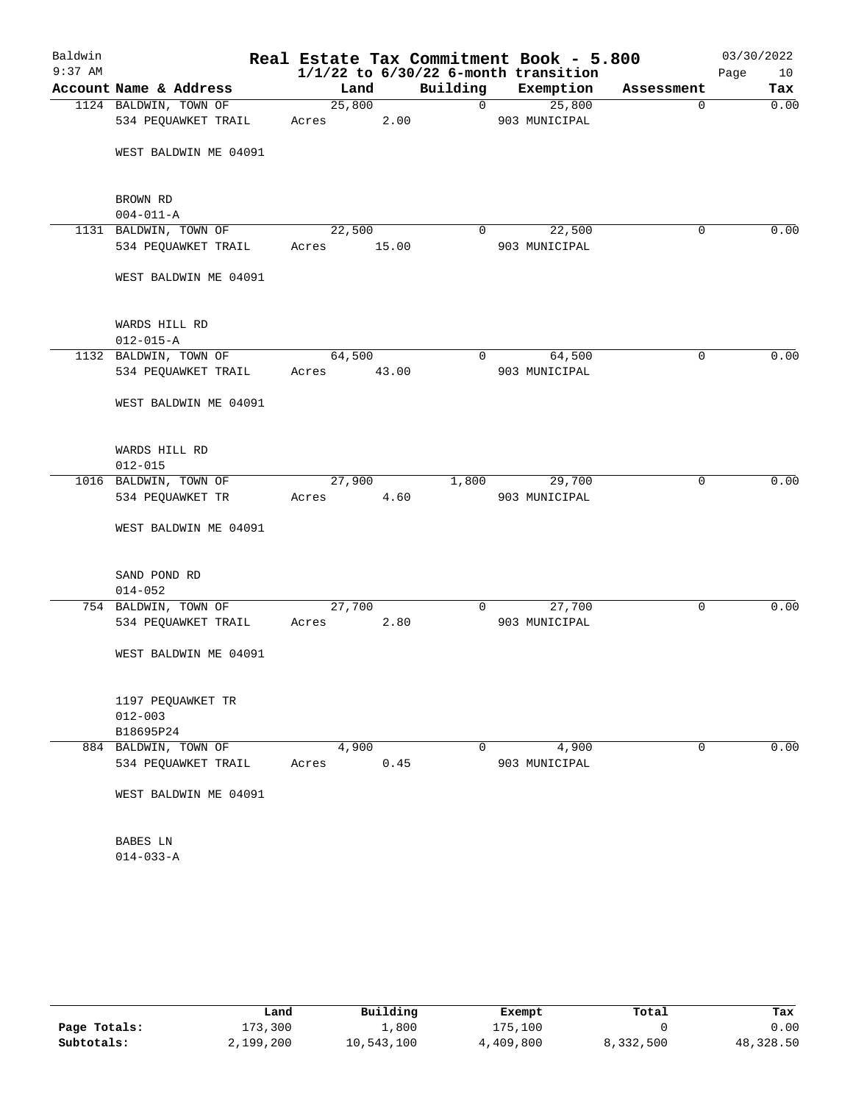| Baldwin   |                        |        |       |                | Real Estate Tax Commitment Book - 5.800  |             | 03/30/2022 |
|-----------|------------------------|--------|-------|----------------|------------------------------------------|-------------|------------|
| $9:37$ AM |                        |        |       |                | $1/1/22$ to $6/30/22$ 6-month transition |             | Page<br>10 |
|           | Account Name & Address | Land   |       | Building       | Exemption                                | Assessment  | Tax        |
|           | 1124 BALDWIN, TOWN OF  | 25,800 |       | $\overline{0}$ | 25,800                                   | $\mathbf 0$ | 0.00       |
|           | 534 PEQUAWKET TRAIL    | Acres  | 2.00  |                | 903 MUNICIPAL                            |             |            |
|           | WEST BALDWIN ME 04091  |        |       |                |                                          |             |            |
|           |                        |        |       |                |                                          |             |            |
|           | BROWN RD               |        |       |                |                                          |             |            |
|           | $004 - 011 - A$        |        |       |                |                                          |             |            |
|           | 1131 BALDWIN, TOWN OF  | 22,500 |       | 0              | 22,500                                   | 0           | 0.00       |
|           | 534 PEQUAWKET TRAIL    | Acres  | 15.00 |                | 903 MUNICIPAL                            |             |            |
|           | WEST BALDWIN ME 04091  |        |       |                |                                          |             |            |
|           | WARDS HILL RD          |        |       |                |                                          |             |            |
|           | $012 - 015 - A$        |        |       |                |                                          |             |            |
|           | 1132 BALDWIN, TOWN OF  | 64,500 |       | 0              | 64,500                                   | 0           | 0.00       |
|           | 534 PEQUAWKET TRAIL    | Acres  | 43.00 |                | 903 MUNICIPAL                            |             |            |
|           | WEST BALDWIN ME 04091  |        |       |                |                                          |             |            |
|           | WARDS HILL RD          |        |       |                |                                          |             |            |
|           | $012 - 015$            |        |       |                |                                          |             |            |
|           | 1016 BALDWIN, TOWN OF  | 27,900 |       | 1,800          | 29,700                                   | 0           | 0.00       |
|           | 534 PEQUAWKET TR       | Acres  | 4.60  |                | 903 MUNICIPAL                            |             |            |
|           | WEST BALDWIN ME 04091  |        |       |                |                                          |             |            |
|           | SAND POND RD           |        |       |                |                                          |             |            |
|           | $014 - 052$            |        |       |                |                                          |             |            |
|           | 754 BALDWIN, TOWN OF   | 27,700 |       | $\mathbf{0}$   | 27,700                                   | 0           | 0.00       |
|           | 534 PEQUAWKET TRAIL    | Acres  | 2.80  |                | 903 MUNICIPAL                            |             |            |
|           | WEST BALDWIN ME 04091  |        |       |                |                                          |             |            |
|           | 1197 PEQUAWKET TR      |        |       |                |                                          |             |            |
|           | $012 - 003$            |        |       |                |                                          |             |            |
|           | B18695P24              |        |       |                |                                          |             |            |
|           | 884 BALDWIN, TOWN OF   | 4,900  |       | 0              | 4,900                                    | 0           | 0.00       |
|           | 534 PEQUAWKET TRAIL    | Acres  | 0.45  |                | 903 MUNICIPAL                            |             |            |
|           | WEST BALDWIN ME 04091  |        |       |                |                                          |             |            |
|           | BABES LN               |        |       |                |                                          |             |            |
|           | $014 - 033 - A$        |        |       |                |                                          |             |            |

|              | Land      | Building     | Exempt    | Total     | Tax       |
|--------------|-----------|--------------|-----------|-----------|-----------|
| Page Totals: | 173,300   | $\perp$ ,800 | 175,100   |           | 0.00      |
| Subtotals:   | 2,199,200 | 10,543,100   | 4,409,800 | 8,332,500 | 48,328.50 |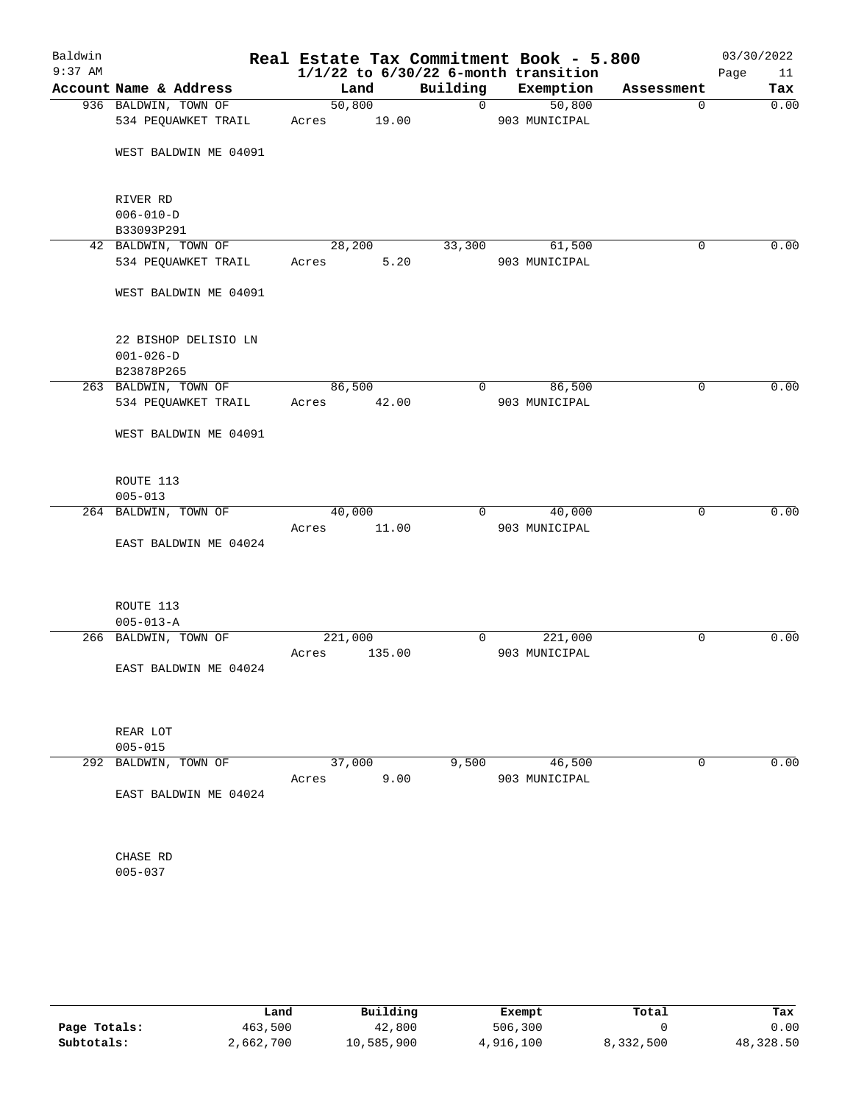| Baldwin   |                                             |                 |        |                | Real Estate Tax Commitment Book - 5.800  |              | 03/30/2022 |
|-----------|---------------------------------------------|-----------------|--------|----------------|------------------------------------------|--------------|------------|
| $9:37$ AM |                                             |                 |        |                | $1/1/22$ to $6/30/22$ 6-month transition |              | Page<br>11 |
|           | Account Name & Address                      |                 | Land   | Building       | Exemption                                | Assessment   | Tax        |
|           | 936 BALDWIN, TOWN OF<br>534 PEQUAWKET TRAIL | 50,800<br>Acres | 19.00  | $\mathbf 0$    | 50,800<br>903 MUNICIPAL                  | $\mathbf{0}$ | 0.00       |
|           | WEST BALDWIN ME 04091                       |                 |        |                |                                          |              |            |
|           |                                             |                 |        |                |                                          |              |            |
|           | RIVER RD                                    |                 |        |                |                                          |              |            |
|           | $006 - 010 - D$<br>B33093P291               |                 |        |                |                                          |              |            |
|           | 42 BALDWIN, TOWN OF                         | 28,200          |        | 33,300         | 61,500                                   | $\mathbf 0$  | 0.00       |
|           | 534 PEQUAWKET TRAIL                         | Acres           | 5.20   |                | 903 MUNICIPAL                            |              |            |
|           | WEST BALDWIN ME 04091                       |                 |        |                |                                          |              |            |
|           | 22 BISHOP DELISIO LN<br>$001 - 026 - D$     |                 |        |                |                                          |              |            |
|           | B23878P265<br>263 BALDWIN, TOWN OF          | 86,500          |        | $\mathbf{0}$   | 86,500                                   | 0            | 0.00       |
|           | 534 PEQUAWKET TRAIL                         | Acres           | 42.00  |                | 903 MUNICIPAL                            |              |            |
|           | WEST BALDWIN ME 04091                       |                 |        |                |                                          |              |            |
|           | ROUTE 113                                   |                 |        |                |                                          |              |            |
|           | $005 - 013$                                 |                 |        |                |                                          |              |            |
|           | 264 BALDWIN, TOWN OF                        | 40,000          |        | $\overline{0}$ | 40,000                                   | 0            | 0.00       |
|           |                                             | Acres           | 11.00  |                | 903 MUNICIPAL                            |              |            |
|           | EAST BALDWIN ME 04024                       |                 |        |                |                                          |              |            |
|           | ROUTE 113                                   |                 |        |                |                                          |              |            |
|           | $005 - 013 - A$                             |                 |        |                |                                          |              |            |
|           | 266 BALDWIN, TOWN OF                        | 221,000         |        | $\mathbf{0}$   | 221,000                                  | 0            | 0.00       |
|           |                                             | Acres           | 135.00 |                | 903 MUNICIPAL                            |              |            |
|           | EAST BALDWIN ME 04024                       |                 |        |                |                                          |              |            |
|           | REAR LOT                                    |                 |        |                |                                          |              |            |
|           | $005 - 015$                                 |                 |        |                |                                          |              |            |
| 292       | BALDWIN, TOWN OF                            | 37,000          |        | 9,500          | 46,500                                   | 0            | 0.00       |
|           |                                             | Acres           | 9.00   |                | 903 MUNICIPAL                            |              |            |
|           | EAST BALDWIN ME 04024                       |                 |        |                |                                          |              |            |
|           | CHASE RD                                    |                 |        |                |                                          |              |            |
|           | $005 - 037$                                 |                 |        |                |                                          |              |            |
|           |                                             |                 |        |                |                                          |              |            |

|              | Land      | Building   | Exempt    | Total     | Tax       |
|--------------|-----------|------------|-----------|-----------|-----------|
| Page Totals: | 463,500   | 42,800     | 506,300   |           | 0.00      |
| Subtotals:   | 2,662,700 | 10,585,900 | 4,916,100 | 8,332,500 | 48,328.50 |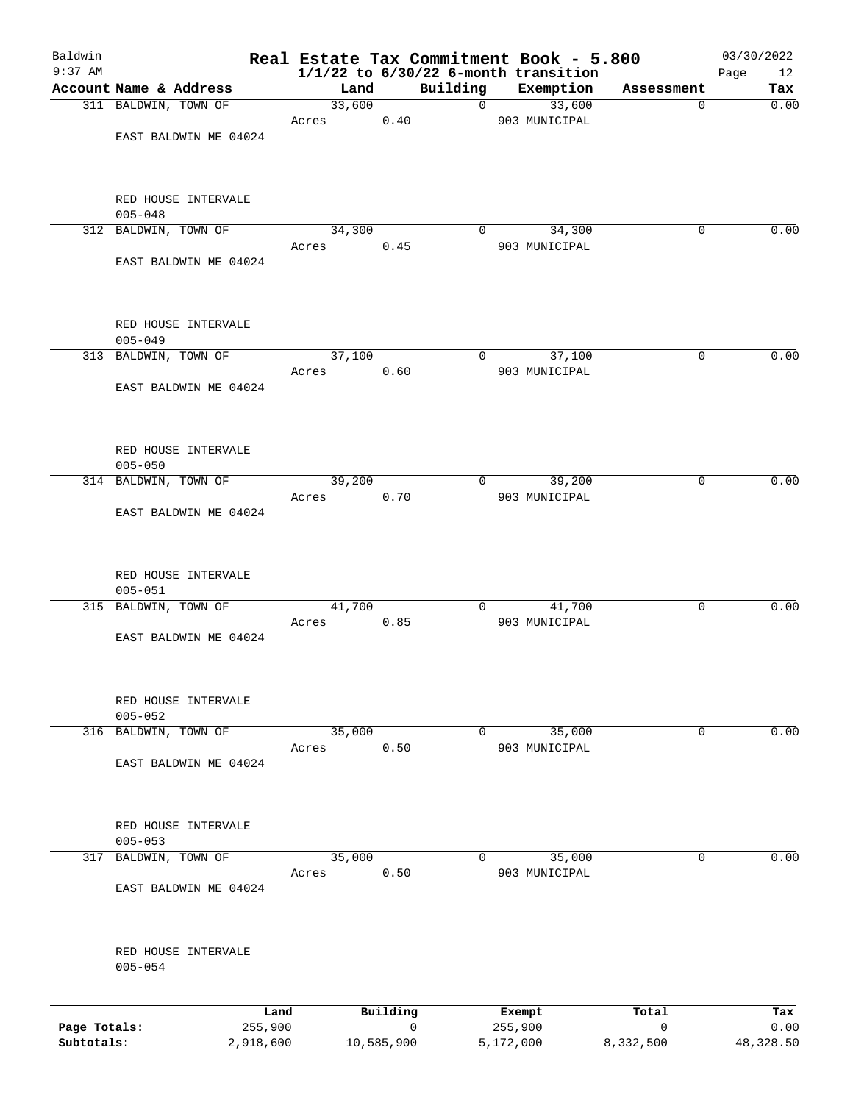| Baldwin                    |                                     |       |        |                           |          | Real Estate Tax Commitment Book - 5.800               |                | 03/30/2022        |
|----------------------------|-------------------------------------|-------|--------|---------------------------|----------|-------------------------------------------------------|----------------|-------------------|
| $9:37$ AM                  | Account Name & Address              |       | Land   | Building                  |          | $1/1/22$ to $6/30/22$ 6-month transition<br>Exemption | Assessment     | Page<br>12<br>Tax |
|                            | 311 BALDWIN, TOWN OF                |       | 33,600 |                           | 0        | 33,600                                                |                | 0.00<br>0         |
|                            |                                     | Acres |        | 0.40                      |          | 903 MUNICIPAL                                         |                |                   |
|                            | EAST BALDWIN ME 04024               |       |        |                           |          |                                                       |                |                   |
|                            | RED HOUSE INTERVALE                 |       |        |                           |          |                                                       |                |                   |
|                            | $005 - 048$<br>312 BALDWIN, TOWN OF |       | 34,300 |                           | $\Omega$ | 34,300                                                |                | 0.00<br>0         |
|                            |                                     | Acres |        | 0.45                      |          | 903 MUNICIPAL                                         |                |                   |
|                            | EAST BALDWIN ME 04024               |       |        |                           |          |                                                       |                |                   |
|                            | RED HOUSE INTERVALE                 |       |        |                           |          |                                                       |                |                   |
|                            | $005 - 049$<br>313 BALDWIN, TOWN OF |       | 37,100 |                           | 0        | 37,100                                                |                | 0.00<br>0         |
|                            |                                     | Acres |        | 0.60                      |          | 903 MUNICIPAL                                         |                |                   |
|                            | EAST BALDWIN ME 04024               |       |        |                           |          |                                                       |                |                   |
|                            | RED HOUSE INTERVALE                 |       |        |                           |          |                                                       |                |                   |
|                            | $005 - 050$                         |       |        |                           |          |                                                       |                |                   |
|                            | 314 BALDWIN, TOWN OF                | Acres | 39,200 | 0.70                      | $\Omega$ | 39,200<br>903 MUNICIPAL                               |                | 0.00<br>0         |
|                            | EAST BALDWIN ME 04024               |       |        |                           |          |                                                       |                |                   |
|                            | RED HOUSE INTERVALE<br>$005 - 051$  |       |        |                           |          |                                                       |                |                   |
|                            | 315 BALDWIN, TOWN OF                |       | 41,700 |                           | 0        | 41,700                                                |                | 0.00<br>0         |
|                            | EAST BALDWIN ME 04024               | Acres |        | 0.85                      |          | 903 MUNICIPAL                                         |                |                   |
|                            | RED HOUSE INTERVALE<br>$005 - 052$  |       |        |                           |          |                                                       |                |                   |
|                            | 316 BALDWIN, TOWN OF                |       | 35,000 |                           | 0        | 35,000                                                |                | 0.00<br>0         |
|                            | EAST BALDWIN ME 04024               | Acres |        | 0.50                      |          | 903 MUNICIPAL                                         |                |                   |
|                            | RED HOUSE INTERVALE<br>$005 - 053$  |       |        |                           |          |                                                       |                |                   |
| 317                        | BALDWIN, TOWN OF                    |       | 35,000 |                           | $\Omega$ | 35,000                                                |                | 0<br>0.00         |
|                            |                                     | Acres |        | 0.50                      |          | 903 MUNICIPAL                                         |                |                   |
|                            | EAST BALDWIN ME 04024               |       |        |                           |          |                                                       |                |                   |
|                            | RED HOUSE INTERVALE<br>$005 - 054$  |       |        |                           |          |                                                       |                |                   |
|                            |                                     |       |        |                           |          |                                                       |                |                   |
|                            | Land                                |       |        | Building                  |          | Exempt                                                | Total          | Tax               |
| Page Totals:<br>Subtotals: | 255,900<br>2,918,600                |       |        | $\mathbf 0$<br>10,585,900 |          | 255,900<br>5,172,000                                  | 0<br>8,332,500 | 0.00<br>48,328.50 |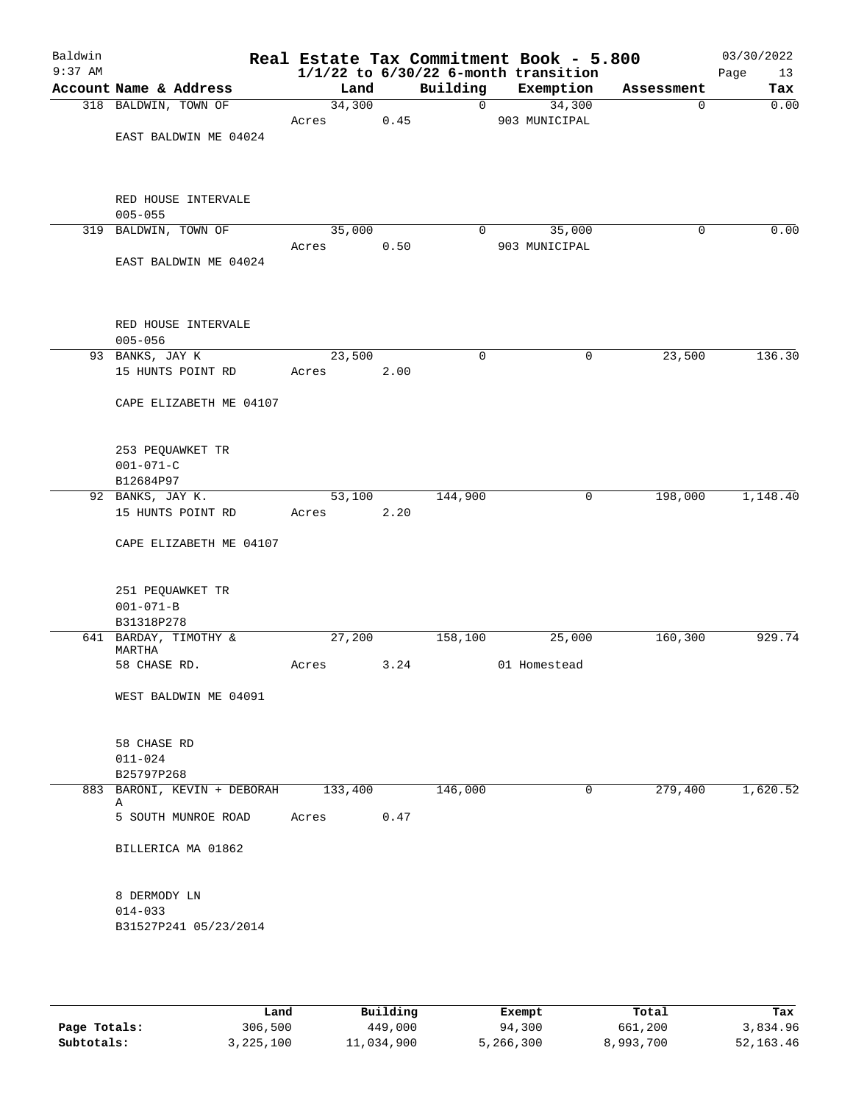| Baldwin<br>$9:37$ AM |                                     |         |      |                | Real Estate Tax Commitment Book - 5.800<br>$1/1/22$ to $6/30/22$ 6-month transition |             | 03/30/2022<br>Page<br>13 |
|----------------------|-------------------------------------|---------|------|----------------|-------------------------------------------------------------------------------------|-------------|--------------------------|
|                      | Account Name & Address              | Land    |      | Building       | Exemption                                                                           | Assessment  | Tax                      |
|                      | 318 BALDWIN, TOWN OF                | 34,300  |      | $\mathbf{0}$   | 34,300                                                                              | 0           | 0.00                     |
|                      |                                     | Acres   | 0.45 |                | 903 MUNICIPAL                                                                       |             |                          |
|                      | EAST BALDWIN ME 04024               |         |      |                |                                                                                     |             |                          |
|                      |                                     |         |      |                |                                                                                     |             |                          |
|                      |                                     |         |      |                |                                                                                     |             |                          |
|                      | RED HOUSE INTERVALE                 |         |      |                |                                                                                     |             |                          |
|                      | $005 - 055$                         |         |      |                |                                                                                     |             |                          |
|                      | 319 BALDWIN, TOWN OF                | 35,000  |      | $\overline{0}$ | 35,000                                                                              | $\mathbf 0$ | 0.00                     |
|                      |                                     | Acres   | 0.50 |                | 903 MUNICIPAL                                                                       |             |                          |
|                      | EAST BALDWIN ME 04024               |         |      |                |                                                                                     |             |                          |
|                      |                                     |         |      |                |                                                                                     |             |                          |
|                      |                                     |         |      |                |                                                                                     |             |                          |
|                      | RED HOUSE INTERVALE                 |         |      |                |                                                                                     |             |                          |
|                      | $005 - 056$                         |         |      |                |                                                                                     |             |                          |
|                      | 93 BANKS, JAY K                     | 23,500  |      | $\mathbf 0$    | 0                                                                                   | 23,500      | 136.30                   |
|                      | 15 HUNTS POINT RD                   | Acres   | 2.00 |                |                                                                                     |             |                          |
|                      |                                     |         |      |                |                                                                                     |             |                          |
|                      | CAPE ELIZABETH ME 04107             |         |      |                |                                                                                     |             |                          |
|                      |                                     |         |      |                |                                                                                     |             |                          |
|                      |                                     |         |      |                |                                                                                     |             |                          |
|                      | 253 PEQUAWKET TR                    |         |      |                |                                                                                     |             |                          |
|                      | $001 - 071 - C$                     |         |      |                |                                                                                     |             |                          |
|                      | B12684P97<br>92 BANKS, JAY K.       | 53,100  |      | 144,900        | 0                                                                                   | 198,000     | 1,148.40                 |
|                      | 15 HUNTS POINT RD                   | Acres   | 2.20 |                |                                                                                     |             |                          |
|                      |                                     |         |      |                |                                                                                     |             |                          |
|                      | CAPE ELIZABETH ME 04107             |         |      |                |                                                                                     |             |                          |
|                      |                                     |         |      |                |                                                                                     |             |                          |
|                      |                                     |         |      |                |                                                                                     |             |                          |
|                      | 251 PEQUAWKET TR                    |         |      |                |                                                                                     |             |                          |
|                      | $001 - 071 - B$                     |         |      |                |                                                                                     |             |                          |
|                      | B31318P278<br>641 BARDAY, TIMOTHY & | 27,200  |      | 158,100        | 25,000                                                                              | 160,300     | 929.74                   |
|                      | MARTHA                              |         |      |                |                                                                                     |             |                          |
|                      | 58 CHASE RD.                        | Acres   | 3.24 |                | 01 Homestead                                                                        |             |                          |
|                      |                                     |         |      |                |                                                                                     |             |                          |
|                      | WEST BALDWIN ME 04091               |         |      |                |                                                                                     |             |                          |
|                      |                                     |         |      |                |                                                                                     |             |                          |
|                      | 58 CHASE RD                         |         |      |                |                                                                                     |             |                          |
|                      | $011 - 024$                         |         |      |                |                                                                                     |             |                          |
|                      | B25797P268                          |         |      |                |                                                                                     |             |                          |
|                      | 883 BARONI, KEVIN + DEBORAH         | 133,400 |      | 146,000        | 0                                                                                   | 279,400     | 1,620.52                 |
|                      | Α                                   |         |      |                |                                                                                     |             |                          |
|                      | 5 SOUTH MUNROE ROAD                 | Acres   | 0.47 |                |                                                                                     |             |                          |
|                      | BILLERICA MA 01862                  |         |      |                |                                                                                     |             |                          |
|                      |                                     |         |      |                |                                                                                     |             |                          |
|                      |                                     |         |      |                |                                                                                     |             |                          |
|                      | 8 DERMODY LN                        |         |      |                |                                                                                     |             |                          |
|                      | $014 - 033$                         |         |      |                |                                                                                     |             |                          |
|                      | B31527P241 05/23/2014               |         |      |                |                                                                                     |             |                          |
|                      |                                     |         |      |                |                                                                                     |             |                          |
|                      |                                     |         |      |                |                                                                                     |             |                          |
|                      |                                     |         |      |                |                                                                                     |             |                          |
|                      |                                     |         |      |                |                                                                                     |             |                          |

|              | Land      | Building   | Exempt    | Total     | Tax         |
|--------------|-----------|------------|-----------|-----------|-------------|
| Page Totals: | 306,500   | 449,000    | 94,300    | 661,200   | 3,834.96    |
| Subtotals:   | 3,225,100 | 11,034,900 | 5,266,300 | 8,993,700 | 52, 163. 46 |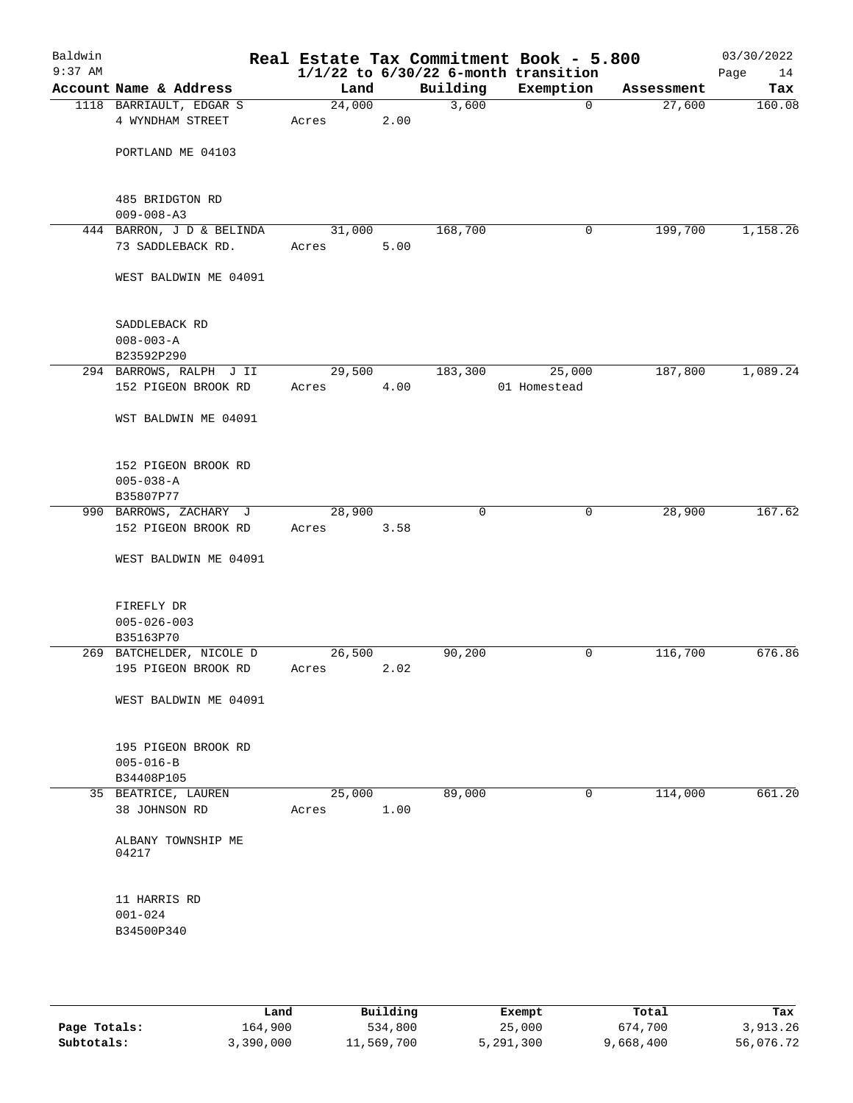| Baldwin<br>$9:37$ AM |                                                |                 |      |             | Real Estate Tax Commitment Book - 5.800<br>$1/1/22$ to $6/30/22$ 6-month transition |            | 03/30/2022<br>Page<br>14 |
|----------------------|------------------------------------------------|-----------------|------|-------------|-------------------------------------------------------------------------------------|------------|--------------------------|
|                      | Account Name & Address                         | Land            |      | Building    | Exemption                                                                           | Assessment | Tax                      |
|                      | 1118 BARRIAULT, EDGAR S<br>4 WYNDHAM STREET    | 24,000<br>Acres | 2.00 | 3,600       | $\overline{0}$                                                                      | 27,600     | 160.08                   |
|                      | PORTLAND ME 04103                              |                 |      |             |                                                                                     |            |                          |
|                      | 485 BRIDGTON RD<br>$009 - 008 - A3$            |                 |      |             |                                                                                     |            |                          |
|                      | 444 BARRON, J D & BELINDA<br>73 SADDLEBACK RD. | 31,000<br>Acres | 5.00 | 168,700     | 0                                                                                   | 199,700    | 1,158.26                 |
|                      | WEST BALDWIN ME 04091                          |                 |      |             |                                                                                     |            |                          |
|                      | SADDLEBACK RD<br>$008 - 003 - A$<br>B23592P290 |                 |      |             |                                                                                     |            |                          |
|                      | 294 BARROWS, RALPH J II                        | 29,500          |      | 183,300     | 25,000                                                                              | 187,800    | 1,089.24                 |
|                      | 152 PIGEON BROOK RD                            | Acres           | 4.00 |             | 01 Homestead                                                                        |            |                          |
|                      | WST BALDWIN ME 04091                           |                 |      |             |                                                                                     |            |                          |
|                      | 152 PIGEON BROOK RD<br>$005 - 038 - A$         |                 |      |             |                                                                                     |            |                          |
|                      | B35807P77                                      |                 |      |             |                                                                                     |            |                          |
|                      | 990 BARROWS, ZACHARY J                         | 28,900          |      | $\mathbf 0$ | $\mathbf 0$                                                                         | 28,900     | 167.62                   |
|                      | 152 PIGEON BROOK RD                            | Acres           | 3.58 |             |                                                                                     |            |                          |
|                      | WEST BALDWIN ME 04091                          |                 |      |             |                                                                                     |            |                          |
|                      | FIREFLY DR<br>$005 - 026 - 003$                |                 |      |             |                                                                                     |            |                          |
|                      | B35163P70                                      |                 |      |             |                                                                                     |            |                          |
|                      | 269 BATCHELDER, NICOLE D                       | 26,500          |      | 90,200      | 0                                                                                   | 116,700    | 676.86                   |
|                      | 195 PIGEON BROOK RD                            | Acres           | 2.02 |             |                                                                                     |            |                          |
|                      | WEST BALDWIN ME 04091                          |                 |      |             |                                                                                     |            |                          |
|                      | 195 PIGEON BROOK RD                            |                 |      |             |                                                                                     |            |                          |
|                      | $005 - 016 - B$                                |                 |      |             |                                                                                     |            |                          |
|                      | B34408P105                                     |                 |      |             |                                                                                     |            |                          |
|                      | 35 BEATRICE, LAUREN<br>38 JOHNSON RD           | 25,000<br>Acres | 1.00 | 89,000      | 0                                                                                   | 114,000    | 661.20                   |
|                      | ALBANY TOWNSHIP ME<br>04217                    |                 |      |             |                                                                                     |            |                          |
|                      | 11 HARRIS RD<br>$001 - 024$                    |                 |      |             |                                                                                     |            |                          |
|                      | B34500P340                                     |                 |      |             |                                                                                     |            |                          |

|              | Land      | Building   | Exempt    | Total     | Tax       |
|--------------|-----------|------------|-----------|-----------|-----------|
| Page Totals: | 164,900   | 534,800    | 25,000    | 674,700   | 3,913.26  |
| Subtotals:   | 3,390,000 | 11,569,700 | 5,291,300 | 9,668,400 | 56,076.72 |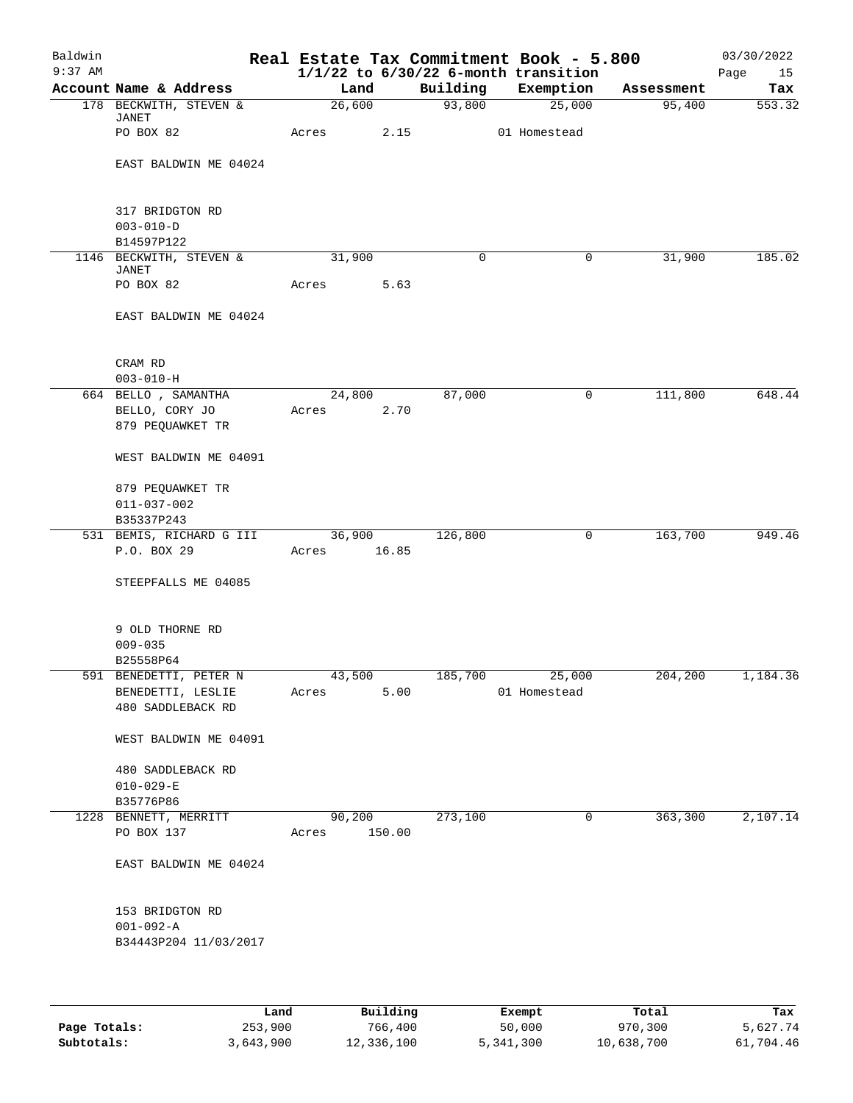| Baldwin<br>$9:37$ AM |                                                                  |                      |        |             | Real Estate Tax Commitment Book - 5.800<br>$1/1/22$ to $6/30/22$ 6-month transition |            | 03/30/2022<br>Page<br>15 |
|----------------------|------------------------------------------------------------------|----------------------|--------|-------------|-------------------------------------------------------------------------------------|------------|--------------------------|
|                      | Account Name & Address                                           | Land                 |        | Building    | Exemption                                                                           | Assessment | Tax                      |
|                      | 178 BECKWITH, STEVEN &                                           | 26,600               |        | 93,800      | 25,000                                                                              | 95,400     | 553.32                   |
|                      | JANET<br>PO BOX 82                                               | Acres 2.15           |        |             | 01 Homestead                                                                        |            |                          |
|                      | EAST BALDWIN ME 04024                                            |                      |        |             |                                                                                     |            |                          |
|                      | 317 BRIDGTON RD<br>$003 - 010 - D$                               |                      |        |             |                                                                                     |            |                          |
|                      | B14597P122                                                       |                      |        |             |                                                                                     |            |                          |
|                      | 1146 BECKWITH, STEVEN &<br>JANET<br>PO BOX 82                    | 31,900<br>Acres      | 5.63   | $\mathbf 0$ | 0                                                                                   | 31,900     | 185.02                   |
|                      | EAST BALDWIN ME 04024                                            |                      |        |             |                                                                                     |            |                          |
|                      | CRAM RD                                                          |                      |        |             |                                                                                     |            |                          |
|                      | $003 - 010 - H$                                                  |                      |        |             |                                                                                     |            |                          |
|                      | 664 BELLO, SAMANTHA<br>BELLO, CORY JO<br>879 PEQUAWKET TR        | 24,800<br>Acres 2.70 |        | 87,000      | $\mathbf 0$                                                                         | 111,800    | 648.44                   |
|                      | WEST BALDWIN ME 04091                                            |                      |        |             |                                                                                     |            |                          |
|                      | 879 PEQUAWKET TR<br>$011 - 037 - 002$                            |                      |        |             |                                                                                     |            |                          |
|                      | B35337P243                                                       |                      |        |             |                                                                                     |            |                          |
|                      | 531 BEMIS, RICHARD G III                                         |                      | 36,900 | 126,800     | 0                                                                                   | 163,700    | 949.46                   |
|                      | P.O. BOX 29                                                      | Acres                | 16.85  |             |                                                                                     |            |                          |
|                      | STEEPFALLS ME 04085                                              |                      |        |             |                                                                                     |            |                          |
|                      | 9 OLD THORNE RD<br>$009 - 035$                                   |                      |        |             |                                                                                     |            |                          |
|                      | B25558P64                                                        |                      |        |             |                                                                                     |            |                          |
|                      | 591 BENEDETTI, PETER N<br>BENEDETTI, LESLIE<br>480 SADDLEBACK RD | 43,500<br>Acres      | 5.00   |             | 185,700 25,000<br>01 Homestead                                                      | 204,200    | 1,184.36                 |
|                      | WEST BALDWIN ME 04091                                            |                      |        |             |                                                                                     |            |                          |
|                      | 480 SADDLEBACK RD<br>$010 - 029 - E$<br>B35776P86                |                      |        |             |                                                                                     |            |                          |
|                      | 1228 BENNETT, MERRITT                                            | 90,200               |        | 273,100     | 0                                                                                   | 363,300    | 2,107.14                 |
|                      | PO BOX 137                                                       | Acres 150.00         |        |             |                                                                                     |            |                          |
|                      | EAST BALDWIN ME 04024                                            |                      |        |             |                                                                                     |            |                          |
|                      | 153 BRIDGTON RD<br>$001 - 092 - A$                               |                      |        |             |                                                                                     |            |                          |
|                      | B34443P204 11/03/2017                                            |                      |        |             |                                                                                     |            |                          |
|                      |                                                                  |                      |        |             |                                                                                     |            |                          |

|              | Land      | Building   | Exempt    | Total      | Tax       |
|--------------|-----------|------------|-----------|------------|-----------|
| Page Totals: | 253,900   | 766,400    | 50,000    | 970,300    | 5,627.74  |
| Subtotals:   | 3,643,900 | 12,336,100 | 5,341,300 | 10,638,700 | 61,704.46 |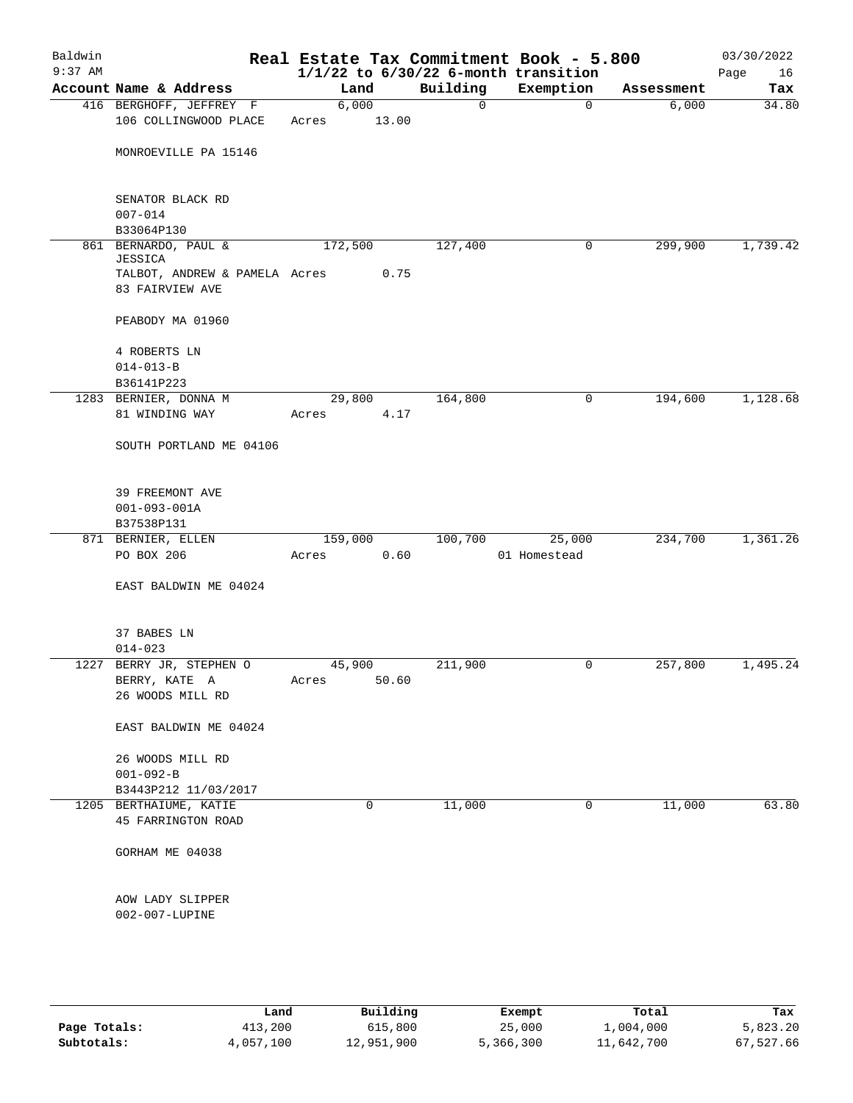|                                       |                                                                                                                                                                                                                |                               |                                        | $1/1/22$ to $6/30/22$ 6-month transition          |                                                        | Page<br>16                              |
|---------------------------------------|----------------------------------------------------------------------------------------------------------------------------------------------------------------------------------------------------------------|-------------------------------|----------------------------------------|---------------------------------------------------|--------------------------------------------------------|-----------------------------------------|
| Account Name & Address                |                                                                                                                                                                                                                | Land                          | Building                               | Exemption                                         | Assessment                                             | Tax                                     |
|                                       |                                                                                                                                                                                                                | 6,000                         |                                        | $\mathbf 0$                                       | 6,000                                                  | 34.80                                   |
| 106 COLLINGWOOD PLACE                 | Acres                                                                                                                                                                                                          |                               |                                        |                                                   |                                                        |                                         |
| MONROEVILLE PA 15146                  |                                                                                                                                                                                                                |                               |                                        |                                                   |                                                        |                                         |
| SENATOR BLACK RD                      |                                                                                                                                                                                                                |                               |                                        |                                                   |                                                        |                                         |
|                                       |                                                                                                                                                                                                                |                               |                                        |                                                   |                                                        |                                         |
|                                       |                                                                                                                                                                                                                |                               |                                        |                                                   |                                                        | 1,739.42                                |
| JESSICA<br>83 FAIRVIEW AVE            |                                                                                                                                                                                                                |                               |                                        |                                                   |                                                        |                                         |
| PEABODY MA 01960                      |                                                                                                                                                                                                                |                               |                                        |                                                   |                                                        |                                         |
| 4 ROBERTS LN<br>$014 - 013 - B$       |                                                                                                                                                                                                                |                               |                                        |                                                   |                                                        |                                         |
| B36141P223                            |                                                                                                                                                                                                                |                               |                                        |                                                   |                                                        |                                         |
|                                       |                                                                                                                                                                                                                |                               |                                        | 0                                                 | 194,600                                                | 1,128.68                                |
| 81 WINDING WAY                        | Acres                                                                                                                                                                                                          |                               |                                        |                                                   |                                                        |                                         |
| SOUTH PORTLAND ME 04106               |                                                                                                                                                                                                                |                               |                                        |                                                   |                                                        |                                         |
| 39 FREEMONT AVE<br>$001 - 093 - 001A$ |                                                                                                                                                                                                                |                               |                                        |                                                   |                                                        |                                         |
|                                       |                                                                                                                                                                                                                |                               |                                        | 25,000                                            |                                                        | 1,361.26                                |
| PO BOX 206                            | Acres                                                                                                                                                                                                          |                               |                                        | 01 Homestead                                      |                                                        |                                         |
| EAST BALDWIN ME 04024                 |                                                                                                                                                                                                                |                               |                                        |                                                   |                                                        |                                         |
| 37 BABES LN                           |                                                                                                                                                                                                                |                               |                                        |                                                   |                                                        |                                         |
|                                       |                                                                                                                                                                                                                |                               |                                        |                                                   |                                                        |                                         |
| BERRY, KATE A<br>26 WOODS MILL RD     | Acres                                                                                                                                                                                                          |                               |                                        |                                                   |                                                        | 1,495.24                                |
| EAST BALDWIN ME 04024                 |                                                                                                                                                                                                                |                               |                                        |                                                   |                                                        |                                         |
| 26 WOODS MILL RD                      |                                                                                                                                                                                                                |                               |                                        |                                                   |                                                        |                                         |
| $001 - 092 - B$                       |                                                                                                                                                                                                                |                               |                                        |                                                   |                                                        |                                         |
| B3443P212 11/03/2017                  |                                                                                                                                                                                                                |                               |                                        |                                                   |                                                        |                                         |
| 45 FARRINGTON ROAD                    |                                                                                                                                                                                                                | 0                             |                                        | 0                                                 |                                                        | 63.80                                   |
| GORHAM ME 04038                       |                                                                                                                                                                                                                |                               |                                        |                                                   |                                                        |                                         |
| AOW LADY SLIPPER<br>002-007-LUPINE    |                                                                                                                                                                                                                |                               |                                        |                                                   |                                                        |                                         |
|                                       | 416 BERGHOFF, JEFFREY F<br>$007 - 014$<br>B33064P130<br>861 BERNARDO, PAUL &<br>1283 BERNIER, DONNA M<br>B37538P131<br>871 BERNIER, ELLEN<br>$014 - 023$<br>1227 BERRY JR, STEPHEN O<br>1205 BERTHAIUME, KATIE | TALBOT, ANDREW & PAMELA Acres | 172,500<br>29,800<br>159,000<br>45,900 | 13.00<br>0.75<br>4.17<br>0.60<br>211,900<br>50.60 | 0<br>127,400<br>0<br>164,800<br>100,700<br>0<br>11,000 | 299,900<br>234,700<br>257,800<br>11,000 |

|              | Land      | Building   | Exempt    | Total      | Tax       |
|--------------|-----------|------------|-----------|------------|-----------|
| Page Totals: | 413,200   | 615,800    | 25,000    | 1,004,000  | 5,823.20  |
| Subtotals:   | 4,057,100 | 12,951,900 | 5,366,300 | 11,642,700 | 67,527.66 |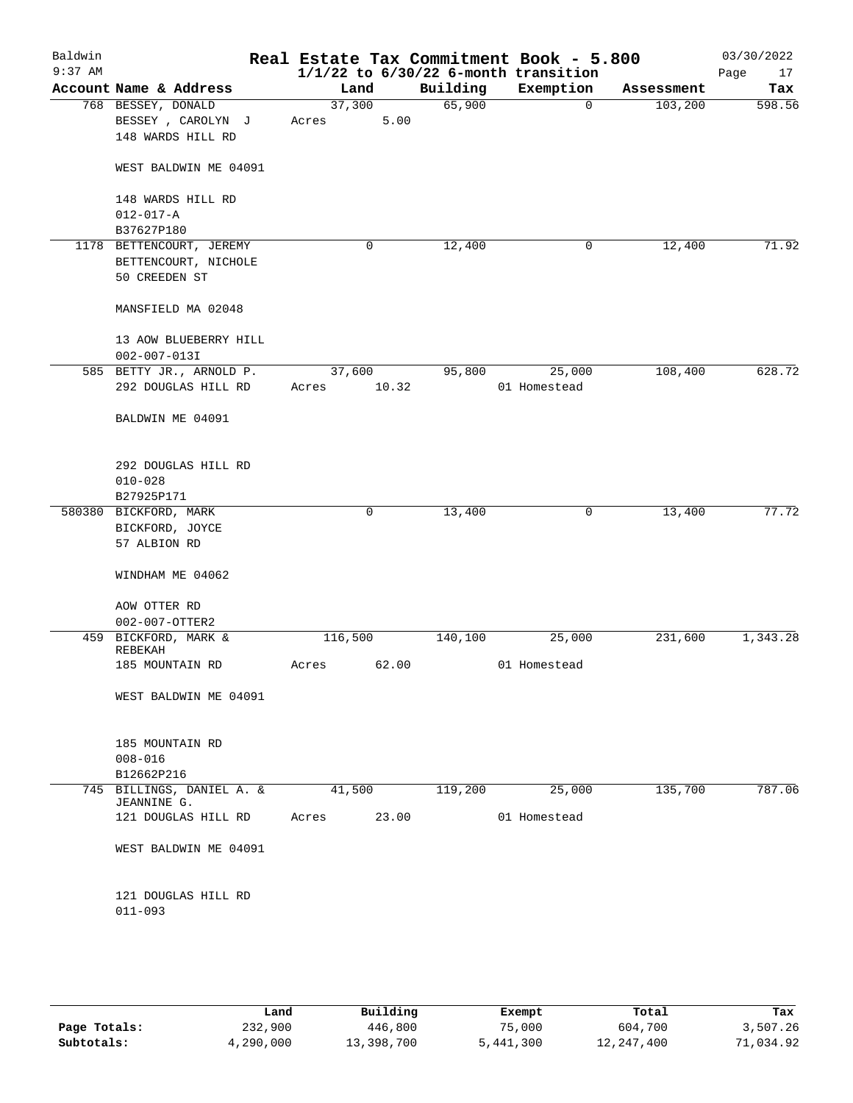| Baldwin<br>$9:37$ AM |                                 |         |       |          | Real Estate Tax Commitment Book - 5.800<br>$1/1/22$ to $6/30/22$ 6-month transition |            | 03/30/2022<br>17<br>Page |
|----------------------|---------------------------------|---------|-------|----------|-------------------------------------------------------------------------------------|------------|--------------------------|
|                      | Account Name & Address          | Land    |       | Building | Exemption                                                                           | Assessment | Tax                      |
|                      | 768 BESSEY, DONALD              | 37,300  |       | 65,900   | $\mathbf 0$                                                                         | 103,200    | 598.56                   |
|                      | BESSEY, CAROLYN J               | Acres   | 5.00  |          |                                                                                     |            |                          |
|                      | 148 WARDS HILL RD               |         |       |          |                                                                                     |            |                          |
|                      |                                 |         |       |          |                                                                                     |            |                          |
|                      | WEST BALDWIN ME 04091           |         |       |          |                                                                                     |            |                          |
|                      | 148 WARDS HILL RD               |         |       |          |                                                                                     |            |                          |
|                      | $012 - 017 - A$                 |         |       |          |                                                                                     |            |                          |
|                      | B37627P180                      |         |       |          |                                                                                     |            |                          |
|                      | 1178 BETTENCOURT, JEREMY        |         | 0     | 12,400   | 0                                                                                   | 12,400     | 71.92                    |
|                      | BETTENCOURT, NICHOLE            |         |       |          |                                                                                     |            |                          |
|                      | 50 CREEDEN ST                   |         |       |          |                                                                                     |            |                          |
|                      |                                 |         |       |          |                                                                                     |            |                          |
|                      | MANSFIELD MA 02048              |         |       |          |                                                                                     |            |                          |
|                      | 13 AOW BLUEBERRY HILL           |         |       |          |                                                                                     |            |                          |
|                      | $002 - 007 - 013I$              |         |       |          |                                                                                     |            |                          |
|                      | 585 BETTY JR., ARNOLD P.        | 37,600  |       | 95,800   | 25,000                                                                              | 108,400    | 628.72                   |
|                      | 292 DOUGLAS HILL RD             | Acres   | 10.32 |          | 01 Homestead                                                                        |            |                          |
|                      |                                 |         |       |          |                                                                                     |            |                          |
|                      | BALDWIN ME 04091                |         |       |          |                                                                                     |            |                          |
|                      |                                 |         |       |          |                                                                                     |            |                          |
|                      | 292 DOUGLAS HILL RD             |         |       |          |                                                                                     |            |                          |
|                      | $010 - 028$                     |         |       |          |                                                                                     |            |                          |
|                      | B27925P171                      |         |       |          |                                                                                     |            |                          |
|                      | 580380 BICKFORD, MARK           |         | 0     | 13,400   | 0                                                                                   | 13,400     | 77.72                    |
|                      | BICKFORD, JOYCE                 |         |       |          |                                                                                     |            |                          |
|                      | 57 ALBION RD                    |         |       |          |                                                                                     |            |                          |
|                      | WINDHAM ME 04062                |         |       |          |                                                                                     |            |                          |
|                      |                                 |         |       |          |                                                                                     |            |                          |
|                      | AOW OTTER RD                    |         |       |          |                                                                                     |            |                          |
|                      | 002-007-OTTER2                  |         |       |          |                                                                                     |            |                          |
|                      | 459 BICKFORD, MARK &<br>REBEKAH | 116,500 |       | 140,100  | 25,000                                                                              | 231,600    | 1,343.28                 |
|                      | 185 MOUNTAIN RD                 | Acres   | 62.00 |          | 01 Homestead                                                                        |            |                          |
|                      |                                 |         |       |          |                                                                                     |            |                          |
|                      | WEST BALDWIN ME 04091           |         |       |          |                                                                                     |            |                          |
|                      |                                 |         |       |          |                                                                                     |            |                          |
|                      |                                 |         |       |          |                                                                                     |            |                          |
|                      | 185 MOUNTAIN RD<br>$008 - 016$  |         |       |          |                                                                                     |            |                          |
|                      | B12662P216                      |         |       |          |                                                                                     |            |                          |
| 745                  | BILLINGS, DANIEL A. &           | 41,500  |       | 119,200  | 25,000                                                                              | 135,700    | 787.06                   |
|                      | JEANNINE G.                     |         |       |          |                                                                                     |            |                          |
|                      | 121 DOUGLAS HILL RD             | Acres   | 23.00 |          | 01 Homestead                                                                        |            |                          |
|                      | WEST BALDWIN ME 04091           |         |       |          |                                                                                     |            |                          |
|                      |                                 |         |       |          |                                                                                     |            |                          |
|                      |                                 |         |       |          |                                                                                     |            |                          |
|                      | 121 DOUGLAS HILL RD             |         |       |          |                                                                                     |            |                          |
|                      | $011 - 093$                     |         |       |          |                                                                                     |            |                          |
|                      |                                 |         |       |          |                                                                                     |            |                          |
|                      |                                 |         |       |          |                                                                                     |            |                          |
|                      |                                 |         |       |          |                                                                                     |            |                          |

|              | Land      | Building   | Exempt    | Total      | Tax       |
|--------------|-----------|------------|-----------|------------|-----------|
| Page Totals: | 232,900   | 446,800    | 75,000    | 604,700    | 3,507.26  |
| Subtotals:   | 4,290,000 | 13,398,700 | 5,441,300 | 12,247,400 | 71,034.92 |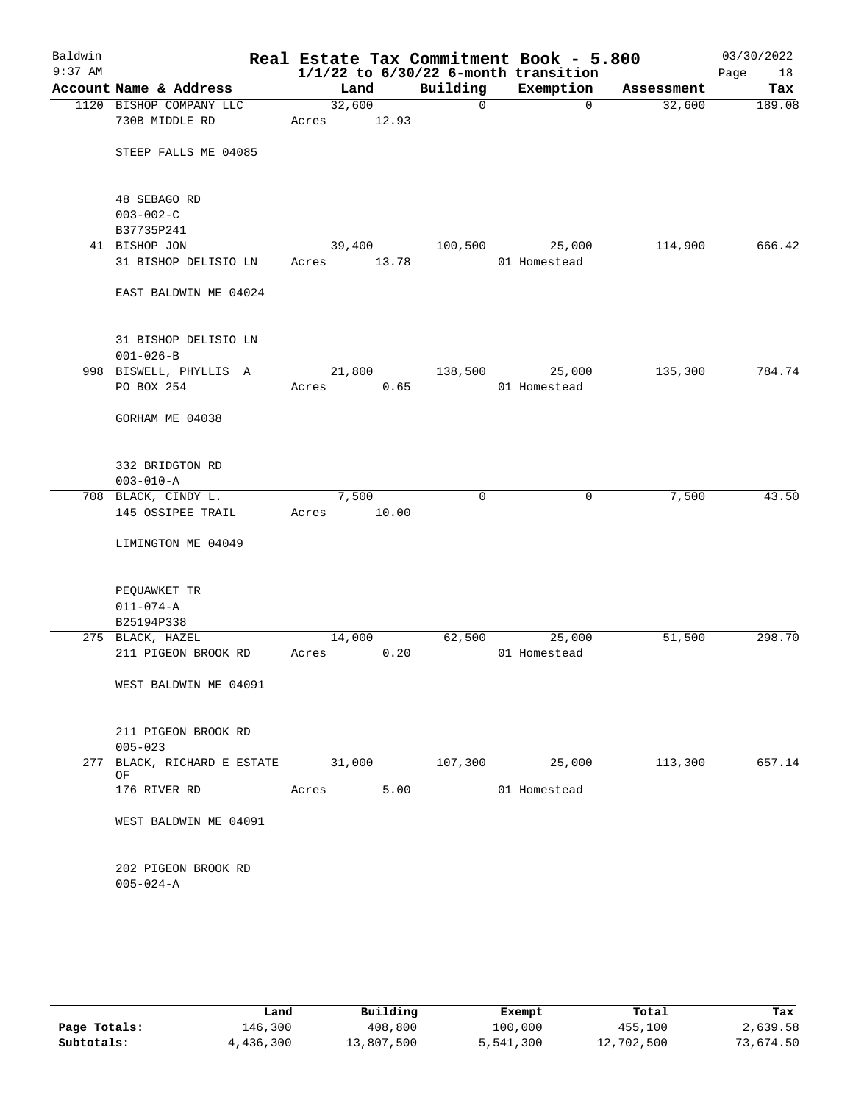| Baldwin<br>$9:37$ AM |                                           |                 |       |          | Real Estate Tax Commitment Book - 5.800<br>$1/1/22$ to $6/30/22$ 6-month transition |            | 03/30/2022<br>Page<br>18 |
|----------------------|-------------------------------------------|-----------------|-------|----------|-------------------------------------------------------------------------------------|------------|--------------------------|
|                      | Account Name & Address                    | Land            |       | Building | Exemption                                                                           | Assessment | Tax                      |
|                      | 1120 BISHOP COMPANY LLC<br>730B MIDDLE RD | 32,600<br>Acres | 12.93 | 0        | $\mathbf 0$                                                                         | 32,600     | 189.08                   |
|                      | STEEP FALLS ME 04085                      |                 |       |          |                                                                                     |            |                          |
|                      | 48 SEBAGO RD                              |                 |       |          |                                                                                     |            |                          |
|                      | $003 - 002 - C$                           |                 |       |          |                                                                                     |            |                          |
|                      | B37735P241<br>41 BISHOP JON               | 39,400          |       | 100,500  | 25,000                                                                              | 114,900    | 666.42                   |
|                      | 31 BISHOP DELISIO LN                      | Acres           | 13.78 |          | 01 Homestead                                                                        |            |                          |
|                      | EAST BALDWIN ME 04024                     |                 |       |          |                                                                                     |            |                          |
|                      | 31 BISHOP DELISIO LN<br>$001 - 026 - B$   |                 |       |          |                                                                                     |            |                          |
|                      | 998 BISWELL, PHYLLIS A                    | 21,800          |       | 138,500  | 25,000                                                                              | 135,300    | 784.74                   |
|                      | PO BOX 254                                | Acres           | 0.65  |          | 01 Homestead                                                                        |            |                          |
|                      | GORHAM ME 04038                           |                 |       |          |                                                                                     |            |                          |
|                      | 332 BRIDGTON RD<br>$003 - 010 - A$        |                 |       |          |                                                                                     |            |                          |
|                      | 708 BLACK, CINDY L.                       | 7,500           |       | 0        | 0                                                                                   | 7,500      | 43.50                    |
|                      | 145 OSSIPEE TRAIL                         | Acres           | 10.00 |          |                                                                                     |            |                          |
|                      | LIMINGTON ME 04049                        |                 |       |          |                                                                                     |            |                          |
|                      | PEQUAWKET TR                              |                 |       |          |                                                                                     |            |                          |
|                      | $011 - 074 - A$                           |                 |       |          |                                                                                     |            |                          |
|                      | B25194P338                                |                 |       |          |                                                                                     |            |                          |
|                      | 275 BLACK, HAZEL                          | 14,000          |       | 62,500   | 25,000                                                                              | 51,500     | 298.70                   |
|                      | 211 PIGEON BROOK RD                       | Acres           | 0.20  |          | 01 Homestead                                                                        |            |                          |
|                      | WEST BALDWIN ME 04091                     |                 |       |          |                                                                                     |            |                          |
|                      | 211 PIGEON BROOK RD<br>$005 - 023$        |                 |       |          |                                                                                     |            |                          |
| 277                  | BLACK, RICHARD E ESTATE                   | 31,000          |       | 107,300  | 25,000                                                                              | 113,300    | 657.14                   |
|                      | OF<br>176 RIVER RD                        | Acres           | 5.00  |          | 01 Homestead                                                                        |            |                          |
|                      | WEST BALDWIN ME 04091                     |                 |       |          |                                                                                     |            |                          |
|                      | 202 PIGEON BROOK RD<br>$005 - 024 - A$    |                 |       |          |                                                                                     |            |                          |
|                      |                                           |                 |       |          |                                                                                     |            |                          |

|              | Land      | Building   | Exempt    | Total      | Tax       |
|--------------|-----------|------------|-----------|------------|-----------|
| Page Totals: | 146,300   | 408,800    | 100,000   | 455,100    | 2,639.58  |
| Subtotals:   | 4,436,300 | 13,807,500 | 5,541,300 | 12,702,500 | 73,674.50 |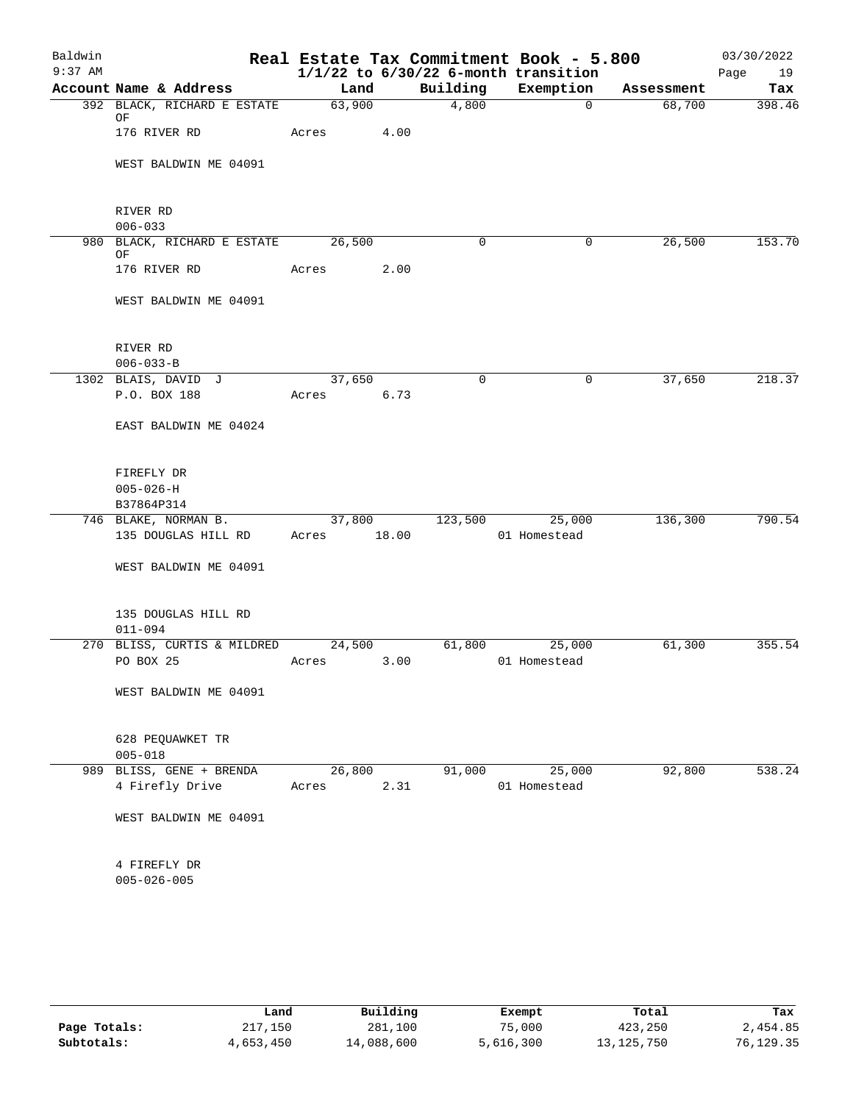| Baldwin<br>$9:37$ AM |                                            |        |        |             | Real Estate Tax Commitment Book - 5.800<br>$1/1/22$ to $6/30/22$ 6-month transition |            | 03/30/2022<br>Page<br>19 |
|----------------------|--------------------------------------------|--------|--------|-------------|-------------------------------------------------------------------------------------|------------|--------------------------|
|                      | Account Name & Address                     | Land   |        | Building    | Exemption                                                                           | Assessment | Tax                      |
|                      | 392 BLACK, RICHARD E ESTATE<br>ΟF          | 63,900 |        | 4,800       | $\overline{0}$                                                                      | 68,700     | 398.46                   |
|                      | 176 RIVER RD                               | Acres  | 4.00   |             |                                                                                     |            |                          |
|                      | WEST BALDWIN ME 04091                      |        |        |             |                                                                                     |            |                          |
|                      | RIVER RD                                   |        |        |             |                                                                                     |            |                          |
|                      | $006 - 033$                                |        |        |             |                                                                                     |            |                          |
|                      | 980 BLACK, RICHARD E ESTATE 26,500<br>ΟF   |        |        | $\mathbf 0$ | $\mathbf 0$                                                                         | 26,500     | 153.70                   |
|                      | 176 RIVER RD                               | Acres  | 2.00   |             |                                                                                     |            |                          |
|                      | WEST BALDWIN ME 04091                      |        |        |             |                                                                                     |            |                          |
|                      | RIVER RD                                   |        |        |             |                                                                                     |            |                          |
|                      | $006 - 033 - B$                            |        |        |             |                                                                                     |            |                          |
|                      | 1302 BLAIS, DAVID J                        | 37,650 |        | $\mathbf 0$ | 0                                                                                   | 37,650     | 218.37                   |
|                      | P.O. BOX 188                               | Acres  | 6.73   |             |                                                                                     |            |                          |
|                      | EAST BALDWIN ME 04024                      |        |        |             |                                                                                     |            |                          |
|                      | FIREFLY DR                                 |        |        |             |                                                                                     |            |                          |
|                      | $005 - 026 - H$                            |        |        |             |                                                                                     |            |                          |
|                      | B37864P314                                 |        |        |             |                                                                                     |            |                          |
|                      | 746 BLAKE, NORMAN B.                       |        | 37,800 | 123,500     | 25,000                                                                              | 136,300    | 790.54                   |
|                      | 135 DOUGLAS HILL RD                        | Acres  | 18.00  |             | 01 Homestead                                                                        |            |                          |
|                      | WEST BALDWIN ME 04091                      |        |        |             |                                                                                     |            |                          |
|                      | 135 DOUGLAS HILL RD                        |        |        |             |                                                                                     |            |                          |
|                      | $011 - 094$<br>270 BLISS, CURTIS & MILDRED | 24,500 |        | 61,800      | 25,000                                                                              | 61,300     | 355.54                   |
|                      | PO BOX 25                                  | Acres  | 3.00   |             | 01 Homestead                                                                        |            |                          |
|                      | WEST BALDWIN ME 04091                      |        |        |             |                                                                                     |            |                          |
|                      | 628 PEQUAWKET TR<br>$005 - 018$            |        |        |             |                                                                                     |            |                          |
|                      | 989 BLISS, GENE + BRENDA                   | 26,800 |        | 91,000      | 25,000                                                                              | 92,800     | 538.24                   |
|                      | 4 Firefly Drive                            | Acres  | 2.31   |             | 01 Homestead                                                                        |            |                          |
|                      | WEST BALDWIN ME 04091                      |        |        |             |                                                                                     |            |                          |
|                      | 4 FIREFLY DR                               |        |        |             |                                                                                     |            |                          |
|                      | $005 - 026 - 005$                          |        |        |             |                                                                                     |            |                          |
|                      |                                            |        |        |             |                                                                                     |            |                          |

|              | Land      | Building   | Exempt    | Total        | Tax       |
|--------------|-----------|------------|-----------|--------------|-----------|
| Page Totals: | 217,150   | 281,100    | 75,000    | 423,250      | 2,454.85  |
| Subtotals:   | 4,653,450 | 14,088,600 | 5,616,300 | 13, 125, 750 | 76,129.35 |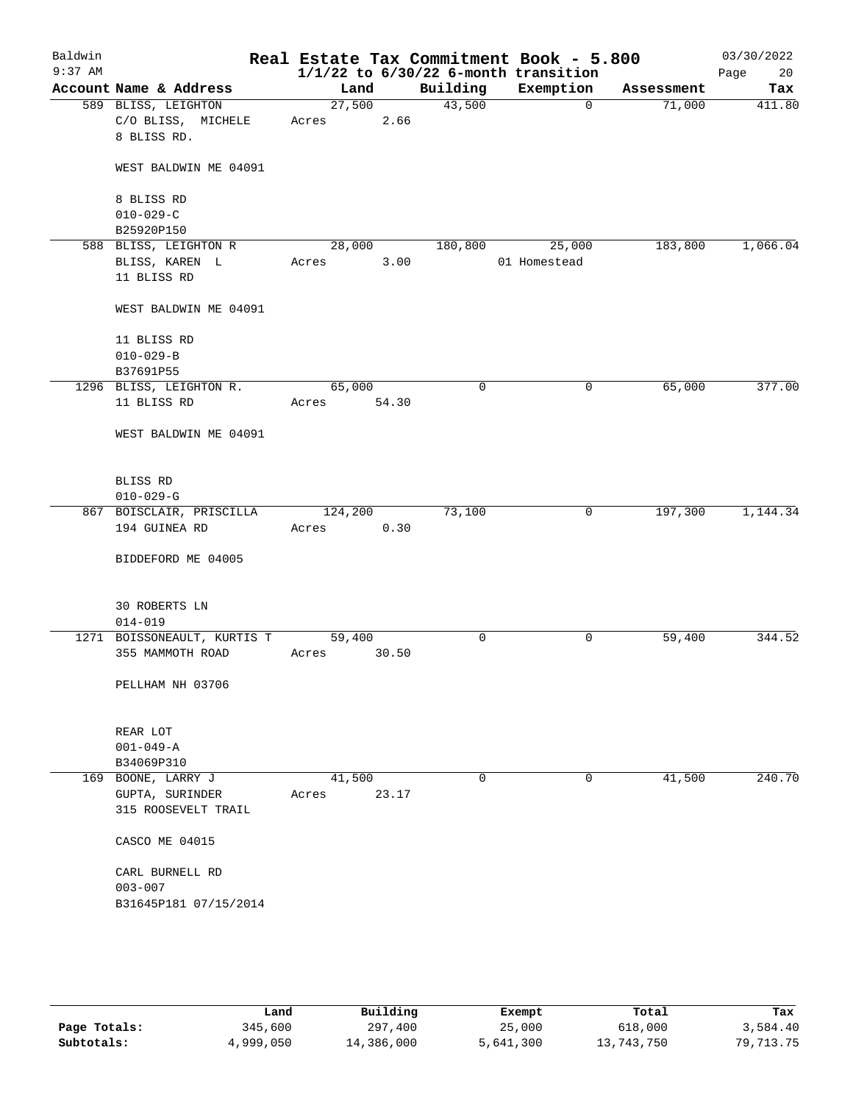| Baldwin<br>$9:37$ AM |                                        |         |       |          | Real Estate Tax Commitment Book - 5.800<br>$1/1/22$ to $6/30/22$ 6-month transition |            | 03/30/2022<br>20<br>Page |
|----------------------|----------------------------------------|---------|-------|----------|-------------------------------------------------------------------------------------|------------|--------------------------|
|                      | Account Name & Address                 | Land    |       | Building | Exemption                                                                           | Assessment | Tax                      |
|                      | 589 BLISS, LEIGHTON                    | 27,500  |       | 43,500   | $\mathbf 0$                                                                         | 71,000     | 411.80                   |
|                      | C/O BLISS, MICHELE                     | Acres   | 2.66  |          |                                                                                     |            |                          |
|                      | 8 BLISS RD.                            |         |       |          |                                                                                     |            |                          |
|                      | WEST BALDWIN ME 04091                  |         |       |          |                                                                                     |            |                          |
|                      | 8 BLISS RD                             |         |       |          |                                                                                     |            |                          |
|                      | $010 - 029 - C$                        |         |       |          |                                                                                     |            |                          |
|                      | B25920P150                             |         |       |          |                                                                                     |            |                          |
|                      | 588 BLISS, LEIGHTON R                  | 28,000  |       | 180,800  | 25,000                                                                              | 183,800    | 1,066.04                 |
|                      | BLISS, KAREN L                         | Acres   | 3.00  |          | 01 Homestead                                                                        |            |                          |
|                      | 11 BLISS RD                            |         |       |          |                                                                                     |            |                          |
|                      | WEST BALDWIN ME 04091                  |         |       |          |                                                                                     |            |                          |
|                      | 11 BLISS RD                            |         |       |          |                                                                                     |            |                          |
|                      | $010 - 029 - B$                        |         |       |          |                                                                                     |            |                          |
|                      | B37691P55                              |         |       |          |                                                                                     |            |                          |
|                      | 1296 BLISS, LEIGHTON R.                | 65,000  |       | 0        | 0                                                                                   | 65,000     | 377.00                   |
|                      | 11 BLISS RD                            | Acres   | 54.30 |          |                                                                                     |            |                          |
|                      | WEST BALDWIN ME 04091                  |         |       |          |                                                                                     |            |                          |
|                      | BLISS RD                               |         |       |          |                                                                                     |            |                          |
|                      | $010 - 029 - G$                        |         |       |          |                                                                                     |            |                          |
|                      | 867 BOISCLAIR, PRISCILLA               | 124,200 |       | 73,100   | 0                                                                                   | 197,300    | 1,144.34                 |
|                      | 194 GUINEA RD                          | Acres   | 0.30  |          |                                                                                     |            |                          |
|                      | BIDDEFORD ME 04005                     |         |       |          |                                                                                     |            |                          |
|                      | 30 ROBERTS LN                          |         |       |          |                                                                                     |            |                          |
|                      | $014 - 019$                            |         |       |          |                                                                                     |            |                          |
|                      | 1271 BOISSONEAULT, KURTIS T            | 59,400  |       | 0        | 0                                                                                   | 59,400     | 344.52                   |
|                      | 355 MAMMOTH ROAD                       | Acres   | 30.50 |          |                                                                                     |            |                          |
|                      |                                        |         |       |          |                                                                                     |            |                          |
|                      | PELLHAM NH 03706                       |         |       |          |                                                                                     |            |                          |
|                      | REAR LOT                               |         |       |          |                                                                                     |            |                          |
|                      | $001 - 049 - A$                        |         |       |          |                                                                                     |            |                          |
|                      | B34069P310                             |         |       |          |                                                                                     |            |                          |
|                      | 169 BOONE, LARRY J                     | 41,500  |       | 0        | 0                                                                                   | 41,500     | 240.70                   |
|                      | GUPTA, SURINDER<br>315 ROOSEVELT TRAIL | Acres   | 23.17 |          |                                                                                     |            |                          |
|                      | CASCO ME 04015                         |         |       |          |                                                                                     |            |                          |
|                      | CARL BURNELL RD                        |         |       |          |                                                                                     |            |                          |
|                      | $003 - 007$                            |         |       |          |                                                                                     |            |                          |
|                      | B31645P181 07/15/2014                  |         |       |          |                                                                                     |            |                          |
|                      |                                        |         |       |          |                                                                                     |            |                          |
|                      |                                        |         |       |          |                                                                                     |            |                          |
|                      |                                        |         |       |          |                                                                                     |            |                          |

|              | Land      | Building   | Exempt    | Total      | Tax       |
|--------------|-----------|------------|-----------|------------|-----------|
| Page Totals: | 345,600   | 297,400    | 25,000    | 618,000    | 3,584.40  |
| Subtotals:   | 4,999,050 | 14,386,000 | 5,641,300 | 13,743,750 | 79,713.75 |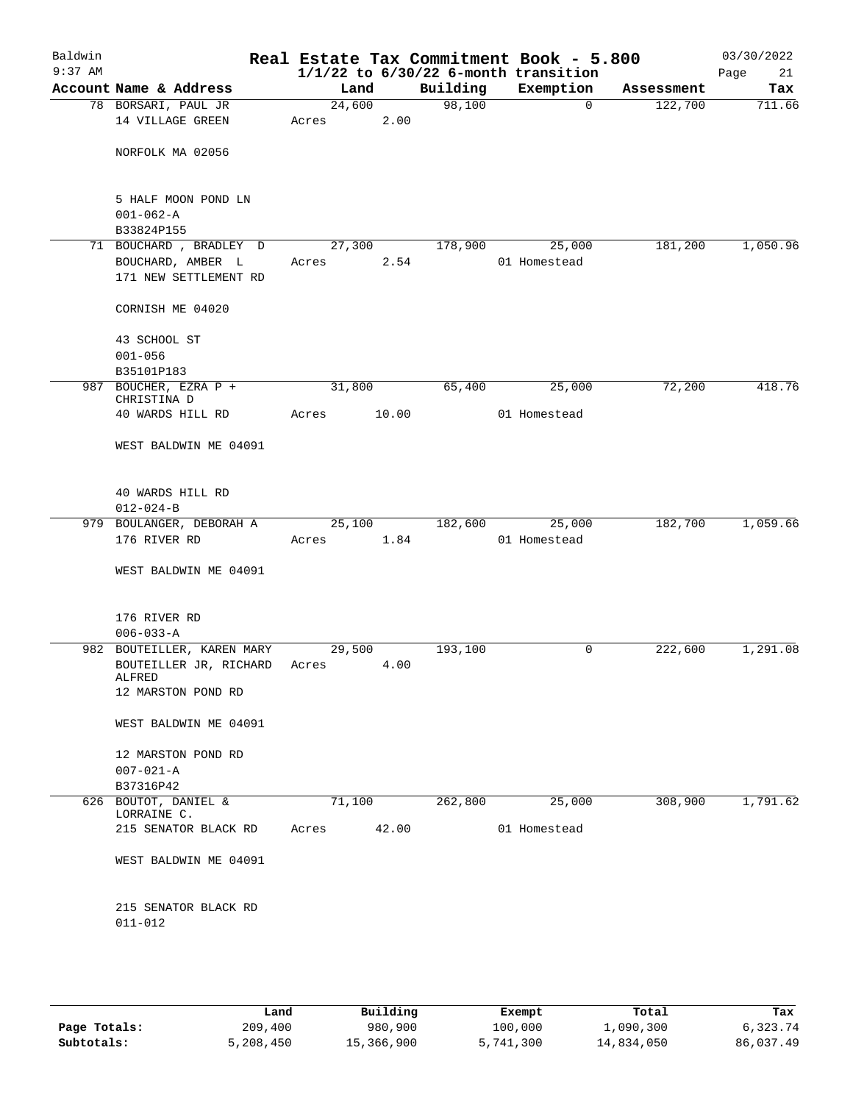| Baldwin<br>$9:37$ AM |                                        |        |       |          | Real Estate Tax Commitment Book - 5.800<br>$1/1/22$ to $6/30/22$ 6-month transition |            | 03/30/2022<br>Page<br>21 |
|----------------------|----------------------------------------|--------|-------|----------|-------------------------------------------------------------------------------------|------------|--------------------------|
|                      | Account Name & Address                 | Land   |       | Building | Exemption                                                                           | Assessment | Tax                      |
|                      | 78 BORSARI, PAUL JR                    | 24,600 |       | 98,100   | 0                                                                                   | 122,700    | 711.66                   |
|                      | 14 VILLAGE GREEN                       | Acres  | 2.00  |          |                                                                                     |            |                          |
|                      |                                        |        |       |          |                                                                                     |            |                          |
|                      | NORFOLK MA 02056                       |        |       |          |                                                                                     |            |                          |
|                      |                                        |        |       |          |                                                                                     |            |                          |
|                      | 5 HALF MOON POND LN<br>$001 - 062 - A$ |        |       |          |                                                                                     |            |                          |
|                      | B33824P155                             |        |       |          |                                                                                     |            |                          |
|                      | 71 BOUCHARD , BRADLEY D                | 27,300 |       | 178,900  | 25,000                                                                              | 181,200    | 1,050.96                 |
|                      | BOUCHARD, AMBER L                      | Acres  | 2.54  |          | 01 Homestead                                                                        |            |                          |
|                      | 171 NEW SETTLEMENT RD                  |        |       |          |                                                                                     |            |                          |
|                      | CORNISH ME 04020                       |        |       |          |                                                                                     |            |                          |
|                      | 43 SCHOOL ST                           |        |       |          |                                                                                     |            |                          |
|                      | $001 - 056$                            |        |       |          |                                                                                     |            |                          |
|                      | B35101P183<br>987 BOUCHER, EZRA P +    | 31,800 |       | 65,400   | 25,000                                                                              | 72,200     | 418.76                   |
|                      | CHRISTINA D                            |        |       |          |                                                                                     |            |                          |
|                      | 40 WARDS HILL RD                       | Acres  | 10.00 |          | 01 Homestead                                                                        |            |                          |
|                      | WEST BALDWIN ME 04091                  |        |       |          |                                                                                     |            |                          |
|                      | 40 WARDS HILL RD                       |        |       |          |                                                                                     |            |                          |
|                      | $012 - 024 - B$                        |        |       |          |                                                                                     |            |                          |
|                      | 979 BOULANGER, DEBORAH A               | 25,100 |       | 182,600  | 25,000                                                                              | 182,700    | 1,059.66                 |
|                      | 176 RIVER RD                           | Acres  | 1.84  |          | 01 Homestead                                                                        |            |                          |
|                      | WEST BALDWIN ME 04091                  |        |       |          |                                                                                     |            |                          |
|                      | 176 RIVER RD                           |        |       |          |                                                                                     |            |                          |
|                      | $006 - 033 - A$                        |        |       |          |                                                                                     |            |                          |
| 982                  | BOUTEILLER, KAREN MARY                 | 29,500 |       | 193,100  | 0                                                                                   | 222,600    | 1,291.08                 |
|                      | BOUTEILLER JR, RICHARD                 | Acres  | 4.00  |          |                                                                                     |            |                          |
|                      | ALFRED                                 |        |       |          |                                                                                     |            |                          |
|                      | 12 MARSTON POND RD                     |        |       |          |                                                                                     |            |                          |
|                      | WEST BALDWIN ME 04091                  |        |       |          |                                                                                     |            |                          |
|                      | 12 MARSTON POND RD                     |        |       |          |                                                                                     |            |                          |
|                      | $007 - 021 - A$                        |        |       |          |                                                                                     |            |                          |
|                      | B37316P42                              |        |       |          |                                                                                     |            |                          |
| 626                  | BOUTOT, DANIEL &<br>LORRAINE C.        | 71,100 |       | 262,800  | 25,000                                                                              | 308,900    | 1,791.62                 |
|                      | 215 SENATOR BLACK RD                   | Acres  | 42.00 |          | 01 Homestead                                                                        |            |                          |
|                      | WEST BALDWIN ME 04091                  |        |       |          |                                                                                     |            |                          |
|                      | 215 SENATOR BLACK RD<br>$011 - 012$    |        |       |          |                                                                                     |            |                          |
|                      |                                        |        |       |          |                                                                                     |            |                          |

|              | Land      | Building   | Exempt    | Total      | Tax       |
|--------------|-----------|------------|-----------|------------|-----------|
| Page Totals: | 209,400   | 980,900    | 100,000   | 1,090,300  | 6,323.74  |
| Subtotals:   | 5,208,450 | 15,366,900 | 5,741,300 | 14,834,050 | 86,037.49 |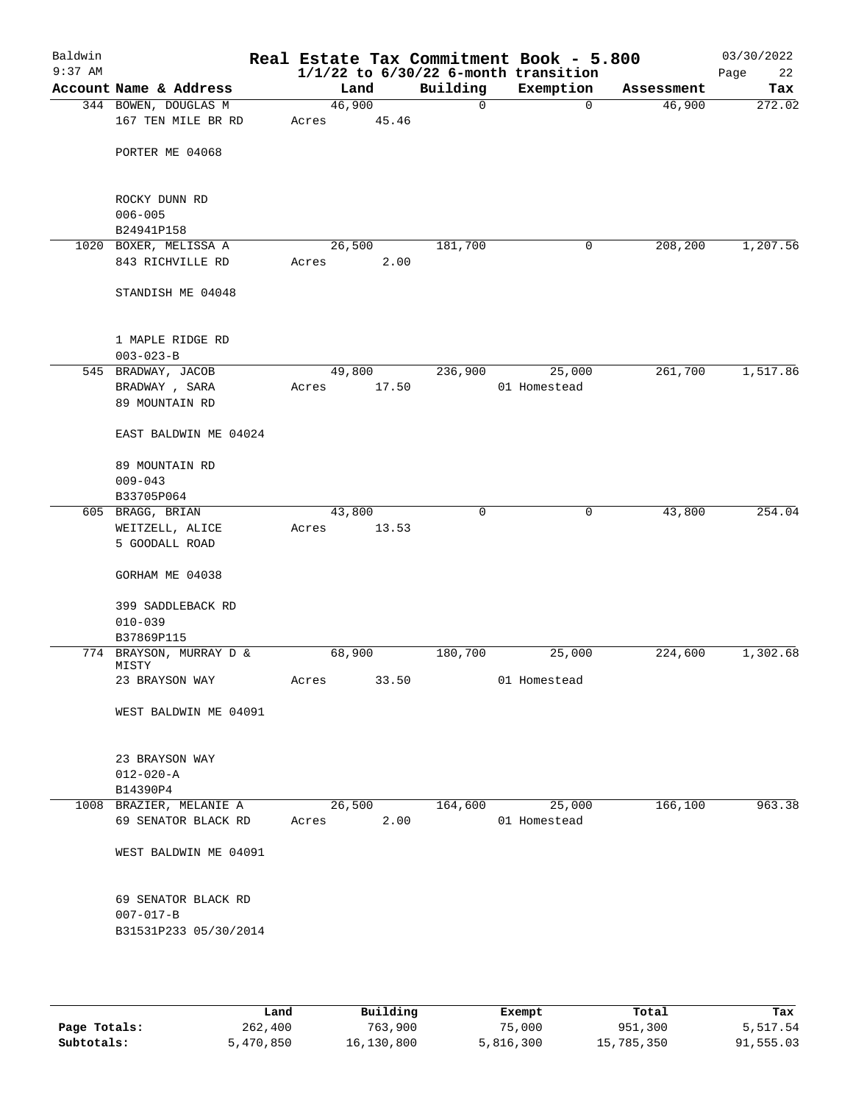| Baldwin<br>$9:37$ AM |                                          |        |       |             | Real Estate Tax Commitment Book - 5.800<br>$1/1/22$ to $6/30/22$ 6-month transition |            | 03/30/2022<br>Page<br>22 |
|----------------------|------------------------------------------|--------|-------|-------------|-------------------------------------------------------------------------------------|------------|--------------------------|
|                      | Account Name & Address                   | Land   |       | Building    | Exemption                                                                           | Assessment | Tax                      |
|                      | 344 BOWEN, DOUGLAS M                     | 46,900 |       | $\mathbf 0$ | $\mathbf 0$                                                                         | 46,900     | 272.02                   |
|                      | 167 TEN MILE BR RD                       | Acres  | 45.46 |             |                                                                                     |            |                          |
|                      | PORTER ME 04068                          |        |       |             |                                                                                     |            |                          |
|                      | ROCKY DUNN RD                            |        |       |             |                                                                                     |            |                          |
|                      | $006 - 005$<br>B24941P158                |        |       |             |                                                                                     |            |                          |
|                      | 1020 BOXER, MELISSA A                    | 26,500 |       | 181,700     | 0                                                                                   | 208,200    | 1,207.56                 |
|                      | 843 RICHVILLE RD                         | Acres  | 2.00  |             |                                                                                     |            |                          |
|                      | STANDISH ME 04048                        |        |       |             |                                                                                     |            |                          |
|                      | 1 MAPLE RIDGE RD                         |        |       |             |                                                                                     |            |                          |
|                      | $003 - 023 - B$                          |        |       |             |                                                                                     |            |                          |
|                      | 545 BRADWAY, JACOB                       | 49,800 |       | 236,900     | 25,000                                                                              | 261,700    | 1,517.86                 |
|                      | BRADWAY, SARA<br>89 MOUNTAIN RD          | Acres  | 17.50 |             | 01 Homestead                                                                        |            |                          |
|                      | EAST BALDWIN ME 04024                    |        |       |             |                                                                                     |            |                          |
|                      | 89 MOUNTAIN RD<br>$009 - 043$            |        |       |             |                                                                                     |            |                          |
|                      | B33705P064                               |        |       |             |                                                                                     |            |                          |
|                      | 605 BRAGG, BRIAN                         | 43,800 |       | $\mathbf 0$ | $\mathbf 0$                                                                         | 43,800     | 254.04                   |
|                      | WEITZELL, ALICE                          | Acres  | 13.53 |             |                                                                                     |            |                          |
|                      | 5 GOODALL ROAD                           |        |       |             |                                                                                     |            |                          |
|                      | GORHAM ME 04038                          |        |       |             |                                                                                     |            |                          |
|                      | 399 SADDLEBACK RD                        |        |       |             |                                                                                     |            |                          |
|                      | $010 - 039$                              |        |       |             |                                                                                     |            |                          |
|                      | B37869P115                               |        |       |             |                                                                                     |            |                          |
|                      | 774 BRAYSON, MURRAY D &<br>MISTY         | 68,900 |       | 180,700     | 25,000                                                                              | 224,600    | 1,302.68                 |
|                      | 23 BRAYSON WAY                           | Acres  | 33.50 |             | 01 Homestead                                                                        |            |                          |
|                      | WEST BALDWIN ME 04091                    |        |       |             |                                                                                     |            |                          |
|                      | 23 BRAYSON WAY                           |        |       |             |                                                                                     |            |                          |
|                      | $012 - 020 - A$                          |        |       |             |                                                                                     |            |                          |
|                      | B14390P4                                 |        |       |             |                                                                                     |            |                          |
|                      | 1008 BRAZIER, MELANIE A                  | 26,500 |       | 164,600     | 25,000                                                                              | 166,100    | 963.38                   |
|                      | 69 SENATOR BLACK RD                      | Acres  | 2.00  |             | 01 Homestead                                                                        |            |                          |
|                      | WEST BALDWIN ME 04091                    |        |       |             |                                                                                     |            |                          |
|                      | 69 SENATOR BLACK RD                      |        |       |             |                                                                                     |            |                          |
|                      | $007 - 017 - B$<br>B31531P233 05/30/2014 |        |       |             |                                                                                     |            |                          |
|                      |                                          |        |       |             |                                                                                     |            |                          |

|              | Land      | Building   | Exempt    | Total      | Tax       |
|--------------|-----------|------------|-----------|------------|-----------|
| Page Totals: | 262,400   | 763,900    | 75,000    | 951,300    | 5,517.54  |
| Subtotals:   | 5,470,850 | 16,130,800 | 5,816,300 | 15,785,350 | 91,555.03 |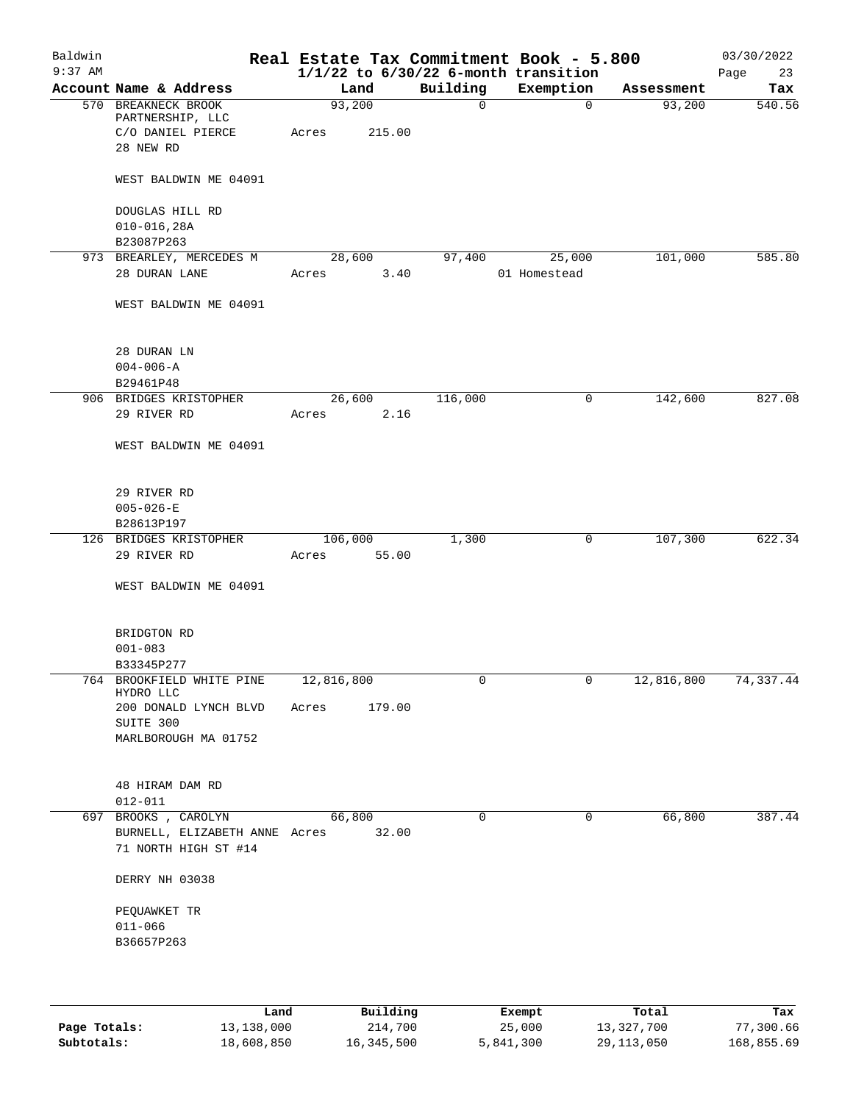| Baldwin<br>$9:37$ AM |                                                       |            |         |              | Real Estate Tax Commitment Book - 5.800<br>$1/1/22$ to $6/30/22$ 6-month transition |            | 03/30/2022        |
|----------------------|-------------------------------------------------------|------------|---------|--------------|-------------------------------------------------------------------------------------|------------|-------------------|
|                      | Account Name & Address                                |            | Land    | Building     | Exemption                                                                           | Assessment | Page<br>23<br>Tax |
|                      | 570 BREAKNECK BROOK                                   |            | 93,200  | $\mathsf{O}$ | $\mathbf 0$                                                                         | 93,200     | 540.56            |
|                      | PARTNERSHIP, LLC                                      |            |         |              |                                                                                     |            |                   |
|                      | C/O DANIEL PIERCE<br>28 NEW RD                        | Acres      | 215.00  |              |                                                                                     |            |                   |
|                      | WEST BALDWIN ME 04091                                 |            |         |              |                                                                                     |            |                   |
|                      | DOUGLAS HILL RD                                       |            |         |              |                                                                                     |            |                   |
|                      | $010 - 016, 28A$                                      |            |         |              |                                                                                     |            |                   |
|                      | B23087P263                                            |            |         |              |                                                                                     |            |                   |
|                      | 973 BREARLEY, MERCEDES M                              |            | 28,600  | 97,400       | 25,000                                                                              | 101,000    | 585.80            |
|                      | 28 DURAN LANE                                         | Acres      | 3.40    |              | 01 Homestead                                                                        |            |                   |
|                      | WEST BALDWIN ME 04091                                 |            |         |              |                                                                                     |            |                   |
|                      | 28 DURAN LN                                           |            |         |              |                                                                                     |            |                   |
|                      | $004 - 006 - A$                                       |            |         |              |                                                                                     |            |                   |
|                      | B29461P48                                             |            |         |              |                                                                                     |            |                   |
|                      | 906 BRIDGES KRISTOPHER                                |            | 26,600  | 116,000      | 0                                                                                   | 142,600    | 827.08            |
|                      | 29 RIVER RD                                           | Acres      | 2.16    |              |                                                                                     |            |                   |
|                      | WEST BALDWIN ME 04091                                 |            |         |              |                                                                                     |            |                   |
|                      |                                                       |            |         |              |                                                                                     |            |                   |
|                      | 29 RIVER RD                                           |            |         |              |                                                                                     |            |                   |
|                      | $005 - 026 - E$                                       |            |         |              |                                                                                     |            |                   |
|                      | B28613P197<br>126 BRIDGES KRISTOPHER                  |            | 106,000 | 1,300        | 0                                                                                   | 107,300    | 622.34            |
|                      | 29 RIVER RD                                           | Acres      | 55.00   |              |                                                                                     |            |                   |
|                      | WEST BALDWIN ME 04091                                 |            |         |              |                                                                                     |            |                   |
|                      | BRIDGTON RD                                           |            |         |              |                                                                                     |            |                   |
|                      | $001 - 083$                                           |            |         |              |                                                                                     |            |                   |
|                      | B33345P277                                            |            |         |              |                                                                                     |            |                   |
|                      | 764 BROOKFIELD WHITE PINE<br>HYDRO LLC                | 12,816,800 |         | 0            | 0                                                                                   | 12,816,800 | 74,337.44         |
|                      | 200 DONALD LYNCH BLVD<br>SUITE 300                    | Acres      | 179.00  |              |                                                                                     |            |                   |
|                      | MARLBOROUGH MA 01752                                  |            |         |              |                                                                                     |            |                   |
|                      |                                                       |            |         |              |                                                                                     |            |                   |
|                      | 48 HIRAM DAM RD<br>$012 - 011$                        |            |         |              |                                                                                     |            |                   |
|                      | 697 BROOKS, CAROLYN                                   |            | 66,800  | $\mathbf 0$  | $\mathbf 0$                                                                         | 66,800     | 387.44            |
|                      | BURNELL, ELIZABETH ANNE Acres<br>71 NORTH HIGH ST #14 |            | 32.00   |              |                                                                                     |            |                   |
|                      | DERRY NH 03038                                        |            |         |              |                                                                                     |            |                   |
|                      | PEQUAWKET TR                                          |            |         |              |                                                                                     |            |                   |
|                      | $011 - 066$                                           |            |         |              |                                                                                     |            |                   |
|                      | B36657P263                                            |            |         |              |                                                                                     |            |                   |
|                      |                                                       |            |         |              |                                                                                     |            |                   |
|                      |                                                       |            |         |              |                                                                                     |            |                   |

|              | Land       | Building   | Exempt    | Total      | Tax        |
|--------------|------------|------------|-----------|------------|------------|
| Page Totals: | 13,138,000 | 214,700    | 25,000    | 13,327,700 | 77,300.66  |
| Subtotals:   | 18,608,850 | 16,345,500 | 5,841,300 | 29,113,050 | 168,855.69 |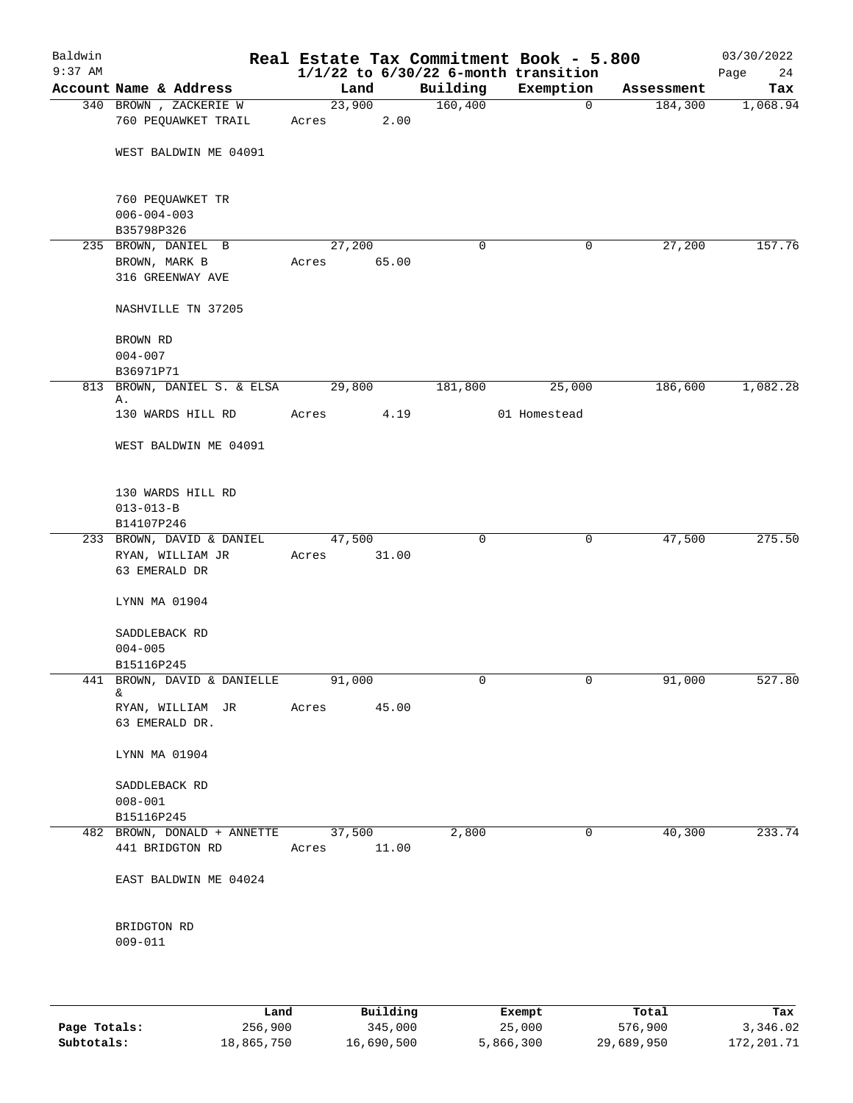| Baldwin   |                                                |                 |          |                     | Real Estate Tax Commitment Book - 5.800  |                       | 03/30/2022      |
|-----------|------------------------------------------------|-----------------|----------|---------------------|------------------------------------------|-----------------------|-----------------|
| $9:37$ AM | Account Name & Address                         |                 |          |                     | $1/1/22$ to $6/30/22$ 6-month transition |                       | 24<br>Page      |
|           | 340 BROWN, ZACKERIE W                          | Land<br>23,900  |          | Building<br>160,400 | Exemption<br>0                           | Assessment<br>184,300 | Tax<br>1,068.94 |
|           | 760 PEQUAWKET TRAIL                            | Acres           | 2.00     |                     |                                          |                       |                 |
|           | WEST BALDWIN ME 04091                          |                 |          |                     |                                          |                       |                 |
|           | 760 PEQUAWKET TR                               |                 |          |                     |                                          |                       |                 |
|           | $006 - 004 - 003$                              |                 |          |                     |                                          |                       |                 |
|           | B35798P326<br>235 BROWN, DANIEL B              | 27,200          |          | 0                   | 0                                        | 27,200                | 157.76          |
|           | BROWN, MARK B                                  | Acres           | 65.00    |                     |                                          |                       |                 |
|           | 316 GREENWAY AVE                               |                 |          |                     |                                          |                       |                 |
|           | NASHVILLE TN 37205                             |                 |          |                     |                                          |                       |                 |
|           | BROWN RD                                       |                 |          |                     |                                          |                       |                 |
|           | $004 - 007$                                    |                 |          |                     |                                          |                       |                 |
|           | B36971P71                                      |                 |          |                     |                                          |                       |                 |
| 813       | BROWN, DANIEL S. & ELSA<br>Α.                  | 29,800          |          | 181,800             | 25,000                                   | 186,600               | 1,082.28        |
|           | 130 WARDS HILL RD                              | Acres           | 4.19     |                     | 01 Homestead                             |                       |                 |
|           | WEST BALDWIN ME 04091                          |                 |          |                     |                                          |                       |                 |
|           | 130 WARDS HILL RD                              |                 |          |                     |                                          |                       |                 |
|           | $013 - 013 - B$                                |                 |          |                     |                                          |                       |                 |
|           | B14107P246                                     |                 |          |                     |                                          |                       |                 |
|           | 233 BROWN, DAVID & DANIEL                      | 47,500          |          | $\mathbf 0$         | 0                                        | 47,500                | 275.50          |
|           | RYAN, WILLIAM JR<br>63 EMERALD DR              | Acres           | 31.00    |                     |                                          |                       |                 |
|           | LYNN MA 01904                                  |                 |          |                     |                                          |                       |                 |
|           | SADDLEBACK RD                                  |                 |          |                     |                                          |                       |                 |
|           | $004 - 005$                                    |                 |          |                     |                                          |                       |                 |
|           | B15116P245                                     |                 |          |                     |                                          |                       |                 |
| 441       | BROWN, DAVID & DANIELLE<br>&.                  | 91,000          |          | 0                   | 0                                        | 91,000                | 527.80          |
|           | RYAN, WILLIAM JR<br>63 EMERALD DR.             | Acres           | 45.00    |                     |                                          |                       |                 |
|           | LYNN MA 01904                                  |                 |          |                     |                                          |                       |                 |
|           | SADDLEBACK RD                                  |                 |          |                     |                                          |                       |                 |
|           | $008 - 001$                                    |                 |          |                     |                                          |                       |                 |
|           | B15116P245                                     |                 |          |                     |                                          |                       |                 |
|           | 482 BROWN, DONALD + ANNETTE<br>441 BRIDGTON RD | 37,500<br>Acres | 11.00    | 2,800               | $\mathsf{O}$                             | 40,300                | 233.74          |
|           | EAST BALDWIN ME 04024                          |                 |          |                     |                                          |                       |                 |
|           | BRIDGTON RD                                    |                 |          |                     |                                          |                       |                 |
|           | $009 - 011$                                    |                 |          |                     |                                          |                       |                 |
|           |                                                |                 |          |                     |                                          |                       |                 |
|           | Land <sub>.</sub>                              |                 | Building |                     | <b>Ryomnt</b>                            | Total                 | Tav             |

|              | Land       | Building   | Exempt    | Total      | Tax        |
|--------------|------------|------------|-----------|------------|------------|
| Page Totals: | 256,900    | 345,000    | 25,000    | 576,900    | 3,346.02   |
| Subtotals:   | 18,865,750 | 16,690,500 | 5,866,300 | 29,689,950 | 172,201.71 |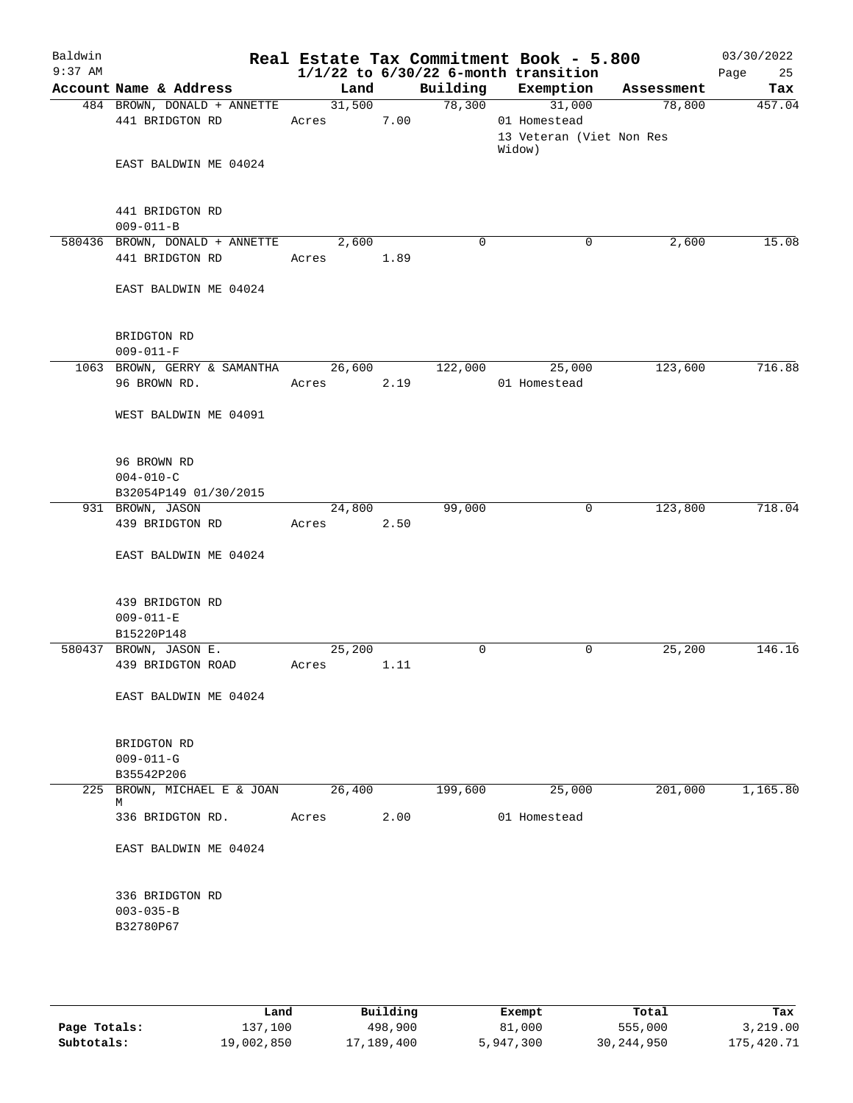| Baldwin   |                                                |                                  |      |             | Real Estate Tax Commitment Book - 5.800                      |         | 03/30/2022 |
|-----------|------------------------------------------------|----------------------------------|------|-------------|--------------------------------------------------------------|---------|------------|
| $9:37$ AM |                                                |                                  |      |             | $1/1/22$ to $6/30/22$ 6-month transition                     |         | 25<br>Page |
|           | Account Name & Address                         | Land                             |      |             | Building Exemption Assessment                                |         | Tax        |
|           | 484 BROWN, DONALD + ANNETTE<br>441 BRIDGTON RD | $\frac{31,500}{ }$<br>Acres 7.00 |      |             | 78,300<br>31,000<br>01 Homestead<br>13 Veteran (Viet Non Res | 78,800  | 457.04     |
|           | EAST BALDWIN ME 04024                          |                                  |      |             | Widow)                                                       |         |            |
|           | 441 BRIDGTON RD<br>$009 - 011 - B$             |                                  |      |             |                                                              |         |            |
|           | 580436 BROWN, DONALD + ANNETTE 2,600           |                                  |      | $\Omega$    | 0                                                            | 2,600   | 15.08      |
|           | 441 BRIDGTON RD                                | Acres 1.89                       |      |             |                                                              |         |            |
|           | EAST BALDWIN ME 04024                          |                                  |      |             |                                                              |         |            |
|           | BRIDGTON RD<br>$009 - 011 - F$                 |                                  |      |             |                                                              |         |            |
|           | 1063 BROWN, GERRY & SAMANTHA 26,600            |                                  |      | 122,000     | 25,000                                                       | 123,600 | 716.88     |
|           | 96 BROWN RD.                                   | Acres 2.19                       |      |             | 01 Homestead                                                 |         |            |
|           | WEST BALDWIN ME 04091                          |                                  |      |             |                                                              |         |            |
|           | 96 BROWN RD                                    |                                  |      |             |                                                              |         |            |
|           | $004 - 010 - C$                                |                                  |      |             |                                                              |         |            |
|           | B32054P149 01/30/2015<br>931 BROWN, JASON      | 24,800                           |      | 99,000      | $\mathbf{0}$                                                 | 123,800 | 718.04     |
|           | 439 BRIDGTON RD                                | Acres 2.50                       |      |             |                                                              |         |            |
|           | EAST BALDWIN ME 04024                          |                                  |      |             |                                                              |         |            |
|           | 439 BRIDGTON RD                                |                                  |      |             |                                                              |         |            |
|           | $009 - 011 - E$                                |                                  |      |             |                                                              |         |            |
|           | B15220P148<br>580437 BROWN, JASON E.           | 25,200                           |      | $\mathbf 0$ | 0                                                            | 25,200  | 146.16     |
|           | 439 BRIDGTON ROAD                              | Acres                            | 1.11 |             |                                                              |         |            |
|           | EAST BALDWIN ME 04024                          |                                  |      |             |                                                              |         |            |
|           | BRIDGTON RD                                    |                                  |      |             |                                                              |         |            |
|           | $009 - 011 - G$                                |                                  |      |             |                                                              |         |            |
|           | B35542P206<br>225 BROWN, MICHAEL E & JOAN      | 26,400                           |      | 199,600     | 25,000                                                       | 201,000 | 1,165.80   |
|           | М<br>336 BRIDGTON RD.                          | Acres                            | 2.00 |             | 01 Homestead                                                 |         |            |
|           | EAST BALDWIN ME 04024                          |                                  |      |             |                                                              |         |            |
|           |                                                |                                  |      |             |                                                              |         |            |
|           | 336 BRIDGTON RD                                |                                  |      |             |                                                              |         |            |
|           | $003 - 035 - B$                                |                                  |      |             |                                                              |         |            |
|           | B32780P67                                      |                                  |      |             |                                                              |         |            |
|           |                                                |                                  |      |             |                                                              |         |            |
|           |                                                |                                  |      |             |                                                              |         |            |

|              | Land       | Building   | Exempt    | Total      | Tax        |
|--------------|------------|------------|-----------|------------|------------|
| Page Totals: | 137,100    | 498,900    | 81,000    | 555,000    | 3,219.00   |
| Subtotals:   | 19,002,850 | 17,189,400 | 5,947,300 | 30,244,950 | 175,420.71 |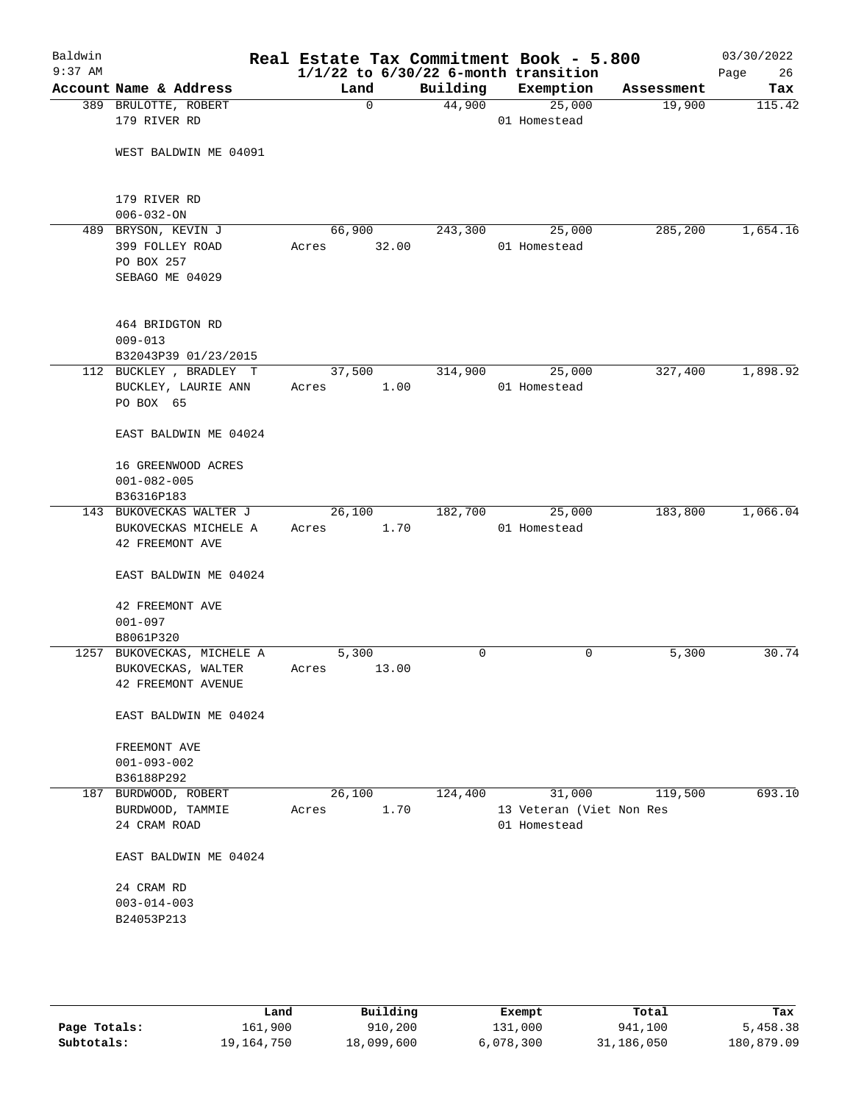| Baldwin<br>$9:37$ AM |                                                        |                |      |         | Real Estate Tax Commitment Book - 5.800<br>$1/1/22$ to $6/30/22$ 6-month transition |            | 03/30/2022<br>Page<br>26 |
|----------------------|--------------------------------------------------------|----------------|------|---------|-------------------------------------------------------------------------------------|------------|--------------------------|
|                      | Account Name & Address                                 | Land           |      |         | Building Exemption                                                                  | Assessment | Tax                      |
|                      | 389 BRULOTTE, ROBERT<br>179 RIVER RD                   | $\Omega$       |      | 44,900  | 25,000<br>01 Homestead                                                              | 19,900     | 115.42                   |
|                      | WEST BALDWIN ME 04091                                  |                |      |         |                                                                                     |            |                          |
|                      | 179 RIVER RD<br>$006 - 032 - ON$                       |                |      |         |                                                                                     |            |                          |
|                      | 489 BRYSON, KEVIN J                                    | 66,900         |      | 243,300 | 25,000                                                                              | 285,200    | 1,654.16                 |
|                      | 399 FOLLEY ROAD                                        | Acres 32.00    |      |         | 01 Homestead                                                                        |            |                          |
|                      | PO BOX 257                                             |                |      |         |                                                                                     |            |                          |
|                      | SEBAGO ME 04029                                        |                |      |         |                                                                                     |            |                          |
|                      | 464 BRIDGTON RD<br>$009 - 013$<br>B32043P39 01/23/2015 |                |      |         |                                                                                     |            |                          |
|                      | 112 BUCKLEY , BRADLEY T                                | 37,500         |      | 314,900 | 25,000                                                                              | 327,400    | 1,898.92                 |
|                      | BUCKLEY, LAURIE ANN<br>PO BOX 65                       | Acres          | 1.00 |         | 01 Homestead                                                                        |            |                          |
|                      | EAST BALDWIN ME 04024                                  |                |      |         |                                                                                     |            |                          |
|                      | 16 GREENWOOD ACRES<br>$001 - 082 - 005$                |                |      |         |                                                                                     |            |                          |
|                      | B36316P183                                             |                |      |         |                                                                                     |            |                          |
|                      | 143 BUKOVECKAS WALTER J                                | 26,100         |      | 182,700 | 25,000                                                                              | 183,800    | 1,066.04                 |
|                      | BUKOVECKAS MICHELE A<br>42 FREEMONT AVE                | Acres          | 1.70 |         | 01 Homestead                                                                        |            |                          |
|                      | EAST BALDWIN ME 04024                                  |                |      |         |                                                                                     |            |                          |
|                      | 42 FREEMONT AVE<br>$001 - 097$                         |                |      |         |                                                                                     |            |                          |
|                      | B8061P320                                              |                |      |         |                                                                                     |            |                          |
|                      | 1257 BUKOVECKAS, MICHELE A                             | 5,300          |      | 0       | 0                                                                                   | 5,300      | 30.74                    |
|                      | BUKOVECKAS, WALTER<br>42 FREEMONT AVENUE               | Acres<br>13.00 |      |         |                                                                                     |            |                          |
|                      | EAST BALDWIN ME 04024                                  |                |      |         |                                                                                     |            |                          |
|                      | FREEMONT AVE<br>$001 - 093 - 002$                      |                |      |         |                                                                                     |            |                          |
|                      | B36188P292                                             |                |      |         |                                                                                     |            |                          |
|                      | 187 BURDWOOD, ROBERT                                   | 26,100         |      | 124,400 | 31,000                                                                              | 119,500    | 693.10                   |
|                      | BURDWOOD, TAMMIE<br>24 CRAM ROAD                       | Acres          | 1.70 |         | 13 Veteran (Viet Non Res<br>01 Homestead                                            |            |                          |
|                      | EAST BALDWIN ME 04024                                  |                |      |         |                                                                                     |            |                          |
|                      | 24 CRAM RD                                             |                |      |         |                                                                                     |            |                          |
|                      | $003 - 014 - 003$                                      |                |      |         |                                                                                     |            |                          |
|                      | B24053P213                                             |                |      |         |                                                                                     |            |                          |
|                      |                                                        |                |      |         |                                                                                     |            |                          |
|                      |                                                        |                |      |         |                                                                                     |            |                          |
|                      |                                                        |                |      |         |                                                                                     |            |                          |

|              | Land       | Building   | Exempt    | Total      | Tax        |
|--------------|------------|------------|-----------|------------|------------|
| Page Totals: | 161,900    | 910,200    | 131,000   | 941,100    | 5,458.38   |
| Subtotals:   | 19,164,750 | 18,099,600 | 6,078,300 | 31,186,050 | 180,879.09 |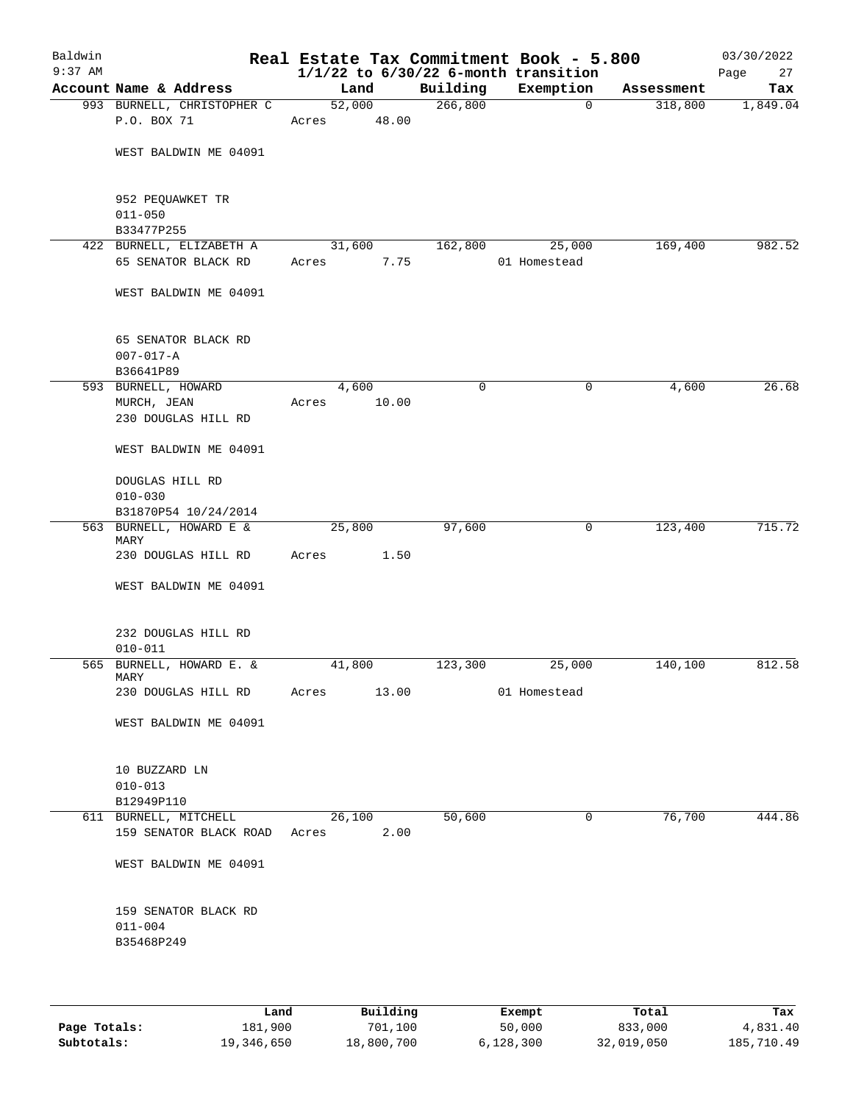| Baldwin<br>$9:37$ AM |                                                     |                 |       |          | Real Estate Tax Commitment Book - 5.800<br>$1/1/22$ to $6/30/22$ 6-month transition |            | 03/30/2022<br>Page<br>27 |
|----------------------|-----------------------------------------------------|-----------------|-------|----------|-------------------------------------------------------------------------------------|------------|--------------------------|
|                      | Account Name & Address                              | Land            |       | Building | Exemption                                                                           | Assessment | Tax                      |
|                      | 993 BURNELL, CHRISTOPHER C<br>P.O. BOX 71           | 52,000<br>Acres | 48.00 | 266,800  | $\mathbf 0$                                                                         | 318,800    | 1,849.04                 |
|                      | WEST BALDWIN ME 04091                               |                 |       |          |                                                                                     |            |                          |
|                      | 952 PEQUAWKET TR<br>$011 - 050$                     |                 |       |          |                                                                                     |            |                          |
|                      | B33477P255<br>422 BURNELL, ELIZABETH A              | 31,600          |       | 162,800  | 25,000                                                                              | 169,400    | 982.52                   |
|                      | 65 SENATOR BLACK RD                                 | Acres           | 7.75  |          | 01 Homestead                                                                        |            |                          |
|                      | WEST BALDWIN ME 04091                               |                 |       |          |                                                                                     |            |                          |
|                      | 65 SENATOR BLACK RD<br>$007 - 017 - A$<br>B36641P89 |                 |       |          |                                                                                     |            |                          |
|                      | 593 BURNELL, HOWARD                                 | 4,600           |       | 0        | $\mathsf{O}$                                                                        | 4,600      | 26.68                    |
|                      | MURCH, JEAN<br>230 DOUGLAS HILL RD                  | Acres           | 10.00 |          |                                                                                     |            |                          |
|                      | WEST BALDWIN ME 04091                               |                 |       |          |                                                                                     |            |                          |
|                      | DOUGLAS HILL RD<br>$010 - 030$                      |                 |       |          |                                                                                     |            |                          |
|                      | B31870P54 10/24/2014<br>563 BURNELL, HOWARD E &     | 25,800          |       | 97,600   | $\mathsf{O}$                                                                        | 123,400    | 715.72                   |
|                      | MARY                                                |                 |       |          |                                                                                     |            |                          |
|                      | 230 DOUGLAS HILL RD                                 | Acres           | 1.50  |          |                                                                                     |            |                          |
|                      | WEST BALDWIN ME 04091                               |                 |       |          |                                                                                     |            |                          |
|                      | 232 DOUGLAS HILL RD<br>$010 - 011$                  |                 |       |          |                                                                                     |            |                          |
|                      | 565 BURNELL, HOWARD E. &<br>MARY                    | 41,800          |       | 123,300  | 25,000                                                                              | 140,100    | 812.58                   |
|                      | 230 DOUGLAS HILL RD                                 | Acres           | 13.00 |          | 01 Homestead                                                                        |            |                          |
|                      | WEST BALDWIN ME 04091                               |                 |       |          |                                                                                     |            |                          |
|                      | 10 BUZZARD LN<br>$010 - 013$                        |                 |       |          |                                                                                     |            |                          |
|                      | B12949P110                                          |                 |       |          |                                                                                     |            |                          |
|                      | 611 BURNELL, MITCHELL<br>159 SENATOR BLACK ROAD     | 26,100<br>Acres | 2.00  | 50,600   | $\mathbf 0$                                                                         | 76,700     | 444.86                   |
|                      | WEST BALDWIN ME 04091                               |                 |       |          |                                                                                     |            |                          |
|                      | 159 SENATOR BLACK RD<br>$011 - 004$                 |                 |       |          |                                                                                     |            |                          |
|                      | B35468P249                                          |                 |       |          |                                                                                     |            |                          |

|              | úand       | Building   | Exempt    | Total      | Tax        |
|--------------|------------|------------|-----------|------------|------------|
| Page Totals: | 181,900    | 701,100    | 50,000    | 833,000    | 4,831.40   |
| Subtotals:   | 19,346,650 | 18,800,700 | 6.128.300 | 32,019,050 | 185,710.49 |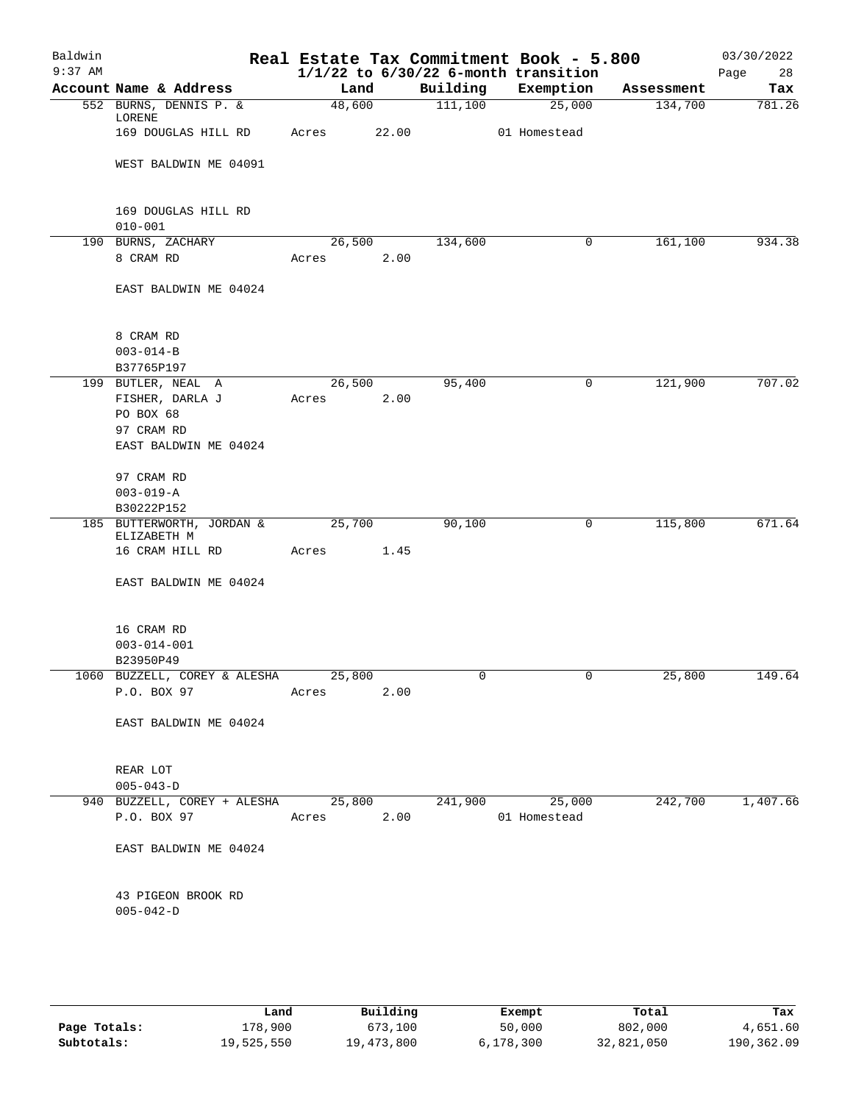| Baldwin<br>$9:37$ AM |                                                   |            |        |          | Real Estate Tax Commitment Book - 5.800<br>$1/1/22$ to $6/30/22$ 6-month transition |            | 03/30/2022<br>28<br>Page |
|----------------------|---------------------------------------------------|------------|--------|----------|-------------------------------------------------------------------------------------|------------|--------------------------|
|                      | Account Name & Address                            | Land       |        | Building | Exemption                                                                           | Assessment | Tax                      |
|                      | 552 BURNS, DENNIS P. &<br>LORENE                  | 48,600     |        | 111,100  | 25,000                                                                              | 134,700    | 781.26                   |
|                      | 169 DOUGLAS HILL RD                               | Acres      | 22.00  |          | 01 Homestead                                                                        |            |                          |
|                      | WEST BALDWIN ME 04091                             |            |        |          |                                                                                     |            |                          |
|                      | 169 DOUGLAS HILL RD<br>$010 - 001$                |            |        |          |                                                                                     |            |                          |
|                      | 190 BURNS, ZACHARY                                |            | 26,500 | 134,600  | 0                                                                                   | 161,100    | 934.38                   |
|                      | 8 CRAM RD                                         | Acres      | 2.00   |          |                                                                                     |            |                          |
|                      | EAST BALDWIN ME 04024                             |            |        |          |                                                                                     |            |                          |
|                      | 8 CRAM RD                                         |            |        |          |                                                                                     |            |                          |
|                      | $003 - 014 - B$                                   |            |        |          |                                                                                     |            |                          |
|                      | B37765P197                                        |            |        |          |                                                                                     |            |                          |
|                      | 199 BUTLER, NEAL A                                | 26,500     |        | 95,400   | 0                                                                                   | 121,900    | 707.02                   |
|                      | FISHER, DARLA J                                   | Acres      | 2.00   |          |                                                                                     |            |                          |
|                      | PO BOX 68                                         |            |        |          |                                                                                     |            |                          |
|                      | 97 CRAM RD                                        |            |        |          |                                                                                     |            |                          |
|                      | EAST BALDWIN ME 04024                             |            |        |          |                                                                                     |            |                          |
|                      | 97 CRAM RD                                        |            |        |          |                                                                                     |            |                          |
|                      | $003 - 019 - A$                                   |            |        |          |                                                                                     |            |                          |
|                      | B30222P152                                        |            |        |          |                                                                                     |            |                          |
|                      | 185 BUTTERWORTH, JORDAN &                         | 25,700     |        | 90,100   | 0                                                                                   | 115,800    | 671.64                   |
|                      | ELIZABETH M                                       |            |        |          |                                                                                     |            |                          |
|                      | 16 CRAM HILL RD                                   | Acres      | 1.45   |          |                                                                                     |            |                          |
|                      | EAST BALDWIN ME 04024                             |            |        |          |                                                                                     |            |                          |
|                      | 16 CRAM RD                                        |            |        |          |                                                                                     |            |                          |
|                      | $003 - 014 - 001$                                 |            |        |          |                                                                                     |            |                          |
|                      | B23950P49                                         |            |        |          |                                                                                     |            |                          |
|                      | 1060 BUZZELL, COREY & ALESHA 25,800               |            |        |          |                                                                                     | 25,800     | 149.64                   |
|                      | P.O. BOX 97                                       | Acres      | 2.00   |          |                                                                                     |            |                          |
|                      | EAST BALDWIN ME 04024                             |            |        |          |                                                                                     |            |                          |
|                      | REAR LOT                                          |            |        |          |                                                                                     |            |                          |
|                      | $005 - 043 - D$                                   |            |        |          |                                                                                     |            |                          |
|                      | 940 BUZZELL, COREY + ALESHA 25,800 241,900 25,000 |            |        |          |                                                                                     |            | 242,700 1,407.66         |
|                      | P.O. BOX 97                                       | Acres 2.00 |        |          | 01 Homestead                                                                        |            |                          |
|                      | EAST BALDWIN ME 04024                             |            |        |          |                                                                                     |            |                          |
|                      | 43 PIGEON BROOK RD                                |            |        |          |                                                                                     |            |                          |
|                      | $005 - 042 - D$                                   |            |        |          |                                                                                     |            |                          |
|                      |                                                   |            |        |          |                                                                                     |            |                          |
|                      |                                                   |            |        |          |                                                                                     |            |                          |

|              | Land       | Building   | Exempt    | Total      | Tax        |
|--------------|------------|------------|-----------|------------|------------|
| Page Totals: | 178,900    | 673,100    | 50,000    | 802,000    | 4,651.60   |
| Subtotals:   | 19,525,550 | 19,473,800 | 6.178.300 | 32,821,050 | 190,362.09 |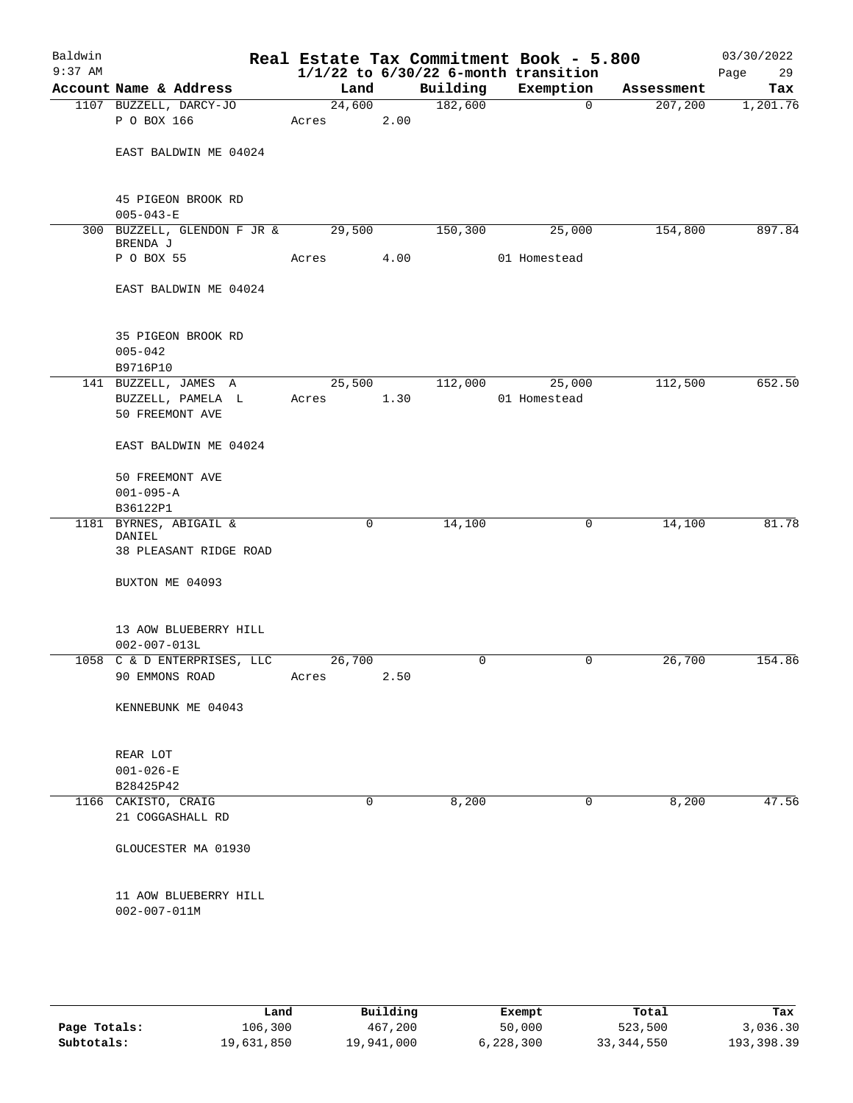| Baldwin<br>$9:37$ AM |                                                |        |             |          | Real Estate Tax Commitment Book - 5.800<br>$1/1/22$ to $6/30/22$ 6-month transition |            | 03/30/2022<br>Page<br>29 |
|----------------------|------------------------------------------------|--------|-------------|----------|-------------------------------------------------------------------------------------|------------|--------------------------|
|                      | Account Name & Address                         | Land   |             | Building | Exemption                                                                           | Assessment | Tax                      |
|                      | 1107 BUZZELL, DARCY-JO                         | 24,600 |             | 182,600  | 0                                                                                   | 207,200    | 1,201.76                 |
|                      | P O BOX 166                                    | Acres  | 2.00        |          |                                                                                     |            |                          |
|                      | EAST BALDWIN ME 04024                          |        |             |          |                                                                                     |            |                          |
|                      | 45 PIGEON BROOK RD                             |        |             |          |                                                                                     |            |                          |
|                      | $005 - 043 - E$<br>300 BUZZELL, GLENDON F JR & |        |             | 150,300  |                                                                                     |            | 897.84                   |
|                      | BRENDA J                                       | 29,500 |             |          | 25,000                                                                              | 154,800    |                          |
|                      | P O BOX 55                                     | Acres  | 4.00        |          | 01 Homestead                                                                        |            |                          |
|                      | EAST BALDWIN ME 04024                          |        |             |          |                                                                                     |            |                          |
|                      | 35 PIGEON BROOK RD<br>$005 - 042$              |        |             |          |                                                                                     |            |                          |
|                      | B9716P10                                       |        |             |          |                                                                                     |            |                          |
|                      | 141 BUZZELL, JAMES A                           | 25,500 |             | 112,000  | 25,000                                                                              | 112,500    | 652.50                   |
|                      | BUZZELL, PAMELA L<br>50 FREEMONT AVE           | Acres  | 1.30        |          | 01 Homestead                                                                        |            |                          |
|                      | EAST BALDWIN ME 04024                          |        |             |          |                                                                                     |            |                          |
|                      | 50 FREEMONT AVE                                |        |             |          |                                                                                     |            |                          |
|                      | $001 - 095 - A$                                |        |             |          |                                                                                     |            |                          |
|                      | B36122P1                                       |        |             |          |                                                                                     |            |                          |
|                      | 1181 BYRNES, ABIGAIL &                         |        | 0           | 14,100   | 0                                                                                   | 14,100     | 81.78                    |
|                      | DANIEL<br>38 PLEASANT RIDGE ROAD               |        |             |          |                                                                                     |            |                          |
|                      | BUXTON ME 04093                                |        |             |          |                                                                                     |            |                          |
|                      | 13 AOW BLUEBERRY HILL<br>$002 - 007 - 013L$    |        |             |          |                                                                                     |            |                          |
|                      | 1058 C & D ENTERPRISES, LLC                    | 26,700 |             | $\Omega$ | 0                                                                                   | 26,700     | 154.86                   |
|                      | 90 EMMONS ROAD Acres 2.50                      |        |             |          |                                                                                     |            |                          |
|                      | KENNEBUNK ME 04043                             |        |             |          |                                                                                     |            |                          |
|                      | REAR LOT                                       |        |             |          |                                                                                     |            |                          |
|                      | $001 - 026 - E$                                |        |             |          |                                                                                     |            |                          |
|                      | B28425P42                                      |        |             |          |                                                                                     |            |                          |
|                      | 1166 CAKISTO, CRAIG<br>21 COGGASHALL RD        |        | $\mathbf 0$ | 8,200    | 0                                                                                   | 8,200      | 47.56                    |
|                      | GLOUCESTER MA 01930                            |        |             |          |                                                                                     |            |                          |
|                      | 11 AOW BLUEBERRY HILL<br>$002 - 007 - 011M$    |        |             |          |                                                                                     |            |                          |
|                      |                                                |        |             |          |                                                                                     |            |                          |

|              | Land       | Building   | Exempt    | Total        | Tax        |
|--------------|------------|------------|-----------|--------------|------------|
| Page Totals: | 106,300    | 467,200    | 50,000    | 523,500      | 3,036.30   |
| Subtotals:   | 19,631,850 | 19,941,000 | 6,228,300 | 33, 344, 550 | 193,398.39 |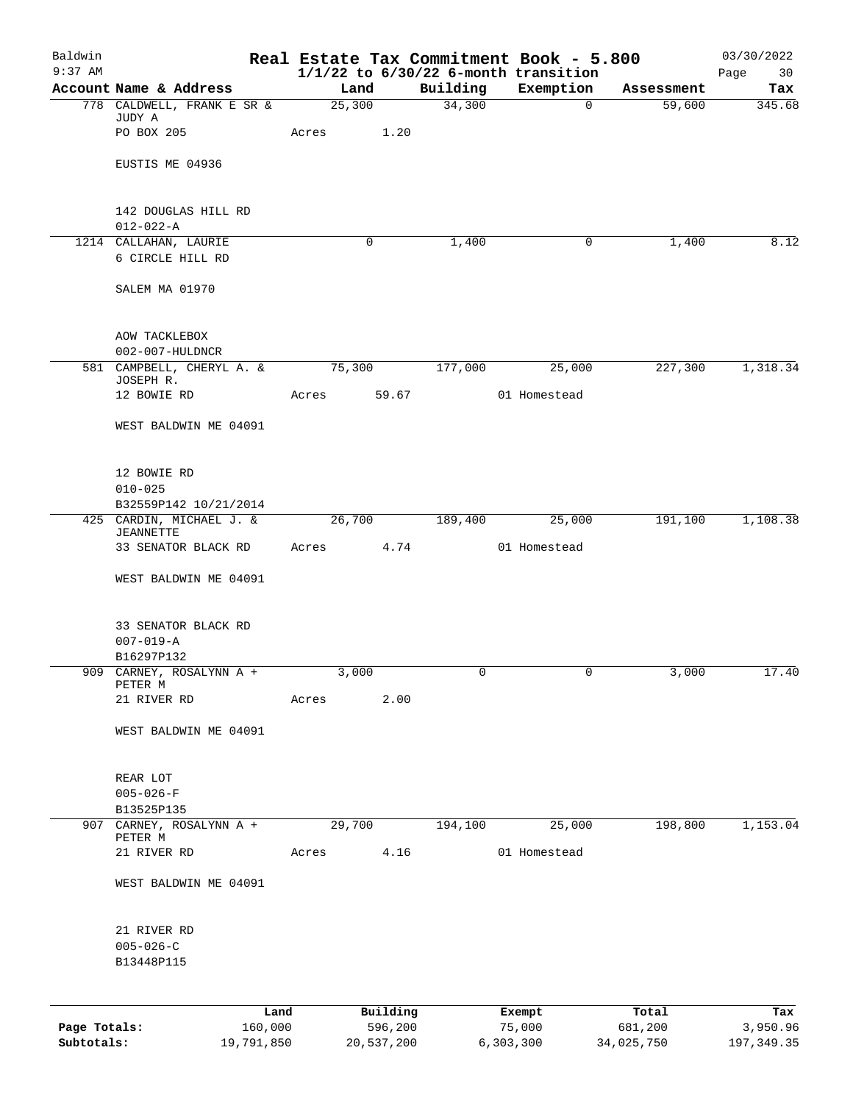| Baldwin<br>$9:37$ AM |                                                      |        |                     |          | Real Estate Tax Commitment Book - 5.800<br>$1/1/22$ to $6/30/22$ 6-month transition |                  | 03/30/2022<br>Page<br>30 |
|----------------------|------------------------------------------------------|--------|---------------------|----------|-------------------------------------------------------------------------------------|------------------|--------------------------|
|                      | Account Name & Address                               | Land   |                     | Building | Exemption                                                                           | Assessment       | Tax                      |
|                      | 778 CALDWELL, FRANK E SR &                           | 25,300 |                     | 34,300   | $\mathbf 0$                                                                         | 59,600           | 345.68                   |
|                      | JUDY A<br>PO BOX 205                                 | Acres  | 1.20                |          |                                                                                     |                  |                          |
|                      | EUSTIS ME 04936                                      |        |                     |          |                                                                                     |                  |                          |
|                      | 142 DOUGLAS HILL RD                                  |        |                     |          |                                                                                     |                  |                          |
|                      | $012 - 022 - A$<br>1214 CALLAHAN, LAURIE             |        | $\mathbf 0$         | 1,400    | 0                                                                                   | 1,400            | 8.12                     |
|                      | 6 CIRCLE HILL RD                                     |        |                     |          |                                                                                     |                  |                          |
|                      | SALEM MA 01970                                       |        |                     |          |                                                                                     |                  |                          |
|                      | AOW TACKLEBOX<br>002-007-HULDNCR                     |        |                     |          |                                                                                     |                  |                          |
|                      | 581 CAMPBELL, CHERYL A. &                            | 75,300 |                     | 177,000  | 25,000                                                                              | 227,300          | 1,318.34                 |
|                      | JOSEPH R.                                            |        |                     |          |                                                                                     |                  |                          |
|                      | 12 BOWIE RD                                          | Acres  | 59.67               |          | 01 Homestead                                                                        |                  |                          |
|                      | WEST BALDWIN ME 04091                                |        |                     |          |                                                                                     |                  |                          |
|                      | 12 BOWIE RD<br>$010 - 025$                           |        |                     |          |                                                                                     |                  |                          |
|                      | B32559P142 10/21/2014                                |        |                     |          |                                                                                     |                  |                          |
|                      | 425 CARDIN, MICHAEL J. &<br><b>JEANNETTE</b>         | 26,700 |                     | 189,400  | 25,000                                                                              | 191,100          | 1,108.38                 |
|                      | 33 SENATOR BLACK RD                                  | Acres  | 4.74                |          | 01 Homestead                                                                        |                  |                          |
|                      | WEST BALDWIN ME 04091                                |        |                     |          |                                                                                     |                  |                          |
|                      | 33 SENATOR BLACK RD<br>$007 - 019 - A$<br>B16297P132 |        |                     |          |                                                                                     |                  |                          |
| 909                  | CARNEY, ROSALYNN A +<br>PETER M                      | 3,000  |                     | 0        | 0                                                                                   | 3,000            | 17.40                    |
|                      | 21 RIVER RD                                          | Acres  | 2.00                |          |                                                                                     |                  |                          |
|                      | WEST BALDWIN ME 04091                                |        |                     |          |                                                                                     |                  |                          |
|                      | REAR LOT                                             |        |                     |          |                                                                                     |                  |                          |
|                      | $005 - 026 - F$                                      |        |                     |          |                                                                                     |                  |                          |
|                      | B13525P135                                           |        |                     |          |                                                                                     |                  |                          |
| 907                  | CARNEY, ROSALYNN A +<br>PETER M                      | 29,700 |                     | 194,100  | 25,000                                                                              | 198,800          | 1,153.04                 |
|                      | 21 RIVER RD                                          | Acres  | 4.16                |          | 01 Homestead                                                                        |                  |                          |
|                      | WEST BALDWIN ME 04091                                |        |                     |          |                                                                                     |                  |                          |
|                      | 21 RIVER RD                                          |        |                     |          |                                                                                     |                  |                          |
|                      | $005 - 026 - C$<br>B13448P115                        |        |                     |          |                                                                                     |                  |                          |
|                      |                                                      |        |                     |          |                                                                                     |                  |                          |
| Page Totals:         | 160,000                                              | Land   | Building<br>596,200 |          | Exempt<br>75,000                                                                    | Total<br>681,200 | Tax<br>3,950.96          |
|                      |                                                      |        |                     |          |                                                                                     |                  |                          |

**Subtotals:** 19,791,850 20,537,200 6,303,300 34,025,750 197,349.35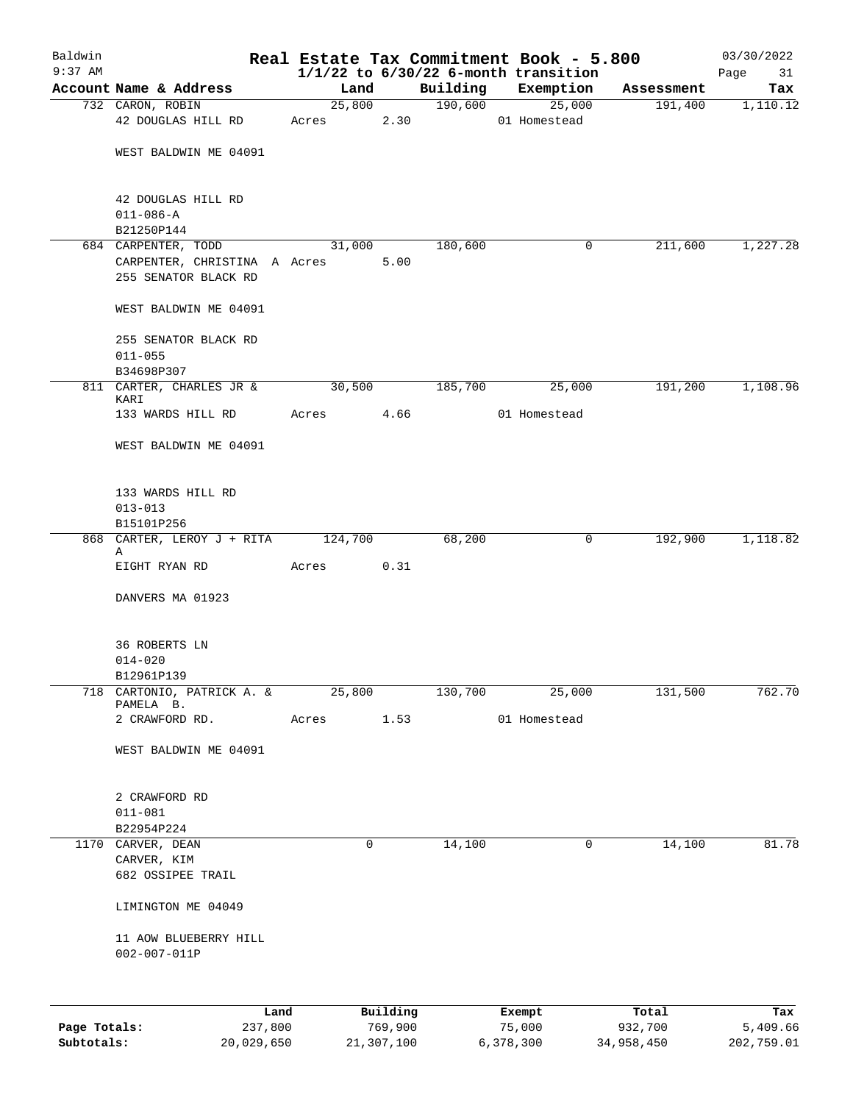| Baldwin      |                                                     |         |          |          | Real Estate Tax Commitment Book - 5.800  |            | 03/30/2022 |
|--------------|-----------------------------------------------------|---------|----------|----------|------------------------------------------|------------|------------|
| $9:37$ AM    |                                                     |         |          |          | $1/1/22$ to $6/30/22$ 6-month transition |            | Page<br>31 |
|              | Account Name & Address                              | Land    |          | Building | Exemption                                | Assessment | Tax        |
|              | 732 CARON, ROBIN                                    |         | 25,800   | 190,600  | 25,000                                   | 191,400    | 1,110.12   |
|              | 42 DOUGLAS HILL RD                                  | Acres   | 2.30     |          | 01 Homestead                             |            |            |
|              |                                                     |         |          |          |                                          |            |            |
|              | WEST BALDWIN ME 04091                               |         |          |          |                                          |            |            |
|              |                                                     |         |          |          |                                          |            |            |
|              | 42 DOUGLAS HILL RD                                  |         |          |          |                                          |            |            |
|              | $011 - 086 - A$                                     |         |          |          |                                          |            |            |
|              | B21250P144                                          |         |          | 180,600  | $\mathbf 0$                              | 211,600    | 1,227.28   |
|              | 684 CARPENTER, TODD<br>CARPENTER, CHRISTINA A Acres | 31,000  | 5.00     |          |                                          |            |            |
|              | 255 SENATOR BLACK RD                                |         |          |          |                                          |            |            |
|              | WEST BALDWIN ME 04091                               |         |          |          |                                          |            |            |
|              | 255 SENATOR BLACK RD                                |         |          |          |                                          |            |            |
|              | $011 - 055$                                         |         |          |          |                                          |            |            |
|              | B34698P307                                          |         |          |          |                                          |            |            |
|              | 811 CARTER, CHARLES JR &                            | 30,500  |          | 185,700  | 25,000                                   | 191,200    | 1,108.96   |
|              | KARI                                                |         |          |          |                                          |            |            |
|              | 133 WARDS HILL RD                                   | Acres   | 4.66     |          | 01 Homestead                             |            |            |
|              | WEST BALDWIN ME 04091                               |         |          |          |                                          |            |            |
|              | 133 WARDS HILL RD                                   |         |          |          |                                          |            |            |
|              | $013 - 013$                                         |         |          |          |                                          |            |            |
|              | B15101P256                                          |         |          |          |                                          |            |            |
|              | 868 CARTER, LEROY J + RITA<br>Α                     | 124,700 |          | 68,200   | 0                                        | 192,900    | 1,118.82   |
|              | EIGHT RYAN RD                                       | Acres   | 0.31     |          |                                          |            |            |
|              | DANVERS MA 01923                                    |         |          |          |                                          |            |            |
|              | <b>36 ROBERTS LN</b>                                |         |          |          |                                          |            |            |
|              | $014 - 020$                                         |         |          |          |                                          |            |            |
|              | B12961P139                                          |         |          |          |                                          |            |            |
| 718          | CARTONIO, PATRICK A. &                              | 25,800  |          | 130,700  | 25,000                                   | 131,500    | 762.70     |
|              | PAMELA B.                                           |         |          |          |                                          |            |            |
|              | 2 CRAWFORD RD.                                      | Acres   | 1.53     |          | 01 Homestead                             |            |            |
|              | WEST BALDWIN ME 04091                               |         |          |          |                                          |            |            |
|              | 2 CRAWFORD RD                                       |         |          |          |                                          |            |            |
|              | $011 - 081$                                         |         |          |          |                                          |            |            |
|              | B22954P224                                          |         |          |          |                                          |            |            |
|              | 1170 CARVER, DEAN                                   |         | 0        | 14,100   | 0                                        | 14,100     | 81.78      |
|              | CARVER, KIM                                         |         |          |          |                                          |            |            |
|              | 682 OSSIPEE TRAIL                                   |         |          |          |                                          |            |            |
|              | LIMINGTON ME 04049                                  |         |          |          |                                          |            |            |
|              | 11 AOW BLUEBERRY HILL<br>$002 - 007 - 011P$         |         |          |          |                                          |            |            |
|              |                                                     |         |          |          |                                          |            |            |
|              | Land                                                |         | Building |          | Exempt                                   | Total      | Tax        |
| Page Totals: | 237,800                                             |         | 769,900  |          | 75,000                                   | 932,700    | 5,409.66   |

**Subtotals:** 20,029,650 21,307,100 6,378,300 34,958,450 202,759.01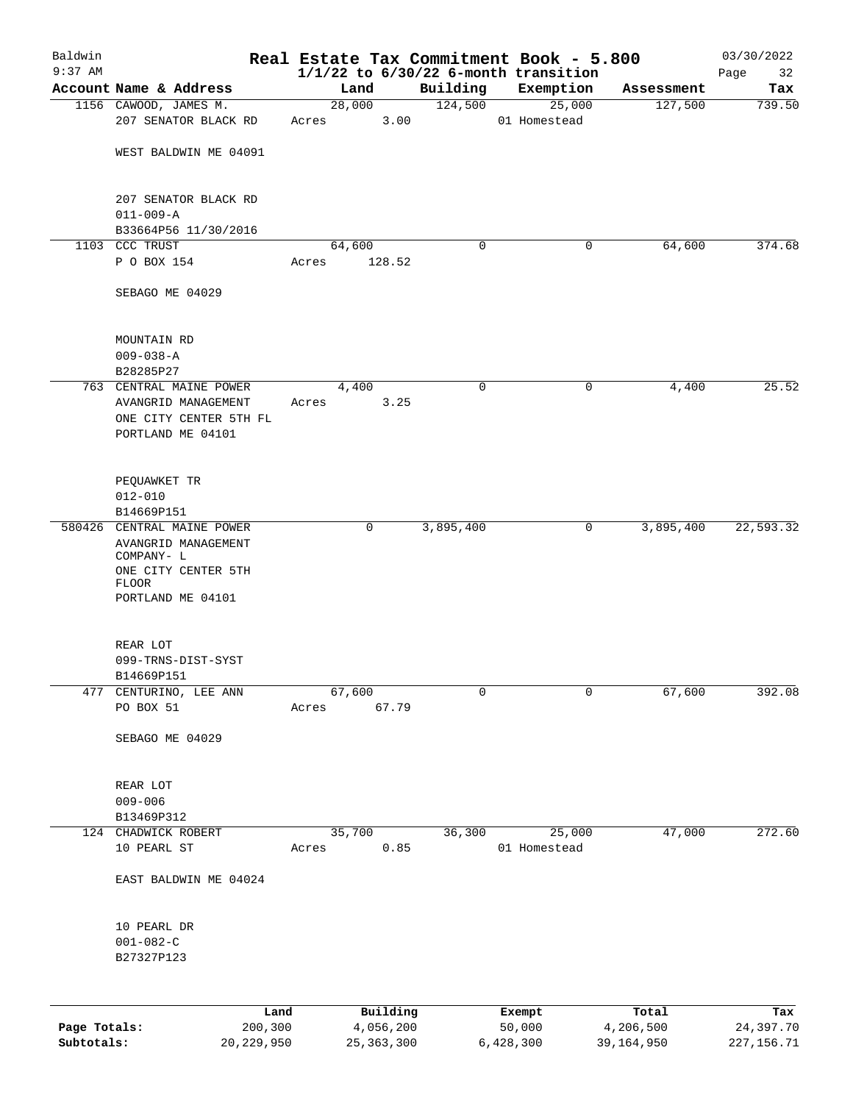| Baldwin      |                                                   |       |                 |             | Real Estate Tax Commitment Book - 5.800  |              | 03/30/2022  |
|--------------|---------------------------------------------------|-------|-----------------|-------------|------------------------------------------|--------------|-------------|
| $9:37$ AM    |                                                   |       |                 |             | $1/1/22$ to $6/30/22$ 6-month transition |              | Page<br>32  |
|              | Account Name & Address                            |       | Land            | Building    | Exemption                                | Assessment   | Tax         |
|              | 1156 CAWOOD, JAMES M.<br>207 SENATOR BLACK RD     | Acres | 28,000<br>3.00  | 124,500     | 25,000<br>01 Homestead                   | 127,500      | 739.50      |
|              | WEST BALDWIN ME 04091                             |       |                 |             |                                          |              |             |
|              |                                                   |       |                 |             |                                          |              |             |
|              | 207 SENATOR BLACK RD                              |       |                 |             |                                          |              |             |
|              | $011 - 009 - A$                                   |       |                 |             |                                          |              |             |
|              | B33664P56 11/30/2016<br>1103 CCC TRUST            |       | 64,600          | 0           | 0                                        | 64,600       | 374.68      |
|              | P O BOX 154                                       | Acres | 128.52          |             |                                          |              |             |
|              | SEBAGO ME 04029                                   |       |                 |             |                                          |              |             |
|              | MOUNTAIN RD                                       |       |                 |             |                                          |              |             |
|              | $009 - 038 - A$<br>B28285P27                      |       |                 |             |                                          |              |             |
|              | 763 CENTRAL MAINE POWER                           |       | 4,400           | 0           | 0                                        | 4,400        | 25.52       |
|              | AVANGRID MANAGEMENT                               | Acres | 3.25            |             |                                          |              |             |
|              | ONE CITY CENTER 5TH FL                            |       |                 |             |                                          |              |             |
|              | PORTLAND ME 04101                                 |       |                 |             |                                          |              |             |
|              | PEQUAWKET TR                                      |       |                 |             |                                          |              |             |
|              | $012 - 010$                                       |       |                 |             |                                          |              |             |
|              | B14669P151                                        |       |                 |             |                                          |              |             |
|              | 580426 CENTRAL MAINE POWER<br>AVANGRID MANAGEMENT |       | 0               | 3,895,400   | 0                                        | 3,895,400    | 22,593.32   |
|              | COMPANY- L                                        |       |                 |             |                                          |              |             |
|              | ONE CITY CENTER 5TH                               |       |                 |             |                                          |              |             |
|              | <b>FLOOR</b><br>PORTLAND ME 04101                 |       |                 |             |                                          |              |             |
|              |                                                   |       |                 |             |                                          |              |             |
|              | REAR LOT                                          |       |                 |             |                                          |              |             |
|              | 099-TRNS-DIST-SYST                                |       |                 |             |                                          |              |             |
|              | B14669P151                                        |       |                 |             |                                          |              |             |
| 477          | CENTURINO, LEE ANN<br>PO BOX 51                   | Acres | 67,600<br>67.79 | $\mathbf 0$ | 0                                        | 67,600       | 392.08      |
|              |                                                   |       |                 |             |                                          |              |             |
|              | SEBAGO ME 04029                                   |       |                 |             |                                          |              |             |
|              | REAR LOT                                          |       |                 |             |                                          |              |             |
|              | $009 - 006$                                       |       |                 |             |                                          |              |             |
|              | B13469P312                                        |       |                 |             |                                          |              |             |
|              | 124 CHADWICK ROBERT                               |       | 35,700          | 36,300      | 25,000                                   | 47,000       | 272.60      |
|              | 10 PEARL ST                                       | Acres | 0.85            |             | 01 Homestead                             |              |             |
|              | EAST BALDWIN ME 04024                             |       |                 |             |                                          |              |             |
|              | 10 PEARL DR                                       |       |                 |             |                                          |              |             |
|              | $001 - 082 - C$                                   |       |                 |             |                                          |              |             |
|              | B27327P123                                        |       |                 |             |                                          |              |             |
|              |                                                   | Land  | Building        |             | Exempt                                   | Total        | Tax         |
| Page Totals: | 200,300                                           |       | 4,056,200       |             | 50,000                                   | 4,206,500    | 24,397.70   |
| Subtotals:   | 20, 229, 950                                      |       | 25, 363, 300    |             | 6,428,300                                | 39, 164, 950 | 227, 156.71 |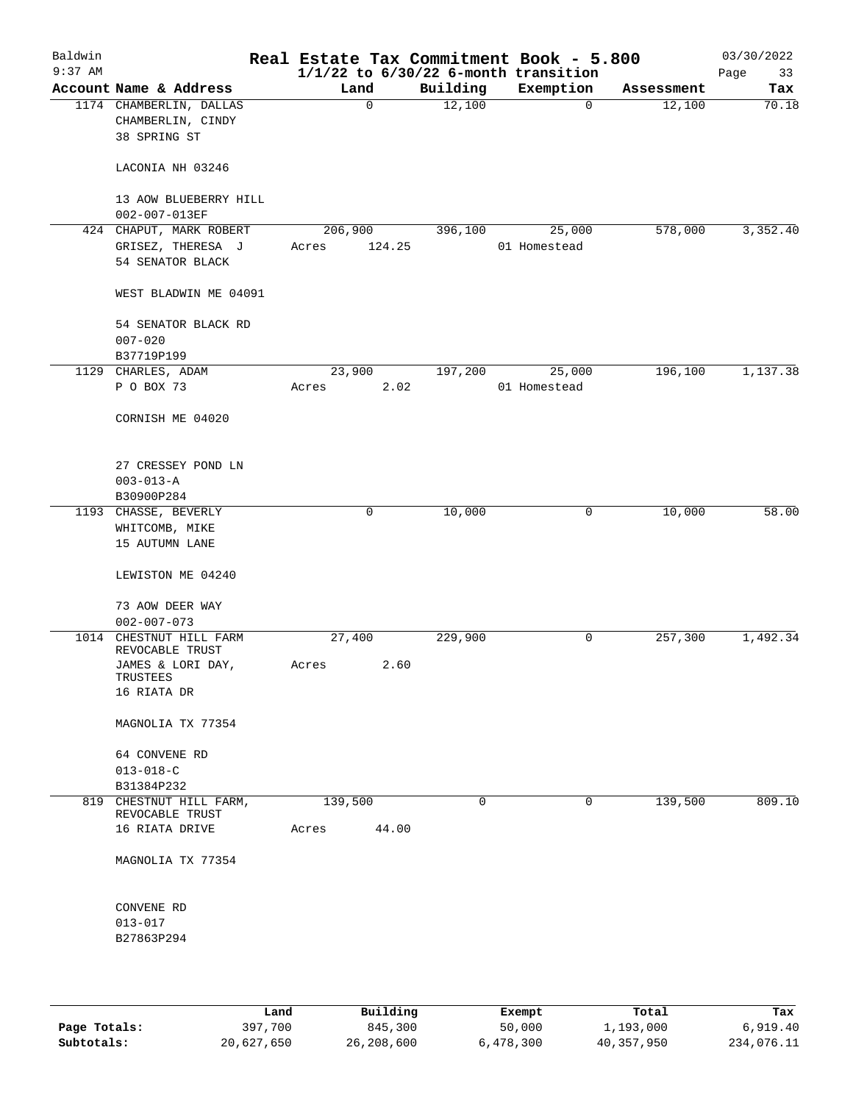| Baldwin   |                                              |         |             | Real Estate Tax Commitment Book - 5.800  |              |             |                      | 03/30/2022   |
|-----------|----------------------------------------------|---------|-------------|------------------------------------------|--------------|-------------|----------------------|--------------|
| $9:37$ AM | Account Name & Address                       | Land    |             | $1/1/22$ to $6/30/22$ 6-month transition |              |             |                      | Page<br>33   |
|           | 1174 CHAMBERLIN, DALLAS<br>CHAMBERLIN, CINDY |         | $\mathbf 0$ | Building<br>12,100                       | Exemption    | $\mathbf 0$ | Assessment<br>12,100 | Tax<br>70.18 |
|           | 38 SPRING ST                                 |         |             |                                          |              |             |                      |              |
|           | LACONIA NH 03246                             |         |             |                                          |              |             |                      |              |
|           | 13 AOW BLUEBERRY HILL<br>002-007-013EF       |         |             |                                          |              |             |                      |              |
|           | 424 CHAPUT, MARK ROBERT                      | 206,900 |             | 396,100                                  |              | 25,000      | 578,000              | 3,352.40     |
|           | GRISEZ, THERESA J<br>54 SENATOR BLACK        | Acres   | 124.25      |                                          | 01 Homestead |             |                      |              |
|           | WEST BLADWIN ME 04091                        |         |             |                                          |              |             |                      |              |
|           | 54 SENATOR BLACK RD<br>$007 - 020$           |         |             |                                          |              |             |                      |              |
|           | B37719P199                                   |         |             |                                          |              |             |                      |              |
|           | 1129 CHARLES, ADAM                           | 23,900  |             | 197,200                                  |              | 25,000      | 196,100              | 1,137.38     |
|           | P O BOX 73                                   | Acres   | 2.02        |                                          | 01 Homestead |             |                      |              |
|           | CORNISH ME 04020                             |         |             |                                          |              |             |                      |              |
|           | 27 CRESSEY POND LN<br>$003 - 013 - A$        |         |             |                                          |              |             |                      |              |
|           | B30900P284                                   |         |             |                                          |              |             |                      |              |
|           | 1193 CHASSE, BEVERLY                         |         | 0           | 10,000                                   |              | 0           | 10,000               | 58.00        |
|           | WHITCOMB, MIKE                               |         |             |                                          |              |             |                      |              |
|           | 15 AUTUMN LANE                               |         |             |                                          |              |             |                      |              |
|           | LEWISTON ME 04240                            |         |             |                                          |              |             |                      |              |
|           | 73 AOW DEER WAY                              |         |             |                                          |              |             |                      |              |
| 1014      | $002 - 007 - 073$<br>CHESTNUT HILL FARM      | 27,400  |             | 229,900                                  |              | 0           | 257,300              | 1,492.34     |
|           | REVOCABLE TRUST                              |         |             |                                          |              |             |                      |              |
|           | JAMES & LORI DAY,<br>TRUSTEES                | Acres   | 2.60        |                                          |              |             |                      |              |
|           | 16 RIATA DR                                  |         |             |                                          |              |             |                      |              |
|           | MAGNOLIA TX 77354                            |         |             |                                          |              |             |                      |              |
|           | 64 CONVENE RD<br>$013 - 018 - C$             |         |             |                                          |              |             |                      |              |
|           | B31384P232                                   |         |             |                                          |              |             |                      |              |
|           | 819 CHESTNUT HILL FARM,<br>REVOCABLE TRUST   | 139,500 |             | 0                                        |              | 0           | 139,500              | 809.10       |
|           | 16 RIATA DRIVE                               | Acres   | 44.00       |                                          |              |             |                      |              |
|           | MAGNOLIA TX 77354                            |         |             |                                          |              |             |                      |              |
|           | CONVENE RD                                   |         |             |                                          |              |             |                      |              |
|           | $013 - 017$                                  |         |             |                                          |              |             |                      |              |
|           | B27863P294                                   |         |             |                                          |              |             |                      |              |
|           |                                              |         |             |                                          |              |             |                      |              |
|           |                                              |         |             |                                          |              |             |                      |              |

|              | Land       | Building   | Exempt    | Total      | Tax        |
|--------------|------------|------------|-----------|------------|------------|
| Page Totals: | 397,700    | 845,300    | 50,000    | 1,193,000  | 6,919.40   |
| Subtotals:   | 20,627,650 | 26,208,600 | 6,478,300 | 40,357,950 | 234,076.11 |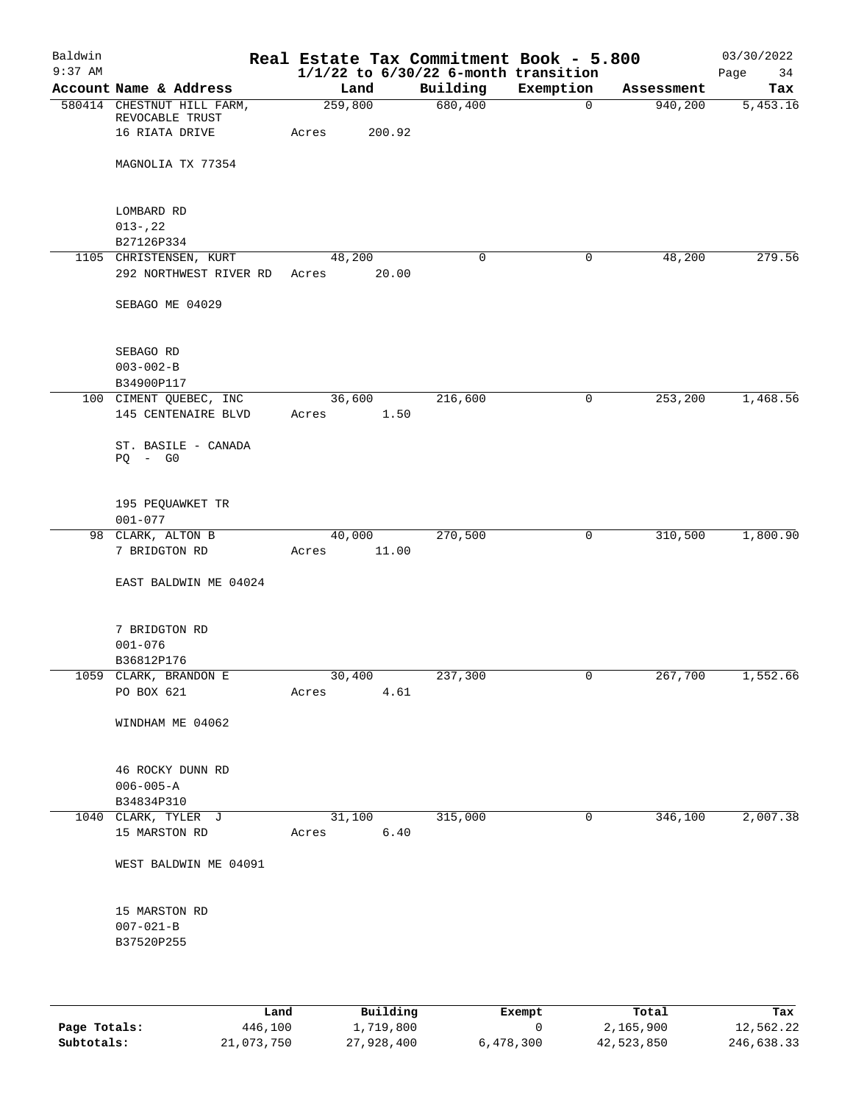| Baldwin<br>$9:37$ AM |                            |         |        | Real Estate Tax Commitment Book - 5.800<br>$1/1/22$ to $6/30/22$ 6-month transition |             |            | 03/30/2022<br>Page<br>34 |
|----------------------|----------------------------|---------|--------|-------------------------------------------------------------------------------------|-------------|------------|--------------------------|
|                      | Account Name & Address     | Land    |        | Building                                                                            | Exemption   | Assessment | Tax                      |
|                      | 580414 CHESTNUT HILL FARM, | 259,800 |        | 680,400                                                                             | 0           | 940,200    | 5,453.16                 |
|                      | REVOCABLE TRUST            |         |        |                                                                                     |             |            |                          |
|                      | 16 RIATA DRIVE             | Acres   | 200.92 |                                                                                     |             |            |                          |
|                      |                            |         |        |                                                                                     |             |            |                          |
|                      | MAGNOLIA TX 77354          |         |        |                                                                                     |             |            |                          |
|                      |                            |         |        |                                                                                     |             |            |                          |
|                      |                            |         |        |                                                                                     |             |            |                          |
|                      | LOMBARD RD                 |         |        |                                                                                     |             |            |                          |
|                      | $013 - 22$                 |         |        |                                                                                     |             |            |                          |
|                      | B27126P334                 |         |        |                                                                                     |             |            |                          |
|                      | 1105 CHRISTENSEN, KURT     | 48,200  |        | $\mathbf 0$                                                                         | 0           | 48,200     | 279.56                   |
|                      | 292 NORTHWEST RIVER RD     | Acres   | 20.00  |                                                                                     |             |            |                          |
|                      | SEBAGO ME 04029            |         |        |                                                                                     |             |            |                          |
|                      |                            |         |        |                                                                                     |             |            |                          |
|                      |                            |         |        |                                                                                     |             |            |                          |
|                      | SEBAGO RD                  |         |        |                                                                                     |             |            |                          |
|                      | $003 - 002 - B$            |         |        |                                                                                     |             |            |                          |
|                      | B34900P117                 |         |        |                                                                                     |             |            |                          |
|                      | 100 CIMENT QUEBEC, INC     | 36,600  |        | 216,600                                                                             | 0           | 253, 200   | 1,468.56                 |
|                      | 145 CENTENAIRE BLVD        | Acres   | 1.50   |                                                                                     |             |            |                          |
|                      |                            |         |        |                                                                                     |             |            |                          |
|                      | ST. BASILE - CANADA        |         |        |                                                                                     |             |            |                          |
|                      | $PQ - G0$                  |         |        |                                                                                     |             |            |                          |
|                      |                            |         |        |                                                                                     |             |            |                          |
|                      |                            |         |        |                                                                                     |             |            |                          |
|                      | 195 PEQUAWKET TR           |         |        |                                                                                     |             |            |                          |
|                      | $001 - 077$                |         |        |                                                                                     |             |            |                          |
|                      | 98 CLARK, ALTON B          | 40,000  |        | 270,500                                                                             | 0           | 310,500    | 1,800.90                 |
|                      | 7 BRIDGTON RD              | Acres   | 11.00  |                                                                                     |             |            |                          |
|                      |                            |         |        |                                                                                     |             |            |                          |
|                      | EAST BALDWIN ME 04024      |         |        |                                                                                     |             |            |                          |
|                      |                            |         |        |                                                                                     |             |            |                          |
|                      |                            |         |        |                                                                                     |             |            |                          |
|                      | 7 BRIDGTON RD              |         |        |                                                                                     |             |            |                          |
|                      | $001 - 076$                |         |        |                                                                                     |             |            |                          |
|                      | B36812P176                 |         |        |                                                                                     |             |            |                          |
|                      | 1059 CLARK, BRANDON E      | 30,400  |        | 237,300                                                                             |             | 267,700    | 1,552.66                 |
|                      | PO BOX 621                 | Acres   | 4.61   |                                                                                     |             |            |                          |
|                      |                            |         |        |                                                                                     |             |            |                          |
|                      | WINDHAM ME 04062           |         |        |                                                                                     |             |            |                          |
|                      |                            |         |        |                                                                                     |             |            |                          |
|                      | 46 ROCKY DUNN RD           |         |        |                                                                                     |             |            |                          |
|                      | $006 - 005 - A$            |         |        |                                                                                     |             |            |                          |
|                      | B34834P310                 |         |        |                                                                                     |             |            |                          |
|                      | 1040 CLARK, TYLER J        | 31,100  |        | 315,000                                                                             | $\mathbf 0$ | 346,100    | 2,007.38                 |
|                      | 15 MARSTON RD              | Acres   | 6.40   |                                                                                     |             |            |                          |
|                      |                            |         |        |                                                                                     |             |            |                          |
|                      | WEST BALDWIN ME 04091      |         |        |                                                                                     |             |            |                          |
|                      |                            |         |        |                                                                                     |             |            |                          |
|                      |                            |         |        |                                                                                     |             |            |                          |
|                      | 15 MARSTON RD              |         |        |                                                                                     |             |            |                          |
|                      | $007 - 021 - B$            |         |        |                                                                                     |             |            |                          |
|                      | B37520P255                 |         |        |                                                                                     |             |            |                          |
|                      |                            |         |        |                                                                                     |             |            |                          |
|                      |                            |         |        |                                                                                     |             |            |                          |
|                      |                            |         |        |                                                                                     |             |            |                          |
|                      |                            |         |        |                                                                                     |             |            |                          |

|              | Land       | Building   | Exempt    | Total      | Tax        |
|--------------|------------|------------|-----------|------------|------------|
| Page Totals: | 446,100    | 1,719,800  |           | 2,165,900  | 12,562.22  |
| Subtotals:   | 21,073,750 | 27,928,400 | 6,478,300 | 42,523,850 | 246,638.33 |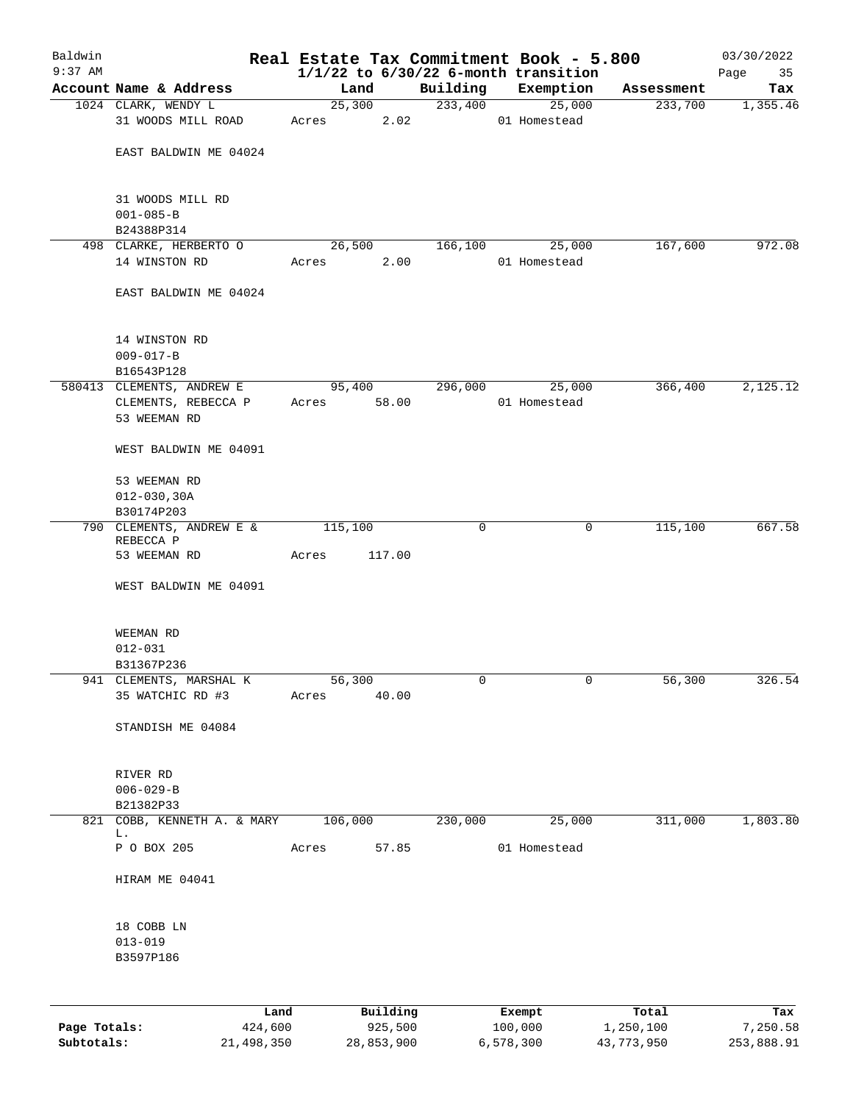| Baldwin      |                                       |         |          |          |         | Real Estate Tax Commitment Book - 5.800  |            | 03/30/2022 |
|--------------|---------------------------------------|---------|----------|----------|---------|------------------------------------------|------------|------------|
| $9:37$ AM    |                                       |         |          |          |         | $1/1/22$ to $6/30/22$ 6-month transition |            | Page<br>35 |
|              | Account Name & Address                | Land    |          | Building |         | Exemption                                | Assessment | Tax        |
|              | 1024 CLARK, WENDY L                   |         | 25,300   | 233,400  |         | 25,000                                   | 233,700    | 1,355.46   |
|              | 31 WOODS MILL ROAD                    | Acres   | 2.02     |          |         | 01 Homestead                             |            |            |
|              | EAST BALDWIN ME 04024                 |         |          |          |         |                                          |            |            |
|              |                                       |         |          |          |         |                                          |            |            |
|              |                                       |         |          |          |         |                                          |            |            |
|              | 31 WOODS MILL RD                      |         |          |          |         |                                          |            |            |
|              | $001 - 085 - B$                       |         |          |          |         |                                          |            |            |
|              | B24388P314                            |         |          |          |         |                                          |            |            |
|              | 498 CLARKE, HERBERTO O                | 26,500  |          | 166,100  |         | 25,000                                   | 167,600    | 972.08     |
|              | 14 WINSTON RD                         | Acres   | 2.00     |          |         | 01 Homestead                             |            |            |
|              | EAST BALDWIN ME 04024                 |         |          |          |         |                                          |            |            |
|              |                                       |         |          |          |         |                                          |            |            |
|              | 14 WINSTON RD                         |         |          |          |         |                                          |            |            |
|              | $009 - 017 - B$                       |         |          |          |         |                                          |            |            |
|              | B16543P128                            |         |          |          |         |                                          |            |            |
|              | 580413 CLEMENTS, ANDREW E             | 95,400  |          | 296,000  |         | 25,000                                   | 366,400    | 2,125.12   |
|              | CLEMENTS, REBECCA P                   | Acres   | 58.00    |          |         | 01 Homestead                             |            |            |
|              | 53 WEEMAN RD                          |         |          |          |         |                                          |            |            |
|              | WEST BALDWIN ME 04091                 |         |          |          |         |                                          |            |            |
|              | 53 WEEMAN RD                          |         |          |          |         |                                          |            |            |
|              | $012 - 030, 30A$                      |         |          |          |         |                                          |            |            |
|              | B30174P203                            |         |          |          |         |                                          |            |            |
|              | 790 CLEMENTS, ANDREW E &<br>REBECCA P | 115,100 |          | 0        |         | $\mathbf 0$                              | 115,100    | 667.58     |
|              | 53 WEEMAN RD                          | Acres   | 117.00   |          |         |                                          |            |            |
|              | WEST BALDWIN ME 04091                 |         |          |          |         |                                          |            |            |
|              |                                       |         |          |          |         |                                          |            |            |
|              | WEEMAN RD                             |         |          |          |         |                                          |            |            |
|              | $012 - 031$                           |         |          |          |         |                                          |            |            |
|              | B31367P236                            |         |          |          |         |                                          |            |            |
|              | 941 CLEMENTS, MARSHAL K               | 56,300  |          | 0        |         | 0                                        | 56,300     | 326.54     |
|              | 35 WATCHIC RD #3                      | Acres   | 40.00    |          |         |                                          |            |            |
|              |                                       |         |          |          |         |                                          |            |            |
|              | STANDISH ME 04084                     |         |          |          |         |                                          |            |            |
|              | RIVER RD                              |         |          |          |         |                                          |            |            |
|              | $006 - 029 - B$                       |         |          |          |         |                                          |            |            |
|              | B21382P33                             |         |          |          |         |                                          |            |            |
|              | 821 COBB, KENNETH A. & MARY<br>L.     | 106,000 |          | 230,000  |         | 25,000                                   | 311,000    | 1,803.80   |
|              | P O BOX 205                           | Acres   | 57.85    |          |         | 01 Homestead                             |            |            |
|              |                                       |         |          |          |         |                                          |            |            |
|              | HIRAM ME 04041                        |         |          |          |         |                                          |            |            |
|              | 18 COBB LN                            |         |          |          |         |                                          |            |            |
|              | $013 - 019$                           |         |          |          |         |                                          |            |            |
|              | B3597P186                             |         |          |          |         |                                          |            |            |
|              |                                       |         |          |          |         |                                          |            |            |
|              | Land                                  |         | Building |          | Exempt  |                                          | Total      | Tax        |
| Page Totals: | 424,600                               |         | 925,500  |          | 100,000 |                                          | 1,250,100  | 7,250.58   |
|              |                                       |         |          |          |         |                                          |            |            |

**Subtotals:** 21,498,350 28,853,900 6,578,300 43,773,950 253,888.91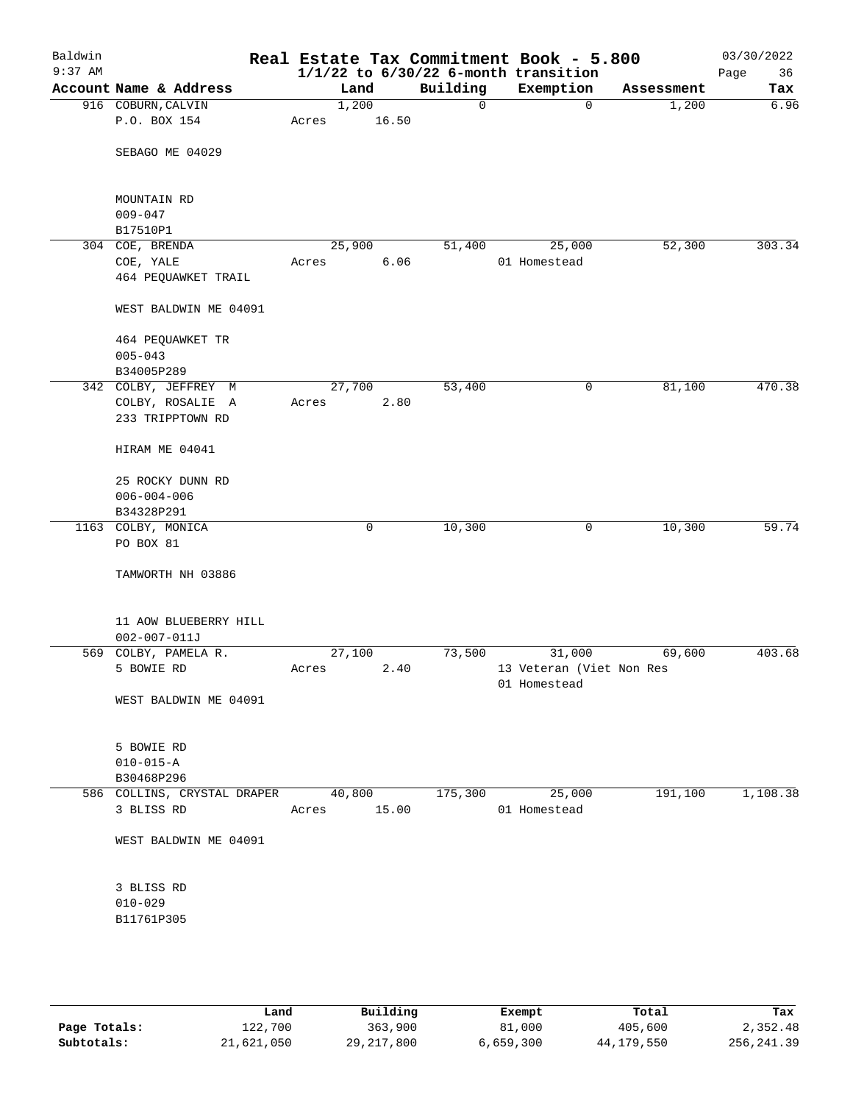| Baldwin<br>$9:37$ AM |                                    |             |       |          | Real Estate Tax Commitment Book - 5.800<br>$1/1/22$ to $6/30/22$ 6-month transition |            | 03/30/2022<br>Page<br>36 |
|----------------------|------------------------------------|-------------|-------|----------|-------------------------------------------------------------------------------------|------------|--------------------------|
|                      | Account Name & Address             | Land        |       | Building | Exemption                                                                           | Assessment | Tax                      |
|                      | 916 COBURN, CALVIN                 | 1,200       |       | 0        | $\mathbf 0$                                                                         | 1,200      | 6.96                     |
|                      | P.O. BOX 154                       | Acres       | 16.50 |          |                                                                                     |            |                          |
|                      | SEBAGO ME 04029                    |             |       |          |                                                                                     |            |                          |
|                      | MOUNTAIN RD<br>$009 - 047$         |             |       |          |                                                                                     |            |                          |
|                      | B17510P1                           |             |       |          |                                                                                     |            |                          |
|                      | 304 COE, BRENDA                    | 25,900      |       | 51,400   | 25,000                                                                              | 52,300     | 303.34                   |
|                      | COE, YALE                          | Acres       | 6.06  |          | 01 Homestead                                                                        |            |                          |
|                      | 464 PEQUAWKET TRAIL                |             |       |          |                                                                                     |            |                          |
|                      | WEST BALDWIN ME 04091              |             |       |          |                                                                                     |            |                          |
|                      | 464 PEQUAWKET TR                   |             |       |          |                                                                                     |            |                          |
|                      | $005 - 043$<br>B34005P289          |             |       |          |                                                                                     |            |                          |
|                      | 342 COLBY, JEFFREY M               | 27,700      |       | 53,400   | 0                                                                                   | 81,100     | 470.38                   |
|                      | COLBY, ROSALIE A                   | Acres       | 2.80  |          |                                                                                     |            |                          |
|                      | 233 TRIPPTOWN RD                   |             |       |          |                                                                                     |            |                          |
|                      | HIRAM ME 04041                     |             |       |          |                                                                                     |            |                          |
|                      | 25 ROCKY DUNN RD                   |             |       |          |                                                                                     |            |                          |
|                      | $006 - 004 - 006$                  |             |       |          |                                                                                     |            |                          |
|                      | B34328P291                         |             |       |          |                                                                                     |            |                          |
|                      | 1163 COLBY, MONICA                 |             | 0     | 10,300   | 0                                                                                   | 10,300     | 59.74                    |
|                      | PO BOX 81                          |             |       |          |                                                                                     |            |                          |
|                      | TAMWORTH NH 03886                  |             |       |          |                                                                                     |            |                          |
|                      | 11 AOW BLUEBERRY HILL              |             |       |          |                                                                                     |            |                          |
|                      | $002 - 007 - 011J$                 |             |       |          |                                                                                     |            |                          |
|                      | 569 COLBY, PAMELA R.               | 27,100      |       | 73,500   | 31,000                                                                              | 69,600     | 403.68                   |
|                      | 5 BOWIE RD                         | Acres       | 2.40  |          | 13 Veteran (Viet Non Res                                                            |            |                          |
|                      |                                    |             |       |          | 01 Homestead                                                                        |            |                          |
|                      | WEST BALDWIN ME 04091              |             |       |          |                                                                                     |            |                          |
|                      | 5 BOWIE RD                         |             |       |          |                                                                                     |            |                          |
|                      | $010 - 015 - A$                    |             |       |          |                                                                                     |            |                          |
|                      | B30468P296                         |             |       |          |                                                                                     |            |                          |
|                      | 586 COLLINS, CRYSTAL DRAPER 40,800 |             |       | 175,300  | 25,000                                                                              | 191,100    | 1,108.38                 |
|                      | 3 BLISS RD                         | Acres 15.00 |       |          | 01 Homestead                                                                        |            |                          |
|                      | WEST BALDWIN ME 04091              |             |       |          |                                                                                     |            |                          |
|                      | 3 BLISS RD                         |             |       |          |                                                                                     |            |                          |
|                      | $010 - 029$                        |             |       |          |                                                                                     |            |                          |
|                      | B11761P305                         |             |       |          |                                                                                     |            |                          |
|                      |                                    |             |       |          |                                                                                     |            |                          |
|                      |                                    |             |       |          |                                                                                     |            |                          |
|                      |                                    |             |       |          |                                                                                     |            |                          |

|              | Land       | Building     | Exempt    | Total      | Tax         |
|--------------|------------|--------------|-----------|------------|-------------|
| Page Totals: | 122,700    | 363,900      | 81,000    | 405,600    | 2,352.48    |
| Subtotals:   | 21,621,050 | 29, 217, 800 | 6,659,300 | 44,179,550 | 256, 241.39 |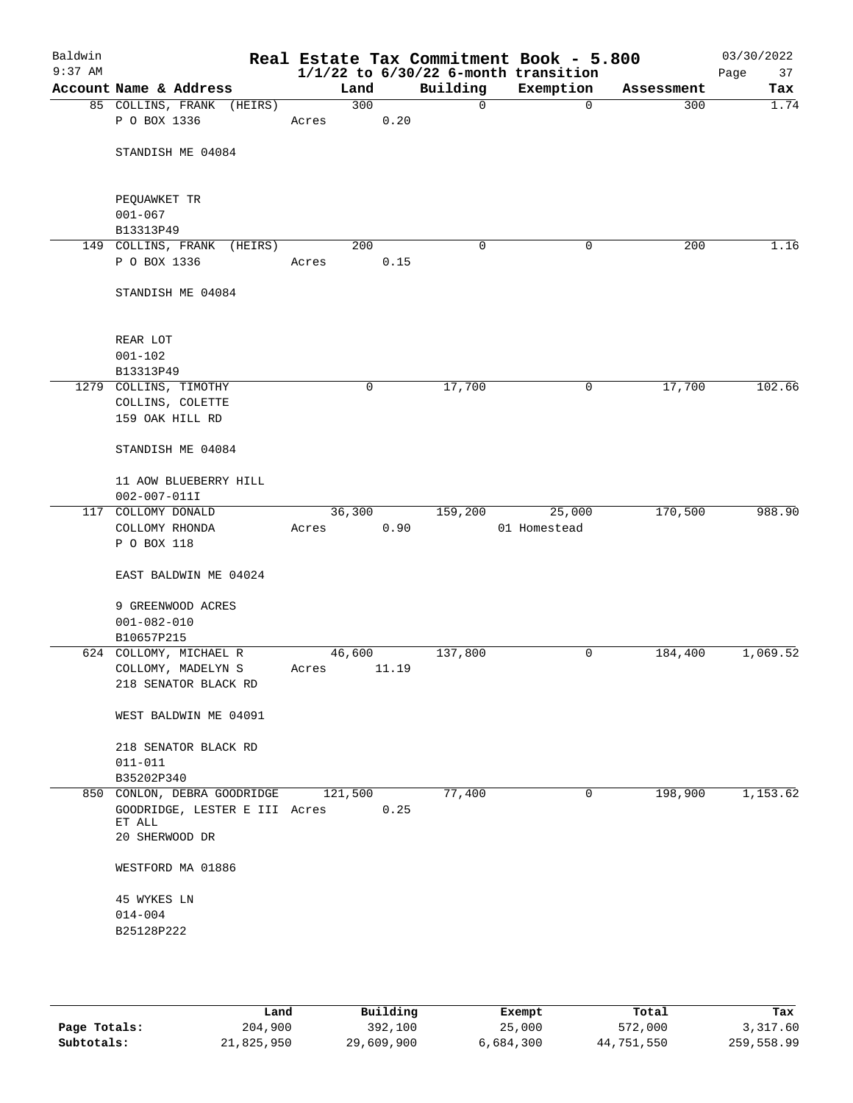| Baldwin<br>$9:37$ AM |                                             |              |       |             | Real Estate Tax Commitment Book - 5.800<br>$1/1/22$ to $6/30/22$ 6-month transition |            | 03/30/2022<br>37<br>Page |
|----------------------|---------------------------------------------|--------------|-------|-------------|-------------------------------------------------------------------------------------|------------|--------------------------|
|                      | Account Name & Address                      | Land         |       | Building    | Exemption                                                                           | Assessment | Tax                      |
|                      | 85 COLLINS, FRANK (HEIRS)                   | 300          |       | $\mathbf 0$ | $\mathbf{0}$                                                                        | 300        | 1.74                     |
|                      | P O BOX 1336                                | Acres        | 0.20  |             |                                                                                     |            |                          |
|                      | STANDISH ME 04084                           |              |       |             |                                                                                     |            |                          |
|                      | PEQUAWKET TR<br>$001 - 067$                 |              |       |             |                                                                                     |            |                          |
|                      | B13313P49                                   |              |       |             |                                                                                     |            |                          |
|                      | 149 COLLINS, FRANK (HEIRS)<br>P O BOX 1336  | 200<br>Acres | 0.15  | 0           | 0                                                                                   | 200        | 1.16                     |
|                      | STANDISH ME 04084                           |              |       |             |                                                                                     |            |                          |
|                      | REAR LOT                                    |              |       |             |                                                                                     |            |                          |
|                      | $001 - 102$                                 |              |       |             |                                                                                     |            |                          |
|                      | B13313P49                                   |              |       |             |                                                                                     |            |                          |
|                      | 1279 COLLINS, TIMOTHY                       |              | 0     | 17,700      | 0                                                                                   | 17,700     | 102.66                   |
|                      | COLLINS, COLETTE<br>159 OAK HILL RD         |              |       |             |                                                                                     |            |                          |
|                      | STANDISH ME 04084                           |              |       |             |                                                                                     |            |                          |
|                      | 11 AOW BLUEBERRY HILL<br>$002 - 007 - 011I$ |              |       |             |                                                                                     |            |                          |
|                      | 117 COLLOMY DONALD                          | 36,300       |       | 159,200     | 25,000                                                                              | 170,500    | 988.90                   |
|                      | COLLOMY RHONDA<br>P O BOX 118               | Acres        | 0.90  |             | 01 Homestead                                                                        |            |                          |
|                      | EAST BALDWIN ME 04024                       |              |       |             |                                                                                     |            |                          |
|                      | 9 GREENWOOD ACRES<br>$001 - 082 - 010$      |              |       |             |                                                                                     |            |                          |
|                      | B10657P215                                  |              |       |             |                                                                                     |            |                          |
|                      | 624 COLLOMY, MICHAEL R                      | 46,600       |       | 137,800     | 0                                                                                   | 184,400    | 1,069.52                 |
|                      | COLLOMY, MADELYN S<br>218 SENATOR BLACK RD  | Acres        | 11.19 |             |                                                                                     |            |                          |
|                      | WEST BALDWIN ME 04091                       |              |       |             |                                                                                     |            |                          |
|                      | 218 SENATOR BLACK RD<br>$011 - 011$         |              |       |             |                                                                                     |            |                          |
|                      | B35202P340                                  |              |       |             |                                                                                     |            |                          |
|                      | 850 CONLON, DEBRA GOODRIDGE                 | 121,500      |       | 77,400      | 0                                                                                   | 198,900    | 1,153.62                 |
|                      | GOODRIDGE, LESTER E III Acres<br>ET ALL     |              | 0.25  |             |                                                                                     |            |                          |
|                      | 20 SHERWOOD DR                              |              |       |             |                                                                                     |            |                          |
|                      | WESTFORD MA 01886                           |              |       |             |                                                                                     |            |                          |
|                      | 45 WYKES LN                                 |              |       |             |                                                                                     |            |                          |
|                      | $014 - 004$<br>B25128P222                   |              |       |             |                                                                                     |            |                          |
|                      |                                             |              |       |             |                                                                                     |            |                          |

|              | Land       | Building   | Exempt    | Total      | Tax        |
|--------------|------------|------------|-----------|------------|------------|
| Page Totals: | 204,900    | 392,100    | 25,000    | 572,000    | 3,317.60   |
| Subtotals:   | 21,825,950 | 29,609,900 | 6,684,300 | 44,751,550 | 259,558.99 |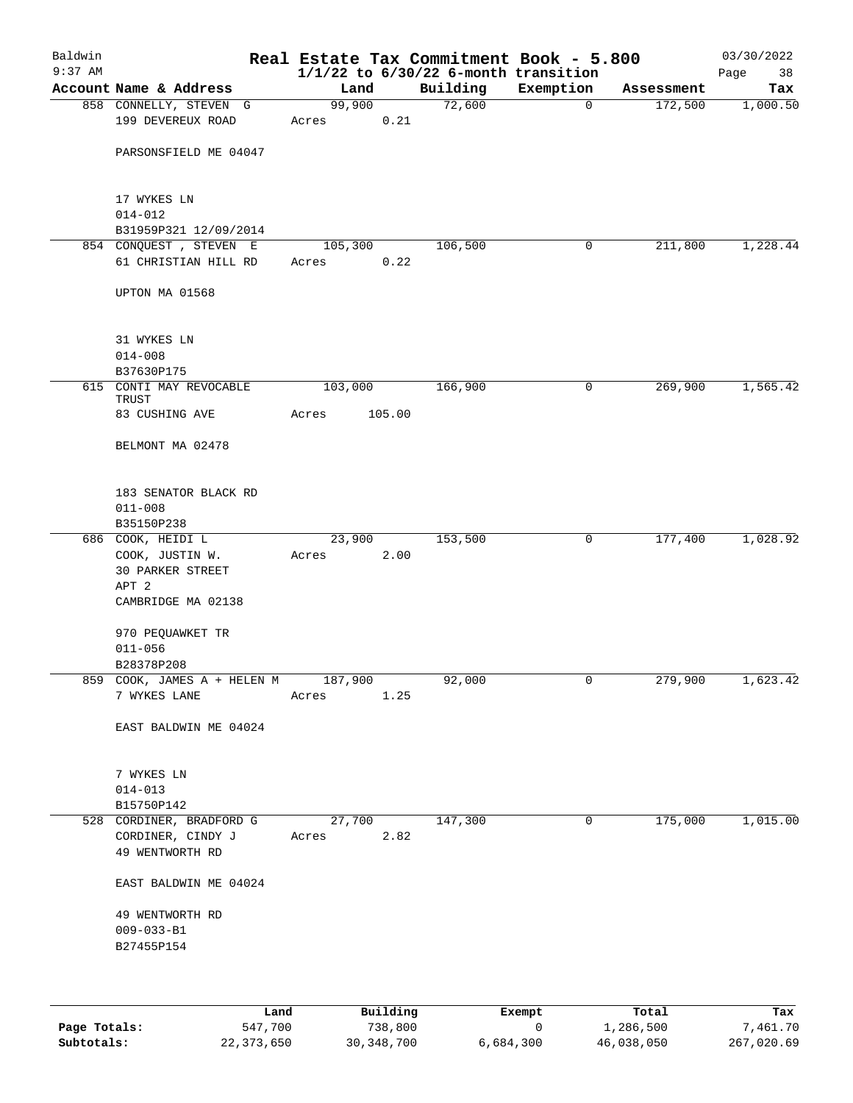| Baldwin<br>$9:37$ AM |                                                                  |                 |        | Real Estate Tax Commitment Book - 5.800<br>$1/1/22$ to $6/30/22$ 6-month transition |             |            | 03/30/2022<br>Page<br>38 |
|----------------------|------------------------------------------------------------------|-----------------|--------|-------------------------------------------------------------------------------------|-------------|------------|--------------------------|
|                      | Account Name & Address                                           | Land            |        | Building                                                                            | Exemption   | Assessment | Tax                      |
|                      | 858 CONNELLY, STEVEN G                                           | 99,900          |        | 72,600                                                                              | $\mathbf 0$ | 172,500    | 1,000.50                 |
|                      | 199 DEVEREUX ROAD                                                | Acres           | 0.21   |                                                                                     |             |            |                          |
|                      | PARSONSFIELD ME 04047                                            |                 |        |                                                                                     |             |            |                          |
|                      | 17 WYKES LN<br>$014 - 012$                                       |                 |        |                                                                                     |             |            |                          |
|                      | B31959P321 12/09/2014                                            |                 |        |                                                                                     |             |            |                          |
|                      | 854 CONQUEST, STEVEN E                                           | 105,300         |        | 106,500                                                                             | 0           | 211,800    | 1,228.44                 |
|                      | 61 CHRISTIAN HILL RD                                             | Acres           | 0.22   |                                                                                     |             |            |                          |
|                      | UPTON MA 01568                                                   |                 |        |                                                                                     |             |            |                          |
|                      | 31 WYKES LN                                                      |                 |        |                                                                                     |             |            |                          |
|                      | $014 - 008$                                                      |                 |        |                                                                                     |             |            |                          |
|                      | B37630P175                                                       |                 |        |                                                                                     |             |            |                          |
|                      | 615 CONTI MAY REVOCABLE<br>TRUST                                 | 103,000         |        | 166,900                                                                             | 0           | 269,900    | 1,565.42                 |
|                      | 83 CUSHING AVE                                                   | Acres           | 105.00 |                                                                                     |             |            |                          |
|                      | BELMONT MA 02478                                                 |                 |        |                                                                                     |             |            |                          |
|                      | 183 SENATOR BLACK RD                                             |                 |        |                                                                                     |             |            |                          |
|                      | $011 - 008$                                                      |                 |        |                                                                                     |             |            |                          |
|                      | B35150P238                                                       |                 |        |                                                                                     |             |            |                          |
|                      | 686 COOK, HEIDI L                                                | 23,900          |        | 153,500                                                                             | 0           | 177,400    | 1,028.92                 |
|                      | COOK, JUSTIN W.<br>30 PARKER STREET                              | Acres           | 2.00   |                                                                                     |             |            |                          |
|                      | APT 2                                                            |                 |        |                                                                                     |             |            |                          |
|                      | CAMBRIDGE MA 02138                                               |                 |        |                                                                                     |             |            |                          |
|                      | 970 PEQUAWKET TR                                                 |                 |        |                                                                                     |             |            |                          |
|                      | $011 - 056$                                                      |                 |        |                                                                                     |             |            |                          |
|                      | B28378P208                                                       |                 |        |                                                                                     |             |            |                          |
|                      | 859 COOK, JAMES A + HELEN M 187,900<br>7 WYKES LANE              | Acres           | 1.25   | 92,000                                                                              | 0           | 279,900    | 1,623.42                 |
|                      |                                                                  |                 |        |                                                                                     |             |            |                          |
|                      | EAST BALDWIN ME 04024                                            |                 |        |                                                                                     |             |            |                          |
|                      | 7 WYKES LN                                                       |                 |        |                                                                                     |             |            |                          |
|                      | $014 - 013$                                                      |                 |        |                                                                                     |             |            |                          |
|                      | B15750P142                                                       |                 |        |                                                                                     |             |            |                          |
|                      | 528 CORDINER, BRADFORD G<br>CORDINER, CINDY J<br>49 WENTWORTH RD | 27,700<br>Acres | 2.82   | 147,300                                                                             | 0           | 175,000    | 1,015.00                 |
|                      | EAST BALDWIN ME 04024                                            |                 |        |                                                                                     |             |            |                          |
|                      | 49 WENTWORTH RD                                                  |                 |        |                                                                                     |             |            |                          |
|                      | $009 - 033 - B1$                                                 |                 |        |                                                                                     |             |            |                          |
|                      | B27455P154                                                       |                 |        |                                                                                     |             |            |                          |
|                      |                                                                  |                 |        |                                                                                     |             |            |                          |
|                      |                                                                  |                 |        |                                                                                     |             |            |                          |

|              | Land       | Building     | Exempt    | Total      | Tax        |
|--------------|------------|--------------|-----------|------------|------------|
| Page Totals: | 547,700    | 738,800      |           | 1,286,500  | 7,461.70   |
| Subtotals:   | 22,373,650 | 30, 348, 700 | 6,684,300 | 46,038,050 | 267,020.69 |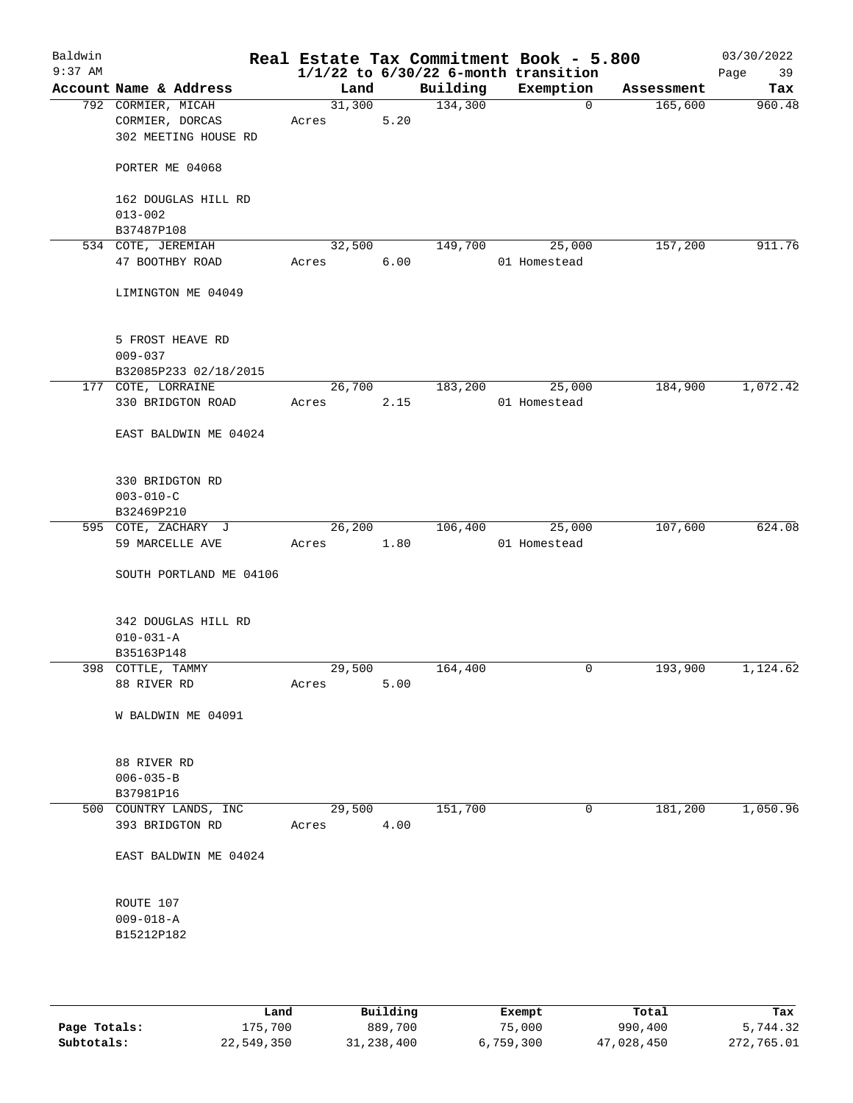| Baldwin<br>$9:37$ AM |                                                               |                 |      |          | Real Estate Tax Commitment Book - 5.800<br>$1/1/22$ to $6/30/22$ 6-month transition |            | 03/30/2022<br>Page<br>39 |
|----------------------|---------------------------------------------------------------|-----------------|------|----------|-------------------------------------------------------------------------------------|------------|--------------------------|
|                      | Account Name & Address                                        | Land            |      | Building | Exemption                                                                           | Assessment | Tax                      |
|                      | 792 CORMIER, MICAH<br>CORMIER, DORCAS<br>302 MEETING HOUSE RD | 31,300<br>Acres | 5.20 | 134,300  | $\mathbf 0$                                                                         | 165,600    | 960.48                   |
|                      | PORTER ME 04068                                               |                 |      |          |                                                                                     |            |                          |
|                      | 162 DOUGLAS HILL RD<br>$013 - 002$                            |                 |      |          |                                                                                     |            |                          |
|                      | B37487P108                                                    |                 |      |          |                                                                                     |            |                          |
|                      | 534 COTE, JEREMIAH                                            | 32,500          |      | 149,700  | 25,000                                                                              | 157,200    | 911.76                   |
|                      | 47 BOOTHBY ROAD                                               | Acres           | 6.00 |          | 01 Homestead                                                                        |            |                          |
|                      | LIMINGTON ME 04049                                            |                 |      |          |                                                                                     |            |                          |
|                      | 5 FROST HEAVE RD                                              |                 |      |          |                                                                                     |            |                          |
|                      | $009 - 037$                                                   |                 |      |          |                                                                                     |            |                          |
|                      | B32085P233 02/18/2015                                         |                 |      |          |                                                                                     |            |                          |
|                      | 177 COTE, LORRAINE                                            | 26,700          |      | 183,200  | 25,000                                                                              | 184,900    | 1,072.42                 |
|                      | 330 BRIDGTON ROAD                                             | Acres           | 2.15 |          | 01 Homestead                                                                        |            |                          |
|                      | EAST BALDWIN ME 04024                                         |                 |      |          |                                                                                     |            |                          |
|                      | 330 BRIDGTON RD                                               |                 |      |          |                                                                                     |            |                          |
|                      | $003 - 010 - C$                                               |                 |      |          |                                                                                     |            |                          |
|                      | B32469P210                                                    |                 |      |          |                                                                                     |            |                          |
|                      | 595 COTE, ZACHARY J                                           | 26,200          |      | 106,400  | 25,000                                                                              | 107,600    | 624.08                   |
|                      | 59 MARCELLE AVE                                               | Acres           | 1.80 |          | 01 Homestead                                                                        |            |                          |
|                      | SOUTH PORTLAND ME 04106                                       |                 |      |          |                                                                                     |            |                          |
|                      | 342 DOUGLAS HILL RD                                           |                 |      |          |                                                                                     |            |                          |
|                      | $010 - 031 - A$                                               |                 |      |          |                                                                                     |            |                          |
|                      | B35163P148                                                    |                 |      |          |                                                                                     |            |                          |
|                      | 398 COTTLE, TAMMY                                             | 29,500          |      | 164,400  | 0                                                                                   | 193,900    | 1,124.62                 |
|                      | 88 RIVER RD                                                   | Acres           | 5.00 |          |                                                                                     |            |                          |
|                      | W BALDWIN ME 04091                                            |                 |      |          |                                                                                     |            |                          |
|                      | 88 RIVER RD<br>$006 - 035 - B$                                |                 |      |          |                                                                                     |            |                          |
|                      | B37981P16                                                     |                 |      |          |                                                                                     |            |                          |
|                      | 500 COUNTRY LANDS, INC                                        | 29,500          |      | 151,700  | 0                                                                                   | 181,200    | 1,050.96                 |
|                      | 393 BRIDGTON RD                                               | Acres           | 4.00 |          |                                                                                     |            |                          |
|                      | EAST BALDWIN ME 04024                                         |                 |      |          |                                                                                     |            |                          |
|                      | ROUTE 107                                                     |                 |      |          |                                                                                     |            |                          |
|                      | $009 - 018 - A$                                               |                 |      |          |                                                                                     |            |                          |
|                      | B15212P182                                                    |                 |      |          |                                                                                     |            |                          |
|                      |                                                               |                 |      |          |                                                                                     |            |                          |
|                      |                                                               |                 |      |          |                                                                                     |            |                          |

|              | Land       | Building   | Exempt    | Total      | Tax        |
|--------------|------------|------------|-----------|------------|------------|
| Page Totals: | 175,700    | 889,700    | 75,000    | 990,400    | 5,744.32   |
| Subtotals:   | 22,549,350 | 31,238,400 | 6,759,300 | 47,028,450 | 272,765.01 |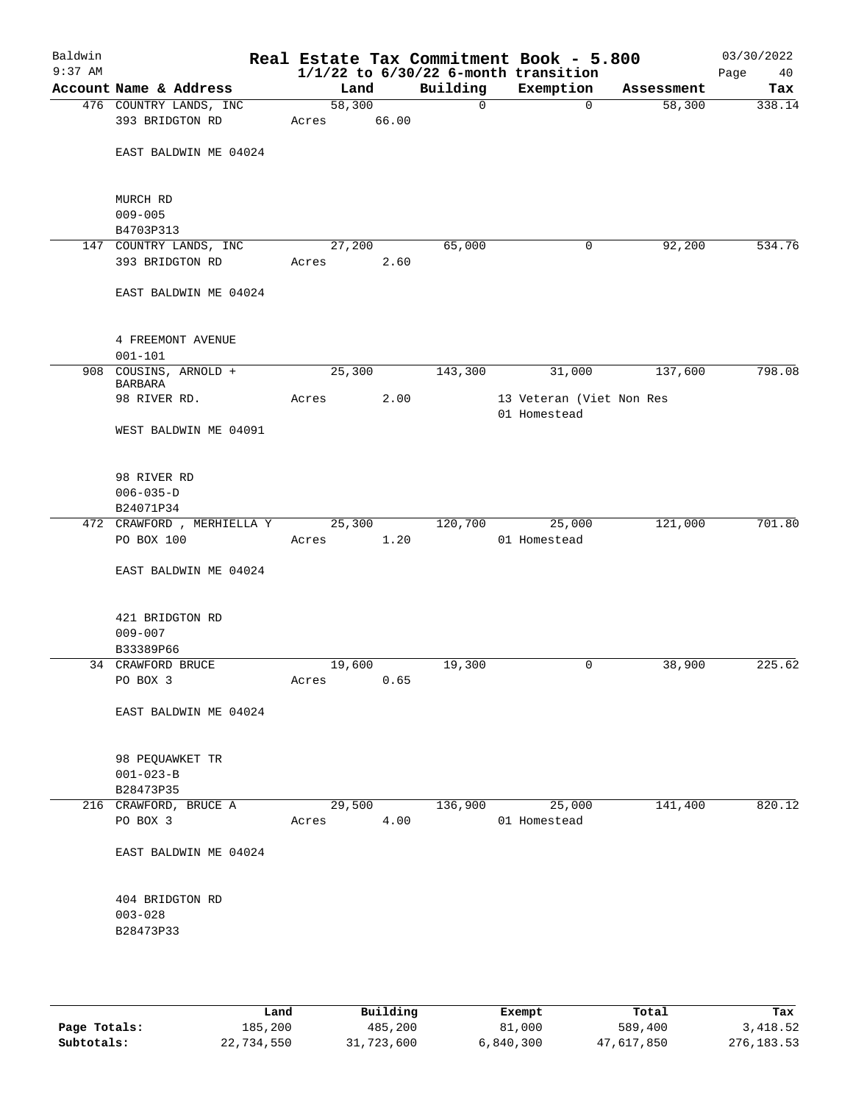| Baldwin<br>$9:37$ AM |                                  |                 |        |             | Real Estate Tax Commitment Book - 5.800<br>$1/1/22$ to $6/30/22$ 6-month transition |            | 03/30/2022<br>Page<br>40 |
|----------------------|----------------------------------|-----------------|--------|-------------|-------------------------------------------------------------------------------------|------------|--------------------------|
|                      | Account Name & Address           | Land            |        | Building    | Exemption                                                                           | Assessment | Tax                      |
|                      | 476 COUNTRY LANDS, INC           | 58,300          |        | $\mathbf 0$ | 0                                                                                   | 58,300     | 338.14                   |
|                      | 393 BRIDGTON RD                  | Acres           | 66.00  |             |                                                                                     |            |                          |
|                      | EAST BALDWIN ME 04024            |                 |        |             |                                                                                     |            |                          |
|                      | MURCH RD<br>$009 - 005$          |                 |        |             |                                                                                     |            |                          |
|                      | B4703P313                        |                 |        |             |                                                                                     |            |                          |
|                      | 147 COUNTRY LANDS, INC           | 27,200          |        | 65,000      | 0                                                                                   | 92,200     | 534.76                   |
|                      | 393 BRIDGTON RD                  | Acres           | 2.60   |             |                                                                                     |            |                          |
|                      | EAST BALDWIN ME 04024            |                 |        |             |                                                                                     |            |                          |
|                      | 4 FREEMONT AVENUE                |                 |        |             |                                                                                     |            |                          |
|                      | $001 - 101$                      |                 |        |             |                                                                                     |            |                          |
|                      | 908 COUSINS, ARNOLD +<br>BARBARA | 25,300          |        | 143,300     | 31,000                                                                              | 137,600    | 798.08                   |
|                      | 98 RIVER RD.                     | Acres           | 2.00   |             | 13 Veteran (Viet Non Res<br>01 Homestead                                            |            |                          |
|                      | WEST BALDWIN ME 04091            |                 |        |             |                                                                                     |            |                          |
|                      | 98 RIVER RD                      |                 |        |             |                                                                                     |            |                          |
|                      | $006 - 035 - D$                  |                 |        |             |                                                                                     |            |                          |
|                      | B24071P34                        |                 |        |             |                                                                                     |            |                          |
|                      | 472 CRAWFORD , MERHIELLA Y       | 25, 300         |        | 120,700     | 25,000                                                                              | 121,000    | 701.80                   |
|                      | PO BOX 100                       | Acres           | 1.20   |             | 01 Homestead                                                                        |            |                          |
|                      | EAST BALDWIN ME 04024            |                 |        |             |                                                                                     |            |                          |
|                      | 421 BRIDGTON RD                  |                 |        |             |                                                                                     |            |                          |
|                      | $009 - 007$                      |                 |        |             |                                                                                     |            |                          |
|                      | B33389P66<br>34 CRAWFORD BRUCE   |                 |        |             |                                                                                     |            | 225.62                   |
|                      | PO BOX 3                         | 19,600<br>Acres | 0.65   | 19,300      | 0                                                                                   | 38,900     |                          |
|                      | EAST BALDWIN ME 04024            |                 |        |             |                                                                                     |            |                          |
|                      | 98 PEQUAWKET TR                  |                 |        |             |                                                                                     |            |                          |
|                      | $001 - 023 - B$                  |                 |        |             |                                                                                     |            |                          |
|                      | B28473P35                        |                 |        |             |                                                                                     |            |                          |
|                      | 216 CRAWFORD, BRUCE A            |                 | 29,500 | 136,900     | 25,000                                                                              | 141,400    | 820.12                   |
|                      | PO BOX 3                         | Acres           | 4.00   |             | 01 Homestead                                                                        |            |                          |
|                      | EAST BALDWIN ME 04024            |                 |        |             |                                                                                     |            |                          |
|                      | 404 BRIDGTON RD                  |                 |        |             |                                                                                     |            |                          |
|                      | $003 - 028$                      |                 |        |             |                                                                                     |            |                          |
|                      | B28473P33                        |                 |        |             |                                                                                     |            |                          |
|                      |                                  |                 |        |             |                                                                                     |            |                          |
|                      |                                  |                 |        |             |                                                                                     |            |                          |

|              | Land       | Building   | Exempt    | Total      | Tax        |
|--------------|------------|------------|-----------|------------|------------|
| Page Totals: | 185,200    | 485,200    | 81,000    | 589,400    | 3,418.52   |
| Subtotals:   | 22,734,550 | 31,723,600 | 6,840,300 | 47,617,850 | 276,183.53 |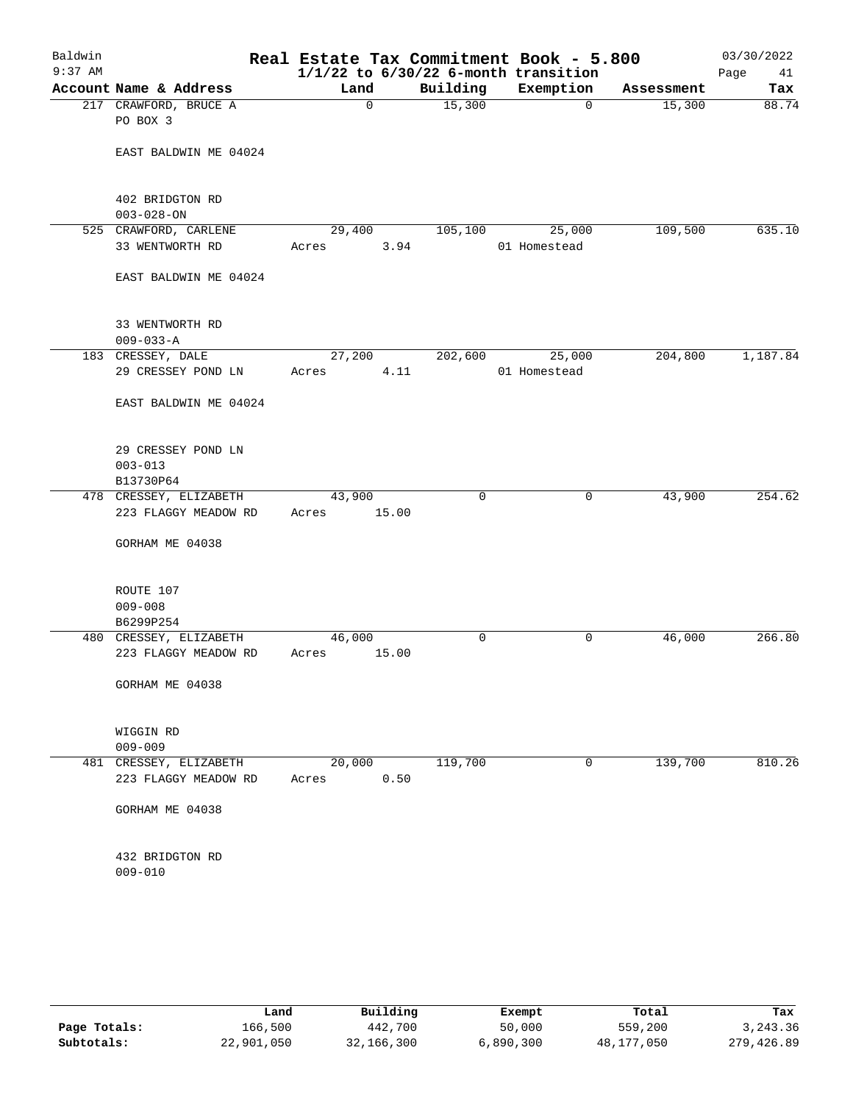| Baldwin<br>$9:37$ AM |                        | Real Estate Tax Commitment Book - 5.800<br>$1/1/22$ to $6/30/22$ 6-month transition |             |              |            | 03/30/2022<br>Page<br>41 |
|----------------------|------------------------|-------------------------------------------------------------------------------------|-------------|--------------|------------|--------------------------|
|                      | Account Name & Address | Land                                                                                | Building    | Exemption    | Assessment | Tax                      |
|                      | 217 CRAWFORD, BRUCE A  | 0                                                                                   | 15,300      | $\mathbf 0$  | 15,300     | 88.74                    |
|                      | PO BOX 3               |                                                                                     |             |              |            |                          |
|                      | EAST BALDWIN ME 04024  |                                                                                     |             |              |            |                          |
|                      |                        |                                                                                     |             |              |            |                          |
|                      | 402 BRIDGTON RD        |                                                                                     |             |              |            |                          |
|                      | $003 - 028 - ON$       |                                                                                     |             |              |            |                          |
|                      | 525 CRAWFORD, CARLENE  | 29,400                                                                              | 105, 100    | 25,000       | 109,500    | 635.10                   |
|                      | 33 WENTWORTH RD        | Acres<br>3.94                                                                       |             | 01 Homestead |            |                          |
|                      | EAST BALDWIN ME 04024  |                                                                                     |             |              |            |                          |
|                      | 33 WENTWORTH RD        |                                                                                     |             |              |            |                          |
|                      | $009 - 033 - A$        |                                                                                     |             |              |            |                          |
|                      | 183 CRESSEY, DALE      | 27,200                                                                              | 202,600     | 25,000       | 204,800    | 1,187.84                 |
|                      | 29 CRESSEY POND LN     | 4.11<br>Acres                                                                       |             | 01 Homestead |            |                          |
|                      | EAST BALDWIN ME 04024  |                                                                                     |             |              |            |                          |
|                      | 29 CRESSEY POND LN     |                                                                                     |             |              |            |                          |
|                      | $003 - 013$            |                                                                                     |             |              |            |                          |
|                      | B13730P64              |                                                                                     |             |              |            |                          |
|                      | 478 CRESSEY, ELIZABETH | 43,900                                                                              | $\mathbf 0$ | 0            | 43,900     | 254.62                   |
|                      | 223 FLAGGY MEADOW RD   | 15.00<br>Acres                                                                      |             |              |            |                          |
|                      | GORHAM ME 04038        |                                                                                     |             |              |            |                          |
|                      | ROUTE 107              |                                                                                     |             |              |            |                          |
|                      | $009 - 008$            |                                                                                     |             |              |            |                          |
|                      | B6299P254              |                                                                                     |             |              |            |                          |
|                      | 480 CRESSEY, ELIZABETH | 46,000                                                                              | 0           | 0            | 46,000     | 266.80                   |
|                      | 223 FLAGGY MEADOW RD   | 15.00<br>Acres                                                                      |             |              |            |                          |
|                      | GORHAM ME 04038        |                                                                                     |             |              |            |                          |
|                      | WIGGIN RD              |                                                                                     |             |              |            |                          |
|                      | $009 - 009$            |                                                                                     |             |              |            |                          |
|                      | 481 CRESSEY, ELIZABETH | 20,000                                                                              | 119,700     | 0            | 139,700    | 810.26                   |
|                      | 223 FLAGGY MEADOW RD   | 0.50<br>Acres                                                                       |             |              |            |                          |
|                      | GORHAM ME 04038        |                                                                                     |             |              |            |                          |
|                      | 432 BRIDGTON RD        |                                                                                     |             |              |            |                          |
|                      | $009 - 010$            |                                                                                     |             |              |            |                          |
|                      |                        |                                                                                     |             |              |            |                          |

|              | Land       | Building   | Exempt    | Total      | Tax        |
|--------------|------------|------------|-----------|------------|------------|
| Page Totals: | 166,500    | 442,700    | 50,000    | 559,200    | 3,243.36   |
| Subtotals:   | 22,901,050 | 32,166,300 | 6,890,300 | 48,177,050 | 279,426.89 |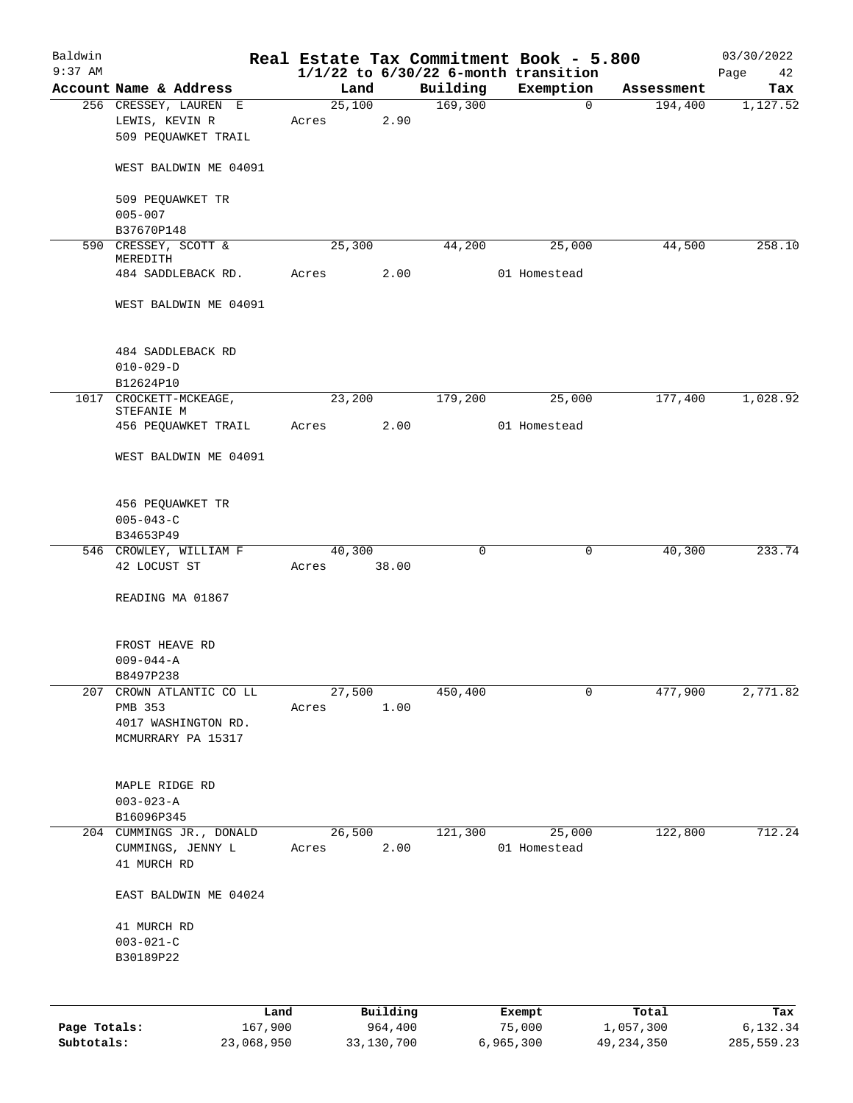| Baldwin<br>$9:37$ AM |                                                                |                 |                     |          | Real Estate Tax Commitment Book - 5.800<br>$1/1/22$ to $6/30/22$ 6-month transition |                    | 03/30/2022<br>Page<br>42 |
|----------------------|----------------------------------------------------------------|-----------------|---------------------|----------|-------------------------------------------------------------------------------------|--------------------|--------------------------|
|                      | Account Name & Address                                         | Land            |                     | Building | Exemption                                                                           | Assessment         | Tax                      |
|                      | 256 CRESSEY, LAUREN E<br>LEWIS, KEVIN R<br>509 PEOUAWKET TRAIL | 25,100<br>Acres | 2.90                | 169,300  | $\mathbf 0$                                                                         | 194,400            | 1,127.52                 |
|                      | WEST BALDWIN ME 04091                                          |                 |                     |          |                                                                                     |                    |                          |
|                      | 509 PEQUAWKET TR<br>$005 - 007$                                |                 |                     |          |                                                                                     |                    |                          |
|                      | B37670P148                                                     |                 |                     |          |                                                                                     |                    |                          |
|                      | 590 CRESSEY, SCOTT &<br>MEREDITH                               | 25,300          |                     | 44,200   | 25,000                                                                              | 44,500             | 258.10                   |
|                      | 484 SADDLEBACK RD.                                             | Acres           | 2.00                |          | 01 Homestead                                                                        |                    |                          |
|                      | WEST BALDWIN ME 04091                                          |                 |                     |          |                                                                                     |                    |                          |
|                      | 484 SADDLEBACK RD<br>$010 - 029 - D$                           |                 |                     |          |                                                                                     |                    |                          |
| 1017                 | B12624P10<br>CROCKETT-MCKEAGE,                                 | 23,200          |                     | 179,200  | 25,000                                                                              | 177,400            | 1,028.92                 |
|                      | STEFANIE M<br>456 PEQUAWKET TRAIL                              | Acres           | 2.00                |          | 01 Homestead                                                                        |                    |                          |
|                      | WEST BALDWIN ME 04091                                          |                 |                     |          |                                                                                     |                    |                          |
|                      | 456 PEQUAWKET TR<br>$005 - 043 - C$<br>B34653P49               |                 |                     |          |                                                                                     |                    |                          |
|                      | 546 CROWLEY, WILLIAM F                                         | 40,300          |                     | 0        | 0                                                                                   | 40,300             | 233.74                   |
|                      | 42 LOCUST ST                                                   | Acres           | 38.00               |          |                                                                                     |                    |                          |
|                      | READING MA 01867                                               |                 |                     |          |                                                                                     |                    |                          |
|                      | FROST HEAVE RD<br>$009 - 044 - A$<br>B8497P238                 |                 |                     |          |                                                                                     |                    |                          |
| 207                  | CROWN ATLANTIC CO LL                                           | 27,500          |                     | 450,400  | 0                                                                                   | 477,900            | 2,771.82                 |
|                      | PMB 353<br>4017 WASHINGTON RD.<br>MCMURRARY PA 15317           | Acres           | 1.00                |          |                                                                                     |                    |                          |
|                      | MAPLE RIDGE RD<br>$003 - 023 - A$<br>B16096P345                |                 |                     |          |                                                                                     |                    |                          |
|                      | 204 CUMMINGS JR., DONALD<br>CUMMINGS, JENNY L<br>41 MURCH RD   | 26,500<br>Acres | 2.00                | 121,300  | 25,000<br>01 Homestead                                                              | 122,800            | 712.24                   |
|                      | EAST BALDWIN ME 04024                                          |                 |                     |          |                                                                                     |                    |                          |
|                      | 41 MURCH RD<br>$003 - 021 - C$<br>B30189P22                    |                 |                     |          |                                                                                     |                    |                          |
|                      |                                                                |                 |                     |          |                                                                                     |                    |                          |
| Page Totals:         | Land<br>167,900                                                |                 | Building<br>964,400 |          | Exempt<br>75,000                                                                    | Total<br>1,057,300 | Tax<br>6,132.34          |

**Subtotals:** 23,068,950 33,130,700 6,965,300 49,234,350 285,559.23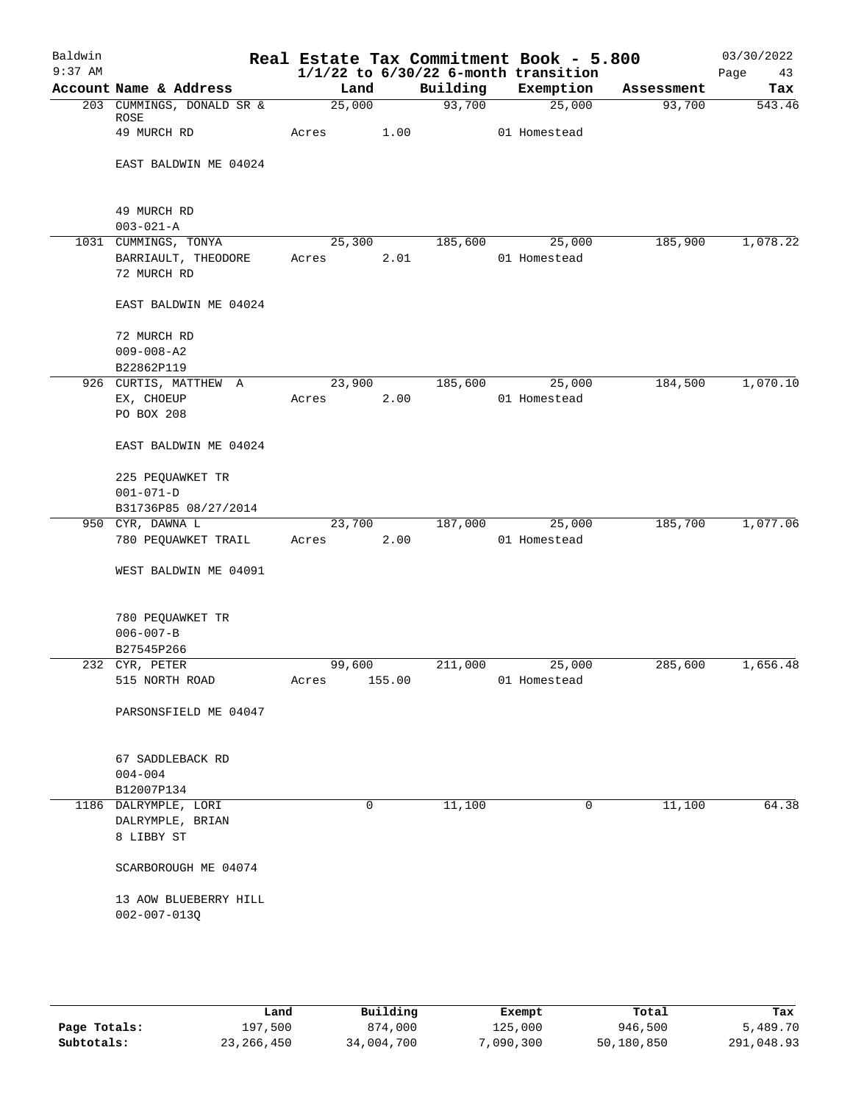| Baldwin   |                                   |        |        | Real Estate Tax Commitment Book - 5.800  |              |            | 03/30/2022 |
|-----------|-----------------------------------|--------|--------|------------------------------------------|--------------|------------|------------|
| $9:37$ AM |                                   |        |        | $1/1/22$ to $6/30/22$ 6-month transition |              |            | Page<br>43 |
|           | Account Name & Address            | Land   |        | Building                                 | Exemption    | Assessment | Tax        |
|           | 203 CUMMINGS, DONALD SR &<br>ROSE | 25,000 |        | 93,700                                   | 25,000       | 93,700     | 543.46     |
|           | 49 MURCH RD                       | Acres  | 1.00   |                                          | 01 Homestead |            |            |
|           | EAST BALDWIN ME 04024             |        |        |                                          |              |            |            |
|           |                                   |        |        |                                          |              |            |            |
|           | 49 MURCH RD<br>$003 - 021 - A$    |        |        |                                          |              |            |            |
|           | 1031 CUMMINGS, TONYA              | 25,300 |        | 185,600                                  | 25,000       | 185,900    | 1,078.22   |
|           | BARRIAULT, THEODORE               | Acres  | 2.01   |                                          | 01 Homestead |            |            |
|           | 72 MURCH RD                       |        |        |                                          |              |            |            |
|           | EAST BALDWIN ME 04024             |        |        |                                          |              |            |            |
|           | 72 MURCH RD                       |        |        |                                          |              |            |            |
|           | $009 - 008 - A2$                  |        |        |                                          |              |            |            |
|           | B22862P119                        |        |        |                                          |              |            |            |
|           | 926 CURTIS, MATTHEW A             | 23,900 |        | 185,600                                  | 25,000       | 184,500    | 1,070.10   |
|           | EX, CHOEUP                        | Acres  | 2.00   |                                          | 01 Homestead |            |            |
|           | PO BOX 208                        |        |        |                                          |              |            |            |
|           | EAST BALDWIN ME 04024             |        |        |                                          |              |            |            |
|           | 225 PEQUAWKET TR                  |        |        |                                          |              |            |            |
|           | $001 - 071 - D$                   |        |        |                                          |              |            |            |
|           | B31736P85 08/27/2014              |        |        |                                          |              |            |            |
|           | 950 CYR, DAWNA L                  | 23,700 |        | 187,000                                  | 25,000       | 185,700    | 1,077.06   |
|           | 780 PEQUAWKET TRAIL               | Acres  | 2.00   |                                          | 01 Homestead |            |            |
|           | WEST BALDWIN ME 04091             |        |        |                                          |              |            |            |
|           | 780 PEQUAWKET TR                  |        |        |                                          |              |            |            |
|           | $006 - 007 - B$                   |        |        |                                          |              |            |            |
|           | B27545P266                        |        |        |                                          |              |            |            |
|           | 232 CYR, PETER                    | 99,600 |        | 211,000                                  | 25,000       | 285,600    | 1,656.48   |
|           | 515 NORTH ROAD                    | Acres  | 155.00 |                                          | 01 Homestead |            |            |
|           | PARSONSFIELD ME 04047             |        |        |                                          |              |            |            |
|           | 67 SADDLEBACK RD                  |        |        |                                          |              |            |            |
|           | $004 - 004$                       |        |        |                                          |              |            |            |
|           | B12007P134                        |        |        |                                          |              |            |            |
|           | 1186 DALRYMPLE, LORI              |        | 0      | 11,100                                   | 0            | 11,100     | 64.38      |
|           | DALRYMPLE, BRIAN                  |        |        |                                          |              |            |            |
|           | 8 LIBBY ST                        |        |        |                                          |              |            |            |
|           | SCARBOROUGH ME 04074              |        |        |                                          |              |            |            |
|           | 13 AOW BLUEBERRY HILL             |        |        |                                          |              |            |            |
|           | $002 - 007 - 013Q$                |        |        |                                          |              |            |            |
|           |                                   |        |        |                                          |              |            |            |
|           |                                   |        |        |                                          |              |            |            |

|              | Land       | Building   | Exempt    | Total      | Tax        |
|--------------|------------|------------|-----------|------------|------------|
| Page Totals: | 197,500    | 874,000    | 125,000   | 946,500    | 5,489.70   |
| Subtotals:   | 23,266,450 | 34,004,700 | 7,090,300 | 50,180,850 | 291,048.93 |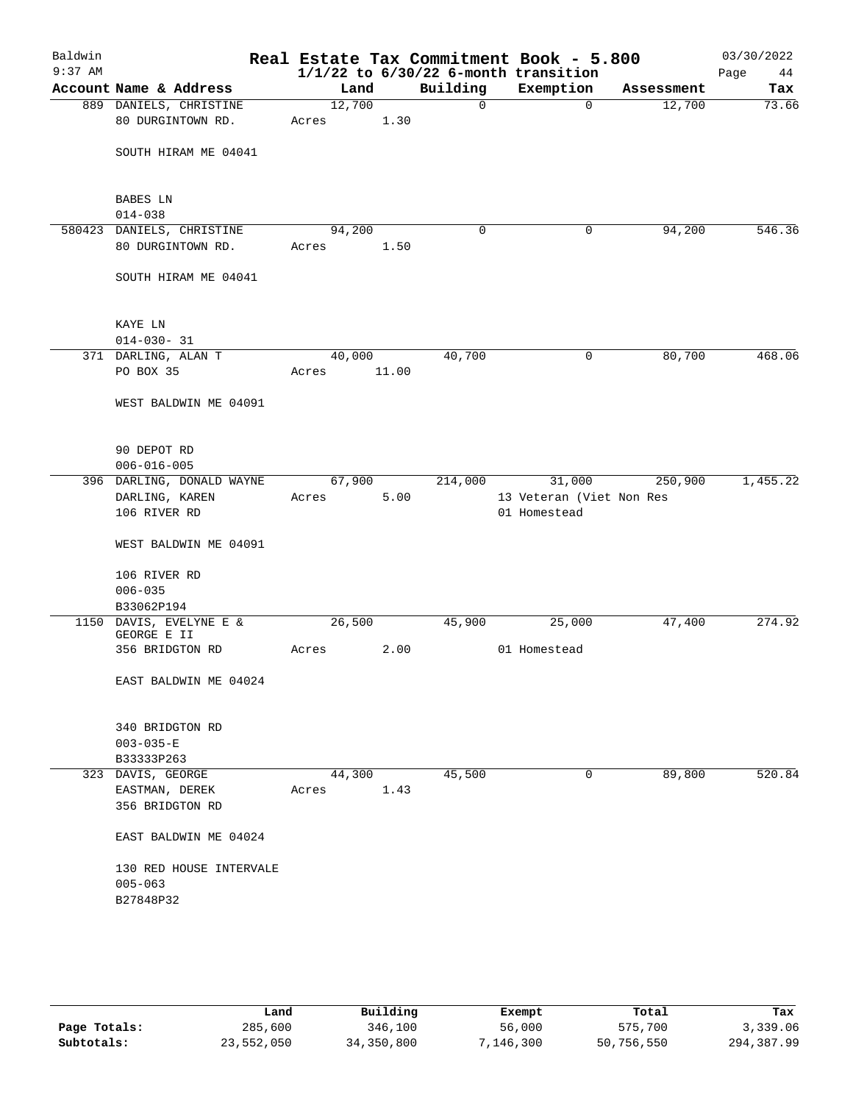| Baldwin<br>$9:37$ AM |                                         |        |       |             | Real Estate Tax Commitment Book - 5.800<br>$1/1/22$ to $6/30/22$ 6-month transition |            | 03/30/2022<br>Page<br>44 |
|----------------------|-----------------------------------------|--------|-------|-------------|-------------------------------------------------------------------------------------|------------|--------------------------|
|                      | Account Name & Address                  | Land   |       | Building    | Exemption                                                                           | Assessment | Tax                      |
|                      | 889 DANIELS, CHRISTINE                  | 12,700 |       | $\mathbf 0$ | $\mathbf{0}$                                                                        | 12,700     | 73.66                    |
|                      | 80 DURGINTOWN RD.                       | Acres  | 1.30  |             |                                                                                     |            |                          |
|                      |                                         |        |       |             |                                                                                     |            |                          |
|                      | SOUTH HIRAM ME 04041                    |        |       |             |                                                                                     |            |                          |
|                      |                                         |        |       |             |                                                                                     |            |                          |
|                      | BABES LN                                |        |       |             |                                                                                     |            |                          |
|                      | $014 - 038$                             |        |       |             |                                                                                     |            |                          |
|                      | 580423 DANIELS, CHRISTINE               | 94,200 |       | $\mathbf 0$ | 0                                                                                   | 94,200     | 546.36                   |
|                      | 80 DURGINTOWN RD.                       | Acres  | 1.50  |             |                                                                                     |            |                          |
|                      |                                         |        |       |             |                                                                                     |            |                          |
|                      | SOUTH HIRAM ME 04041                    |        |       |             |                                                                                     |            |                          |
|                      |                                         |        |       |             |                                                                                     |            |                          |
|                      |                                         |        |       |             |                                                                                     |            |                          |
|                      | KAYE LN                                 |        |       |             |                                                                                     |            |                          |
|                      | $014 - 030 - 31$<br>371 DARLING, ALAN T | 40,000 |       | 40,700      | 0                                                                                   | 80,700     | 468.06                   |
|                      | PO BOX 35                               | Acres  | 11.00 |             |                                                                                     |            |                          |
|                      |                                         |        |       |             |                                                                                     |            |                          |
|                      | WEST BALDWIN ME 04091                   |        |       |             |                                                                                     |            |                          |
|                      |                                         |        |       |             |                                                                                     |            |                          |
|                      |                                         |        |       |             |                                                                                     |            |                          |
|                      | 90 DEPOT RD                             |        |       |             |                                                                                     |            |                          |
|                      | $006 - 016 - 005$                       |        |       |             |                                                                                     |            |                          |
|                      | 396 DARLING, DONALD WAYNE               | 67,900 |       | 214,000     | 31,000                                                                              | 250,900    | 1,455.22                 |
|                      | DARLING, KAREN                          | Acres  | 5.00  |             | 13 Veteran (Viet Non Res                                                            |            |                          |
|                      | 106 RIVER RD                            |        |       |             | 01 Homestead                                                                        |            |                          |
|                      | WEST BALDWIN ME 04091                   |        |       |             |                                                                                     |            |                          |
|                      |                                         |        |       |             |                                                                                     |            |                          |
|                      | 106 RIVER RD                            |        |       |             |                                                                                     |            |                          |
|                      | $006 - 035$                             |        |       |             |                                                                                     |            |                          |
|                      | B33062P194                              |        |       |             |                                                                                     |            |                          |
|                      | 1150 DAVIS, EVELYNE E &<br>GEORGE E II  | 26,500 |       | 45,900      | 25,000                                                                              | 47,400     | 274.92                   |
|                      | 356 BRIDGTON RD                         | Acres  | 2.00  |             | 01 Homestead                                                                        |            |                          |
|                      |                                         |        |       |             |                                                                                     |            |                          |
|                      | EAST BALDWIN ME 04024                   |        |       |             |                                                                                     |            |                          |
|                      |                                         |        |       |             |                                                                                     |            |                          |
|                      |                                         |        |       |             |                                                                                     |            |                          |
|                      | 340 BRIDGTON RD<br>$003 - 035 - E$      |        |       |             |                                                                                     |            |                          |
|                      | B33333P263                              |        |       |             |                                                                                     |            |                          |
|                      | 323 DAVIS, GEORGE                       | 44,300 |       | 45,500      | 0                                                                                   | 89,800     | 520.84                   |
|                      | EASTMAN, DEREK                          | Acres  | 1.43  |             |                                                                                     |            |                          |
|                      | 356 BRIDGTON RD                         |        |       |             |                                                                                     |            |                          |
|                      |                                         |        |       |             |                                                                                     |            |                          |
|                      | EAST BALDWIN ME 04024                   |        |       |             |                                                                                     |            |                          |
|                      |                                         |        |       |             |                                                                                     |            |                          |
|                      | 130 RED HOUSE INTERVALE                 |        |       |             |                                                                                     |            |                          |
|                      | $005 - 063$                             |        |       |             |                                                                                     |            |                          |
|                      | B27848P32                               |        |       |             |                                                                                     |            |                          |
|                      |                                         |        |       |             |                                                                                     |            |                          |
|                      |                                         |        |       |             |                                                                                     |            |                          |
|                      |                                         |        |       |             |                                                                                     |            |                          |

|              | Land       | Building   | Exempt    | Total      | Tax        |
|--------------|------------|------------|-----------|------------|------------|
| Page Totals: | 285,600    | 346,100    | 56,000    | 575,700    | 3,339.06   |
| Subtotals:   | 23,552,050 | 34,350,800 | 7,146,300 | 50,756,550 | 294,387.99 |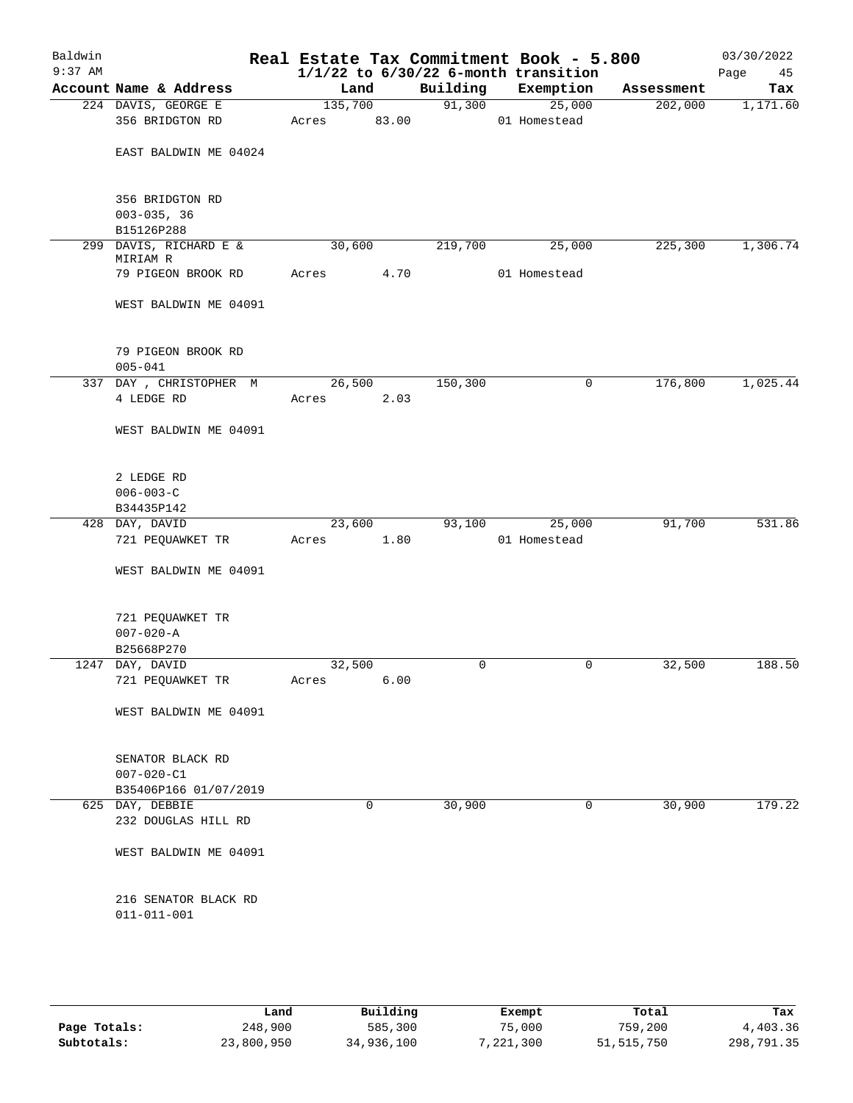| Baldwin<br>$9:37$ AM |                                           | Real Estate Tax Commitment Book - 5.800 |       | $1/1/22$ to $6/30/22$ 6-month transition |              |        |            | 03/30/2022<br>Page<br>45 |
|----------------------|-------------------------------------------|-----------------------------------------|-------|------------------------------------------|--------------|--------|------------|--------------------------|
|                      | Account Name & Address                    | Land                                    |       | Building                                 | Exemption    |        | Assessment | Tax                      |
|                      | 224 DAVIS, GEORGE E                       | 135,700                                 |       | 91,300                                   |              | 25,000 | 202,000    | 1,171.60                 |
|                      | 356 BRIDGTON RD                           | Acres                                   | 83.00 |                                          | 01 Homestead |        |            |                          |
|                      | EAST BALDWIN ME 04024                     |                                         |       |                                          |              |        |            |                          |
|                      | 356 BRIDGTON RD                           |                                         |       |                                          |              |        |            |                          |
|                      | $003 - 035, 36$                           |                                         |       |                                          |              |        |            |                          |
|                      | B15126P288                                |                                         |       |                                          |              |        |            |                          |
| 299                  | DAVIS, RICHARD E &<br>MIRIAM R            | 30,600                                  |       | 219,700                                  |              | 25,000 | 225,300    | 1,306.74                 |
|                      | 79 PIGEON BROOK RD                        | Acres                                   | 4.70  |                                          | 01 Homestead |        |            |                          |
|                      | WEST BALDWIN ME 04091                     |                                         |       |                                          |              |        |            |                          |
|                      | 79 PIGEON BROOK RD<br>$005 - 041$         |                                         |       |                                          |              |        |            |                          |
|                      | 337 DAY, CHRISTOPHER M                    | 26,500                                  |       | 150,300                                  |              | 0      | 176,800    | 1,025.44                 |
|                      | 4 LEDGE RD                                | Acres                                   | 2.03  |                                          |              |        |            |                          |
|                      | WEST BALDWIN ME 04091                     |                                         |       |                                          |              |        |            |                          |
|                      | 2 LEDGE RD<br>$006 - 003 - C$             |                                         |       |                                          |              |        |            |                          |
|                      | B34435P142                                |                                         |       |                                          |              |        |            |                          |
|                      | 428 DAY, DAVID                            | 23,600                                  |       | 93,100                                   |              | 25,000 | 91,700     | 531.86                   |
|                      | 721 PEQUAWKET TR                          | Acres                                   | 1.80  |                                          | 01 Homestead |        |            |                          |
|                      | WEST BALDWIN ME 04091                     |                                         |       |                                          |              |        |            |                          |
|                      | 721 PEQUAWKET TR                          |                                         |       |                                          |              |        |            |                          |
|                      | $007 - 020 - A$                           |                                         |       |                                          |              |        |            |                          |
|                      | B25668P270<br>1247 DAY, DAVID             | 32,500                                  |       | 0                                        |              | 0      | 32,500     | 188.50                   |
|                      | 721 PEQUAWKET TR                          | Acres                                   | 6.00  |                                          |              |        |            |                          |
|                      | WEST BALDWIN ME 04091                     |                                         |       |                                          |              |        |            |                          |
|                      | SENATOR BLACK RD                          |                                         |       |                                          |              |        |            |                          |
|                      | $007 - 020 - C1$                          |                                         |       |                                          |              |        |            |                          |
|                      | B35406P166 01/07/2019                     |                                         |       |                                          |              |        |            |                          |
|                      | 625 DAY, DEBBIE                           |                                         | 0     | 30,900                                   |              | 0      | 30,900     | 179.22                   |
|                      | 232 DOUGLAS HILL RD                       |                                         |       |                                          |              |        |            |                          |
|                      | WEST BALDWIN ME 04091                     |                                         |       |                                          |              |        |            |                          |
|                      | 216 SENATOR BLACK RD<br>$011 - 011 - 001$ |                                         |       |                                          |              |        |            |                          |
|                      |                                           |                                         |       |                                          |              |        |            |                          |

|              | Land       | Building   | Exempt    | Total        | Tax        |
|--------------|------------|------------|-----------|--------------|------------|
| Page Totals: | 248,900    | 585,300    | 75,000    | 759,200      | 4,403.36   |
| Subtotals:   | 23,800,950 | 34,936,100 | 7,221,300 | 51, 515, 750 | 298,791.35 |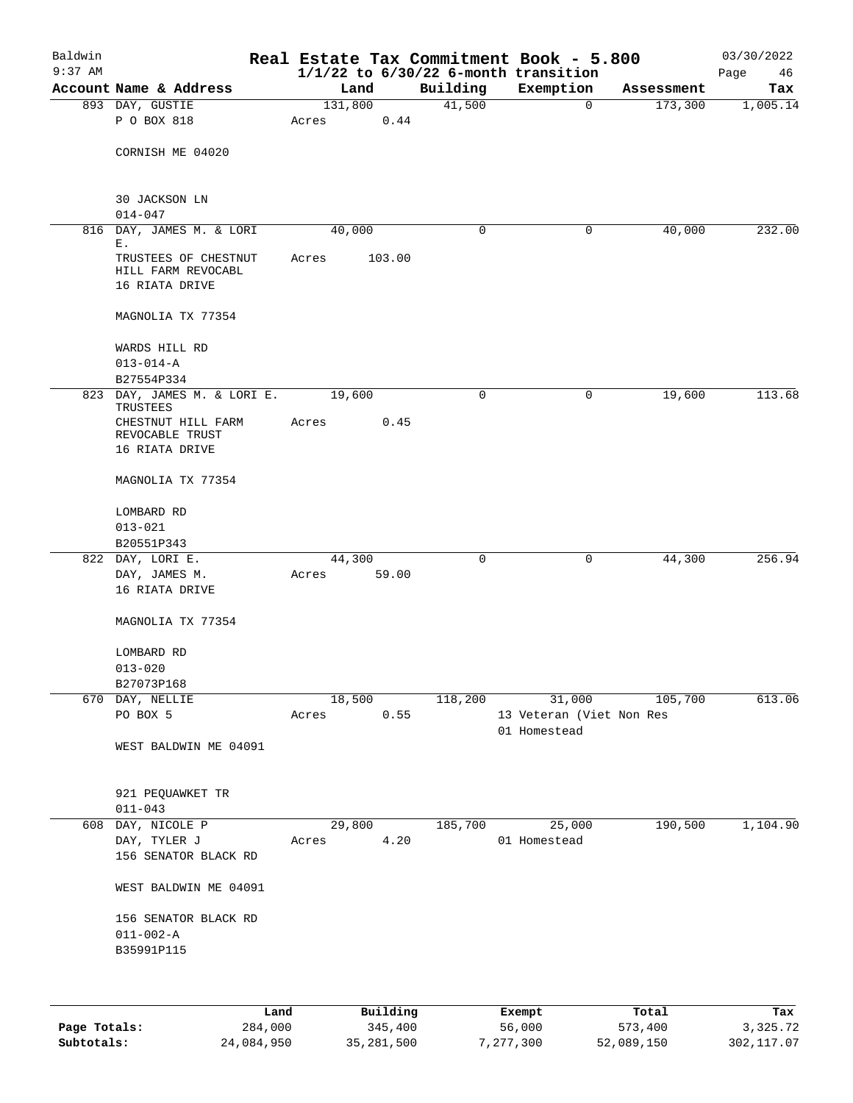| Baldwin<br>$9:37$ AM |                                                                                                    |       |         |        |          | Real Estate Tax Commitment Book - 5.800<br>$1/1/22$ to $6/30/22$ 6-month transition |            | 03/30/2022<br>Page<br>46 |
|----------------------|----------------------------------------------------------------------------------------------------|-------|---------|--------|----------|-------------------------------------------------------------------------------------|------------|--------------------------|
|                      | Account Name & Address                                                                             |       | Land    |        | Building | Exemption                                                                           | Assessment | Tax                      |
|                      | 893 DAY, GUSTIE<br>P O BOX 818                                                                     | Acres | 131,800 | 0.44   | 41,500   | $\mathbf 0$                                                                         | 173,300    | 1,005.14                 |
|                      | CORNISH ME 04020                                                                                   |       |         |        |          |                                                                                     |            |                          |
|                      | <b>30 JACKSON LN</b><br>$014 - 047$                                                                |       |         |        |          |                                                                                     |            |                          |
|                      | 816 DAY, JAMES M. & LORI                                                                           |       | 40,000  |        | 0        | 0                                                                                   | 40,000     | 232.00                   |
|                      | Ε.<br>TRUSTEES OF CHESTNUT<br>HILL FARM REVOCABL<br>16 RIATA DRIVE                                 | Acres |         | 103.00 |          |                                                                                     |            |                          |
|                      | MAGNOLIA TX 77354                                                                                  |       |         |        |          |                                                                                     |            |                          |
|                      | WARDS HILL RD<br>$013 - 014 - A$                                                                   |       |         |        |          |                                                                                     |            |                          |
|                      | B27554P334                                                                                         |       |         |        |          |                                                                                     |            |                          |
|                      | 823 DAY, JAMES M. & LORI E.<br>TRUSTEES<br>CHESTNUT HILL FARM<br>REVOCABLE TRUST<br>16 RIATA DRIVE | Acres | 19,600  | 0.45   | 0        | 0                                                                                   | 19,600     | 113.68                   |
|                      | MAGNOLIA TX 77354                                                                                  |       |         |        |          |                                                                                     |            |                          |
|                      | LOMBARD RD<br>$013 - 021$                                                                          |       |         |        |          |                                                                                     |            |                          |
|                      | B20551P343                                                                                         |       |         |        |          |                                                                                     |            |                          |
|                      | 822 DAY, LORI E.                                                                                   |       | 44,300  |        | 0        | 0                                                                                   | 44,300     | 256.94                   |
|                      | DAY, JAMES M.                                                                                      | Acres |         | 59.00  |          |                                                                                     |            |                          |
|                      | 16 RIATA DRIVE                                                                                     |       |         |        |          |                                                                                     |            |                          |
|                      | MAGNOLIA TX 77354                                                                                  |       |         |        |          |                                                                                     |            |                          |
|                      | LOMBARD RD                                                                                         |       |         |        |          |                                                                                     |            |                          |
|                      | $013 - 020$                                                                                        |       |         |        |          |                                                                                     |            |                          |
|                      | B27073P168                                                                                         |       |         |        |          |                                                                                     |            |                          |
|                      | 670 DAY, NELLIE<br>PO BOX 5                                                                        | Acres | 18,500  | 0.55   | 118,200  | 31,000<br>13 Veteran (Viet Non Res<br>01 Homestead                                  | 105,700    | 613.06                   |
|                      | WEST BALDWIN ME 04091                                                                              |       |         |        |          |                                                                                     |            |                          |
|                      | 921 PEQUAWKET TR<br>$011 - 043$                                                                    |       |         |        |          |                                                                                     |            |                          |
|                      | 608 DAY, NICOLE P                                                                                  |       | 29,800  |        | 185,700  | 25,000                                                                              | 190,500    | 1,104.90                 |
|                      | DAY, TYLER J                                                                                       | Acres |         | 4.20   |          | 01 Homestead                                                                        |            |                          |
|                      | 156 SENATOR BLACK RD                                                                               |       |         |        |          |                                                                                     |            |                          |
|                      | WEST BALDWIN ME 04091                                                                              |       |         |        |          |                                                                                     |            |                          |
|                      | 156 SENATOR BLACK RD                                                                               |       |         |        |          |                                                                                     |            |                          |
|                      | $011 - 002 - A$<br>B35991P115                                                                      |       |         |        |          |                                                                                     |            |                          |
|                      |                                                                                                    |       |         |        |          |                                                                                     |            |                          |
|                      |                                                                                                    |       |         |        |          |                                                                                     |            |                          |

|              | Land       | Building   | Exempt    | Total      | Tax        |
|--------------|------------|------------|-----------|------------|------------|
| Page Totals: | 284,000    | 345,400    | 56,000    | 573,400    | 3,325.72   |
| Subtotals:   | 24,084,950 | 35,281,500 | 7,277,300 | 52,089,150 | 302,117.07 |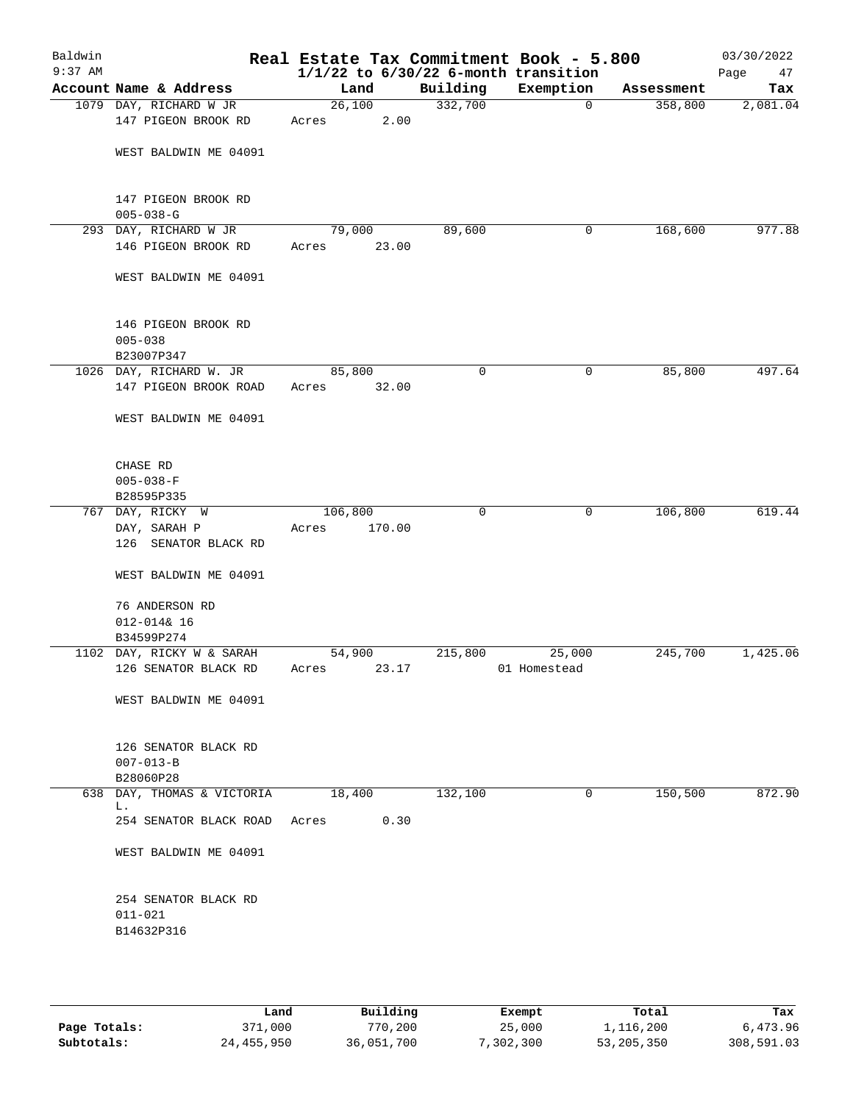| Baldwin<br>$9:37$ AM |                                                      |                 |        |             | Real Estate Tax Commitment Book - 5.800<br>$1/1/22$ to $6/30/22$ 6-month transition |            | 03/30/2022<br>Page<br>47 |
|----------------------|------------------------------------------------------|-----------------|--------|-------------|-------------------------------------------------------------------------------------|------------|--------------------------|
|                      | Account Name & Address                               | Land            |        | Building    | Exemption                                                                           | Assessment | Tax                      |
|                      | 1079 DAY, RICHARD W JR<br>147 PIGEON BROOK RD        | 26,100<br>Acres | 2.00   | 332,700     | $\mathbf 0$                                                                         | 358,800    | 2,081.04                 |
|                      | WEST BALDWIN ME 04091                                |                 |        |             |                                                                                     |            |                          |
|                      | 147 PIGEON BROOK RD<br>$005 - 038 - G$               |                 |        |             |                                                                                     |            |                          |
|                      | 293 DAY, RICHARD W JR                                | 79,000          |        | 89,600      | 0                                                                                   | 168,600    | 977.88                   |
|                      | 146 PIGEON BROOK RD                                  | Acres           | 23.00  |             |                                                                                     |            |                          |
|                      | WEST BALDWIN ME 04091                                |                 |        |             |                                                                                     |            |                          |
|                      | 146 PIGEON BROOK RD<br>$005 - 038$<br>B23007P347     |                 |        |             |                                                                                     |            |                          |
|                      | 1026 DAY, RICHARD W. JR                              | 85,800          |        | 0           | 0                                                                                   | 85,800     | 497.64                   |
|                      | 147 PIGEON BROOK ROAD                                | Acres           | 32.00  |             |                                                                                     |            |                          |
|                      | WEST BALDWIN ME 04091                                |                 |        |             |                                                                                     |            |                          |
|                      | CHASE RD<br>$005 - 038 - F$                          |                 |        |             |                                                                                     |            |                          |
|                      | B28595P335                                           |                 |        |             |                                                                                     |            |                          |
|                      | 767 DAY, RICKY W                                     | 106,800         |        | $\mathbf 0$ | 0                                                                                   | 106,800    | 619.44                   |
|                      | DAY, SARAH P<br>126 SENATOR BLACK RD                 | Acres           | 170.00 |             |                                                                                     |            |                          |
|                      | WEST BALDWIN ME 04091                                |                 |        |             |                                                                                     |            |                          |
|                      | 76 ANDERSON RD                                       |                 |        |             |                                                                                     |            |                          |
|                      | $012 - 0148$ 16                                      |                 |        |             |                                                                                     |            |                          |
|                      | B34599P274                                           |                 |        |             |                                                                                     |            |                          |
|                      | 1102 DAY, RICKY W & SARAH                            | 54,900          |        | 215,800     | 25,000                                                                              | 245,700    | 1,425.06                 |
|                      | 126 SENATOR BLACK RD                                 | Acres           | 23.17  |             | 01 Homestead                                                                        |            |                          |
|                      | WEST BALDWIN ME 04091                                |                 |        |             |                                                                                     |            |                          |
|                      | 126 SENATOR BLACK RD<br>$007 - 013 - B$<br>B28060P28 |                 |        |             |                                                                                     |            |                          |
|                      | 638 DAY, THOMAS & VICTORIA                           | 18,400          |        | 132,100     | 0                                                                                   | 150,500    | 872.90                   |
|                      | L.<br>254 SENATOR BLACK ROAD                         | Acres           | 0.30   |             |                                                                                     |            |                          |
|                      | WEST BALDWIN ME 04091                                |                 |        |             |                                                                                     |            |                          |
|                      | 254 SENATOR BLACK RD<br>$011 - 021$                  |                 |        |             |                                                                                     |            |                          |
|                      | B14632P316                                           |                 |        |             |                                                                                     |            |                          |

|              | Land       | Building   | Exempt    | Total      | Tax        |
|--------------|------------|------------|-----------|------------|------------|
| Page Totals: | 371,000    | 770,200    | 25,000    | 1,116,200  | 6,473.96   |
| Subtotals:   | 24,455,950 | 36,051,700 | 7,302,300 | 53,205,350 | 308,591.03 |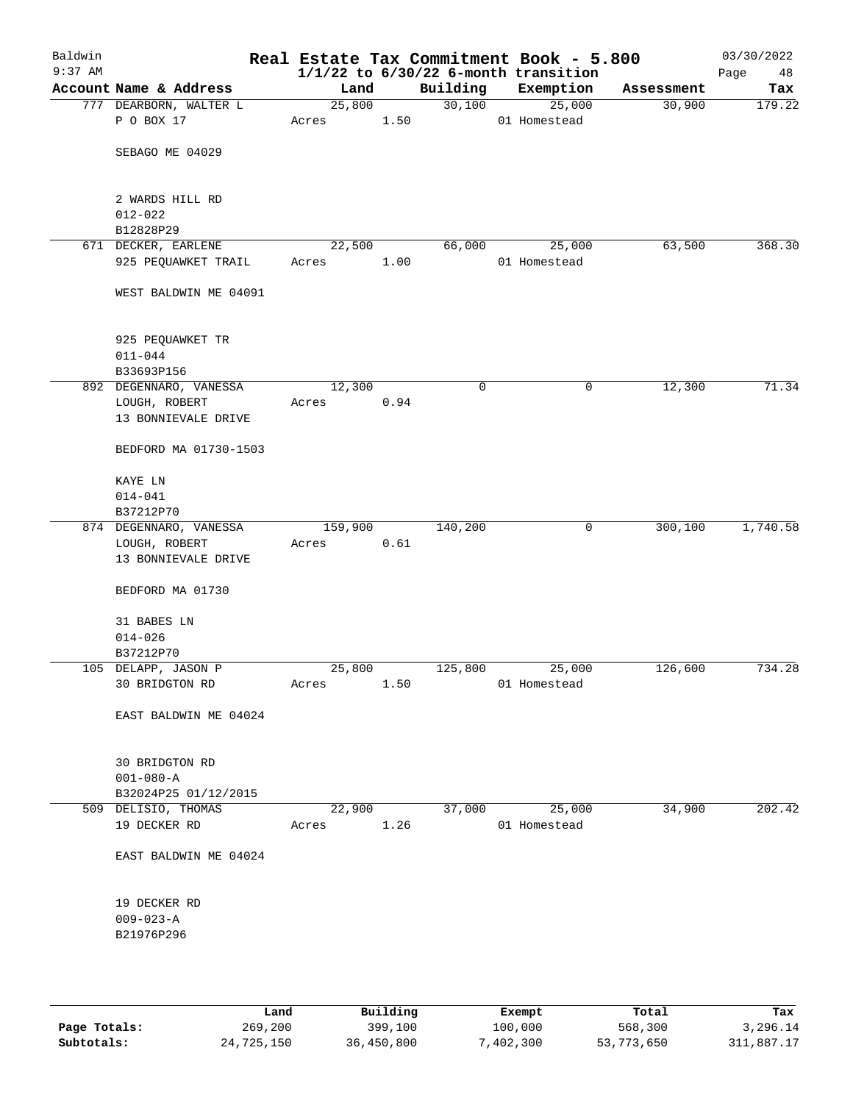| Baldwin<br>$9:37$ AM |                                  |         |      |          | Real Estate Tax Commitment Book - 5.800<br>$1/1/22$ to $6/30/22$ 6-month transition |            | 03/30/2022<br>Page<br>48 |
|----------------------|----------------------------------|---------|------|----------|-------------------------------------------------------------------------------------|------------|--------------------------|
|                      | Account Name & Address           | Land    |      | Building | Exemption                                                                           | Assessment | Tax                      |
|                      | 777 DEARBORN, WALTER L           | 25,800  |      | 30,100   | 25,000                                                                              | 30,900     | 179.22                   |
|                      | P O BOX 17                       | Acres   | 1.50 |          | 01 Homestead                                                                        |            |                          |
|                      | SEBAGO ME 04029                  |         |      |          |                                                                                     |            |                          |
|                      |                                  |         |      |          |                                                                                     |            |                          |
|                      | 2 WARDS HILL RD                  |         |      |          |                                                                                     |            |                          |
|                      | $012 - 022$                      |         |      |          |                                                                                     |            |                          |
|                      | B12828P29<br>671 DECKER, EARLENE | 22,500  |      | 66,000   | 25,000                                                                              | 63,500     | 368.30                   |
|                      | 925 PEQUAWKET TRAIL              | Acres   | 1.00 |          | 01 Homestead                                                                        |            |                          |
|                      |                                  |         |      |          |                                                                                     |            |                          |
|                      | WEST BALDWIN ME 04091            |         |      |          |                                                                                     |            |                          |
|                      | 925 PEQUAWKET TR                 |         |      |          |                                                                                     |            |                          |
|                      | $011 - 044$                      |         |      |          |                                                                                     |            |                          |
|                      | B33693P156                       |         |      |          |                                                                                     |            |                          |
|                      | 892 DEGENNARO, VANESSA           | 12,300  |      | 0        | 0                                                                                   | 12,300     | 71.34                    |
|                      | LOUGH, ROBERT                    | Acres   | 0.94 |          |                                                                                     |            |                          |
|                      | 13 BONNIEVALE DRIVE              |         |      |          |                                                                                     |            |                          |
|                      | BEDFORD MA 01730-1503            |         |      |          |                                                                                     |            |                          |
|                      | KAYE LN                          |         |      |          |                                                                                     |            |                          |
|                      | $014 - 041$                      |         |      |          |                                                                                     |            |                          |
|                      | B37212P70                        |         |      |          |                                                                                     |            |                          |
|                      | 874 DEGENNARO, VANESSA           | 159,900 |      | 140,200  | 0                                                                                   | 300,100    | 1,740.58                 |
|                      | LOUGH, ROBERT                    | Acres   | 0.61 |          |                                                                                     |            |                          |
|                      | 13 BONNIEVALE DRIVE              |         |      |          |                                                                                     |            |                          |
|                      | BEDFORD MA 01730                 |         |      |          |                                                                                     |            |                          |
|                      | 31 BABES LN                      |         |      |          |                                                                                     |            |                          |
|                      | $014 - 026$                      |         |      |          |                                                                                     |            |                          |
|                      | B37212P70                        |         |      |          |                                                                                     |            |                          |
|                      | 105 DELAPP, JASON P              | 25,800  |      | 125,800  | 25,000                                                                              | 126,600    | 734.28                   |
|                      | 30 BRIDGTON RD                   | Acres   | 1.50 |          | 01 Homestead                                                                        |            |                          |
|                      | EAST BALDWIN ME 04024            |         |      |          |                                                                                     |            |                          |
|                      | 30 BRIDGTON RD                   |         |      |          |                                                                                     |            |                          |
|                      | $001 - 080 - A$                  |         |      |          |                                                                                     |            |                          |
|                      | B32024P25 01/12/2015             |         |      |          |                                                                                     |            |                          |
|                      | 509 DELISIO, THOMAS              | 22,900  |      | 37,000   | 25,000                                                                              | 34,900     | 202.42                   |
|                      | 19 DECKER RD                     | Acres   | 1.26 |          | 01 Homestead                                                                        |            |                          |
|                      | EAST BALDWIN ME 04024            |         |      |          |                                                                                     |            |                          |
|                      |                                  |         |      |          |                                                                                     |            |                          |
|                      | 19 DECKER RD                     |         |      |          |                                                                                     |            |                          |
|                      | $009 - 023 - A$                  |         |      |          |                                                                                     |            |                          |
|                      | B21976P296                       |         |      |          |                                                                                     |            |                          |
|                      |                                  |         |      |          |                                                                                     |            |                          |
|                      |                                  |         |      |          |                                                                                     |            |                          |

|              | Land       | Building   | Exempt    | Total      | Tax        |
|--------------|------------|------------|-----------|------------|------------|
| Page Totals: | 269,200    | 399,100    | 100,000   | 568,300    | 3,296.14   |
| Subtotals:   | 24,725,150 | 36,450,800 | 7,402,300 | 53,773,650 | 311,887.17 |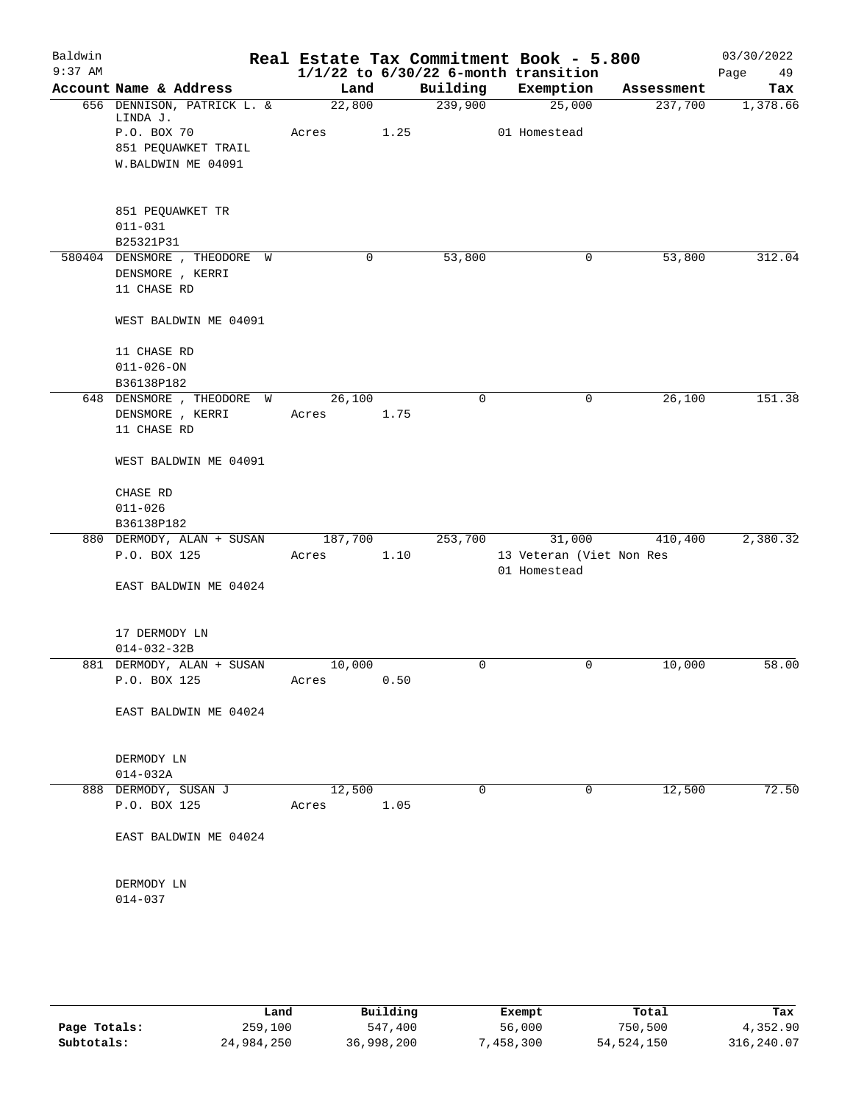| Baldwin   |                                        |         |      |             | Real Estate Tax Commitment Book - 5.800  |            | 03/30/2022 |
|-----------|----------------------------------------|---------|------|-------------|------------------------------------------|------------|------------|
| $9:37$ AM |                                        |         |      |             | $1/1/22$ to $6/30/22$ 6-month transition |            | Page<br>49 |
|           | Account Name & Address                 | Land    |      | Building    | Exemption                                | Assessment | Tax        |
|           | 656 DENNISON, PATRICK L. &<br>LINDA J. | 22,800  |      | 239,900     | 25,000                                   | 237,700    | 1,378.66   |
|           | P.O. BOX 70                            | Acres   | 1.25 |             | 01 Homestead                             |            |            |
|           | 851 PEQUAWKET TRAIL                    |         |      |             |                                          |            |            |
|           | W.BALDWIN ME 04091                     |         |      |             |                                          |            |            |
|           | 851 PEQUAWKET TR                       |         |      |             |                                          |            |            |
|           | $011 - 031$                            |         |      |             |                                          |            |            |
|           | B25321P31                              |         |      |             |                                          |            |            |
|           | 580404 DENSMORE, THEODORE W            |         | 0    | 53,800      | 0                                        | 53,800     | 312.04     |
|           | DENSMORE , KERRI                       |         |      |             |                                          |            |            |
|           | 11 CHASE RD                            |         |      |             |                                          |            |            |
|           | WEST BALDWIN ME 04091                  |         |      |             |                                          |            |            |
|           | 11 CHASE RD                            |         |      |             |                                          |            |            |
|           | $011 - 026 - ON$                       |         |      |             |                                          |            |            |
|           | B36138P182                             |         |      |             |                                          |            |            |
|           | 648 DENSMORE , THEODORE W              | 26,100  |      | $\mathbf 0$ | 0                                        | 26,100     | 151.38     |
|           | DENSMORE , KERRI                       | Acres   | 1.75 |             |                                          |            |            |
|           | 11 CHASE RD                            |         |      |             |                                          |            |            |
|           | WEST BALDWIN ME 04091                  |         |      |             |                                          |            |            |
|           | CHASE RD                               |         |      |             |                                          |            |            |
|           | $011 - 026$                            |         |      |             |                                          |            |            |
|           | B36138P182                             |         |      |             |                                          |            |            |
|           | 880 DERMODY, ALAN + SUSAN              | 187,700 |      | 253,700     | 31,000                                   | 410,400    | 2,380.32   |
|           | P.O. BOX 125                           | Acres   | 1.10 |             | 13 Veteran (Viet Non Res                 |            |            |
|           |                                        |         |      |             | 01 Homestead                             |            |            |
|           | EAST BALDWIN ME 04024                  |         |      |             |                                          |            |            |
|           | 17 DERMODY LN                          |         |      |             |                                          |            |            |
|           | $014 - 032 - 32B$                      |         |      |             |                                          |            |            |
|           | 881 DERMODY, ALAN + SUSAN              | 10,000  |      | 0           | 0                                        | 10,000     | 58.00      |
|           | P.O. BOX 125                           | Acres   | 0.50 |             |                                          |            |            |
|           | EAST BALDWIN ME 04024                  |         |      |             |                                          |            |            |
|           |                                        |         |      |             |                                          |            |            |
|           | DERMODY LN                             |         |      |             |                                          |            |            |
|           | $014 - 032A$                           |         |      |             |                                          |            |            |
|           | 888 DERMODY, SUSAN J                   | 12,500  |      | $\mathbf 0$ | 0                                        | 12,500     | 72.50      |
|           | P.O. BOX 125                           | Acres   | 1.05 |             |                                          |            |            |
|           | EAST BALDWIN ME 04024                  |         |      |             |                                          |            |            |
|           |                                        |         |      |             |                                          |            |            |
|           | DERMODY LN                             |         |      |             |                                          |            |            |
|           | $014 - 037$                            |         |      |             |                                          |            |            |
|           |                                        |         |      |             |                                          |            |            |
|           |                                        |         |      |             |                                          |            |            |
|           |                                        |         |      |             |                                          |            |            |

|              | Land       | Building   | Exempt   | Total      | Tax        |
|--------------|------------|------------|----------|------------|------------|
| Page Totals: | 259,100    | 547,400    | 56,000   | 750,500    | 4,352.90   |
| Subtotals:   | 24,984,250 | 36,998,200 | 458,300" | 54,524,150 | 316,240.07 |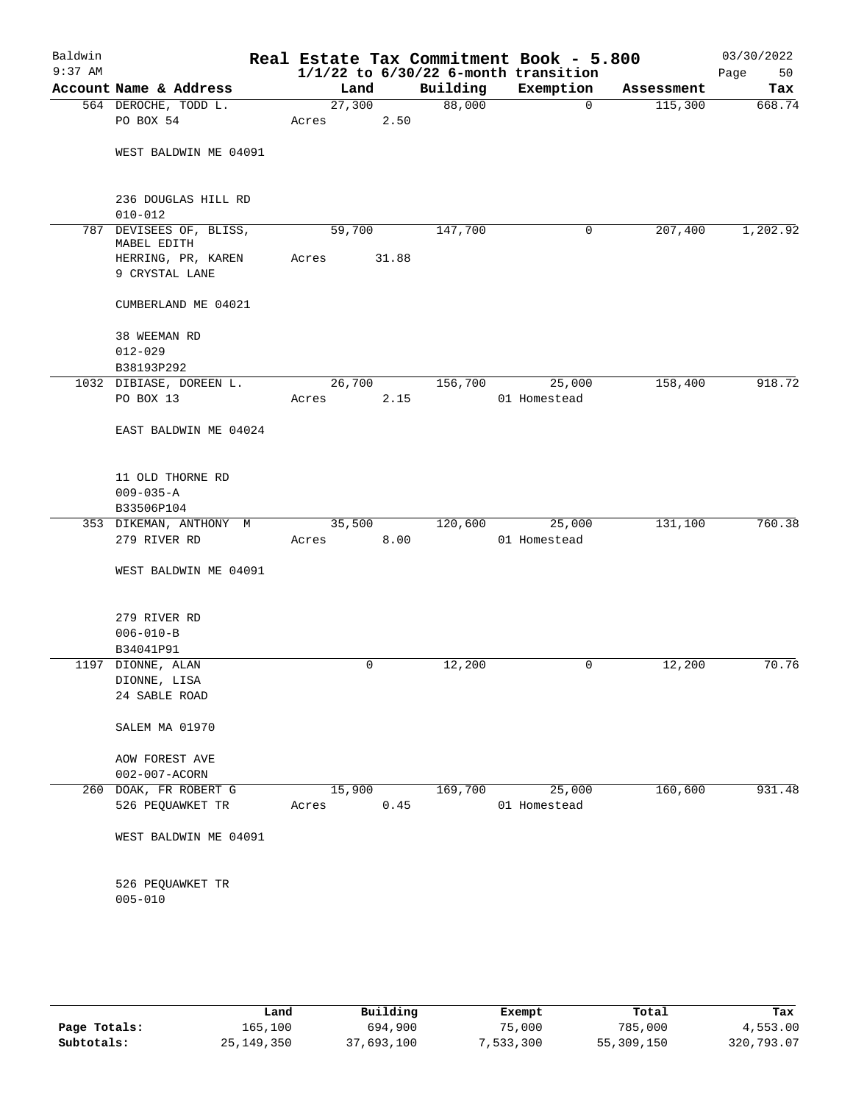| Baldwin<br>$9:37$ AM |                                    |        |       |          | Real Estate Tax Commitment Book - 5.800<br>$1/1/22$ to $6/30/22$ 6-month transition |            | 03/30/2022<br>50<br>Page |
|----------------------|------------------------------------|--------|-------|----------|-------------------------------------------------------------------------------------|------------|--------------------------|
|                      | Account Name & Address             | Land   |       | Building | Exemption                                                                           | Assessment | Tax                      |
|                      | 564 DEROCHE, TODD L.               | 27,300 |       | 88,000   | $\mathbf 0$                                                                         | 115,300    | 668.74                   |
|                      | PO BOX 54                          | Acres  | 2.50  |          |                                                                                     |            |                          |
|                      | WEST BALDWIN ME 04091              |        |       |          |                                                                                     |            |                          |
|                      | 236 DOUGLAS HILL RD<br>$010 - 012$ |        |       |          |                                                                                     |            |                          |
| 787                  | DEVISEES OF, BLISS,                | 59,700 |       | 147,700  | 0                                                                                   | 207,400    | 1,202.92                 |
|                      | MABEL EDITH                        |        |       |          |                                                                                     |            |                          |
|                      | HERRING, PR, KAREN                 | Acres  | 31.88 |          |                                                                                     |            |                          |
|                      | 9 CRYSTAL LANE                     |        |       |          |                                                                                     |            |                          |
|                      | CUMBERLAND ME 04021                |        |       |          |                                                                                     |            |                          |
|                      | 38 WEEMAN RD                       |        |       |          |                                                                                     |            |                          |
|                      | $012 - 029$                        |        |       |          |                                                                                     |            |                          |
|                      | B38193P292                         |        |       |          |                                                                                     |            |                          |
|                      | 1032 DIBIASE, DOREEN L.            | 26,700 |       | 156,700  | 25,000                                                                              | 158,400    | 918.72                   |
|                      | PO BOX 13                          | Acres  | 2.15  |          | 01 Homestead                                                                        |            |                          |
|                      | EAST BALDWIN ME 04024              |        |       |          |                                                                                     |            |                          |
|                      |                                    |        |       |          |                                                                                     |            |                          |
|                      | 11 OLD THORNE RD                   |        |       |          |                                                                                     |            |                          |
|                      | $009 - 035 - A$<br>B33506P104      |        |       |          |                                                                                     |            |                          |
|                      | 353 DIKEMAN, ANTHONY M             | 35,500 |       | 120,600  | 25,000                                                                              | 131,100    | 760.38                   |
|                      | 279 RIVER RD                       | Acres  | 8.00  |          | 01 Homestead                                                                        |            |                          |
|                      | WEST BALDWIN ME 04091              |        |       |          |                                                                                     |            |                          |
|                      | 279 RIVER RD                       |        |       |          |                                                                                     |            |                          |
|                      | $006 - 010 - B$                    |        |       |          |                                                                                     |            |                          |
|                      | B34041P91                          |        |       |          |                                                                                     |            |                          |
|                      | 1197 DIONNE, ALAN                  |        | 0     | 12,200   | 0                                                                                   | 12,200     | 70.76                    |
|                      | DIONNE, LISA                       |        |       |          |                                                                                     |            |                          |
|                      | 24 SABLE ROAD                      |        |       |          |                                                                                     |            |                          |
|                      | SALEM MA 01970                     |        |       |          |                                                                                     |            |                          |
|                      | <b>AOW FOREST AVE</b>              |        |       |          |                                                                                     |            |                          |
|                      | 002-007-ACORN                      |        |       |          |                                                                                     |            |                          |
| 260                  | DOAK, FR ROBERT G                  | 15,900 |       | 169,700  | 25,000                                                                              | 160,600    | 931.48                   |
|                      | 526 PEQUAWKET TR                   | Acres  | 0.45  |          | 01 Homestead                                                                        |            |                          |
|                      | WEST BALDWIN ME 04091              |        |       |          |                                                                                     |            |                          |
|                      |                                    |        |       |          |                                                                                     |            |                          |
|                      | 526 PEQUAWKET TR<br>$005 - 010$    |        |       |          |                                                                                     |            |                          |
|                      |                                    |        |       |          |                                                                                     |            |                          |
|                      |                                    |        |       |          |                                                                                     |            |                          |

|              | Land       | Building   | Exempt    | Total      | Tax        |
|--------------|------------|------------|-----------|------------|------------|
| Page Totals: | 165,100    | 694,900    | 75,000    | 785,000    | 4,553.00   |
| Subtotals:   | 25,149,350 | 37,693,100 | 7,533,300 | 55,309,150 | 320,793.07 |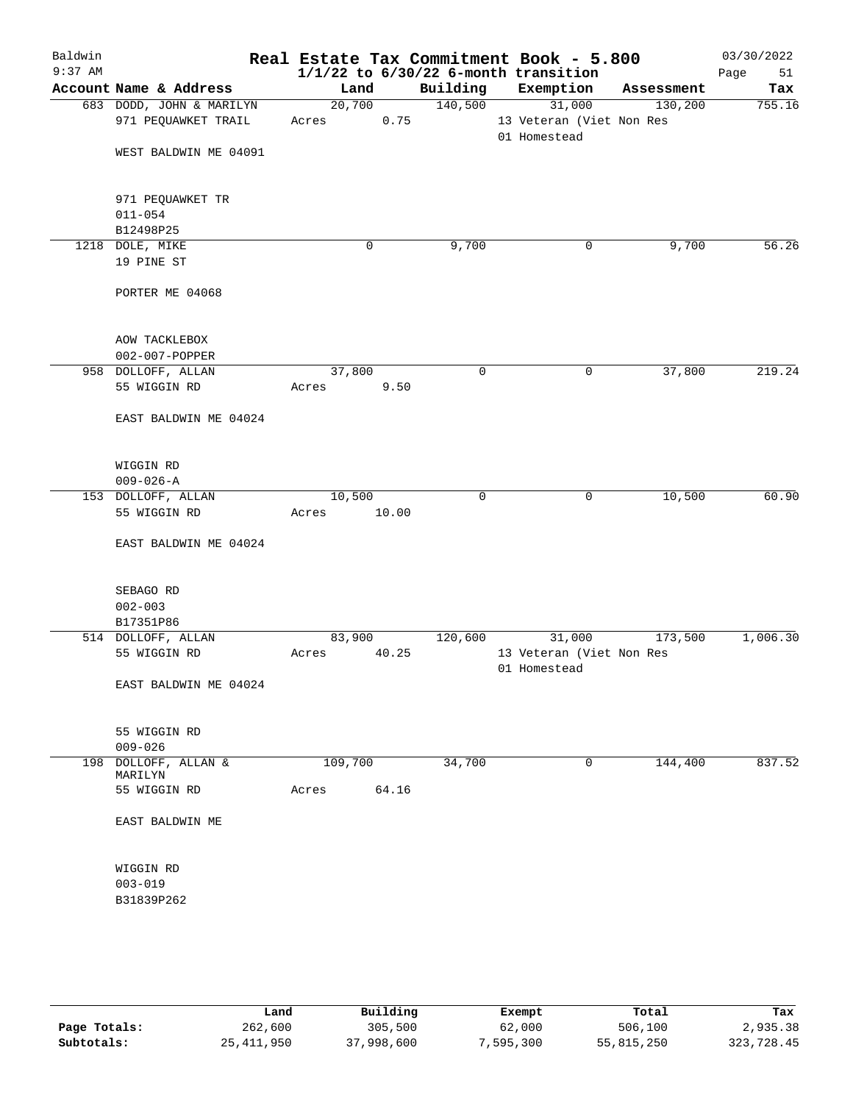| Baldwin<br>$9:37$ AM |                             | Real Estate Tax Commitment Book - 5.800 |             | $1/1/22$ to $6/30/22$ 6-month transition |                          |            | 03/30/2022<br>Page<br>51 |
|----------------------|-----------------------------|-----------------------------------------|-------------|------------------------------------------|--------------------------|------------|--------------------------|
|                      | Account Name & Address      | Land                                    |             | Building                                 | Exemption                | Assessment | Tax                      |
|                      | 683 DODD, JOHN & MARILYN    | 20,700                                  |             | 140,500                                  | 31,000                   | 130,200    | 755.16                   |
|                      | 971 PEQUAWKET TRAIL         | Acres                                   | 0.75        |                                          | 13 Veteran (Viet Non Res |            |                          |
|                      |                             |                                         |             |                                          | 01 Homestead             |            |                          |
|                      | WEST BALDWIN ME 04091       |                                         |             |                                          |                          |            |                          |
|                      |                             |                                         |             |                                          |                          |            |                          |
|                      | 971 PEQUAWKET TR            |                                         |             |                                          |                          |            |                          |
|                      | $011 - 054$                 |                                         |             |                                          |                          |            |                          |
|                      | B12498P25                   |                                         |             |                                          |                          |            |                          |
|                      | 1218 DOLE, MIKE             |                                         | $\mathbf 0$ | 9,700                                    | 0                        | 9,700      | 56.26                    |
|                      | 19 PINE ST                  |                                         |             |                                          |                          |            |                          |
|                      |                             |                                         |             |                                          |                          |            |                          |
|                      | PORTER ME 04068             |                                         |             |                                          |                          |            |                          |
|                      | AOW TACKLEBOX               |                                         |             |                                          |                          |            |                          |
|                      | 002-007-POPPER              |                                         |             |                                          |                          |            |                          |
|                      | 958 DOLLOFF, ALLAN          | 37,800                                  |             | $\mathbf 0$                              | 0                        | 37,800     | 219.24                   |
|                      | 55 WIGGIN RD                |                                         | 9.50        |                                          |                          |            |                          |
|                      |                             | Acres                                   |             |                                          |                          |            |                          |
|                      | EAST BALDWIN ME 04024       |                                         |             |                                          |                          |            |                          |
|                      | WIGGIN RD                   |                                         |             |                                          |                          |            |                          |
|                      | $009 - 026 - A$             |                                         |             |                                          |                          |            |                          |
|                      | 153 DOLLOFF, ALLAN          | 10,500                                  |             | $\mathbf 0$                              | 0                        | 10,500     | 60.90                    |
|                      | 55 WIGGIN RD                | Acres                                   | 10.00       |                                          |                          |            |                          |
|                      | EAST BALDWIN ME 04024       |                                         |             |                                          |                          |            |                          |
|                      | SEBAGO RD                   |                                         |             |                                          |                          |            |                          |
|                      |                             |                                         |             |                                          |                          |            |                          |
|                      | $002 - 003$                 |                                         |             |                                          |                          |            |                          |
|                      | B17351P86                   |                                         |             |                                          |                          |            |                          |
|                      | 514 DOLLOFF, ALLAN          | 83,900                                  |             | 120,600                                  | 31,000                   | 173,500    | 1,006.30                 |
|                      | 55 WIGGIN RD                | Acres                                   | 40.25       |                                          | 13 Veteran (Viet Non Res |            |                          |
|                      |                             |                                         |             |                                          | 01 Homestead             |            |                          |
|                      | EAST BALDWIN ME 04024       |                                         |             |                                          |                          |            |                          |
|                      | 55 WIGGIN RD<br>$009 - 026$ |                                         |             |                                          |                          |            |                          |
|                      | 198 DOLLOFF, ALLAN &        | 109,700                                 |             | 34,700                                   | 0                        | 144,400    | 837.52                   |
|                      | MARILYN                     |                                         |             |                                          |                          |            |                          |
|                      | 55 WIGGIN RD                | Acres                                   | 64.16       |                                          |                          |            |                          |
|                      | EAST BALDWIN ME             |                                         |             |                                          |                          |            |                          |
|                      |                             |                                         |             |                                          |                          |            |                          |
|                      | WIGGIN RD                   |                                         |             |                                          |                          |            |                          |
|                      | $003 - 019$                 |                                         |             |                                          |                          |            |                          |
|                      | B31839P262                  |                                         |             |                                          |                          |            |                          |
|                      |                             |                                         |             |                                          |                          |            |                          |
|                      |                             |                                         |             |                                          |                          |            |                          |
|                      |                             |                                         |             |                                          |                          |            |                          |

|              | Land       | Building   | Exempt    | Total      | Tax        |
|--------------|------------|------------|-----------|------------|------------|
| Page Totals: | 262,600    | 305,500    | 62,000    | 506,100    | 2,935.38   |
| Subtotals:   | 25,411,950 | 37,998,600 | 7,595,300 | 55,815,250 | 323,728.45 |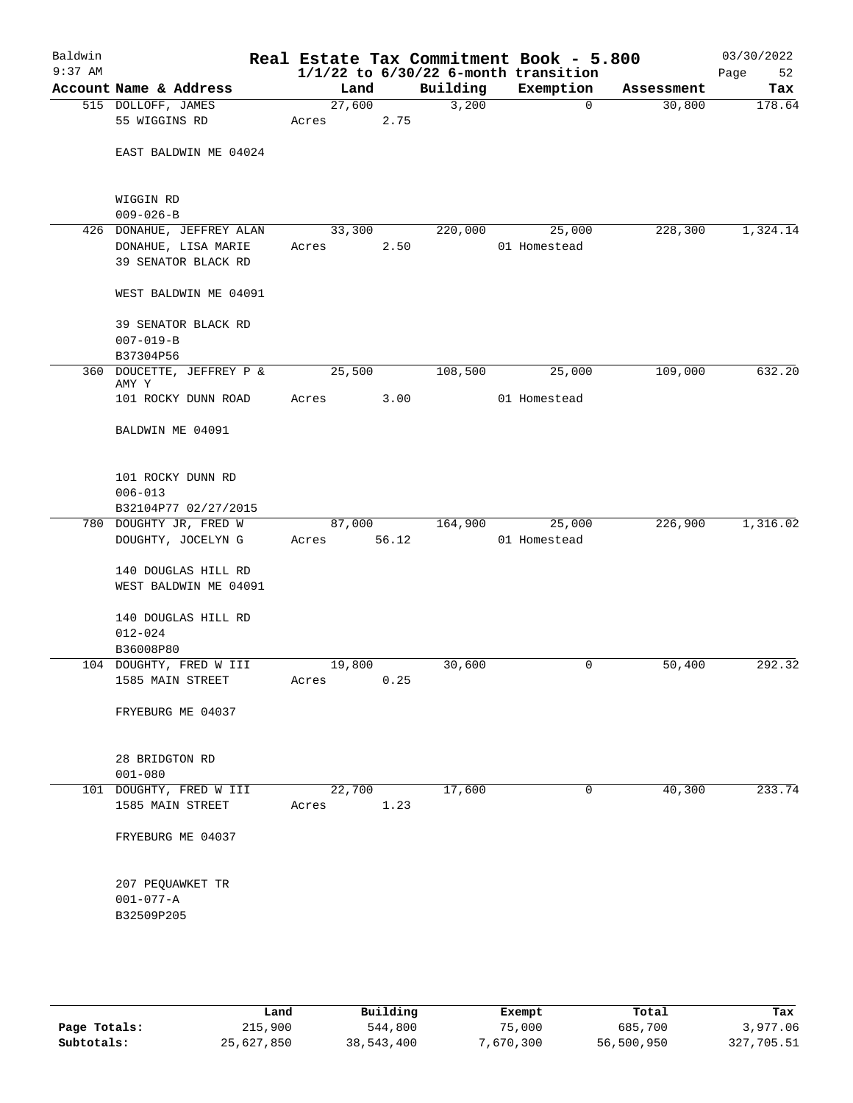| Baldwin<br>$9:37$ AM |                                                  |                 |       |          | Real Estate Tax Commitment Book - 5.800<br>$1/1/22$ to $6/30/22$ 6-month transition |            | 03/30/2022<br>52<br>Page |
|----------------------|--------------------------------------------------|-----------------|-------|----------|-------------------------------------------------------------------------------------|------------|--------------------------|
|                      | Account Name & Address                           | Land            |       | Building | Exemption                                                                           | Assessment | Tax                      |
|                      | 515 DOLLOFF, JAMES                               | 27,600          |       | 3,200    | $\mathbf 0$                                                                         | 30,800     | 178.64                   |
|                      | 55 WIGGINS RD                                    | Acres           | 2.75  |          |                                                                                     |            |                          |
|                      | EAST BALDWIN ME 04024                            |                 |       |          |                                                                                     |            |                          |
|                      | WIGGIN RD                                        |                 |       |          |                                                                                     |            |                          |
|                      | $009 - 026 - B$                                  |                 |       |          |                                                                                     |            |                          |
|                      | 426 DONAHUE, JEFFREY ALAN<br>DONAHUE, LISA MARIE | 33,300<br>Acres | 2.50  | 220,000  | 25,000<br>01 Homestead                                                              | 228,300    | 1,324.14                 |
|                      | 39 SENATOR BLACK RD                              |                 |       |          |                                                                                     |            |                          |
|                      | WEST BALDWIN ME 04091                            |                 |       |          |                                                                                     |            |                          |
|                      | 39 SENATOR BLACK RD                              |                 |       |          |                                                                                     |            |                          |
|                      | $007 - 019 - B$                                  |                 |       |          |                                                                                     |            |                          |
|                      | B37304P56                                        |                 |       |          |                                                                                     |            |                          |
|                      | 360 DOUCETTE, JEFFREY P &<br>AMY Y               | 25,500          |       | 108,500  | 25,000                                                                              | 109,000    | 632.20                   |
|                      | 101 ROCKY DUNN ROAD                              | Acres           | 3.00  |          | 01 Homestead                                                                        |            |                          |
|                      | BALDWIN ME 04091                                 |                 |       |          |                                                                                     |            |                          |
|                      | 101 ROCKY DUNN RD<br>$006 - 013$                 |                 |       |          |                                                                                     |            |                          |
|                      | B32104P77 02/27/2015                             |                 |       |          |                                                                                     |            |                          |
|                      | 780 DOUGHTY JR, FRED W<br>DOUGHTY, JOCELYN G     | 87,000<br>Acres | 56.12 | 164,900  | 25,000<br>01 Homestead                                                              | 226,900    | 1,316.02                 |
|                      | 140 DOUGLAS HILL RD<br>WEST BALDWIN ME 04091     |                 |       |          |                                                                                     |            |                          |
|                      | 140 DOUGLAS HILL RD<br>$012 - 024$               |                 |       |          |                                                                                     |            |                          |
|                      | B36008P80                                        |                 |       |          |                                                                                     |            |                          |
|                      | 104 DOUGHTY, FRED W III<br>1585 MAIN STREET      | 19,800<br>Acres | 0.25  | 30,600   | 0                                                                                   | 50,400     | 292.32                   |
|                      | FRYEBURG ME 04037                                |                 |       |          |                                                                                     |            |                          |
|                      |                                                  |                 |       |          |                                                                                     |            |                          |
|                      | 28 BRIDGTON RD<br>$001 - 080$                    |                 |       |          |                                                                                     |            |                          |
|                      | 101 DOUGHTY, FRED W III                          | 22,700          |       | 17,600   | 0                                                                                   | 40,300     | 233.74                   |
|                      | 1585 MAIN STREET                                 | Acres           | 1.23  |          |                                                                                     |            |                          |
|                      | FRYEBURG ME 04037                                |                 |       |          |                                                                                     |            |                          |
|                      | 207 PEQUAWKET TR                                 |                 |       |          |                                                                                     |            |                          |
|                      | $001 - 077 - A$                                  |                 |       |          |                                                                                     |            |                          |
|                      | B32509P205                                       |                 |       |          |                                                                                     |            |                          |
|                      |                                                  |                 |       |          |                                                                                     |            |                          |
|                      |                                                  |                 |       |          |                                                                                     |            |                          |
|                      |                                                  |                 |       |          |                                                                                     |            |                          |

|              | Land       | Building   | Exempt    | Total      | Tax        |
|--------------|------------|------------|-----------|------------|------------|
| Page Totals: | 215,900    | 544,800    | 75,000    | 685,700    | 3,977.06   |
| Subtotals:   | 25,627,850 | 38,543,400 | 7,670,300 | 56,500,950 | 327,705.51 |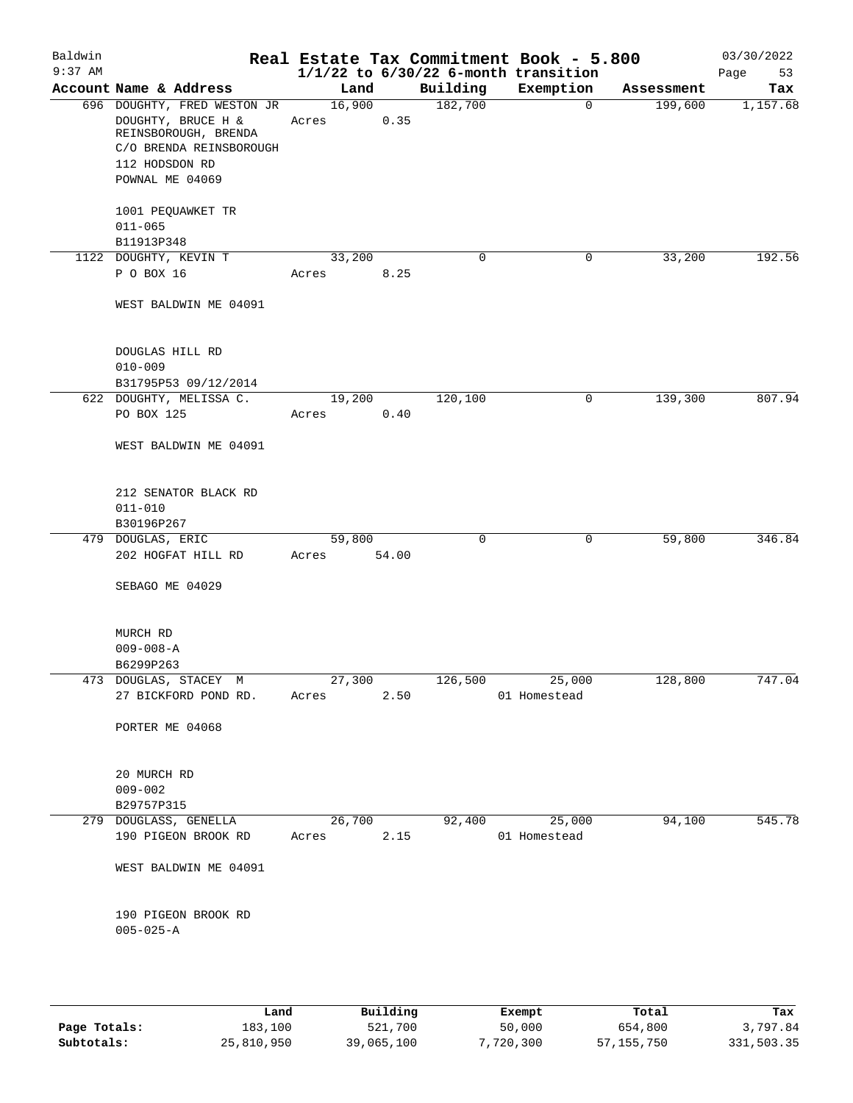| Baldwin<br>$9:37$ AM |                                                                                                                                           |       |        |       |          | Real Estate Tax Commitment Book - 5.800<br>$1/1/22$ to $6/30/22$ 6-month transition |            | 03/30/2022<br>Page<br>53 |
|----------------------|-------------------------------------------------------------------------------------------------------------------------------------------|-------|--------|-------|----------|-------------------------------------------------------------------------------------|------------|--------------------------|
|                      | Account Name & Address                                                                                                                    |       | Land   |       | Building | Exemption                                                                           | Assessment | Tax                      |
|                      | 696 DOUGHTY, FRED WESTON JR<br>DOUGHTY, BRUCE H &<br>REINSBOROUGH, BRENDA<br>C/O BRENDA REINSBOROUGH<br>112 HODSDON RD<br>POWNAL ME 04069 | Acres | 16,900 | 0.35  | 182,700  | $\overline{0}$                                                                      | 199,600    | 1,157.68                 |
|                      | 1001 PEQUAWKET TR<br>$011 - 065$<br>B11913P348                                                                                            |       |        |       |          |                                                                                     |            |                          |
|                      | 1122 DOUGHTY, KEVIN T                                                                                                                     |       | 33,200 |       | 0        | 0                                                                                   | 33,200     | 192.56                   |
|                      | P O BOX 16                                                                                                                                | Acres |        | 8.25  |          |                                                                                     |            |                          |
|                      | WEST BALDWIN ME 04091                                                                                                                     |       |        |       |          |                                                                                     |            |                          |
|                      | DOUGLAS HILL RD<br>$010 - 009$                                                                                                            |       |        |       |          |                                                                                     |            |                          |
|                      | B31795P53 09/12/2014                                                                                                                      |       | 19,200 |       | 120, 100 | 0                                                                                   | 139,300    | 807.94                   |
|                      | 622 DOUGHTY, MELISSA C.<br>PO BOX 125                                                                                                     | Acres |        | 0.40  |          |                                                                                     |            |                          |
|                      | WEST BALDWIN ME 04091                                                                                                                     |       |        |       |          |                                                                                     |            |                          |
|                      | 212 SENATOR BLACK RD<br>$011 - 010$                                                                                                       |       |        |       |          |                                                                                     |            |                          |
|                      | B30196P267                                                                                                                                |       |        |       | 0        |                                                                                     |            | 346.84                   |
|                      | 479 DOUGLAS, ERIC<br>202 HOGFAT HILL RD                                                                                                   | Acres | 59,800 | 54.00 |          | 0                                                                                   | 59,800     |                          |
|                      | SEBAGO ME 04029                                                                                                                           |       |        |       |          |                                                                                     |            |                          |
|                      | MURCH RD<br>$009 - 008 - A$<br>B6299P263                                                                                                  |       |        |       |          |                                                                                     |            |                          |
|                      | 473 DOUGLAS, STACEY M                                                                                                                     |       | 27,300 |       | 126,500  | 25,000                                                                              | 128,800    | 747.04                   |
|                      | 27 BICKFORD POND RD.                                                                                                                      | Acres |        | 2.50  |          | 01 Homestead                                                                        |            |                          |
|                      | PORTER ME 04068                                                                                                                           |       |        |       |          |                                                                                     |            |                          |
|                      | 20 MURCH RD<br>$009 - 002$<br>B29757P315                                                                                                  |       |        |       |          |                                                                                     |            |                          |
|                      | 279 DOUGLASS, GENELLA                                                                                                                     |       | 26,700 |       | 92,400   | 25,000                                                                              | 94,100     | 545.78                   |
|                      | 190 PIGEON BROOK RD                                                                                                                       | Acres |        | 2.15  |          | 01 Homestead                                                                        |            |                          |
|                      | WEST BALDWIN ME 04091                                                                                                                     |       |        |       |          |                                                                                     |            |                          |
|                      | 190 PIGEON BROOK RD<br>$005 - 025 - A$                                                                                                    |       |        |       |          |                                                                                     |            |                          |
|                      |                                                                                                                                           |       |        |       |          |                                                                                     |            |                          |

|              | Land       | Building   | Exempt    | Total      | Tax        |
|--------------|------------|------------|-----------|------------|------------|
| Page Totals: | 183,100    | 521,700    | 50,000    | 654,800    | 3,797.84   |
| Subtotals:   | 25,810,950 | 39,065,100 | 7,720,300 | 57,155,750 | 331,503.35 |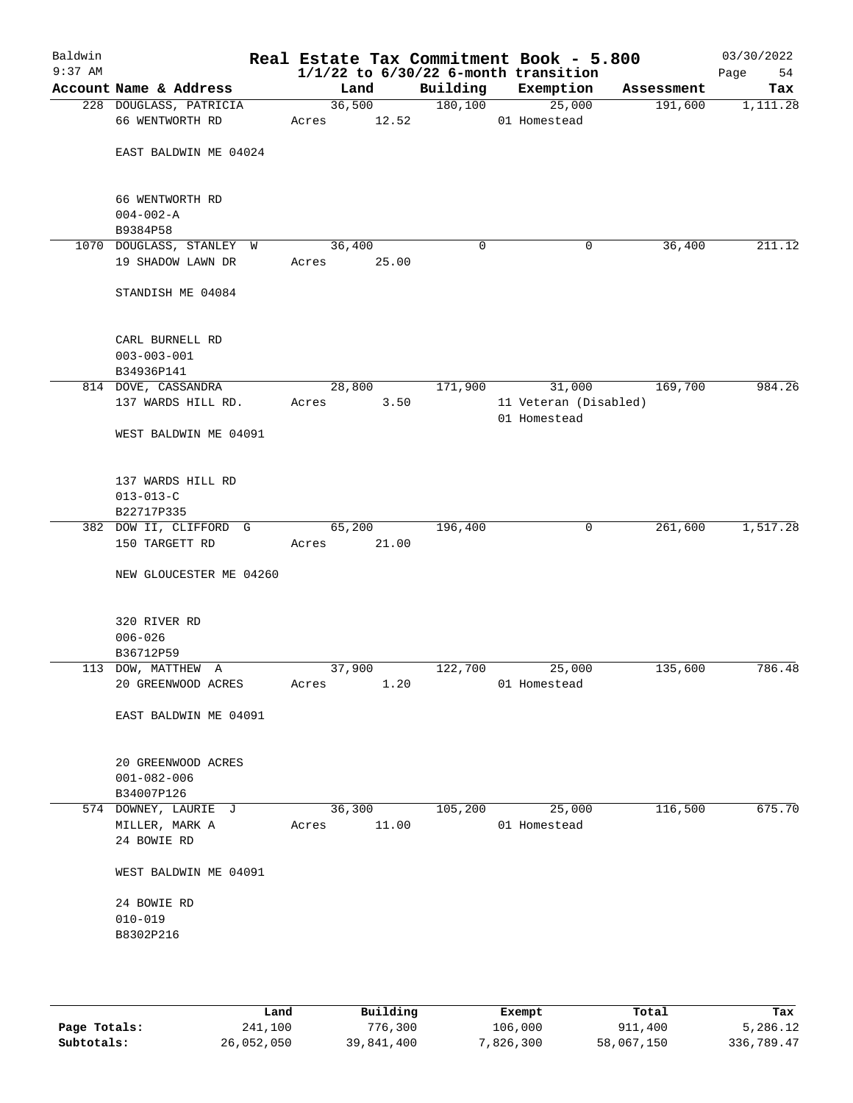| Baldwin<br>$9:37$ AM |                                                       |       |        |                 |          | Real Estate Tax Commitment Book - 5.800<br>$1/1/22$ to $6/30/22$ 6-month transition |            | 03/30/2022<br>Page<br>54 |
|----------------------|-------------------------------------------------------|-------|--------|-----------------|----------|-------------------------------------------------------------------------------------|------------|--------------------------|
|                      | Account Name & Address                                |       | Land   |                 | Building | Exemption                                                                           | Assessment | Tax                      |
|                      | 228 DOUGLASS, PATRICIA<br>66 WENTWORTH RD             | Acres |        | 36,500<br>12.52 | 180, 100 | 25,000<br>01 Homestead                                                              | 191,600    | 1,111.28                 |
|                      | EAST BALDWIN ME 04024                                 |       |        |                 |          |                                                                                     |            |                          |
|                      | 66 WENTWORTH RD<br>$004 - 002 - A$<br>B9384P58        |       |        |                 |          |                                                                                     |            |                          |
|                      | 1070 DOUGLASS, STANLEY W                              |       | 36,400 |                 | 0        | 0                                                                                   | 36,400     | 211.12                   |
|                      | 19 SHADOW LAWN DR                                     |       |        | Acres 25.00     |          |                                                                                     |            |                          |
|                      | STANDISH ME 04084                                     |       |        |                 |          |                                                                                     |            |                          |
|                      | CARL BURNELL RD<br>$003 - 003 - 001$<br>B34936P141    |       |        |                 |          |                                                                                     |            |                          |
|                      | 814 DOVE, CASSANDRA                                   |       |        | 28,800          | 171,900  | 31,000                                                                              | 169,700    | 984.26                   |
|                      | 137 WARDS HILL RD.                                    | Acres |        | 3.50            |          | 11 Veteran (Disabled)                                                               |            |                          |
|                      | WEST BALDWIN ME 04091                                 |       |        |                 |          | 01 Homestead                                                                        |            |                          |
|                      | 137 WARDS HILL RD                                     |       |        |                 |          |                                                                                     |            |                          |
|                      | $013 - 013 - C$                                       |       |        |                 |          |                                                                                     |            |                          |
|                      | B22717P335                                            |       |        |                 |          |                                                                                     |            |                          |
|                      | 382 DOW II, CLIFFORD G<br>150 TARGETT RD              | Acres | 65,200 | 21.00           | 196,400  | $\mathsf{O}$                                                                        | 261,600    | 1,517.28                 |
|                      | NEW GLOUCESTER ME 04260                               |       |        |                 |          |                                                                                     |            |                          |
|                      | 320 RIVER RD<br>$006 - 026$                           |       |        |                 |          |                                                                                     |            |                          |
|                      | B36712P59                                             |       |        |                 |          |                                                                                     |            |                          |
|                      | 113 DOW, MATTHEW A                                    |       | 37,900 |                 | 122,700  | 25,000                                                                              | 135,600    | 786.48                   |
|                      | 20 GREENWOOD ACRES                                    | Acres |        | 1.20            |          | 01 Homestead                                                                        |            |                          |
|                      | EAST BALDWIN ME 04091                                 |       |        |                 |          |                                                                                     |            |                          |
|                      | 20 GREENWOOD ACRES<br>$001 - 082 - 006$<br>B34007P126 |       |        |                 |          |                                                                                     |            |                          |
|                      | 574 DOWNEY, LAURIE J                                  |       | 36,300 |                 | 105,200  | 25,000                                                                              | 116,500    | 675.70                   |
|                      | MILLER, MARK A                                        | Acres |        | 11.00           |          | 01 Homestead                                                                        |            |                          |
|                      | 24 BOWIE RD                                           |       |        |                 |          |                                                                                     |            |                          |
|                      | WEST BALDWIN ME 04091                                 |       |        |                 |          |                                                                                     |            |                          |
|                      | 24 BOWIE RD                                           |       |        |                 |          |                                                                                     |            |                          |
|                      | $010 - 019$                                           |       |        |                 |          |                                                                                     |            |                          |
|                      | B8302P216                                             |       |        |                 |          |                                                                                     |            |                          |
|                      |                                                       |       |        |                 |          |                                                                                     |            |                          |
|                      |                                                       |       |        |                 |          |                                                                                     |            |                          |
|                      |                                                       |       |        |                 |          |                                                                                     |            |                          |

|              | Land       | Building   | Exempt    | Total      | Tax        |
|--------------|------------|------------|-----------|------------|------------|
| Page Totals: | 241,100    | 776,300    | 106,000   | 911,400    | 5,286.12   |
| Subtotals:   | 26,052,050 | 39,841,400 | 7,826,300 | 58,067,150 | 336,789.47 |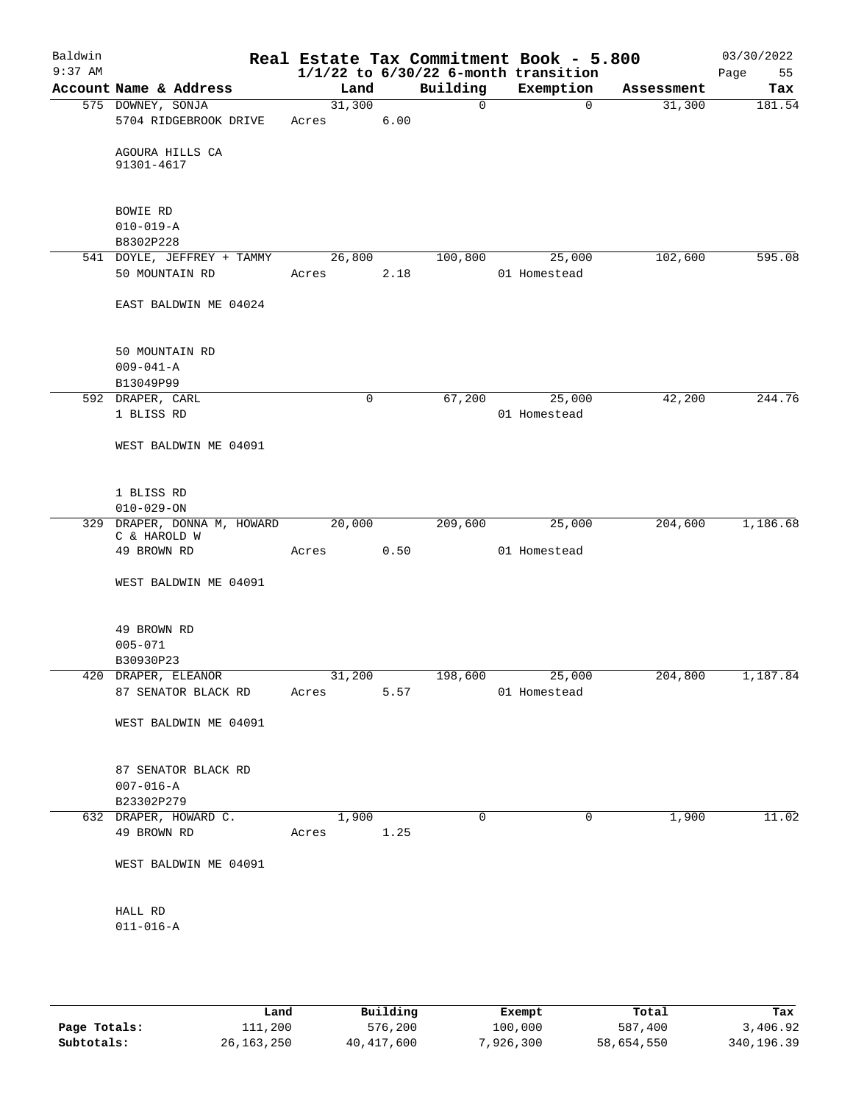| Baldwin<br>$9:37$ AM |                                         |            |      |             | Real Estate Tax Commitment Book - 5.800<br>$1/1/22$ to $6/30/22$ 6-month transition |            | 03/30/2022<br>Page<br>55 |
|----------------------|-----------------------------------------|------------|------|-------------|-------------------------------------------------------------------------------------|------------|--------------------------|
|                      | Account Name & Address                  | Land       |      | Building    | Exemption                                                                           | Assessment | Tax                      |
|                      | 575 DOWNEY, SONJA                       | 31,300     |      | 0           | 0                                                                                   | 31,300     | 181.54                   |
|                      | 5704 RIDGEBROOK DRIVE                   | Acres      | 6.00 |             |                                                                                     |            |                          |
|                      | AGOURA HILLS CA<br>91301-4617           |            |      |             |                                                                                     |            |                          |
|                      |                                         |            |      |             |                                                                                     |            |                          |
|                      | BOWIE RD                                |            |      |             |                                                                                     |            |                          |
|                      | $010 - 019 - A$                         |            |      |             |                                                                                     |            |                          |
|                      | B8302P228                               |            |      |             |                                                                                     |            |                          |
|                      | 541 DOYLE, JEFFREY + TAMMY              | 26,800     |      | 100,800     | 25,000                                                                              | 102,600    | 595.08                   |
|                      | 50 MOUNTAIN RD                          | Acres      | 2.18 |             | 01 Homestead                                                                        |            |                          |
|                      | EAST BALDWIN ME 04024                   |            |      |             |                                                                                     |            |                          |
|                      | 50 MOUNTAIN RD                          |            |      |             |                                                                                     |            |                          |
|                      | $009 - 041 - A$                         |            |      |             |                                                                                     |            |                          |
|                      | B13049P99                               |            |      |             |                                                                                     |            |                          |
|                      | 592 DRAPER, CARL                        |            | 0    | 67,200      | 25,000                                                                              | 42,200     | 244.76                   |
|                      | 1 BLISS RD                              |            |      |             | 01 Homestead                                                                        |            |                          |
|                      | WEST BALDWIN ME 04091                   |            |      |             |                                                                                     |            |                          |
|                      |                                         |            |      |             |                                                                                     |            |                          |
|                      | 1 BLISS RD                              |            |      |             |                                                                                     |            |                          |
|                      | $010 - 029 - ON$                        |            |      |             |                                                                                     |            |                          |
| 329                  | DRAPER, DONNA M, HOWARD<br>C & HAROLD W | 20,000     |      | 209,600     | 25,000                                                                              | 204,600    | 1,186.68                 |
|                      | 49 BROWN RD                             | Acres      | 0.50 |             | 01 Homestead                                                                        |            |                          |
|                      | WEST BALDWIN ME 04091                   |            |      |             |                                                                                     |            |                          |
|                      | 49 BROWN RD                             |            |      |             |                                                                                     |            |                          |
|                      | $005 - 071$                             |            |      |             |                                                                                     |            |                          |
|                      | B30930P23                               |            |      |             |                                                                                     |            |                          |
|                      | 420 DRAPER, ELEANOR                     |            |      |             | 31,200 198,600 25,000                                                               | 204,800    | 1,187.84                 |
|                      | 87 SENATOR BLACK RD                     | Acres      | 5.57 |             | 01 Homestead                                                                        |            |                          |
|                      | WEST BALDWIN ME 04091                   |            |      |             |                                                                                     |            |                          |
|                      |                                         |            |      |             |                                                                                     |            |                          |
|                      | 87 SENATOR BLACK RD<br>$007 - 016 - A$  |            |      |             |                                                                                     |            |                          |
|                      | B23302P279                              |            |      |             |                                                                                     |            |                          |
|                      | 632 DRAPER, HOWARD C.                   | 1,900      |      | $\mathbf 0$ | $\mathbf 0$                                                                         | 1,900      | 11.02                    |
|                      | 49 BROWN RD                             | Acres 1.25 |      |             |                                                                                     |            |                          |
|                      | WEST BALDWIN ME 04091                   |            |      |             |                                                                                     |            |                          |
|                      |                                         |            |      |             |                                                                                     |            |                          |
|                      | HALL RD                                 |            |      |             |                                                                                     |            |                          |
|                      | $011 - 016 - A$                         |            |      |             |                                                                                     |            |                          |
|                      |                                         |            |      |             |                                                                                     |            |                          |
|                      |                                         |            |      |             |                                                                                     |            |                          |

|              | Land       | Building     | Exempt    | Total      | Tax        |
|--------------|------------|--------------|-----------|------------|------------|
| Page Totals: | 111,200    | 576,200      | 100,000   | 587,400    | 3,406.92   |
| Subtotals:   | 26,163,250 | 40, 417, 600 | 7,926,300 | 58,654,550 | 340,196.39 |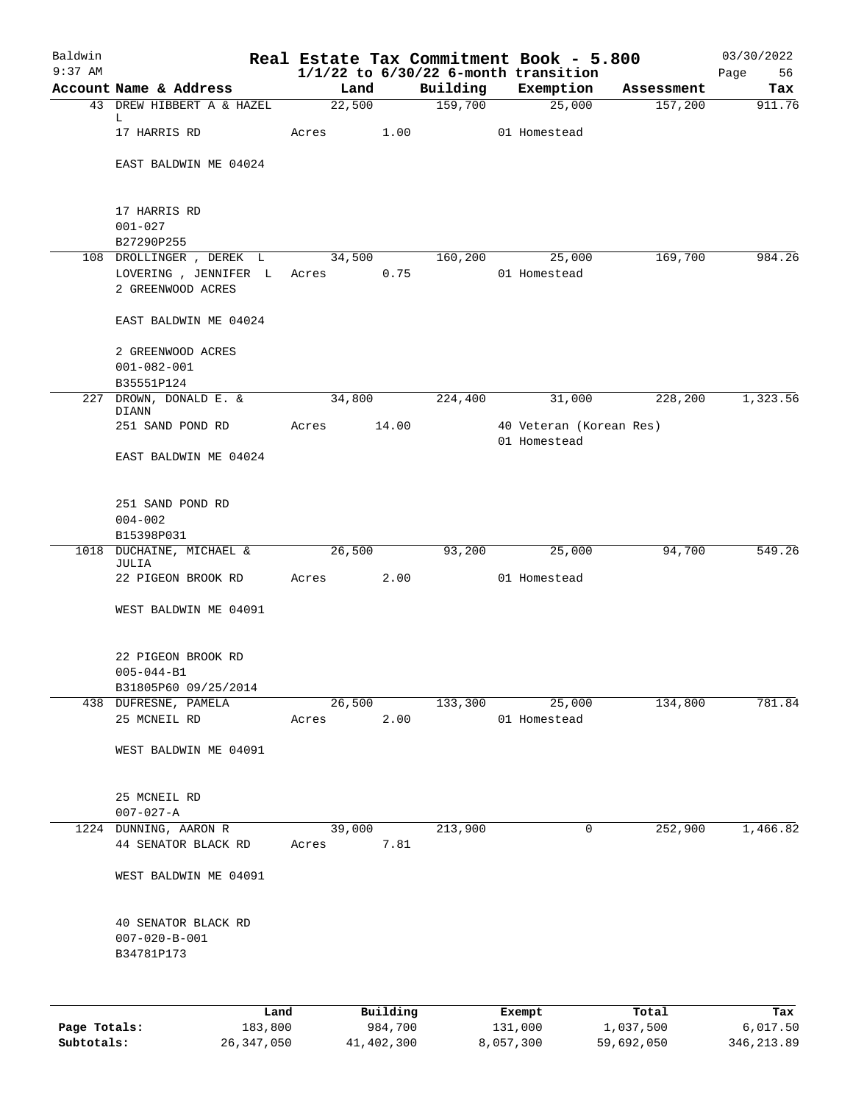| Baldwin<br>$9:37$ AM |                                              |                 |          |          | Real Estate Tax Commitment Book - 5.800<br>$1/1/22$ to $6/30/22$ 6-month transition |            | 03/30/2022<br>Page<br>56 |
|----------------------|----------------------------------------------|-----------------|----------|----------|-------------------------------------------------------------------------------------|------------|--------------------------|
|                      | Account Name & Address                       | Land            |          | Building | Exemption                                                                           | Assessment | Tax                      |
|                      | 43 DREW HIBBERT A & HAZEL                    | 22,500          |          | 159,700  | 25,000                                                                              | 157,200    | 911.76                   |
|                      | L<br>17 HARRIS RD                            | Acres           | 1.00     |          | 01 Homestead                                                                        |            |                          |
|                      | EAST BALDWIN ME 04024                        |                 |          |          |                                                                                     |            |                          |
|                      | 17 HARRIS RD                                 |                 |          |          |                                                                                     |            |                          |
|                      | $001 - 027$                                  |                 |          |          |                                                                                     |            |                          |
|                      | B27290P255<br>108 DROLLINGER , DEREK L       |                 |          |          |                                                                                     |            | 984.26                   |
|                      | LOVERING, JENNIFER L                         | 34,500<br>Acres | 0.75     | 160,200  | 25,000<br>01 Homestead                                                              | 169,700    |                          |
|                      | 2 GREENWOOD ACRES                            |                 |          |          |                                                                                     |            |                          |
|                      | EAST BALDWIN ME 04024                        |                 |          |          |                                                                                     |            |                          |
|                      | 2 GREENWOOD ACRES                            |                 |          |          |                                                                                     |            |                          |
|                      | $001 - 082 - 001$                            |                 |          |          |                                                                                     |            |                          |
| 227                  | B35551P124<br>DROWN, DONALD E. &             | 34,800          |          | 224,400  | 31,000                                                                              | 228,200    | 1,323.56                 |
|                      | DIANN                                        |                 |          |          |                                                                                     |            |                          |
|                      | 251 SAND POND RD                             | Acres           | 14.00    |          | 40 Veteran (Korean Res)                                                             |            |                          |
|                      | EAST BALDWIN ME 04024                        |                 |          |          | 01 Homestead                                                                        |            |                          |
|                      | 251 SAND POND RD<br>$004 - 002$              |                 |          |          |                                                                                     |            |                          |
|                      | B15398P031                                   |                 |          |          |                                                                                     |            |                          |
| 1018                 | DUCHAINE, MICHAEL &<br>JULIA                 | 26,500          |          | 93,200   | 25,000                                                                              | 94,700     | 549.26                   |
|                      | 22 PIGEON BROOK RD                           | Acres           | 2.00     |          | 01 Homestead                                                                        |            |                          |
|                      | WEST BALDWIN ME 04091                        |                 |          |          |                                                                                     |            |                          |
|                      | 22 PIGEON BROOK RD                           |                 |          |          |                                                                                     |            |                          |
|                      | $005 - 044 - B1$                             |                 |          |          |                                                                                     |            |                          |
|                      | B31805P60 09/25/2014<br>438 DUFRESNE, PAMELA | 26,500          |          | 133,300  | 25,000                                                                              | 134,800    | 781.84                   |
|                      | 25 MCNEIL RD                                 | Acres           | 2.00     |          | 01 Homestead                                                                        |            |                          |
|                      | WEST BALDWIN ME 04091                        |                 |          |          |                                                                                     |            |                          |
|                      |                                              |                 |          |          |                                                                                     |            |                          |
|                      | 25 MCNEIL RD<br>$007 - 027 - A$              |                 |          |          |                                                                                     |            |                          |
|                      | 1224 DUNNING, AARON R                        | 39,000          |          | 213,900  | 0                                                                                   | 252,900    | 1,466.82                 |
|                      | 44 SENATOR BLACK RD                          | Acres           | 7.81     |          |                                                                                     |            |                          |
|                      | WEST BALDWIN ME 04091                        |                 |          |          |                                                                                     |            |                          |
|                      | 40 SENATOR BLACK RD                          |                 |          |          |                                                                                     |            |                          |
|                      | $007 - 020 - B - 001$<br>B34781P173          |                 |          |          |                                                                                     |            |                          |
|                      |                                              |                 |          |          |                                                                                     |            |                          |
|                      | Land                                         |                 | Building |          | Exempt                                                                              | Total      | Tax                      |
| Page Totals:         | 183,800                                      |                 | 984,700  |          | 131,000                                                                             | 1,037,500  | 6,017.50                 |

**Subtotals:** 26,347,050 41,402,300 8,057,300 59,692,050 346,213.89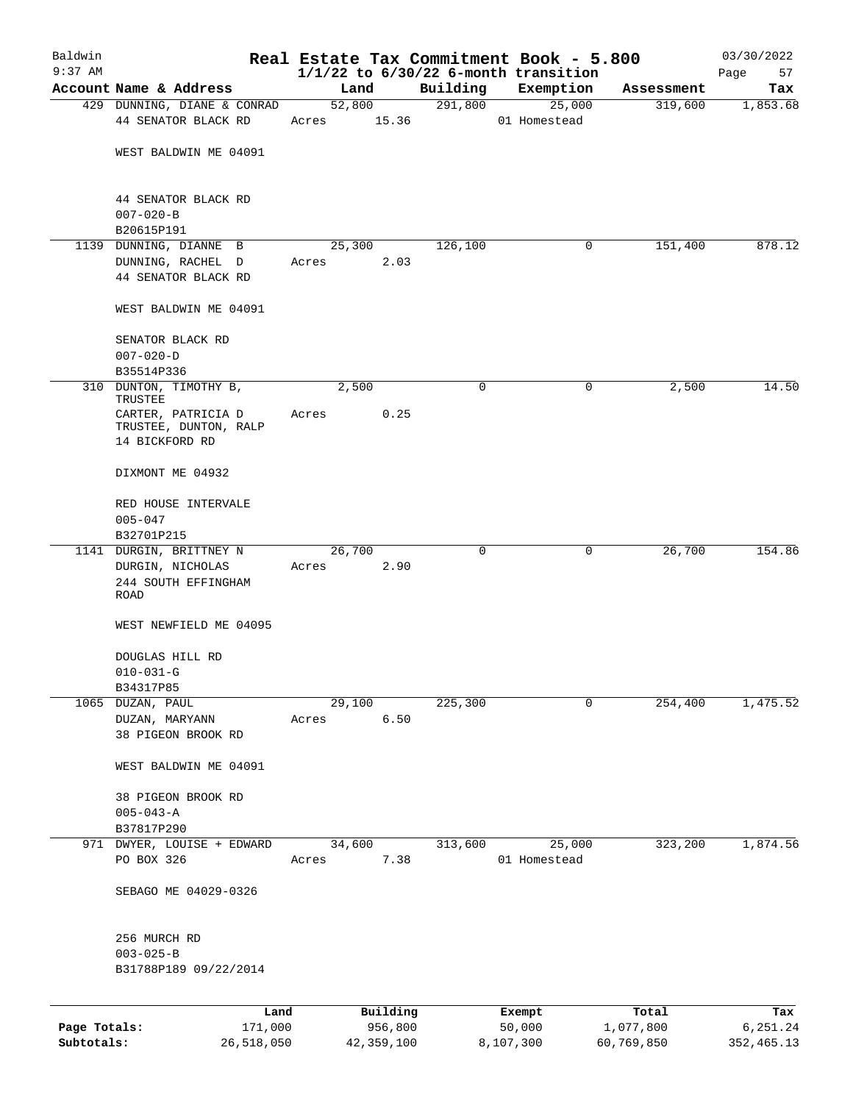| Baldwin                    |                                                               |       |        |                       | Real Estate Tax Commitment Book - 5.800  |                     |        |                         | 03/30/2022              |
|----------------------------|---------------------------------------------------------------|-------|--------|-----------------------|------------------------------------------|---------------------|--------|-------------------------|-------------------------|
| $9:37$ AM                  |                                                               |       |        |                       | $1/1/22$ to $6/30/22$ 6-month transition |                     |        |                         | Page<br>57              |
|                            | Account Name & Address                                        |       | Land   |                       | Building                                 | Exemption           |        | Assessment              | Tax                     |
|                            | 429 DUNNING, DIANE & CONRAD<br>44 SENATOR BLACK RD            | Acres | 52,800 | 15.36                 | 291,800                                  | 01 Homestead        | 25,000 | 319,600                 | 1,853.68                |
|                            | WEST BALDWIN ME 04091                                         |       |        |                       |                                          |                     |        |                         |                         |
|                            | 44 SENATOR BLACK RD<br>$007 - 020 - B$                        |       |        |                       |                                          |                     |        |                         |                         |
|                            | B20615P191                                                    |       |        |                       |                                          |                     |        |                         |                         |
|                            | 1139 DUNNING, DIANNE B                                        |       | 25,300 |                       | 126,100                                  |                     | 0      | 151,400                 | 878.12                  |
|                            | DUNNING, RACHEL D<br>44 SENATOR BLACK RD                      | Acres |        | 2.03                  |                                          |                     |        |                         |                         |
|                            | WEST BALDWIN ME 04091                                         |       |        |                       |                                          |                     |        |                         |                         |
|                            | SENATOR BLACK RD                                              |       |        |                       |                                          |                     |        |                         |                         |
|                            | $007 - 020 - D$<br>B35514P336                                 |       |        |                       |                                          |                     |        |                         |                         |
|                            | 310 DUNTON, TIMOTHY B,<br>TRUSTEE                             |       | 2,500  |                       | $\mathbf 0$                              |                     | 0      | 2,500                   | 14.50                   |
|                            | CARTER, PATRICIA D<br>TRUSTEE, DUNTON, RALP<br>14 BICKFORD RD | Acres |        | 0.25                  |                                          |                     |        |                         |                         |
|                            | DIXMONT ME 04932                                              |       |        |                       |                                          |                     |        |                         |                         |
|                            | RED HOUSE INTERVALE<br>$005 - 047$                            |       |        |                       |                                          |                     |        |                         |                         |
|                            | B32701P215<br>1141 DURGIN, BRITTNEY N                         |       | 26,700 |                       | 0                                        |                     | 0      | 26,700                  | 154.86                  |
|                            | DURGIN, NICHOLAS<br>244 SOUTH EFFINGHAM<br>ROAD               | Acres |        | 2.90                  |                                          |                     |        |                         |                         |
|                            | WEST NEWFIELD ME 04095                                        |       |        |                       |                                          |                     |        |                         |                         |
|                            | DOUGLAS HILL RD<br>$010 - 031 - G$                            |       |        |                       |                                          |                     |        |                         |                         |
|                            | B34317P85                                                     |       |        |                       |                                          |                     |        |                         |                         |
|                            | 1065 DUZAN, PAUL                                              |       | 29,100 |                       | 225,300                                  |                     | 0      | 254,400                 | 1,475.52                |
|                            | DUZAN, MARYANN<br>38 PIGEON BROOK RD                          | Acres |        | 6.50                  |                                          |                     |        |                         |                         |
|                            | WEST BALDWIN ME 04091                                         |       |        |                       |                                          |                     |        |                         |                         |
|                            | 38 PIGEON BROOK RD<br>$005 - 043 - A$<br>B37817P290           |       |        |                       |                                          |                     |        |                         |                         |
|                            | 971 DWYER, LOUISE + EDWARD<br>PO BOX 326                      | Acres | 34,600 | 7.38                  | 313,600                                  | 01 Homestead        | 25,000 | 323,200                 | 1,874.56                |
|                            | SEBAGO ME 04029-0326                                          |       |        |                       |                                          |                     |        |                         |                         |
|                            | 256 MURCH RD<br>$003 - 025 - B$                               |       |        |                       |                                          |                     |        |                         |                         |
|                            | B31788P189 09/22/2014                                         |       |        |                       |                                          |                     |        |                         |                         |
|                            | Land                                                          |       |        | Building              |                                          | Exempt              |        | Total                   | Tax                     |
| Page Totals:<br>Subtotals: | 171,000<br>26,518,050                                         |       |        | 956,800<br>42,359,100 |                                          | 50,000<br>8,107,300 |        | 1,077,800<br>60,769,850 | 6,251.24<br>352, 465.13 |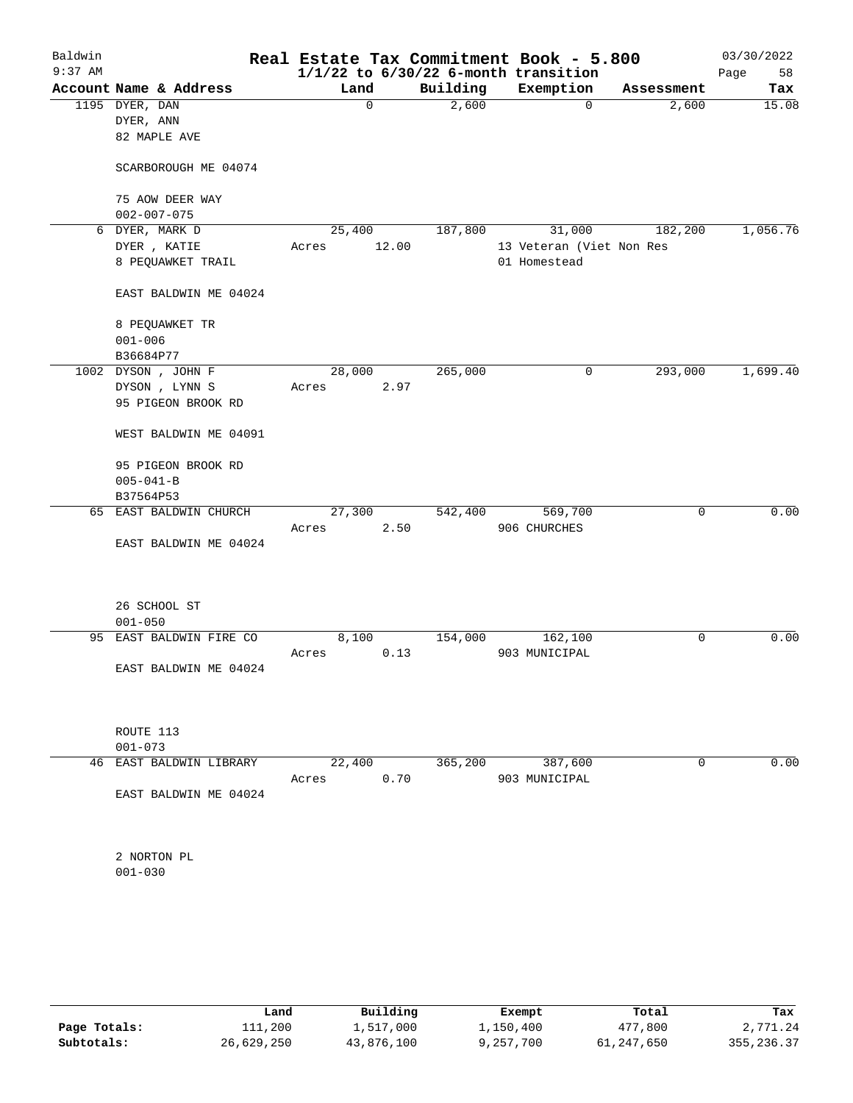| Baldwin<br>$9:37$ AM |                 |                                      |       |        |       |          | Real Estate Tax Commitment Book - 5.800<br>$1/1/22$ to $6/30/22$ 6-month transition |            | 03/30/2022<br>58<br>Page |
|----------------------|-----------------|--------------------------------------|-------|--------|-------|----------|-------------------------------------------------------------------------------------|------------|--------------------------|
|                      |                 | Account Name & Address               |       | Land   |       | Building | Exemption                                                                           | Assessment | Tax                      |
|                      | 1195 DYER, DAN  |                                      |       | 0      |       | 2,600    | $\mathbf 0$                                                                         | 2,600      | 15.08                    |
|                      | DYER, ANN       |                                      |       |        |       |          |                                                                                     |            |                          |
|                      |                 | 82 MAPLE AVE                         |       |        |       |          |                                                                                     |            |                          |
|                      |                 | SCARBOROUGH ME 04074                 |       |        |       |          |                                                                                     |            |                          |
|                      |                 | 75 AOW DEER WAY                      |       |        |       |          |                                                                                     |            |                          |
|                      |                 | $002 - 007 - 075$<br>6 DYER, MARK D  |       | 25,400 |       | 187,800  | 31,000                                                                              | 182,200    | 1,056.76                 |
|                      |                 | DYER , KATIE                         | Acres |        | 12.00 |          | 13 Veteran (Viet Non Res                                                            |            |                          |
|                      |                 | 8 PEQUAWKET TRAIL                    |       |        |       |          | 01 Homestead                                                                        |            |                          |
|                      |                 | EAST BALDWIN ME 04024                |       |        |       |          |                                                                                     |            |                          |
|                      |                 | 8 PEQUAWKET TR                       |       |        |       |          |                                                                                     |            |                          |
|                      | $001 - 006$     |                                      |       |        |       |          |                                                                                     |            |                          |
|                      | B36684P77       |                                      |       |        |       |          |                                                                                     |            |                          |
|                      |                 | 1002 DYSON, JOHN F                   | Acres | 28,000 | 2.97  | 265,000  | 0                                                                                   | 293,000    | 1,699.40                 |
|                      |                 | DYSON , LYNN S<br>95 PIGEON BROOK RD |       |        |       |          |                                                                                     |            |                          |
|                      |                 | WEST BALDWIN ME 04091                |       |        |       |          |                                                                                     |            |                          |
|                      |                 | 95 PIGEON BROOK RD                   |       |        |       |          |                                                                                     |            |                          |
|                      | $005 - 041 - B$ |                                      |       |        |       |          |                                                                                     |            |                          |
|                      | B37564P53       | 65 EAST BALDWIN CHURCH               |       | 27,300 |       | 542,400  | 569,700                                                                             | 0          | 0.00                     |
|                      |                 |                                      | Acres |        | 2.50  |          | 906 CHURCHES                                                                        |            |                          |
|                      |                 | EAST BALDWIN ME 04024                |       |        |       |          |                                                                                     |            |                          |
|                      |                 | 26 SCHOOL ST                         |       |        |       |          |                                                                                     |            |                          |
|                      | $001 - 050$     |                                      |       |        |       |          |                                                                                     |            |                          |
| 95                   |                 | EAST BALDWIN FIRE CO                 |       | 8,100  |       | 154,000  | 162,100                                                                             | 0          | 0.00                     |
|                      |                 |                                      | Acres |        | 0.13  |          | 903 MUNICIPAL                                                                       |            |                          |
|                      |                 | EAST BALDWIN ME 04024                |       |        |       |          |                                                                                     |            |                          |
|                      | ROUTE 113       |                                      |       |        |       |          |                                                                                     |            |                          |
|                      | $001 - 073$     |                                      |       |        |       |          |                                                                                     |            |                          |
| 46                   |                 | EAST BALDWIN LIBRARY                 | Acres | 22,400 | 0.70  | 365,200  | 387,600<br>903 MUNICIPAL                                                            | 0          | 0.00                     |
|                      |                 | EAST BALDWIN ME 04024                |       |        |       |          |                                                                                     |            |                          |
|                      |                 | 2 NORTON PL                          |       |        |       |          |                                                                                     |            |                          |
|                      | $001 - 030$     |                                      |       |        |       |          |                                                                                     |            |                          |
|                      |                 |                                      |       |        |       |          |                                                                                     |            |                          |
|                      |                 |                                      |       |        |       |          |                                                                                     |            |                          |

|              | Land       | Building   | Exempt    | Total      | Tax        |
|--------------|------------|------------|-----------|------------|------------|
| Page Totals: | 111,200    | 1,517,000  | 1,150,400 | 477,800    | 2,771.24   |
| Subtotals:   | 26,629,250 | 43,876,100 | 9,257,700 | 61,247,650 | 355,236.37 |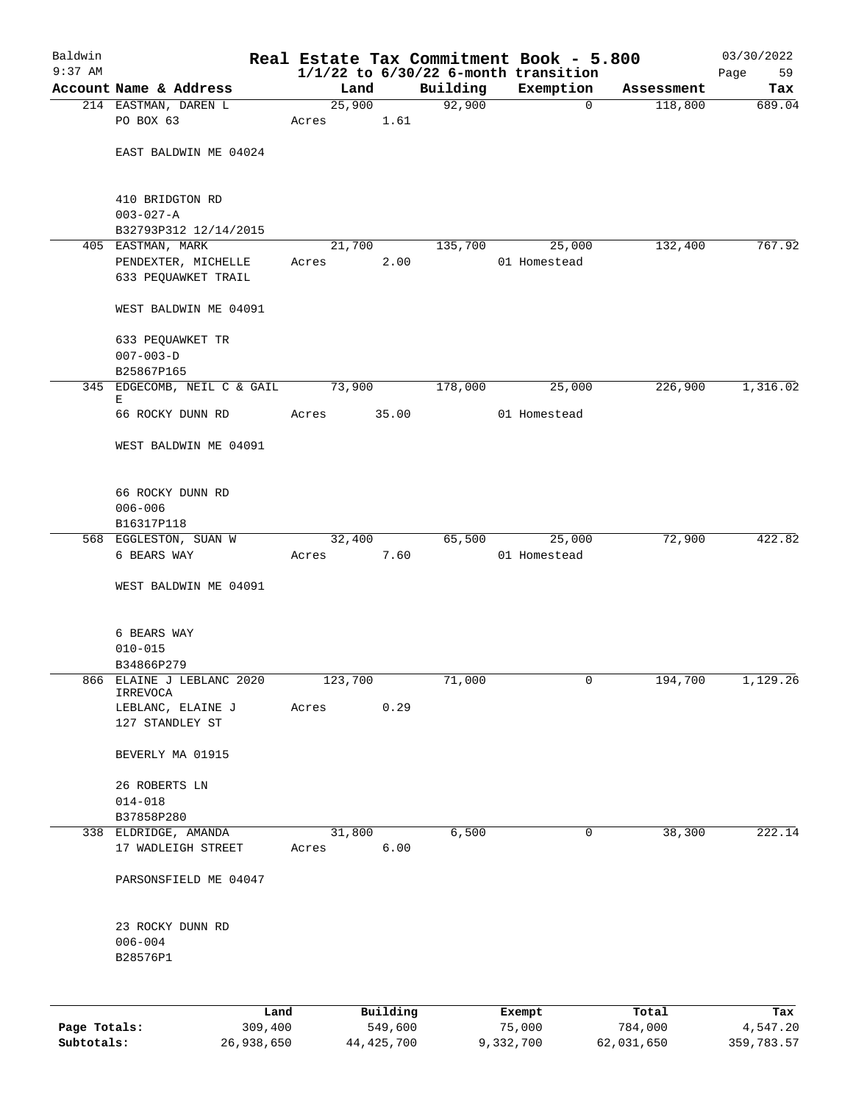| Baldwin      |                                   |                 |          |                    | Real Estate Tax Commitment Book - 5.800  |            | 03/30/2022      |
|--------------|-----------------------------------|-----------------|----------|--------------------|------------------------------------------|------------|-----------------|
| $9:37$ AM    |                                   |                 |          |                    | $1/1/22$ to $6/30/22$ 6-month transition |            | Page<br>59      |
|              | Account Name & Address            | Land            |          | Building<br>92,900 | Exemption<br>$\mathbf 0$                 | Assessment | Tax             |
|              | 214 EASTMAN, DAREN L<br>PO BOX 63 | 25,900<br>Acres | 1.61     |                    |                                          | 118,800    | 689.04          |
|              |                                   |                 |          |                    |                                          |            |                 |
|              | EAST BALDWIN ME 04024             |                 |          |                    |                                          |            |                 |
|              |                                   |                 |          |                    |                                          |            |                 |
|              |                                   |                 |          |                    |                                          |            |                 |
|              | 410 BRIDGTON RD                   |                 |          |                    |                                          |            |                 |
|              | $003 - 027 - A$                   |                 |          |                    |                                          |            |                 |
|              | B32793P312 12/14/2015             |                 |          |                    |                                          |            |                 |
|              | 405 EASTMAN, MARK                 | 21,700          |          | 135,700            | 25,000                                   | 132,400    | 767.92          |
|              | PENDEXTER, MICHELLE               | Acres           | 2.00     |                    | 01 Homestead                             |            |                 |
|              | 633 PEQUAWKET TRAIL               |                 |          |                    |                                          |            |                 |
|              | WEST BALDWIN ME 04091             |                 |          |                    |                                          |            |                 |
|              |                                   |                 |          |                    |                                          |            |                 |
|              | 633 PEQUAWKET TR                  |                 |          |                    |                                          |            |                 |
|              | $007 - 003 - D$                   |                 |          |                    |                                          |            |                 |
|              | B25867P165                        |                 |          |                    |                                          |            |                 |
|              | 345 EDGECOMB, NEIL C & GAIL<br>Е  | 73,900          |          | 178,000            | 25,000                                   | 226,900    | 1,316.02        |
|              | 66 ROCKY DUNN RD                  | Acres           | 35.00    |                    | 01 Homestead                             |            |                 |
|              |                                   |                 |          |                    |                                          |            |                 |
|              | WEST BALDWIN ME 04091             |                 |          |                    |                                          |            |                 |
|              |                                   |                 |          |                    |                                          |            |                 |
|              | 66 ROCKY DUNN RD                  |                 |          |                    |                                          |            |                 |
|              | $006 - 006$                       |                 |          |                    |                                          |            |                 |
|              | B16317P118                        |                 |          |                    |                                          |            |                 |
|              | 568 EGGLESTON, SUAN W             | 32,400          |          | 65,500             | 25,000                                   | 72,900     | 422.82          |
|              | 6 BEARS WAY                       | Acres           | 7.60     |                    | 01 Homestead                             |            |                 |
|              |                                   |                 |          |                    |                                          |            |                 |
|              | WEST BALDWIN ME 04091             |                 |          |                    |                                          |            |                 |
|              |                                   |                 |          |                    |                                          |            |                 |
|              | 6 BEARS WAY                       |                 |          |                    |                                          |            |                 |
|              | $010 - 015$                       |                 |          |                    |                                          |            |                 |
|              | B34866P279                        |                 |          |                    |                                          |            |                 |
| 866          | ELAINE J LEBLANC 2020<br>IRREVOCA | 123,700         |          | 71,000             | 0                                        | 194,700    | 1,129.26        |
|              | LEBLANC, ELAINE J                 | Acres           | 0.29     |                    |                                          |            |                 |
|              | 127 STANDLEY ST                   |                 |          |                    |                                          |            |                 |
|              |                                   |                 |          |                    |                                          |            |                 |
|              | BEVERLY MA 01915                  |                 |          |                    |                                          |            |                 |
|              | 26 ROBERTS LN                     |                 |          |                    |                                          |            |                 |
|              | $014 - 018$                       |                 |          |                    |                                          |            |                 |
|              | B37858P280                        |                 |          |                    |                                          |            |                 |
|              | 338 ELDRIDGE, AMANDA              | 31,800          |          | 6,500              | 0                                        | 38,300     | 222.14          |
|              | 17 WADLEIGH STREET                | Acres           | 6.00     |                    |                                          |            |                 |
|              |                                   |                 |          |                    |                                          |            |                 |
|              | PARSONSFIELD ME 04047             |                 |          |                    |                                          |            |                 |
|              |                                   |                 |          |                    |                                          |            |                 |
|              | 23 ROCKY DUNN RD                  |                 |          |                    |                                          |            |                 |
|              | $006 - 004$                       |                 |          |                    |                                          |            |                 |
|              | B28576P1                          |                 |          |                    |                                          |            |                 |
|              |                                   |                 |          |                    |                                          |            |                 |
|              |                                   |                 | Building |                    |                                          | Total      |                 |
| Page Totals: | Land<br>309,400                   |                 | 549,600  |                    | Exempt<br>75,000                         | 784,000    | Tax<br>4,547.20 |

**Subtotals:** 26,938,650 44,425,700 9,332,700 62,031,650 359,783.57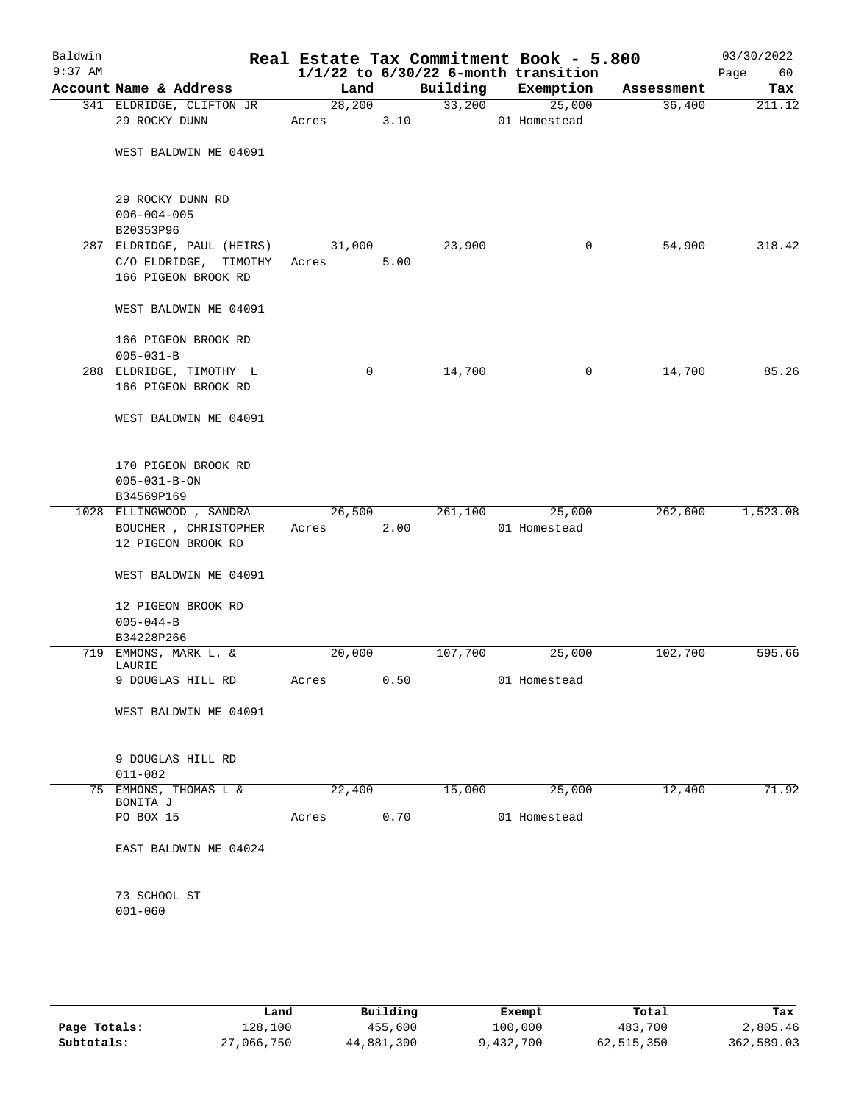| Baldwin<br>$9:37$ AM |                                                                            |                  |      |          | Real Estate Tax Commitment Book - 5.800<br>$1/1/22$ to $6/30/22$ 6-month transition |            | 03/30/2022<br>Page<br>60 |
|----------------------|----------------------------------------------------------------------------|------------------|------|----------|-------------------------------------------------------------------------------------|------------|--------------------------|
|                      | Account Name & Address                                                     | Land             |      | Building | Exemption                                                                           | Assessment | Tax                      |
|                      | 341 ELDRIDGE, CLIFTON JR<br>29 ROCKY DUNN                                  | 28, 200<br>Acres | 3.10 |          | 33,200<br>25,000<br>01 Homestead                                                    | 36,400     | 211.12                   |
|                      | WEST BALDWIN ME 04091                                                      |                  |      |          |                                                                                     |            |                          |
|                      | 29 ROCKY DUNN RD<br>$006 - 004 - 005$<br>B20353P96                         |                  |      |          |                                                                                     |            |                          |
|                      | 287 ELDRIDGE, PAUL (HEIRS)<br>C/O ELDRIDGE, TIMOTHY<br>166 PIGEON BROOK RD | 31,000<br>Acres  | 5.00 | 23,900   | 0                                                                                   | 54,900     | 318.42                   |
|                      | WEST BALDWIN ME 04091                                                      |                  |      |          |                                                                                     |            |                          |
|                      | 166 PIGEON BROOK RD<br>$005 - 031 - B$                                     |                  |      |          |                                                                                     |            |                          |
|                      | 288 ELDRIDGE, TIMOTHY L<br>166 PIGEON BROOK RD                             | 0                |      | 14,700   | 0                                                                                   | 14,700     | 85.26                    |
|                      | WEST BALDWIN ME 04091                                                      |                  |      |          |                                                                                     |            |                          |
|                      | 170 PIGEON BROOK RD<br>$005 - 031 - B - ON$<br>B34569P169                  |                  |      |          |                                                                                     |            |                          |
|                      | 1028 ELLINGWOOD , SANDRA<br>BOUCHER , CHRISTOPHER<br>12 PIGEON BROOK RD    | 26,500<br>Acres  | 2.00 | 261,100  | 25,000<br>01 Homestead                                                              | 262,600    | 1,523.08                 |
|                      | WEST BALDWIN ME 04091                                                      |                  |      |          |                                                                                     |            |                          |
|                      | 12 PIGEON BROOK RD<br>$005 - 044 - B$<br>B34228P266                        |                  |      |          |                                                                                     |            |                          |
|                      | 719 EMMONS, MARK L. &                                                      | 20,000           |      | 107,700  | 25,000                                                                              | 102,700    | 595.66                   |
|                      | LAURIE<br>9 DOUGLAS HILL RD                                                | Acres            | 0.50 |          | 01 Homestead                                                                        |            |                          |
|                      | WEST BALDWIN ME 04091                                                      |                  |      |          |                                                                                     |            |                          |
|                      | 9 DOUGLAS HILL RD<br>$011 - 082$                                           |                  |      |          |                                                                                     |            |                          |
| 75                   | EMMONS, THOMAS L &<br>BONITA J                                             | 22,400           |      | 15,000   | 25,000                                                                              | 12,400     | 71.92                    |
|                      | PO BOX 15                                                                  | Acres            | 0.70 |          | 01 Homestead                                                                        |            |                          |
|                      | EAST BALDWIN ME 04024                                                      |                  |      |          |                                                                                     |            |                          |
|                      | 73 SCHOOL ST<br>$001 - 060$                                                |                  |      |          |                                                                                     |            |                          |
|                      |                                                                            |                  |      |          |                                                                                     |            |                          |

|              | Land       | Building   | Exempt    | Total      | Tax        |
|--------------|------------|------------|-----------|------------|------------|
| Page Totals: | 128,100    | 455,600    | 100,000   | 483,700    | 2,805.46   |
| Subtotals:   | 27,066,750 | 44,881,300 | 9,432,700 | 62,515,350 | 362,589.03 |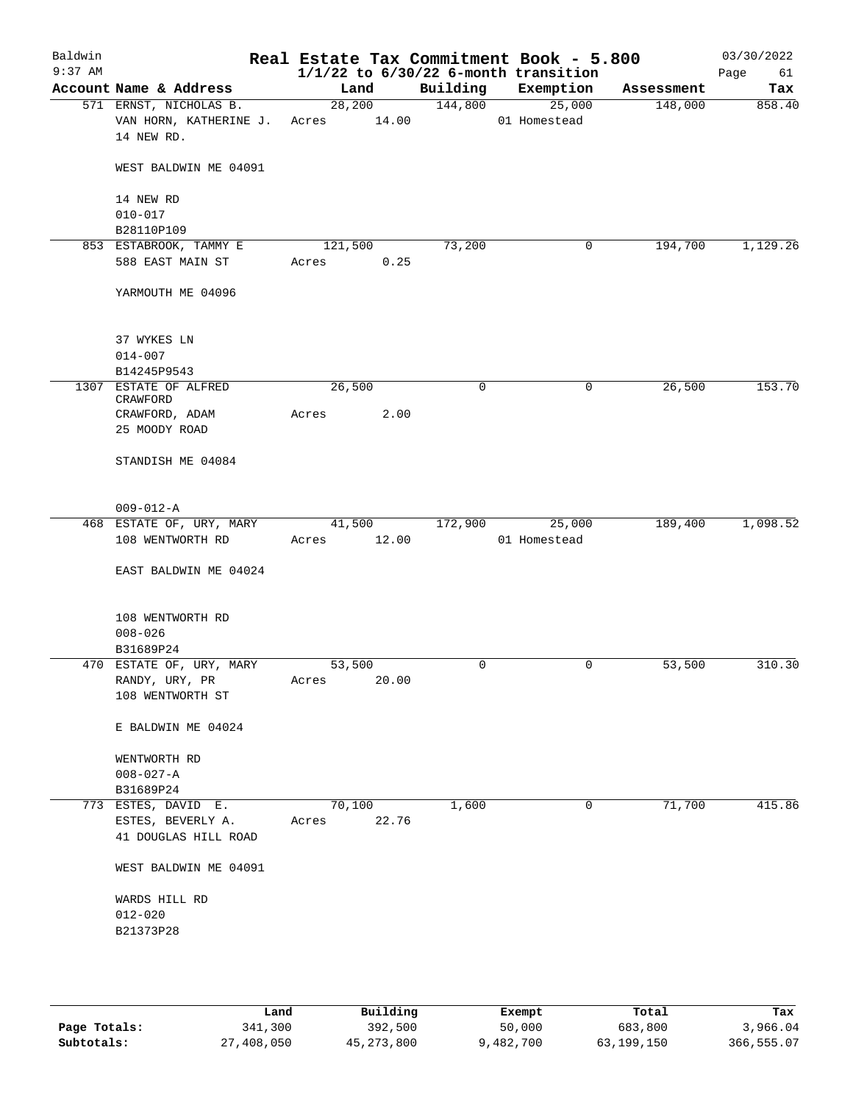| Baldwin<br>$9:37$ AM |                                    |             |       |          | Real Estate Tax Commitment Book - 5.800<br>$1/1/22$ to $6/30/22$ 6-month transition |            | 03/30/2022<br>Page<br>61 |
|----------------------|------------------------------------|-------------|-------|----------|-------------------------------------------------------------------------------------|------------|--------------------------|
|                      | Account Name & Address             | Land        |       | Building | Exemption                                                                           | Assessment | Tax                      |
|                      | 571 ERNST, NICHOLAS B.             | 28,200      |       | 144,800  | 25,000                                                                              | 148,000    | 858.40                   |
|                      | VAN HORN, KATHERINE J.             | Acres 14.00 |       |          | 01 Homestead                                                                        |            |                          |
|                      | 14 NEW RD.                         |             |       |          |                                                                                     |            |                          |
|                      | WEST BALDWIN ME 04091              |             |       |          |                                                                                     |            |                          |
|                      | 14 NEW RD                          |             |       |          |                                                                                     |            |                          |
|                      | $010 - 017$                        |             |       |          |                                                                                     |            |                          |
|                      | B28110P109                         |             |       |          |                                                                                     |            |                          |
|                      | 853 ESTABROOK, TAMMY E             | 121,500     |       | 73,200   | 0                                                                                   | 194,700    | 1,129.26                 |
|                      | 588 EAST MAIN ST                   | Acres       | 0.25  |          |                                                                                     |            |                          |
|                      | YARMOUTH ME 04096                  |             |       |          |                                                                                     |            |                          |
|                      | 37 WYKES LN                        |             |       |          |                                                                                     |            |                          |
|                      | $014 - 007$                        |             |       |          |                                                                                     |            |                          |
|                      | B14245P9543                        |             |       |          |                                                                                     |            |                          |
|                      | 1307 ESTATE OF ALFRED              | 26,500      |       | 0        | 0                                                                                   | 26,500     | 153.70                   |
|                      | CRAWFORD                           |             |       |          |                                                                                     |            |                          |
|                      | CRAWFORD, ADAM                     | Acres       | 2.00  |          |                                                                                     |            |                          |
|                      | 25 MOODY ROAD                      |             |       |          |                                                                                     |            |                          |
|                      | STANDISH ME 04084                  |             |       |          |                                                                                     |            |                          |
|                      | $009 - 012 - A$                    |             |       |          |                                                                                     |            |                          |
|                      | 468 ESTATE OF, URY, MARY           | 41,500      |       | 172,900  | 25,000                                                                              | 189,400    | 1,098.52                 |
|                      | 108 WENTWORTH RD                   | Acres       | 12.00 |          | 01 Homestead                                                                        |            |                          |
|                      | EAST BALDWIN ME 04024              |             |       |          |                                                                                     |            |                          |
|                      | 108 WENTWORTH RD                   |             |       |          |                                                                                     |            |                          |
|                      | $008 - 026$                        |             |       |          |                                                                                     |            |                          |
|                      | B31689P24                          |             |       |          |                                                                                     |            |                          |
|                      | 470 ESTATE OF, URY, MARY           | 53,500      |       | 0        | 0                                                                                   | 53,500     | 310.30                   |
|                      | RANDY, URY, PR<br>108 WENTWORTH ST | Acres       | 20.00 |          |                                                                                     |            |                          |
|                      | E BALDWIN ME 04024                 |             |       |          |                                                                                     |            |                          |
|                      | WENTWORTH RD                       |             |       |          |                                                                                     |            |                          |
|                      | $008 - 027 - A$                    |             |       |          |                                                                                     |            |                          |
|                      | B31689P24                          |             |       |          |                                                                                     |            |                          |
|                      | 773 ESTES, DAVID E.                | 70,100      |       | 1,600    | 0                                                                                   | 71,700     | 415.86                   |
|                      | ESTES, BEVERLY A.                  | Acres       | 22.76 |          |                                                                                     |            |                          |
|                      | 41 DOUGLAS HILL ROAD               |             |       |          |                                                                                     |            |                          |
|                      | WEST BALDWIN ME 04091              |             |       |          |                                                                                     |            |                          |
|                      | WARDS HILL RD                      |             |       |          |                                                                                     |            |                          |
|                      | $012 - 020$                        |             |       |          |                                                                                     |            |                          |
|                      | B21373P28                          |             |       |          |                                                                                     |            |                          |
|                      |                                    |             |       |          |                                                                                     |            |                          |

|              | Land       | Building     | Exempt    | Total      | Tax        |
|--------------|------------|--------------|-----------|------------|------------|
| Page Totals: | 341,300    | 392,500      | 50,000    | 683,800    | 3,966.04   |
| Subtotals:   | 27,408,050 | 45, 273, 800 | 9,482,700 | 63,199,150 | 366,555.07 |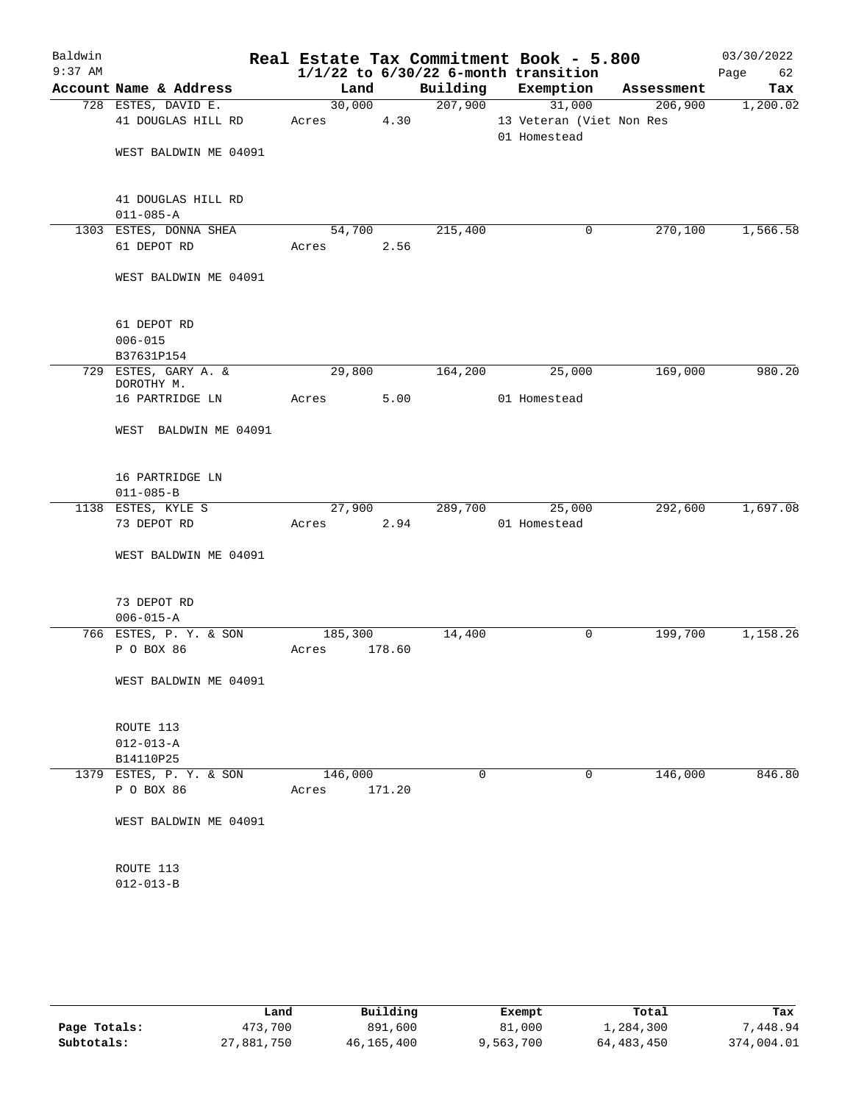| Baldwin   |                                           |                  |        |         | Real Estate Tax Commitment Book - 5.800            |            | 03/30/2022 |
|-----------|-------------------------------------------|------------------|--------|---------|----------------------------------------------------|------------|------------|
| $9:37$ AM |                                           |                  |        |         | $1/1/22$ to $6/30/22$ 6-month transition           |            | Page 62    |
|           | Account Name & Address                    | Land             |        |         | Building Exemption                                 | Assessment | Tax        |
|           | 728 ESTES, DAVID E.<br>41 DOUGLAS HILL RD | 30,000<br>Acres  | 4.30   | 207,900 | 31,000<br>13 Veteran (Viet Non Res<br>01 Homestead | 206,900    | 1,200.02   |
|           | WEST BALDWIN ME 04091                     |                  |        |         |                                                    |            |            |
|           | 41 DOUGLAS HILL RD<br>$011 - 085 - A$     |                  |        |         |                                                    |            |            |
|           | 1303 ESTES, DONNA SHEA                    | 54,700           |        | 215,400 | 0                                                  | 270,100    | 1,566.58   |
|           | 61 DEPOT RD                               | Acres            | 2.56   |         |                                                    |            |            |
|           | WEST BALDWIN ME 04091                     |                  |        |         |                                                    |            |            |
|           | 61 DEPOT RD                               |                  |        |         |                                                    |            |            |
|           | $006 - 015$<br>B37631P154                 |                  |        |         |                                                    |            |            |
|           | 729 ESTES, GARY A. &                      | 29,800           |        | 164,200 | 25,000                                             | 169,000    | 980.20     |
|           | DOROTHY M.<br>16 PARTRIDGE LN             | Acres            | 5.00   |         | 01 Homestead                                       |            |            |
|           | WEST BALDWIN ME 04091                     |                  |        |         |                                                    |            |            |
|           | 16 PARTRIDGE LN<br>$011 - 085 - B$        |                  |        |         |                                                    |            |            |
|           | 1138 ESTES, KYLE S                        | 27,900           |        | 289,700 | 25,000                                             | 292,600    | 1,697.08   |
|           | 73 DEPOT RD                               | Acres            | 2.94   |         | 01 Homestead                                       |            |            |
|           | WEST BALDWIN ME 04091                     |                  |        |         |                                                    |            |            |
|           | 73 DEPOT RD                               |                  |        |         |                                                    |            |            |
|           | $006 - 015 - A$                           |                  |        |         |                                                    |            |            |
|           | 766 ESTES, P. Y. & SON<br>P O BOX 86      | 185,300<br>Acres | 178.60 | 14,400  | 0                                                  | 199,700    | 1,158.26   |
|           | WEST BALDWIN ME 04091                     |                  |        |         |                                                    |            |            |
|           | ROUTE 113                                 |                  |        |         |                                                    |            |            |
|           | $012 - 013 - A$                           |                  |        |         |                                                    |            |            |
|           | B14110P25<br>1379 ESTES, P. Y. & SON      | 146,000          |        | 0       | 0                                                  | 146,000    | 846.80     |
|           | P O BOX 86                                | Acres            | 171.20 |         |                                                    |            |            |
|           | WEST BALDWIN ME 04091                     |                  |        |         |                                                    |            |            |
|           | ROUTE 113<br>$012 - 013 - B$              |                  |        |         |                                                    |            |            |
|           |                                           |                  |        |         |                                                    |            |            |

|              | Land       | Building   | Exempt    | Total      | Tax        |
|--------------|------------|------------|-----------|------------|------------|
| Page Totals: | 473,700    | 891,600    | 81,000    | 1,284,300  | 7,448.94   |
| Subtotals:   | 27,881,750 | 46,165,400 | 9,563,700 | 64,483,450 | 374,004.01 |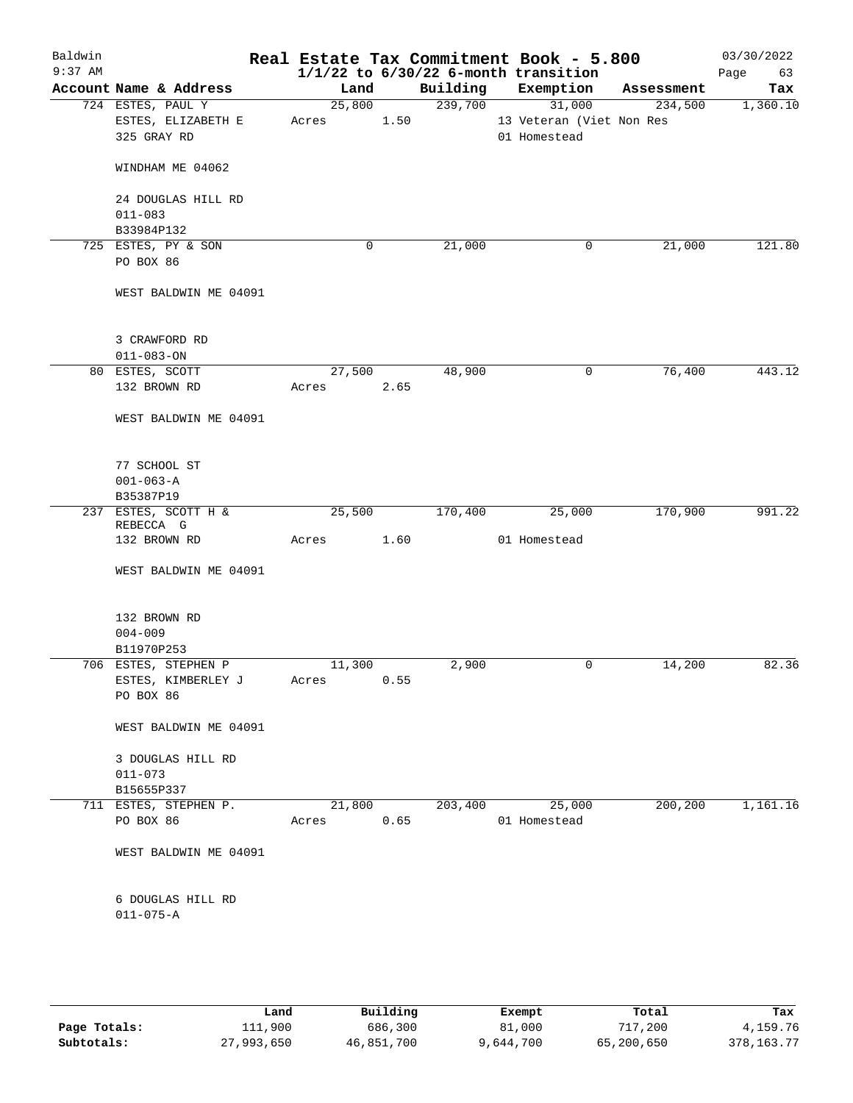| Baldwin<br>$9:37$ AM |                                      |                 |      |          | Real Estate Tax Commitment Book - 5.800<br>$1/1/22$ to $6/30/22$ 6-month transition |            | 03/30/2022<br>Page<br>63 |
|----------------------|--------------------------------------|-----------------|------|----------|-------------------------------------------------------------------------------------|------------|--------------------------|
|                      | Account Name & Address               | Land            |      | Building | Exemption                                                                           | Assessment | Tax                      |
|                      | 724 ESTES, PAUL Y                    | 25,800          |      | 239,700  | 31,000                                                                              | 234,500    | 1,360.10                 |
|                      | ESTES, ELIZABETH E                   | Acres           | 1.50 |          | 13 Veteran (Viet Non Res                                                            |            |                          |
|                      | 325 GRAY RD                          |                 |      |          | 01 Homestead                                                                        |            |                          |
|                      | WINDHAM ME 04062                     |                 |      |          |                                                                                     |            |                          |
|                      | 24 DOUGLAS HILL RD                   |                 |      |          |                                                                                     |            |                          |
|                      | $011 - 083$                          |                 |      |          |                                                                                     |            |                          |
|                      | B33984P132                           |                 |      |          |                                                                                     |            |                          |
|                      | 725 ESTES, PY & SON                  |                 | 0    | 21,000   | 0                                                                                   | 21,000     | 121.80                   |
|                      | PO BOX 86                            |                 |      |          |                                                                                     |            |                          |
|                      | WEST BALDWIN ME 04091                |                 |      |          |                                                                                     |            |                          |
|                      | 3 CRAWFORD RD                        |                 |      |          |                                                                                     |            |                          |
|                      | $011 - 083 - ON$                     |                 |      |          |                                                                                     |            |                          |
|                      | 80 ESTES, SCOTT                      | 27,500          |      | 48,900   | 0                                                                                   | 76,400     | 443.12                   |
|                      | 132 BROWN RD                         | Acres           | 2.65 |          |                                                                                     |            |                          |
|                      | WEST BALDWIN ME 04091                |                 |      |          |                                                                                     |            |                          |
|                      | 77 SCHOOL ST                         |                 |      |          |                                                                                     |            |                          |
|                      | $001 - 063 - A$                      |                 |      |          |                                                                                     |            |                          |
|                      | B35387P19                            |                 |      |          |                                                                                     |            |                          |
|                      |                                      |                 |      |          |                                                                                     |            |                          |
|                      | 237 ESTES, SCOTT H &<br>REBECCA G    | 25,500          |      | 170,400  | 25,000                                                                              | 170,900    | 991.22                   |
|                      | 132 BROWN RD                         | Acres           | 1.60 |          | 01 Homestead                                                                        |            |                          |
|                      | WEST BALDWIN ME 04091                |                 |      |          |                                                                                     |            |                          |
|                      | 132 BROWN RD                         |                 |      |          |                                                                                     |            |                          |
|                      | $004 - 009$                          |                 |      |          |                                                                                     |            |                          |
|                      | B11970P253                           |                 |      |          |                                                                                     |            |                          |
|                      | 706 ESTES, STEPHEN P                 | 11,300          |      | 2,900    | 0                                                                                   | 14,200     | 82.36                    |
|                      | ESTES, KIMBERLEY J<br>PO BOX 86      | Acres           | 0.55 |          |                                                                                     |            |                          |
|                      | WEST BALDWIN ME 04091                |                 |      |          |                                                                                     |            |                          |
|                      | 3 DOUGLAS HILL RD<br>$011 - 073$     |                 |      |          |                                                                                     |            |                          |
|                      |                                      |                 |      |          |                                                                                     |            |                          |
|                      | B15655P337                           |                 |      |          |                                                                                     |            |                          |
|                      | 711 ESTES, STEPHEN P.<br>PO BOX 86   | 21,800<br>Acres | 0.65 | 203,400  | 25,000<br>01 Homestead                                                              | 200,200    | 1,161.16                 |
|                      |                                      |                 |      |          |                                                                                     |            |                          |
|                      | WEST BALDWIN ME 04091                |                 |      |          |                                                                                     |            |                          |
|                      | 6 DOUGLAS HILL RD<br>$011 - 075 - A$ |                 |      |          |                                                                                     |            |                          |
|                      |                                      |                 |      |          |                                                                                     |            |                          |

|              | Land       | Building   | Exempt    | Total      | Tax          |
|--------------|------------|------------|-----------|------------|--------------|
| Page Totals: | 111,900    | 686,300    | 81,000    | 717,200    | 4,159.76     |
| Subtotals:   | 27,993,650 | 46,851,700 | 9,644,700 | 65,200,650 | 378, 163. 77 |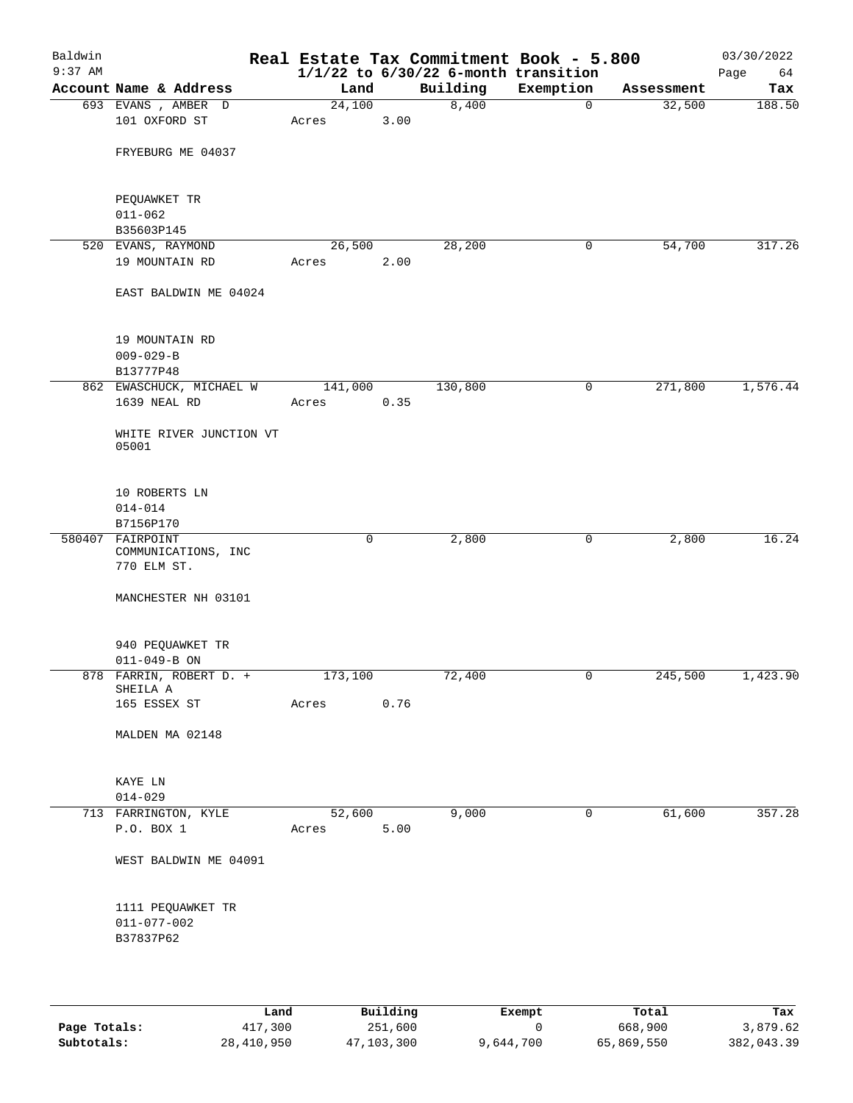| Baldwin<br>$9:37$ AM |                                     |                 |      | Real Estate Tax Commitment Book - 5.800<br>$1/1/22$ to $6/30/22$ 6-month transition |              |            | 03/30/2022<br>Page<br>64 |
|----------------------|-------------------------------------|-----------------|------|-------------------------------------------------------------------------------------|--------------|------------|--------------------------|
|                      | Account Name & Address              | Land            |      | Building                                                                            | Exemption    | Assessment | Tax                      |
|                      | 693 EVANS, AMBER D<br>101 OXFORD ST | 24,100<br>Acres | 3.00 | 8,400                                                                               | $\mathbf 0$  | 32,500     | 188.50                   |
|                      | FRYEBURG ME 04037                   |                 |      |                                                                                     |              |            |                          |
|                      | PEQUAWKET TR<br>$011 - 062$         |                 |      |                                                                                     |              |            |                          |
|                      | B35603P145                          |                 |      |                                                                                     |              |            |                          |
|                      | 520 EVANS, RAYMOND                  | 26,500          |      | 28,200                                                                              | 0            | 54,700     | 317.26                   |
|                      | 19 MOUNTAIN RD                      | Acres           | 2.00 |                                                                                     |              |            |                          |
|                      | EAST BALDWIN ME 04024               |                 |      |                                                                                     |              |            |                          |
|                      | 19 MOUNTAIN RD                      |                 |      |                                                                                     |              |            |                          |
|                      | $009 - 029 - B$                     |                 |      |                                                                                     |              |            |                          |
|                      | B13777P48                           |                 |      |                                                                                     |              |            |                          |
|                      | 862 EWASCHUCK, MICHAEL W            | 141,000         |      | 130,800                                                                             | 0            | 271,800    | 1,576.44                 |
|                      | 1639 NEAL RD                        | Acres           | 0.35 |                                                                                     |              |            |                          |
|                      | WHITE RIVER JUNCTION VT<br>05001    |                 |      |                                                                                     |              |            |                          |
|                      |                                     |                 |      |                                                                                     |              |            |                          |
|                      | 10 ROBERTS LN                       |                 |      |                                                                                     |              |            |                          |
|                      | $014 - 014$<br>B7156P170            |                 |      |                                                                                     |              |            |                          |
| 580407               | FAIRPOINT                           | $\mathbf 0$     |      | 2,800                                                                               | 0            | 2,800      | 16.24                    |
|                      | COMMUNICATIONS, INC<br>770 ELM ST.  |                 |      |                                                                                     |              |            |                          |
|                      | MANCHESTER NH 03101                 |                 |      |                                                                                     |              |            |                          |
|                      | 940 PEQUAWKET TR                    |                 |      |                                                                                     |              |            |                          |
|                      | $011 - 049 - B ON$                  |                 |      |                                                                                     |              |            |                          |
|                      | 878 FARRIN, ROBERT D. +<br>SHEILA A | 173,100         |      | 72,400                                                                              | 0            | 245,500    | 1,423.90                 |
|                      | 165 ESSEX ST                        | Acres           | 0.76 |                                                                                     |              |            |                          |
|                      | MALDEN MA 02148                     |                 |      |                                                                                     |              |            |                          |
|                      | KAYE LN                             |                 |      |                                                                                     |              |            |                          |
|                      | $014 - 029$                         |                 |      |                                                                                     |              |            |                          |
|                      | 713 FARRINGTON, KYLE<br>P.O. BOX 1  | 52,600<br>Acres | 5.00 | 9,000                                                                               | $\mathsf{O}$ | 61,600     | 357.28                   |
|                      |                                     |                 |      |                                                                                     |              |            |                          |
|                      | WEST BALDWIN ME 04091               |                 |      |                                                                                     |              |            |                          |
|                      | 1111 PEQUAWKET TR                   |                 |      |                                                                                     |              |            |                          |
|                      | $011 - 077 - 002$                   |                 |      |                                                                                     |              |            |                          |
|                      | B37837P62                           |                 |      |                                                                                     |              |            |                          |
|                      |                                     |                 |      |                                                                                     |              |            |                          |
|                      |                                     |                 |      |                                                                                     |              |            |                          |

|              | Land       | Building   | Exempt    | Total      | Tax        |
|--------------|------------|------------|-----------|------------|------------|
| Page Totals: | 417,300    | 251,600    |           | 668,900    | 3,879.62   |
| Subtotals:   | 28,410,950 | 47,103,300 | 9,644,700 | 65,869,550 | 382,043.39 |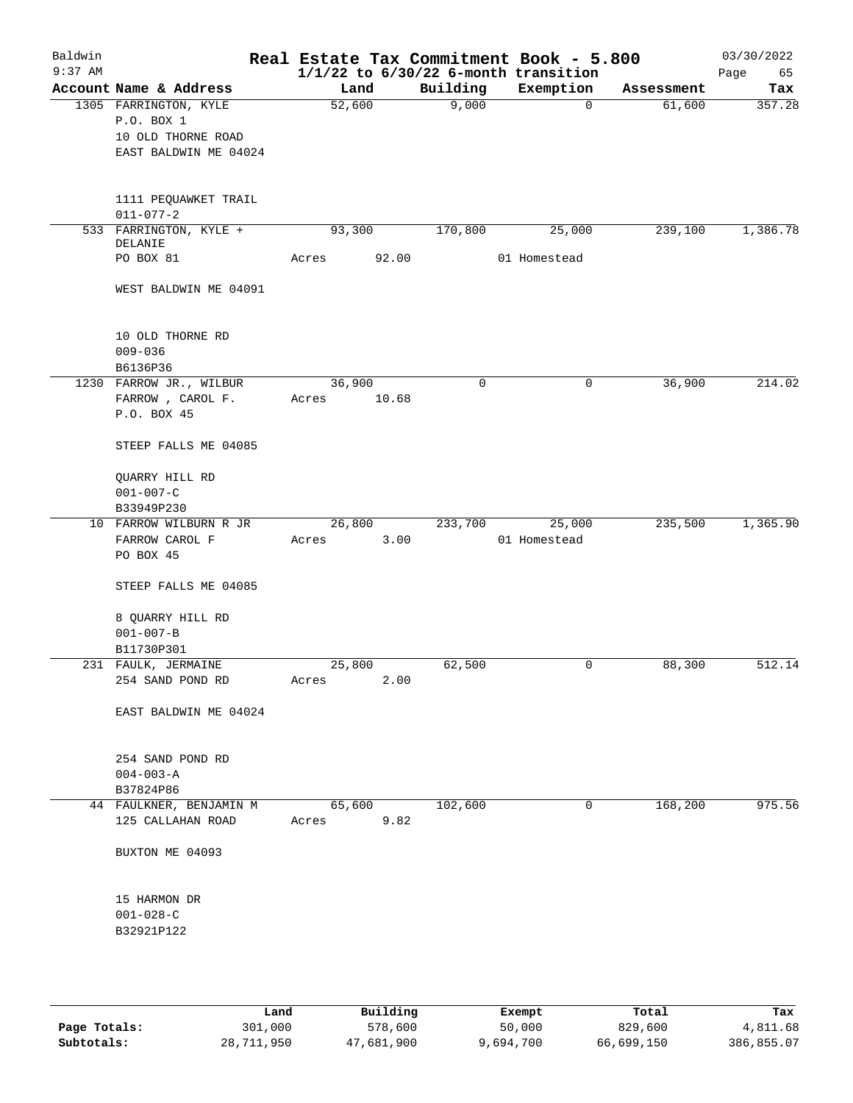| Baldwin<br>$9:37$ AM |                                         |        |       |             | Real Estate Tax Commitment Book - 5.800<br>$1/1/22$ to $6/30/22$ 6-month transition |            | 03/30/2022<br>Page<br>65 |
|----------------------|-----------------------------------------|--------|-------|-------------|-------------------------------------------------------------------------------------|------------|--------------------------|
|                      | Account Name & Address                  | Land   |       | Building    | Exemption                                                                           | Assessment | Tax                      |
|                      | 1305 FARRINGTON, KYLE                   | 52,600 |       | 9,000       | $\mathbf 0$                                                                         | 61,600     | 357.28                   |
|                      | P.O. BOX 1                              |        |       |             |                                                                                     |            |                          |
|                      | 10 OLD THORNE ROAD                      |        |       |             |                                                                                     |            |                          |
|                      | EAST BALDWIN ME 04024                   |        |       |             |                                                                                     |            |                          |
|                      | 1111 PEQUAWKET TRAIL<br>$011 - 077 - 2$ |        |       |             |                                                                                     |            |                          |
|                      | 533 FARRINGTON, KYLE +<br>DELANIE       | 93,300 |       | 170,800     | 25,000                                                                              | 239,100    | 1,386.78                 |
|                      | PO BOX 81                               | Acres  | 92.00 |             | 01 Homestead                                                                        |            |                          |
|                      | WEST BALDWIN ME 04091                   |        |       |             |                                                                                     |            |                          |
|                      | 10 OLD THORNE RD                        |        |       |             |                                                                                     |            |                          |
|                      | $009 - 036$<br>B6136P36                 |        |       |             |                                                                                     |            |                          |
|                      | 1230 FARROW JR., WILBUR                 | 36,900 |       | $\mathbf 0$ | 0                                                                                   | 36,900     | 214.02                   |
|                      | FARROW, CAROL F.                        | Acres  | 10.68 |             |                                                                                     |            |                          |
|                      | P.O. BOX 45                             |        |       |             |                                                                                     |            |                          |
|                      | STEEP FALLS ME 04085                    |        |       |             |                                                                                     |            |                          |
|                      | QUARRY HILL RD                          |        |       |             |                                                                                     |            |                          |
|                      | $001 - 007 - C$                         |        |       |             |                                                                                     |            |                          |
|                      | B33949P230                              |        |       |             |                                                                                     |            |                          |
|                      | 10 FARROW WILBURN R JR                  | 26,800 |       | 233,700     | 25,000                                                                              | 235,500    | 1,365.90                 |
|                      | FARROW CAROL F                          | Acres  | 3.00  |             | 01 Homestead                                                                        |            |                          |
|                      | PO BOX 45                               |        |       |             |                                                                                     |            |                          |
|                      | STEEP FALLS ME 04085                    |        |       |             |                                                                                     |            |                          |
|                      | 8 QUARRY HILL RD                        |        |       |             |                                                                                     |            |                          |
|                      | $001 - 007 - B$                         |        |       |             |                                                                                     |            |                          |
|                      | B11730P301                              |        |       |             |                                                                                     |            |                          |
|                      | 231 FAULK, JERMAINE                     | 25,800 |       | 62,500      | 0                                                                                   | 88,300     | 512.14                   |
|                      | 254 SAND POND RD                        | Acres  | 2.00  |             |                                                                                     |            |                          |
|                      | EAST BALDWIN ME 04024                   |        |       |             |                                                                                     |            |                          |
|                      | 254 SAND POND RD                        |        |       |             |                                                                                     |            |                          |
|                      | $004 - 003 - A$                         |        |       |             |                                                                                     |            |                          |
|                      | B37824P86                               |        |       |             |                                                                                     |            |                          |
|                      | 44 FAULKNER, BENJAMIN M                 | 65,600 |       | 102,600     | 0                                                                                   | 168,200    | 975.56                   |
|                      | 125 CALLAHAN ROAD                       | Acres  | 9.82  |             |                                                                                     |            |                          |
|                      | BUXTON ME 04093                         |        |       |             |                                                                                     |            |                          |
|                      | 15 HARMON DR                            |        |       |             |                                                                                     |            |                          |
|                      | $001 - 028 - C$                         |        |       |             |                                                                                     |            |                          |
|                      | B32921P122                              |        |       |             |                                                                                     |            |                          |
|                      |                                         |        |       |             |                                                                                     |            |                          |
|                      |                                         |        |       |             |                                                                                     |            |                          |

|              | Land       | Building   | Exempt    | Total      | Tax        |
|--------------|------------|------------|-----------|------------|------------|
| Page Totals: | 301,000    | 578,600    | 50,000    | 829,600    | 4,811.68   |
| Subtotals:   | 28,711,950 | 47,681,900 | 9,694,700 | 66,699,150 | 386,855.07 |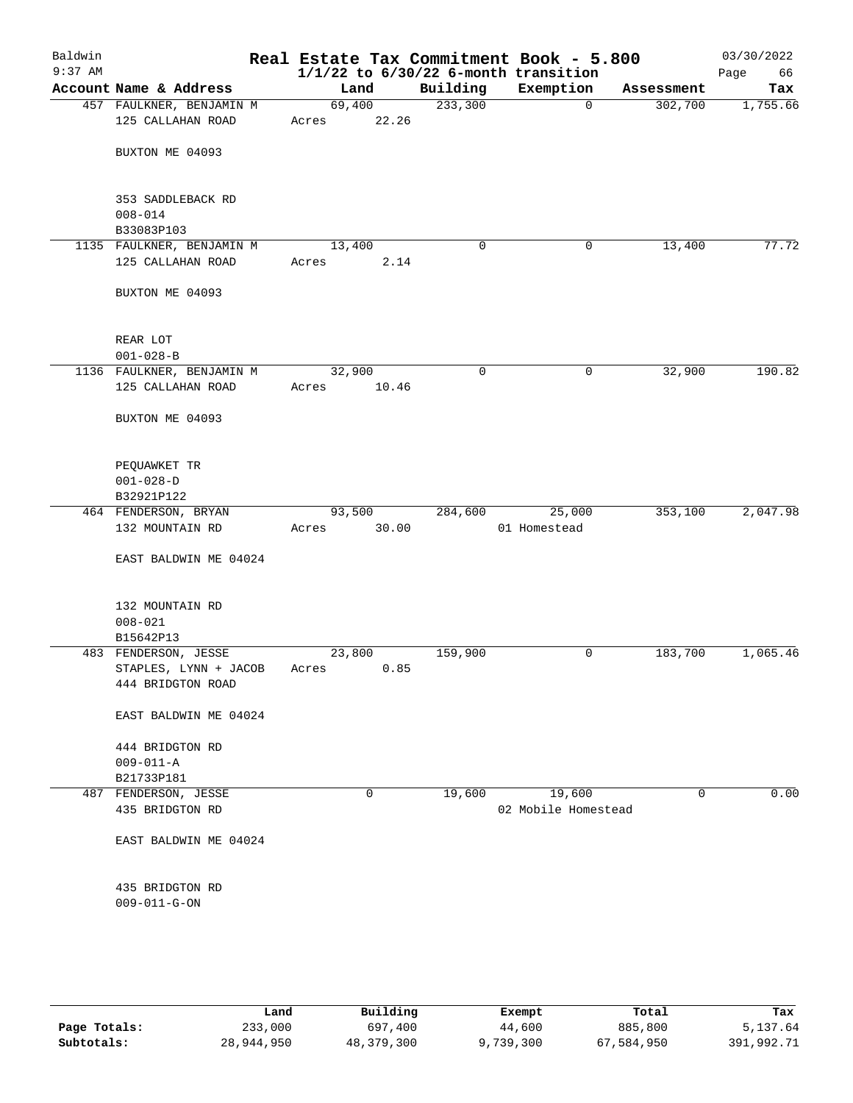| Baldwin<br>$9:37$ AM |                                                                    |                 |       |             | Real Estate Tax Commitment Book - 5.800<br>$1/1/22$ to $6/30/22$ 6-month transition |            | 03/30/2022<br>Page<br>66 |
|----------------------|--------------------------------------------------------------------|-----------------|-------|-------------|-------------------------------------------------------------------------------------|------------|--------------------------|
|                      | Account Name & Address                                             | Land            |       | Building    | Exemption                                                                           | Assessment | Tax                      |
|                      | 457 FAULKNER, BENJAMIN M                                           | 69,400          |       | 233,300     | $\mathbf 0$                                                                         | 302,700    | 1,755.66                 |
|                      | 125 CALLAHAN ROAD                                                  | Acres           | 22.26 |             |                                                                                     |            |                          |
|                      | BUXTON ME 04093                                                    |                 |       |             |                                                                                     |            |                          |
|                      | 353 SADDLEBACK RD                                                  |                 |       |             |                                                                                     |            |                          |
|                      | $008 - 014$<br>B33083P103                                          |                 |       |             |                                                                                     |            |                          |
|                      | 1135 FAULKNER, BENJAMIN M                                          | 13,400          |       | 0           | 0                                                                                   | 13,400     | 77.72                    |
|                      | 125 CALLAHAN ROAD                                                  | Acres           | 2.14  |             |                                                                                     |            |                          |
|                      | BUXTON ME 04093                                                    |                 |       |             |                                                                                     |            |                          |
|                      | REAR LOT                                                           |                 |       |             |                                                                                     |            |                          |
|                      | $001 - 028 - B$                                                    |                 |       |             |                                                                                     |            |                          |
|                      | 1136 FAULKNER, BENJAMIN M                                          | 32,900          |       | $\mathbf 0$ | 0                                                                                   | 32,900     | 190.82                   |
|                      | 125 CALLAHAN ROAD                                                  | Acres           | 10.46 |             |                                                                                     |            |                          |
|                      | BUXTON ME 04093                                                    |                 |       |             |                                                                                     |            |                          |
|                      | PEQUAWKET TR                                                       |                 |       |             |                                                                                     |            |                          |
|                      | $001 - 028 - D$                                                    |                 |       |             |                                                                                     |            |                          |
|                      | B32921P122                                                         |                 |       |             |                                                                                     |            |                          |
|                      | 464 FENDERSON, BRYAN                                               | 93,500          |       | 284,600     | 25,000                                                                              | 353,100    | 2,047.98                 |
|                      | 132 MOUNTAIN RD                                                    | Acres           | 30.00 |             | 01 Homestead                                                                        |            |                          |
|                      | EAST BALDWIN ME 04024                                              |                 |       |             |                                                                                     |            |                          |
|                      | 132 MOUNTAIN RD                                                    |                 |       |             |                                                                                     |            |                          |
|                      | $008 - 021$                                                        |                 |       |             |                                                                                     |            |                          |
|                      | B15642P13                                                          |                 |       |             |                                                                                     |            |                          |
|                      | 483 FENDERSON, JESSE<br>STAPLES, LYNN + JACOB<br>444 BRIDGTON ROAD | 23,800<br>Acres | 0.85  | 159,900     | 0                                                                                   | 183,700    | 1,065.46                 |
|                      | EAST BALDWIN ME 04024                                              |                 |       |             |                                                                                     |            |                          |
|                      | 444 BRIDGTON RD                                                    |                 |       |             |                                                                                     |            |                          |
|                      | $009 - 011 - A$                                                    |                 |       |             |                                                                                     |            |                          |
|                      | B21733P181                                                         |                 |       |             |                                                                                     |            |                          |
|                      | 487 FENDERSON, JESSE                                               |                 | 0     | 19,600      | 19,600                                                                              | 0          | 0.00                     |
|                      | 435 BRIDGTON RD                                                    |                 |       |             | 02 Mobile Homestead                                                                 |            |                          |
|                      | EAST BALDWIN ME 04024                                              |                 |       |             |                                                                                     |            |                          |
|                      | 435 BRIDGTON RD                                                    |                 |       |             |                                                                                     |            |                          |
|                      | $009 - 011 - G - ON$                                               |                 |       |             |                                                                                     |            |                          |
|                      |                                                                    |                 |       |             |                                                                                     |            |                          |
|                      |                                                                    |                 |       |             |                                                                                     |            |                          |

|              | Land       | Building   | Exempt    | Total      | Tax        |
|--------------|------------|------------|-----------|------------|------------|
| Page Totals: | 233,000    | 697,400    | 44,600    | 885,800    | 5,137.64   |
| Subtotals:   | 28,944,950 | 48,379,300 | 9,739,300 | 67,584,950 | 391,992.71 |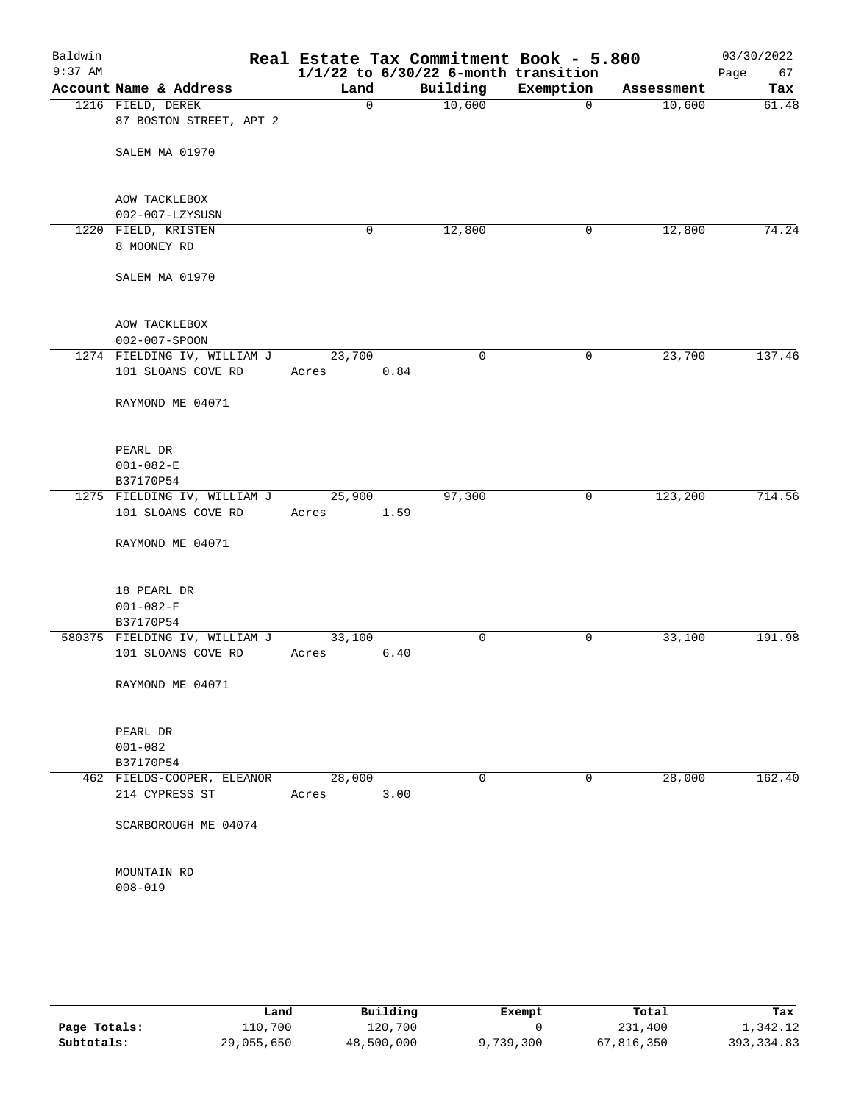| Baldwin   |                               |        |          | Real Estate Tax Commitment Book - 5.800  |             |            | 03/30/2022 |
|-----------|-------------------------------|--------|----------|------------------------------------------|-------------|------------|------------|
| $9:37$ AM |                               |        |          | $1/1/22$ to $6/30/22$ 6-month transition |             |            | 67<br>Page |
|           | Account Name & Address        | Land   |          | Building                                 | Exemption   | Assessment | Tax        |
|           | 1216 FIELD, DEREK             |        | $\Omega$ | 10,600                                   | $\Omega$    | 10,600     | 61.48      |
|           | 87 BOSTON STREET, APT 2       |        |          |                                          |             |            |            |
|           | SALEM MA 01970                |        |          |                                          |             |            |            |
|           |                               |        |          |                                          |             |            |            |
|           | AOW TACKLEBOX                 |        |          |                                          |             |            |            |
|           | 002-007-LZYSUSN               |        |          |                                          |             |            |            |
|           | 1220 FIELD, KRISTEN           |        | 0        | 12,800                                   | 0           | 12,800     | 74.24      |
|           | 8 MOONEY RD                   |        |          |                                          |             |            |            |
|           | SALEM MA 01970                |        |          |                                          |             |            |            |
|           | AOW TACKLEBOX                 |        |          |                                          |             |            |            |
|           | 002-007-SPOON                 |        |          |                                          |             |            |            |
|           | 1274 FIELDING IV, WILLIAM J   | 23,700 |          | 0                                        | $\mathbf 0$ | 23,700     | 137.46     |
|           | 101 SLOANS COVE RD            | Acres  | 0.84     |                                          |             |            |            |
|           | RAYMOND ME 04071              |        |          |                                          |             |            |            |
|           | PEARL DR                      |        |          |                                          |             |            |            |
|           | $001 - 082 - E$               |        |          |                                          |             |            |            |
|           | B37170P54                     |        |          |                                          |             |            |            |
|           | 1275 FIELDING IV, WILLIAM J   | 25,900 |          | 97,300                                   | 0           | 123,200    | 714.56     |
|           | 101 SLOANS COVE RD            | Acres  | 1.59     |                                          |             |            |            |
|           | RAYMOND ME 04071              |        |          |                                          |             |            |            |
|           | 18 PEARL DR                   |        |          |                                          |             |            |            |
|           | $001 - 082 - F$               |        |          |                                          |             |            |            |
|           | B37170P54                     |        |          |                                          |             |            |            |
|           | 580375 FIELDING IV, WILLIAM J | 33,100 |          | 0                                        | 0           | 33,100     | 191.98     |
|           | 101 SLOANS COVE RD            | Acres  | 6.40     |                                          |             |            |            |
|           | RAYMOND ME 04071              |        |          |                                          |             |            |            |
|           | PEARL DR                      |        |          |                                          |             |            |            |
|           | $001 - 082$                   |        |          |                                          |             |            |            |
|           | B37170P54                     |        |          |                                          |             |            |            |
|           | 462 FIELDS-COOPER, ELEANOR    | 28,000 |          | 0                                        | 0           | 28,000     | 162.40     |
|           | 214 CYPRESS ST                | Acres  | 3.00     |                                          |             |            |            |
|           | SCARBOROUGH ME 04074          |        |          |                                          |             |            |            |
|           | MOUNTAIN RD                   |        |          |                                          |             |            |            |
|           | $008 - 019$                   |        |          |                                          |             |            |            |
|           |                               |        |          |                                          |             |            |            |

|              | Land       | Building   | Exempt    | Total      | Tax         |
|--------------|------------|------------|-----------|------------|-------------|
| Page Totals: | 110,700    | 120,700    |           | 231,400    | 1,342.12    |
| Subtotals:   | 29,055,650 | 48,500,000 | 9,739,300 | 67,816,350 | 393, 334.83 |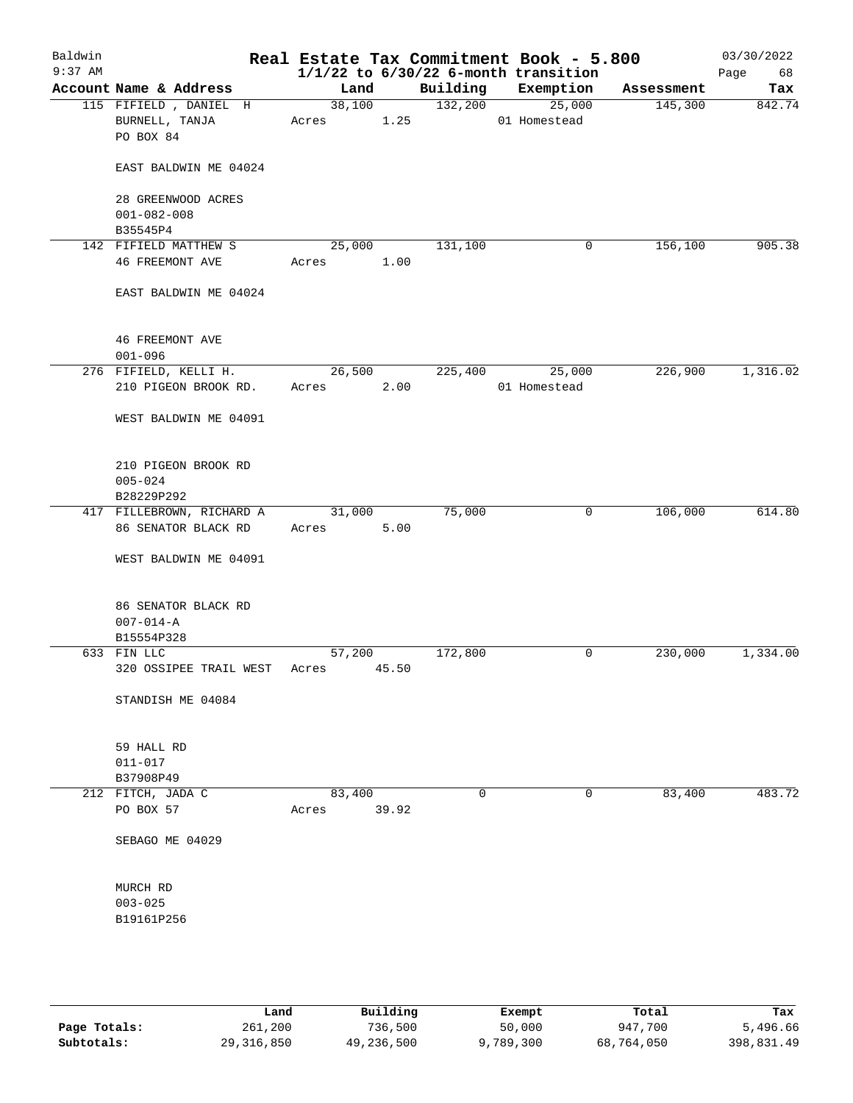| Baldwin<br>$9:37$ AM |                                                      |                 |        |          | Real Estate Tax Commitment Book - 5.800<br>$1/1/22$ to $6/30/22$ 6-month transition |            | 03/30/2022<br>Page<br>68 |
|----------------------|------------------------------------------------------|-----------------|--------|----------|-------------------------------------------------------------------------------------|------------|--------------------------|
|                      | Account Name & Address                               | Land            |        | Building | Exemption                                                                           | Assessment | Tax                      |
|                      | 115 FIFIELD, DANIEL H<br>BURNELL, TANJA<br>PO BOX 84 | Acres 1.25      | 38,100 | 132,200  | 25,000<br>01 Homestead                                                              | 145,300    | 842.74                   |
|                      | EAST BALDWIN ME 04024                                |                 |        |          |                                                                                     |            |                          |
|                      | 28 GREENWOOD ACRES<br>$001 - 082 - 008$              |                 |        |          |                                                                                     |            |                          |
|                      | B35545P4                                             |                 |        |          |                                                                                     |            |                          |
|                      | 142 FIFIELD MATTHEW S                                | 25,000          |        | 131,100  | 0                                                                                   | 156,100    | 905.38                   |
|                      | <b>46 FREEMONT AVE</b>                               | Acres 1.00      |        |          |                                                                                     |            |                          |
|                      | EAST BALDWIN ME 04024                                |                 |        |          |                                                                                     |            |                          |
|                      | <b>46 FREEMONT AVE</b><br>$001 - 096$                |                 |        |          |                                                                                     |            |                          |
|                      | 276 FIFIELD, KELLI H.                                | 26,500          |        | 225,400  | 25,000                                                                              | 226,900    | 1,316.02                 |
|                      | 210 PIGEON BROOK RD.                                 | Acres           | 2.00   |          | 01 Homestead                                                                        |            |                          |
|                      | WEST BALDWIN ME 04091                                |                 |        |          |                                                                                     |            |                          |
|                      | 210 PIGEON BROOK RD<br>$005 - 024$<br>B28229P292     |                 |        |          |                                                                                     |            |                          |
|                      | 417 FILLEBROWN, RICHARD A                            | 31,000          |        | 75,000   | 0                                                                                   | 106,000    | 614.80                   |
|                      | 86 SENATOR BLACK RD                                  | Acres           | 5.00   |          |                                                                                     |            |                          |
|                      | WEST BALDWIN ME 04091                                |                 |        |          |                                                                                     |            |                          |
|                      | 86 SENATOR BLACK RD<br>$007 - 014 - A$               |                 |        |          |                                                                                     |            |                          |
|                      | B15554P328                                           |                 |        |          |                                                                                     |            |                          |
|                      | 633 FIN LLC                                          | 57,200          |        | 172,800  | 0                                                                                   | 230,000    | 1,334.00                 |
|                      | 320 OSSIPEE TRAIL WEST                               | Acres 45.50     |        |          |                                                                                     |            |                          |
|                      | STANDISH ME 04084                                    |                 |        |          |                                                                                     |            |                          |
|                      | 59 HALL RD                                           |                 |        |          |                                                                                     |            |                          |
|                      | $011 - 017$                                          |                 |        |          |                                                                                     |            |                          |
|                      | B37908P49                                            |                 |        |          |                                                                                     |            |                          |
|                      | 212 FITCH, JADA C<br>PO BOX 57                       | 83,400<br>Acres | 39.92  | 0        | 0                                                                                   | 83,400     | 483.72                   |
|                      | SEBAGO ME 04029                                      |                 |        |          |                                                                                     |            |                          |
|                      | MURCH RD                                             |                 |        |          |                                                                                     |            |                          |
|                      | $003 - 025$                                          |                 |        |          |                                                                                     |            |                          |
|                      | B19161P256                                           |                 |        |          |                                                                                     |            |                          |
|                      |                                                      |                 |        |          |                                                                                     |            |                          |
|                      |                                                      |                 |        |          |                                                                                     |            |                          |

|              | Land       | Building   | Exempt    | Total      | Tax        |
|--------------|------------|------------|-----------|------------|------------|
| Page Totals: | 261,200    | 736,500    | 50,000    | 947,700    | 5,496.66   |
| Subtotals:   | 29,316,850 | 49,236,500 | 9,789,300 | 68,764,050 | 398,831.49 |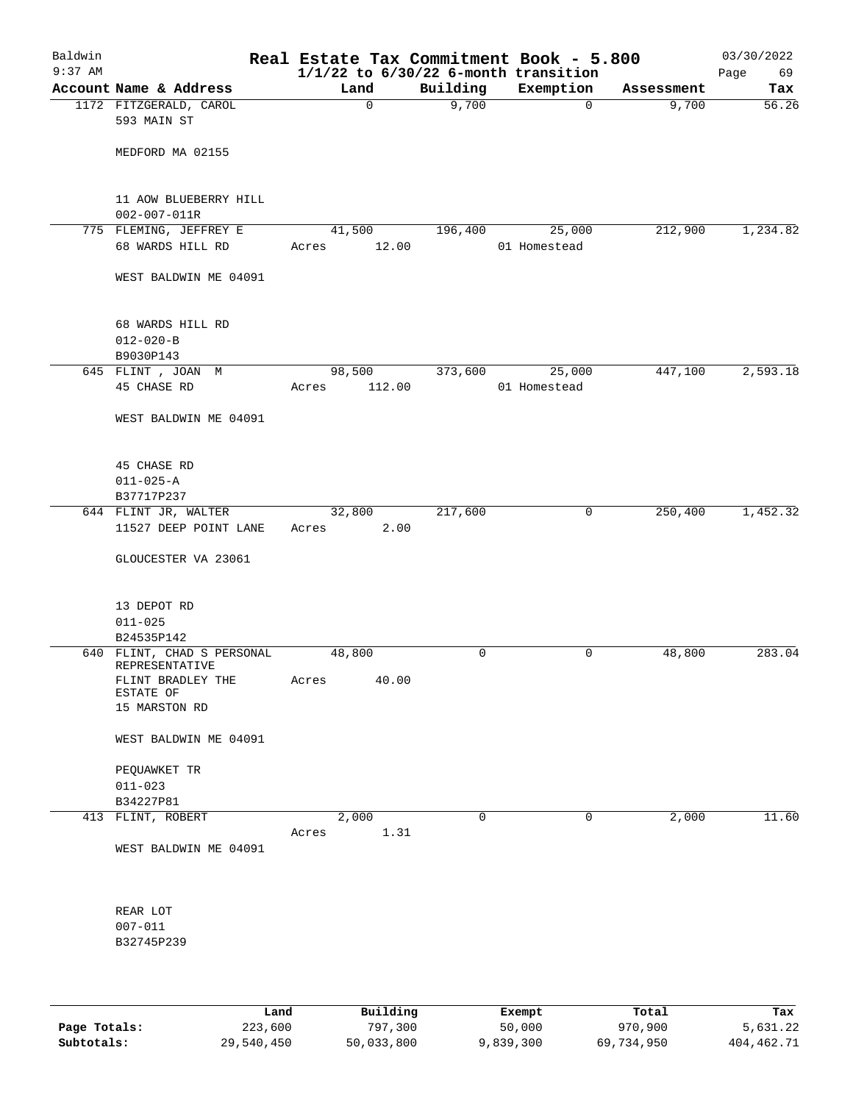| Baldwin<br>$9:37$ AM |                                                  | Real Estate Tax Commitment Book - 5.800 |             | $1/1/22$ to $6/30/22$ 6-month transition |            | 03/30/2022<br>Page<br>69 |
|----------------------|--------------------------------------------------|-----------------------------------------|-------------|------------------------------------------|------------|--------------------------|
|                      | Account Name & Address                           | Land                                    | Building    | Exemption                                | Assessment | Tax                      |
|                      | 1172 FITZGERALD, CAROL<br>593 MAIN ST            | 0                                       | 9,700       | $\mathbf 0$                              | 9,700      | 56.26                    |
|                      | MEDFORD MA 02155                                 |                                         |             |                                          |            |                          |
|                      | 11 AOW BLUEBERRY HILL<br>$002 - 007 - 011R$      |                                         |             |                                          |            |                          |
|                      | 775 FLEMING, JEFFREY E                           | 41,500                                  | 196,400     | 25,000                                   | 212,900    | 1,234.82                 |
|                      | 68 WARDS HILL RD                                 | 12.00<br>Acres                          |             | 01 Homestead                             |            |                          |
|                      | WEST BALDWIN ME 04091                            |                                         |             |                                          |            |                          |
|                      | 68 WARDS HILL RD<br>$012 - 020 - B$<br>B9030P143 |                                         |             |                                          |            |                          |
|                      | 645 FLINT , JOAN M                               | 98,500                                  | 373,600     | 25,000                                   | 447,100    | 2,593.18                 |
|                      | 45 CHASE RD                                      | 112.00<br>Acres                         |             | 01 Homestead                             |            |                          |
|                      | WEST BALDWIN ME 04091                            |                                         |             |                                          |            |                          |
|                      | 45 CHASE RD<br>$011 - 025 - A$<br>B37717P237     |                                         |             |                                          |            |                          |
|                      | 644 FLINT JR, WALTER<br>11527 DEEP POINT LANE    | 32,800<br>2.00<br>Acres                 | 217,600     | $\mathbf 0$                              | 250,400    | 1,452.32                 |
|                      | GLOUCESTER VA 23061                              |                                         |             |                                          |            |                          |
|                      | 13 DEPOT RD                                      |                                         |             |                                          |            |                          |
|                      | $011 - 025$<br>B24535P142                        |                                         |             |                                          |            |                          |
|                      | 640 FLINT, CHAD S PERSONAL                       | 48,800                                  | 0           | 0                                        | 48,800     | 283.04                   |
|                      | REPRESENTATIVE                                   |                                         |             |                                          |            |                          |
|                      | FLINT BRADLEY THE                                | Acres<br>40.00                          |             |                                          |            |                          |
|                      | ESTATE OF<br>15 MARSTON RD                       |                                         |             |                                          |            |                          |
|                      |                                                  |                                         |             |                                          |            |                          |
|                      | WEST BALDWIN ME 04091                            |                                         |             |                                          |            |                          |
|                      | PEQUAWKET TR                                     |                                         |             |                                          |            |                          |
|                      | $011 - 023$                                      |                                         |             |                                          |            |                          |
|                      | B34227P81<br>413 FLINT, ROBERT                   | 2,000                                   | $\mathbf 0$ | $\mathbf 0$                              | 2,000      | 11.60                    |
|                      |                                                  | 1.31<br>Acres                           |             |                                          |            |                          |
|                      | WEST BALDWIN ME 04091                            |                                         |             |                                          |            |                          |
|                      | REAR LOT                                         |                                         |             |                                          |            |                          |
|                      | $007 - 011$                                      |                                         |             |                                          |            |                          |
|                      | B32745P239                                       |                                         |             |                                          |            |                          |
|                      |                                                  |                                         |             |                                          |            |                          |
|                      |                                                  |                                         |             |                                          |            |                          |

|              | Land       | Building   | Exempt    | Total      | Tax        |
|--------------|------------|------------|-----------|------------|------------|
| Page Totals: | 223,600    | 797.300    | 50,000    | 970,900    | 5,631.22   |
| Subtotals:   | 29,540,450 | 50,033,800 | 9,839,300 | 69,734,950 | 404,462.71 |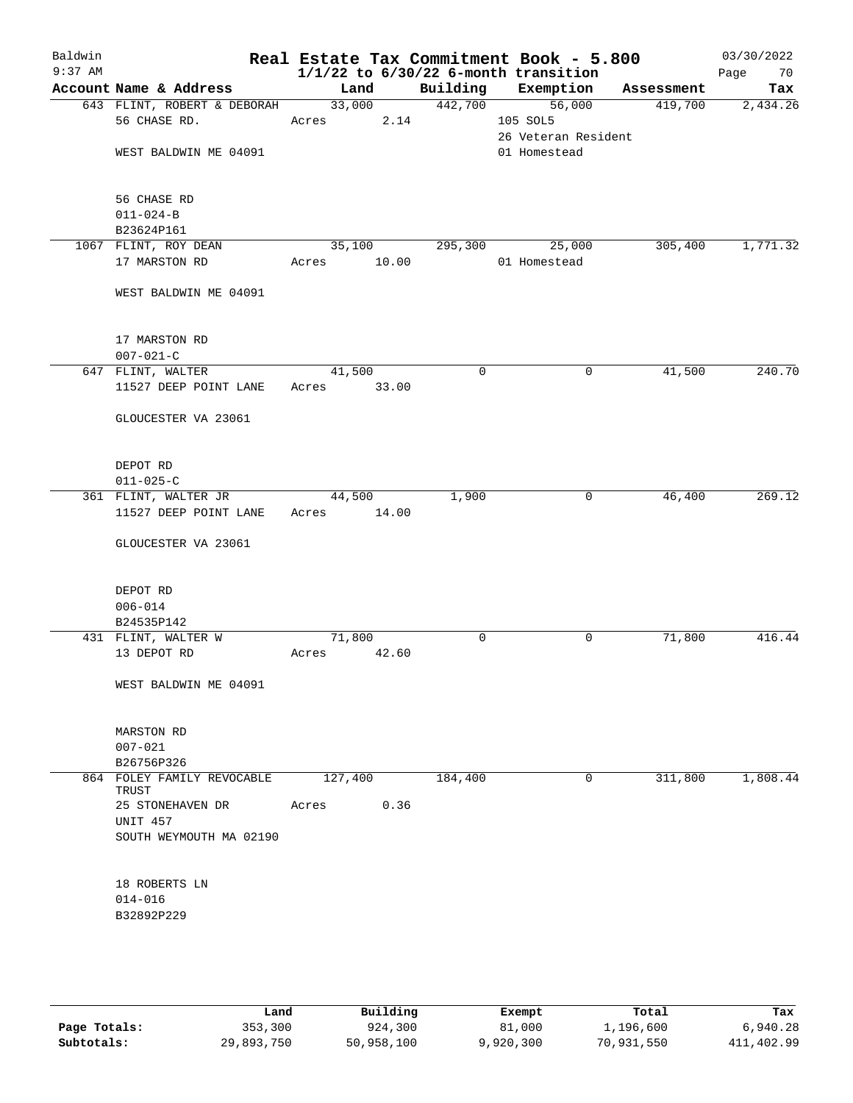| Baldwin<br>$9:37$ AM |                                       |             |       |             | Real Estate Tax Commitment Book - 5.800<br>$1/1/22$ to $6/30/22$ 6-month transition |            | 03/30/2022<br>70<br>Page |
|----------------------|---------------------------------------|-------------|-------|-------------|-------------------------------------------------------------------------------------|------------|--------------------------|
|                      | Account Name & Address                | Land        |       | Building    | Exemption                                                                           | Assessment | Tax                      |
|                      | 643 FLINT, ROBERT & DEBORAH           | 33,000      |       | 442,700     | 56,000                                                                              | 419,700    | 2,434.26                 |
|                      | 56 CHASE RD.                          | Acres       | 2.14  |             | 105 SOL5                                                                            |            |                          |
|                      |                                       |             |       |             | 26 Veteran Resident                                                                 |            |                          |
|                      | WEST BALDWIN ME 04091                 |             |       |             | 01 Homestead                                                                        |            |                          |
|                      |                                       |             |       |             |                                                                                     |            |                          |
|                      |                                       |             |       |             |                                                                                     |            |                          |
|                      | 56 CHASE RD                           |             |       |             |                                                                                     |            |                          |
|                      | $011 - 024 - B$                       |             |       |             |                                                                                     |            |                          |
|                      | B23624P161                            |             |       |             |                                                                                     |            |                          |
|                      | 1067 FLINT, ROY DEAN<br>17 MARSTON RD | 35,100      |       | 295,300     | 25,000                                                                              | 305,400    | 1,771.32                 |
|                      |                                       | Acres       | 10.00 |             | 01 Homestead                                                                        |            |                          |
|                      | WEST BALDWIN ME 04091                 |             |       |             |                                                                                     |            |                          |
|                      |                                       |             |       |             |                                                                                     |            |                          |
|                      |                                       |             |       |             |                                                                                     |            |                          |
|                      | 17 MARSTON RD                         |             |       |             |                                                                                     |            |                          |
|                      | $007 - 021 - C$                       |             |       |             |                                                                                     |            |                          |
|                      | 647 FLINT, WALTER                     | 41,500      |       | $\mathbf 0$ | 0                                                                                   | 41,500     | 240.70                   |
|                      | 11527 DEEP POINT LANE                 | Acres       | 33.00 |             |                                                                                     |            |                          |
|                      |                                       |             |       |             |                                                                                     |            |                          |
|                      | GLOUCESTER VA 23061                   |             |       |             |                                                                                     |            |                          |
|                      |                                       |             |       |             |                                                                                     |            |                          |
|                      | DEPOT RD                              |             |       |             |                                                                                     |            |                          |
|                      | $011 - 025 - C$                       |             |       |             |                                                                                     |            |                          |
|                      | 361 FLINT, WALTER JR                  | 44,500      |       | 1,900       | 0                                                                                   | 46,400     | 269.12                   |
|                      | 11527 DEEP POINT LANE                 | Acres 14.00 |       |             |                                                                                     |            |                          |
|                      |                                       |             |       |             |                                                                                     |            |                          |
|                      | GLOUCESTER VA 23061                   |             |       |             |                                                                                     |            |                          |
|                      |                                       |             |       |             |                                                                                     |            |                          |
|                      | DEPOT RD                              |             |       |             |                                                                                     |            |                          |
|                      | $006 - 014$                           |             |       |             |                                                                                     |            |                          |
|                      | B24535P142                            |             |       |             |                                                                                     |            |                          |
|                      | 431 FLINT, WALTER W                   | 71,800      |       | 0           | 0                                                                                   | 71,800     | 416.44                   |
|                      | 13 DEPOT RD                           | Acres       | 42.60 |             |                                                                                     |            |                          |
|                      |                                       |             |       |             |                                                                                     |            |                          |
|                      | WEST BALDWIN ME 04091                 |             |       |             |                                                                                     |            |                          |
|                      |                                       |             |       |             |                                                                                     |            |                          |
|                      | MARSTON RD                            |             |       |             |                                                                                     |            |                          |
|                      | $007 - 021$                           |             |       |             |                                                                                     |            |                          |
|                      | B26756P326                            |             |       |             |                                                                                     |            |                          |
|                      | 864 FOLEY FAMILY REVOCABLE<br>TRUST   | 127,400     |       | 184,400     | 0                                                                                   | 311,800    | 1,808.44                 |
|                      | 25 STONEHAVEN DR                      | Acres       | 0.36  |             |                                                                                     |            |                          |
|                      | <b>UNIT 457</b>                       |             |       |             |                                                                                     |            |                          |
|                      | SOUTH WEYMOUTH MA 02190               |             |       |             |                                                                                     |            |                          |
|                      |                                       |             |       |             |                                                                                     |            |                          |
|                      |                                       |             |       |             |                                                                                     |            |                          |
|                      | 18 ROBERTS LN                         |             |       |             |                                                                                     |            |                          |
|                      | $014 - 016$                           |             |       |             |                                                                                     |            |                          |
|                      | B32892P229                            |             |       |             |                                                                                     |            |                          |
|                      |                                       |             |       |             |                                                                                     |            |                          |
|                      |                                       |             |       |             |                                                                                     |            |                          |

|              | Land       | Building   | Exempt    | Total      | Tax        |
|--------------|------------|------------|-----------|------------|------------|
| Page Totals: | 353,300    | 924,300    | 81,000    | 1,196,600  | 6,940.28   |
| Subtotals:   | 29,893,750 | 50,958,100 | 9,920,300 | 70,931,550 | 411,402.99 |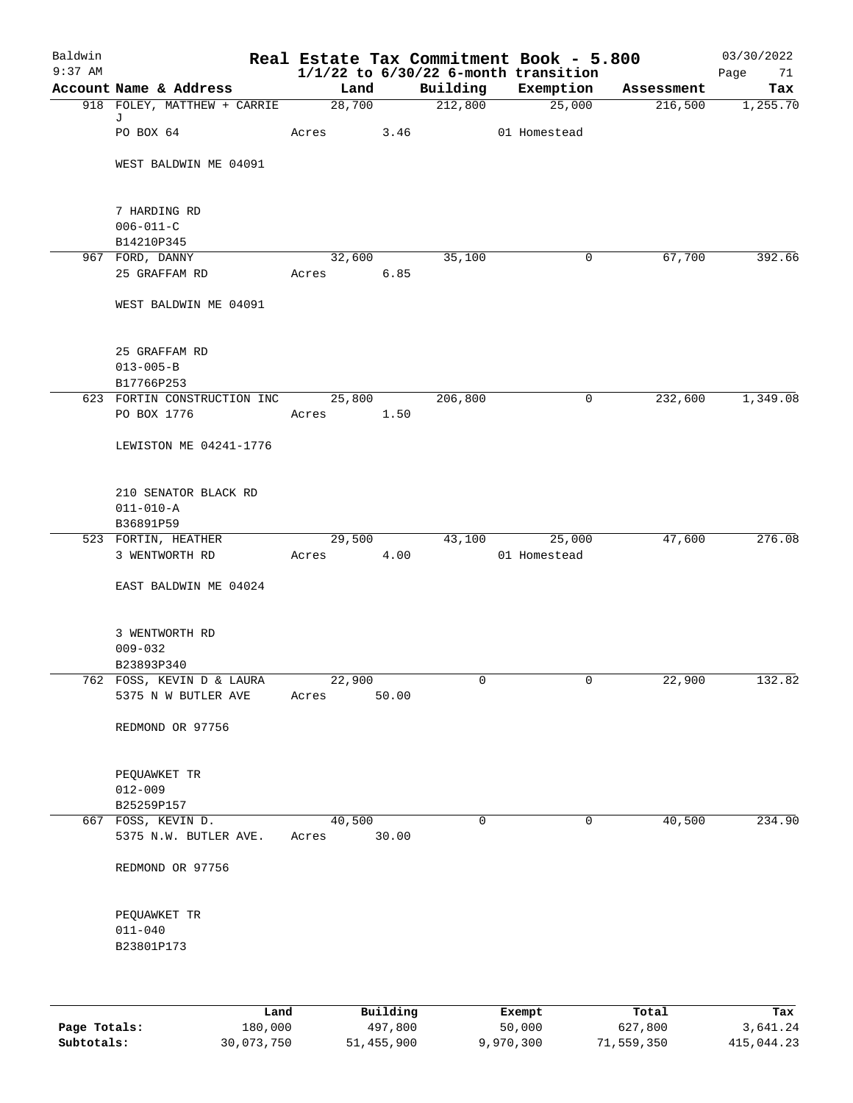| Baldwin<br>$9:37$ AM |                                             |                 |          |             | Real Estate Tax Commitment Book - 5.800<br>$1/1/22$ to $6/30/22$ 6-month transition |              | 03/30/2022<br>Page<br>71 |
|----------------------|---------------------------------------------|-----------------|----------|-------------|-------------------------------------------------------------------------------------|--------------|--------------------------|
|                      | Account Name & Address                      | Land            |          | Building    | Exemption                                                                           | Assessment   | Tax                      |
|                      | 918 FOLEY, MATTHEW + CARRIE                 | 28,700          |          | 212,800     | 25,000                                                                              | 216,500      | 1,255.70                 |
|                      | J<br>PO BOX 64                              | Acres           | 3.46     |             | 01 Homestead                                                                        |              |                          |
|                      | WEST BALDWIN ME 04091                       |                 |          |             |                                                                                     |              |                          |
|                      | 7 HARDING RD                                |                 |          |             |                                                                                     |              |                          |
|                      | $006 - 011 - C$                             |                 |          |             |                                                                                     |              |                          |
|                      | B14210P345                                  |                 |          |             |                                                                                     |              |                          |
|                      | 967 FORD, DANNY                             | 32,600          |          | 35,100      |                                                                                     | 67,700<br>0  | 392.66                   |
|                      | 25 GRAFFAM RD                               | Acres           | 6.85     |             |                                                                                     |              |                          |
|                      | WEST BALDWIN ME 04091                       |                 |          |             |                                                                                     |              |                          |
|                      | 25 GRAFFAM RD                               |                 |          |             |                                                                                     |              |                          |
|                      | $013 - 005 - B$                             |                 |          |             |                                                                                     |              |                          |
|                      | B17766P253                                  |                 |          |             |                                                                                     |              |                          |
|                      | 623 FORTIN CONSTRUCTION INC<br>PO BOX 1776  | 25,800<br>Acres | 1.50     | 206,800     |                                                                                     | 232,600<br>0 | 1,349.08                 |
|                      | LEWISTON ME 04241-1776                      |                 |          |             |                                                                                     |              |                          |
|                      | 210 SENATOR BLACK RD<br>$011 - 010 - A$     |                 |          |             |                                                                                     |              |                          |
|                      | B36891P59                                   |                 |          |             |                                                                                     |              |                          |
|                      | 523 FORTIN, HEATHER                         | 29,500          |          | 43,100      | 25,000<br>01 Homestead                                                              | 47,600       | 276.08                   |
|                      | 3 WENTWORTH RD                              | Acres           | 4.00     |             |                                                                                     |              |                          |
|                      | EAST BALDWIN ME 04024                       |                 |          |             |                                                                                     |              |                          |
|                      | 3 WENTWORTH RD                              |                 |          |             |                                                                                     |              |                          |
|                      | $009 - 032$                                 |                 |          |             |                                                                                     |              |                          |
|                      | B23893P340                                  |                 |          |             |                                                                                     |              |                          |
|                      | 762 FOSS, KEVIN D & LAURA                   | 22,900          |          | 0           |                                                                                     | 0<br>22,900  | 132.82                   |
|                      | 5375 N W BUTLER AVE                         | Acres           | 50.00    |             |                                                                                     |              |                          |
|                      | REDMOND OR 97756                            |                 |          |             |                                                                                     |              |                          |
|                      | PEQUAWKET TR                                |                 |          |             |                                                                                     |              |                          |
|                      | $012 - 009$                                 |                 |          |             |                                                                                     |              |                          |
|                      | B25259P157                                  |                 |          |             |                                                                                     |              |                          |
|                      | 667 FOSS, KEVIN D.<br>5375 N.W. BUTLER AVE. | 40,500<br>Acres | 30.00    | $\mathbf 0$ |                                                                                     | 40,500<br>0  | 234.90                   |
|                      | REDMOND OR 97756                            |                 |          |             |                                                                                     |              |                          |
|                      | PEQUAWKET TR                                |                 |          |             |                                                                                     |              |                          |
|                      | $011 - 040$                                 |                 |          |             |                                                                                     |              |                          |
|                      | B23801P173                                  |                 |          |             |                                                                                     |              |                          |
|                      |                                             |                 |          |             |                                                                                     |              |                          |
|                      | Land                                        |                 | Building |             | Exempt                                                                              | Total        | Tax                      |

|              | ------     | ---------  | --------  | -----      | ----       |
|--------------|------------|------------|-----------|------------|------------|
| Page Totals: | 180,000    | 497,800    | 50,000    | 627,800    | 3,641.24   |
| Subtotals:   | 30,073,750 | 51,455,900 | 9,970,300 | 71,559,350 | 415,044.23 |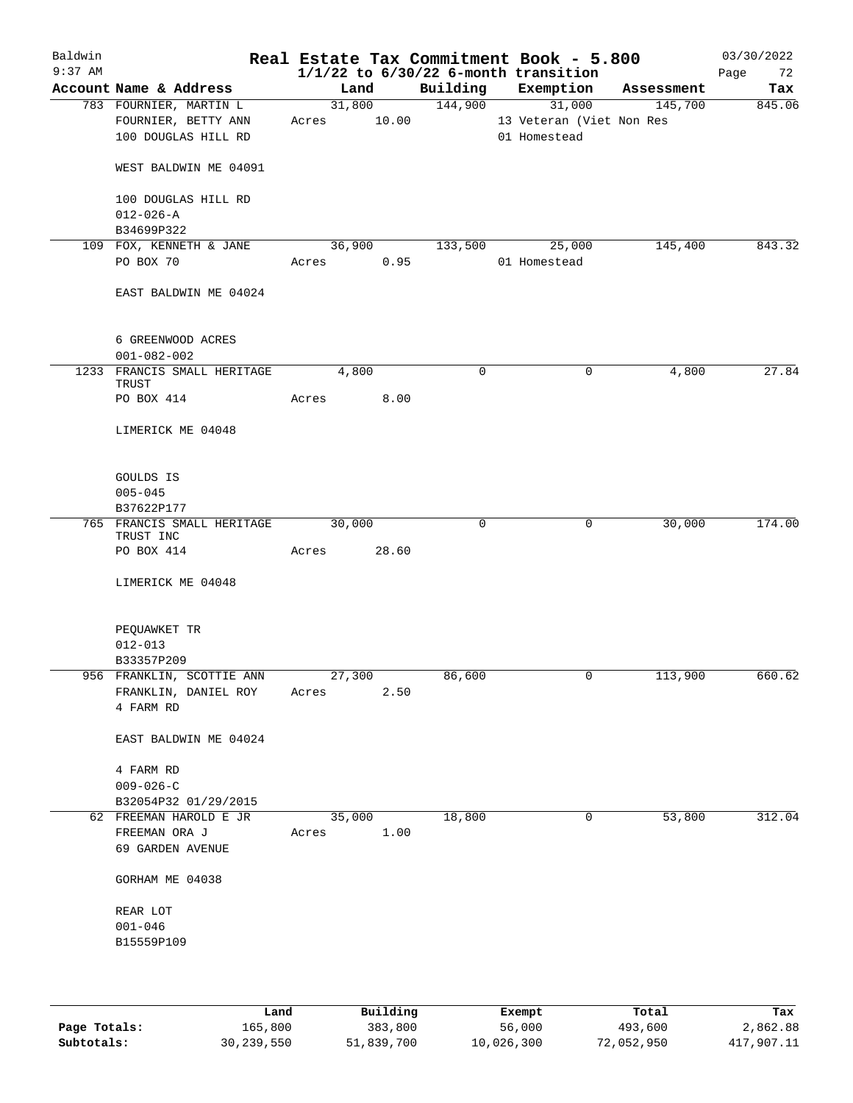| Baldwin<br>$9:37$ AM |                                         |       |        |            |          | Real Estate Tax Commitment Book - 5.800<br>$1/1/22$ to $6/30/22$ 6-month transition |            | 03/30/2022<br>Page<br>72 |
|----------------------|-----------------------------------------|-------|--------|------------|----------|-------------------------------------------------------------------------------------|------------|--------------------------|
|                      | Account Name & Address                  |       | Land   |            | Building | Exemption                                                                           | Assessment | Tax                      |
|                      | 783 FOURNIER, MARTIN L                  |       |        | 31,800     | 144,900  | 31,000                                                                              | 145,700    | 845.06                   |
|                      | FOURNIER, BETTY ANN                     | Acres |        | 10.00      |          | 13 Veteran (Viet Non Res                                                            |            |                          |
|                      | 100 DOUGLAS HILL RD                     |       |        |            |          | 01 Homestead                                                                        |            |                          |
|                      |                                         |       |        |            |          |                                                                                     |            |                          |
|                      | WEST BALDWIN ME 04091                   |       |        |            |          |                                                                                     |            |                          |
|                      | 100 DOUGLAS HILL RD                     |       |        |            |          |                                                                                     |            |                          |
|                      | $012 - 026 - A$                         |       |        |            |          |                                                                                     |            |                          |
|                      | B34699P322                              |       |        |            |          |                                                                                     |            |                          |
|                      | 109 FOX, KENNETH & JANE                 |       | 36,900 |            | 133,500  | 25,000                                                                              | 145,400    | 843.32                   |
|                      | PO BOX 70                               |       |        | Acres 0.95 |          | 01 Homestead                                                                        |            |                          |
|                      | EAST BALDWIN ME 04024                   |       |        |            |          |                                                                                     |            |                          |
|                      | 6 GREENWOOD ACRES<br>$001 - 082 - 002$  |       |        |            |          |                                                                                     |            |                          |
|                      |                                         |       |        |            |          |                                                                                     |            |                          |
|                      | 1233 FRANCIS SMALL HERITAGE<br>TRUST    |       | 4,800  |            | 0        | $\mathbf 0$                                                                         | 4,800      | 27.84                    |
|                      | PO BOX 414                              | Acres |        | 8.00       |          |                                                                                     |            |                          |
|                      |                                         |       |        |            |          |                                                                                     |            |                          |
|                      | LIMERICK ME 04048                       |       |        |            |          |                                                                                     |            |                          |
|                      | GOULDS IS                               |       |        |            |          |                                                                                     |            |                          |
|                      | $005 - 045$                             |       |        |            |          |                                                                                     |            |                          |
|                      | B37622P177                              |       |        |            |          |                                                                                     |            |                          |
|                      | 765 FRANCIS SMALL HERITAGE              |       | 30,000 |            | 0        | $\mathbf 0$                                                                         | 30,000     | 174.00                   |
|                      | TRUST INC<br>PO BOX 414                 | Acres |        | 28.60      |          |                                                                                     |            |                          |
|                      |                                         |       |        |            |          |                                                                                     |            |                          |
|                      | LIMERICK ME 04048                       |       |        |            |          |                                                                                     |            |                          |
|                      | PEQUAWKET TR                            |       |        |            |          |                                                                                     |            |                          |
|                      | $012 - 013$                             |       |        |            |          |                                                                                     |            |                          |
|                      | B33357P209                              |       |        |            |          |                                                                                     |            |                          |
|                      | 956 FRANKLIN, SCOTTIE ANN 27,300        |       |        |            | 86,600   |                                                                                     | 113,900    | 660.62                   |
|                      | FRANKLIN, DANIEL ROY Acres<br>4 FARM RD |       |        | 2.50       |          |                                                                                     |            |                          |
|                      |                                         |       |        |            |          |                                                                                     |            |                          |
|                      | EAST BALDWIN ME 04024                   |       |        |            |          |                                                                                     |            |                          |
|                      | 4 FARM RD                               |       |        |            |          |                                                                                     |            |                          |
|                      | $009 - 026 - C$                         |       |        |            |          |                                                                                     |            |                          |
|                      | B32054P32 01/29/2015                    |       |        |            |          |                                                                                     |            |                          |
|                      | 62 FREEMAN HAROLD E JR                  |       | 35,000 |            | 18,800   | 0                                                                                   | 53,800     | 312.04                   |
|                      | FREEMAN ORA J                           | Acres |        | 1.00       |          |                                                                                     |            |                          |
|                      | 69 GARDEN AVENUE                        |       |        |            |          |                                                                                     |            |                          |
|                      | GORHAM ME 04038                         |       |        |            |          |                                                                                     |            |                          |
|                      | REAR LOT                                |       |        |            |          |                                                                                     |            |                          |
|                      | $001 - 046$                             |       |        |            |          |                                                                                     |            |                          |
|                      | B15559P109                              |       |        |            |          |                                                                                     |            |                          |
|                      |                                         |       |        |            |          |                                                                                     |            |                          |
|                      |                                         |       |        |            |          |                                                                                     |            |                          |
|                      |                                         |       |        |            |          |                                                                                     |            |                          |
|                      |                                         |       |        |            |          |                                                                                     |            |                          |

|              | Land       | Building   | Exempt     | Total      | Tax        |
|--------------|------------|------------|------------|------------|------------|
| Page Totals: | 165,800    | 383,800    | 56,000     | 493,600    | 2,862.88   |
| Subtotals:   | 30,239,550 | 51,839,700 | 10,026,300 | 72,052,950 | 417,907.11 |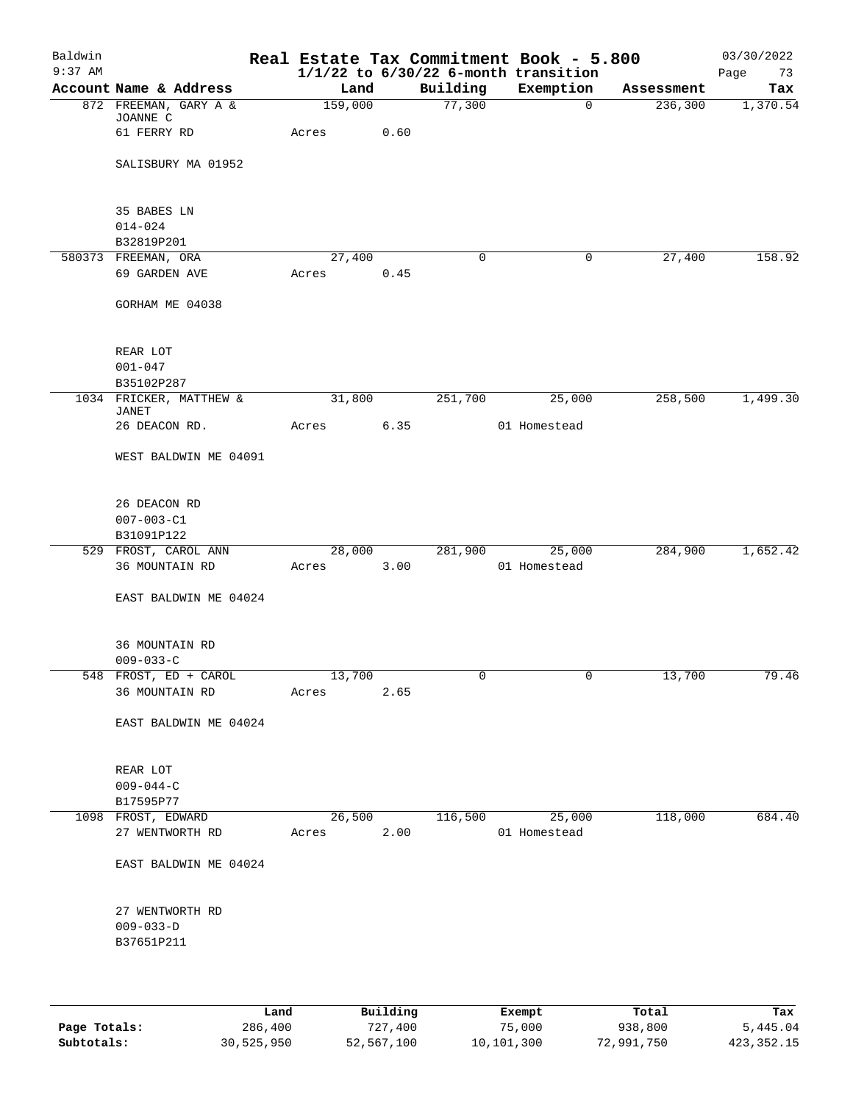| Baldwin<br>$9:37$ AM |                                   |         |      |             | Real Estate Tax Commitment Book - 5.800<br>$1/1/22$ to $6/30/22$ 6-month transition |            | 03/30/2022<br>Page<br>73 |
|----------------------|-----------------------------------|---------|------|-------------|-------------------------------------------------------------------------------------|------------|--------------------------|
|                      | Account Name & Address            | Land    |      | Building    | Exemption                                                                           | Assessment | Tax                      |
|                      | 872 FREEMAN, GARY A &<br>JOANNE C | 159,000 |      | 77,300      | 0                                                                                   | 236,300    | 1,370.54                 |
|                      | 61 FERRY RD                       | Acres   | 0.60 |             |                                                                                     |            |                          |
|                      | SALISBURY MA 01952                |         |      |             |                                                                                     |            |                          |
|                      | 35 BABES LN<br>$014 - 024$        |         |      |             |                                                                                     |            |                          |
|                      | B32819P201                        |         |      |             |                                                                                     |            |                          |
|                      | 580373 FREEMAN, ORA               | 27,400  |      | $\mathbf 0$ | $\mathbf 0$                                                                         | 27,400     | 158.92                   |
|                      | 69 GARDEN AVE                     | Acres   | 0.45 |             |                                                                                     |            |                          |
|                      | GORHAM ME 04038                   |         |      |             |                                                                                     |            |                          |
|                      | REAR LOT                          |         |      |             |                                                                                     |            |                          |
|                      | $001 - 047$                       |         |      |             |                                                                                     |            |                          |
|                      | B35102P287                        |         |      |             |                                                                                     |            |                          |
|                      | 1034 FRICKER, MATTHEW &           | 31,800  |      | 251,700     | 25,000                                                                              | 258,500    | 1,499.30                 |
|                      | JANET<br>26 DEACON RD.            | Acres   | 6.35 |             | 01 Homestead                                                                        |            |                          |
|                      | WEST BALDWIN ME 04091             |         |      |             |                                                                                     |            |                          |
|                      | 26 DEACON RD                      |         |      |             |                                                                                     |            |                          |
|                      | $007 - 003 - C1$                  |         |      |             |                                                                                     |            |                          |
|                      | B31091P122                        |         |      |             |                                                                                     |            |                          |
|                      | 529 FROST, CAROL ANN              | 28,000  |      | 281,900     | 25,000                                                                              | 284,900    | 1,652.42                 |
|                      | <b>36 MOUNTAIN RD</b>             | Acres   | 3.00 |             | 01 Homestead                                                                        |            |                          |
|                      | EAST BALDWIN ME 04024             |         |      |             |                                                                                     |            |                          |
|                      | 36 MOUNTAIN RD                    |         |      |             |                                                                                     |            |                          |
|                      | $009 - 033 - C$                   |         |      |             |                                                                                     |            |                          |
|                      | 548 FROST, ED + CAROL             | 13,700  |      | 0           | 0                                                                                   | 13,700     | 79.46                    |
|                      | 36 MOUNTAIN RD                    | Acres   | 2.65 |             |                                                                                     |            |                          |
|                      | EAST BALDWIN ME 04024             |         |      |             |                                                                                     |            |                          |
|                      | REAR LOT<br>$009 - 044 - C$       |         |      |             |                                                                                     |            |                          |
|                      | B17595P77                         |         |      |             |                                                                                     |            |                          |
|                      | 1098 FROST, EDWARD                | 26,500  |      | 116,500     | 25,000                                                                              | 118,000    | 684.40                   |
|                      | 27 WENTWORTH RD                   | Acres   | 2.00 |             | 01 Homestead                                                                        |            |                          |
|                      | EAST BALDWIN ME 04024             |         |      |             |                                                                                     |            |                          |
|                      | 27 WENTWORTH RD                   |         |      |             |                                                                                     |            |                          |
|                      | $009 - 033 - D$<br>B37651P211     |         |      |             |                                                                                     |            |                          |
|                      |                                   |         |      |             |                                                                                     |            |                          |

|              | Land       | Building   | Exempt     | Total      | Tax          |
|--------------|------------|------------|------------|------------|--------------|
| Page Totals: | 286,400    | 727,400    | 75,000     | 938,800    | 5,445.04     |
| Subtotals:   | 30,525,950 | 52,567,100 | 10,101,300 | 72,991,750 | 423, 352. 15 |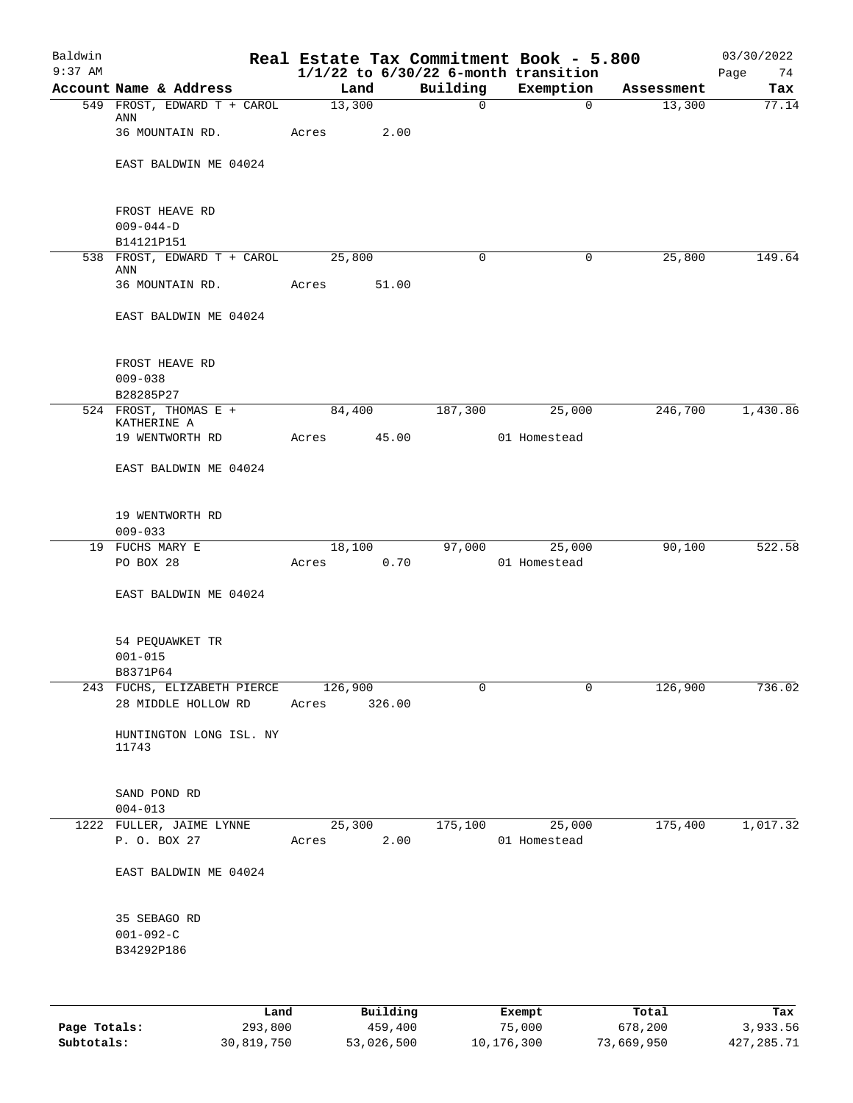| Baldwin<br>$9:37$ AM |                                                            |       |                |             | Real Estate Tax Commitment Book - 5.800<br>$1/1/22$ to $6/30/22$ 6-month transition |            | 03/30/2022<br>Page<br>74 |
|----------------------|------------------------------------------------------------|-------|----------------|-------------|-------------------------------------------------------------------------------------|------------|--------------------------|
|                      | Account Name & Address                                     |       | Land           | Building    | Exemption                                                                           | Assessment | Tax                      |
|                      | 549 FROST, EDWARD T + CAROL                                |       | 13,300         | $\mathbf 0$ | $\Omega$                                                                            | 13,300     | 77.14                    |
|                      | ANN<br>36 MOUNTAIN RD.                                     | Acres | 2.00           |             |                                                                                     |            |                          |
|                      | EAST BALDWIN ME 04024                                      |       |                |             |                                                                                     |            |                          |
|                      | FROST HEAVE RD                                             |       |                |             |                                                                                     |            |                          |
|                      | $009 - 044 - D$                                            |       |                |             |                                                                                     |            |                          |
|                      | B14121P151                                                 |       |                |             |                                                                                     |            |                          |
|                      | 538 FROST, EDWARD T + CAROL 25,800<br>ANN                  |       |                | 0           | 0                                                                                   | 25,800     | 149.64                   |
|                      | 36 MOUNTAIN RD.                                            | Acres | 51.00          |             |                                                                                     |            |                          |
|                      | EAST BALDWIN ME 04024                                      |       |                |             |                                                                                     |            |                          |
|                      | FROST HEAVE RD                                             |       |                |             |                                                                                     |            |                          |
|                      | $009 - 038$                                                |       |                |             |                                                                                     |            |                          |
|                      | B28285P27                                                  |       |                |             |                                                                                     |            |                          |
|                      | 524 FROST, THOMAS E +<br>KATHERINE A                       |       | 84,400         | 187,300     | 25,000                                                                              | 246,700    | 1,430.86                 |
|                      | 19 WENTWORTH RD                                            |       | Acres 45.00    |             | 01 Homestead                                                                        |            |                          |
|                      | EAST BALDWIN ME 04024                                      |       |                |             |                                                                                     |            |                          |
|                      | 19 WENTWORTH RD                                            |       |                |             |                                                                                     |            |                          |
|                      | $009 - 033$                                                |       |                |             |                                                                                     |            |                          |
|                      | 19 FUCHS MARY E<br>PO BOX 28                               | Acres | 18,100<br>0.70 |             | 97,000<br>25,000<br>01 Homestead                                                    | 90,100     | 522.58                   |
|                      | EAST BALDWIN ME 04024                                      |       |                |             |                                                                                     |            |                          |
|                      | 54 PEQUAWKET TR                                            |       |                |             |                                                                                     |            |                          |
|                      | $001 - 015$                                                |       |                |             |                                                                                     |            |                          |
|                      | B8371P64                                                   |       |                |             |                                                                                     |            |                          |
|                      | 243 FUCHS, ELIZABETH PIERCE 126,900<br>28 MIDDLE HOLLOW RD |       | Acres 326.00   | 0           | 0                                                                                   | 126,900    | 736.02                   |
|                      | HUNTINGTON LONG ISL. NY<br>11743                           |       |                |             |                                                                                     |            |                          |
|                      | SAND POND RD<br>$004 - 013$                                |       |                |             |                                                                                     |            |                          |
|                      | 1222 FULLER, JAIME LYNNE                                   |       | 25,300         | 175,100     | 25,000                                                                              | 175,400    | 1,017.32                 |
|                      | P. O. BOX 27                                               | Acres | 2.00           |             | 01 Homestead                                                                        |            |                          |
|                      | EAST BALDWIN ME 04024                                      |       |                |             |                                                                                     |            |                          |
|                      | 35 SEBAGO RD                                               |       |                |             |                                                                                     |            |                          |
|                      | $001 - 092 - C$<br>B34292P186                              |       |                |             |                                                                                     |            |                          |
|                      |                                                            |       |                |             |                                                                                     |            |                          |
|                      |                                                            |       |                |             |                                                                                     |            |                          |

|              | Land       | Building   | Exempt     | Total      | Tax        |
|--------------|------------|------------|------------|------------|------------|
| Page Totals: | 293,800    | 459,400    | 75,000     | 678,200    | 3,933.56   |
| Subtotals:   | 30,819,750 | 53,026,500 | 10,176,300 | 73,669,950 | 427,285.71 |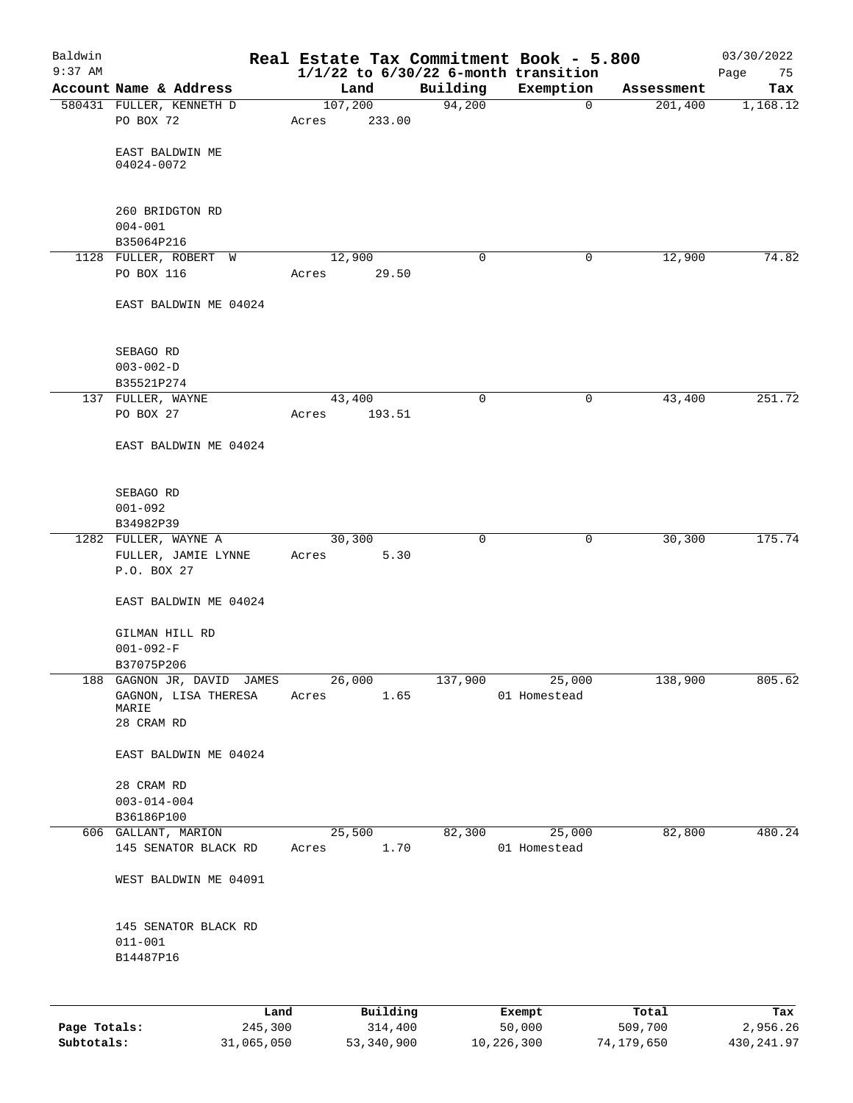| Baldwin<br>$9:37$ AM |                                   |         |                     |             | Real Estate Tax Commitment Book - 5.800<br>$1/1/22$ to $6/30/22$ 6-month transition |                  | 03/30/2022<br>Page<br>75 |
|----------------------|-----------------------------------|---------|---------------------|-------------|-------------------------------------------------------------------------------------|------------------|--------------------------|
|                      | Account Name & Address            | Land    |                     | Building    | Exemption                                                                           | Assessment       | Tax                      |
|                      | 580431 FULLER, KENNETH D          | 107,200 |                     | 94,200      | $\mathbf 0$                                                                         | 201,400          | 1,168.12                 |
|                      | PO BOX 72                         | Acres   | 233.00              |             |                                                                                     |                  |                          |
|                      |                                   |         |                     |             |                                                                                     |                  |                          |
|                      | EAST BALDWIN ME<br>04024-0072     |         |                     |             |                                                                                     |                  |                          |
|                      |                                   |         |                     |             |                                                                                     |                  |                          |
|                      |                                   |         |                     |             |                                                                                     |                  |                          |
|                      | 260 BRIDGTON RD                   |         |                     |             |                                                                                     |                  |                          |
|                      | $004 - 001$<br>B35064P216         |         |                     |             |                                                                                     |                  |                          |
|                      | 1128 FULLER, ROBERT W             | 12,900  |                     | $\mathbf 0$ | $\mathbf 0$                                                                         | 12,900           | 74.82                    |
|                      | PO BOX 116                        | Acres   | 29.50               |             |                                                                                     |                  |                          |
|                      |                                   |         |                     |             |                                                                                     |                  |                          |
|                      | EAST BALDWIN ME 04024             |         |                     |             |                                                                                     |                  |                          |
|                      |                                   |         |                     |             |                                                                                     |                  |                          |
|                      | SEBAGO RD                         |         |                     |             |                                                                                     |                  |                          |
|                      | $003 - 002 - D$                   |         |                     |             |                                                                                     |                  |                          |
|                      | B35521P274                        |         |                     |             |                                                                                     |                  |                          |
|                      | 137 FULLER, WAYNE                 | 43,400  |                     | 0           | 0                                                                                   | 43,400           | 251.72                   |
|                      | PO BOX 27                         | Acres   | 193.51              |             |                                                                                     |                  |                          |
|                      | EAST BALDWIN ME 04024             |         |                     |             |                                                                                     |                  |                          |
|                      |                                   |         |                     |             |                                                                                     |                  |                          |
|                      |                                   |         |                     |             |                                                                                     |                  |                          |
|                      | SEBAGO RD                         |         |                     |             |                                                                                     |                  |                          |
|                      | $001 - 092$                       |         |                     |             |                                                                                     |                  |                          |
|                      | B34982P39<br>1282 FULLER, WAYNE A | 30,300  |                     | 0           | 0                                                                                   | 30,300           | 175.74                   |
|                      | FULLER, JAMIE LYNNE               | Acres   | 5.30                |             |                                                                                     |                  |                          |
|                      | P.O. BOX 27                       |         |                     |             |                                                                                     |                  |                          |
|                      |                                   |         |                     |             |                                                                                     |                  |                          |
|                      | EAST BALDWIN ME 04024             |         |                     |             |                                                                                     |                  |                          |
|                      | GILMAN HILL RD                    |         |                     |             |                                                                                     |                  |                          |
|                      | $001 - 092 - F$                   |         |                     |             |                                                                                     |                  |                          |
|                      | B37075P206                        |         |                     |             |                                                                                     |                  |                          |
|                      | 188 GAGNON JR, DAVID JAMES        | 26,000  |                     | 137,900     | 25,000                                                                              | 138,900          | 805.62                   |
|                      | GAGNON, LISA THERESA<br>MARIE     | Acres   | 1.65                |             | 01 Homestead                                                                        |                  |                          |
|                      | 28 CRAM RD                        |         |                     |             |                                                                                     |                  |                          |
|                      |                                   |         |                     |             |                                                                                     |                  |                          |
|                      | EAST BALDWIN ME 04024             |         |                     |             |                                                                                     |                  |                          |
|                      | 28 CRAM RD                        |         |                     |             |                                                                                     |                  |                          |
|                      | $003 - 014 - 004$                 |         |                     |             |                                                                                     |                  |                          |
|                      | B36186P100                        |         |                     |             |                                                                                     |                  |                          |
|                      | 606 GALLANT, MARION               | 25,500  |                     | 82,300      | 25,000                                                                              | 82,800           | 480.24                   |
|                      | 145 SENATOR BLACK RD              | Acres   | 1.70                |             | 01 Homestead                                                                        |                  |                          |
|                      |                                   |         |                     |             |                                                                                     |                  |                          |
|                      | WEST BALDWIN ME 04091             |         |                     |             |                                                                                     |                  |                          |
|                      |                                   |         |                     |             |                                                                                     |                  |                          |
|                      | 145 SENATOR BLACK RD              |         |                     |             |                                                                                     |                  |                          |
|                      | $011 - 001$                       |         |                     |             |                                                                                     |                  |                          |
|                      | B14487P16                         |         |                     |             |                                                                                     |                  |                          |
|                      |                                   |         |                     |             |                                                                                     |                  |                          |
|                      |                                   |         |                     |             |                                                                                     |                  |                          |
| Page Totals:         | Land<br>245,300                   |         | Building<br>314,400 |             | Exempt<br>50,000                                                                    | Total<br>509,700 | Tax<br>2,956.26          |
|                      |                                   |         |                     |             |                                                                                     |                  |                          |

**Subtotals:** 31,065,050 53,340,900 10,226,300 74,179,650 430,241.97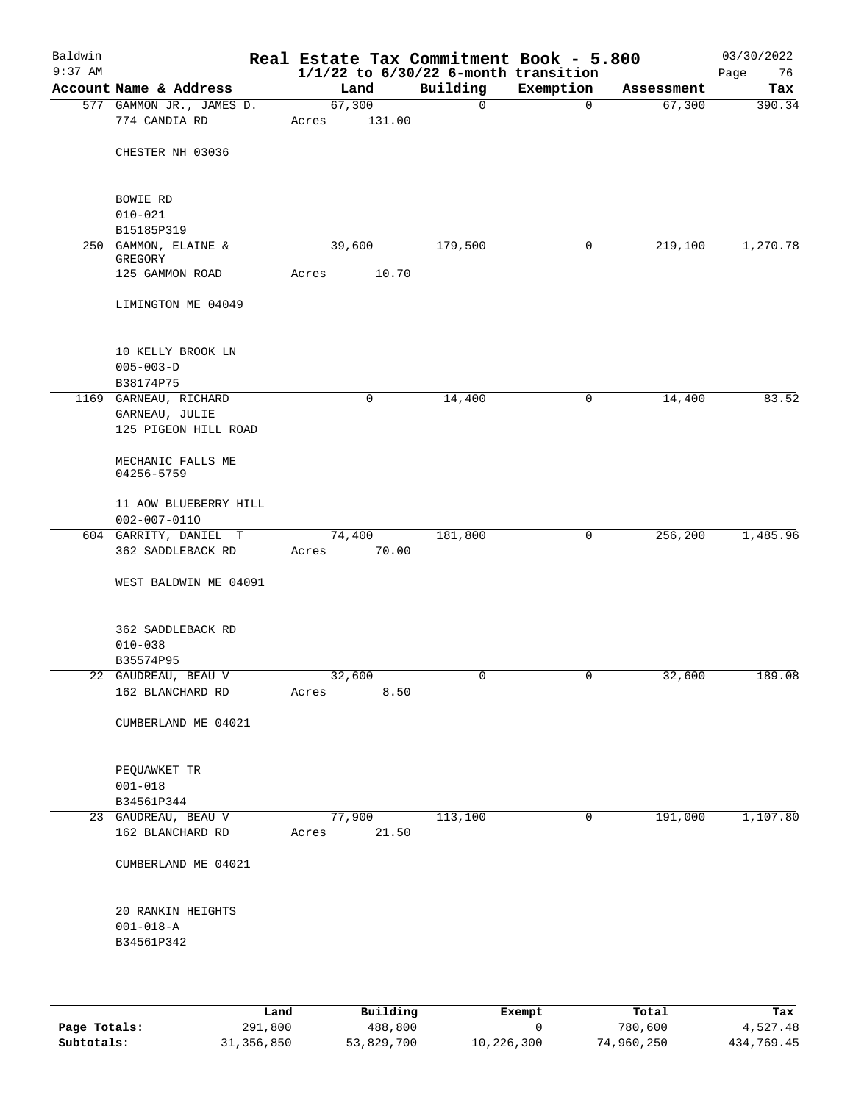| Account Name & Address<br>577 GAMMON JR., JAMES D. | Land                                                                                                                                                   |        | $1/1/22$ to $6/30/22$ 6-month transition<br>Building | Exemption                         | Assessment | Page<br>76<br>Tax           |
|----------------------------------------------------|--------------------------------------------------------------------------------------------------------------------------------------------------------|--------|------------------------------------------------------|-----------------------------------|------------|-----------------------------|
|                                                    |                                                                                                                                                        |        |                                                      |                                   |            |                             |
|                                                    | 67,300                                                                                                                                                 |        | $\mathbf 0$                                          | 0                                 | 67,300     | 390.34                      |
| 774 CANDIA RD                                      | Acres                                                                                                                                                  | 131.00 |                                                      |                                   |            |                             |
| CHESTER NH 03036                                   |                                                                                                                                                        |        |                                                      |                                   |            |                             |
| BOWIE RD                                           |                                                                                                                                                        |        |                                                      |                                   |            |                             |
| B15185P319                                         |                                                                                                                                                        |        |                                                      |                                   |            |                             |
| 250 GAMMON, ELAINE &<br>GREGORY                    |                                                                                                                                                        |        | 179,500                                              | 0                                 | 219,100    | 1,270.78                    |
| 125 GAMMON ROAD                                    | Acres                                                                                                                                                  | 10.70  |                                                      |                                   |            |                             |
| LIMINGTON ME 04049                                 |                                                                                                                                                        |        |                                                      |                                   |            |                             |
| 10 KELLY BROOK LN<br>$005 - 003 - D$               |                                                                                                                                                        |        |                                                      |                                   |            |                             |
|                                                    |                                                                                                                                                        |        |                                                      |                                   |            | 83.52                       |
|                                                    |                                                                                                                                                        |        |                                                      |                                   |            |                             |
| 125 PIGEON HILL ROAD                               |                                                                                                                                                        |        |                                                      |                                   |            |                             |
| MECHANIC FALLS ME<br>04256-5759                    |                                                                                                                                                        |        |                                                      |                                   |            |                             |
| 11 AOW BLUEBERRY HILL                              |                                                                                                                                                        |        |                                                      |                                   |            |                             |
|                                                    |                                                                                                                                                        |        |                                                      | 0                                 | 256,200    | 1,485.96                    |
| 362 SADDLEBACK RD                                  | Acres                                                                                                                                                  | 70.00  |                                                      |                                   |            |                             |
| WEST BALDWIN ME 04091                              |                                                                                                                                                        |        |                                                      |                                   |            |                             |
| 362 SADDLEBACK RD<br>$010 - 038$                   |                                                                                                                                                        |        |                                                      |                                   |            |                             |
|                                                    |                                                                                                                                                        |        |                                                      |                                   |            | 189.08                      |
| 162 BLANCHARD RD                                   | Acres                                                                                                                                                  | 8.50   |                                                      |                                   |            |                             |
| CUMBERLAND ME 04021                                |                                                                                                                                                        |        |                                                      |                                   |            |                             |
| PEQUAWKET TR<br>$001 - 018$                        |                                                                                                                                                        |        |                                                      |                                   |            |                             |
| B34561P344                                         |                                                                                                                                                        |        |                                                      |                                   |            |                             |
| 23 GAUDREAU, BEAU V<br>162 BLANCHARD RD            | Acres                                                                                                                                                  | 21.50  |                                                      | 0                                 |            | 1,107.80                    |
| CUMBERLAND ME 04021                                |                                                                                                                                                        |        |                                                      |                                   |            |                             |
| 20 RANKIN HEIGHTS<br>$001 - 018 - A$<br>B34561P342 |                                                                                                                                                        |        |                                                      |                                   |            |                             |
|                                                    | $010 - 021$<br>B38174P75<br>1169 GARNEAU, RICHARD<br>GARNEAU, JULIE<br>$002 - 007 - 0110$<br>604 GARRITY, DANIEL T<br>B35574P95<br>22 GAUDREAU, BEAU V |        | 39,600<br>0<br>74,400<br>32,600<br>77,900            | 14,400<br>181,800<br>0<br>113,100 | 0<br>0     | 14,400<br>32,600<br>191,000 |

|              | Land         | Building   | Exempt     | Total      | Tax        |
|--------------|--------------|------------|------------|------------|------------|
| Page Totals: | 291,800      | 488,800    |            | 780,600    | 4,527.48   |
| Subtotals:   | 31, 356, 850 | 53,829,700 | 10,226,300 | 74,960,250 | 434,769.45 |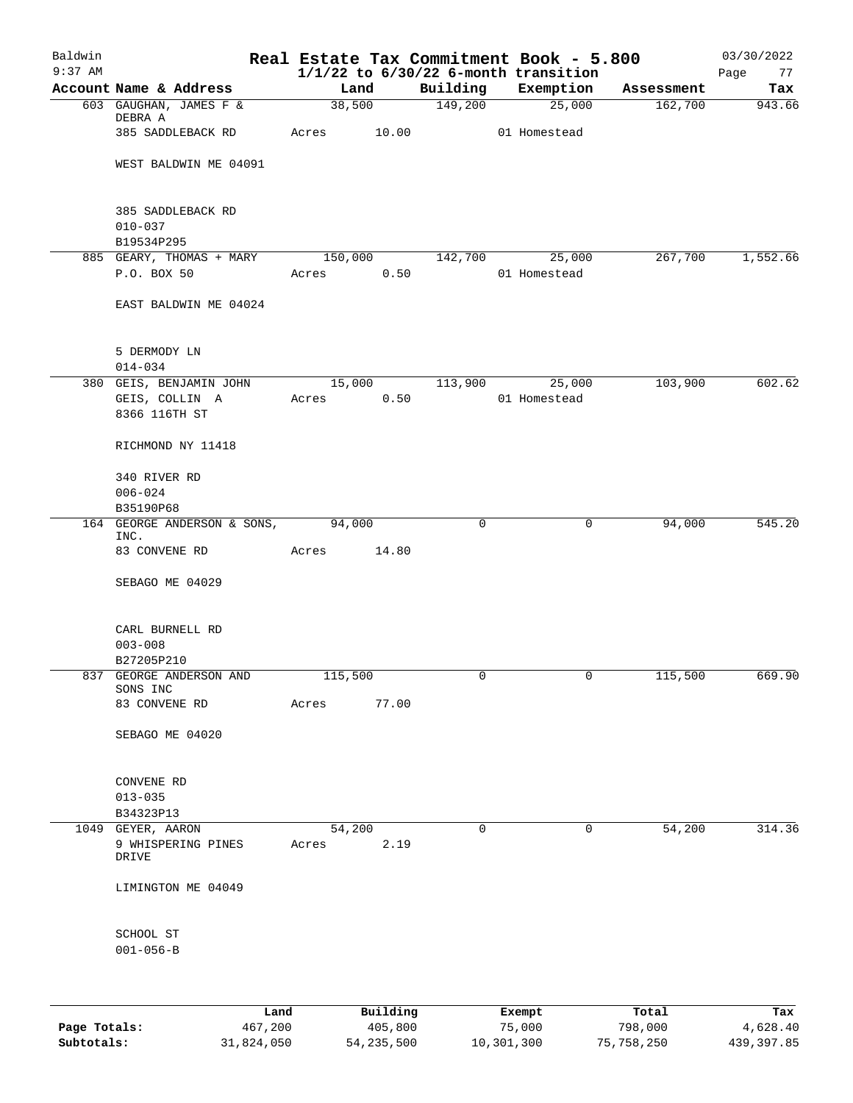| Baldwin<br>$9:37$ AM |                                       |             |        |                | Real Estate Tax Commitment Book - 5.800<br>$1/1/22$ to $6/30/22$ 6-month transition |            | 03/30/2022<br>Page<br>77 |
|----------------------|---------------------------------------|-------------|--------|----------------|-------------------------------------------------------------------------------------|------------|--------------------------|
|                      | Account Name & Address                | Land        |        | Building       | Exemption                                                                           | Assessment | Tax                      |
|                      | 603 GAUGHAN, JAMES F &                | 38,500      |        | 149,200        | 25,000                                                                              | 162,700    | 943.66                   |
|                      | DEBRA A                               |             |        |                |                                                                                     |            |                          |
|                      | 385 SADDLEBACK RD                     | Acres 10.00 |        |                | 01 Homestead                                                                        |            |                          |
|                      |                                       |             |        |                |                                                                                     |            |                          |
|                      | WEST BALDWIN ME 04091                 |             |        |                |                                                                                     |            |                          |
|                      |                                       |             |        |                |                                                                                     |            |                          |
|                      | 385 SADDLEBACK RD                     |             |        |                |                                                                                     |            |                          |
|                      | $010 - 037$                           |             |        |                |                                                                                     |            |                          |
|                      | B19534P295                            |             |        |                |                                                                                     |            |                          |
|                      | 885 GEARY, THOMAS + MARY              | 150,000     |        | 142,700        | 25,000                                                                              | 267,700    | 1,552.66                 |
|                      | P.O. BOX 50                           | Acres       | 0.50   |                | 01 Homestead                                                                        |            |                          |
|                      |                                       |             |        |                |                                                                                     |            |                          |
|                      | EAST BALDWIN ME 04024                 |             |        |                |                                                                                     |            |                          |
|                      |                                       |             |        |                |                                                                                     |            |                          |
|                      | 5 DERMODY LN                          |             |        |                |                                                                                     |            |                          |
|                      | $014 - 034$                           |             |        |                |                                                                                     |            |                          |
|                      | 380 GEIS, BENJAMIN JOHN               |             | 15,000 | 113,900        | 25,000                                                                              | 103,900    | 602.62                   |
|                      | GEIS, COLLIN A                        | Acres       | 0.50   |                | 01 Homestead                                                                        |            |                          |
|                      | 8366 116TH ST                         |             |        |                |                                                                                     |            |                          |
|                      |                                       |             |        |                |                                                                                     |            |                          |
|                      | RICHMOND NY 11418                     |             |        |                |                                                                                     |            |                          |
|                      | 340 RIVER RD                          |             |        |                |                                                                                     |            |                          |
|                      | $006 - 024$                           |             |        |                |                                                                                     |            |                          |
|                      | B35190P68                             |             |        |                |                                                                                     |            |                          |
|                      | 164 GEORGE ANDERSON & SONS,           | 94,000      |        | $\mathbf 0$    | $\mathbf 0$                                                                         | 94,000     | 545.20                   |
|                      | INC.<br>83 CONVENE RD                 |             | 14.80  |                |                                                                                     |            |                          |
|                      |                                       | Acres       |        |                |                                                                                     |            |                          |
|                      | SEBAGO ME 04029                       |             |        |                |                                                                                     |            |                          |
|                      |                                       |             |        |                |                                                                                     |            |                          |
|                      |                                       |             |        |                |                                                                                     |            |                          |
|                      | CARL BURNELL RD                       |             |        |                |                                                                                     |            |                          |
|                      | $003 - 008$                           |             |        |                |                                                                                     |            |                          |
|                      | B27205P210<br>837 GEORGE ANDERSON AND | 115,500     |        | 0              | 0                                                                                   | 115,500    | 669.90                   |
|                      | SONS INC                              |             |        |                |                                                                                     |            |                          |
|                      | 83 CONVENE RD                         | Acres 77.00 |        |                |                                                                                     |            |                          |
|                      |                                       |             |        |                |                                                                                     |            |                          |
|                      | SEBAGO ME 04020                       |             |        |                |                                                                                     |            |                          |
|                      |                                       |             |        |                |                                                                                     |            |                          |
|                      | CONVENE RD                            |             |        |                |                                                                                     |            |                          |
|                      | $013 - 035$                           |             |        |                |                                                                                     |            |                          |
|                      | B34323P13                             |             |        |                |                                                                                     |            |                          |
|                      | 1049 GEYER, AARON                     | 54,200      |        | $\overline{0}$ | $\overline{0}$                                                                      | 54,200     | 314.36                   |
|                      | 9 WHISPERING PINES                    | Acres 2.19  |        |                |                                                                                     |            |                          |
|                      | DRIVE                                 |             |        |                |                                                                                     |            |                          |
|                      | LIMINGTON ME 04049                    |             |        |                |                                                                                     |            |                          |
|                      |                                       |             |        |                |                                                                                     |            |                          |
|                      |                                       |             |        |                |                                                                                     |            |                          |
|                      | SCHOOL ST                             |             |        |                |                                                                                     |            |                          |
|                      | $001 - 056 - B$                       |             |        |                |                                                                                     |            |                          |
|                      |                                       |             |        |                |                                                                                     |            |                          |
|                      |                                       |             |        |                |                                                                                     |            |                          |
|                      |                                       |             |        |                |                                                                                     |            |                          |

|              | Land       | Building     | Exempt     | Total      | Tax        |
|--------------|------------|--------------|------------|------------|------------|
| Page Totals: | 467,200    | 405,800      | 75,000     | 798,000    | 4,628.40   |
| Subtotals:   | 31,824,050 | 54, 235, 500 | 10,301,300 | 75,758,250 | 439,397.85 |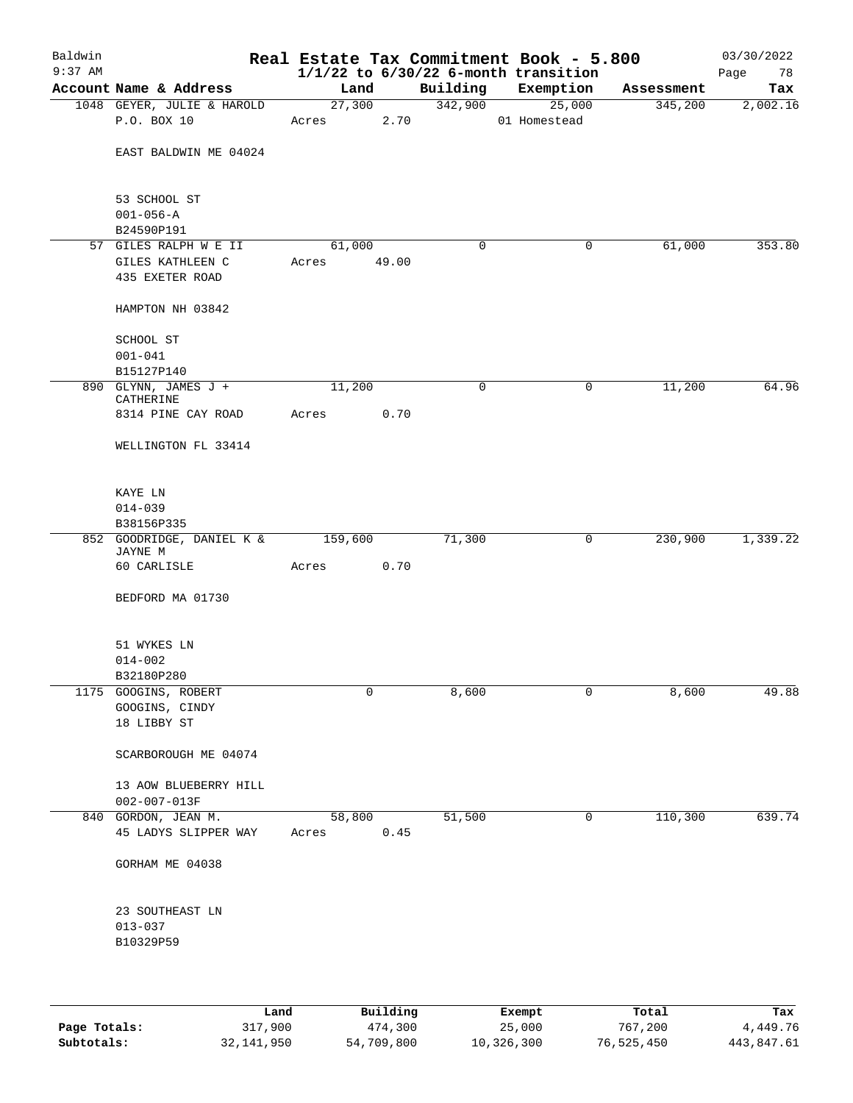| Baldwin<br>$9:37$ AM |                                                       |         |        |             | Real Estate Tax Commitment Book - 5.800<br>$1/1/22$ to $6/30/22$ 6-month transition |            | 03/30/2022<br>Page<br>78 |
|----------------------|-------------------------------------------------------|---------|--------|-------------|-------------------------------------------------------------------------------------|------------|--------------------------|
|                      | Account Name & Address                                | Land    |        | Building    | Exemption                                                                           | Assessment | Tax                      |
|                      | 1048 GEYER, JULIE & HAROLD                            |         | 27,300 | 342,900     | 25,000                                                                              | 345,200    | 2,002.16                 |
|                      | P.O. BOX 10                                           | Acres   | 2.70   |             | 01 Homestead                                                                        |            |                          |
|                      | EAST BALDWIN ME 04024                                 |         |        |             |                                                                                     |            |                          |
|                      | 53 SCHOOL ST                                          |         |        |             |                                                                                     |            |                          |
|                      | $001 - 056 - A$<br>B24590P191                         |         |        |             |                                                                                     |            |                          |
|                      | 57 GILES RALPH W E II                                 | 61,000  |        | 0           | 0                                                                                   | 61,000     | 353.80                   |
|                      | GILES KATHLEEN C                                      | Acres   | 49.00  |             |                                                                                     |            |                          |
|                      | 435 EXETER ROAD                                       |         |        |             |                                                                                     |            |                          |
|                      | HAMPTON NH 03842                                      |         |        |             |                                                                                     |            |                          |
|                      | SCHOOL ST                                             |         |        |             |                                                                                     |            |                          |
|                      | $001 - 041$<br>B15127P140                             |         |        |             |                                                                                     |            |                          |
|                      | 890 GLYNN, JAMES J +<br>CATHERINE                     | 11,200  |        | $\mathbf 0$ | 0                                                                                   | 11,200     | 64.96                    |
|                      | 8314 PINE CAY ROAD                                    | Acres   | 0.70   |             |                                                                                     |            |                          |
|                      | WELLINGTON FL 33414                                   |         |        |             |                                                                                     |            |                          |
|                      | KAYE LN                                               |         |        |             |                                                                                     |            |                          |
|                      | $014 - 039$                                           |         |        |             |                                                                                     |            |                          |
|                      | B38156P335                                            |         |        |             |                                                                                     |            |                          |
|                      | 852 GOODRIDGE, DANIEL K &                             | 159,600 |        | 71,300      | 0                                                                                   | 230,900    | 1,339.22                 |
|                      | JAYNE M<br>60 CARLISLE                                | Acres   | 0.70   |             |                                                                                     |            |                          |
|                      | BEDFORD MA 01730                                      |         |        |             |                                                                                     |            |                          |
|                      | 51 WYKES LN                                           |         |        |             |                                                                                     |            |                          |
|                      | $014 - 002$                                           |         |        |             |                                                                                     |            |                          |
|                      | B32180P280                                            |         |        |             |                                                                                     |            |                          |
|                      | 1175 GOOGINS, ROBERT<br>GOOGINS, CINDY<br>18 LIBBY ST |         | 0      | 8,600       | 0                                                                                   | 8,600      | 49.88                    |
|                      | SCARBOROUGH ME 04074                                  |         |        |             |                                                                                     |            |                          |
|                      | 13 AOW BLUEBERRY HILL<br>002-007-013F                 |         |        |             |                                                                                     |            |                          |
|                      | 840 GORDON, JEAN M.                                   | 58,800  |        | 51,500      | 0                                                                                   | 110,300    | 639.74                   |
|                      | 45 LADYS SLIPPER WAY                                  | Acres   | 0.45   |             |                                                                                     |            |                          |
|                      | GORHAM ME 04038                                       |         |        |             |                                                                                     |            |                          |
|                      | 23 SOUTHEAST LN                                       |         |        |             |                                                                                     |            |                          |
|                      | $013 - 037$<br>B10329P59                              |         |        |             |                                                                                     |            |                          |
|                      |                                                       |         |        |             |                                                                                     |            |                          |

|              | Land       | Building   | Exempt     | Total      | Tax        |
|--------------|------------|------------|------------|------------|------------|
| Page Totals: | 317,900    | 474,300    | 25,000     | 767,200    | 4,449.76   |
| Subtotals:   | 32,141,950 | 54,709,800 | 10,326,300 | 76,525,450 | 443,847.61 |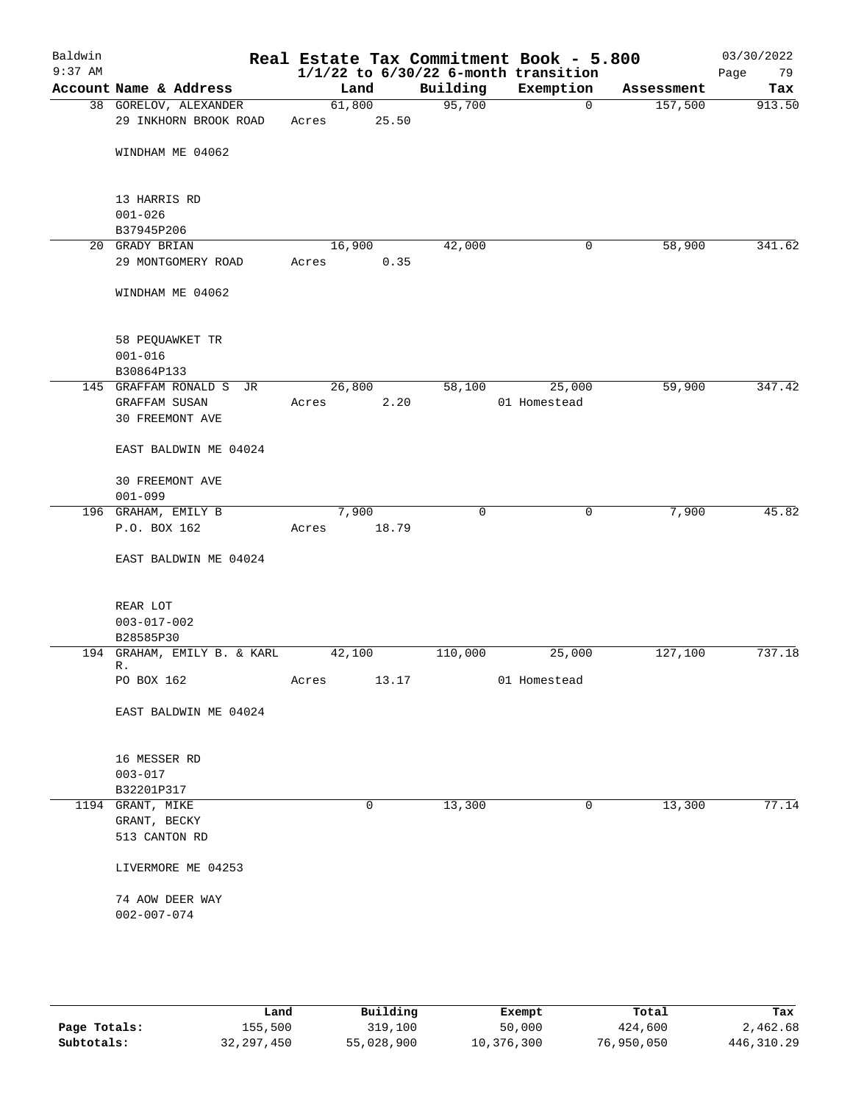| Baldwin<br>$9:37$ AM |                                   |        |       |             | Real Estate Tax Commitment Book - 5.800<br>$1/1/22$ to $6/30/22$ 6-month transition |            | 03/30/2022<br>Page<br>79 |
|----------------------|-----------------------------------|--------|-------|-------------|-------------------------------------------------------------------------------------|------------|--------------------------|
|                      | Account Name & Address            | Land   |       | Building    | Exemption                                                                           | Assessment | Tax                      |
|                      | 38 GORELOV, ALEXANDER             | 61,800 |       | 95,700      | $\mathbf 0$                                                                         | 157,500    | 913.50                   |
|                      | 29 INKHORN BROOK ROAD             | Acres  | 25.50 |             |                                                                                     |            |                          |
|                      | WINDHAM ME 04062                  |        |       |             |                                                                                     |            |                          |
|                      | 13 HARRIS RD                      |        |       |             |                                                                                     |            |                          |
|                      | $001 - 026$                       |        |       |             |                                                                                     |            |                          |
|                      | B37945P206                        |        |       |             |                                                                                     |            |                          |
|                      | 20 GRADY BRIAN                    | 16,900 |       | 42,000      | 0                                                                                   | 58,900     | 341.62                   |
|                      | 29 MONTGOMERY ROAD                | Acres  | 0.35  |             |                                                                                     |            |                          |
|                      | WINDHAM ME 04062                  |        |       |             |                                                                                     |            |                          |
|                      | 58 PEQUAWKET TR                   |        |       |             |                                                                                     |            |                          |
|                      | $001 - 016$                       |        |       |             |                                                                                     |            |                          |
|                      | B30864P133                        |        |       |             |                                                                                     |            |                          |
|                      | 145 GRAFFAM RONALD S JR           | 26,800 |       | 58,100      | 25,000                                                                              | 59,900     | 347.42                   |
|                      | <b>GRAFFAM SUSAN</b>              | Acres  | 2.20  |             | 01 Homestead                                                                        |            |                          |
|                      | 30 FREEMONT AVE                   |        |       |             |                                                                                     |            |                          |
|                      | EAST BALDWIN ME 04024             |        |       |             |                                                                                     |            |                          |
|                      | 30 FREEMONT AVE                   |        |       |             |                                                                                     |            |                          |
|                      | $001 - 099$                       |        |       |             |                                                                                     |            |                          |
|                      | 196 GRAHAM, EMILY B               | 7,900  |       | $\mathbf 0$ | 0                                                                                   | 7,900      | 45.82                    |
|                      | P.O. BOX 162                      | Acres  | 18.79 |             |                                                                                     |            |                          |
|                      | EAST BALDWIN ME 04024             |        |       |             |                                                                                     |            |                          |
|                      | REAR LOT                          |        |       |             |                                                                                     |            |                          |
|                      | $003 - 017 - 002$                 |        |       |             |                                                                                     |            |                          |
|                      | B28585P30                         |        |       |             |                                                                                     |            |                          |
|                      | 194 GRAHAM, EMILY B. & KARL<br>R. | 42,100 |       | 110,000     | 25,000                                                                              | 127,100    | 737.18                   |
|                      | PO BOX 162                        | Acres  | 13.17 |             | 01 Homestead                                                                        |            |                          |
|                      | EAST BALDWIN ME 04024             |        |       |             |                                                                                     |            |                          |
|                      | 16 MESSER RD                      |        |       |             |                                                                                     |            |                          |
|                      | $003 - 017$                       |        |       |             |                                                                                     |            |                          |
|                      | B32201P317                        |        |       |             |                                                                                     |            |                          |
|                      | 1194 GRANT, MIKE                  |        | 0     | 13,300      | 0                                                                                   | 13,300     | 77.14                    |
|                      | GRANT, BECKY                      |        |       |             |                                                                                     |            |                          |
|                      | 513 CANTON RD                     |        |       |             |                                                                                     |            |                          |
|                      | LIVERMORE ME 04253                |        |       |             |                                                                                     |            |                          |
|                      | 74 AOW DEER WAY                   |        |       |             |                                                                                     |            |                          |
|                      | $002 - 007 - 074$                 |        |       |             |                                                                                     |            |                          |
|                      |                                   |        |       |             |                                                                                     |            |                          |
|                      |                                   |        |       |             |                                                                                     |            |                          |

|              | Land       | Building   | Exempt     | Total      | Tax        |
|--------------|------------|------------|------------|------------|------------|
| Page Totals: | 155,500    | 319,100    | 50,000     | 424,600    | 2,462.68   |
| Subtotals:   | 32,297,450 | 55,028,900 | 10,376,300 | 76,950,050 | 446,310.29 |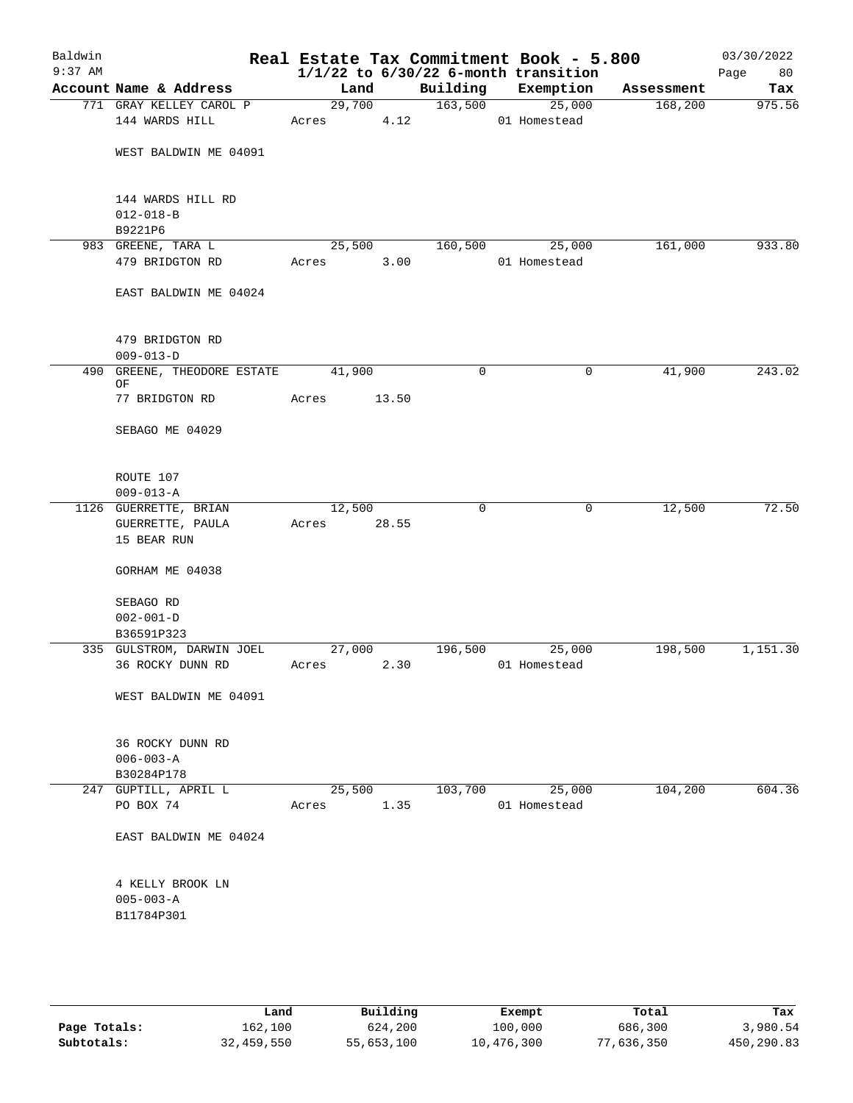| Baldwin<br>$9:37$ AM |                               |        |        |          | Real Estate Tax Commitment Book - 5.800<br>$1/1/22$ to $6/30/22$ 6-month transition |            | 03/30/2022<br>Page<br>80 |
|----------------------|-------------------------------|--------|--------|----------|-------------------------------------------------------------------------------------|------------|--------------------------|
|                      | Account Name & Address        | Land   |        | Building | Exemption                                                                           | Assessment | Tax                      |
|                      | 771 GRAY KELLEY CAROL P       |        | 29,700 | 163,500  | 25,000                                                                              | 168,200    | 975.56                   |
|                      | 144 WARDS HILL                | Acres  |        | 4.12     | 01 Homestead                                                                        |            |                          |
|                      |                               |        |        |          |                                                                                     |            |                          |
|                      | WEST BALDWIN ME 04091         |        |        |          |                                                                                     |            |                          |
|                      |                               |        |        |          |                                                                                     |            |                          |
|                      |                               |        |        |          |                                                                                     |            |                          |
|                      | 144 WARDS HILL RD             |        |        |          |                                                                                     |            |                          |
|                      | $012 - 018 - B$<br>B9221P6    |        |        |          |                                                                                     |            |                          |
|                      | 983 GREENE, TARA L            | 25,500 |        | 160,500  | 25,000                                                                              | 161,000    | 933.80                   |
|                      | 479 BRIDGTON RD               | Acres  | 3.00   |          | 01 Homestead                                                                        |            |                          |
|                      |                               |        |        |          |                                                                                     |            |                          |
|                      | EAST BALDWIN ME 04024         |        |        |          |                                                                                     |            |                          |
|                      |                               |        |        |          |                                                                                     |            |                          |
|                      |                               |        |        |          |                                                                                     |            |                          |
|                      | 479 BRIDGTON RD               |        |        |          |                                                                                     |            |                          |
|                      | $009 - 013 - D$               |        |        |          |                                                                                     |            |                          |
| 490                  | GREENE, THEODORE ESTATE<br>ΟF | 41,900 |        | 0        | 0                                                                                   | 41,900     | 243.02                   |
|                      | 77 BRIDGTON RD                | Acres  | 13.50  |          |                                                                                     |            |                          |
|                      |                               |        |        |          |                                                                                     |            |                          |
|                      | SEBAGO ME 04029               |        |        |          |                                                                                     |            |                          |
|                      |                               |        |        |          |                                                                                     |            |                          |
|                      |                               |        |        |          |                                                                                     |            |                          |
|                      | ROUTE 107                     |        |        |          |                                                                                     |            |                          |
|                      | $009 - 013 - A$               |        |        |          |                                                                                     |            |                          |
|                      | 1126 GUERRETTE, BRIAN         | 12,500 |        | 0        | 0                                                                                   | 12,500     | 72.50                    |
|                      | GUERRETTE, PAULA              | Acres  | 28.55  |          |                                                                                     |            |                          |
|                      | 15 BEAR RUN                   |        |        |          |                                                                                     |            |                          |
|                      | GORHAM ME 04038               |        |        |          |                                                                                     |            |                          |
|                      |                               |        |        |          |                                                                                     |            |                          |
|                      | SEBAGO RD                     |        |        |          |                                                                                     |            |                          |
|                      | $002 - 001 - D$               |        |        |          |                                                                                     |            |                          |
|                      | B36591P323                    |        |        |          |                                                                                     |            |                          |
|                      | 335 GULSTROM, DARWIN JOEL     | 27,000 |        | 196,500  | 25,000                                                                              | 198,500    | 1,151.30                 |
|                      | 36 ROCKY DUNN RD              | Acres  | 2.30   |          | 01 Homestead                                                                        |            |                          |
|                      |                               |        |        |          |                                                                                     |            |                          |
|                      | WEST BALDWIN ME 04091         |        |        |          |                                                                                     |            |                          |
|                      |                               |        |        |          |                                                                                     |            |                          |
|                      | 36 ROCKY DUNN RD              |        |        |          |                                                                                     |            |                          |
|                      | $006 - 003 - A$               |        |        |          |                                                                                     |            |                          |
|                      | B30284P178                    |        |        |          |                                                                                     |            |                          |
|                      | 247 GUPTILL, APRIL L          | 25,500 |        | 103,700  | 25,000                                                                              | 104,200    | 604.36                   |
|                      | PO BOX 74                     | Acres  | 1.35   |          | 01 Homestead                                                                        |            |                          |
|                      |                               |        |        |          |                                                                                     |            |                          |
|                      | EAST BALDWIN ME 04024         |        |        |          |                                                                                     |            |                          |
|                      |                               |        |        |          |                                                                                     |            |                          |
|                      | 4 KELLY BROOK LN              |        |        |          |                                                                                     |            |                          |
|                      | $005 - 003 - A$               |        |        |          |                                                                                     |            |                          |
|                      | B11784P301                    |        |        |          |                                                                                     |            |                          |
|                      |                               |        |        |          |                                                                                     |            |                          |
|                      |                               |        |        |          |                                                                                     |            |                          |
|                      |                               |        |        |          |                                                                                     |            |                          |
|                      |                               |        |        |          |                                                                                     |            |                          |

|              | Land       | Building   | Exempt     | Total      | Tax        |
|--------------|------------|------------|------------|------------|------------|
| Page Totals: | 162,100    | 624,200    | 100,000    | 686,300    | 3,980.54   |
| Subtotals:   | 32,459,550 | 55,653,100 | 10,476,300 | 77,636,350 | 450,290.83 |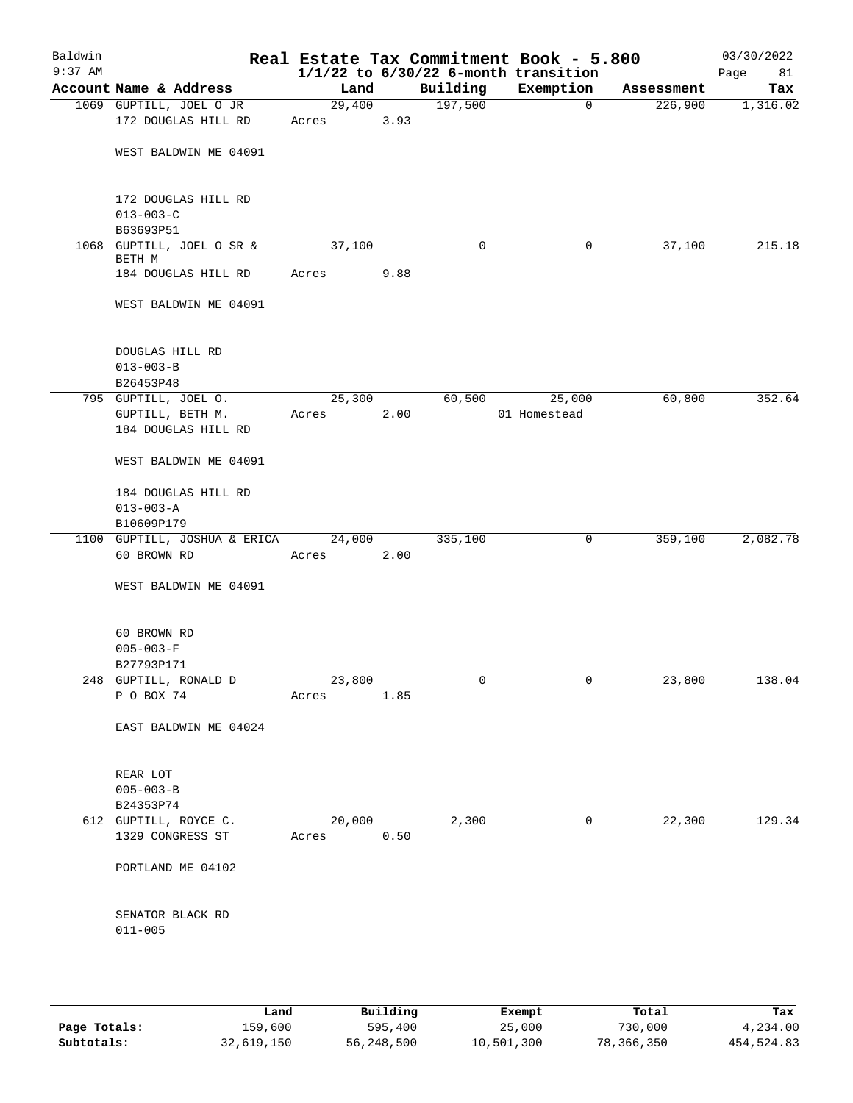| Baldwin<br>$9:37$ AM |                                                 |                 |      |          | Real Estate Tax Commitment Book - 5.800<br>$1/1/22$ to $6/30/22$ 6-month transition |            | 03/30/2022<br>Page<br>81 |
|----------------------|-------------------------------------------------|-----------------|------|----------|-------------------------------------------------------------------------------------|------------|--------------------------|
|                      | Account Name & Address                          | Land            |      | Building | Exemption                                                                           | Assessment | Tax                      |
|                      | 1069 GUPTILL, JOEL O JR<br>172 DOUGLAS HILL RD  | 29,400<br>Acres | 3.93 | 197,500  | $\mathbf 0$                                                                         | 226,900    | 1,316.02                 |
|                      | WEST BALDWIN ME 04091                           |                 |      |          |                                                                                     |            |                          |
|                      | 172 DOUGLAS HILL RD<br>$013 - 003 - C$          |                 |      |          |                                                                                     |            |                          |
|                      | B63693P51                                       |                 |      |          |                                                                                     |            |                          |
|                      | 1068 GUPTILL, JOEL O SR &<br>BETH M             | 37,100          |      | 0        | 0                                                                                   | 37,100     | 215.18                   |
|                      | 184 DOUGLAS HILL RD                             | Acres           | 9.88 |          |                                                                                     |            |                          |
|                      | WEST BALDWIN ME 04091                           |                 |      |          |                                                                                     |            |                          |
|                      | DOUGLAS HILL RD<br>$013 - 003 - B$<br>B26453P48 |                 |      |          |                                                                                     |            |                          |
|                      | 795 GUPTILL, JOEL O.                            | 25,300          |      | 60,500   | 25,000                                                                              | 60,800     | 352.64                   |
|                      | GUPTILL, BETH M.<br>184 DOUGLAS HILL RD         | Acres           | 2.00 |          | 01 Homestead                                                                        |            |                          |
|                      | WEST BALDWIN ME 04091                           |                 |      |          |                                                                                     |            |                          |
|                      | 184 DOUGLAS HILL RD<br>$013 - 003 - A$          |                 |      |          |                                                                                     |            |                          |
|                      | B10609P179<br>1100 GUPTILL, JOSHUA & ERICA      | 24,000          |      | 335,100  | 0                                                                                   | 359,100    | 2,082.78                 |
|                      | 60 BROWN RD                                     | Acres           | 2.00 |          |                                                                                     |            |                          |
|                      | WEST BALDWIN ME 04091                           |                 |      |          |                                                                                     |            |                          |
|                      | 60 BROWN RD<br>$005 - 003 - F$<br>B27793P171    |                 |      |          |                                                                                     |            |                          |
|                      | 248 GUPTILL, RONALD D                           | 23,800          |      | 0        | 0                                                                                   | 23,800     | 138.04                   |
|                      | P O BOX 74                                      | Acres           | 1.85 |          |                                                                                     |            |                          |
|                      | EAST BALDWIN ME 04024                           |                 |      |          |                                                                                     |            |                          |
|                      | REAR LOT<br>$005 - 003 - B$<br>B24353P74        |                 |      |          |                                                                                     |            |                          |
|                      | 612 GUPTILL, ROYCE C.<br>1329 CONGRESS ST       | 20,000<br>Acres | 0.50 | 2,300    | 0                                                                                   | 22,300     | 129.34                   |
|                      | PORTLAND ME 04102                               |                 |      |          |                                                                                     |            |                          |
|                      | SENATOR BLACK RD<br>$011 - 005$                 |                 |      |          |                                                                                     |            |                          |
|                      |                                                 |                 |      |          |                                                                                     |            |                          |

|              | Land       | Building   | Exempt     | Total      | Tax        |
|--------------|------------|------------|------------|------------|------------|
| Page Totals: | 159,600    | 595,400    | 25,000     | 730,000    | 4,234.00   |
| Subtotals:   | 32,619,150 | 56,248,500 | 10,501,300 | 78,366,350 | 454,524.83 |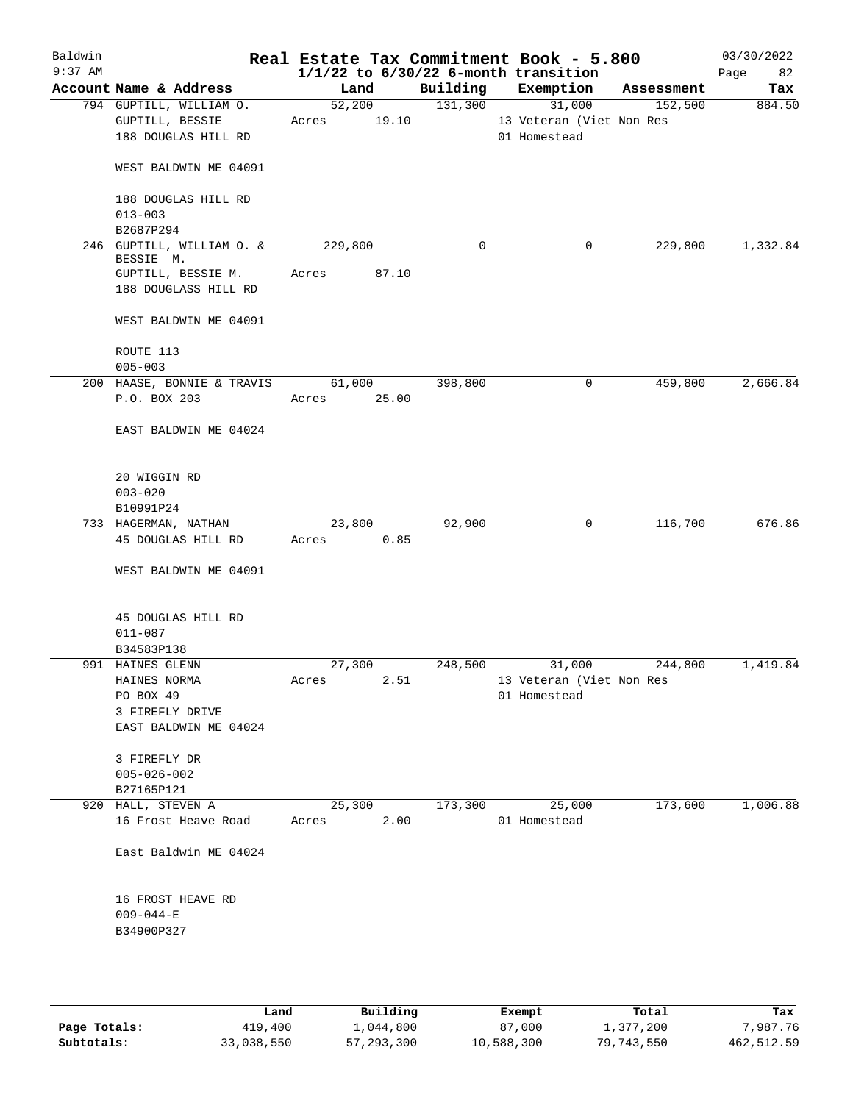| Baldwin<br>$9:37$ AM |                                            |             |       |          | Real Estate Tax Commitment Book - 5.800<br>$1/1/22$ to $6/30/22$ 6-month transition |            | 03/30/2022<br>82<br>Page |
|----------------------|--------------------------------------------|-------------|-------|----------|-------------------------------------------------------------------------------------|------------|--------------------------|
|                      | Account Name & Address                     | Land        |       | Building | Exemption                                                                           | Assessment | Tax                      |
|                      | 794 GUPTILL, WILLIAM O.                    | 52,200      |       | 131,300  | 31,000                                                                              | 152,500    | 884.50                   |
|                      | GUPTILL, BESSIE                            | Acres       | 19.10 |          | 13 Veteran (Viet Non Res                                                            |            |                          |
|                      | 188 DOUGLAS HILL RD                        |             |       |          | 01 Homestead                                                                        |            |                          |
|                      | WEST BALDWIN ME 04091                      |             |       |          |                                                                                     |            |                          |
|                      | 188 DOUGLAS HILL RD<br>$013 - 003$         |             |       |          |                                                                                     |            |                          |
|                      | B2687P294                                  |             |       |          |                                                                                     |            |                          |
|                      | 246 GUPTILL, WILLIAM O. &<br>BESSIE M.     | 229,800     |       | 0        | 0                                                                                   | 229,800    | 1,332.84                 |
|                      | GUPTILL, BESSIE M.<br>188 DOUGLASS HILL RD | Acres       | 87.10 |          |                                                                                     |            |                          |
|                      | WEST BALDWIN ME 04091                      |             |       |          |                                                                                     |            |                          |
|                      | ROUTE 113<br>$005 - 003$                   |             |       |          |                                                                                     |            |                          |
|                      | 200 HAASE, BONNIE & TRAVIS                 | 61,000      |       | 398,800  | 0                                                                                   | 459,800    | 2,666.84                 |
|                      | P.O. BOX 203                               | Acres 25.00 |       |          |                                                                                     |            |                          |
|                      | EAST BALDWIN ME 04024                      |             |       |          |                                                                                     |            |                          |
|                      | 20 WIGGIN RD<br>$003 - 020$                |             |       |          |                                                                                     |            |                          |
|                      | B10991P24                                  |             |       |          |                                                                                     |            |                          |
|                      | 733 HAGERMAN, NATHAN                       | 23,800      |       | 92,900   | 0                                                                                   | 116,700    | 676.86                   |
|                      | 45 DOUGLAS HILL RD                         | Acres       | 0.85  |          |                                                                                     |            |                          |
|                      | WEST BALDWIN ME 04091                      |             |       |          |                                                                                     |            |                          |
|                      | 45 DOUGLAS HILL RD                         |             |       |          |                                                                                     |            |                          |
|                      | $011 - 087$                                |             |       |          |                                                                                     |            |                          |
|                      | B34583P138                                 |             |       |          |                                                                                     | 244,800    | 1,419.84                 |
|                      | 991 HAINES GLENN<br>HAINES NORMA           | 27,300      | 2.51  | 248,500  | 31,000                                                                              |            |                          |
|                      |                                            | Acres       |       |          | 13 Veteran (Viet Non Res                                                            |            |                          |
|                      | PO BOX 49                                  |             |       |          | 01 Homestead                                                                        |            |                          |
|                      | 3 FIREFLY DRIVE<br>EAST BALDWIN ME 04024   |             |       |          |                                                                                     |            |                          |
|                      | 3 FIREFLY DR                               |             |       |          |                                                                                     |            |                          |
|                      | $005 - 026 - 002$                          |             |       |          |                                                                                     |            |                          |
|                      | B27165P121                                 |             |       |          |                                                                                     |            |                          |
|                      | 920 HALL, STEVEN A                         | 25,300      |       | 173,300  | 25,000                                                                              | 173,600    | 1,006.88                 |
|                      | 16 Frost Heave Road                        | Acres       | 2.00  |          | 01 Homestead                                                                        |            |                          |
|                      | East Baldwin ME 04024                      |             |       |          |                                                                                     |            |                          |
|                      | 16 FROST HEAVE RD                          |             |       |          |                                                                                     |            |                          |
|                      | $009 - 044 - E$<br>B34900P327              |             |       |          |                                                                                     |            |                          |
|                      |                                            |             |       |          |                                                                                     |            |                          |

|              | Land       | Building     | Exempt     | Total      | Tax        |
|--------------|------------|--------------|------------|------------|------------|
| Page Totals: | 419,400    | 1,044,800    | 87,000     | 1,377,200  | 7,987.76   |
| Subtotals:   | 33,038,550 | 57, 293, 300 | 10,588,300 | 79,743,550 | 462,512.59 |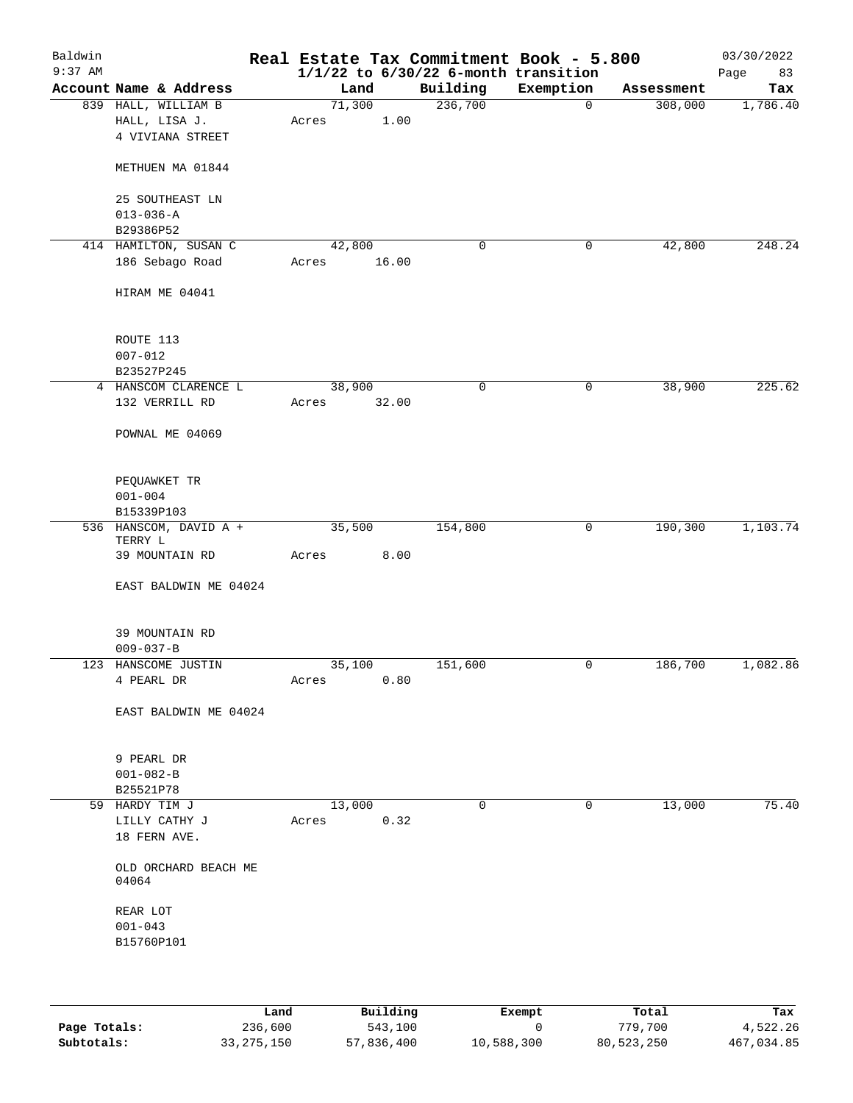| Baldwin<br>$9:37$ AM |                                                          |                 |       | Real Estate Tax Commitment Book - 5.800<br>$1/1/22$ to $6/30/22$ 6-month transition |           |            | 03/30/2022<br>Page<br>83 |
|----------------------|----------------------------------------------------------|-----------------|-------|-------------------------------------------------------------------------------------|-----------|------------|--------------------------|
|                      | Account Name & Address                                   | Land            |       | Building                                                                            | Exemption | Assessment | Tax                      |
|                      | 839 HALL, WILLIAM B<br>HALL, LISA J.<br>4 VIVIANA STREET | 71,300<br>Acres | 1.00  | 236,700                                                                             | 0         | 308,000    | 1,786.40                 |
|                      | METHUEN MA 01844                                         |                 |       |                                                                                     |           |            |                          |
|                      | 25 SOUTHEAST LN<br>$013 - 036 - A$                       |                 |       |                                                                                     |           |            |                          |
|                      | B29386P52                                                |                 |       |                                                                                     |           |            |                          |
|                      | 414 HAMILTON, SUSAN C                                    | 42,800          |       | 0                                                                                   | 0         | 42,800     | 248.24                   |
|                      | 186 Sebago Road                                          | Acres           | 16.00 |                                                                                     |           |            |                          |
|                      | HIRAM ME 04041                                           |                 |       |                                                                                     |           |            |                          |
|                      | ROUTE 113                                                |                 |       |                                                                                     |           |            |                          |
|                      | $007 - 012$<br>B23527P245                                |                 |       |                                                                                     |           |            |                          |
|                      | 4 HANSCOM CLARENCE L                                     | 38,900          |       | 0                                                                                   | 0         | 38,900     | 225.62                   |
|                      | 132 VERRILL RD                                           | Acres           | 32.00 |                                                                                     |           |            |                          |
|                      | POWNAL ME 04069                                          |                 |       |                                                                                     |           |            |                          |
|                      | PEQUAWKET TR                                             |                 |       |                                                                                     |           |            |                          |
|                      | $001 - 004$<br>B15339P103                                |                 |       |                                                                                     |           |            |                          |
|                      | 536 HANSCOM, DAVID A +<br>TERRY L                        | 35,500          |       | 154,800                                                                             | 0         | 190,300    | 1,103.74                 |
|                      | 39 MOUNTAIN RD                                           | Acres           | 8.00  |                                                                                     |           |            |                          |
|                      | EAST BALDWIN ME 04024                                    |                 |       |                                                                                     |           |            |                          |
|                      | 39 MOUNTAIN RD<br>$009 - 037 - B$                        |                 |       |                                                                                     |           |            |                          |
|                      | 123 HANSCOME JUSTIN                                      | 35,100          |       | 151,600                                                                             | 0         | 186,700    | 1,082.86                 |
|                      | 4 PEARL DR                                               | Acres           | 0.80  |                                                                                     |           |            |                          |
|                      | EAST BALDWIN ME 04024                                    |                 |       |                                                                                     |           |            |                          |
|                      | 9 PEARL DR                                               |                 |       |                                                                                     |           |            |                          |
|                      | $001 - 082 - B$                                          |                 |       |                                                                                     |           |            |                          |
|                      | B25521P78                                                |                 |       |                                                                                     |           |            |                          |
|                      | 59 HARDY TIM J                                           | 13,000          |       | 0                                                                                   | 0         | 13,000     | 75.40                    |
|                      | LILLY CATHY J<br>18 FERN AVE.                            | Acres           | 0.32  |                                                                                     |           |            |                          |
|                      | OLD ORCHARD BEACH ME<br>04064                            |                 |       |                                                                                     |           |            |                          |
|                      | REAR LOT                                                 |                 |       |                                                                                     |           |            |                          |
|                      | $001 - 043$<br>B15760P101                                |                 |       |                                                                                     |           |            |                          |
|                      |                                                          |                 |       |                                                                                     |           |            |                          |

|              | Land         | Building   | Exempt     | Total      | Tax        |
|--------------|--------------|------------|------------|------------|------------|
| Page Totals: | 236,600      | 543,100    |            | 779.700    | 4,522.26   |
| Subtotals:   | 33, 275, 150 | 57,836,400 | 10,588,300 | 80,523,250 | 467,034.85 |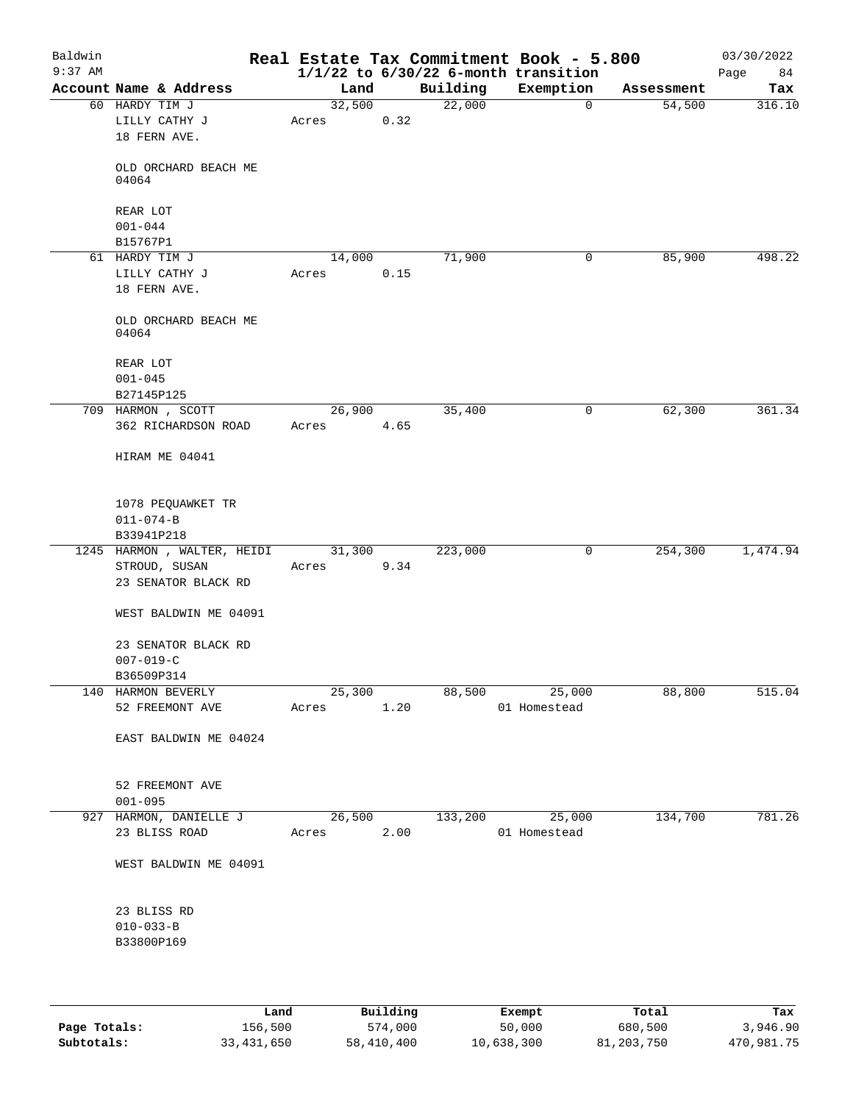| Baldwin<br>$9:37$ AM |                                                 |                                  |      |          | Real Estate Tax Commitment Book - 5.800<br>$1/1/22$ to $6/30/22$ 6-month transition |            | 03/30/2022<br>Page<br>84 |
|----------------------|-------------------------------------------------|----------------------------------|------|----------|-------------------------------------------------------------------------------------|------------|--------------------------|
|                      | Account Name & Address                          | Land                             |      | Building | Exemption                                                                           | Assessment | Tax                      |
|                      | 60 HARDY TIM J<br>LILLY CATHY J<br>18 FERN AVE. | 32,500<br>Acres                  | 0.32 | 22,000   | $\mathbf 0$                                                                         | 54,500     | 316.10                   |
|                      | OLD ORCHARD BEACH ME<br>04064                   |                                  |      |          |                                                                                     |            |                          |
|                      | REAR LOT<br>$001 - 044$                         |                                  |      |          |                                                                                     |            |                          |
|                      | B15767P1                                        |                                  |      |          |                                                                                     |            |                          |
|                      | 61 HARDY TIM J                                  | 14,000                           |      | 71,900   | 0                                                                                   | 85,900     | 498.22                   |
|                      | LILLY CATHY J<br>18 FERN AVE.                   | Acres                            | 0.15 |          |                                                                                     |            |                          |
|                      | OLD ORCHARD BEACH ME<br>04064                   |                                  |      |          |                                                                                     |            |                          |
|                      | REAR LOT<br>$001 - 045$                         |                                  |      |          |                                                                                     |            |                          |
|                      | B27145P125                                      |                                  |      |          |                                                                                     |            |                          |
|                      | 709 HARMON , SCOTT<br>362 RICHARDSON ROAD       | 26,900<br>Acres                  | 4.65 | 35,400   | 0                                                                                   | 62,300     | 361.34                   |
|                      | HIRAM ME 04041                                  |                                  |      |          |                                                                                     |            |                          |
|                      | 1078 PEQUAWKET TR                               |                                  |      |          |                                                                                     |            |                          |
|                      | $011 - 074 - B$                                 |                                  |      |          |                                                                                     |            |                          |
|                      | B33941P218                                      |                                  |      |          |                                                                                     |            |                          |
|                      | 1245 HARMON, WALTER, HEIDI                      | 31,300                           |      | 223,000  | 0                                                                                   | 254,300    | 1,474.94                 |
|                      | STROUD, SUSAN<br>23 SENATOR BLACK RD            | Acres                            | 9.34 |          |                                                                                     |            |                          |
|                      | WEST BALDWIN ME 04091                           |                                  |      |          |                                                                                     |            |                          |
|                      | 23 SENATOR BLACK RD<br>$007 - 019 - C$          |                                  |      |          |                                                                                     |            |                          |
|                      | B36509P314                                      |                                  |      |          |                                                                                     |            |                          |
|                      | 140 HARMON BEVERLY                              |                                  |      |          | 25,300 88,500 25,000                                                                | 88,800     | 515.04                   |
|                      | 52 FREEMONT AVE                                 |                                  |      |          | Acres 1.20 01 Homestead                                                             |            |                          |
|                      | EAST BALDWIN ME 04024                           |                                  |      |          |                                                                                     |            |                          |
|                      | 52 FREEMONT AVE<br>$001 - 095$                  |                                  |      |          |                                                                                     |            |                          |
|                      | 927 HARMON, DANIELLE J<br>23 BLISS ROAD         | $\frac{26,500}{ }$<br>Acres 2.00 |      |          | 133,200 25,000<br>01 Homestead                                                      | 134,700    | 781.26                   |
|                      | WEST BALDWIN ME 04091                           |                                  |      |          |                                                                                     |            |                          |
|                      | 23 BLISS RD                                     |                                  |      |          |                                                                                     |            |                          |
|                      | $010 - 033 - B$<br>B33800P169                   |                                  |      |          |                                                                                     |            |                          |
|                      |                                                 |                                  |      |          |                                                                                     |            |                          |

|              | Land       | Building   | Exempt     | Total      | Tax        |
|--------------|------------|------------|------------|------------|------------|
| Page Totals: | 156,500    | 574,000    | 50,000     | 680,500    | 3,946.90   |
| Subtotals:   | 33,431,650 | 58,410,400 | 10,638,300 | 81,203,750 | 470,981.75 |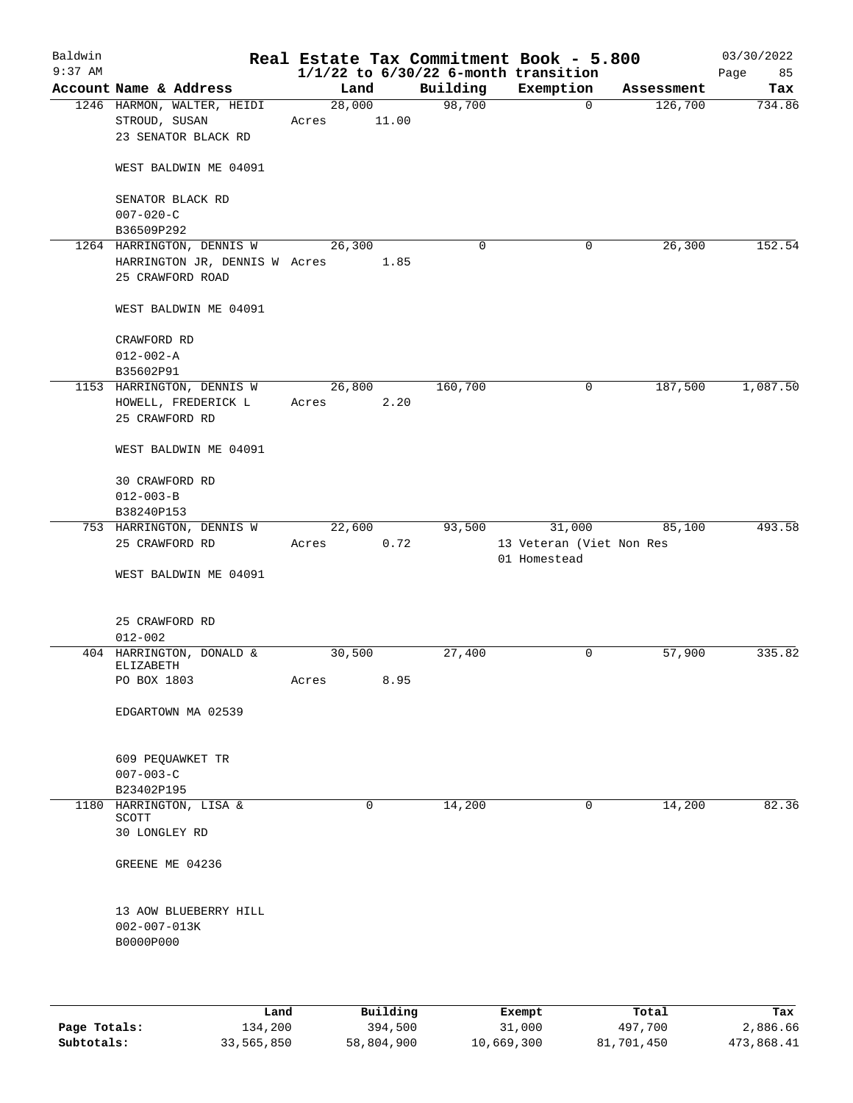| Baldwin<br>$9:37$ AM |                                                                                |                 |       |          | Real Estate Tax Commitment Book - 5.800<br>$1/1/22$ to $6/30/22$ 6-month transition |            | 03/30/2022<br>Page<br>85 |
|----------------------|--------------------------------------------------------------------------------|-----------------|-------|----------|-------------------------------------------------------------------------------------|------------|--------------------------|
|                      | Account Name & Address                                                         | Land            |       | Building | Exemption                                                                           | Assessment | Tax                      |
|                      | 1246 HARMON, WALTER, HEIDI<br>STROUD, SUSAN<br>23 SENATOR BLACK RD             | 28,000<br>Acres | 11.00 | 98,700   | $\overline{0}$                                                                      | 126,700    | 734.86                   |
|                      | WEST BALDWIN ME 04091                                                          |                 |       |          |                                                                                     |            |                          |
|                      | SENATOR BLACK RD<br>$007 - 020 - C$                                            |                 |       |          |                                                                                     |            |                          |
|                      | B36509P292                                                                     |                 |       |          |                                                                                     |            |                          |
|                      | 1264 HARRINGTON, DENNIS W<br>HARRINGTON JR, DENNIS W Acres<br>25 CRAWFORD ROAD | 26,300          | 1.85  | 0        | 0                                                                                   | 26,300     | 152.54                   |
|                      | WEST BALDWIN ME 04091                                                          |                 |       |          |                                                                                     |            |                          |
|                      | CRAWFORD RD<br>$012 - 002 - A$<br>B35602P91                                    |                 |       |          |                                                                                     |            |                          |
|                      | 1153 HARRINGTON, DENNIS W<br>HOWELL, FREDERICK L<br>25 CRAWFORD RD             | 26,800<br>Acres | 2.20  | 160,700  | 0                                                                                   | 187,500    | 1,087.50                 |
|                      | WEST BALDWIN ME 04091                                                          |                 |       |          |                                                                                     |            |                          |
|                      | 30 CRAWFORD RD<br>$012 - 003 - B$<br>B38240P153                                |                 |       |          |                                                                                     |            |                          |
|                      | 753 HARRINGTON, DENNIS W                                                       | 22,600          |       | 93,500   | 31,000                                                                              | 85,100     | 493.58                   |
|                      | 25 CRAWFORD RD<br>WEST BALDWIN ME 04091                                        | Acres           | 0.72  |          | 13 Veteran (Viet Non Res<br>01 Homestead                                            |            |                          |
|                      |                                                                                |                 |       |          |                                                                                     |            |                          |
|                      | 25 CRAWFORD RD<br>$012 - 002$                                                  |                 |       |          |                                                                                     |            |                          |
|                      | 404 HARRINGTON, DONALD &                                                       | 30,500          |       | 27,400   | 0                                                                                   | 57,900     | 335.82                   |
|                      | ELIZABETH<br>PO BOX 1803                                                       | Acres           | 8.95  |          |                                                                                     |            |                          |
|                      | EDGARTOWN MA 02539                                                             |                 |       |          |                                                                                     |            |                          |
|                      | 609 PEQUAWKET TR<br>$007 - 003 - C$                                            |                 |       |          |                                                                                     |            |                          |
| 1180                 | B23402P195<br>HARRINGTON, LISA &                                               |                 | 0     | 14,200   | 0                                                                                   | 14,200     | 82.36                    |
|                      | SCOTT<br>30 LONGLEY RD                                                         |                 |       |          |                                                                                     |            |                          |
|                      | GREENE ME 04236                                                                |                 |       |          |                                                                                     |            |                          |
|                      | 13 AOW BLUEBERRY HILL<br>$002 - 007 - 013K$<br>B0000P000                       |                 |       |          |                                                                                     |            |                          |
|                      |                                                                                |                 |       |          |                                                                                     |            |                          |

|              | Land       | Building   | Exempt     | Total      | Tax        |
|--------------|------------|------------|------------|------------|------------|
| Page Totals: | 134,200    | 394,500    | 31,000     | 497,700    | 2,886.66   |
| Subtotals:   | 33,565,850 | 58,804,900 | 10,669,300 | 81,701,450 | 473,868.41 |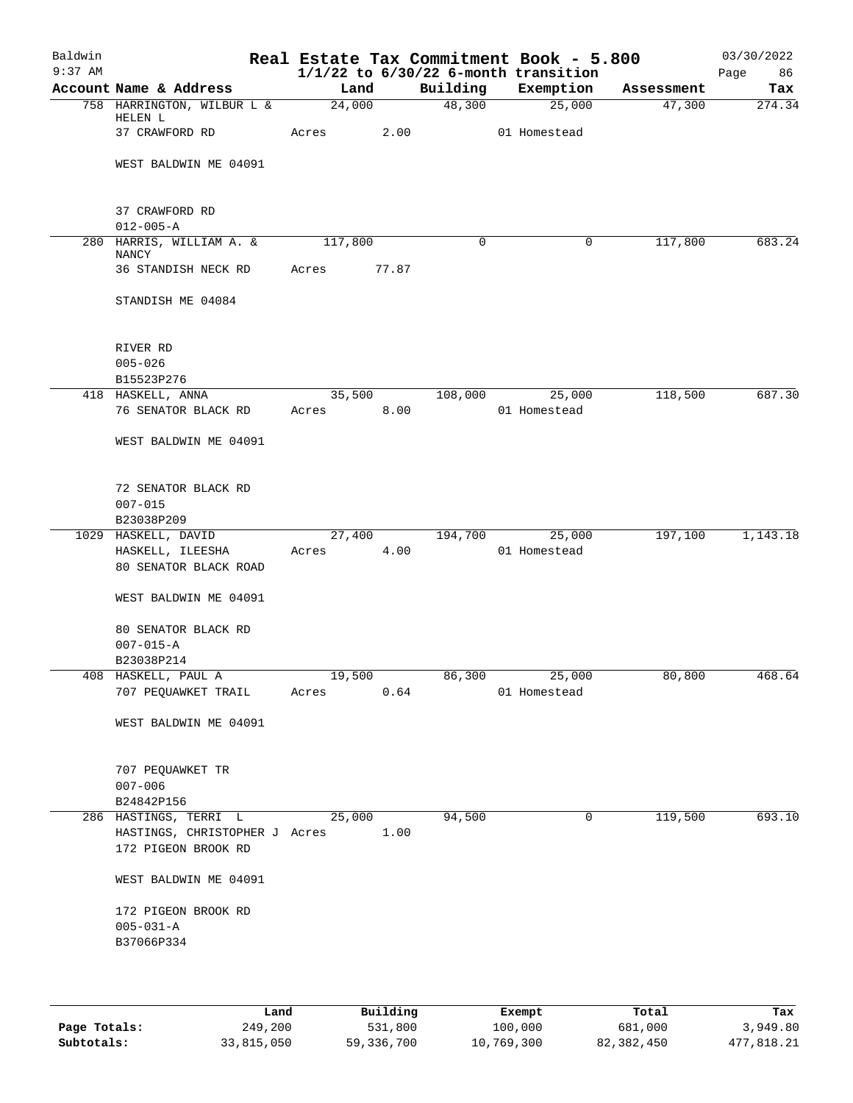| Baldwin<br>$9:37$ AM |                                                                  |                      |        |         | Real Estate Tax Commitment Book - 5.800<br>$1/1/22$ to $6/30/22$ 6-month transition |            | 03/30/2022<br>Page<br>86 |
|----------------------|------------------------------------------------------------------|----------------------|--------|---------|-------------------------------------------------------------------------------------|------------|--------------------------|
|                      | Account Name & Address                                           | Land                 |        |         | Building Exemption                                                                  | Assessment | Tax                      |
|                      | 758 HARRINGTON, WILBUR L &<br>HELEN L                            | 24,000               |        | 48,300  | 25,000                                                                              | 47,300     | 274.34                   |
|                      | 37 CRAWFORD RD                                                   | Acres                | 2.00   |         | 01 Homestead                                                                        |            |                          |
|                      | WEST BALDWIN ME 04091                                            |                      |        |         |                                                                                     |            |                          |
|                      | 37 CRAWFORD RD<br>$012 - 005 - A$                                |                      |        |         |                                                                                     |            |                          |
|                      | 280 HARRIS, WILLIAM A. &<br>NANCY                                | 117,800              |        | 0       | 0                                                                                   | 117,800    | 683.24                   |
|                      | 36 STANDISH NECK RD                                              | Acres                | 77.87  |         |                                                                                     |            |                          |
|                      | STANDISH ME 04084                                                |                      |        |         |                                                                                     |            |                          |
|                      | RIVER RD<br>$005 - 026$                                          |                      |        |         |                                                                                     |            |                          |
|                      | B15523P276                                                       |                      |        |         |                                                                                     |            |                          |
|                      | 418 HASKELL, ANNA                                                |                      | 35,500 | 108,000 | 25,000                                                                              | 118,500    | 687.30                   |
|                      | 76 SENATOR BLACK RD                                              | Acres 8.00           |        |         | 01 Homestead                                                                        |            |                          |
|                      | WEST BALDWIN ME 04091                                            |                      |        |         |                                                                                     |            |                          |
|                      | 72 SENATOR BLACK RD<br>$007 - 015$                               |                      |        |         |                                                                                     |            |                          |
|                      | B23038P209                                                       |                      |        |         |                                                                                     |            |                          |
|                      | 1029 HASKELL, DAVID<br>HASKELL, ILEESHA<br>80 SENATOR BLACK ROAD | 27,400<br>Acres 4.00 |        | 194,700 | 25,000<br>01 Homestead                                                              | 197,100    | 1,143.18                 |
|                      | WEST BALDWIN ME 04091                                            |                      |        |         |                                                                                     |            |                          |
|                      | 80 SENATOR BLACK RD<br>$007 - 015 - A$                           |                      |        |         |                                                                                     |            |                          |
|                      | B23038P214                                                       |                      |        |         |                                                                                     |            |                          |
|                      | 408 HASKELL, PAUL A                                              |                      | 19,500 |         | 86,300 25,000                                                                       | 80,800     | 468.64                   |
|                      | 707 PEQUAWKET TRAIL                                              | Acres                | 0.64   |         | 01 Homestead                                                                        |            |                          |
|                      | WEST BALDWIN ME 04091                                            |                      |        |         |                                                                                     |            |                          |
|                      | 707 PEQUAWKET TR<br>$007 - 006$                                  |                      |        |         |                                                                                     |            |                          |
|                      | B24842P156                                                       |                      |        |         |                                                                                     |            |                          |
|                      | 286 HASTINGS, TERRI L                                            | 25,000               |        | 94,500  | 0                                                                                   | 119,500    | 693.10                   |
|                      | HASTINGS, CHRISTOPHER J Acres<br>172 PIGEON BROOK RD             |                      | 1.00   |         |                                                                                     |            |                          |
|                      | WEST BALDWIN ME 04091                                            |                      |        |         |                                                                                     |            |                          |
|                      | 172 PIGEON BROOK RD<br>$005 - 031 - A$                           |                      |        |         |                                                                                     |            |                          |
|                      | B37066P334                                                       |                      |        |         |                                                                                     |            |                          |
|                      |                                                                  |                      |        |         |                                                                                     |            |                          |

|              | Land       | Building   | Exempt     | Total      | Tax        |
|--------------|------------|------------|------------|------------|------------|
| Page Totals: | 249,200    | 531,800    | 100,000    | 681,000    | 3,949.80   |
| Subtotals:   | 33,815,050 | 59,336,700 | 10,769,300 | 82,382,450 | 477.818.21 |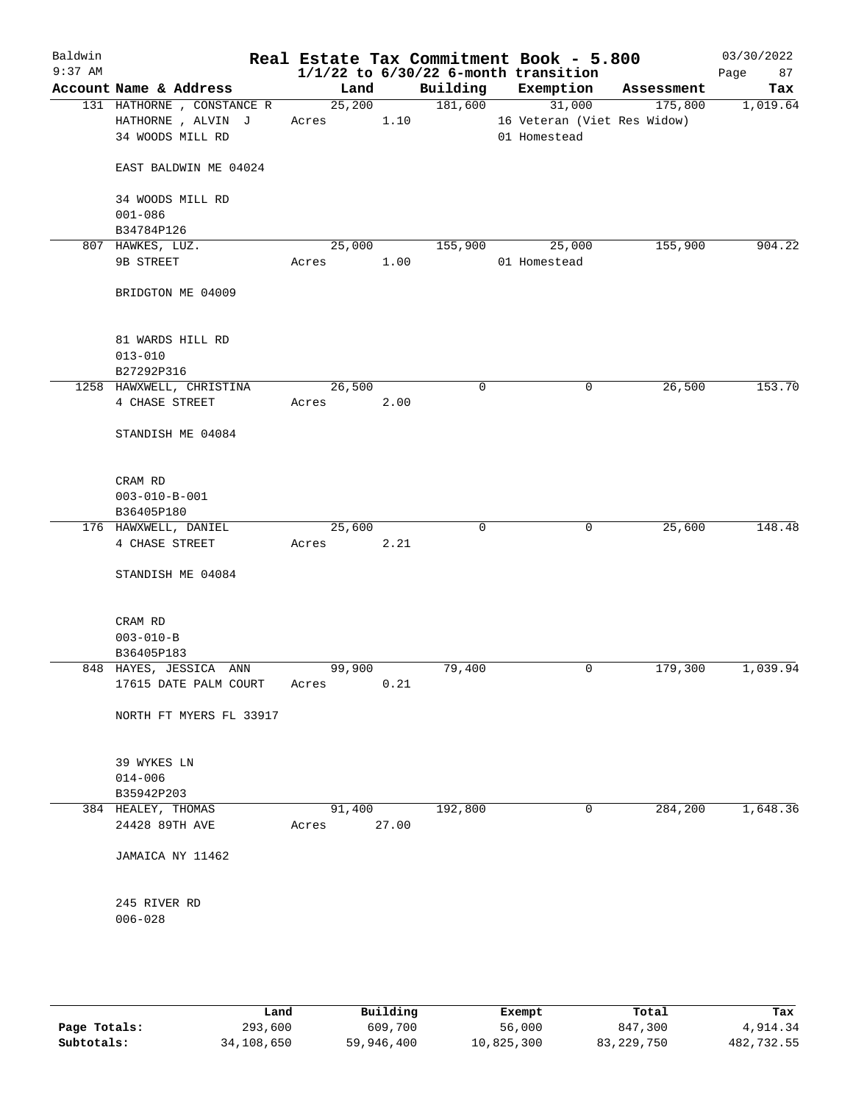| Baldwin<br>$9:37$ AM |                                            |                 |       |             | Real Estate Tax Commitment Book - 5.800<br>$1/1/22$ to $6/30/22$ 6-month transition |            | 03/30/2022<br>87<br>Page |
|----------------------|--------------------------------------------|-----------------|-------|-------------|-------------------------------------------------------------------------------------|------------|--------------------------|
|                      | Account Name & Address                     | Land            |       |             | Building Exemption                                                                  | Assessment | Tax                      |
|                      | 131 HATHORNE, CONSTANCE R                  | 25,200          |       | 181,600     | 31,000                                                                              | 175,800    | 1,019.64                 |
|                      | HATHORNE, ALVIN J                          | Acres           | 1.10  |             | 16 Veteran (Viet Res Widow)                                                         |            |                          |
|                      | 34 WOODS MILL RD                           |                 |       |             | 01 Homestead                                                                        |            |                          |
|                      | EAST BALDWIN ME 04024                      |                 |       |             |                                                                                     |            |                          |
|                      | 34 WOODS MILL RD                           |                 |       |             |                                                                                     |            |                          |
|                      | $001 - 086$                                |                 |       |             |                                                                                     |            |                          |
|                      | B34784P126                                 |                 |       |             |                                                                                     |            |                          |
|                      | 807 HAWKES, LUZ.                           | 25,000          |       | 155,900     | 25,000                                                                              | 155,900    | 904.22                   |
|                      | 9B STREET                                  | Acres           | 1.00  |             | 01 Homestead                                                                        |            |                          |
|                      | BRIDGTON ME 04009                          |                 |       |             |                                                                                     |            |                          |
|                      | 81 WARDS HILL RD                           |                 |       |             |                                                                                     |            |                          |
|                      | $013 - 010$                                |                 |       |             |                                                                                     |            |                          |
|                      | B27292P316                                 |                 |       |             |                                                                                     |            |                          |
|                      | 1258 HAWXWELL, CHRISTINA<br>4 CHASE STREET | 26,500          |       | 0           | 0                                                                                   | 26,500     | 153.70                   |
|                      |                                            | Acres           | 2.00  |             |                                                                                     |            |                          |
|                      | STANDISH ME 04084                          |                 |       |             |                                                                                     |            |                          |
|                      | CRAM RD                                    |                 |       |             |                                                                                     |            |                          |
|                      | $003 - 010 - B - 001$                      |                 |       |             |                                                                                     |            |                          |
|                      | B36405P180                                 |                 |       |             |                                                                                     |            |                          |
|                      | 176 HAWXWELL, DANIEL                       | 25,600          |       | $\mathbf 0$ | 0                                                                                   | 25,600     | 148.48                   |
|                      | 4 CHASE STREET                             | Acres           | 2.21  |             |                                                                                     |            |                          |
|                      | STANDISH ME 04084                          |                 |       |             |                                                                                     |            |                          |
|                      | CRAM RD                                    |                 |       |             |                                                                                     |            |                          |
|                      | $003 - 010 - B$                            |                 |       |             |                                                                                     |            |                          |
|                      | B36405P183<br>848 HAYES, JESSICA ANN       | 99,900          |       | 79,400      | 0                                                                                   | 179,300    | 1,039.94                 |
|                      | 17615 DATE PALM COURT                      | Acres           | 0.21  |             |                                                                                     |            |                          |
|                      | NORTH FT MYERS FL 33917                    |                 |       |             |                                                                                     |            |                          |
|                      | 39 WYKES LN                                |                 |       |             |                                                                                     |            |                          |
|                      | $014 - 006$                                |                 |       |             |                                                                                     |            |                          |
|                      | B35942P203                                 |                 |       |             |                                                                                     |            |                          |
|                      | 384 HEALEY, THOMAS<br>24428 89TH AVE       | 91,400<br>Acres | 27.00 | 192,800     | 0                                                                                   | 284,200    | 1,648.36                 |
|                      | JAMAICA NY 11462                           |                 |       |             |                                                                                     |            |                          |
|                      |                                            |                 |       |             |                                                                                     |            |                          |
|                      | 245 RIVER RD                               |                 |       |             |                                                                                     |            |                          |
|                      | $006 - 028$                                |                 |       |             |                                                                                     |            |                          |
|                      |                                            |                 |       |             |                                                                                     |            |                          |
|                      |                                            |                 |       |             |                                                                                     |            |                          |

|              | Land       | Building   | Exempt     | Total      | Tax        |
|--------------|------------|------------|------------|------------|------------|
| Page Totals: | 293,600    | 609,700    | 56,000     | 847,300    | 4,914.34   |
| Subtotals:   | 34,108,650 | 59,946,400 | 10,825,300 | 83,229,750 | 482,732.55 |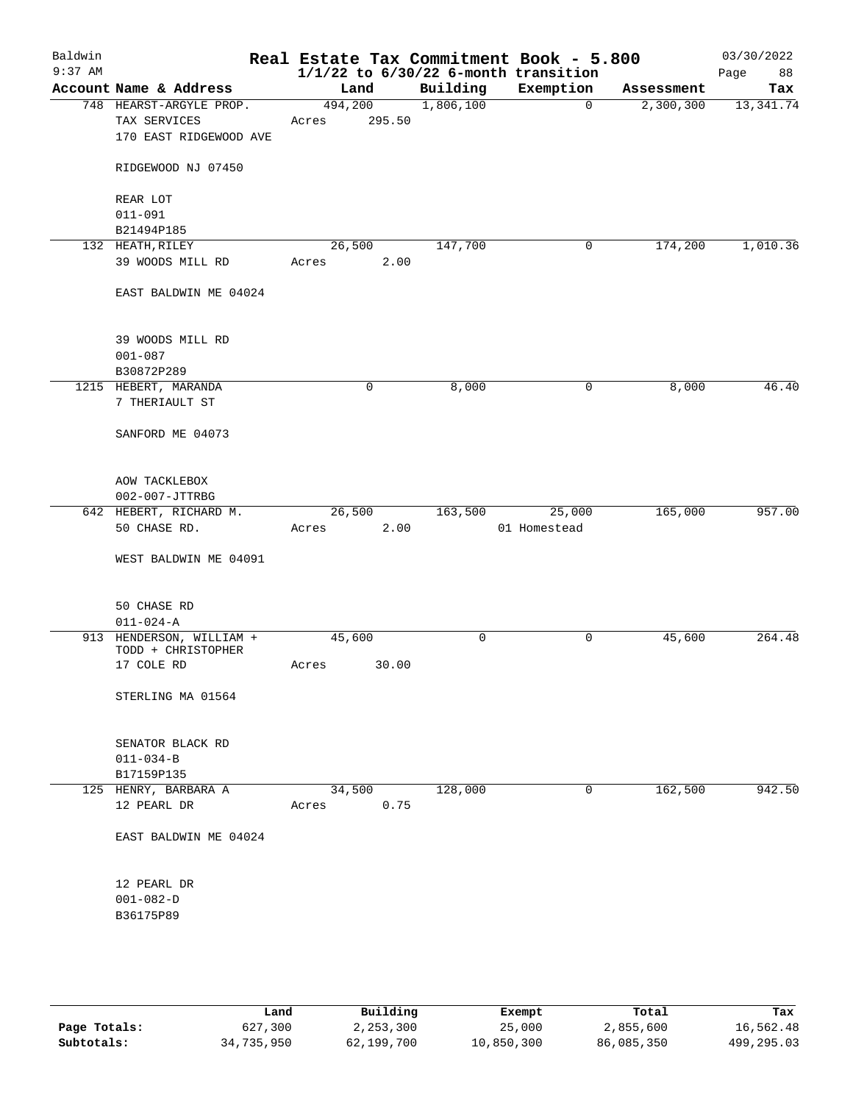| Baldwin<br>$9:37$ AM |                                                |         |        |           | Real Estate Tax Commitment Book - 5.800<br>$1/1/22$ to $6/30/22$ 6-month transition |            | 03/30/2022<br>Page<br>88 |
|----------------------|------------------------------------------------|---------|--------|-----------|-------------------------------------------------------------------------------------|------------|--------------------------|
|                      | Account Name & Address                         | Land    |        | Building  | Exemption                                                                           | Assessment | Tax                      |
|                      | 748 HEARST-ARGYLE PROP.                        | 494,200 |        | 1,806,100 | $\mathbf 0$                                                                         | 2,300,300  | 13,341.74                |
|                      | TAX SERVICES                                   | Acres   | 295.50 |           |                                                                                     |            |                          |
|                      | 170 EAST RIDGEWOOD AVE                         |         |        |           |                                                                                     |            |                          |
|                      | RIDGEWOOD NJ 07450                             |         |        |           |                                                                                     |            |                          |
|                      | REAR LOT                                       |         |        |           |                                                                                     |            |                          |
|                      | $011 - 091$                                    |         |        |           |                                                                                     |            |                          |
|                      | B21494P185                                     |         |        |           |                                                                                     |            |                          |
|                      | 132 HEATH, RILEY                               | 26,500  |        | 147,700   | 0                                                                                   | 174,200    | 1,010.36                 |
|                      | 39 WOODS MILL RD                               | Acres   | 2.00   |           |                                                                                     |            |                          |
|                      | EAST BALDWIN ME 04024                          |         |        |           |                                                                                     |            |                          |
|                      | 39 WOODS MILL RD                               |         |        |           |                                                                                     |            |                          |
|                      | $001 - 087$                                    |         |        |           |                                                                                     |            |                          |
|                      | B30872P289                                     |         |        |           |                                                                                     |            |                          |
|                      | 1215 HEBERT, MARANDA                           | 0       |        | 8,000     | 0                                                                                   | 8,000      | 46.40                    |
|                      | 7 THERIAULT ST                                 |         |        |           |                                                                                     |            |                          |
|                      | SANFORD ME 04073                               |         |        |           |                                                                                     |            |                          |
|                      | AOW TACKLEBOX                                  |         |        |           |                                                                                     |            |                          |
|                      | 002-007-JTTRBG                                 |         |        |           |                                                                                     |            |                          |
|                      | 642 HEBERT, RICHARD M.                         | 26,500  |        | 163,500   | 25,000                                                                              | 165,000    | 957.00                   |
|                      | 50 CHASE RD.                                   | Acres   | 2.00   |           | 01 Homestead                                                                        |            |                          |
|                      | WEST BALDWIN ME 04091                          |         |        |           |                                                                                     |            |                          |
|                      | 50 CHASE RD                                    |         |        |           |                                                                                     |            |                          |
|                      | $011 - 024 - A$                                |         |        |           |                                                                                     |            |                          |
|                      | 913 HENDERSON, WILLIAM +<br>TODD + CHRISTOPHER | 45,600  |        | 0         | 0                                                                                   | 45,600     | 264.48                   |
|                      | 17 COLE RD                                     | Acres   | 30.00  |           |                                                                                     |            |                          |
|                      | STERLING MA 01564                              |         |        |           |                                                                                     |            |                          |
|                      |                                                |         |        |           |                                                                                     |            |                          |
|                      | SENATOR BLACK RD                               |         |        |           |                                                                                     |            |                          |
|                      | $011 - 034 - B$                                |         |        |           |                                                                                     |            |                          |
|                      | B17159P135                                     |         |        |           |                                                                                     |            |                          |
|                      | 125 HENRY, BARBARA A                           | 34,500  |        | 128,000   | 0                                                                                   | 162,500    | 942.50                   |
|                      | 12 PEARL DR                                    | Acres   | 0.75   |           |                                                                                     |            |                          |
|                      | EAST BALDWIN ME 04024                          |         |        |           |                                                                                     |            |                          |
|                      | 12 PEARL DR                                    |         |        |           |                                                                                     |            |                          |
|                      | $001 - 082 - D$                                |         |        |           |                                                                                     |            |                          |
|                      | B36175P89                                      |         |        |           |                                                                                     |            |                          |
|                      |                                                |         |        |           |                                                                                     |            |                          |
|                      |                                                |         |        |           |                                                                                     |            |                          |
|                      |                                                |         |        |           |                                                                                     |            |                          |

|              | Land       | Building   | Exempt     | Total      | Tax          |
|--------------|------------|------------|------------|------------|--------------|
| Page Totals: | 627,300    | 2,253,300  | 25,000     | 2,855,600  | 16,562.48    |
| Subtotals:   | 34,735,950 | 62,199,700 | 10,850,300 | 86,085,350 | 499, 295, 03 |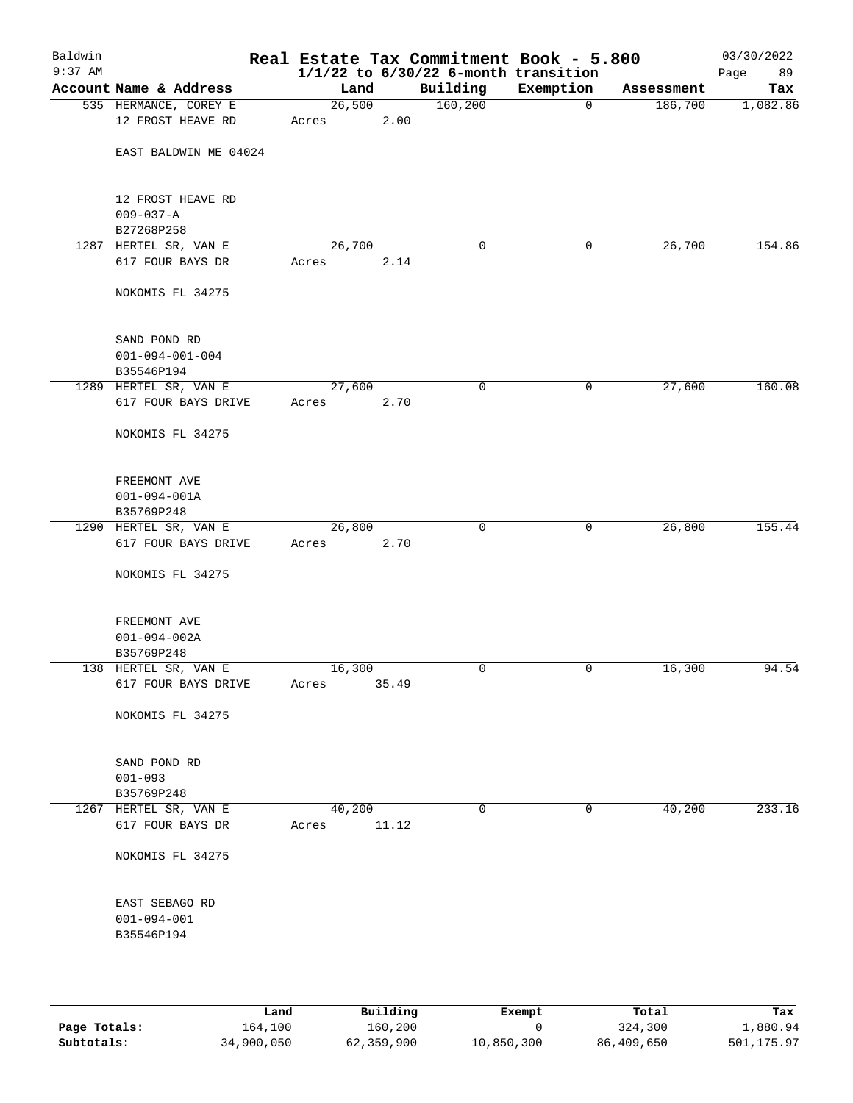| Baldwin<br>$9:37$ AM |                                              |                 |       | $1/1/22$ to $6/30/22$ 6-month transition | Real Estate Tax Commitment Book - 5.800 |            | 03/30/2022<br>Page<br>89 |
|----------------------|----------------------------------------------|-----------------|-------|------------------------------------------|-----------------------------------------|------------|--------------------------|
|                      | Account Name & Address                       | Land            |       | Building                                 | Exemption                               | Assessment | Tax                      |
|                      | 535 HERMANCE, COREY E<br>12 FROST HEAVE RD   | 26,500<br>Acres | 2.00  | 160, 200                                 | 0                                       | 186,700    | 1,082.86                 |
|                      | EAST BALDWIN ME 04024                        |                 |       |                                          |                                         |            |                          |
|                      |                                              |                 |       |                                          |                                         |            |                          |
|                      | 12 FROST HEAVE RD                            |                 |       |                                          |                                         |            |                          |
|                      | $009 - 037 - A$<br>B27268P258                |                 |       |                                          |                                         |            |                          |
|                      | 1287 HERTEL SR, VAN E                        | 26,700          |       | 0                                        | 0                                       | 26,700     | 154.86                   |
|                      | 617 FOUR BAYS DR                             | Acres           | 2.14  |                                          |                                         |            |                          |
|                      | NOKOMIS FL 34275                             |                 |       |                                          |                                         |            |                          |
|                      | SAND POND RD                                 |                 |       |                                          |                                         |            |                          |
|                      | $001 - 094 - 001 - 004$<br>B35546P194        |                 |       |                                          |                                         |            |                          |
|                      | 1289 HERTEL SR, VAN E                        | 27,600          |       | 0                                        | 0                                       | 27,600     | 160.08                   |
|                      | 617 FOUR BAYS DRIVE                          | Acres           | 2.70  |                                          |                                         |            |                          |
|                      | NOKOMIS FL 34275                             |                 |       |                                          |                                         |            |                          |
|                      | FREEMONT AVE                                 |                 |       |                                          |                                         |            |                          |
|                      | $001 - 094 - 001A$                           |                 |       |                                          |                                         |            |                          |
|                      | B35769P248                                   |                 |       |                                          |                                         |            |                          |
|                      | 1290 HERTEL SR, VAN E<br>617 FOUR BAYS DRIVE | 26,800<br>Acres | 2.70  | $\mathbf 0$                              | 0                                       | 26,800     | 155.44                   |
|                      | NOKOMIS FL 34275                             |                 |       |                                          |                                         |            |                          |
|                      | FREEMONT AVE                                 |                 |       |                                          |                                         |            |                          |
|                      | $001 - 094 - 002A$                           |                 |       |                                          |                                         |            |                          |
|                      | B35769P248                                   |                 |       |                                          |                                         |            |                          |
|                      | 138 HERTEL SR, VAN E                         | 16,300          |       | 0                                        | 0                                       | 16,300     | 94.54                    |
|                      | 617 FOUR BAYS DRIVE                          | Acres           | 35.49 |                                          |                                         |            |                          |
|                      | NOKOMIS FL 34275                             |                 |       |                                          |                                         |            |                          |
|                      | SAND POND RD                                 |                 |       |                                          |                                         |            |                          |
|                      | $001 - 093$                                  |                 |       |                                          |                                         |            |                          |
|                      | B35769P248                                   |                 |       |                                          |                                         |            |                          |
|                      | 1267 HERTEL SR, VAN E<br>617 FOUR BAYS DR    | 40,200<br>Acres | 11.12 | 0                                        | 0                                       | 40,200     | 233.16                   |
|                      | NOKOMIS FL 34275                             |                 |       |                                          |                                         |            |                          |
|                      | EAST SEBAGO RD                               |                 |       |                                          |                                         |            |                          |
|                      | $001 - 094 - 001$                            |                 |       |                                          |                                         |            |                          |
|                      | B35546P194                                   |                 |       |                                          |                                         |            |                          |
|                      |                                              |                 |       |                                          |                                         |            |                          |
|                      |                                              |                 |       |                                          |                                         |            |                          |

|              | Land       | Building   | Exempt     | Total      | Tax        |
|--------------|------------|------------|------------|------------|------------|
| Page Totals: | 164,100    | 160,200    |            | 324,300    | 1,880.94   |
| Subtotals:   | 34,900,050 | 62,359,900 | 10,850,300 | 86,409,650 | 501,175.97 |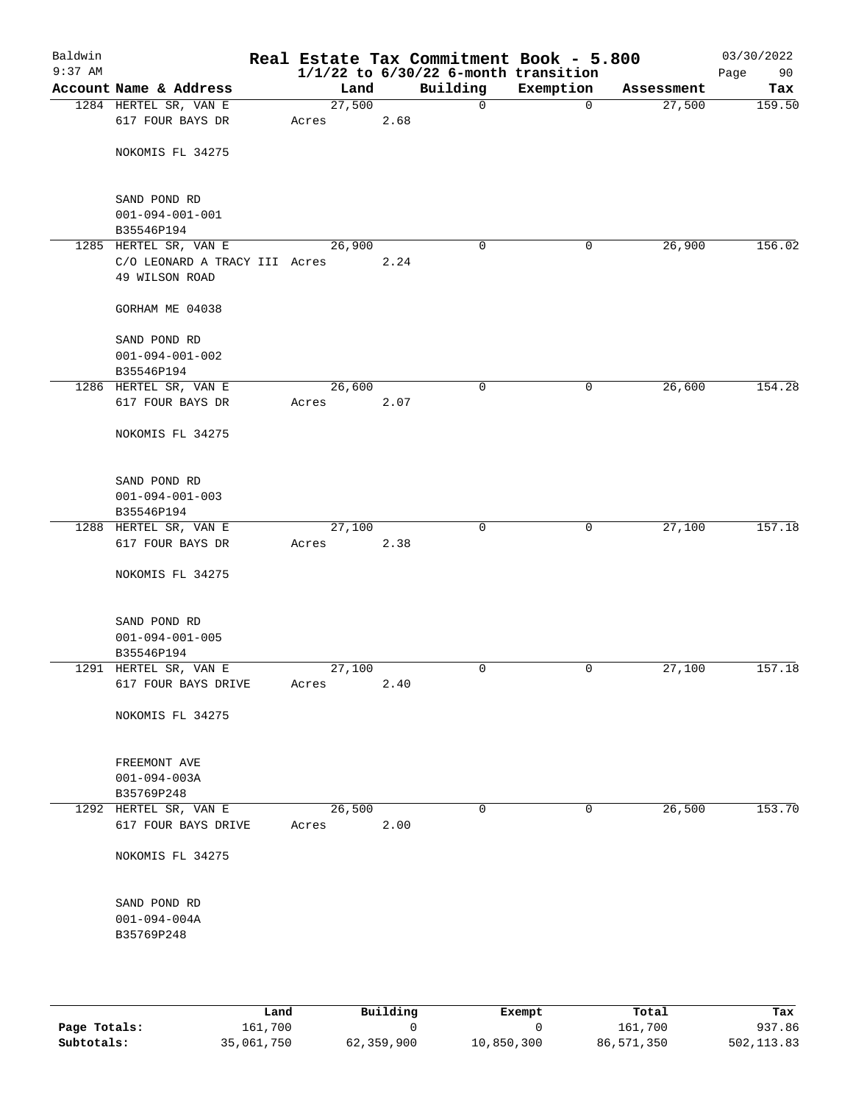| Baldwin<br>$9:37$ AM |                                       |        |      |      | Real Estate Tax Commitment Book - 5.800<br>$1/1/22$ to $6/30/22$ 6-month transition |             |            | 03/30/2022<br>90<br>Page |
|----------------------|---------------------------------------|--------|------|------|-------------------------------------------------------------------------------------|-------------|------------|--------------------------|
|                      | Account Name & Address                |        | Land |      | Building                                                                            | Exemption   | Assessment | Tax                      |
|                      | 1284 HERTEL SR, VAN E                 | 27,500 |      |      | $\mathbf 0$                                                                         | $\mathbf 0$ | 27,500     | 159.50                   |
|                      | 617 FOUR BAYS DR                      | Acres  |      | 2.68 |                                                                                     |             |            |                          |
|                      | NOKOMIS FL 34275                      |        |      |      |                                                                                     |             |            |                          |
|                      |                                       |        |      |      |                                                                                     |             |            |                          |
|                      | SAND POND RD                          |        |      |      |                                                                                     |             |            |                          |
|                      | $001 - 094 - 001 - 001$               |        |      |      |                                                                                     |             |            |                          |
|                      | B35546P194<br>1285 HERTEL SR, VAN E   | 26,900 |      |      | 0                                                                                   | 0           | 26,900     | 156.02                   |
|                      | C/O LEONARD A TRACY III Acres         |        |      | 2.24 |                                                                                     |             |            |                          |
|                      | 49 WILSON ROAD                        |        |      |      |                                                                                     |             |            |                          |
|                      | GORHAM ME 04038                       |        |      |      |                                                                                     |             |            |                          |
|                      | SAND POND RD                          |        |      |      |                                                                                     |             |            |                          |
|                      | $001 - 094 - 001 - 002$<br>B35546P194 |        |      |      |                                                                                     |             |            |                          |
|                      | 1286 HERTEL SR, VAN E                 | 26,600 |      |      | $\mathbf 0$                                                                         | 0           | 26,600     | 154.28                   |
|                      | 617 FOUR BAYS DR                      | Acres  |      | 2.07 |                                                                                     |             |            |                          |
|                      | NOKOMIS FL 34275                      |        |      |      |                                                                                     |             |            |                          |
|                      | SAND POND RD                          |        |      |      |                                                                                     |             |            |                          |
|                      | $001 - 094 - 001 - 003$               |        |      |      |                                                                                     |             |            |                          |
|                      | B35546P194                            |        |      |      |                                                                                     |             |            |                          |
|                      | 1288 HERTEL SR, VAN E                 | 27,100 |      |      | $\mathbf 0$                                                                         | 0           | 27,100     | 157.18                   |
|                      | 617 FOUR BAYS DR                      | Acres  |      | 2.38 |                                                                                     |             |            |                          |
|                      | NOKOMIS FL 34275                      |        |      |      |                                                                                     |             |            |                          |
|                      | SAND POND RD                          |        |      |      |                                                                                     |             |            |                          |
|                      | $001 - 094 - 001 - 005$               |        |      |      |                                                                                     |             |            |                          |
|                      | B35546P194                            |        |      |      |                                                                                     |             |            |                          |
|                      | 1291 HERTEL SR, VAN E                 | 27,100 |      |      | 0                                                                                   | 0           | 27,100     | 157.18                   |
|                      | 617 FOUR BAYS DRIVE                   | Acres  |      | 2.40 |                                                                                     |             |            |                          |
|                      | NOKOMIS FL 34275                      |        |      |      |                                                                                     |             |            |                          |
|                      | FREEMONT AVE                          |        |      |      |                                                                                     |             |            |                          |
|                      | $001 - 094 - 003A$                    |        |      |      |                                                                                     |             |            |                          |
|                      | B35769P248                            |        |      |      |                                                                                     |             |            |                          |
|                      | 1292 HERTEL SR, VAN E                 | 26,500 |      |      | $\mathbf 0$                                                                         | $\mathbf 0$ | 26,500     | 153.70                   |
|                      | 617 FOUR BAYS DRIVE                   | Acres  |      | 2.00 |                                                                                     |             |            |                          |
|                      | NOKOMIS FL 34275                      |        |      |      |                                                                                     |             |            |                          |
|                      | SAND POND RD                          |        |      |      |                                                                                     |             |            |                          |
|                      | $001 - 094 - 004A$                    |        |      |      |                                                                                     |             |            |                          |
|                      | B35769P248                            |        |      |      |                                                                                     |             |            |                          |
|                      |                                       |        |      |      |                                                                                     |             |            |                          |
|                      |                                       |        |      |      |                                                                                     |             |            |                          |

|              | Land       | Building   | Exempt     | Total      | Tax        |
|--------------|------------|------------|------------|------------|------------|
| Page Totals: | 161,700    |            |            | 161,700    | 937.86     |
| Subtotals:   | 35,061,750 | 62,359,900 | 10,850,300 | 86,571,350 | 502,113.83 |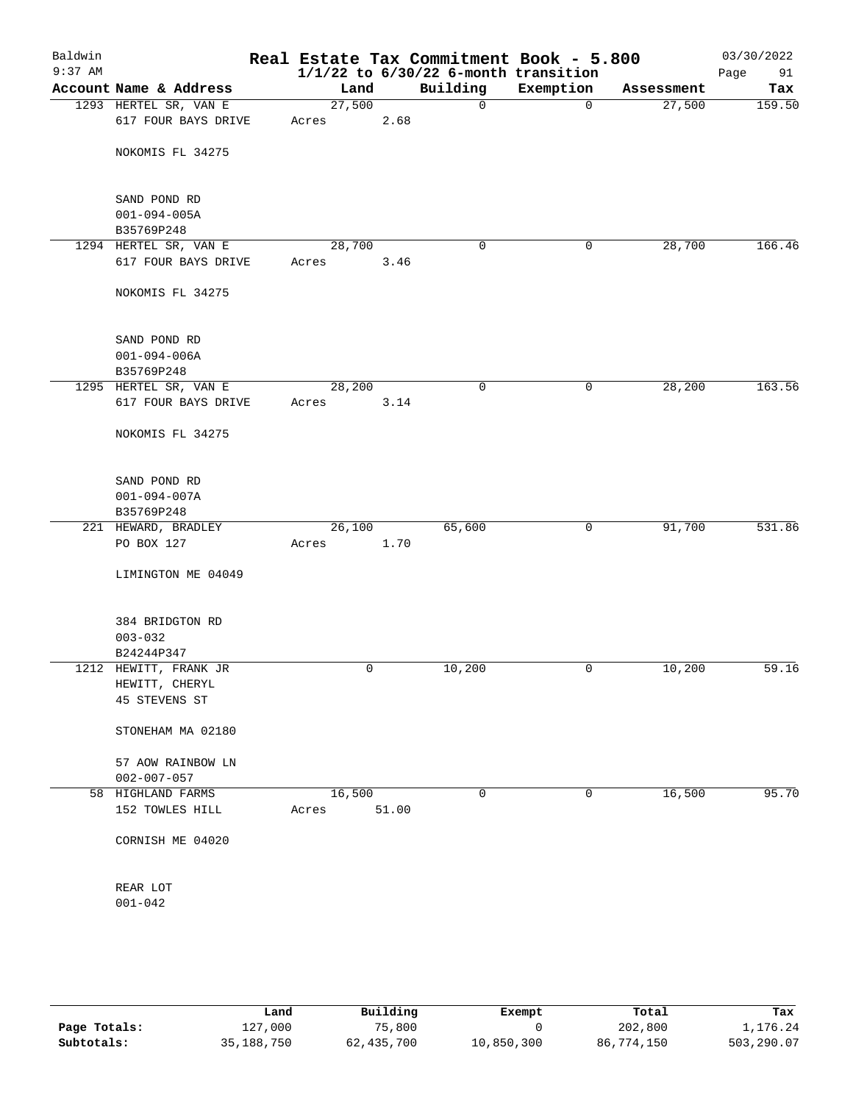| Baldwin<br>$9:37$ AM |                        |        |       | Real Estate Tax Commitment Book - 5.800<br>$1/1/22$ to $6/30/22$ 6-month transition |             |            | 03/30/2022<br>91<br>Page |
|----------------------|------------------------|--------|-------|-------------------------------------------------------------------------------------|-------------|------------|--------------------------|
|                      | Account Name & Address | Land   |       | Building                                                                            | Exemption   | Assessment | Tax                      |
|                      | 1293 HERTEL SR, VAN E  | 27,500 |       | 0                                                                                   | $\mathbf 0$ | 27,500     | 159.50                   |
|                      | 617 FOUR BAYS DRIVE    | Acres  | 2.68  |                                                                                     |             |            |                          |
|                      | NOKOMIS FL 34275       |        |       |                                                                                     |             |            |                          |
|                      | SAND POND RD           |        |       |                                                                                     |             |            |                          |
|                      | $001 - 094 - 005A$     |        |       |                                                                                     |             |            |                          |
|                      | B35769P248             |        |       |                                                                                     |             |            |                          |
|                      | 1294 HERTEL SR, VAN E  | 28,700 |       | 0                                                                                   | 0           | 28,700     | 166.46                   |
|                      | 617 FOUR BAYS DRIVE    | Acres  | 3.46  |                                                                                     |             |            |                          |
|                      | NOKOMIS FL 34275       |        |       |                                                                                     |             |            |                          |
|                      | SAND POND RD           |        |       |                                                                                     |             |            |                          |
|                      | $001 - 094 - 006A$     |        |       |                                                                                     |             |            |                          |
|                      | B35769P248             |        |       |                                                                                     |             |            |                          |
|                      | 1295 HERTEL SR, VAN E  | 28,200 |       | 0                                                                                   | 0           | 28,200     | 163.56                   |
|                      | 617 FOUR BAYS DRIVE    | Acres  | 3.14  |                                                                                     |             |            |                          |
|                      | NOKOMIS FL 34275       |        |       |                                                                                     |             |            |                          |
|                      | SAND POND RD           |        |       |                                                                                     |             |            |                          |
|                      | $001 - 094 - 007A$     |        |       |                                                                                     |             |            |                          |
|                      | B35769P248             |        |       |                                                                                     |             |            |                          |
|                      | 221 HEWARD, BRADLEY    | 26,100 |       | 65,600                                                                              | 0           | 91,700     | 531.86                   |
|                      | PO BOX 127             | Acres  | 1.70  |                                                                                     |             |            |                          |
|                      | LIMINGTON ME 04049     |        |       |                                                                                     |             |            |                          |
|                      | 384 BRIDGTON RD        |        |       |                                                                                     |             |            |                          |
|                      | $003 - 032$            |        |       |                                                                                     |             |            |                          |
|                      | B24244P347             |        |       |                                                                                     |             |            |                          |
|                      | 1212 HEWITT, FRANK JR  | 0      |       | 10,200                                                                              | 0           | 10,200     | 59.16                    |
|                      | HEWITT, CHERYL         |        |       |                                                                                     |             |            |                          |
|                      | 45 STEVENS ST          |        |       |                                                                                     |             |            |                          |
|                      | STONEHAM MA 02180      |        |       |                                                                                     |             |            |                          |
|                      | 57 AOW RAINBOW LN      |        |       |                                                                                     |             |            |                          |
|                      | $002 - 007 - 057$      |        |       |                                                                                     |             |            |                          |
|                      | 58 HIGHLAND FARMS      | 16,500 |       | 0                                                                                   | 0           | 16,500     | 95.70                    |
|                      | 152 TOWLES HILL        | Acres  | 51.00 |                                                                                     |             |            |                          |
|                      | CORNISH ME 04020       |        |       |                                                                                     |             |            |                          |
|                      |                        |        |       |                                                                                     |             |            |                          |
|                      | REAR LOT               |        |       |                                                                                     |             |            |                          |
|                      | $001 - 042$            |        |       |                                                                                     |             |            |                          |
|                      |                        |        |       |                                                                                     |             |            |                          |

|              | Land       | Building   | Exempt     | Total      | Tax        |
|--------------|------------|------------|------------|------------|------------|
| Page Totals: | 127,000    | 75,800     |            | 202,800    | 1,176.24   |
| Subtotals:   | 35,188,750 | 62,435,700 | 10,850,300 | 86,774,150 | 503,290.07 |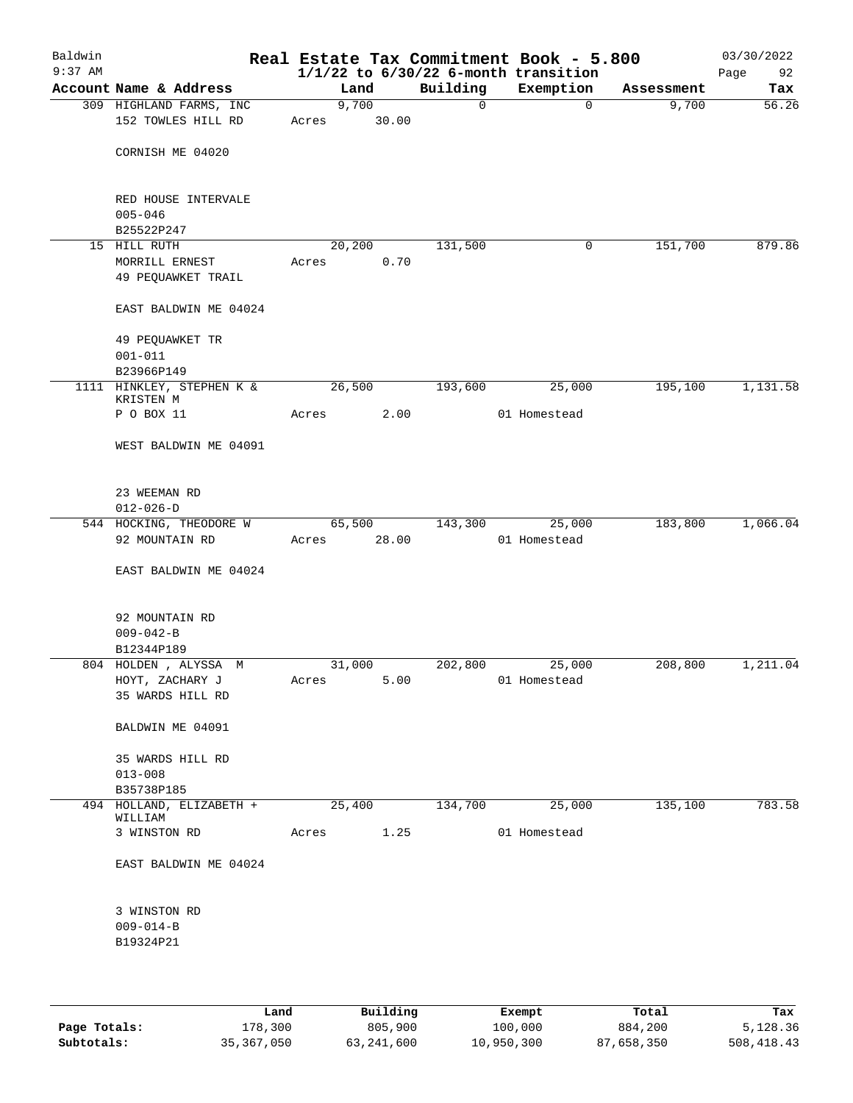| Baldwin<br>$9:37$ AM |                                        |        |       |             | Real Estate Tax Commitment Book - 5.800<br>$1/1/22$ to $6/30/22$ 6-month transition |            | 03/30/2022<br>92<br>Page |
|----------------------|----------------------------------------|--------|-------|-------------|-------------------------------------------------------------------------------------|------------|--------------------------|
|                      | Account Name & Address                 |        | Land  | Building    | Exemption                                                                           | Assessment | Tax                      |
|                      | 309 HIGHLAND FARMS, INC                | 9,700  |       | $\mathbf 0$ | $\mathbf 0$                                                                         | 9,700      | 56.26                    |
|                      | 152 TOWLES HILL RD                     | Acres  | 30.00 |             |                                                                                     |            |                          |
|                      | CORNISH ME 04020                       |        |       |             |                                                                                     |            |                          |
|                      | RED HOUSE INTERVALE<br>$005 - 046$     |        |       |             |                                                                                     |            |                          |
|                      | B25522P247                             |        |       |             |                                                                                     |            |                          |
|                      | 15 HILL RUTH                           | 20,200 |       | 131,500     | 0                                                                                   | 151,700    | 879.86                   |
|                      | MORRILL ERNEST<br>49 PEQUAWKET TRAIL   | Acres  | 0.70  |             |                                                                                     |            |                          |
|                      | EAST BALDWIN ME 04024                  |        |       |             |                                                                                     |            |                          |
|                      | 49 PEQUAWKET TR<br>$001 - 011$         |        |       |             |                                                                                     |            |                          |
|                      | B23966P149                             |        |       |             |                                                                                     |            |                          |
|                      | 1111 HINKLEY, STEPHEN K &<br>KRISTEN M | 26,500 |       | 193,600     | 25,000                                                                              | 195,100    | 1,131.58                 |
|                      | P O BOX 11                             | Acres  | 2.00  |             | 01 Homestead                                                                        |            |                          |
|                      | WEST BALDWIN ME 04091                  |        |       |             |                                                                                     |            |                          |
|                      | 23 WEEMAN RD                           |        |       |             |                                                                                     |            |                          |
|                      | $012 - 026 - D$                        |        |       |             |                                                                                     |            |                          |
|                      | 544 HOCKING, THEODORE W                | 65,500 |       | 143,300     | 25,000                                                                              | 183,800    | 1,066.04                 |
|                      | 92 MOUNTAIN RD                         | Acres  | 28.00 |             | 01 Homestead                                                                        |            |                          |
|                      | EAST BALDWIN ME 04024                  |        |       |             |                                                                                     |            |                          |
|                      | 92 MOUNTAIN RD                         |        |       |             |                                                                                     |            |                          |
|                      | $009 - 042 - B$                        |        |       |             |                                                                                     |            |                          |
|                      | B12344P189<br>804 HOLDEN, ALYSSA M     | 31,000 |       | 202,800     | 25,000                                                                              | 208,800    | 1,211.04                 |
|                      | HOYT, ZACHARY J                        | Acres  | 5.00  |             | 01 Homestead                                                                        |            |                          |
|                      | 35 WARDS HILL RD                       |        |       |             |                                                                                     |            |                          |
|                      | BALDWIN ME 04091                       |        |       |             |                                                                                     |            |                          |
|                      | 35 WARDS HILL RD                       |        |       |             |                                                                                     |            |                          |
|                      | $013 - 008$<br>B35738P185              |        |       |             |                                                                                     |            |                          |
|                      | 494 HOLLAND, ELIZABETH +               | 25,400 |       | 134,700     | 25,000                                                                              | 135,100    | 783.58                   |
|                      | WILLIAM<br>3 WINSTON RD                | Acres  | 1.25  |             | 01 Homestead                                                                        |            |                          |
|                      | EAST BALDWIN ME 04024                  |        |       |             |                                                                                     |            |                          |
|                      | 3 WINSTON RD                           |        |       |             |                                                                                     |            |                          |
|                      | $009 - 014 - B$                        |        |       |             |                                                                                     |            |                          |
|                      | B19324P21                              |        |       |             |                                                                                     |            |                          |
|                      |                                        |        |       |             |                                                                                     |            |                          |
|                      |                                        |        |       |             |                                                                                     |            |                          |

|              | Land         | Building   | Exempt     | Total      | Tax          |
|--------------|--------------|------------|------------|------------|--------------|
| Page Totals: | 178,300      | 805,900    | 100,000    | 884,200    | 5,128.36     |
| Subtotals:   | 35, 367, 050 | 63,241,600 | 10,950,300 | 87,658,350 | 508, 418, 43 |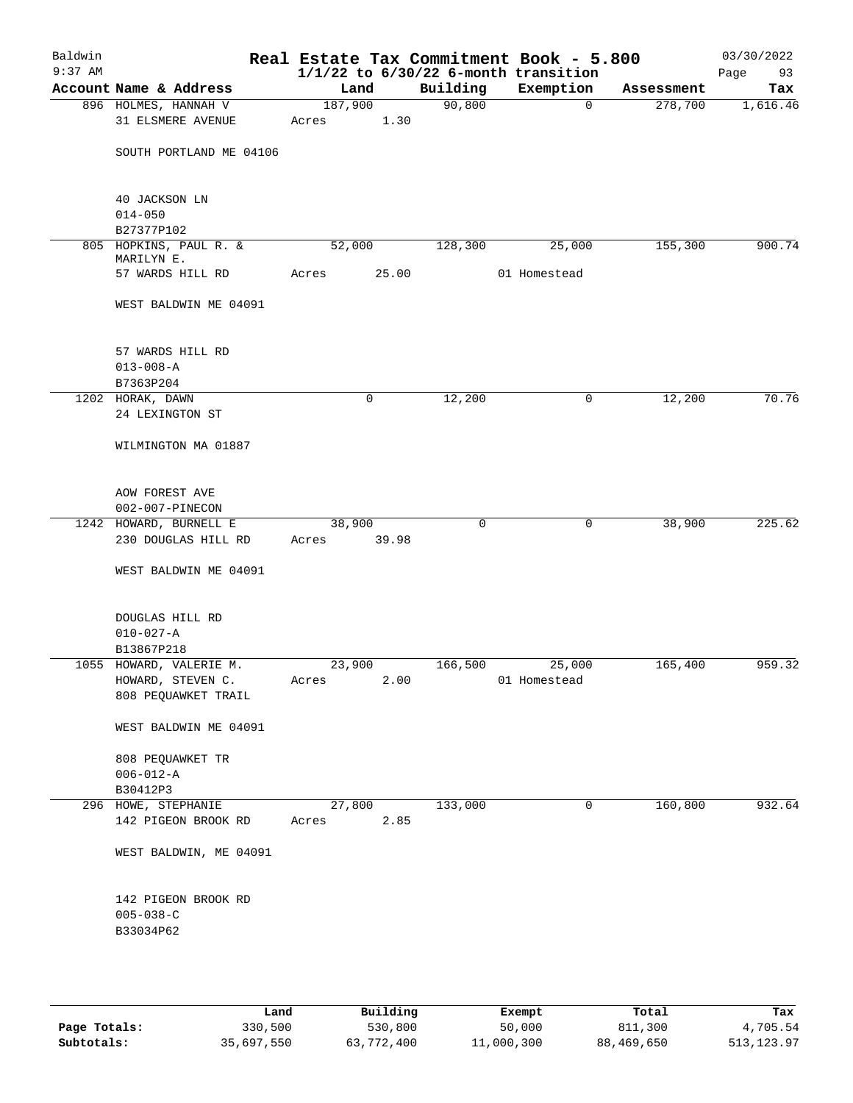| Baldwin<br>$9:37$ AM |                                                     |         |       |             | Real Estate Tax Commitment Book - 5.800<br>$1/1/22$ to $6/30/22$ 6-month transition |            | 03/30/2022<br>Page<br>93 |
|----------------------|-----------------------------------------------------|---------|-------|-------------|-------------------------------------------------------------------------------------|------------|--------------------------|
|                      | Account Name & Address                              | Land    |       | Building    | Exemption                                                                           | Assessment | Tax                      |
|                      | 896 HOLMES, HANNAH V                                | 187,900 |       | 90,800      | $\mathbf 0$                                                                         | 278,700    | 1,616.46                 |
|                      | <b>31 ELSMERE AVENUE</b>                            | Acres   | 1.30  |             |                                                                                     |            |                          |
|                      | SOUTH PORTLAND ME 04106                             |         |       |             |                                                                                     |            |                          |
|                      | 40 JACKSON LN<br>$014 - 050$                        |         |       |             |                                                                                     |            |                          |
|                      | B27377P102                                          |         |       |             |                                                                                     |            |                          |
|                      | 805 HOPKINS, PAUL R. &                              | 52,000  |       | 128,300     | 25,000                                                                              | 155,300    | 900.74                   |
|                      | MARILYN E.<br>57 WARDS HILL RD                      | Acres   | 25.00 |             | 01 Homestead                                                                        |            |                          |
|                      | WEST BALDWIN ME 04091                               |         |       |             |                                                                                     |            |                          |
|                      | 57 WARDS HILL RD<br>$013 - 008 - A$<br>B7363P204    |         |       |             |                                                                                     |            |                          |
|                      | 1202 HORAK, DAWN                                    |         | 0     | 12,200      | 0                                                                                   | 12,200     | 70.76                    |
|                      | 24 LEXINGTON ST                                     |         |       |             |                                                                                     |            |                          |
|                      | WILMINGTON MA 01887                                 |         |       |             |                                                                                     |            |                          |
|                      | AOW FOREST AVE<br>002-007-PINECON                   |         |       |             |                                                                                     |            |                          |
|                      | 1242 HOWARD, BURNELL E                              | 38,900  |       | $\mathbf 0$ | 0                                                                                   | 38,900     | 225.62                   |
|                      | 230 DOUGLAS HILL RD                                 | Acres   | 39.98 |             |                                                                                     |            |                          |
|                      | WEST BALDWIN ME 04091                               |         |       |             |                                                                                     |            |                          |
|                      | DOUGLAS HILL RD<br>$010 - 027 - A$<br>B13867P218    |         |       |             |                                                                                     |            |                          |
|                      | 1055 HOWARD, VALERIE M.                             | 23,900  |       | 166,500     | 25,000                                                                              | 165,400    | 959.32                   |
|                      | HOWARD, STEVEN C.<br>808 PEQUAWKET TRAIL            | Acres   | 2.00  |             | 01 Homestead                                                                        |            |                          |
|                      | WEST BALDWIN ME 04091                               |         |       |             |                                                                                     |            |                          |
|                      | 808 PEQUAWKET TR<br>$006 - 012 - A$<br>B30412P3     |         |       |             |                                                                                     |            |                          |
|                      | 296 HOWE, STEPHANIE                                 | 27,800  |       | 133,000     | 0                                                                                   | 160,800    | 932.64                   |
|                      | 142 PIGEON BROOK RD                                 | Acres   | 2.85  |             |                                                                                     |            |                          |
|                      | WEST BALDWIN, ME 04091                              |         |       |             |                                                                                     |            |                          |
|                      | 142 PIGEON BROOK RD<br>$005 - 038 - C$<br>B33034P62 |         |       |             |                                                                                     |            |                          |
|                      |                                                     |         |       |             |                                                                                     |            |                          |

|              | Land       | Building   | Exempt     | Total      | Tax        |
|--------------|------------|------------|------------|------------|------------|
| Page Totals: | 330,500    | 530,800    | 50,000     | 811,300    | 4,705.54   |
| Subtotals:   | 35,697,550 | 63,772,400 | 11,000,300 | 88,469,650 | 513,123.97 |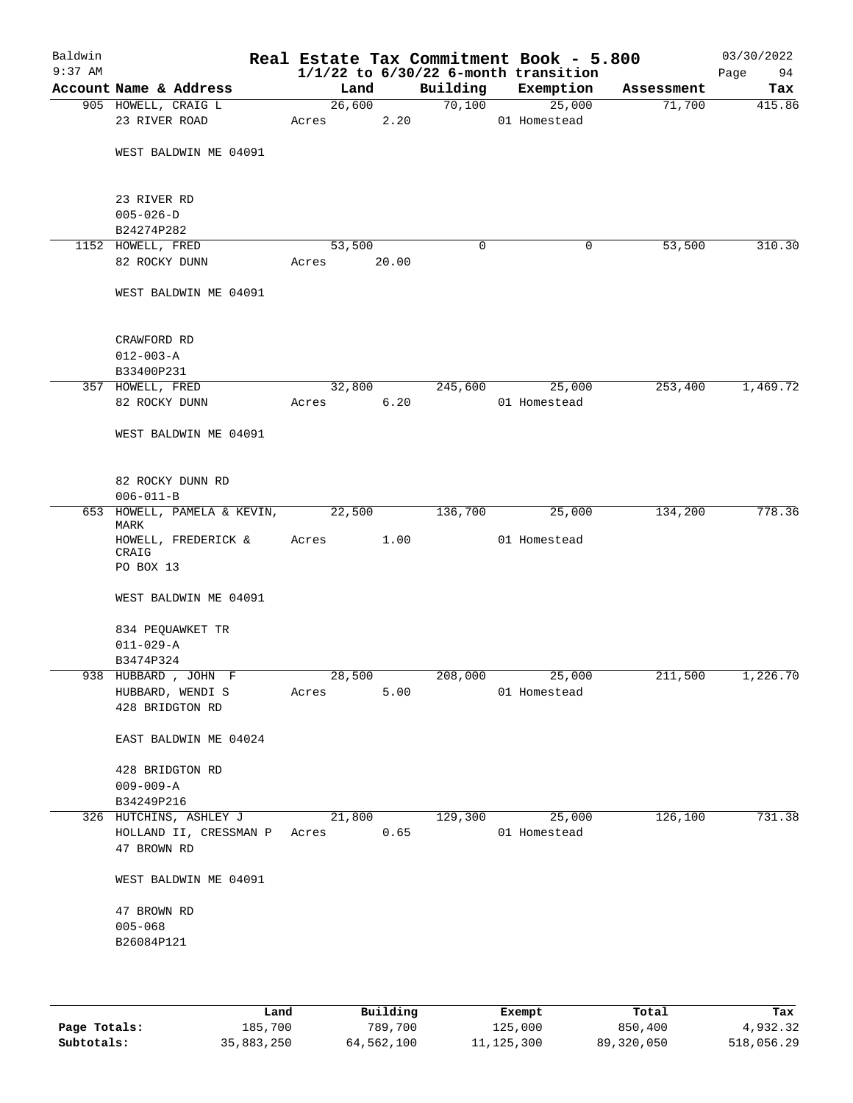| Baldwin<br>$9:37$ AM |                                     |        |        |             | Real Estate Tax Commitment Book - 5.800<br>$1/1/22$ to $6/30/22$ 6-month transition |            | 03/30/2022<br>94<br>Page |
|----------------------|-------------------------------------|--------|--------|-------------|-------------------------------------------------------------------------------------|------------|--------------------------|
|                      | Account Name & Address              | Land   |        | Building    | Exemption                                                                           | Assessment | Tax                      |
|                      | 905 HOWELL, CRAIG L                 |        | 26,600 | 70,100      | 25,000                                                                              | 71,700     | 415.86                   |
|                      | 23 RIVER ROAD                       | Acres  | 2.20   |             | 01 Homestead                                                                        |            |                          |
|                      | WEST BALDWIN ME 04091               |        |        |             |                                                                                     |            |                          |
|                      | 23 RIVER RD                         |        |        |             |                                                                                     |            |                          |
|                      | $005 - 026 - D$                     |        |        |             |                                                                                     |            |                          |
|                      | B24274P282<br>1152 HOWELL, FRED     | 53,500 |        | $\mathbf 0$ | 0                                                                                   | 53,500     | 310.30                   |
|                      | 82 ROCKY DUNN                       | Acres  | 20.00  |             |                                                                                     |            |                          |
|                      |                                     |        |        |             |                                                                                     |            |                          |
|                      | WEST BALDWIN ME 04091               |        |        |             |                                                                                     |            |                          |
|                      | CRAWFORD RD                         |        |        |             |                                                                                     |            |                          |
|                      | $012 - 003 - A$                     |        |        |             |                                                                                     |            |                          |
|                      | B33400P231                          |        |        |             |                                                                                     |            |                          |
|                      | 357 HOWELL, FRED                    | 32,800 |        | 245,600     | 25,000                                                                              | 253,400    | 1,469.72                 |
|                      | 82 ROCKY DUNN                       | Acres  | 6.20   |             | 01 Homestead                                                                        |            |                          |
|                      | WEST BALDWIN ME 04091               |        |        |             |                                                                                     |            |                          |
|                      | 82 ROCKY DUNN RD                    |        |        |             |                                                                                     |            |                          |
|                      | $006 - 011 - B$                     |        |        |             |                                                                                     |            |                          |
|                      | 653 HOWELL, PAMELA & KEVIN,<br>MARK | 22,500 |        | 136,700     | 25,000                                                                              | 134,200    | 778.36                   |
|                      | HOWELL, FREDERICK &<br>CRAIG        | Acres  | 1.00   |             | 01 Homestead                                                                        |            |                          |
|                      | PO BOX 13                           |        |        |             |                                                                                     |            |                          |
|                      | WEST BALDWIN ME 04091               |        |        |             |                                                                                     |            |                          |
|                      | 834 PEQUAWKET TR                    |        |        |             |                                                                                     |            |                          |
|                      | $011 - 029 - A$                     |        |        |             |                                                                                     |            |                          |
|                      | B3474P324                           |        |        |             |                                                                                     |            |                          |
|                      | 938 HUBBARD, JOHN F                 | 28,500 |        | 208,000     | 25,000                                                                              | 211,500    | 1,226.70                 |
|                      | HUBBARD, WENDI S                    | Acres  | 5.00   |             | 01 Homestead                                                                        |            |                          |
|                      | 428 BRIDGTON RD                     |        |        |             |                                                                                     |            |                          |
|                      | EAST BALDWIN ME 04024               |        |        |             |                                                                                     |            |                          |
|                      | 428 BRIDGTON RD                     |        |        |             |                                                                                     |            |                          |
|                      | $009 - 009 - A$                     |        |        |             |                                                                                     |            |                          |
|                      | B34249P216                          |        |        |             |                                                                                     |            |                          |
|                      | 326 HUTCHINS, ASHLEY J              | 21,800 |        | 129,300     | 25,000                                                                              | 126,100    | 731.38                   |
|                      | HOLLAND II, CRESSMAN P Acres        |        | 0.65   |             | 01 Homestead                                                                        |            |                          |
|                      | 47 BROWN RD                         |        |        |             |                                                                                     |            |                          |
|                      | WEST BALDWIN ME 04091               |        |        |             |                                                                                     |            |                          |
|                      | 47 BROWN RD                         |        |        |             |                                                                                     |            |                          |
|                      | $005 - 068$                         |        |        |             |                                                                                     |            |                          |
|                      | B26084P121                          |        |        |             |                                                                                     |            |                          |
|                      |                                     |        |        |             |                                                                                     |            |                          |
|                      |                                     |        |        |             |                                                                                     |            |                          |
|                      |                                     |        |        |             |                                                                                     |            |                          |

|              | Land       | Building   | Exempt       | Total      | Tax        |
|--------------|------------|------------|--------------|------------|------------|
| Page Totals: | 185,700    | 789,700    | 125,000      | 850,400    | 4,932.32   |
| Subtotals:   | 35,883,250 | 64,562,100 | 11, 125, 300 | 89,320,050 | 518,056.29 |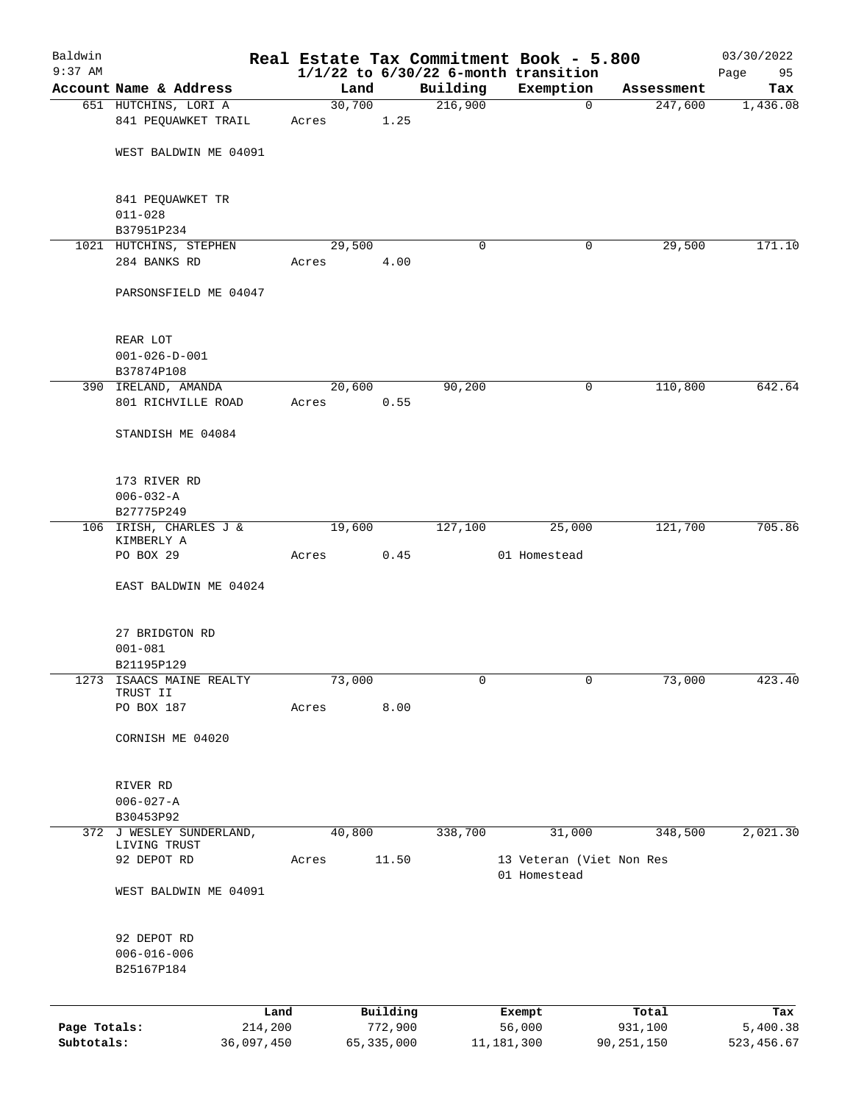| Baldwin      |                                           |            |                 |              |          | Real Estate Tax Commitment Book - 5.800               |                       | 03/30/2022      |
|--------------|-------------------------------------------|------------|-----------------|--------------|----------|-------------------------------------------------------|-----------------------|-----------------|
| $9:37$ AM    | Account Name & Address                    |            | Land            |              | Building | $1/1/22$ to $6/30/22$ 6-month transition<br>Exemption |                       | 95<br>Page      |
|              | 651 HUTCHINS, LORI A                      |            | 30,700          |              | 216,900  | 0                                                     | Assessment<br>247,600 | Tax<br>1,436.08 |
|              | 841 PEQUAWKET TRAIL                       |            | Acres           | 1.25         |          |                                                       |                       |                 |
|              | WEST BALDWIN ME 04091                     |            |                 |              |          |                                                       |                       |                 |
|              | 841 PEQUAWKET TR                          |            |                 |              |          |                                                       |                       |                 |
|              | $011 - 028$<br>B37951P234                 |            |                 |              |          |                                                       |                       |                 |
|              | 1021 HUTCHINS, STEPHEN                    |            | 29,500          |              | 0        | 0                                                     | 29,500                | 171.10          |
|              | 284 BANKS RD                              |            | Acres           | 4.00         |          |                                                       |                       |                 |
|              | PARSONSFIELD ME 04047                     |            |                 |              |          |                                                       |                       |                 |
|              | REAR LOT                                  |            |                 |              |          |                                                       |                       |                 |
|              | $001 - 026 - D - 001$                     |            |                 |              |          |                                                       |                       |                 |
|              | B37874P108                                |            |                 |              |          |                                                       |                       |                 |
|              | 390 IRELAND, AMANDA<br>801 RICHVILLE ROAD |            | 20,600<br>Acres | 0.55         | 90,200   | 0                                                     | 110,800               | 642.64          |
|              | STANDISH ME 04084                         |            |                 |              |          |                                                       |                       |                 |
|              | 173 RIVER RD                              |            |                 |              |          |                                                       |                       |                 |
|              | $006 - 032 - A$                           |            |                 |              |          |                                                       |                       |                 |
|              | B27775P249                                |            |                 |              |          |                                                       |                       |                 |
|              | 106 IRISH, CHARLES J &<br>KIMBERLY A      |            | 19,600          |              | 127,100  | 25,000                                                | 121,700               | 705.86          |
|              | PO BOX 29                                 |            | Acres           | 0.45         |          | 01 Homestead                                          |                       |                 |
|              | EAST BALDWIN ME 04024                     |            |                 |              |          |                                                       |                       |                 |
|              | 27 BRIDGTON RD                            |            |                 |              |          |                                                       |                       |                 |
|              | $001 - 081$                               |            |                 |              |          |                                                       |                       |                 |
|              | B21195P129                                |            |                 |              |          |                                                       |                       |                 |
| 1273         | ISAACS MAINE REALTY<br>TRUST II           |            | 73,000          |              | 0        | 0                                                     | 73,000                | 423.40          |
|              | PO BOX 187                                |            | Acres           | 8.00         |          |                                                       |                       |                 |
|              | CORNISH ME 04020                          |            |                 |              |          |                                                       |                       |                 |
|              | RIVER RD                                  |            |                 |              |          |                                                       |                       |                 |
|              | $006 - 027 - A$                           |            |                 |              |          |                                                       |                       |                 |
|              | B30453P92<br>372 J WESLEY SUNDERLAND,     |            | 40,800          |              | 338,700  | 31,000                                                | 348,500               | 2,021.30        |
|              | LIVING TRUST                              |            |                 |              |          |                                                       |                       |                 |
|              | 92 DEPOT RD                               |            | Acres           | 11.50        |          | 13 Veteran (Viet Non Res<br>01 Homestead              |                       |                 |
|              | WEST BALDWIN ME 04091                     |            |                 |              |          |                                                       |                       |                 |
|              | 92 DEPOT RD                               |            |                 |              |          |                                                       |                       |                 |
|              | $006 - 016 - 006$<br>B25167P184           |            |                 |              |          |                                                       |                       |                 |
|              |                                           | Land       |                 | Building     |          | Exempt                                                | Total                 | Tax             |
| Page Totals: |                                           | 214,200    |                 | 772,900      |          | 56,000                                                | 931,100               | 5,400.38        |
| Subtotals:   |                                           | 36,097,450 |                 | 65, 335, 000 |          | 11, 181, 300                                          | 90, 251, 150          | 523, 456.67     |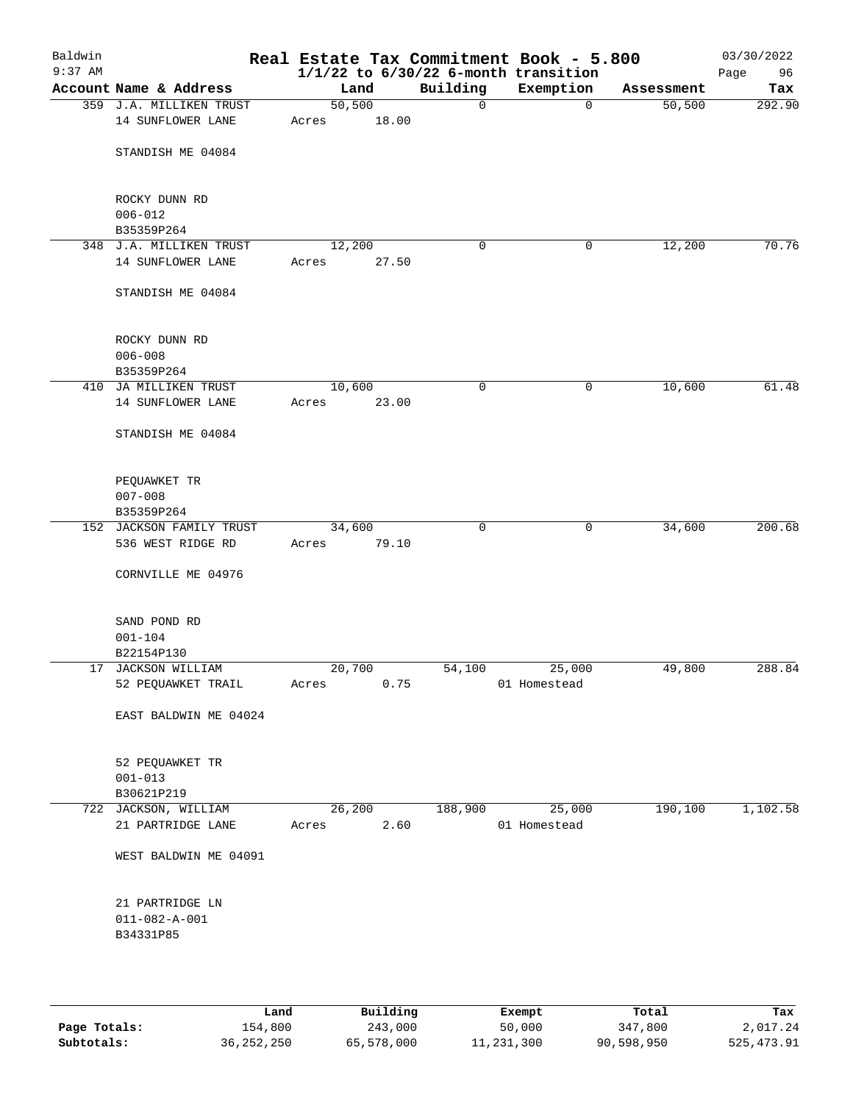| Baldwin<br>$9:37$ AM |                              |                     |        |             | Real Estate Tax Commitment Book - 5.800<br>$1/1/22$ to $6/30/22$ 6-month transition |            | 03/30/2022<br>Page<br>96 |
|----------------------|------------------------------|---------------------|--------|-------------|-------------------------------------------------------------------------------------|------------|--------------------------|
|                      | Account Name & Address       |                     | Land   | Building    | Exemption                                                                           | Assessment | Tax                      |
|                      | 359 J.A. MILLIKEN TRUST      | $\overline{50,500}$ |        | $\mathbf 0$ | 0                                                                                   | 50,500     | 292.90                   |
|                      | 14 SUNFLOWER LANE            | Acres               | 18.00  |             |                                                                                     |            |                          |
|                      | STANDISH ME 04084            |                     |        |             |                                                                                     |            |                          |
|                      | ROCKY DUNN RD<br>$006 - 012$ |                     |        |             |                                                                                     |            |                          |
|                      | B35359P264                   |                     |        |             |                                                                                     |            |                          |
|                      | 348 J.A. MILLIKEN TRUST      | 12,200              |        | 0           | 0                                                                                   | 12,200     | 70.76                    |
|                      | 14 SUNFLOWER LANE            | Acres               | 27.50  |             |                                                                                     |            |                          |
|                      | STANDISH ME 04084            |                     |        |             |                                                                                     |            |                          |
|                      | ROCKY DUNN RD                |                     |        |             |                                                                                     |            |                          |
|                      | $006 - 008$                  |                     |        |             |                                                                                     |            |                          |
|                      | B35359P264                   |                     |        |             |                                                                                     |            |                          |
|                      | 410 JA MILLIKEN TRUST        | 10,600              |        | 0           | 0                                                                                   | 10,600     | 61.48                    |
|                      | 14 SUNFLOWER LANE            | Acres               | 23.00  |             |                                                                                     |            |                          |
|                      | STANDISH ME 04084            |                     |        |             |                                                                                     |            |                          |
|                      | PEQUAWKET TR                 |                     |        |             |                                                                                     |            |                          |
|                      | $007 - 008$                  |                     |        |             |                                                                                     |            |                          |
|                      | B35359P264                   |                     |        |             |                                                                                     |            |                          |
|                      | 152 JACKSON FAMILY TRUST     |                     | 34,600 | 0           | 0                                                                                   | 34,600     | 200.68                   |
|                      | 536 WEST RIDGE RD            | Acres               | 79.10  |             |                                                                                     |            |                          |
|                      | CORNVILLE ME 04976           |                     |        |             |                                                                                     |            |                          |
|                      | SAND POND RD                 |                     |        |             |                                                                                     |            |                          |
|                      | $001 - 104$                  |                     |        |             |                                                                                     |            |                          |
|                      | B22154P130                   |                     |        |             |                                                                                     |            |                          |
|                      | 17 JACKSON WILLIAM           | 20,700              |        | 54,100      | 25,000                                                                              | 49,800     | 288.84                   |
|                      | 52 PEQUAWKET TRAIL           | Acres               | 0.75   |             | 01 Homestead                                                                        |            |                          |
|                      | EAST BALDWIN ME 04024        |                     |        |             |                                                                                     |            |                          |
|                      | 52 PEQUAWKET TR              |                     |        |             |                                                                                     |            |                          |
|                      | $001 - 013$                  |                     |        |             |                                                                                     |            |                          |
|                      | B30621P219                   |                     |        |             |                                                                                     |            |                          |
|                      | 722 JACKSON, WILLIAM         |                     | 26,200 | 188,900     | 25,000                                                                              | 190,100    | 1,102.58                 |
|                      | 21 PARTRIDGE LANE            | Acres               | 2.60   |             | 01 Homestead                                                                        |            |                          |
|                      | WEST BALDWIN ME 04091        |                     |        |             |                                                                                     |            |                          |
|                      | 21 PARTRIDGE LN              |                     |        |             |                                                                                     |            |                          |
|                      | $011 - 082 - A - 001$        |                     |        |             |                                                                                     |            |                          |
|                      | B34331P85                    |                     |        |             |                                                                                     |            |                          |
|                      |                              |                     |        |             |                                                                                     |            |                          |
|                      |                              |                     |        |             |                                                                                     |            |                          |

|              | Land       | Building   | Exempt     | Total      | Tax         |
|--------------|------------|------------|------------|------------|-------------|
| Page Totals: | 154,800    | 243,000    | 50,000     | 347,800    | 2,017.24    |
| Subtotals:   | 36,252,250 | 65,578,000 | 11,231,300 | 90,598,950 | 525, 473.91 |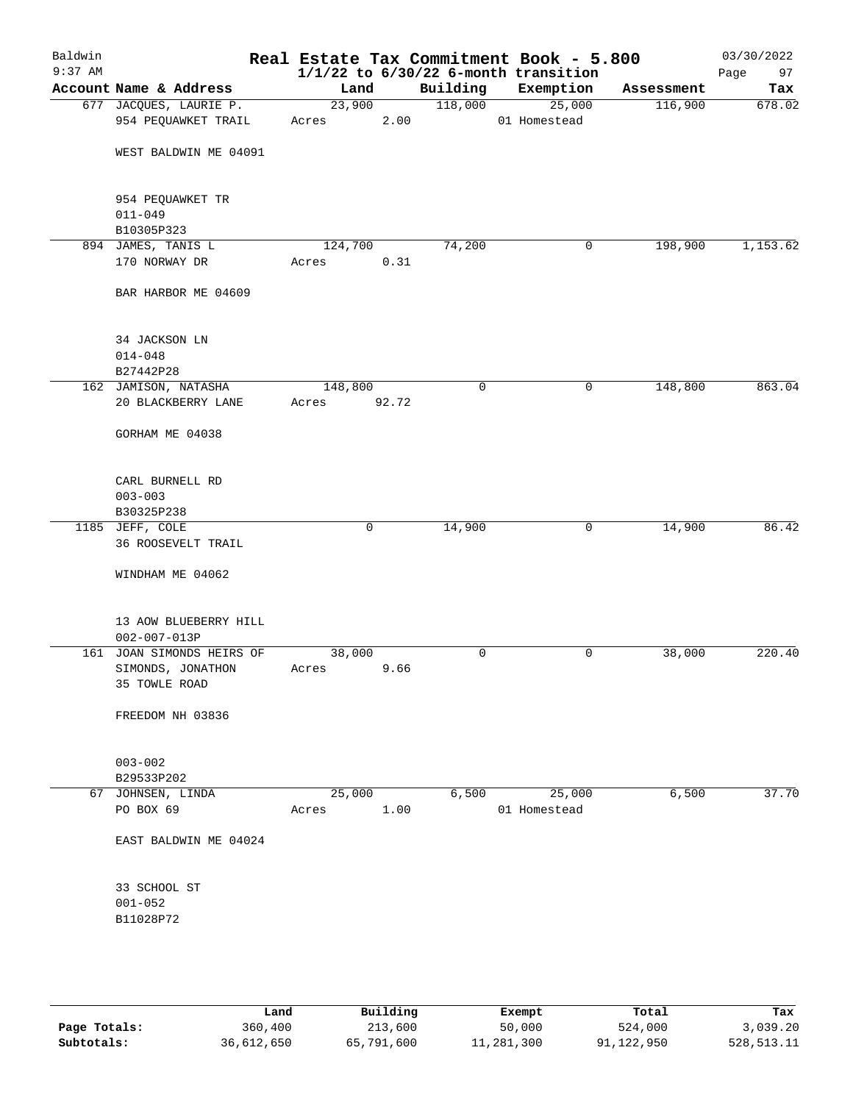| Baldwin<br>$9:37$ AM |                                                                 |                  |             |          | Real Estate Tax Commitment Book - 5.800<br>$1/1/22$ to $6/30/22$ 6-month transition |            | 03/30/2022<br>Page<br>97 |
|----------------------|-----------------------------------------------------------------|------------------|-------------|----------|-------------------------------------------------------------------------------------|------------|--------------------------|
|                      | Account Name & Address                                          | Land             |             | Building | Exemption                                                                           | Assessment | Tax                      |
|                      | 677 JACQUES, LAURIE P.<br>954 PEQUAWKET TRAIL                   | 23,900<br>Acres  | 2.00        | 118,000  | 25,000<br>01 Homestead                                                              | 116,900    | 678.02                   |
|                      | WEST BALDWIN ME 04091                                           |                  |             |          |                                                                                     |            |                          |
|                      | 954 PEQUAWKET TR<br>$011 - 049$                                 |                  |             |          |                                                                                     |            |                          |
|                      | B10305P323                                                      |                  |             |          |                                                                                     |            |                          |
|                      | 894 JAMES, TANIS L<br>170 NORWAY DR                             | 124,700<br>Acres | 0.31        | 74,200   | 0                                                                                   | 198,900    | 1,153.62                 |
|                      | BAR HARBOR ME 04609                                             |                  |             |          |                                                                                     |            |                          |
|                      | 34 JACKSON LN<br>$014 - 048$                                    |                  |             |          |                                                                                     |            |                          |
|                      | B27442P28                                                       |                  |             |          |                                                                                     |            |                          |
|                      | 162 JAMISON, NATASHA<br>20 BLACKBERRY LANE                      | 148,800<br>Acres | 92.72       | 0        | 0                                                                                   | 148,800    | 863.04                   |
|                      | GORHAM ME 04038                                                 |                  |             |          |                                                                                     |            |                          |
|                      | CARL BURNELL RD<br>$003 - 003$<br>B30325P238                    |                  |             |          |                                                                                     |            |                          |
|                      | 1185 JEFF, COLE                                                 |                  | $\mathbf 0$ | 14,900   | $\mathbf 0$                                                                         | 14,900     | 86.42                    |
|                      | <b>36 ROOSEVELT TRAIL</b>                                       |                  |             |          |                                                                                     |            |                          |
|                      | WINDHAM ME 04062                                                |                  |             |          |                                                                                     |            |                          |
|                      | 13 AOW BLUEBERRY HILL<br>$002 - 007 - 013P$                     |                  |             |          |                                                                                     |            |                          |
|                      | 161 JOAN SIMONDS HEIRS OF<br>SIMONDS, JONATHON<br>35 TOWLE ROAD | 38,000<br>Acres  | 9.66        | 0        | 0                                                                                   | 38,000     | 220.40                   |
|                      | FREEDOM NH 03836                                                |                  |             |          |                                                                                     |            |                          |
|                      | $003 - 002$<br>B29533P202                                       |                  |             |          |                                                                                     |            |                          |
|                      | 67 JOHNSEN, LINDA                                               | 25,000           |             | 6,500    | 25,000                                                                              | 6,500      | 37.70                    |
|                      | PO BOX 69                                                       | Acres            | 1.00        |          | 01 Homestead                                                                        |            |                          |
|                      | EAST BALDWIN ME 04024                                           |                  |             |          |                                                                                     |            |                          |
|                      | 33 SCHOOL ST<br>$001 - 052$<br>B11028P72                        |                  |             |          |                                                                                     |            |                          |
|                      |                                                                 |                  |             |          |                                                                                     |            |                          |

|              | Land       | Building   | Exempt     | Total      | Tax        |
|--------------|------------|------------|------------|------------|------------|
| Page Totals: | 360,400    | 213,600    | 50,000     | 524,000    | 3,039.20   |
| Subtotals:   | 36,612,650 | 65,791,600 | 11,281,300 | 91,122,950 | 528,513.11 |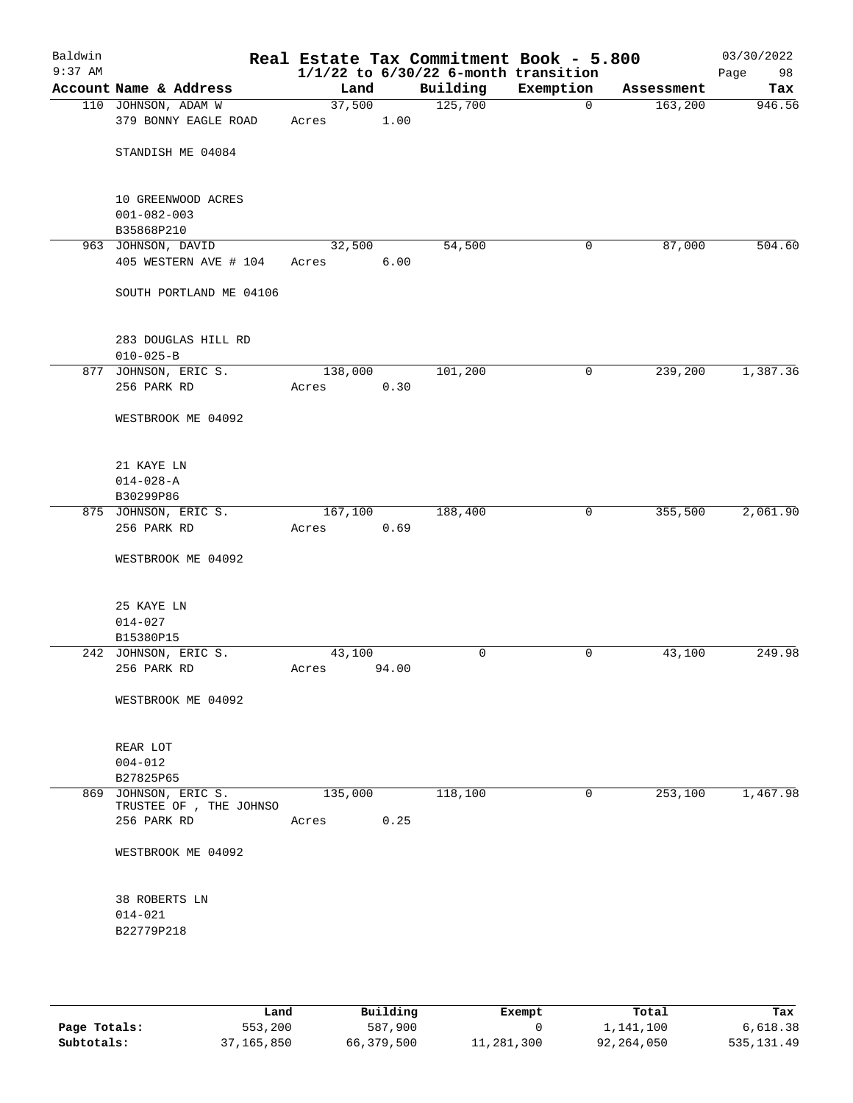| Baldwin<br>$9:37$ AM |                                                       |                 |       | Real Estate Tax Commitment Book - 5.800<br>$1/1/22$ to $6/30/22$ 6-month transition |              |            | 03/30/2022<br>Page<br>98 |
|----------------------|-------------------------------------------------------|-----------------|-------|-------------------------------------------------------------------------------------|--------------|------------|--------------------------|
|                      | Account Name & Address                                | Land            |       | Building                                                                            | Exemption    | Assessment | Tax                      |
|                      | 110 JOHNSON, ADAM W<br>379 BONNY EAGLE ROAD           | 37,500<br>Acres | 1.00  | 125,700                                                                             | $\mathbf 0$  | 163,200    | 946.56                   |
|                      | STANDISH ME 04084                                     |                 |       |                                                                                     |              |            |                          |
|                      | 10 GREENWOOD ACRES<br>$001 - 082 - 003$<br>B35868P210 |                 |       |                                                                                     |              |            |                          |
|                      | 963 JOHNSON, DAVID<br>405 WESTERN AVE # 104           | 32,500<br>Acres | 6.00  | 54,500                                                                              | 0            | 87,000     | 504.60                   |
|                      | SOUTH PORTLAND ME 04106                               |                 |       |                                                                                     |              |            |                          |
|                      | 283 DOUGLAS HILL RD<br>$010 - 025 - B$                |                 |       |                                                                                     |              |            |                          |
|                      | 877 JOHNSON, ERIC S.                                  | 138,000         |       | 101,200                                                                             | 0            | 239,200    | 1,387.36                 |
|                      | 256 PARK RD                                           | Acres           | 0.30  |                                                                                     |              |            |                          |
|                      | WESTBROOK ME 04092                                    |                 |       |                                                                                     |              |            |                          |
|                      | 21 KAYE LN<br>$014 - 028 - A$                         |                 |       |                                                                                     |              |            |                          |
|                      | B30299P86                                             |                 |       |                                                                                     |              |            |                          |
|                      | 875 JOHNSON, ERIC S.                                  | 167,100         |       | 188,400                                                                             | 0            | 355,500    | 2,061.90                 |
|                      | 256 PARK RD                                           | Acres           | 0.69  |                                                                                     |              |            |                          |
|                      | WESTBROOK ME 04092                                    |                 |       |                                                                                     |              |            |                          |
|                      | 25 KAYE LN                                            |                 |       |                                                                                     |              |            |                          |
|                      | $014 - 027$                                           |                 |       |                                                                                     |              |            |                          |
|                      | B15380P15<br>242 JOHNSON, ERIC S.                     | 43,100          |       | 0                                                                                   | 0            | 43,100     | 249.98                   |
|                      | 256 PARK RD                                           | Acres           | 94.00 |                                                                                     |              |            |                          |
|                      | WESTBROOK ME 04092                                    |                 |       |                                                                                     |              |            |                          |
|                      | REAR LOT                                              |                 |       |                                                                                     |              |            |                          |
|                      | $004 - 012$                                           |                 |       |                                                                                     |              |            |                          |
|                      | B27825P65                                             |                 |       |                                                                                     |              |            |                          |
|                      | 869 JOHNSON, ERIC S.<br>TRUSTEE OF , THE JOHNSO       | 135,000         |       | 118,100                                                                             | $\mathbf{0}$ | 253,100    | 1,467.98                 |
|                      | 256 PARK RD                                           | Acres           | 0.25  |                                                                                     |              |            |                          |
|                      | WESTBROOK ME 04092                                    |                 |       |                                                                                     |              |            |                          |
|                      | <b>38 ROBERTS LN</b>                                  |                 |       |                                                                                     |              |            |                          |
|                      | $014 - 021$                                           |                 |       |                                                                                     |              |            |                          |
|                      | B22779P218                                            |                 |       |                                                                                     |              |            |                          |
|                      |                                                       |                 |       |                                                                                     |              |            |                          |

|              | Land       | Building   | Exempt     | Total      | Tax         |
|--------------|------------|------------|------------|------------|-------------|
| Page Totals: | 553,200    | 587,900    |            | 1,141,100  | 6,618.38    |
| Subtotals:   | 37,165,850 | 66,379,500 | 11,281,300 | 92,264,050 | 535, 131.49 |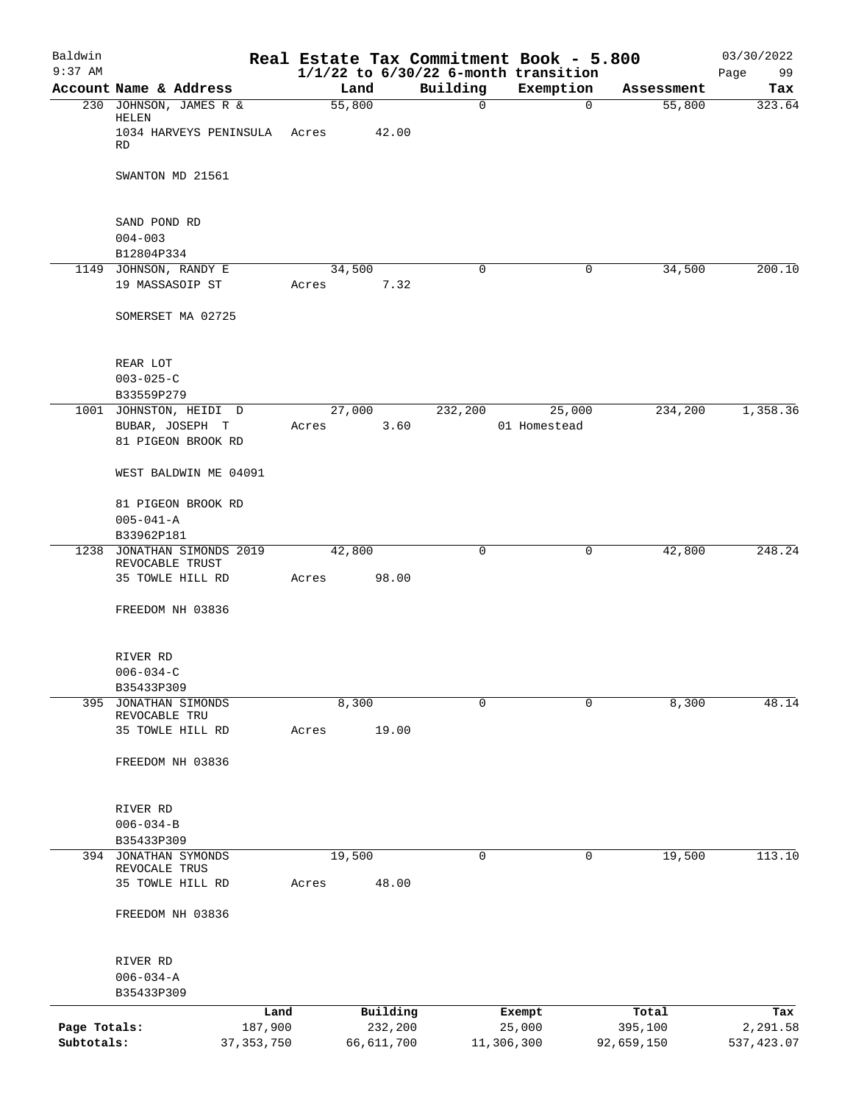| Baldwin<br>$9:37$ AM |                                           |              |        |              |             | Real Estate Tax Commitment Book - 5.800<br>$1/1/22$ to $6/30/22$ 6-month transition |            | 03/30/2022<br>Page<br>99 |
|----------------------|-------------------------------------------|--------------|--------|--------------|-------------|-------------------------------------------------------------------------------------|------------|--------------------------|
|                      | Account Name & Address                    |              | Land   |              | Building    | Exemption                                                                           | Assessment | Tax                      |
|                      | 230 JOHNSON, JAMES R &<br>HELEN           |              | 55,800 |              | $\mathbf 0$ | $\mathbf 0$                                                                         | 55,800     | 323.64                   |
|                      | 1034 HARVEYS PENINSULA Acres<br><b>RD</b> |              |        | 42.00        |             |                                                                                     |            |                          |
|                      | SWANTON MD 21561                          |              |        |              |             |                                                                                     |            |                          |
|                      | SAND POND RD<br>$004 - 003$               |              |        |              |             |                                                                                     |            |                          |
|                      | B12804P334                                |              |        |              |             |                                                                                     |            |                          |
|                      | 1149 JOHNSON, RANDY E                     |              | 34,500 |              | 0           | 0                                                                                   | 34,500     | 200.10                   |
|                      | 19 MASSASOIP ST                           |              | Acres  | 7.32         |             |                                                                                     |            |                          |
|                      | SOMERSET MA 02725                         |              |        |              |             |                                                                                     |            |                          |
|                      | REAR LOT                                  |              |        |              |             |                                                                                     |            |                          |
|                      | $003 - 025 - C$<br>B33559P279             |              |        |              |             |                                                                                     |            |                          |
|                      | 1001 JOHNSTON, HEIDI D                    |              | 27,000 |              | 232,200     | 25,000                                                                              | 234,200    | 1,358.36                 |
|                      | BUBAR, JOSEPH T<br>81 PIGEON BROOK RD     |              | Acres  | 3.60         |             | 01 Homestead                                                                        |            |                          |
|                      | WEST BALDWIN ME 04091                     |              |        |              |             |                                                                                     |            |                          |
|                      | 81 PIGEON BROOK RD                        |              |        |              |             |                                                                                     |            |                          |
|                      | $005 - 041 - A$<br>B33962P181             |              |        |              |             |                                                                                     |            |                          |
|                      | 1238 JONATHAN SIMONDS 2019                |              | 42,800 |              | $\mathbf 0$ | 0                                                                                   | 42,800     | 248.24                   |
|                      | REVOCABLE TRUST<br>35 TOWLE HILL RD       |              | Acres  | 98.00        |             |                                                                                     |            |                          |
|                      | FREEDOM NH 03836                          |              |        |              |             |                                                                                     |            |                          |
|                      |                                           |              |        |              |             |                                                                                     |            |                          |
|                      | RIVER RD                                  |              |        |              |             |                                                                                     |            |                          |
|                      | $006 - 034 - C$                           |              |        |              |             |                                                                                     |            |                          |
| 395                  | B35433P309<br>JONATHAN SIMONDS            |              | 8,300  |              | $\mathbf 0$ | $\mathbf 0$                                                                         | 8,300      | 48.14                    |
|                      | REVOCABLE TRU                             |              |        |              |             |                                                                                     |            |                          |
|                      | 35 TOWLE HILL RD                          |              | Acres  | 19.00        |             |                                                                                     |            |                          |
|                      | FREEDOM NH 03836                          |              |        |              |             |                                                                                     |            |                          |
|                      | RIVER RD                                  |              |        |              |             |                                                                                     |            |                          |
|                      | $006 - 034 - B$                           |              |        |              |             |                                                                                     |            |                          |
|                      | B35433P309                                |              |        |              |             |                                                                                     |            |                          |
|                      | 394 JONATHAN SYMONDS                      |              | 19,500 |              | 0           | 0                                                                                   | 19,500     | 113.10                   |
|                      | REVOCALE TRUS<br>35 TOWLE HILL RD         |              | Acres  | 48.00        |             |                                                                                     |            |                          |
|                      | FREEDOM NH 03836                          |              |        |              |             |                                                                                     |            |                          |
|                      |                                           |              |        |              |             |                                                                                     |            |                          |
|                      | RIVER RD                                  |              |        |              |             |                                                                                     |            |                          |
|                      | $006 - 034 - A$<br>B35433P309             |              |        |              |             |                                                                                     |            |                          |
|                      |                                           | Land         |        | Building     |             | Exempt                                                                              | Total      | Tax                      |
| Page Totals:         |                                           | 187,900      |        | 232,200      |             | 25,000                                                                              | 395,100    | 2,291.58                 |
| Subtotals:           |                                           | 37, 353, 750 |        | 66, 611, 700 |             | 11,306,300                                                                          | 92,659,150 | 537, 423.07              |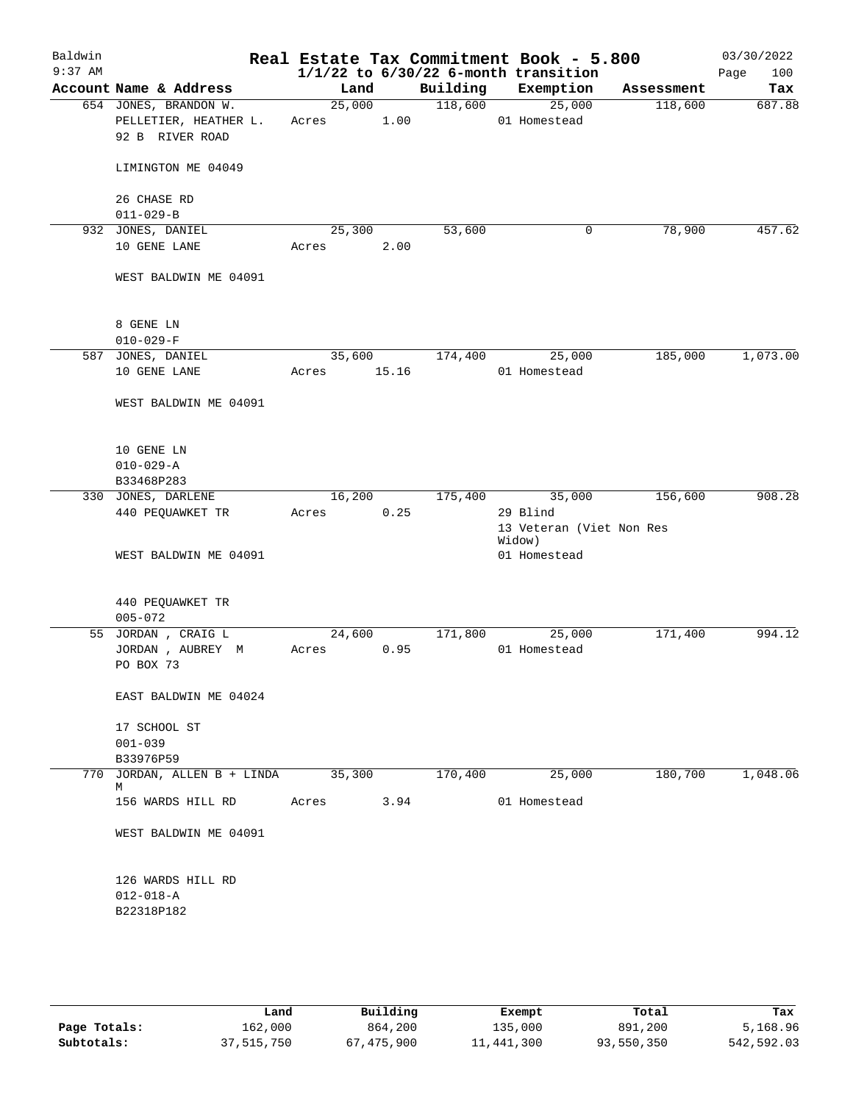| Baldwin   |                                                    |        |       |          | Real Estate Tax Commitment Book - 5.800  |            | 03/30/2022  |
|-----------|----------------------------------------------------|--------|-------|----------|------------------------------------------|------------|-------------|
| $9:37$ AM |                                                    |        |       |          | $1/1/22$ to $6/30/22$ 6-month transition |            | 100<br>Page |
|           | Account Name & Address                             | Land   |       | Building | Exemption                                | Assessment | Tax         |
|           | 654 JONES, BRANDON W.                              | 25,000 |       | 118,600  | 25,000                                   | 118,600    | 687.88      |
|           | PELLETIER, HEATHER L.                              | Acres  | 1.00  |          | 01 Homestead                             |            |             |
|           | 92 B RIVER ROAD                                    |        |       |          |                                          |            |             |
|           | LIMINGTON ME 04049                                 |        |       |          |                                          |            |             |
|           | 26 CHASE RD                                        |        |       |          |                                          |            |             |
|           | $011 - 029 - B$                                    |        |       |          |                                          |            |             |
|           |                                                    | 25,300 |       |          | 0                                        | 78,900     | 457.62      |
|           | 932 JONES, DANIEL                                  |        |       | 53,600   |                                          |            |             |
|           | 10 GENE LANE                                       | Acres  | 2.00  |          |                                          |            |             |
|           | WEST BALDWIN ME 04091                              |        |       |          |                                          |            |             |
|           |                                                    |        |       |          |                                          |            |             |
|           | 8 GENE LN                                          |        |       |          |                                          |            |             |
|           | $010 - 029 - F$                                    |        |       |          |                                          |            |             |
|           | 587 JONES, DANIEL                                  | 35,600 |       | 174,400  | 25,000                                   | 185,000    | 1,073.00    |
|           | 10 GENE LANE                                       | Acres  | 15.16 |          | 01 Homestead                             |            |             |
|           | WEST BALDWIN ME 04091                              |        |       |          |                                          |            |             |
|           |                                                    |        |       |          |                                          |            |             |
|           | 10 GENE LN                                         |        |       |          |                                          |            |             |
|           | $010 - 029 - A$                                    |        |       |          |                                          |            |             |
|           | B33468P283                                         |        |       |          |                                          |            |             |
|           | 330 JONES, DARLENE                                 | 16,200 |       | 175,400  | 35,000                                   | 156,600    | 908.28      |
|           | 440 PEQUAWKET TR                                   | Acres  | 0.25  |          | 29 Blind                                 |            |             |
|           |                                                    |        |       |          | 13 Veteran (Viet Non Res<br>Widow)       |            |             |
|           | WEST BALDWIN ME 04091                              |        |       |          | 01 Homestead                             |            |             |
|           |                                                    |        |       |          |                                          |            |             |
|           | 440 PEQUAWKET TR                                   |        |       |          |                                          |            |             |
|           | $005 - 072$                                        |        |       |          |                                          |            |             |
|           | 55 JORDAN, CRAIG L                                 | 24,600 |       | 171,800  | 25,000                                   | 171,400    | 994.12      |
|           | JORDAN, AUBREY M                                   | Acres  | 0.95  |          | 01 Homestead                             |            |             |
|           | PO BOX 73                                          |        |       |          |                                          |            |             |
|           |                                                    |        |       |          |                                          |            |             |
|           | EAST BALDWIN ME 04024                              |        |       |          |                                          |            |             |
|           | 17 SCHOOL ST                                       |        |       |          |                                          |            |             |
|           | $001 - 039$                                        |        |       |          |                                          |            |             |
|           | B33976P59                                          |        |       |          |                                          |            |             |
|           | 770 JORDAN, ALLEN B + LINDA                        | 35,300 |       | 170,400  | 25,000                                   | 180,700    | 1,048.06    |
|           | М                                                  |        |       |          |                                          |            |             |
|           | 156 WARDS HILL RD                                  | Acres  | 3.94  |          | 01 Homestead                             |            |             |
|           | WEST BALDWIN ME 04091                              |        |       |          |                                          |            |             |
|           | 126 WARDS HILL RD<br>$012 - 018 - A$<br>B22318P182 |        |       |          |                                          |            |             |
|           |                                                    |        |       |          |                                          |            |             |

|              | Land       | Building   | Exempt     | Total      | Tax        |
|--------------|------------|------------|------------|------------|------------|
| Page Totals: | 162,000    | 864,200    | 135,000    | 891,200    | 5,168.96   |
| Subtotals:   | 37,515,750 | 67,475,900 | 11,441,300 | 93,550,350 | 542,592.03 |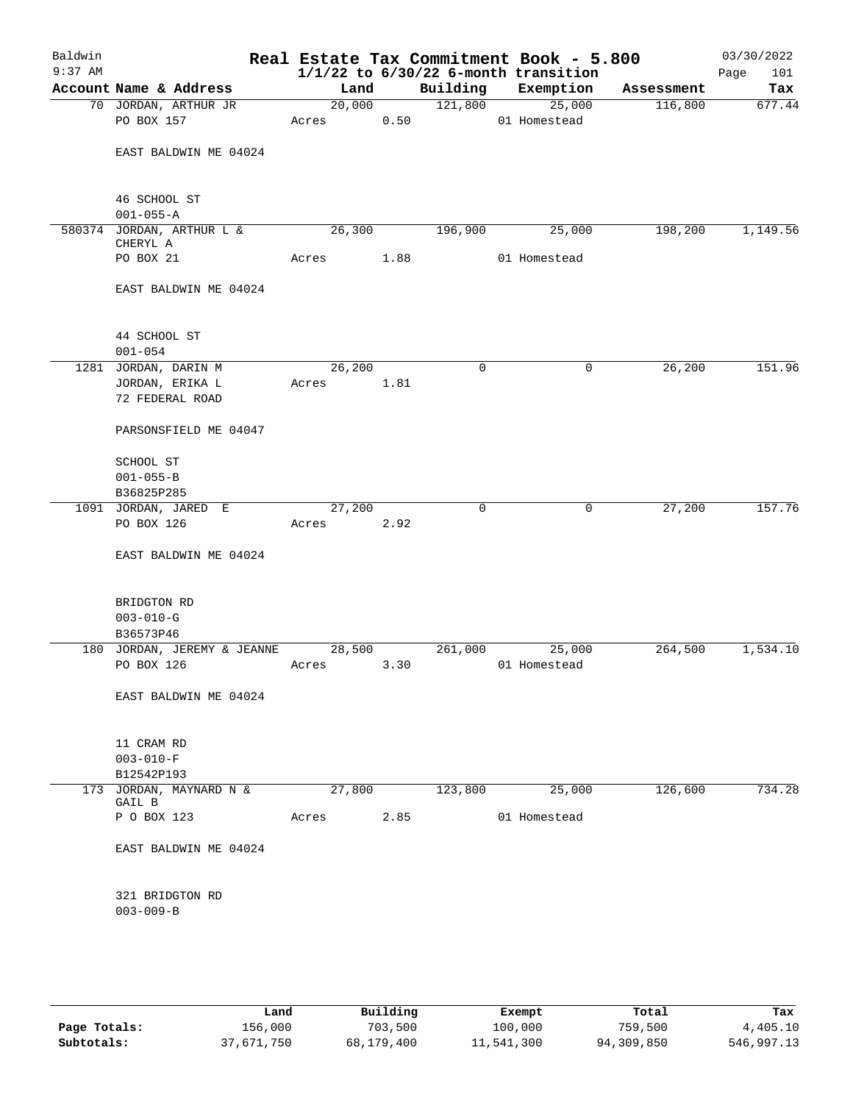| Baldwin<br>$9:37$ AM |                                       |        |      |             | Real Estate Tax Commitment Book - 5.800<br>$1/1/22$ to $6/30/22$ 6-month transition |            | 03/30/2022<br>101<br>Page |
|----------------------|---------------------------------------|--------|------|-------------|-------------------------------------------------------------------------------------|------------|---------------------------|
|                      | Account Name & Address                | Land   |      | Building    | Exemption                                                                           | Assessment | Tax                       |
|                      | 70 JORDAN, ARTHUR JR                  | 20,000 |      | 121,800     | 25,000                                                                              | 116,800    | 677.44                    |
|                      | PO BOX 157                            | Acres  | 0.50 |             | 01 Homestead                                                                        |            |                           |
|                      |                                       |        |      |             |                                                                                     |            |                           |
|                      | EAST BALDWIN ME 04024                 |        |      |             |                                                                                     |            |                           |
|                      |                                       |        |      |             |                                                                                     |            |                           |
|                      |                                       |        |      |             |                                                                                     |            |                           |
|                      | 46 SCHOOL ST                          |        |      |             |                                                                                     |            |                           |
|                      | $001 - 055 - A$                       |        |      |             |                                                                                     |            |                           |
|                      | 580374 JORDAN, ARTHUR L &<br>CHERYL A | 26,300 |      | 196,900     | 25,000                                                                              | 198,200    | 1,149.56                  |
|                      | PO BOX 21                             | Acres  | 1.88 |             | 01 Homestead                                                                        |            |                           |
|                      |                                       |        |      |             |                                                                                     |            |                           |
|                      | EAST BALDWIN ME 04024                 |        |      |             |                                                                                     |            |                           |
|                      |                                       |        |      |             |                                                                                     |            |                           |
|                      |                                       |        |      |             |                                                                                     |            |                           |
|                      | 44 SCHOOL ST                          |        |      |             |                                                                                     |            |                           |
|                      | $001 - 054$                           |        |      |             |                                                                                     |            |                           |
|                      | 1281 JORDAN, DARIN M                  | 26,200 |      | $\mathbf 0$ | 0                                                                                   | 26,200     | 151.96                    |
|                      | JORDAN, ERIKA L                       | Acres  | 1.81 |             |                                                                                     |            |                           |
|                      | 72 FEDERAL ROAD                       |        |      |             |                                                                                     |            |                           |
|                      | PARSONSFIELD ME 04047                 |        |      |             |                                                                                     |            |                           |
|                      |                                       |        |      |             |                                                                                     |            |                           |
|                      | SCHOOL ST                             |        |      |             |                                                                                     |            |                           |
|                      | $001 - 055 - B$                       |        |      |             |                                                                                     |            |                           |
|                      | B36825P285                            |        |      |             |                                                                                     |            |                           |
|                      | 1091 JORDAN, JARED E                  | 27,200 |      | $\mathbf 0$ | $\mathbf 0$                                                                         | 27,200     | 157.76                    |
|                      | PO BOX 126                            | Acres  | 2.92 |             |                                                                                     |            |                           |
|                      |                                       |        |      |             |                                                                                     |            |                           |
|                      | EAST BALDWIN ME 04024                 |        |      |             |                                                                                     |            |                           |
|                      |                                       |        |      |             |                                                                                     |            |                           |
|                      | BRIDGTON RD                           |        |      |             |                                                                                     |            |                           |
|                      | $003 - 010 - G$                       |        |      |             |                                                                                     |            |                           |
|                      | B36573P46                             |        |      |             |                                                                                     |            |                           |
|                      | 180 JORDAN, JEREMY & JEANNE           | 28,500 |      | 261,000     | 25,000                                                                              | 264,500    | 1,534.10                  |
|                      | PO BOX 126                            | Acres  | 3.30 |             | 01 Homestead                                                                        |            |                           |
|                      |                                       |        |      |             |                                                                                     |            |                           |
|                      | EAST BALDWIN ME 04024                 |        |      |             |                                                                                     |            |                           |
|                      |                                       |        |      |             |                                                                                     |            |                           |
|                      |                                       |        |      |             |                                                                                     |            |                           |
|                      | 11 CRAM RD                            |        |      |             |                                                                                     |            |                           |
|                      | $003 - 010 - F$                       |        |      |             |                                                                                     |            |                           |
|                      | B12542P193                            |        |      |             |                                                                                     |            |                           |
|                      | 173 JORDAN, MAYNARD N &<br>GAIL B     | 27,800 |      | 123,800     | 25,000                                                                              | 126,600    | 734.28                    |
|                      | P O BOX 123                           | Acres  | 2.85 |             | 01 Homestead                                                                        |            |                           |
|                      |                                       |        |      |             |                                                                                     |            |                           |
|                      | EAST BALDWIN ME 04024                 |        |      |             |                                                                                     |            |                           |
|                      |                                       |        |      |             |                                                                                     |            |                           |
|                      |                                       |        |      |             |                                                                                     |            |                           |
|                      | 321 BRIDGTON RD                       |        |      |             |                                                                                     |            |                           |
|                      | $003 - 009 - B$                       |        |      |             |                                                                                     |            |                           |
|                      |                                       |        |      |             |                                                                                     |            |                           |
|                      |                                       |        |      |             |                                                                                     |            |                           |
|                      |                                       |        |      |             |                                                                                     |            |                           |

|              | Land       | Building   | Exempt     | Total      | Tax        |
|--------------|------------|------------|------------|------------|------------|
| Page Totals: | 156,000    | 703,500    | 100,000    | 759,500    | 4,405.10   |
| Subtotals:   | 37,671,750 | 68,179,400 | 11,541,300 | 94,309,850 | 546,997.13 |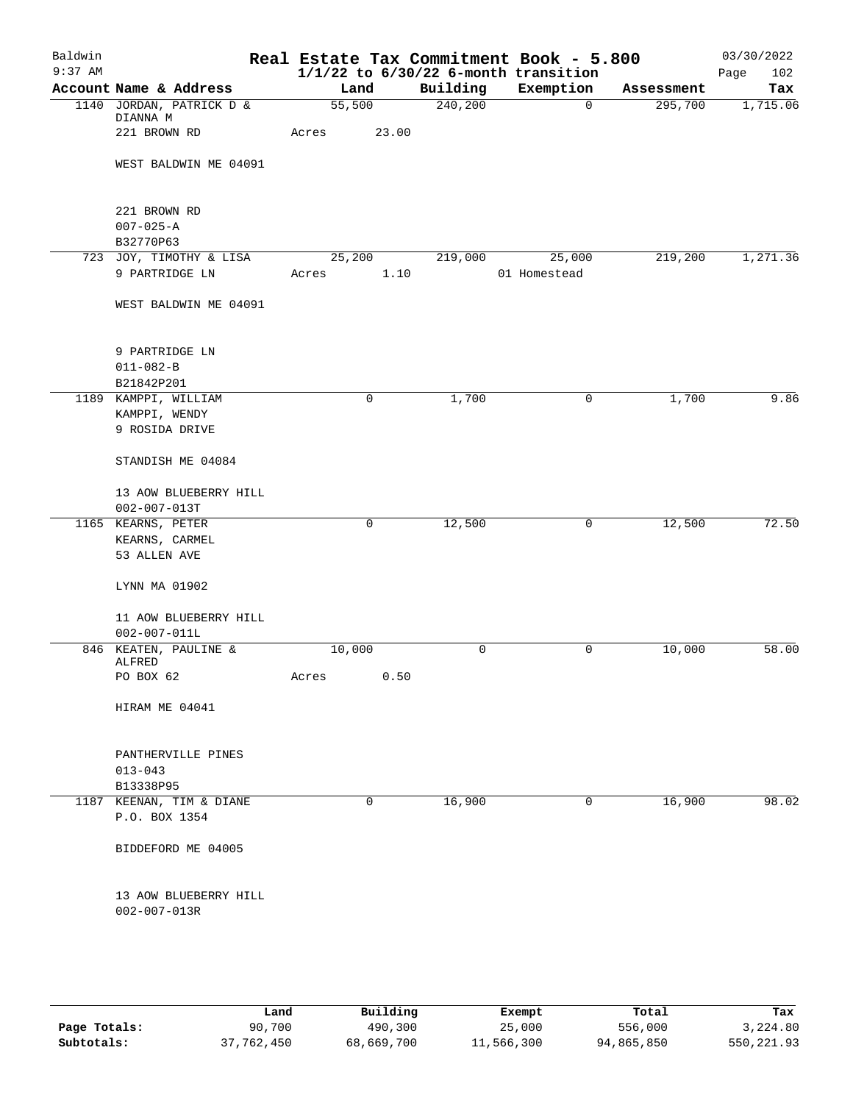| Baldwin   |                                      |            |              |          | Real Estate Tax Commitment Book - 5.800  |            | 03/30/2022  |
|-----------|--------------------------------------|------------|--------------|----------|------------------------------------------|------------|-------------|
| $9:37$ AM |                                      |            |              |          | $1/1/22$ to $6/30/22$ 6-month transition |            | Page<br>102 |
|           | Account Name & Address               | Land       |              | Building | Exemption                                | Assessment | Tax         |
|           | 1140 JORDAN, PATRICK D &<br>DIANNA M | 55,500     |              | 240,200  | 0                                        | 295,700    | 1,715.06    |
|           | 221 BROWN RD                         | Acres      | 23.00        |          |                                          |            |             |
|           | WEST BALDWIN ME 04091                |            |              |          |                                          |            |             |
|           | 221 BROWN RD                         |            |              |          |                                          |            |             |
|           | $007 - 025 - A$                      |            |              |          |                                          |            |             |
|           | B32770P63                            |            |              |          |                                          |            |             |
|           | 723 JOY, TIMOTHY & LISA              | 25,200     |              | 219,000  | 25,000                                   | 219,200    | 1,271.36    |
|           | 9 PARTRIDGE LN                       | Acres      | 1.10         |          | 01 Homestead                             |            |             |
|           | WEST BALDWIN ME 04091                |            |              |          |                                          |            |             |
|           | 9 PARTRIDGE LN                       |            |              |          |                                          |            |             |
|           | $011 - 082 - B$                      |            |              |          |                                          |            |             |
|           | B21842P201                           |            |              |          |                                          |            |             |
|           | 1189 KAMPPI, WILLIAM                 |            | 0            | 1,700    | 0                                        | 1,700      | 9.86        |
|           | KAMPPI, WENDY                        |            |              |          |                                          |            |             |
|           | 9 ROSIDA DRIVE                       |            |              |          |                                          |            |             |
|           | STANDISH ME 04084                    |            |              |          |                                          |            |             |
|           | 13 AOW BLUEBERRY HILL                |            |              |          |                                          |            |             |
|           | $002 - 007 - 013T$                   |            |              |          |                                          |            |             |
|           | 1165 KEARNS, PETER                   |            | $\mathsf{O}$ | 12,500   | 0                                        | 12,500     | 72.50       |
|           | KEARNS, CARMEL                       |            |              |          |                                          |            |             |
|           | 53 ALLEN AVE                         |            |              |          |                                          |            |             |
|           | LYNN MA 01902                        |            |              |          |                                          |            |             |
|           | 11 AOW BLUEBERRY HILL                |            |              |          |                                          |            |             |
|           | $002 - 007 - 011L$                   |            |              |          |                                          |            |             |
|           | 846 KEATEN, PAULINE &                | 10,000     |              | 0        | 0                                        | 10,000     | 58.00       |
|           | ALFRED<br>PO BOX 62                  | Acres 0.50 |              |          |                                          |            |             |
|           |                                      |            |              |          |                                          |            |             |
|           | HIRAM ME 04041                       |            |              |          |                                          |            |             |
|           | PANTHERVILLE PINES                   |            |              |          |                                          |            |             |
|           | $013 - 043$                          |            |              |          |                                          |            |             |
|           | B13338P95                            |            |              |          |                                          |            |             |
|           | 1187 KEENAN, TIM & DIANE             |            | 0            | 16,900   | 0                                        | 16,900     | 98.02       |
|           | P.O. BOX 1354                        |            |              |          |                                          |            |             |
|           | BIDDEFORD ME 04005                   |            |              |          |                                          |            |             |
|           | 13 AOW BLUEBERRY HILL                |            |              |          |                                          |            |             |
|           | $002 - 007 - 013R$                   |            |              |          |                                          |            |             |
|           |                                      |            |              |          |                                          |            |             |
|           |                                      |            |              |          |                                          |            |             |

|              | Land       | Building   | Exempt     | Total      | Tax        |
|--------------|------------|------------|------------|------------|------------|
| Page Totals: | 90,700     | 490,300    | 25,000     | 556,000    | 3,224.80   |
| Subtotals:   | 37,762,450 | 68,669,700 | 11,566,300 | 94,865,850 | 550,221.93 |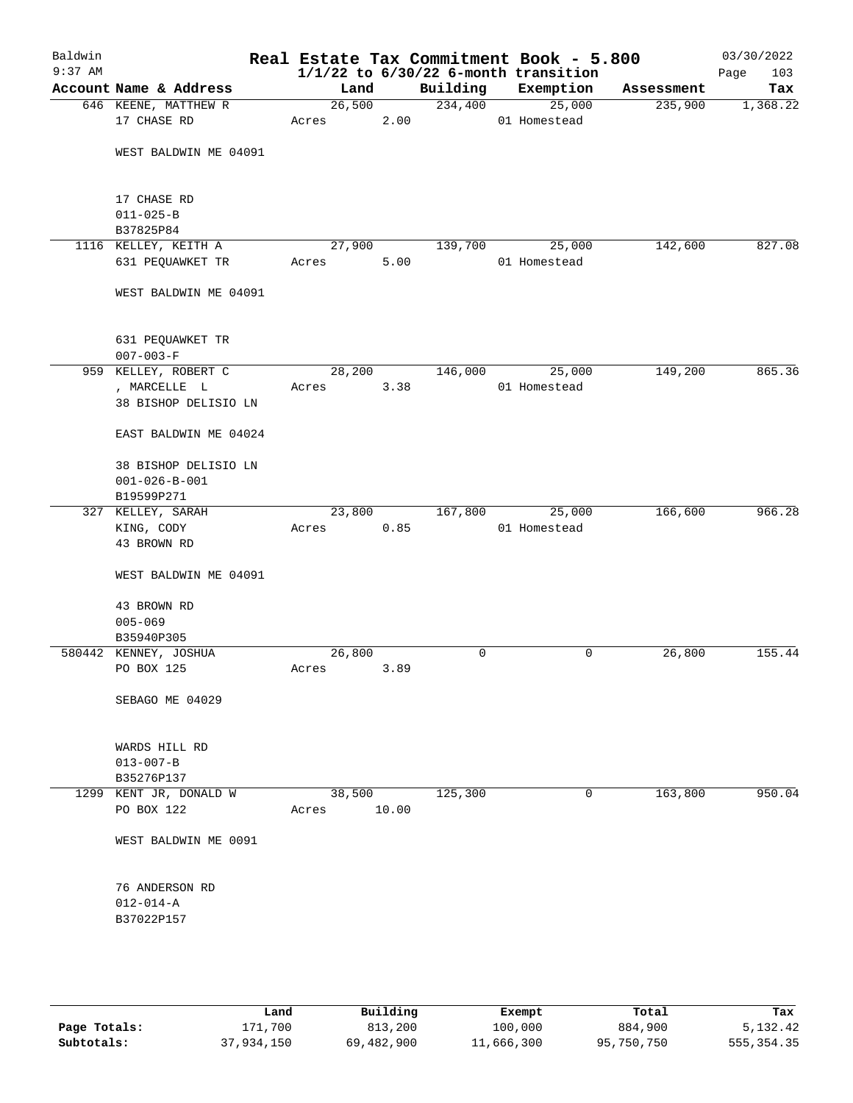| Baldwin<br>$9:37$ AM |                                                             |                 |       |          | Real Estate Tax Commitment Book - 5.800<br>$1/1/22$ to $6/30/22$ 6-month transition |            | 03/30/2022<br>103<br>Page |
|----------------------|-------------------------------------------------------------|-----------------|-------|----------|-------------------------------------------------------------------------------------|------------|---------------------------|
|                      | Account Name & Address                                      | Land            |       | Building | Exemption                                                                           | Assessment | Tax                       |
|                      | 646 KEENE, MATTHEW R                                        | 26,500          |       | 234,400  | 25,000                                                                              | 235,900    | 1,368.22                  |
|                      | 17 CHASE RD                                                 | Acres           | 2.00  |          | 01 Homestead                                                                        |            |                           |
|                      | WEST BALDWIN ME 04091                                       |                 |       |          |                                                                                     |            |                           |
|                      | 17 CHASE RD<br>$011 - 025 - B$<br>B37825P84                 |                 |       |          |                                                                                     |            |                           |
|                      | 1116 KELLEY, KEITH A                                        | 27,900          |       | 139,700  | 25,000                                                                              | 142,600    | 827.08                    |
|                      | 631 PEQUAWKET TR                                            | Acres           | 5.00  |          | 01 Homestead                                                                        |            |                           |
|                      | WEST BALDWIN ME 04091                                       |                 |       |          |                                                                                     |            |                           |
|                      | 631 PEQUAWKET TR<br>$007 - 003 - F$                         |                 |       |          |                                                                                     |            |                           |
|                      | 959 KELLEY, ROBERT C                                        | 28,200          |       | 146,000  | 25,000                                                                              | 149,200    | 865.36                    |
|                      | , MARCELLE L<br>38 BISHOP DELISIO LN                        | Acres           | 3.38  |          | 01 Homestead                                                                        |            |                           |
|                      | EAST BALDWIN ME 04024                                       |                 |       |          |                                                                                     |            |                           |
|                      | 38 BISHOP DELISIO LN<br>$001 - 026 - B - 001$<br>B19599P271 |                 |       |          |                                                                                     |            |                           |
|                      | 327 KELLEY, SARAH                                           | 23,800          |       | 167,800  | 25,000                                                                              | 166,600    | 966.28                    |
|                      | KING, CODY<br>43 BROWN RD                                   | Acres           | 0.85  |          | 01 Homestead                                                                        |            |                           |
|                      | WEST BALDWIN ME 04091                                       |                 |       |          |                                                                                     |            |                           |
|                      | 43 BROWN RD<br>$005 - 069$                                  |                 |       |          |                                                                                     |            |                           |
|                      | B35940P305                                                  |                 |       |          |                                                                                     |            |                           |
|                      | 580442 KENNEY, JOSHUA                                       | 26,800          |       | 0        | 0                                                                                   | 26,800     | 155.44                    |
|                      | PO BOX 125                                                  | Acres           | 3.89  |          |                                                                                     |            |                           |
|                      | SEBAGO ME 04029                                             |                 |       |          |                                                                                     |            |                           |
|                      | WARDS HILL RD<br>$013 - 007 - B$                            |                 |       |          |                                                                                     |            |                           |
|                      | B35276P137                                                  |                 |       |          |                                                                                     |            |                           |
|                      | 1299 KENT JR, DONALD W<br>PO BOX 122                        | 38,500<br>Acres | 10.00 | 125,300  | 0                                                                                   | 163,800    | 950.04                    |
|                      | WEST BALDWIN ME 0091                                        |                 |       |          |                                                                                     |            |                           |
|                      | 76 ANDERSON RD<br>$012 - 014 - A$<br>B37022P157             |                 |       |          |                                                                                     |            |                           |
|                      |                                                             |                 |       |          |                                                                                     |            |                           |

|              | Land       | Building   | Exempt     | Total      | Tax          |
|--------------|------------|------------|------------|------------|--------------|
| Page Totals: | 171,700    | 813,200    | 100,000    | 884,900    | 5,132.42     |
| Subtotals:   | 37,934,150 | 69,482,900 | 11,666,300 | 95,750,750 | 555, 354, 35 |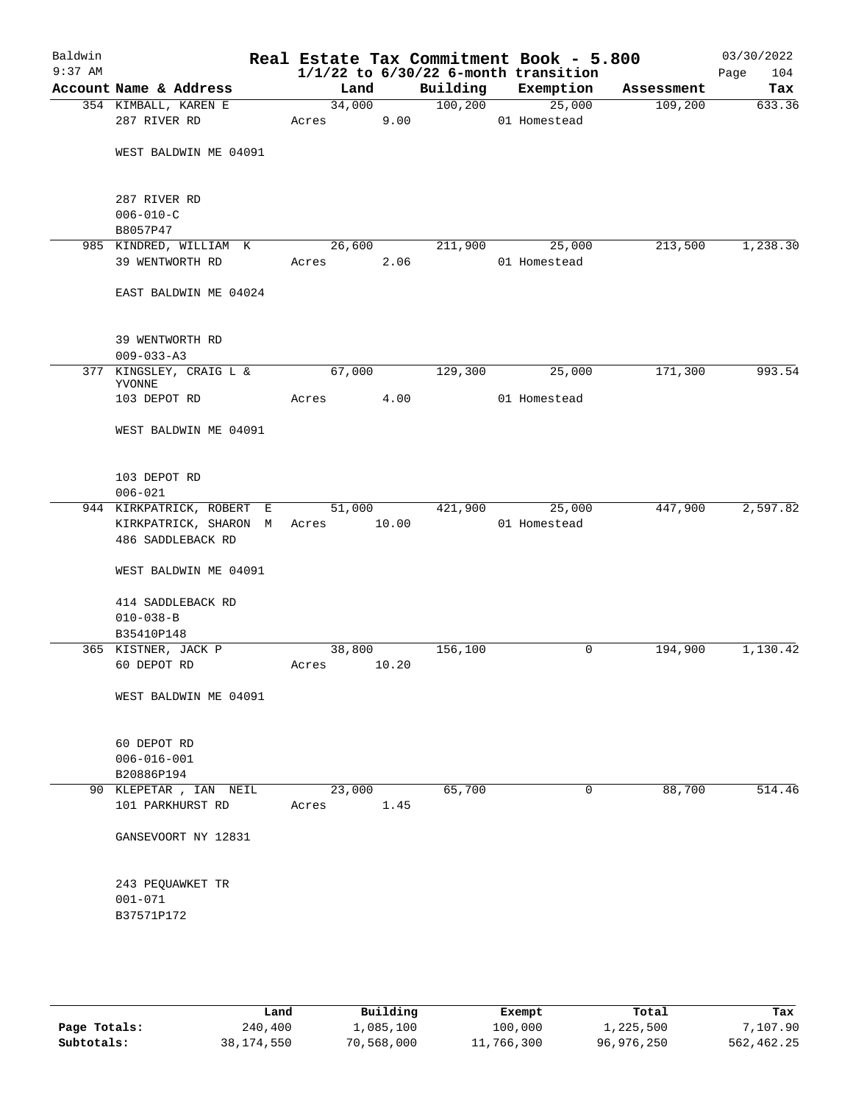| Baldwin<br>$9:37$ AM |                                                    |                 |       |          | Real Estate Tax Commitment Book - 5.800<br>$1/1/22$ to $6/30/22$ 6-month transition |            | 03/30/2022<br>Page<br>104 |
|----------------------|----------------------------------------------------|-----------------|-------|----------|-------------------------------------------------------------------------------------|------------|---------------------------|
|                      | Account Name & Address                             | Land            |       | Building | Exemption                                                                           | Assessment | Tax                       |
|                      | 354 KIMBALL, KAREN E<br>287 RIVER RD               | 34,000<br>Acres | 9.00  | 100, 200 | 25,000<br>01 Homestead                                                              | 109,200    | 633.36                    |
|                      | WEST BALDWIN ME 04091                              |                 |       |          |                                                                                     |            |                           |
|                      | 287 RIVER RD<br>$006 - 010 - C$<br>B8057P47        |                 |       |          |                                                                                     |            |                           |
|                      | 985 KINDRED, WILLIAM K<br>39 WENTWORTH RD          | 26,600<br>Acres | 2.06  | 211,900  | 25,000<br>01 Homestead                                                              | 213,500    | 1,238.30                  |
|                      | EAST BALDWIN ME 04024                              |                 |       |          |                                                                                     |            |                           |
|                      | 39 WENTWORTH RD<br>$009 - 033 - A3$                |                 |       |          |                                                                                     |            |                           |
|                      | 377 KINGSLEY, CRAIG L &<br>YVONNE                  | 67,000          |       | 129,300  | 25,000                                                                              | 171,300    | 993.54                    |
|                      | 103 DEPOT RD                                       | Acres           | 4.00  |          | 01 Homestead                                                                        |            |                           |
|                      | WEST BALDWIN ME 04091                              |                 |       |          |                                                                                     |            |                           |
|                      | 103 DEPOT RD<br>$006 - 021$                        |                 |       |          |                                                                                     |            |                           |
|                      | 944 KIRKPATRICK, ROBERT E                          | 51,000          |       | 421,900  | 25,000                                                                              | 447,900    | 2,597.82                  |
|                      | KIRKPATRICK, SHARON M<br>486 SADDLEBACK RD         | Acres           | 10.00 |          | 01 Homestead                                                                        |            |                           |
|                      | WEST BALDWIN ME 04091                              |                 |       |          |                                                                                     |            |                           |
|                      | 414 SADDLEBACK RD<br>$010 - 038 - B$<br>B35410P148 |                 |       |          |                                                                                     |            |                           |
|                      | 365 KISTNER, JACK P                                | 38,800          |       | 156,100  | 0                                                                                   | 194,900    | 1,130.42                  |
|                      | 60 DEPOT RD                                        | Acres 10.20     |       |          |                                                                                     |            |                           |
|                      | WEST BALDWIN ME 04091                              |                 |       |          |                                                                                     |            |                           |
|                      | 60 DEPOT RD<br>$006 - 016 - 001$<br>B20886P194     |                 |       |          |                                                                                     |            |                           |
|                      | 90 KLEPETAR , IAN NEIL                             | 23,000          |       | 65,700   | 0                                                                                   | 88,700     | 514.46                    |
|                      | 101 PARKHURST RD                                   | Acres           | 1.45  |          |                                                                                     |            |                           |
|                      | GANSEVOORT NY 12831                                |                 |       |          |                                                                                     |            |                           |
|                      | 243 PEQUAWKET TR<br>$001 - 071$<br>B37571P172      |                 |       |          |                                                                                     |            |                           |
|                      |                                                    |                 |       |          |                                                                                     |            |                           |

|              | Land       | Building   | Exempt     | Total      | Tax        |
|--------------|------------|------------|------------|------------|------------|
| Page Totals: | 240,400    | 1,085,100  | 100,000    | 1,225,500  | 7,107.90   |
| Subtotals:   | 38,174,550 | 70,568,000 | 11,766,300 | 96,976,250 | 562,462.25 |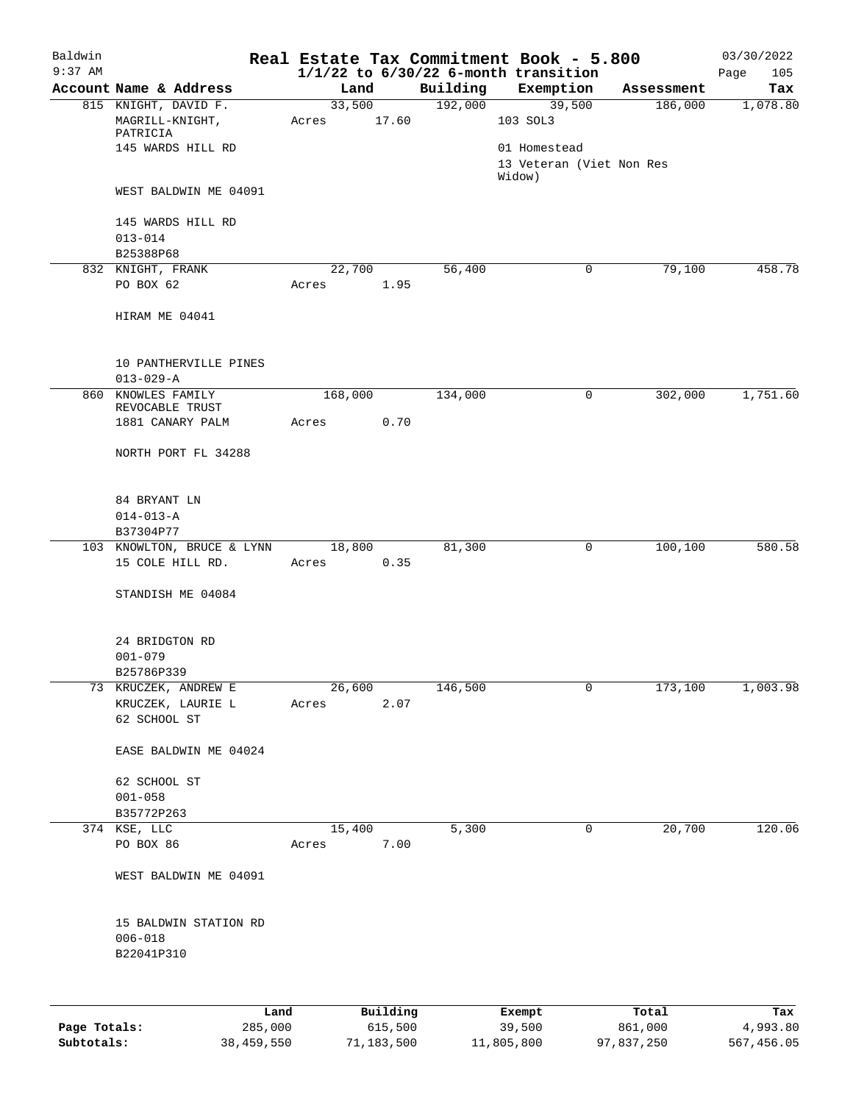| Baldwin<br>$9:37$ AM |                                        |      |       |         |          |          | Real Estate Tax Commitment Book - 5.800<br>$1/1/22$ to $6/30/22$ 6-month transition |            | 03/30/2022<br>105<br>Page |
|----------------------|----------------------------------------|------|-------|---------|----------|----------|-------------------------------------------------------------------------------------|------------|---------------------------|
|                      | Account Name & Address                 |      |       | Land    |          | Building | Exemption                                                                           | Assessment | Tax                       |
|                      | 815 KNIGHT, DAVID F.                   |      |       | 33,500  |          | 192,000  | 39,500                                                                              | 186,000    | 1,078.80                  |
|                      | MAGRILL-KNIGHT,                        |      | Acres |         | 17.60    |          | 103 SOL3                                                                            |            |                           |
|                      | PATRICIA                               |      |       |         |          |          |                                                                                     |            |                           |
|                      | 145 WARDS HILL RD                      |      |       |         |          |          | 01 Homestead<br>13 Veteran (Viet Non Res                                            |            |                           |
|                      |                                        |      |       |         |          |          | Widow)                                                                              |            |                           |
|                      | WEST BALDWIN ME 04091                  |      |       |         |          |          |                                                                                     |            |                           |
|                      | 145 WARDS HILL RD                      |      |       |         |          |          |                                                                                     |            |                           |
|                      | $013 - 014$                            |      |       |         |          |          |                                                                                     |            |                           |
|                      | B25388P68                              |      |       |         |          |          |                                                                                     |            |                           |
|                      | 832 KNIGHT, FRANK                      |      |       | 22,700  |          | 56,400   | 0                                                                                   | 79,100     | 458.78                    |
|                      | PO BOX 62                              |      | Acres |         | 1.95     |          |                                                                                     |            |                           |
|                      | HIRAM ME 04041                         |      |       |         |          |          |                                                                                     |            |                           |
|                      | 10 PANTHERVILLE PINES                  |      |       |         |          |          |                                                                                     |            |                           |
|                      | $013 - 029 - A$                        |      |       |         |          |          |                                                                                     |            |                           |
|                      | 860 KNOWLES FAMILY                     |      |       | 168,000 |          | 134,000  | 0                                                                                   | 302,000    | 1,751.60                  |
|                      | REVOCABLE TRUST<br>1881 CANARY PALM    |      | Acres |         | 0.70     |          |                                                                                     |            |                           |
|                      |                                        |      |       |         |          |          |                                                                                     |            |                           |
|                      | NORTH PORT FL 34288                    |      |       |         |          |          |                                                                                     |            |                           |
|                      |                                        |      |       |         |          |          |                                                                                     |            |                           |
|                      | 84 BRYANT LN<br>$014 - 013 - A$        |      |       |         |          |          |                                                                                     |            |                           |
|                      | B37304P77                              |      |       |         |          |          |                                                                                     |            |                           |
|                      | 103 KNOWLTON, BRUCE & LYNN             |      |       | 18,800  |          | 81,300   | 0                                                                                   | 100,100    | 580.58                    |
|                      | 15 COLE HILL RD.                       |      | Acres |         | 0.35     |          |                                                                                     |            |                           |
|                      | STANDISH ME 04084                      |      |       |         |          |          |                                                                                     |            |                           |
|                      |                                        |      |       |         |          |          |                                                                                     |            |                           |
|                      | 24 BRIDGTON RD                         |      |       |         |          |          |                                                                                     |            |                           |
|                      | $001 - 079$                            |      |       |         |          |          |                                                                                     |            |                           |
|                      | B25786P339                             |      |       |         |          |          |                                                                                     |            |                           |
| 73                   | KRUCZEK, ANDREW E<br>KRUCZEK, LAURIE L |      | Acres | 26,600  | 2.07     | 146,500  | 0                                                                                   | 173,100    | 1,003.98                  |
|                      | 62 SCHOOL ST                           |      |       |         |          |          |                                                                                     |            |                           |
|                      |                                        |      |       |         |          |          |                                                                                     |            |                           |
|                      | EASE BALDWIN ME 04024                  |      |       |         |          |          |                                                                                     |            |                           |
|                      | 62 SCHOOL ST                           |      |       |         |          |          |                                                                                     |            |                           |
|                      | $001 - 058$                            |      |       |         |          |          |                                                                                     |            |                           |
|                      | B35772P263<br>374 KSE, LLC             |      |       | 15,400  |          | 5,300    | 0                                                                                   | 20,700     | 120.06                    |
|                      | PO BOX 86                              |      | Acres |         | 7.00     |          |                                                                                     |            |                           |
|                      | WEST BALDWIN ME 04091                  |      |       |         |          |          |                                                                                     |            |                           |
|                      |                                        |      |       |         |          |          |                                                                                     |            |                           |
|                      | 15 BALDWIN STATION RD                  |      |       |         |          |          |                                                                                     |            |                           |
|                      | $006 - 018$<br>B22041P310              |      |       |         |          |          |                                                                                     |            |                           |
|                      |                                        |      |       |         |          |          |                                                                                     |            |                           |
|                      |                                        |      |       |         |          |          |                                                                                     |            |                           |
|                      |                                        | Land |       |         | Building |          | Exempt                                                                              | Total      | Tax                       |

|              | nana       | <b>DUITOTII</b> | LACINUL    | TOLAT      | ias.       |
|--------------|------------|-----------------|------------|------------|------------|
| Page Totals: | 285,000    | 615,500         | 39,500     | 861,000    | 4,993.80   |
| Subtotals:   | 38,459,550 | 71,183,500      | 11,805,800 | 97,837,250 | 567,456.05 |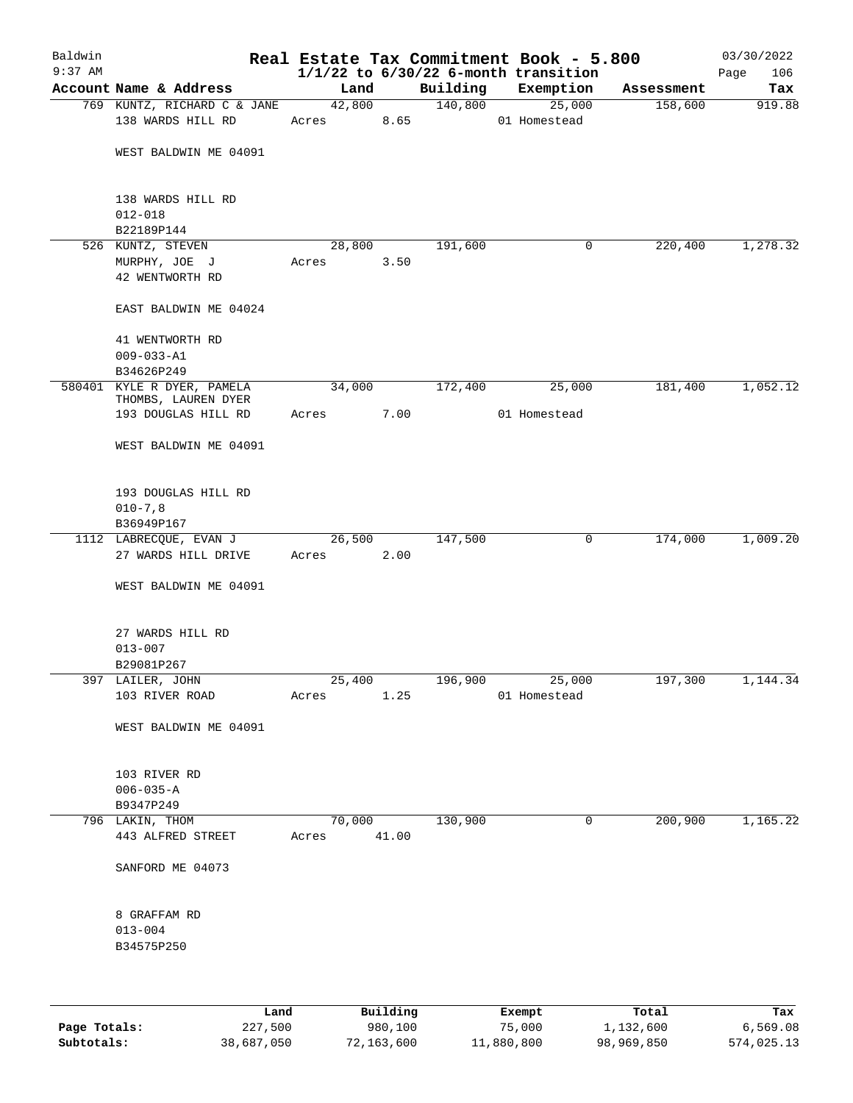| Baldwin   |                                                  |        |          |          |        | Real Estate Tax Commitment Book - 5.800  |            | 03/30/2022  |
|-----------|--------------------------------------------------|--------|----------|----------|--------|------------------------------------------|------------|-------------|
| $9:37$ AM |                                                  |        |          |          |        | $1/1/22$ to $6/30/22$ 6-month transition |            | 106<br>Page |
|           | Account Name & Address                           | Land   |          | Building |        | Exemption                                | Assessment | Tax         |
|           | 769 KUNTZ, RICHARD C & JANE<br>138 WARDS HILL RD |        | 42,800   | 140,800  |        | 25,000                                   | 158,600    | 919.88      |
|           |                                                  | Acres  | 8.65     |          |        | 01 Homestead                             |            |             |
|           | WEST BALDWIN ME 04091                            |        |          |          |        |                                          |            |             |
|           |                                                  |        |          |          |        |                                          |            |             |
|           |                                                  |        |          |          |        |                                          |            |             |
|           | 138 WARDS HILL RD                                |        |          |          |        |                                          |            |             |
|           | $012 - 018$                                      |        |          |          |        |                                          |            |             |
|           | B22189P144<br>526 KUNTZ, STEVEN                  | 28,800 |          | 191,600  |        | 0                                        | 220,400    | 1,278.32    |
|           | MURPHY, JOE J                                    | Acres  | 3.50     |          |        |                                          |            |             |
|           | 42 WENTWORTH RD                                  |        |          |          |        |                                          |            |             |
|           |                                                  |        |          |          |        |                                          |            |             |
|           | EAST BALDWIN ME 04024                            |        |          |          |        |                                          |            |             |
|           | 41 WENTWORTH RD                                  |        |          |          |        |                                          |            |             |
|           | $009 - 033 - A1$                                 |        |          |          |        |                                          |            |             |
|           | B34626P249                                       |        |          |          |        |                                          |            |             |
|           | 580401 KYLE R DYER, PAMELA                       | 34,000 |          | 172,400  |        | 25,000                                   | 181,400    | 1,052.12    |
|           | THOMBS, LAUREN DYER<br>193 DOUGLAS HILL RD       |        | 7.00     |          |        | 01 Homestead                             |            |             |
|           |                                                  | Acres  |          |          |        |                                          |            |             |
|           | WEST BALDWIN ME 04091                            |        |          |          |        |                                          |            |             |
|           |                                                  |        |          |          |        |                                          |            |             |
|           | 193 DOUGLAS HILL RD                              |        |          |          |        |                                          |            |             |
|           | $010 - 7, 8$                                     |        |          |          |        |                                          |            |             |
|           | B36949P167                                       |        |          |          |        |                                          |            |             |
|           | 1112 LABRECQUE, EVAN J                           | 26,500 |          | 147,500  |        | 0                                        | 174,000    | 1,009.20    |
|           | 27 WARDS HILL DRIVE                              | Acres  | 2.00     |          |        |                                          |            |             |
|           | WEST BALDWIN ME 04091                            |        |          |          |        |                                          |            |             |
|           |                                                  |        |          |          |        |                                          |            |             |
|           | 27 WARDS HILL RD                                 |        |          |          |        |                                          |            |             |
|           | $013 - 007$                                      |        |          |          |        |                                          |            |             |
|           | B29081P267                                       |        |          |          |        |                                          |            |             |
|           | 397 LAILER, JOHN                                 | 25,400 |          | 196,900  |        | 25,000                                   | 197,300    | 1,144.34    |
|           | 103 RIVER ROAD                                   | Acres  | 1.25     |          |        | 01 Homestead                             |            |             |
|           | WEST BALDWIN ME 04091                            |        |          |          |        |                                          |            |             |
|           |                                                  |        |          |          |        |                                          |            |             |
|           | 103 RIVER RD                                     |        |          |          |        |                                          |            |             |
|           | $006 - 035 - A$                                  |        |          |          |        |                                          |            |             |
|           | B9347P249<br>796 LAKIN, THOM                     | 70,000 |          | 130,900  |        | 0                                        | 200,900    | 1,165.22    |
|           | 443 ALFRED STREET                                | Acres  | 41.00    |          |        |                                          |            |             |
|           |                                                  |        |          |          |        |                                          |            |             |
|           | SANFORD ME 04073                                 |        |          |          |        |                                          |            |             |
|           |                                                  |        |          |          |        |                                          |            |             |
|           | 8 GRAFFAM RD<br>$013 - 004$                      |        |          |          |        |                                          |            |             |
|           | B34575P250                                       |        |          |          |        |                                          |            |             |
|           |                                                  |        |          |          |        |                                          |            |             |
|           |                                                  |        |          |          |        |                                          |            |             |
|           | Land                                             |        | Building |          | Exempt |                                          | Total      | Tax         |

|              | Land       | Building   | Exempt     | Total      | тах        |
|--------------|------------|------------|------------|------------|------------|
| Page Totals: | 227,500    | 980,100    | 75,000     | 1,132,600  | 6,569.08   |
| Subtotals:   | 38,687,050 | 72,163,600 | 11,880,800 | 98,969,850 | 574,025.13 |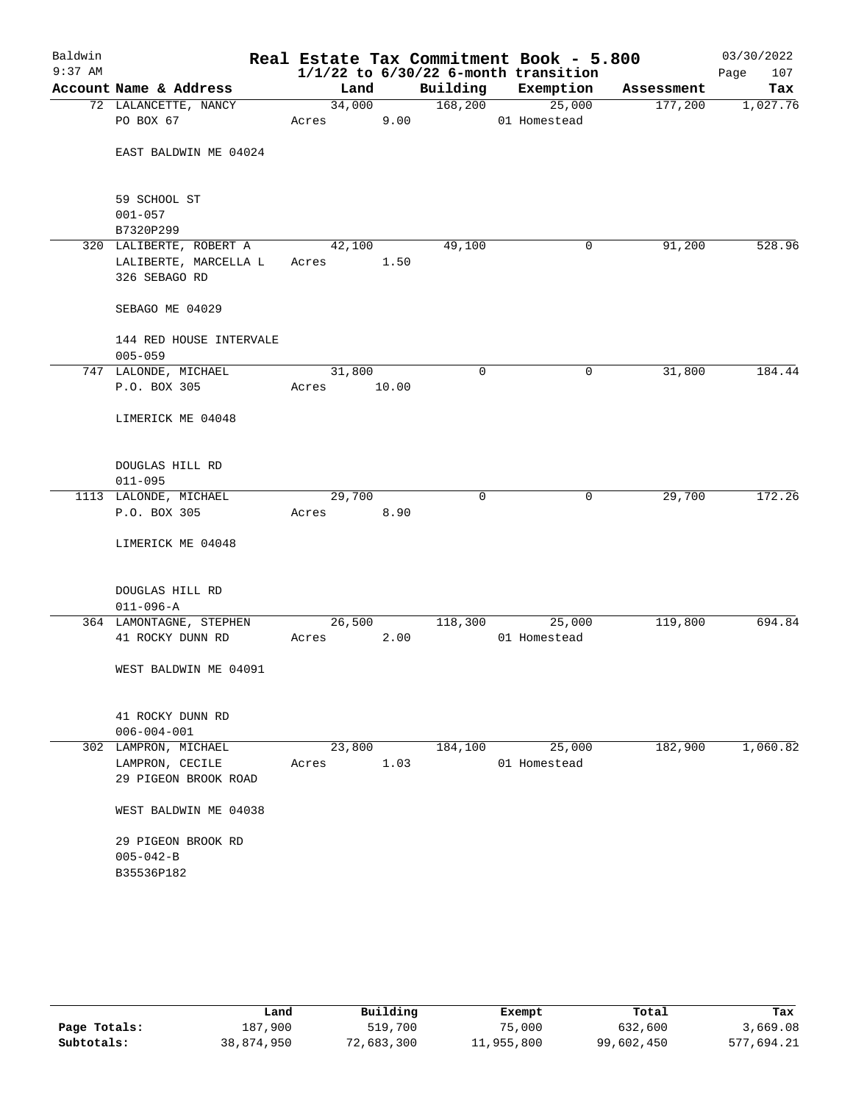| Baldwin   |                                    |        |       |          | Real Estate Tax Commitment Book - 5.800  |            | 03/30/2022  |
|-----------|------------------------------------|--------|-------|----------|------------------------------------------|------------|-------------|
| $9:37$ AM |                                    |        |       |          | $1/1/22$ to $6/30/22$ 6-month transition |            | 107<br>Page |
|           | Account Name & Address             | Land   |       | Building | Exemption                                | Assessment | Tax         |
|           | 72 LALANCETTE, NANCY               | 34,000 |       | 168,200  | 25,000                                   | 177,200    | 1,027.76    |
|           | PO BOX 67                          | Acres  | 9.00  |          | 01 Homestead                             |            |             |
|           | EAST BALDWIN ME 04024              |        |       |          |                                          |            |             |
|           |                                    |        |       |          |                                          |            |             |
|           |                                    |        |       |          |                                          |            |             |
|           | 59 SCHOOL ST                       |        |       |          |                                          |            |             |
|           | $001 - 057$                        |        |       |          |                                          |            |             |
|           | B7320P299                          |        |       |          |                                          |            |             |
|           | 320 LALIBERTE, ROBERT A            | 42,100 |       | 49,100   | 0                                        | 91,200     | 528.96      |
|           | LALIBERTE, MARCELLA L              | Acres  | 1.50  |          |                                          |            |             |
|           | 326 SEBAGO RD                      |        |       |          |                                          |            |             |
|           | SEBAGO ME 04029                    |        |       |          |                                          |            |             |
|           |                                    |        |       |          |                                          |            |             |
|           | 144 RED HOUSE INTERVALE            |        |       |          |                                          |            |             |
|           | $005 - 059$                        |        |       |          |                                          |            |             |
|           | 747 LALONDE, MICHAEL               | 31,800 |       | 0        | 0                                        | 31,800     | 184.44      |
|           | P.O. BOX 305                       | Acres  | 10.00 |          |                                          |            |             |
|           | LIMERICK ME 04048                  |        |       |          |                                          |            |             |
|           |                                    |        |       |          |                                          |            |             |
|           |                                    |        |       |          |                                          |            |             |
|           | DOUGLAS HILL RD                    |        |       |          |                                          |            |             |
|           | $011 - 095$                        |        |       |          |                                          |            |             |
|           | 1113 LALONDE, MICHAEL              | 29,700 |       | 0        | 0                                        | 29,700     | 172.26      |
|           | P.O. BOX 305                       | Acres  | 8.90  |          |                                          |            |             |
|           | LIMERICK ME 04048                  |        |       |          |                                          |            |             |
|           |                                    |        |       |          |                                          |            |             |
|           |                                    |        |       |          |                                          |            |             |
|           | DOUGLAS HILL RD<br>$011 - 096 - A$ |        |       |          |                                          |            |             |
|           | 364 LAMONTAGNE, STEPHEN            | 26,500 |       | 118,300  | 25,000                                   | 119,800    | 694.84      |
|           | 41 ROCKY DUNN RD                   | Acres  | 2.00  |          | 01 Homestead                             |            |             |
|           |                                    |        |       |          |                                          |            |             |
|           | WEST BALDWIN ME 04091              |        |       |          |                                          |            |             |
|           |                                    |        |       |          |                                          |            |             |
|           | 41 ROCKY DUNN RD                   |        |       |          |                                          |            |             |
|           | $006 - 004 - 001$                  |        |       |          |                                          |            |             |
| 302       | LAMPRON, MICHAEL                   | 23,800 |       | 184,100  | 25,000                                   | 182,900    | 1,060.82    |
|           | LAMPRON, CECILE                    | Acres  | 1.03  |          | 01 Homestead                             |            |             |
|           | 29 PIGEON BROOK ROAD               |        |       |          |                                          |            |             |
|           |                                    |        |       |          |                                          |            |             |
|           | WEST BALDWIN ME 04038              |        |       |          |                                          |            |             |
|           | 29 PIGEON BROOK RD                 |        |       |          |                                          |            |             |
|           | $005 - 042 - B$                    |        |       |          |                                          |            |             |
|           | B35536P182                         |        |       |          |                                          |            |             |
|           |                                    |        |       |          |                                          |            |             |

|              | Land       | Building   | Exempt     | Total      | Tax        |
|--------------|------------|------------|------------|------------|------------|
| Page Totals: | 187.900    | 519,700    | 75,000     | 632,600    | 3,669.08   |
| Subtotals:   | 38,874,950 | 72,683,300 | 11,955,800 | 99,602,450 | 577,694.21 |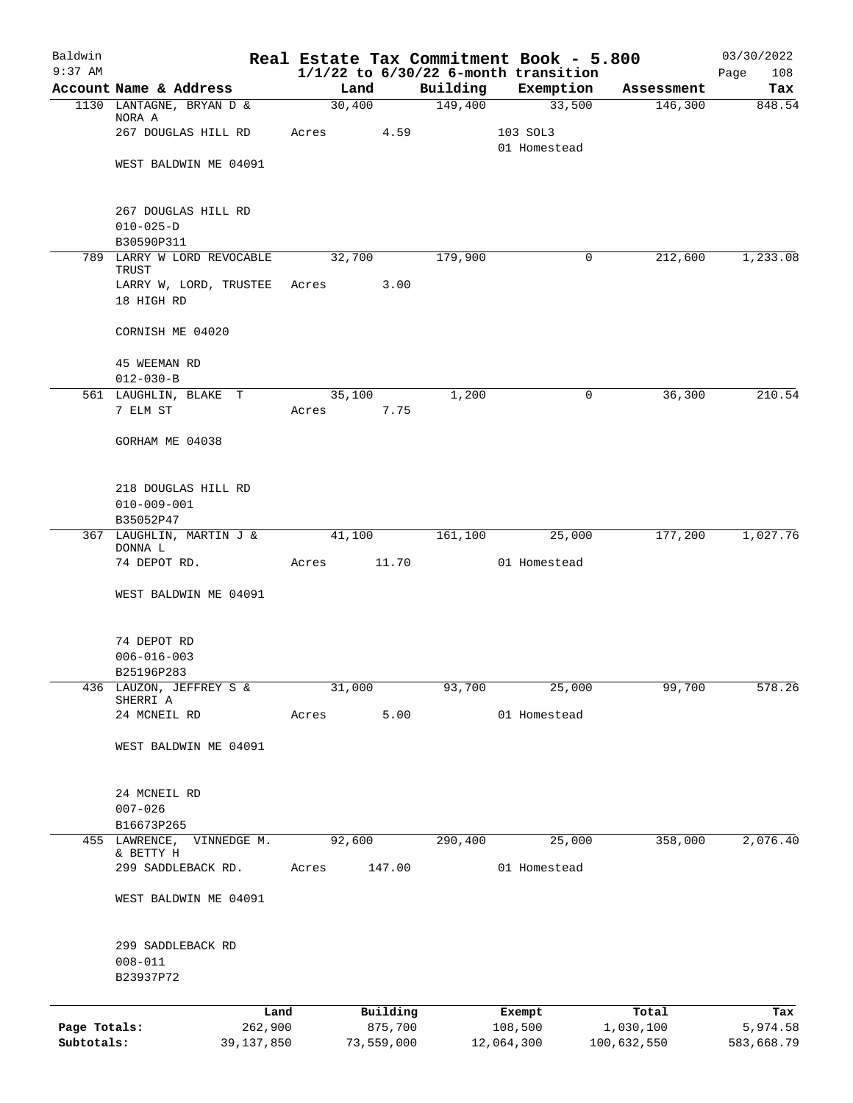| Baldwin                    |                                                       |                 |                       |          | Real Estate Tax Commitment Book - 5.800               |                          | 03/30/2022             |
|----------------------------|-------------------------------------------------------|-----------------|-----------------------|----------|-------------------------------------------------------|--------------------------|------------------------|
| $9:37$ AM                  | Account Name & Address                                | Land            |                       | Building | $1/1/22$ to $6/30/22$ 6-month transition<br>Exemption | Assessment               | 108<br>Page<br>Tax     |
|                            | 1130 LANTAGNE, BRYAN D &                              | 30,400          |                       | 149,400  | 33,500                                                | 146,300                  | 848.54                 |
|                            | NORA A<br>267 DOUGLAS HILL RD                         | Acres           | 4.59                  |          | 103 SOL3                                              |                          |                        |
|                            |                                                       |                 |                       |          | 01 Homestead                                          |                          |                        |
|                            | WEST BALDWIN ME 04091                                 |                 |                       |          |                                                       |                          |                        |
|                            | 267 DOUGLAS HILL RD                                   |                 |                       |          |                                                       |                          |                        |
|                            | $010 - 025 - D$                                       |                 |                       |          |                                                       |                          |                        |
|                            | B30590P311                                            |                 |                       |          |                                                       |                          |                        |
| 789                        | LARRY W LORD REVOCABLE<br>TRUST                       | 32,700          |                       | 179,900  | 0                                                     | 212,600                  | 1,233.08               |
|                            | LARRY W, LORD, TRUSTEE<br>18 HIGH RD                  | Acres           | 3.00                  |          |                                                       |                          |                        |
|                            | CORNISH ME 04020                                      |                 |                       |          |                                                       |                          |                        |
|                            | 45 WEEMAN RD                                          |                 |                       |          |                                                       |                          |                        |
|                            | $012 - 030 - B$                                       |                 |                       | 1,200    |                                                       | 36,300                   | 210.54                 |
|                            | 561 LAUGHLIN, BLAKE T<br>7 ELM ST                     | 35,100<br>Acres | 7.75                  |          | 0                                                     |                          |                        |
|                            | GORHAM ME 04038                                       |                 |                       |          |                                                       |                          |                        |
|                            | 218 DOUGLAS HILL RD<br>$010 - 009 - 001$<br>B35052P47 |                 |                       |          |                                                       |                          |                        |
|                            | 367 LAUGHLIN, MARTIN J &                              | 41,100          |                       | 161,100  | 25,000                                                | 177,200                  | 1,027.76               |
|                            | DONNA L<br>74 DEPOT RD.                               | Acres           | 11.70                 |          | 01 Homestead                                          |                          |                        |
|                            | WEST BALDWIN ME 04091                                 |                 |                       |          |                                                       |                          |                        |
|                            | 74 DEPOT RD                                           |                 |                       |          |                                                       |                          |                        |
|                            | $006 - 016 - 003$                                     |                 |                       |          |                                                       |                          |                        |
|                            | B25196P283                                            |                 |                       |          |                                                       |                          |                        |
|                            | 436 LAUZON, JEFFREY S &<br>SHERRI A                   | 31,000          |                       | 93,700   | 25,000                                                | 99,700                   | 578.26                 |
|                            | 24 MCNEIL RD                                          | Acres           | 5.00                  |          | 01 Homestead                                          |                          |                        |
|                            | WEST BALDWIN ME 04091                                 |                 |                       |          |                                                       |                          |                        |
|                            | 24 MCNEIL RD                                          |                 |                       |          |                                                       |                          |                        |
|                            | $007 - 026$                                           |                 |                       |          |                                                       |                          |                        |
| 455                        | B16673P265<br>LAWRENCE,<br>VINNEDGE M.                | 92,600          |                       | 290,400  | 25,000                                                | 358,000                  | 2,076.40               |
|                            | & BETTY H                                             |                 |                       |          |                                                       |                          |                        |
|                            | 299 SADDLEBACK RD.                                    | Acres           | 147.00                |          | 01 Homestead                                          |                          |                        |
|                            | WEST BALDWIN ME 04091                                 |                 |                       |          |                                                       |                          |                        |
|                            | 299 SADDLEBACK RD                                     |                 |                       |          |                                                       |                          |                        |
|                            | $008 - 011$                                           |                 |                       |          |                                                       |                          |                        |
|                            | B23937P72                                             |                 |                       |          |                                                       |                          |                        |
|                            | Land                                                  |                 | Building              |          | Exempt                                                | Total                    | Tax                    |
| Page Totals:<br>Subtotals: | 262,900<br>39, 137, 850                               |                 | 875,700<br>73,559,000 |          | 108,500<br>12,064,300                                 | 1,030,100<br>100,632,550 | 5,974.58<br>583,668.79 |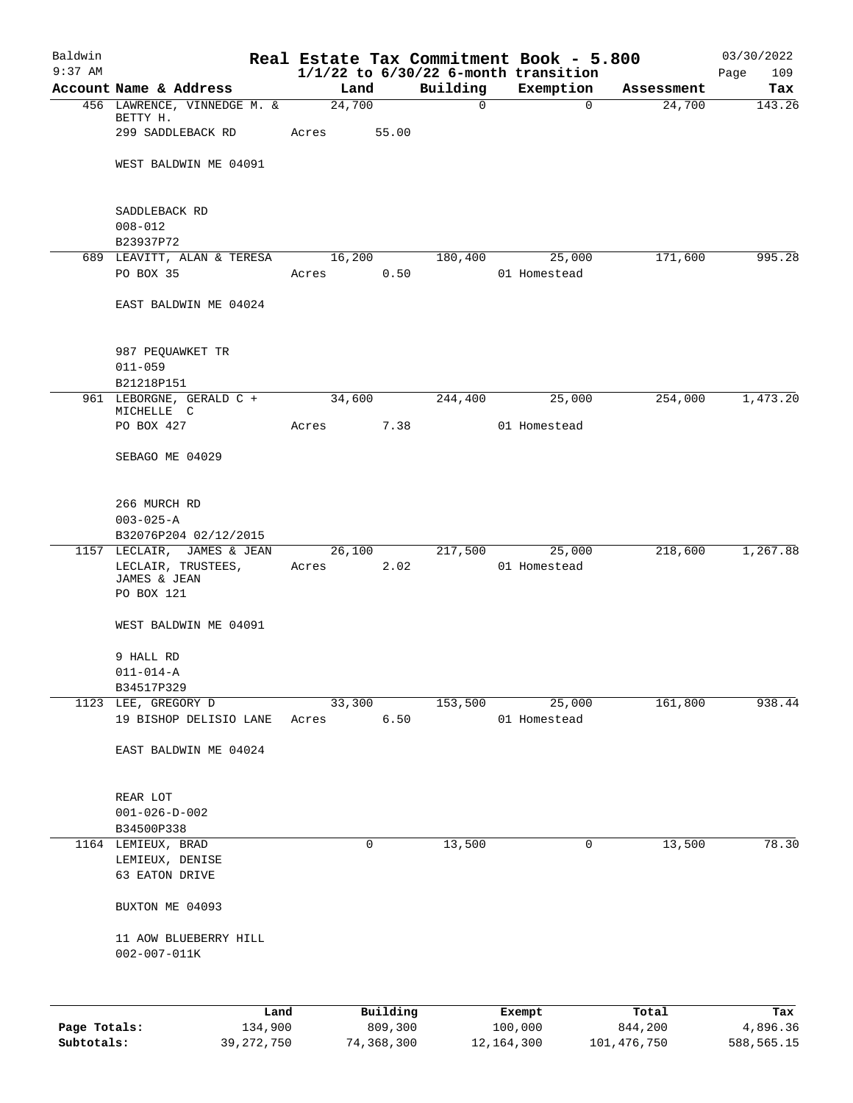| Baldwin<br>$9:37$ AM |                                                          |            |                     |              | Real Estate Tax Commitment Book - 5.800<br>$1/1/22$ to $6/30/22$ 6-month transition |                  | 03/30/2022         |
|----------------------|----------------------------------------------------------|------------|---------------------|--------------|-------------------------------------------------------------------------------------|------------------|--------------------|
|                      | Account Name & Address                                   | Land       |                     | Building     | Exemption                                                                           | Assessment       | 109<br>Page<br>Tax |
|                      | 456 LAWRENCE, VINNEDGE M. &                              | 24,700     |                     | $\mathsf{O}$ | $\Omega$                                                                            | 24,700           | 143.26             |
|                      | BETTY H.<br>299 SADDLEBACK RD                            | Acres      | 55.00               |              |                                                                                     |                  |                    |
|                      | WEST BALDWIN ME 04091                                    |            |                     |              |                                                                                     |                  |                    |
|                      |                                                          |            |                     |              |                                                                                     |                  |                    |
|                      | SADDLEBACK RD<br>$008 - 012$<br>B23937P72                |            |                     |              |                                                                                     |                  |                    |
|                      | 689 LEAVITT, ALAN & TERESA 16,200                        |            |                     |              | 180,400 25,000                                                                      | 171,600          | 995.28             |
|                      | PO BOX 35                                                | Acres      | 0.50                |              | 01 Homestead                                                                        |                  |                    |
|                      | EAST BALDWIN ME 04024                                    |            |                     |              |                                                                                     |                  |                    |
|                      | 987 PEQUAWKET TR<br>$011 - 059$<br>B21218P151            |            |                     |              |                                                                                     |                  |                    |
|                      | 961 LEBORGNE, GERALD C +                                 | 34,600     |                     | 244,400      | 25,000                                                                              | 254,000          | 1,473.20           |
|                      | MICHELLE C<br>PO BOX 427                                 | Acres 7.38 |                     |              | 01 Homestead                                                                        |                  |                    |
|                      | SEBAGO ME 04029                                          |            |                     |              |                                                                                     |                  |                    |
|                      | 266 MURCH RD<br>$003 - 025 - A$<br>B32076P204 02/12/2015 |            |                     |              |                                                                                     |                  |                    |
|                      | 1157 LECLAIR, JAMES & JEAN 26,100                        |            |                     |              | 217,500 25,000                                                                      | 218,600          | 1,267.88           |
|                      | LECLAIR, TRUSTEES,<br>JAMES & JEAN<br>PO BOX 121         | Acres 2.02 |                     |              | 01 Homestead                                                                        |                  |                    |
|                      | WEST BALDWIN ME 04091                                    |            |                     |              |                                                                                     |                  |                    |
|                      | 9 HALL RD                                                |            |                     |              |                                                                                     |                  |                    |
|                      | $011 - 014 - A$                                          |            |                     |              |                                                                                     |                  |                    |
|                      | B34517P329                                               |            |                     |              |                                                                                     |                  |                    |
|                      | 1123 LEE, GREGORY D                                      | 33,300     |                     | 153,500      | 25,000                                                                              | 161,800          | 938.44             |
|                      | 19 BISHOP DELISIO LANE                                   | Acres      | 6.50                |              | 01 Homestead                                                                        |                  |                    |
|                      | EAST BALDWIN ME 04024                                    |            |                     |              |                                                                                     |                  |                    |
|                      | REAR LOT                                                 |            |                     |              |                                                                                     |                  |                    |
|                      | $001 - 026 - D - 002$                                    |            |                     |              |                                                                                     |                  |                    |
|                      | B34500P338                                               |            |                     |              |                                                                                     |                  |                    |
|                      | 1164 LEMIEUX, BRAD                                       |            | 0                   | 13,500       | 0                                                                                   | 13,500           | 78.30              |
|                      | LEMIEUX, DENISE<br>63 EATON DRIVE                        |            |                     |              |                                                                                     |                  |                    |
|                      | BUXTON ME 04093                                          |            |                     |              |                                                                                     |                  |                    |
|                      | 11 AOW BLUEBERRY HILL<br>$002 - 007 - 011K$              |            |                     |              |                                                                                     |                  |                    |
|                      |                                                          |            |                     |              |                                                                                     |                  |                    |
| Page Totals:         | Land<br>134,900                                          |            | Building<br>809,300 |              | Exempt<br>100,000                                                                   | Total<br>844,200 | Tax<br>4,896.36    |

**Subtotals:** 39,272,750 74,368,300 12,164,300 101,476,750 588,565.15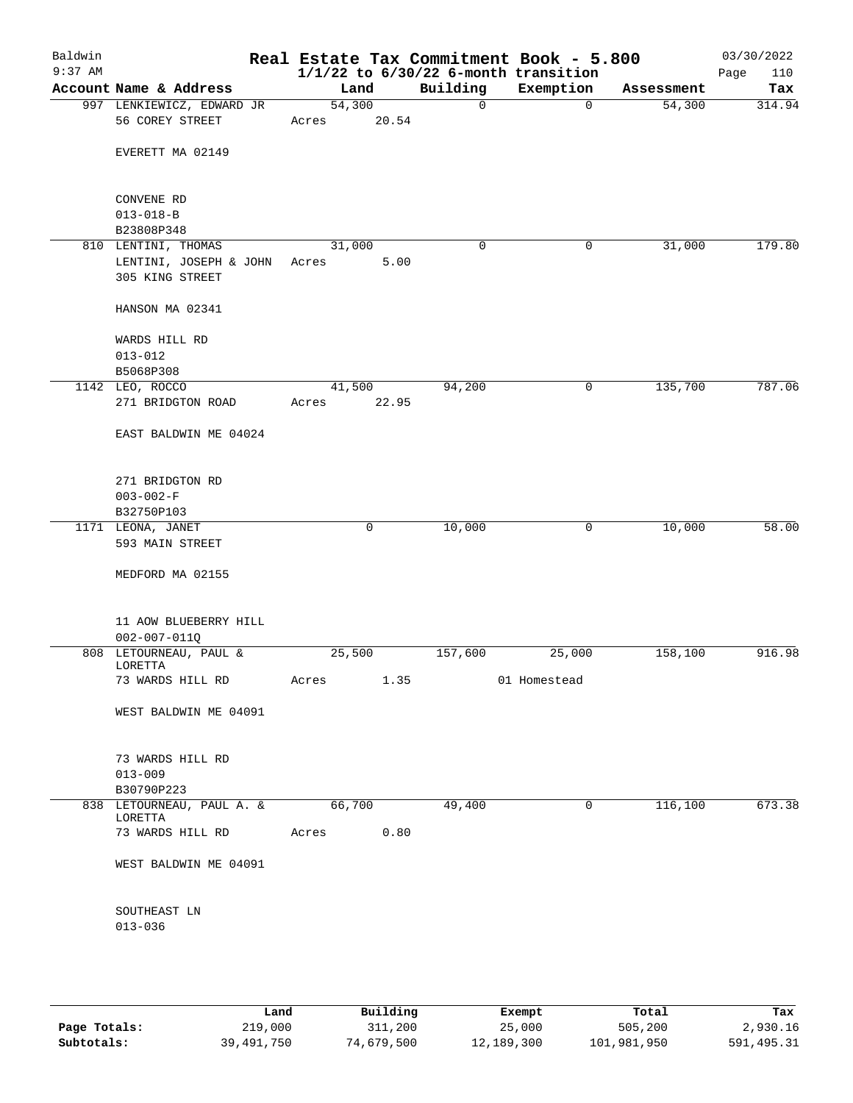| Baldwin<br>$9:37$ AM |                                                          |                 |       |          | Real Estate Tax Commitment Book - 5.800<br>$1/1/22$ to $6/30/22$ 6-month transition |            | 03/30/2022<br>Page<br>110 |
|----------------------|----------------------------------------------------------|-----------------|-------|----------|-------------------------------------------------------------------------------------|------------|---------------------------|
|                      | Account Name & Address                                   | Land            |       | Building | Exemption                                                                           | Assessment | Tax                       |
|                      | 997 LENKIEWICZ, EDWARD JR<br>56 COREY STREET             | 54,300<br>Acres | 20.54 | 0        | 0                                                                                   | 54,300     | 314.94                    |
|                      | EVERETT MA 02149                                         |                 |       |          |                                                                                     |            |                           |
|                      | CONVENE RD                                               |                 |       |          |                                                                                     |            |                           |
|                      | $013 - 018 - B$<br>B23808P348                            |                 |       |          |                                                                                     |            |                           |
|                      | 810 LENTINI, THOMAS                                      | 31,000          |       | 0        | 0                                                                                   | 31,000     | 179.80                    |
|                      | LENTINI, JOSEPH & JOHN Acres<br>305 KING STREET          |                 | 5.00  |          |                                                                                     |            |                           |
|                      | HANSON MA 02341                                          |                 |       |          |                                                                                     |            |                           |
|                      | WARDS HILL RD<br>$013 - 012$                             |                 |       |          |                                                                                     |            |                           |
|                      | B5068P308                                                |                 |       |          |                                                                                     |            |                           |
|                      | 1142 LEO, ROCCO                                          | 41,500          |       | 94,200   | 0                                                                                   | 135,700    | 787.06                    |
|                      | 271 BRIDGTON ROAD                                        | Acres           | 22.95 |          |                                                                                     |            |                           |
|                      | EAST BALDWIN ME 04024                                    |                 |       |          |                                                                                     |            |                           |
|                      | 271 BRIDGTON RD                                          |                 |       |          |                                                                                     |            |                           |
|                      | $003 - 002 - F$                                          |                 |       |          |                                                                                     |            |                           |
|                      | B32750P103                                               |                 |       |          |                                                                                     |            |                           |
|                      | 1171 LEONA, JANET<br>593 MAIN STREET                     |                 | 0     | 10,000   | 0                                                                                   | 10,000     | 58.00                     |
|                      | MEDFORD MA 02155                                         |                 |       |          |                                                                                     |            |                           |
|                      | 11 AOW BLUEBERRY HILL<br>$002 - 007 - 011Q$              |                 |       |          |                                                                                     |            |                           |
|                      | 808 LETOURNEAU, PAUL &                                   | 25,500          |       | 157,600  | 25,000                                                                              | 158,100    | 916.98                    |
|                      | LORETTA<br>73 WARDS HILL RD                              | Acres           | 1.35  |          | 01 Homestead                                                                        |            |                           |
|                      | WEST BALDWIN ME 04091                                    |                 |       |          |                                                                                     |            |                           |
|                      | 73 WARDS HILL RD<br>$013 - 009$                          |                 |       |          |                                                                                     |            |                           |
|                      | B30790P223                                               | 66,700          |       | 49,400   | $\mathbf 0$                                                                         | 116,100    | 673.38                    |
|                      | 838 LETOURNEAU, PAUL A. &<br>LORETTA<br>73 WARDS HILL RD | Acres           | 0.80  |          |                                                                                     |            |                           |
|                      |                                                          |                 |       |          |                                                                                     |            |                           |
|                      | WEST BALDWIN ME 04091                                    |                 |       |          |                                                                                     |            |                           |
|                      | SOUTHEAST LN<br>$013 - 036$                              |                 |       |          |                                                                                     |            |                           |
|                      |                                                          |                 |       |          |                                                                                     |            |                           |

|              | Land       | Building   | Exempt     | Total       | Tax        |
|--------------|------------|------------|------------|-------------|------------|
| Page Totals: | 219,000    | 311,200    | 25,000     | 505,200     | 2,930.16   |
| Subtotals:   | 39,491,750 | 74,679,500 | 12,189,300 | 101,981,950 | 591,495.31 |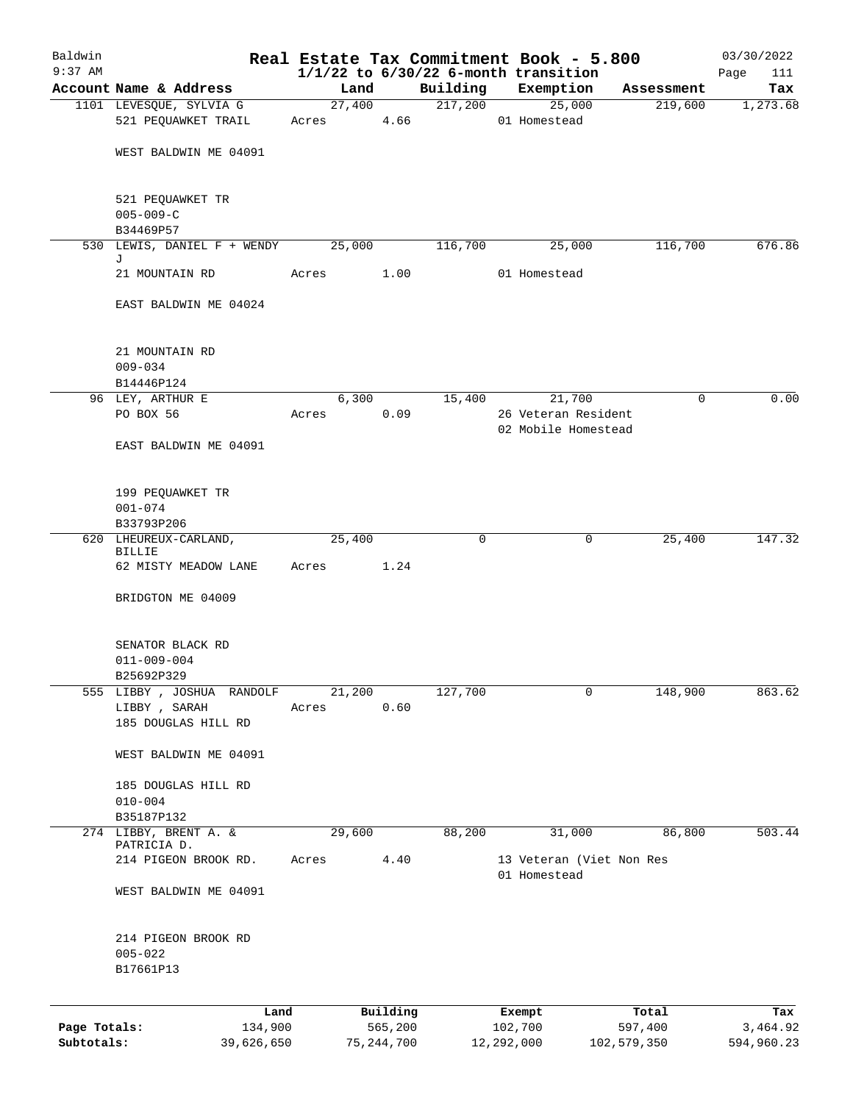| Baldwin                    |                                                     |                |                         |                     | Real Estate Tax Commitment Book - 5.800              |                        | 03/30/2022             |
|----------------------------|-----------------------------------------------------|----------------|-------------------------|---------------------|------------------------------------------------------|------------------------|------------------------|
| $9:37$ AM                  |                                                     |                |                         |                     | $1/1/22$ to $6/30/22$ 6-month transition             |                        | Page<br>111            |
|                            | Account Name & Address                              | Land           | 27,400                  | Building<br>217,200 | Exemption<br>25,000                                  | Assessment             | Tax<br>1,273.68        |
|                            | 1101 LEVESQUE, SYLVIA G<br>521 PEQUAWKET TRAIL      | Acres          | 4.66                    |                     | 01 Homestead                                         | 219,600                |                        |
|                            | WEST BALDWIN ME 04091                               |                |                         |                     |                                                      |                        |                        |
|                            | 521 PEQUAWKET TR<br>$005 - 009 - C$                 |                |                         |                     |                                                      |                        |                        |
|                            | B34469P57                                           |                |                         |                     |                                                      |                        | 676.86                 |
|                            | 530 LEWIS, DANIEL F + WENDY<br>J                    | 25,000         |                         | 116,700             | 25,000                                               | 116,700                |                        |
|                            | 21 MOUNTAIN RD                                      | Acres          | 1.00                    |                     | 01 Homestead                                         |                        |                        |
|                            | EAST BALDWIN ME 04024                               |                |                         |                     |                                                      |                        |                        |
|                            | 21 MOUNTAIN RD<br>$009 - 034$                       |                |                         |                     |                                                      |                        |                        |
|                            | B14446P124                                          |                |                         |                     |                                                      |                        |                        |
|                            | 96 LEY, ARTHUR E<br>PO BOX 56                       | 6,300<br>Acres | 0.09                    | 15,400              | 21,700<br>26 Veteran Resident<br>02 Mobile Homestead | 0                      | 0.00                   |
|                            | EAST BALDWIN ME 04091                               |                |                         |                     |                                                      |                        |                        |
|                            | 199 PEQUAWKET TR<br>$001 - 074$                     |                |                         |                     |                                                      |                        |                        |
|                            | B33793P206                                          |                |                         |                     |                                                      |                        |                        |
|                            | 620 LHEUREUX-CARLAND,<br><b>BILLIE</b>              | 25,400         |                         | 0                   | 0                                                    | 25,400                 | 147.32                 |
|                            | 62 MISTY MEADOW LANE                                | Acres          | 1.24                    |                     |                                                      |                        |                        |
|                            | BRIDGTON ME 04009                                   |                |                         |                     |                                                      |                        |                        |
|                            | SENATOR BLACK RD<br>$011 - 009 - 004$<br>B25692P329 |                |                         |                     |                                                      |                        |                        |
| 555                        | LIBBY , JOSHUA<br>RANDOLF                           | 21,200         |                         | 127,700             | 0                                                    | 148,900                | 863.62                 |
|                            | LIBBY , SARAH<br>185 DOUGLAS HILL RD                | Acres          | 0.60                    |                     |                                                      |                        |                        |
|                            | WEST BALDWIN ME 04091                               |                |                         |                     |                                                      |                        |                        |
|                            | 185 DOUGLAS HILL RD<br>$010 - 004$                  |                |                         |                     |                                                      |                        |                        |
|                            | B35187P132                                          |                |                         |                     |                                                      |                        |                        |
|                            | 274 LIBBY, BRENT A. &<br>PATRICIA D.                | 29,600         |                         | 88,200              | 31,000                                               | 86,800                 | 503.44                 |
|                            | 214 PIGEON BROOK RD.                                | Acres          | 4.40                    |                     | 13 Veteran (Viet Non Res<br>01 Homestead             |                        |                        |
|                            | WEST BALDWIN ME 04091                               |                |                         |                     |                                                      |                        |                        |
|                            | 214 PIGEON BROOK RD<br>$005 - 022$<br>B17661P13     |                |                         |                     |                                                      |                        |                        |
|                            | Land                                                |                | Building                |                     | Exempt                                               | Total                  | Tax                    |
| Page Totals:<br>Subtotals: | 134,900<br>39,626,650                               |                | 565,200<br>75, 244, 700 |                     | 102,700<br>12,292,000                                | 597,400<br>102,579,350 | 3,464.92<br>594,960.23 |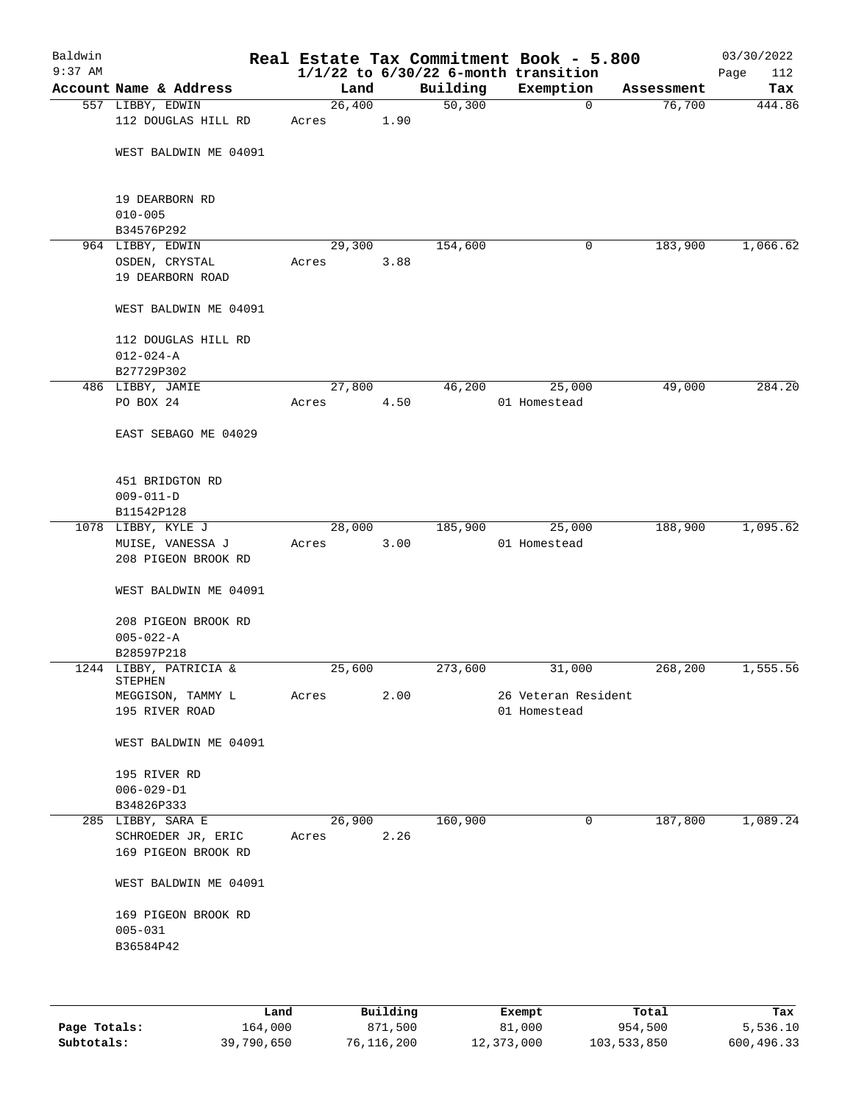| Baldwin<br>$9:37$ AM |                                           |        |      |          | Real Estate Tax Commitment Book - 5.800<br>$1/1/22$ to $6/30/22$ 6-month transition |            | 03/30/2022<br>Page<br>112 |
|----------------------|-------------------------------------------|--------|------|----------|-------------------------------------------------------------------------------------|------------|---------------------------|
|                      | Account Name & Address                    | Land   |      | Building | Exemption                                                                           | Assessment | Tax                       |
|                      | 557 LIBBY, EDWIN                          | 26,400 |      | 50,300   | $\mathbf 0$                                                                         | 76,700     | 444.86                    |
|                      | 112 DOUGLAS HILL RD                       | Acres  | 1.90 |          |                                                                                     |            |                           |
|                      | WEST BALDWIN ME 04091                     |        |      |          |                                                                                     |            |                           |
|                      | 19 DEARBORN RD<br>$010 - 005$             |        |      |          |                                                                                     |            |                           |
|                      | B34576P292                                |        |      |          |                                                                                     |            |                           |
|                      | 964 LIBBY, EDWIN                          | 29,300 |      | 154,600  | 0                                                                                   | 183,900    | 1,066.62                  |
|                      | OSDEN, CRYSTAL                            | Acres  | 3.88 |          |                                                                                     |            |                           |
|                      | 19 DEARBORN ROAD                          |        |      |          |                                                                                     |            |                           |
|                      | WEST BALDWIN ME 04091                     |        |      |          |                                                                                     |            |                           |
|                      | 112 DOUGLAS HILL RD                       |        |      |          |                                                                                     |            |                           |
|                      | $012 - 024 - A$                           |        |      |          |                                                                                     |            |                           |
|                      | B27729P302                                |        |      |          |                                                                                     |            |                           |
|                      | 486 LIBBY, JAMIE                          | 27,800 |      | 46,200   | 25,000                                                                              | 49,000     | 284.20                    |
|                      | PO BOX 24                                 | Acres  | 4.50 |          | 01 Homestead                                                                        |            |                           |
|                      | EAST SEBAGO ME 04029                      |        |      |          |                                                                                     |            |                           |
|                      | 451 BRIDGTON RD                           |        |      |          |                                                                                     |            |                           |
|                      | $009 - 011 - D$                           |        |      |          |                                                                                     |            |                           |
|                      | B11542P128                                |        |      |          |                                                                                     |            |                           |
|                      | 1078 LIBBY, KYLE J                        | 28,000 |      | 185,900  | 25,000                                                                              | 188,900    | 1,095.62                  |
|                      | MUISE, VANESSA J                          | Acres  | 3.00 |          | 01 Homestead                                                                        |            |                           |
|                      | 208 PIGEON BROOK RD                       |        |      |          |                                                                                     |            |                           |
|                      | WEST BALDWIN ME 04091                     |        |      |          |                                                                                     |            |                           |
|                      | 208 PIGEON BROOK RD                       |        |      |          |                                                                                     |            |                           |
|                      | $005 - 022 - A$                           |        |      |          |                                                                                     |            |                           |
|                      | B28597P218                                |        |      |          |                                                                                     |            |                           |
|                      | 1244 LIBBY, PATRICIA &                    | 25,600 |      | 273,600  | 31,000                                                                              | 268,200    | 1,555.56                  |
|                      | STEPHEN<br>MEGGISON, TAMMY L              | Acres  | 2.00 |          | 26 Veteran Resident                                                                 |            |                           |
|                      | 195 RIVER ROAD                            |        |      |          | 01 Homestead                                                                        |            |                           |
|                      |                                           |        |      |          |                                                                                     |            |                           |
|                      | WEST BALDWIN ME 04091                     |        |      |          |                                                                                     |            |                           |
|                      | 195 RIVER RD                              |        |      |          |                                                                                     |            |                           |
|                      | $006 - 029 - D1$                          |        |      |          |                                                                                     |            |                           |
|                      | B34826P333                                |        |      |          |                                                                                     |            |                           |
|                      | 285 LIBBY, SARA E                         | 26,900 |      | 160,900  | 0                                                                                   | 187,800    | 1,089.24                  |
|                      | SCHROEDER JR, ERIC<br>169 PIGEON BROOK RD | Acres  | 2.26 |          |                                                                                     |            |                           |
|                      | WEST BALDWIN ME 04091                     |        |      |          |                                                                                     |            |                           |
|                      | 169 PIGEON BROOK RD<br>$005 - 031$        |        |      |          |                                                                                     |            |                           |
|                      | B36584P42                                 |        |      |          |                                                                                     |            |                           |
|                      |                                           |        |      |          |                                                                                     |            |                           |
|                      |                                           |        |      |          |                                                                                     |            |                           |
|                      |                                           |        |      |          |                                                                                     |            |                           |

|              | Land       | Building   | Exempt     | Total       | Tax        |
|--------------|------------|------------|------------|-------------|------------|
| Page Totals: | 164,000    | 871,500    | 81,000     | 954,500     | 5,536.10   |
| Subtotals:   | 39,790,650 | 76,116,200 | 12,373,000 | 103,533,850 | 600,496.33 |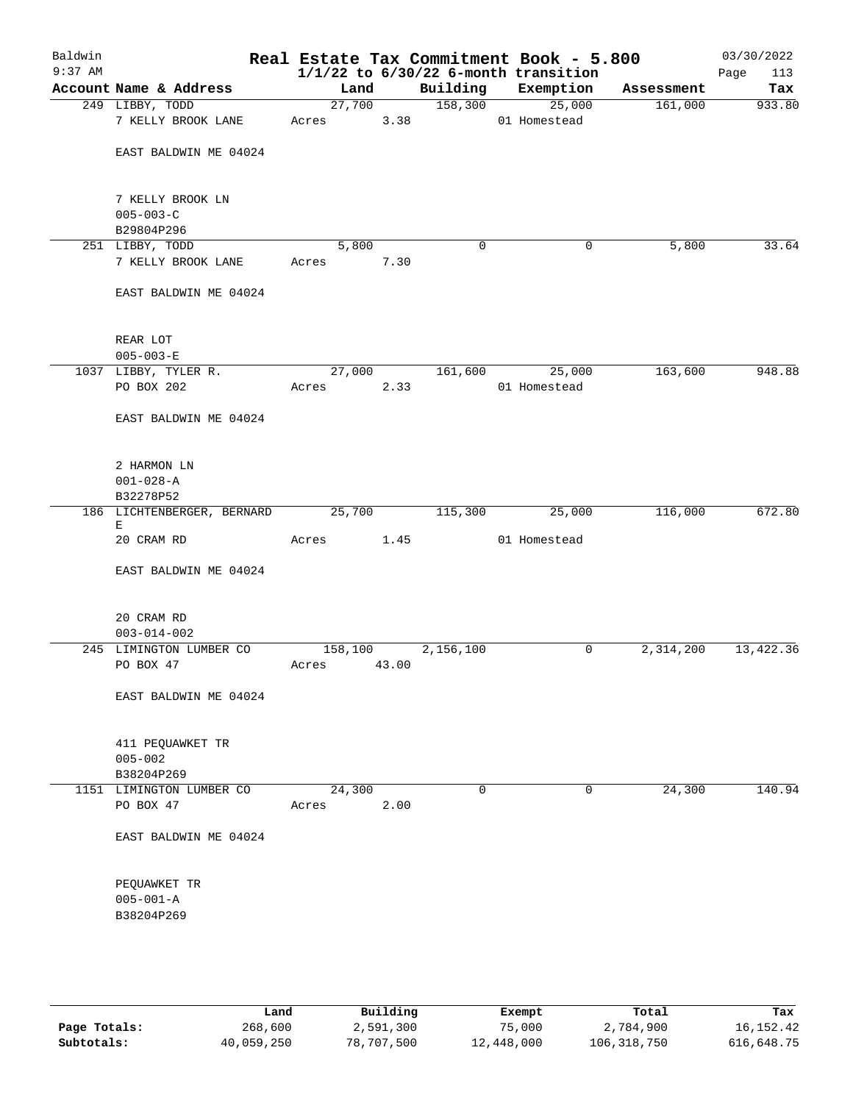| Baldwin<br>$9:37$ AM |                                       |       |         |             |           | Real Estate Tax Commitment Book - 5.800<br>$1/1/22$ to $6/30/22$ 6-month transition |            | 03/30/2022<br>Page<br>113 |
|----------------------|---------------------------------------|-------|---------|-------------|-----------|-------------------------------------------------------------------------------------|------------|---------------------------|
|                      | Account Name & Address                |       | Land    |             | Building  | Exemption                                                                           | Assessment | Tax                       |
|                      | 249 LIBBY, TODD                       |       |         | 27,700      | 158,300   | 25,000                                                                              | 161,000    | 933.80                    |
|                      | 7 KELLY BROOK LANE                    |       | Acres   |             | 3.38      | 01 Homestead                                                                        |            |                           |
|                      | EAST BALDWIN ME 04024                 |       |         |             |           |                                                                                     |            |                           |
|                      | 7 KELLY BROOK LN                      |       |         |             |           |                                                                                     |            |                           |
|                      | $005 - 003 - C$<br>B29804P296         |       |         |             |           |                                                                                     |            |                           |
|                      | 251 LIBBY, TODD                       |       | 5,800   |             | 0         | 0                                                                                   | 5,800      | 33.64                     |
|                      | 7 KELLY BROOK LANE                    | Acres |         | 7.30        |           |                                                                                     |            |                           |
|                      | EAST BALDWIN ME 04024                 |       |         |             |           |                                                                                     |            |                           |
|                      | REAR LOT                              |       |         |             |           |                                                                                     |            |                           |
|                      | $005 - 003 - E$                       |       |         |             |           |                                                                                     |            |                           |
|                      | 1037 LIBBY, TYLER R.                  |       |         | 27,000      | 161,600   | 25,000                                                                              | 163,600    | 948.88                    |
|                      | PO BOX 202                            | Acres |         | 2.33        |           | 01 Homestead                                                                        |            |                           |
|                      | EAST BALDWIN ME 04024                 |       |         |             |           |                                                                                     |            |                           |
|                      | 2 HARMON LN                           |       |         |             |           |                                                                                     |            |                           |
|                      | $001 - 028 - A$                       |       |         |             |           |                                                                                     |            |                           |
|                      | B32278P52                             |       |         |             |           |                                                                                     |            |                           |
|                      | 186 LICHTENBERGER, BERNARD<br>Е       |       | 25,700  |             | 115,300   | 25,000                                                                              | 116,000    | 672.80                    |
|                      | 20 CRAM RD                            | Acres |         | 1.45        |           | 01 Homestead                                                                        |            |                           |
|                      | EAST BALDWIN ME 04024                 |       |         |             |           |                                                                                     |            |                           |
|                      | 20 CRAM RD                            |       |         |             |           |                                                                                     |            |                           |
|                      | $003 - 014 - 002$                     |       |         |             |           |                                                                                     |            |                           |
|                      | 245 LIMINGTON LUMBER CO               |       | 158,100 |             | 2,156,100 | 0                                                                                   | 2,314,200  | 13, 422.36                |
|                      | PO BOX 47                             |       |         | Acres 43.00 |           |                                                                                     |            |                           |
|                      | EAST BALDWIN ME 04024                 |       |         |             |           |                                                                                     |            |                           |
|                      | 411 PEQUAWKET TR                      |       |         |             |           |                                                                                     |            |                           |
|                      | $005 - 002$                           |       |         |             |           |                                                                                     |            |                           |
|                      | B38204P269                            |       |         |             |           |                                                                                     |            |                           |
|                      | 1151 LIMINGTON LUMBER CO<br>PO BOX 47 | Acres | 24,300  | 2.00        | $\Omega$  | $\mathbf 0$                                                                         | 24,300     | 140.94                    |
|                      | EAST BALDWIN ME 04024                 |       |         |             |           |                                                                                     |            |                           |
|                      | PEQUAWKET TR                          |       |         |             |           |                                                                                     |            |                           |
|                      | $005 - 001 - A$                       |       |         |             |           |                                                                                     |            |                           |
|                      | B38204P269                            |       |         |             |           |                                                                                     |            |                           |
|                      |                                       |       |         |             |           |                                                                                     |            |                           |
|                      |                                       |       |         |             |           |                                                                                     |            |                           |

|              | Land       | Building   | Exempt     | Total       | Tax        |
|--------------|------------|------------|------------|-------------|------------|
| Page Totals: | 268,600    | 2,591,300  | 75,000     | 2,784,900   | 16,152.42  |
| Subtotals:   | 40,059,250 | 78,707,500 | 12,448,000 | 106,318,750 | 616,648.75 |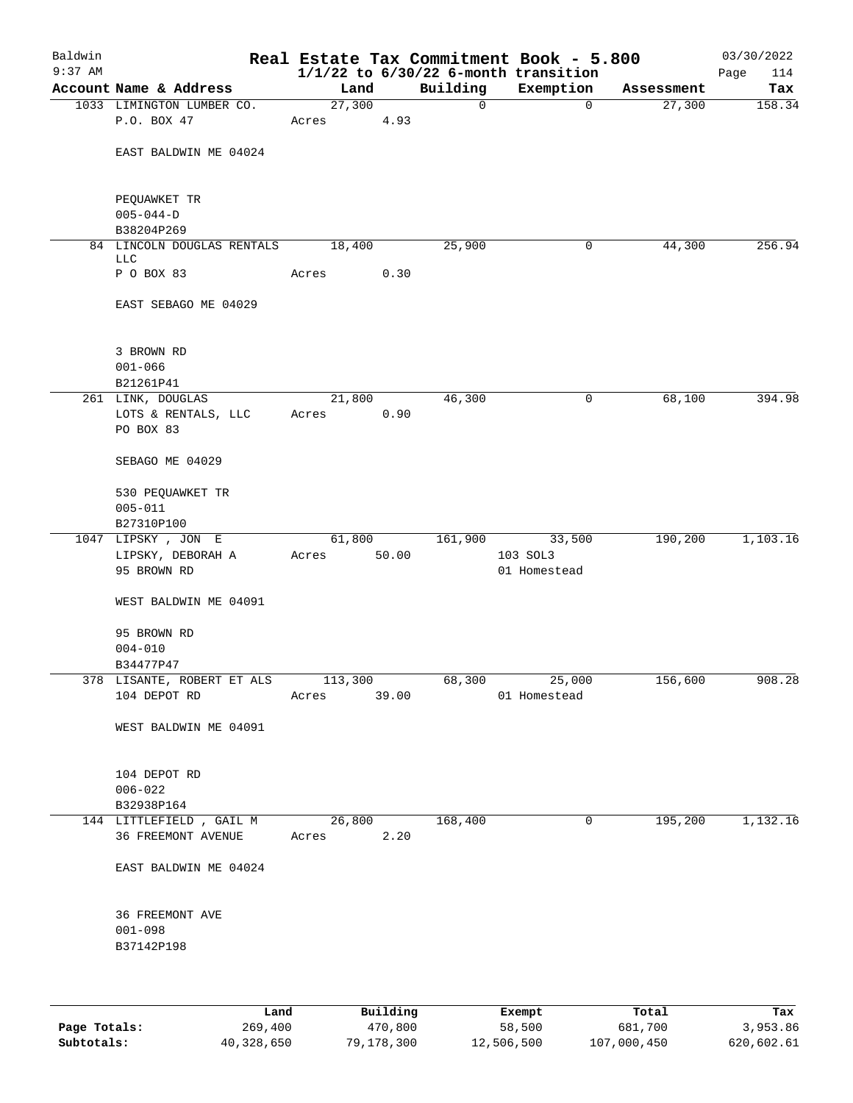| Baldwin<br>$9:37$ AM |                                                        |                 |        |          | Real Estate Tax Commitment Book - 5.800<br>$1/1/22$ to $6/30/22$ 6-month transition |            | 03/30/2022<br>114<br>Page |
|----------------------|--------------------------------------------------------|-----------------|--------|----------|-------------------------------------------------------------------------------------|------------|---------------------------|
|                      | Account Name & Address                                 | Land            |        | Building | Exemption                                                                           | Assessment | Tax                       |
|                      | 1033 LIMINGTON LUMBER CO.                              | 27,300          |        | 0        | $\mathbf 0$                                                                         | 27,300     | 158.34                    |
|                      | P.O. BOX 47                                            | Acres           | 4.93   |          |                                                                                     |            |                           |
|                      | EAST BALDWIN ME 04024                                  |                 |        |          |                                                                                     |            |                           |
|                      | PEQUAWKET TR<br>$005 - 044 - D$                        |                 |        |          |                                                                                     |            |                           |
|                      | B38204P269                                             |                 |        |          |                                                                                     |            |                           |
|                      | 84 LINCOLN DOUGLAS RENTALS<br>LLC                      | 18,400          |        | 25,900   | 0                                                                                   | 44,300     | 256.94                    |
|                      | P O BOX 83                                             | Acres           | 0.30   |          |                                                                                     |            |                           |
|                      | EAST SEBAGO ME 04029                                   |                 |        |          |                                                                                     |            |                           |
|                      | 3 BROWN RD<br>$001 - 066$                              |                 |        |          |                                                                                     |            |                           |
|                      | B21261P41                                              |                 |        |          |                                                                                     |            |                           |
|                      | 261 LINK, DOUGLAS                                      | 21,800          |        | 46,300   | 0                                                                                   | 68,100     | 394.98                    |
|                      | LOTS & RENTALS, LLC<br>PO BOX 83                       | Acres           | 0.90   |          |                                                                                     |            |                           |
|                      | SEBAGO ME 04029                                        |                 |        |          |                                                                                     |            |                           |
|                      | 530 PEQUAWKET TR<br>$005 - 011$                        |                 |        |          |                                                                                     |            |                           |
|                      | B27310P100                                             |                 |        |          |                                                                                     |            |                           |
|                      | 1047 LIPSKY, JON E<br>LIPSKY, DEBORAH A<br>95 BROWN RD | 61,800<br>Acres | 50.00  | 161,900  | 33,500<br>103 SOL3<br>01 Homestead                                                  | 190,200    | 1,103.16                  |
|                      | WEST BALDWIN ME 04091                                  |                 |        |          |                                                                                     |            |                           |
|                      | 95 BROWN RD                                            |                 |        |          |                                                                                     |            |                           |
|                      | $004 - 010$                                            |                 |        |          |                                                                                     |            |                           |
|                      | B34477P47                                              |                 |        |          |                                                                                     |            |                           |
|                      | 378 LISANTE, ROBERT ET ALS 113,300<br>104 DEPOT RD     | Acres 39.00     |        |          | 68,300 25,000<br>01 Homestead                                                       | 156,600    | 908.28                    |
|                      | WEST BALDWIN ME 04091                                  |                 |        |          |                                                                                     |            |                           |
|                      | 104 DEPOT RD<br>$006 - 022$                            |                 |        |          |                                                                                     |            |                           |
|                      | B32938P164                                             |                 |        |          |                                                                                     |            |                           |
|                      | 144 LITTLEFIELD, GAIL M<br>36 FREEMONT AVENUE          | Acres 2.20      | 26,800 | 168,400  | 0                                                                                   | 195,200    | 1,132.16                  |
|                      | EAST BALDWIN ME 04024                                  |                 |        |          |                                                                                     |            |                           |
|                      | 36 FREEMONT AVE<br>$001 - 098$                         |                 |        |          |                                                                                     |            |                           |
|                      | B37142P198                                             |                 |        |          |                                                                                     |            |                           |
|                      |                                                        |                 |        |          |                                                                                     |            |                           |

|              | Land       | Building   | Exempt     | Total       | Tax        |
|--------------|------------|------------|------------|-------------|------------|
| Page Totals: | 269,400    | 470,800    | 58,500     | 681,700     | 3,953.86   |
| Subtotals:   | 40,328,650 | 79,178,300 | 12,506,500 | 107,000,450 | 620,602.61 |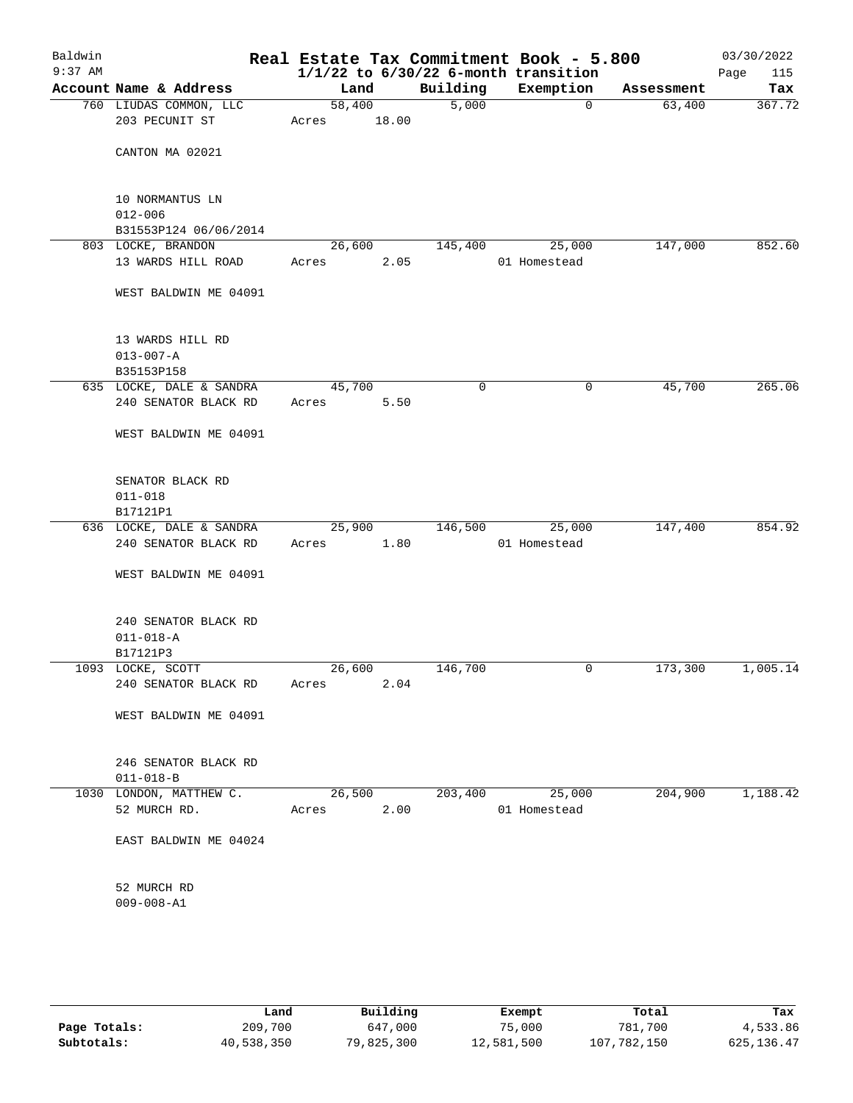| Baldwin<br>$9:37$ AM |                                                         |                 |       |          | Real Estate Tax Commitment Book - 5.800<br>$1/1/22$ to $6/30/22$ 6-month transition |            | 03/30/2022<br>115<br>Page |
|----------------------|---------------------------------------------------------|-----------------|-------|----------|-------------------------------------------------------------------------------------|------------|---------------------------|
|                      | Account Name & Address                                  | Land            |       | Building | Exemption                                                                           | Assessment | Tax                       |
|                      | 760 LIUDAS COMMON, LLC<br>203 PECUNIT ST                | 58,400<br>Acres | 18.00 | 5,000    | $\mathbf 0$                                                                         | 63,400     | 367.72                    |
|                      | CANTON MA 02021                                         |                 |       |          |                                                                                     |            |                           |
|                      | 10 NORMANTUS LN<br>$012 - 006$<br>B31553P124 06/06/2014 |                 |       |          |                                                                                     |            |                           |
|                      | 803 LOCKE, BRANDON                                      | 26,600          |       | 145,400  | 25,000                                                                              | 147,000    | 852.60                    |
|                      | 13 WARDS HILL ROAD                                      | Acres           | 2.05  |          | 01 Homestead                                                                        |            |                           |
|                      | WEST BALDWIN ME 04091                                   |                 |       |          |                                                                                     |            |                           |
|                      | 13 WARDS HILL RD<br>$013 - 007 - A$<br>B35153P158       |                 |       |          |                                                                                     |            |                           |
|                      | 635 LOCKE, DALE & SANDRA                                | 45,700          |       | 0        | 0                                                                                   | 45,700     | 265.06                    |
|                      | 240 SENATOR BLACK RD                                    | Acres           | 5.50  |          |                                                                                     |            |                           |
|                      | WEST BALDWIN ME 04091                                   |                 |       |          |                                                                                     |            |                           |
|                      | SENATOR BLACK RD<br>$011 - 018$<br>B17121P1             |                 |       |          |                                                                                     |            |                           |
|                      | 636 LOCKE, DALE & SANDRA                                | 25,900          |       | 146,500  | 25,000                                                                              | 147,400    | 854.92                    |
|                      | 240 SENATOR BLACK RD                                    | Acres           | 1.80  |          | 01 Homestead                                                                        |            |                           |
|                      | WEST BALDWIN ME 04091                                   |                 |       |          |                                                                                     |            |                           |
|                      | 240 SENATOR BLACK RD<br>$011 - 018 - A$<br>B17121P3     |                 |       |          |                                                                                     |            |                           |
|                      | 1093 LOCKE, SCOTT                                       | 26,600          |       | 146,700  | 0                                                                                   | 173,300    | 1,005.14                  |
|                      | 240 SENATOR BLACK RD                                    | Acres           | 2.04  |          |                                                                                     |            |                           |
|                      | WEST BALDWIN ME 04091                                   |                 |       |          |                                                                                     |            |                           |
|                      | 246 SENATOR BLACK RD<br>$011 - 018 - B$                 |                 |       |          |                                                                                     |            |                           |
|                      | 1030 LONDON, MATTHEW C.                                 | 26,500          |       | 203,400  | 25,000                                                                              | 204,900    | 1,188.42                  |
|                      | 52 MURCH RD.                                            | Acres           | 2.00  |          | 01 Homestead                                                                        |            |                           |
|                      | EAST BALDWIN ME 04024                                   |                 |       |          |                                                                                     |            |                           |
|                      | 52 MURCH RD<br>$009 - 008 - A1$                         |                 |       |          |                                                                                     |            |                           |
|                      |                                                         |                 |       |          |                                                                                     |            |                           |

|              | Land       | Building   | Exempt     | Total       | Tax         |
|--------------|------------|------------|------------|-------------|-------------|
| Page Totals: | 209,700    | 647,000    | 75,000     | 781,700     | 4,533.86    |
| Subtotals:   | 40,538,350 | 79,825,300 | 12,581,500 | 107,782,150 | 625, 136.47 |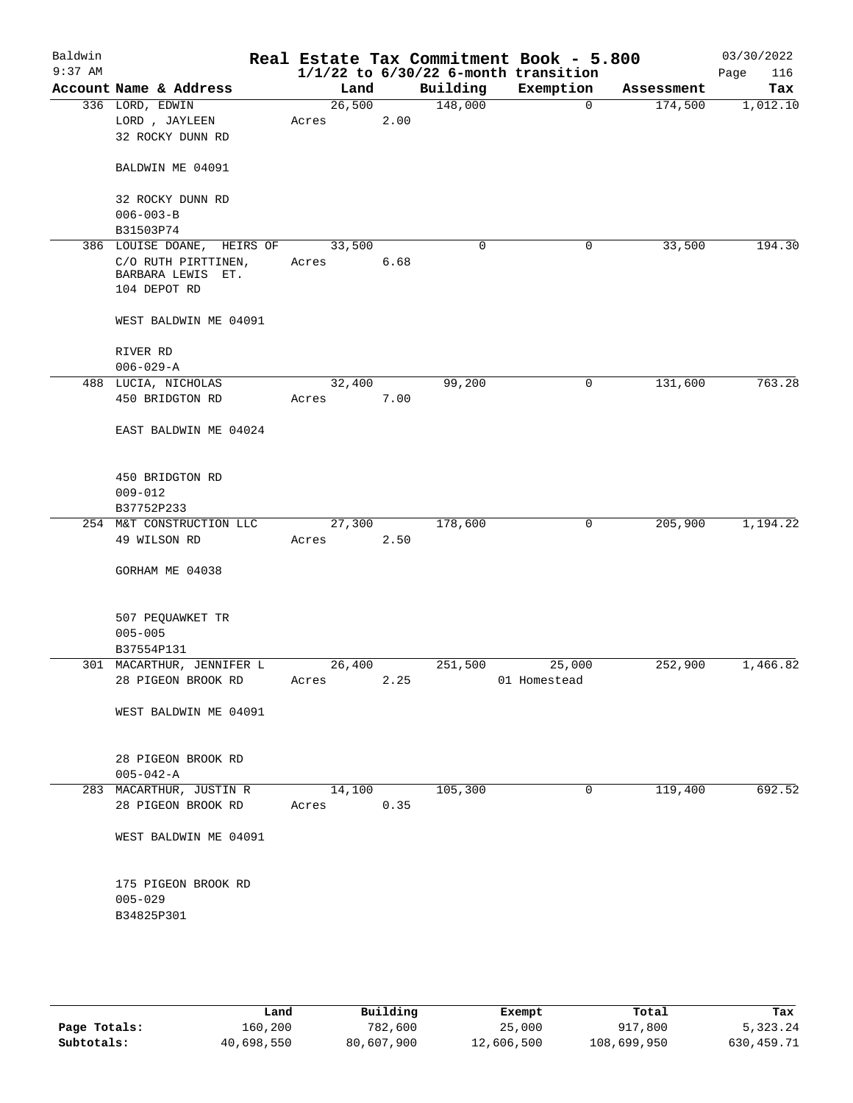| Baldwin<br>$9:37$ AM |                               |        |      |          | Real Estate Tax Commitment Book - 5.800<br>$1/1/22$ to $6/30/22$ 6-month transition |            | 03/30/2022<br>116<br>Page |
|----------------------|-------------------------------|--------|------|----------|-------------------------------------------------------------------------------------|------------|---------------------------|
|                      | Account Name & Address        | Land   |      | Building | Exemption                                                                           | Assessment | Tax                       |
|                      | 336 LORD, EDWIN               | 26,500 |      | 148,000  | $\mathbf 0$                                                                         | 174,500    | 1,012.10                  |
|                      | LORD, JAYLEEN                 | Acres  | 2.00 |          |                                                                                     |            |                           |
|                      | 32 ROCKY DUNN RD              |        |      |          |                                                                                     |            |                           |
|                      |                               |        |      |          |                                                                                     |            |                           |
|                      | BALDWIN ME 04091              |        |      |          |                                                                                     |            |                           |
|                      |                               |        |      |          |                                                                                     |            |                           |
|                      | 32 ROCKY DUNN RD              |        |      |          |                                                                                     |            |                           |
|                      | $006 - 003 - B$               |        |      |          |                                                                                     |            |                           |
|                      | B31503P74                     |        |      |          |                                                                                     |            |                           |
|                      | 386 LOUISE DOANE,<br>HEIRS OF | 33,500 |      | 0        | 0                                                                                   | 33,500     | 194.30                    |
|                      | C/O RUTH PIRTTINEN,           | Acres  | 6.68 |          |                                                                                     |            |                           |
|                      | BARBARA LEWIS ET.             |        |      |          |                                                                                     |            |                           |
|                      | 104 DEPOT RD                  |        |      |          |                                                                                     |            |                           |
|                      |                               |        |      |          |                                                                                     |            |                           |
|                      | WEST BALDWIN ME 04091         |        |      |          |                                                                                     |            |                           |
|                      |                               |        |      |          |                                                                                     |            |                           |
|                      |                               |        |      |          |                                                                                     |            |                           |
|                      | RIVER RD                      |        |      |          |                                                                                     |            |                           |
|                      | $006 - 029 - A$               |        |      |          |                                                                                     |            |                           |
|                      | 488 LUCIA, NICHOLAS           | 32,400 |      | 99,200   | 0                                                                                   | 131,600    | 763.28                    |
|                      | 450 BRIDGTON RD               | Acres  | 7.00 |          |                                                                                     |            |                           |
|                      |                               |        |      |          |                                                                                     |            |                           |
|                      | EAST BALDWIN ME 04024         |        |      |          |                                                                                     |            |                           |
|                      |                               |        |      |          |                                                                                     |            |                           |
|                      |                               |        |      |          |                                                                                     |            |                           |
|                      | 450 BRIDGTON RD               |        |      |          |                                                                                     |            |                           |
|                      | $009 - 012$                   |        |      |          |                                                                                     |            |                           |
|                      | B37752P233                    |        |      |          |                                                                                     |            |                           |
|                      | 254 M&T CONSTRUCTION LLC      | 27,300 |      | 178,600  | 0                                                                                   | 205,900    | 1,194.22                  |
|                      | 49 WILSON RD                  | Acres  | 2.50 |          |                                                                                     |            |                           |
|                      |                               |        |      |          |                                                                                     |            |                           |
|                      | GORHAM ME 04038               |        |      |          |                                                                                     |            |                           |
|                      |                               |        |      |          |                                                                                     |            |                           |
|                      |                               |        |      |          |                                                                                     |            |                           |
|                      | 507 PEQUAWKET TR              |        |      |          |                                                                                     |            |                           |
|                      | $005 - 005$                   |        |      |          |                                                                                     |            |                           |
|                      | B37554P131                    |        |      |          |                                                                                     |            |                           |
|                      | 301 MACARTHUR, JENNIFER L     | 26,400 |      | 251,500  | 25,000                                                                              | 252,900    | 1,466.82                  |
|                      |                               |        |      |          |                                                                                     |            |                           |
|                      | 28 PIGEON BROOK RD            | Acres  | 2.25 |          | 01 Homestead                                                                        |            |                           |
|                      |                               |        |      |          |                                                                                     |            |                           |
|                      | WEST BALDWIN ME 04091         |        |      |          |                                                                                     |            |                           |
|                      |                               |        |      |          |                                                                                     |            |                           |
|                      |                               |        |      |          |                                                                                     |            |                           |
|                      | 28 PIGEON BROOK RD            |        |      |          |                                                                                     |            |                           |
|                      | $005 - 042 - A$               |        |      |          |                                                                                     |            |                           |
|                      | 283 MACARTHUR, JUSTIN R       | 14,100 |      | 105,300  | 0                                                                                   | 119,400    | 692.52                    |
|                      | 28 PIGEON BROOK RD            | Acres  | 0.35 |          |                                                                                     |            |                           |
|                      |                               |        |      |          |                                                                                     |            |                           |
|                      | WEST BALDWIN ME 04091         |        |      |          |                                                                                     |            |                           |
|                      |                               |        |      |          |                                                                                     |            |                           |
|                      |                               |        |      |          |                                                                                     |            |                           |
|                      | 175 PIGEON BROOK RD           |        |      |          |                                                                                     |            |                           |
|                      | $005 - 029$                   |        |      |          |                                                                                     |            |                           |
|                      | B34825P301                    |        |      |          |                                                                                     |            |                           |
|                      |                               |        |      |          |                                                                                     |            |                           |
|                      |                               |        |      |          |                                                                                     |            |                           |
|                      |                               |        |      |          |                                                                                     |            |                           |
|                      |                               |        |      |          |                                                                                     |            |                           |
|                      |                               |        |      |          |                                                                                     |            |                           |

|              | Land       | Building   | Exempt     | Total       | Tax        |
|--------------|------------|------------|------------|-------------|------------|
| Page Totals: | 160,200    | 782,600    | 25,000     | 917,800     | 5,323.24   |
| Subtotals:   | 40,698,550 | 80,607,900 | 12,606,500 | 108,699,950 | 630,459.71 |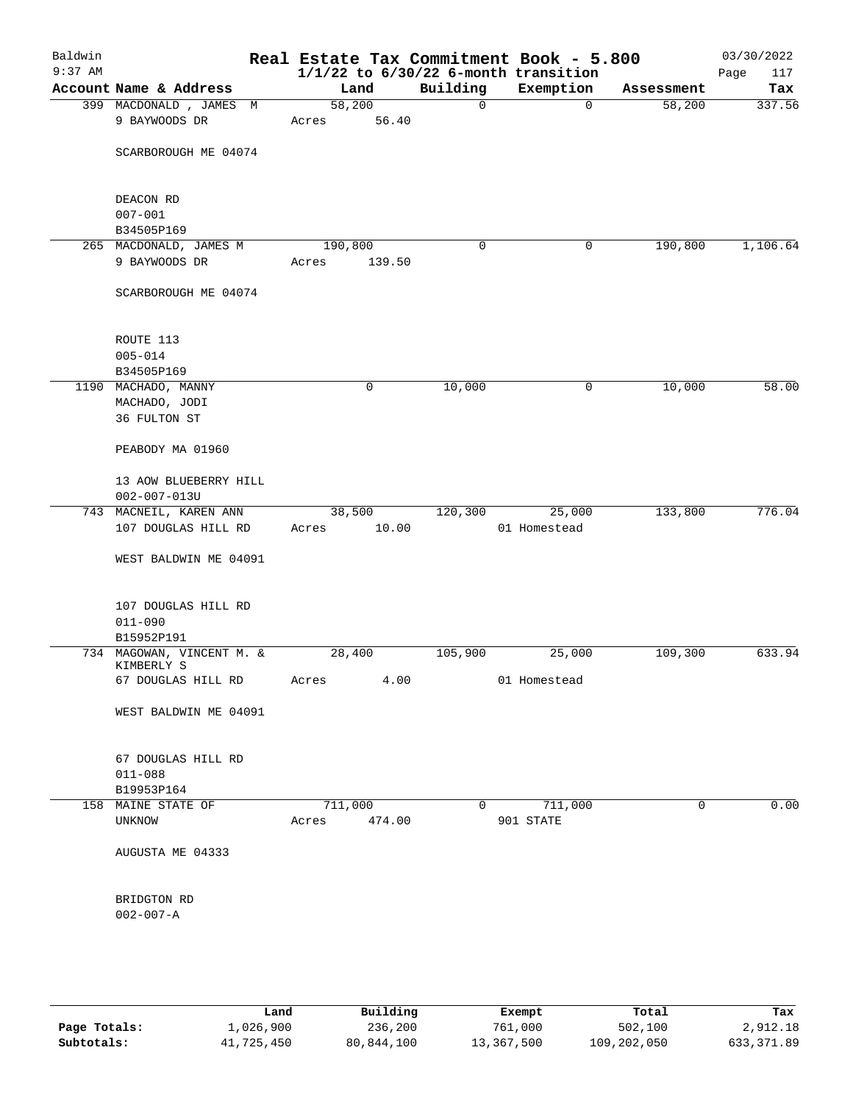| Baldwin<br>$9:37$ AM |                                             |   |         |        |              | Real Estate Tax Commitment Book - 5.800<br>$1/1/22$ to $6/30/22$ 6-month transition |             | 03/30/2022<br>Page<br>117 |
|----------------------|---------------------------------------------|---|---------|--------|--------------|-------------------------------------------------------------------------------------|-------------|---------------------------|
|                      | Account Name & Address                      |   | Land    |        | Building     | Exemption                                                                           | Assessment  | Tax                       |
|                      | 399 MACDONALD, JAMES                        | M | 58,200  |        | 0            | $\mathbf 0$                                                                         | 58,200      | 337.56                    |
|                      | 9 BAYWOODS DR                               |   | Acres   | 56.40  |              |                                                                                     |             |                           |
|                      | SCARBOROUGH ME 04074                        |   |         |        |              |                                                                                     |             |                           |
|                      | DEACON RD                                   |   |         |        |              |                                                                                     |             |                           |
|                      | $007 - 001$                                 |   |         |        |              |                                                                                     |             |                           |
|                      | B34505P169<br>265 MACDONALD, JAMES M        |   | 190,800 |        | 0            | 0                                                                                   | 190,800     | 1,106.64                  |
|                      | 9 BAYWOODS DR                               |   | Acres   | 139.50 |              |                                                                                     |             |                           |
|                      | SCARBOROUGH ME 04074                        |   |         |        |              |                                                                                     |             |                           |
|                      | ROUTE 113                                   |   |         |        |              |                                                                                     |             |                           |
|                      | $005 - 014$                                 |   |         |        |              |                                                                                     |             |                           |
|                      | B34505P169                                  |   |         |        |              |                                                                                     |             |                           |
|                      | 1190 MACHADO, MANNY<br>MACHADO, JODI        |   |         | 0      | 10,000       | 0                                                                                   | 10,000      | 58.00                     |
|                      | 36 FULTON ST                                |   |         |        |              |                                                                                     |             |                           |
|                      | PEABODY MA 01960                            |   |         |        |              |                                                                                     |             |                           |
|                      | 13 AOW BLUEBERRY HILL<br>$002 - 007 - 013U$ |   |         |        |              |                                                                                     |             |                           |
|                      | 743 MACNEIL, KAREN ANN                      |   | 38,500  |        | 120,300      | 25,000                                                                              | 133,800     | 776.04                    |
|                      | 107 DOUGLAS HILL RD                         |   | Acres   | 10.00  |              | 01 Homestead                                                                        |             |                           |
|                      | WEST BALDWIN ME 04091                       |   |         |        |              |                                                                                     |             |                           |
|                      | 107 DOUGLAS HILL RD<br>$011 - 090$          |   |         |        |              |                                                                                     |             |                           |
|                      | B15952P191                                  |   |         |        |              |                                                                                     |             |                           |
|                      | 734 MAGOWAN, VINCENT M. &<br>KIMBERLY S     |   | 28,400  |        | 105,900      | 25,000                                                                              | 109,300     | 633.94                    |
|                      | 67 DOUGLAS HILL RD                          |   | Acres   | 4.00   |              | 01 Homestead                                                                        |             |                           |
|                      | WEST BALDWIN ME 04091                       |   |         |        |              |                                                                                     |             |                           |
|                      | 67 DOUGLAS HILL RD                          |   |         |        |              |                                                                                     |             |                           |
|                      | $011 - 088$                                 |   |         |        |              |                                                                                     |             |                           |
|                      | B19953P164<br>158 MAINE STATE OF            |   | 711,000 |        | $\mathbf{0}$ | 711,000                                                                             | $\mathbf 0$ | 0.00                      |
|                      | UNKNOW                                      |   | Acres   | 474.00 |              | 901 STATE                                                                           |             |                           |
|                      | AUGUSTA ME 04333                            |   |         |        |              |                                                                                     |             |                           |
|                      | BRIDGTON RD<br>$002 - 007 - A$              |   |         |        |              |                                                                                     |             |                           |
|                      |                                             |   |         |        |              |                                                                                     |             |                           |
|                      |                                             |   |         |        |              |                                                                                     |             |                           |

|              | Land       | Building   | Exempt     | Total       | Tax        |
|--------------|------------|------------|------------|-------------|------------|
| Page Totals: | 1,026,900  | 236,200    | 761,000    | 502,100     | 2,912.18   |
| Subtotals:   | 41,725,450 | 80,844,100 | 13,367,500 | 109,202,050 | 633,371.89 |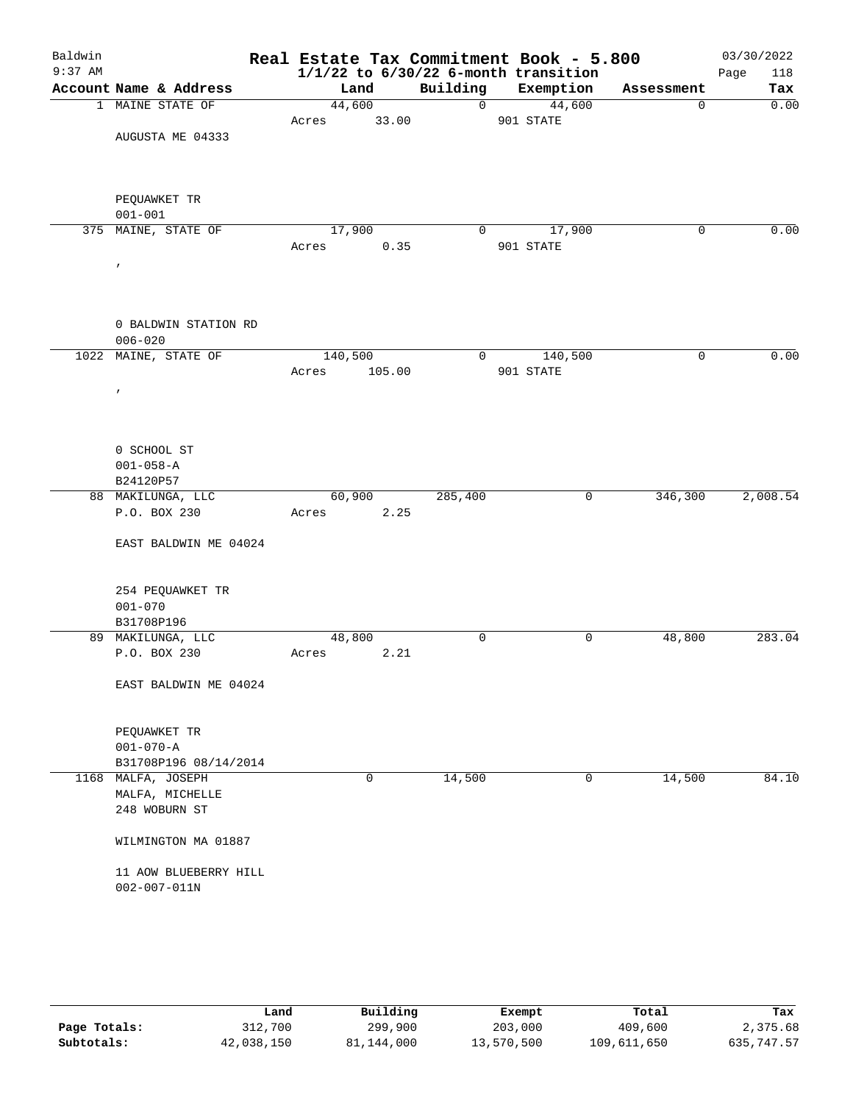| Baldwin   |                                            | Real Estate Tax Commitment Book - 5.800  |                            |                     |             | 03/30/2022  |
|-----------|--------------------------------------------|------------------------------------------|----------------------------|---------------------|-------------|-------------|
| $9:37$ AM |                                            | $1/1/22$ to $6/30/22$ 6-month transition |                            |                     |             | Page<br>118 |
|           | Account Name & Address<br>1 MAINE STATE OF | Land<br>44,600                           | Building<br>$\overline{0}$ | Exemption           | Assessment  | Tax<br>0.00 |
|           |                                            | 33.00<br>Acres                           |                            | 44,600<br>901 STATE | $\mathbf 0$ |             |
|           | AUGUSTA ME 04333                           |                                          |                            |                     |             |             |
|           |                                            |                                          |                            |                     |             |             |
|           |                                            |                                          |                            |                     |             |             |
|           |                                            |                                          |                            |                     |             |             |
|           | PEQUAWKET TR                               |                                          |                            |                     |             |             |
|           | $001 - 001$                                |                                          |                            |                     |             |             |
|           | 375 MAINE, STATE OF                        | 17,900                                   | $\overline{0}$             | 17,900              | 0           | 0.00        |
|           |                                            | 0.35<br>Acres                            |                            | 901 STATE           |             |             |
|           | $\pmb{r}$                                  |                                          |                            |                     |             |             |
|           |                                            |                                          |                            |                     |             |             |
|           |                                            |                                          |                            |                     |             |             |
|           | 0 BALDWIN STATION RD                       |                                          |                            |                     |             |             |
|           | $006 - 020$                                |                                          |                            |                     |             |             |
|           | 1022 MAINE, STATE OF                       | 140,500                                  | 0                          | 140,500             | 0           | 0.00        |
|           |                                            | 105.00<br>Acres                          |                            | 901 STATE           |             |             |
|           | $\prime$                                   |                                          |                            |                     |             |             |
|           |                                            |                                          |                            |                     |             |             |
|           |                                            |                                          |                            |                     |             |             |
|           | 0 SCHOOL ST                                |                                          |                            |                     |             |             |
|           | $001 - 058 - A$                            |                                          |                            |                     |             |             |
|           | B24120P57                                  |                                          |                            |                     |             |             |
|           | 88 MAKILUNGA, LLC                          | 60,900                                   | 285,400                    | $\mathsf{O}$        | 346,300     | 2,008.54    |
|           | P.O. BOX 230                               | Acres<br>2.25                            |                            |                     |             |             |
|           |                                            |                                          |                            |                     |             |             |
|           | EAST BALDWIN ME 04024                      |                                          |                            |                     |             |             |
|           |                                            |                                          |                            |                     |             |             |
|           | 254 PEQUAWKET TR                           |                                          |                            |                     |             |             |
|           | $001 - 070$                                |                                          |                            |                     |             |             |
|           | B31708P196                                 |                                          |                            |                     |             |             |
|           | 89 MAKILUNGA, LLC                          | 48,800                                   | 0                          | 0                   | 48,800      | 283.04      |
|           | P.O. BOX 230                               | 2.21<br>Acres                            |                            |                     |             |             |
|           | EAST BALDWIN ME 04024                      |                                          |                            |                     |             |             |
|           |                                            |                                          |                            |                     |             |             |
|           |                                            |                                          |                            |                     |             |             |
|           | PEQUAWKET TR                               |                                          |                            |                     |             |             |
|           | $001 - 070 - A$                            |                                          |                            |                     |             |             |
|           | B31708P196 08/14/2014                      | 0                                        |                            | $\mathsf{O}$        |             | 84.10       |
|           | 1168 MALFA, JOSEPH<br>MALFA, MICHELLE      |                                          | 14,500                     |                     | 14,500      |             |
|           | 248 WOBURN ST                              |                                          |                            |                     |             |             |
|           |                                            |                                          |                            |                     |             |             |
|           | WILMINGTON MA 01887                        |                                          |                            |                     |             |             |
|           |                                            |                                          |                            |                     |             |             |
|           | 11 AOW BLUEBERRY HILL                      |                                          |                            |                     |             |             |
|           | $002 - 007 - 011N$                         |                                          |                            |                     |             |             |
|           |                                            |                                          |                            |                     |             |             |
|           |                                            |                                          |                            |                     |             |             |

|              | Land       | Building   | Exempt     | Total       | Tax        |
|--------------|------------|------------|------------|-------------|------------|
| Page Totals: | 312,700    | 299,900    | 203,000    | 409,600     | 2,375.68   |
| Subtotals:   | 42,038,150 | 81,144,000 | 13,570,500 | 109,611,650 | 635,747.57 |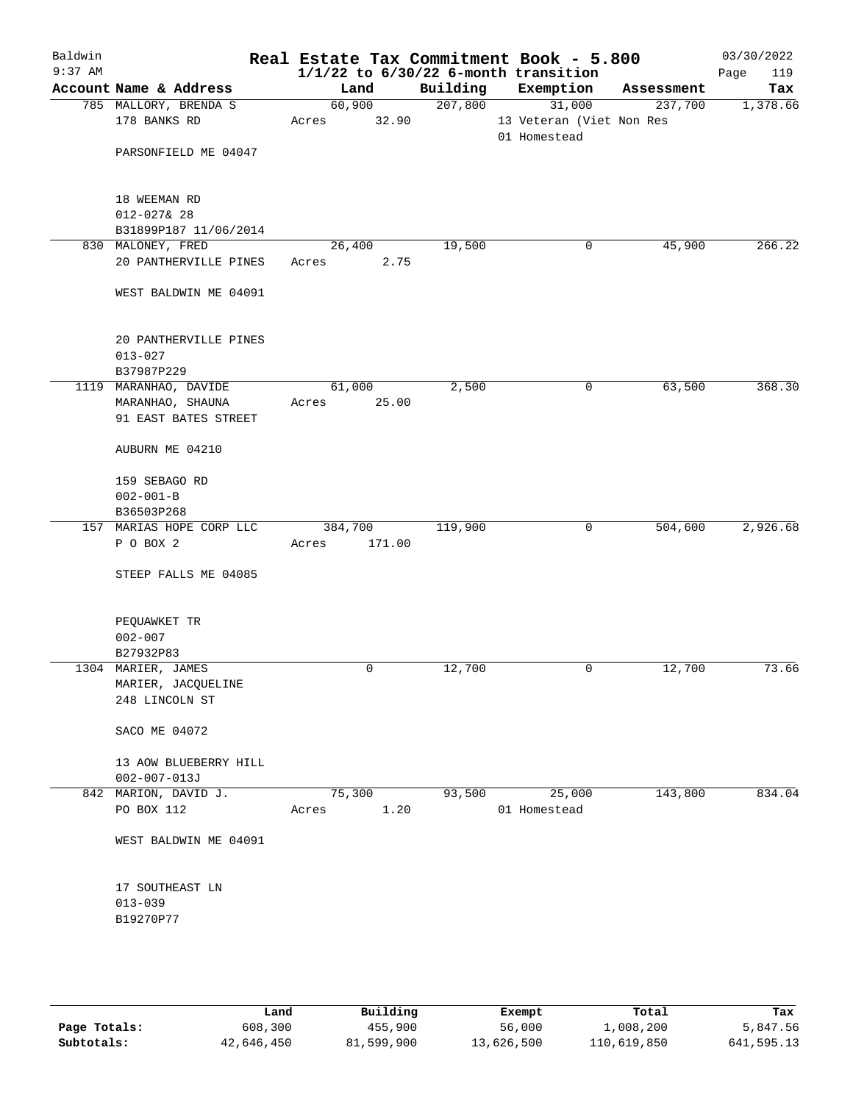| Baldwin<br>$9:37$ AM |                                                                   |                  |        | Real Estate Tax Commitment Book - 5.800<br>$1/1/22$ to $6/30/22$ 6-month transition |              |                                    |            | 03/30/2022<br>119<br>Page |
|----------------------|-------------------------------------------------------------------|------------------|--------|-------------------------------------------------------------------------------------|--------------|------------------------------------|------------|---------------------------|
|                      | Account Name & Address                                            | Land             |        | Building                                                                            |              | Exemption                          | Assessment | Tax                       |
|                      | 785 MALLORY, BRENDA S<br>178 BANKS RD                             | 60,900<br>Acres  | 32.90  | 207,800                                                                             |              | 31,000<br>13 Veteran (Viet Non Res | 237,700    | 1,378.66                  |
|                      | PARSONFIELD ME 04047                                              |                  |        |                                                                                     | 01 Homestead |                                    |            |                           |
|                      | 18 WEEMAN RD<br>$012 - 027$ & 28                                  |                  |        |                                                                                     |              |                                    |            |                           |
|                      | B31899P187 11/06/2014                                             |                  |        |                                                                                     |              |                                    |            |                           |
|                      | 830 MALONEY, FRED<br>20 PANTHERVILLE PINES                        | 26,400<br>Acres  | 2.75   | 19,500                                                                              |              | 0                                  | 45,900     | 266.22                    |
|                      | WEST BALDWIN ME 04091                                             |                  |        |                                                                                     |              |                                    |            |                           |
|                      | 20 PANTHERVILLE PINES<br>$013 - 027$                              |                  |        |                                                                                     |              |                                    |            |                           |
|                      | B37987P229                                                        |                  |        |                                                                                     |              |                                    |            |                           |
|                      | 1119 MARANHAO, DAVIDE<br>MARANHAO, SHAUNA<br>91 EAST BATES STREET | 61,000<br>Acres  | 25.00  | 2,500                                                                               |              | 0                                  | 63,500     | 368.30                    |
|                      | AUBURN ME 04210                                                   |                  |        |                                                                                     |              |                                    |            |                           |
|                      | 159 SEBAGO RD<br>$002 - 001 - B$                                  |                  |        |                                                                                     |              |                                    |            |                           |
|                      | B36503P268                                                        |                  |        |                                                                                     |              |                                    |            |                           |
|                      | 157 MARIAS HOPE CORP LLC<br>P O BOX 2                             | 384,700<br>Acres | 171.00 | 119,900                                                                             |              | 0                                  | 504,600    | 2,926.68                  |
|                      | STEEP FALLS ME 04085                                              |                  |        |                                                                                     |              |                                    |            |                           |
|                      | PEQUAWKET TR<br>$002 - 007$<br>B27932P83                          |                  |        |                                                                                     |              |                                    |            |                           |
|                      | 1304 MARIER, JAMES                                                |                  | 0      | 12,700                                                                              |              | 0                                  | 12,700     | 73.66                     |
|                      | MARIER, JACQUELINE<br>248 LINCOLN ST                              |                  |        |                                                                                     |              |                                    |            |                           |
|                      | SACO ME 04072                                                     |                  |        |                                                                                     |              |                                    |            |                           |
|                      | 13 AOW BLUEBERRY HILL<br>$002 - 007 - 013J$                       |                  |        |                                                                                     |              |                                    |            |                           |
|                      | 842 MARION, DAVID J.                                              | 75,300           |        | 93,500                                                                              |              | 25,000                             | 143,800    | 834.04                    |
|                      | PO BOX 112                                                        | Acres            | 1.20   |                                                                                     | 01 Homestead |                                    |            |                           |
|                      | WEST BALDWIN ME 04091                                             |                  |        |                                                                                     |              |                                    |            |                           |
|                      | 17 SOUTHEAST LN<br>$013 - 039$<br>B19270P77                       |                  |        |                                                                                     |              |                                    |            |                           |
|                      |                                                                   |                  |        |                                                                                     |              |                                    |            |                           |

|              | Land       | Building   | Exempt     | Total       | Tax        |
|--------------|------------|------------|------------|-------------|------------|
| Page Totals: | 608,300    | 455,900    | 56,000     | 1,008,200   | 5,847.56   |
| Subtotals:   | 42,646,450 | 81,599,900 | 13,626,500 | 110,619,850 | 641,595.13 |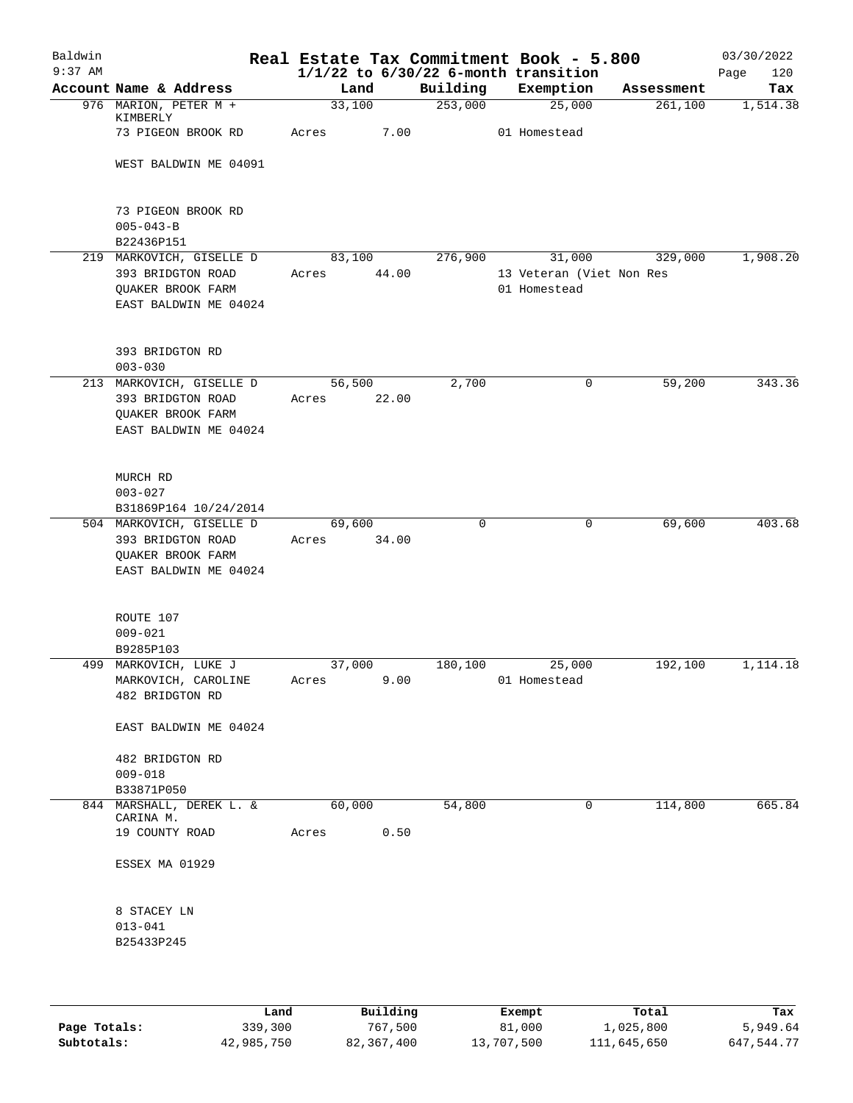| Baldwin<br>$9:37$ AM |                                            |        |       |             | Real Estate Tax Commitment Book - 5.800<br>$1/1/22$ to $6/30/22$ 6-month transition |            | 03/30/2022<br>120<br>Page |
|----------------------|--------------------------------------------|--------|-------|-------------|-------------------------------------------------------------------------------------|------------|---------------------------|
|                      | Account Name & Address                     | Land   |       | Building    | Exemption                                                                           | Assessment | Tax                       |
|                      | 976 MARION, PETER M +                      | 33,100 |       | 253,000     | 25,000                                                                              | 261,100    | 1,514.38                  |
|                      | KIMBERLY<br>73 PIGEON BROOK RD             | Acres  | 7.00  |             | 01 Homestead                                                                        |            |                           |
|                      | WEST BALDWIN ME 04091                      |        |       |             |                                                                                     |            |                           |
|                      |                                            |        |       |             |                                                                                     |            |                           |
|                      | 73 PIGEON BROOK RD<br>$005 - 043 - B$      |        |       |             |                                                                                     |            |                           |
|                      | B22436P151                                 |        |       |             |                                                                                     |            |                           |
|                      | 219 MARKOVICH, GISELLE D                   | 83,100 |       | 276,900     | 31,000                                                                              | 329,000    | 1,908.20                  |
|                      | 393 BRIDGTON ROAD                          | Acres  | 44.00 |             | 13 Veteran (Viet Non Res                                                            |            |                           |
|                      | QUAKER BROOK FARM<br>EAST BALDWIN ME 04024 |        |       |             | 01 Homestead                                                                        |            |                           |
|                      |                                            |        |       |             |                                                                                     |            |                           |
|                      | 393 BRIDGTON RD<br>$003 - 030$             |        |       |             |                                                                                     |            |                           |
|                      | 213 MARKOVICH, GISELLE D                   | 56,500 |       | 2,700       | 0                                                                                   | 59,200     | 343.36                    |
|                      | 393 BRIDGTON ROAD                          | Acres  | 22.00 |             |                                                                                     |            |                           |
|                      | QUAKER BROOK FARM                          |        |       |             |                                                                                     |            |                           |
|                      | EAST BALDWIN ME 04024                      |        |       |             |                                                                                     |            |                           |
|                      | MURCH RD                                   |        |       |             |                                                                                     |            |                           |
|                      | $003 - 027$                                |        |       |             |                                                                                     |            |                           |
|                      | B31869P164 10/24/2014                      |        |       |             |                                                                                     |            |                           |
|                      | 504 MARKOVICH, GISELLE D                   | 69,600 |       | $\mathbf 0$ | $\mathbf 0$                                                                         | 69,600     | 403.68                    |
|                      | 393 BRIDGTON ROAD                          | Acres  | 34.00 |             |                                                                                     |            |                           |
|                      | QUAKER BROOK FARM                          |        |       |             |                                                                                     |            |                           |
|                      | EAST BALDWIN ME 04024                      |        |       |             |                                                                                     |            |                           |
|                      | ROUTE 107                                  |        |       |             |                                                                                     |            |                           |
|                      | $009 - 021$                                |        |       |             |                                                                                     |            |                           |
|                      | B9285P103                                  |        |       |             |                                                                                     |            |                           |
|                      | 499 MARKOVICH, LUKE J                      | 37,000 |       | 180,100     | 25,000                                                                              | 192,100    | 1,114.18                  |
|                      | MARKOVICH, CAROLINE                        | Acres  | 9.00  |             | 01 Homestead                                                                        |            |                           |
|                      | 482 BRIDGTON RD                            |        |       |             |                                                                                     |            |                           |
|                      | EAST BALDWIN ME 04024                      |        |       |             |                                                                                     |            |                           |
|                      | 482 BRIDGTON RD                            |        |       |             |                                                                                     |            |                           |
|                      | $009 - 018$                                |        |       |             |                                                                                     |            |                           |
|                      | B33871P050                                 |        |       |             |                                                                                     |            |                           |
|                      | 844 MARSHALL, DEREK L. &                   | 60,000 |       | 54,800      | 0                                                                                   | 114,800    | 665.84                    |
|                      | CARINA M.<br>19 COUNTY ROAD                | Acres  | 0.50  |             |                                                                                     |            |                           |
|                      | ESSEX MA 01929                             |        |       |             |                                                                                     |            |                           |
|                      | 8 STACEY LN                                |        |       |             |                                                                                     |            |                           |
|                      | $013 - 041$                                |        |       |             |                                                                                     |            |                           |
|                      | B25433P245                                 |        |       |             |                                                                                     |            |                           |
|                      |                                            |        |       |             |                                                                                     |            |                           |
|                      |                                            |        |       |             |                                                                                     |            |                           |
|                      |                                            |        |       |             |                                                                                     |            |                           |

|              | Land       | Building   | Exempt     | Total       | Tax        |
|--------------|------------|------------|------------|-------------|------------|
| Page Totals: | 339,300    | 767,500    | 81,000     | 1,025,800   | 5,949.64   |
| Subtotals:   | 42,985,750 | 82,367,400 | 13,707,500 | 111,645,650 | 647,544.77 |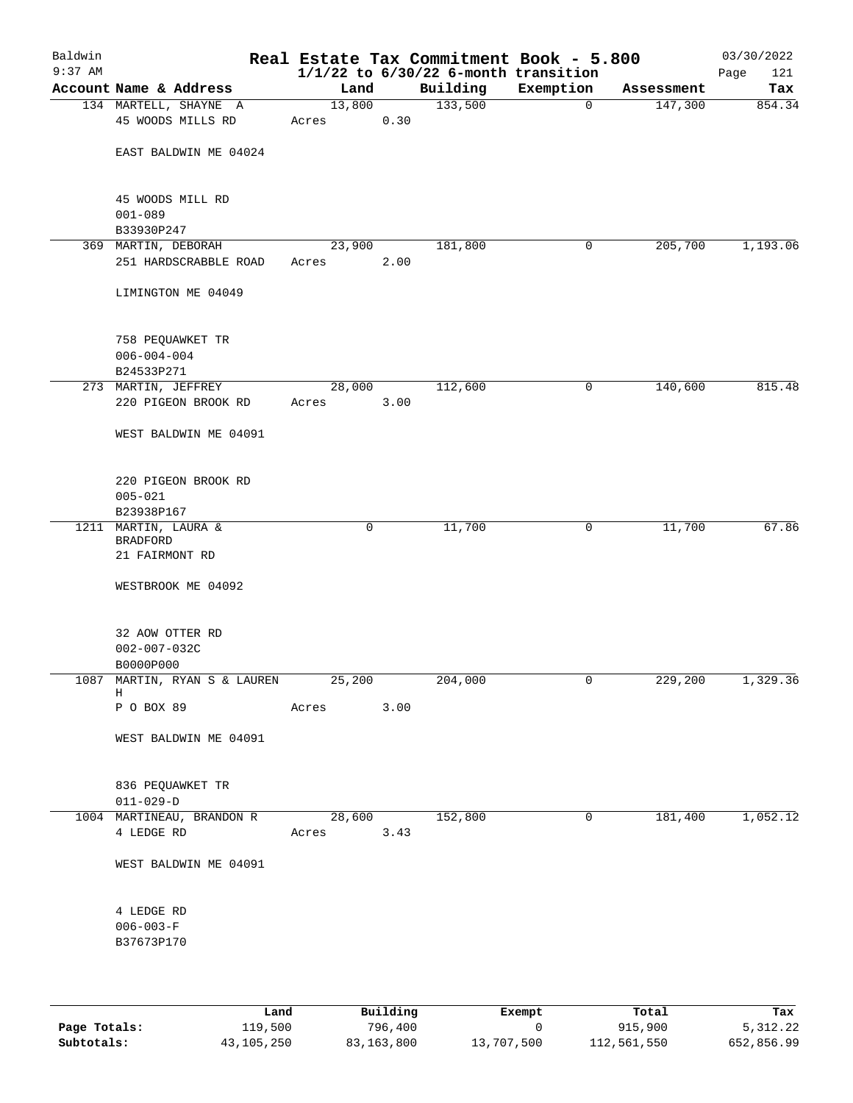| Baldwin<br>$9:37$ AM |                                                     |                 |      | Real Estate Tax Commitment Book - 5.800<br>$1/1/22$ to $6/30/22$ 6-month transition |              |            | 03/30/2022<br>121<br>Page |
|----------------------|-----------------------------------------------------|-----------------|------|-------------------------------------------------------------------------------------|--------------|------------|---------------------------|
|                      | Account Name & Address                              | Land            |      | Building                                                                            | Exemption    | Assessment | Tax                       |
|                      | 134 MARTELL, SHAYNE A                               | 13,800          |      | 133,500                                                                             | $\mathbf 0$  | 147,300    | 854.34                    |
|                      | 45 WOODS MILLS RD                                   | Acres           | 0.30 |                                                                                     |              |            |                           |
|                      | EAST BALDWIN ME 04024                               |                 |      |                                                                                     |              |            |                           |
|                      | 45 WOODS MILL RD<br>$001 - 089$                     |                 |      |                                                                                     |              |            |                           |
|                      | B33930P247                                          |                 |      |                                                                                     |              |            |                           |
|                      | 369 MARTIN, DEBORAH<br>251 HARDSCRABBLE ROAD        | 23,900<br>Acres | 2.00 | 181,800                                                                             | 0            | 205,700    | 1,193.06                  |
|                      | LIMINGTON ME 04049                                  |                 |      |                                                                                     |              |            |                           |
|                      | 758 PEQUAWKET TR<br>$006 - 004 - 004$<br>B24533P271 |                 |      |                                                                                     |              |            |                           |
|                      | 273 MARTIN, JEFFREY                                 | 28,000          |      | 112,600                                                                             | $\mathsf{O}$ | 140,600    | 815.48                    |
|                      | 220 PIGEON BROOK RD                                 | Acres           | 3.00 |                                                                                     |              |            |                           |
|                      | WEST BALDWIN ME 04091                               |                 |      |                                                                                     |              |            |                           |
|                      | 220 PIGEON BROOK RD<br>$005 - 021$<br>B23938P167    |                 |      |                                                                                     |              |            |                           |
|                      | 1211 MARTIN, LAURA &                                | 0               |      | 11,700                                                                              | 0            | 11,700     | 67.86                     |
|                      | <b>BRADFORD</b><br>21 FAIRMONT RD                   |                 |      |                                                                                     |              |            |                           |
|                      | WESTBROOK ME 04092                                  |                 |      |                                                                                     |              |            |                           |
|                      | 32 AOW OTTER RD<br>$002 - 007 - 032C$<br>B0000P000  |                 |      |                                                                                     |              |            |                           |
|                      | 1087  MARTIN, RYAN S & LAUREN                       | 25,200          |      | 204,000                                                                             | 0            | 229,200    | 1,329.36                  |
|                      | Н<br>P O BOX 89                                     | Acres           | 3.00 |                                                                                     |              |            |                           |
|                      | WEST BALDWIN ME 04091                               |                 |      |                                                                                     |              |            |                           |
|                      | 836 PEQUAWKET TR<br>$011 - 029 - D$                 |                 |      |                                                                                     |              |            |                           |
|                      | 1004 MARTINEAU, BRANDON R<br>4 LEDGE RD             | 28,600<br>Acres | 3.43 | 152,800                                                                             | $\mathsf{O}$ | 181,400    | 1,052.12                  |
|                      | WEST BALDWIN ME 04091                               |                 |      |                                                                                     |              |            |                           |
|                      | 4 LEDGE RD<br>$006 - 003 - F$<br>B37673P170         |                 |      |                                                                                     |              |            |                           |
|                      |                                                     |                 |      |                                                                                     |              |            |                           |

|              | Land         | Building   | Exempt     | Total       | Tax        |
|--------------|--------------|------------|------------|-------------|------------|
| Page Totals: | 119,500      | 796,400    |            | 915,900     | 5, 312, 22 |
| Subtotals:   | 43, 105, 250 | 83,163,800 | 13,707,500 | 112,561,550 | 652,856.99 |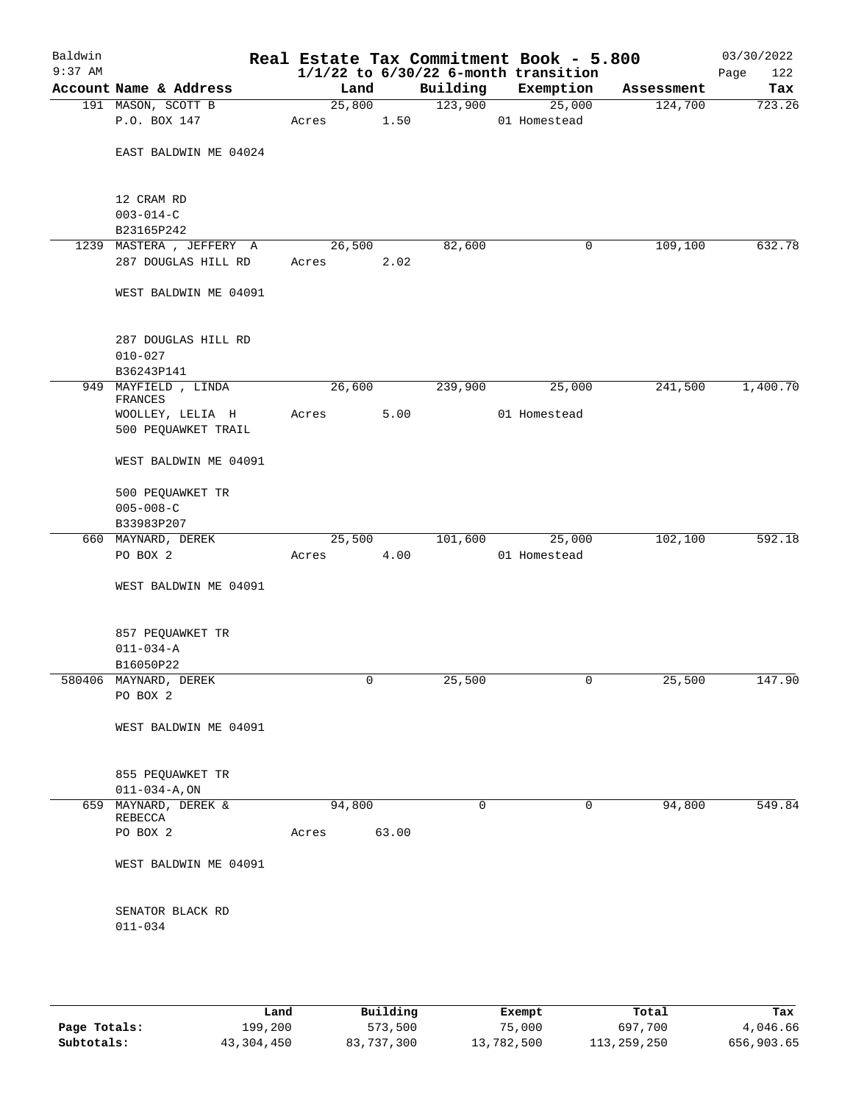| Baldwin<br>$9:37$ AM |                                          |        |       |          | Real Estate Tax Commitment Book - 5.800<br>$1/1/22$ to $6/30/22$ 6-month transition |            | 03/30/2022<br>122<br>Page |
|----------------------|------------------------------------------|--------|-------|----------|-------------------------------------------------------------------------------------|------------|---------------------------|
|                      | Account Name & Address                   | Land   |       | Building | Exemption                                                                           | Assessment | Tax                       |
|                      | 191 MASON, SCOTT B                       | 25,800 |       | 123,900  | 25,000                                                                              | 124,700    | 723.26                    |
|                      | P.O. BOX 147                             | Acres  | 1.50  |          | 01 Homestead                                                                        |            |                           |
|                      | EAST BALDWIN ME 04024                    |        |       |          |                                                                                     |            |                           |
|                      | 12 CRAM RD                               |        |       |          |                                                                                     |            |                           |
|                      | $003 - 014 - C$<br>B23165P242            |        |       |          |                                                                                     |            |                           |
|                      | 1239 MASTERA , JEFFERY A                 | 26,500 |       | 82,600   | 0                                                                                   | 109,100    | 632.78                    |
|                      | 287 DOUGLAS HILL RD                      | Acres  | 2.02  |          |                                                                                     |            |                           |
|                      | WEST BALDWIN ME 04091                    |        |       |          |                                                                                     |            |                           |
|                      | 287 DOUGLAS HILL RD<br>$010 - 027$       |        |       |          |                                                                                     |            |                           |
|                      | B36243P141                               |        |       |          |                                                                                     |            |                           |
|                      | 949 MAYFIELD, LINDA<br>FRANCES           | 26,600 |       | 239,900  | 25,000                                                                              | 241,500    | 1,400.70                  |
|                      | WOOLLEY, LELIA H<br>500 PEQUAWKET TRAIL  | Acres  | 5.00  |          | 01 Homestead                                                                        |            |                           |
|                      | WEST BALDWIN ME 04091                    |        |       |          |                                                                                     |            |                           |
|                      | 500 PEQUAWKET TR                         |        |       |          |                                                                                     |            |                           |
|                      | $005 - 008 - C$                          |        |       |          |                                                                                     |            |                           |
|                      | B33983P207<br>660 MAYNARD, DEREK         | 25,500 |       | 101,600  | 25,000                                                                              | 102,100    | 592.18                    |
|                      | PO BOX 2                                 | Acres  | 4.00  |          | 01 Homestead                                                                        |            |                           |
|                      | WEST BALDWIN ME 04091                    |        |       |          |                                                                                     |            |                           |
|                      | 857 PEQUAWKET TR                         |        |       |          |                                                                                     |            |                           |
|                      | $011 - 034 - A$                          |        |       |          |                                                                                     |            |                           |
|                      | B16050P22<br>580406 MAYNARD, DEREK       | 0      |       | 25,500   | 0                                                                                   | 25,500     | 147.90                    |
|                      | PO BOX 2                                 |        |       |          |                                                                                     |            |                           |
|                      | WEST BALDWIN ME 04091                    |        |       |          |                                                                                     |            |                           |
|                      | 855 PEQUAWKET TR<br>$011 - 034 - A$ , ON |        |       |          |                                                                                     |            |                           |
|                      | 659 MAYNARD, DEREK &                     | 94,800 |       | 0        | 0                                                                                   | 94,800     | 549.84                    |
|                      | REBECCA                                  |        |       |          |                                                                                     |            |                           |
|                      | PO BOX 2                                 | Acres  | 63.00 |          |                                                                                     |            |                           |
|                      | WEST BALDWIN ME 04091                    |        |       |          |                                                                                     |            |                           |
|                      | SENATOR BLACK RD<br>$011 - 034$          |        |       |          |                                                                                     |            |                           |
|                      |                                          |        |       |          |                                                                                     |            |                           |

|              | Land       | Building   | Exempt     | Total       | Tax        |
|--------------|------------|------------|------------|-------------|------------|
| Page Totals: | 199,200    | 573,500    | 75,000     | 697,700     | 4,046.66   |
| Subtotals:   | 43,304,450 | 83,737,300 | 13,782,500 | 113,259,250 | 656,903.65 |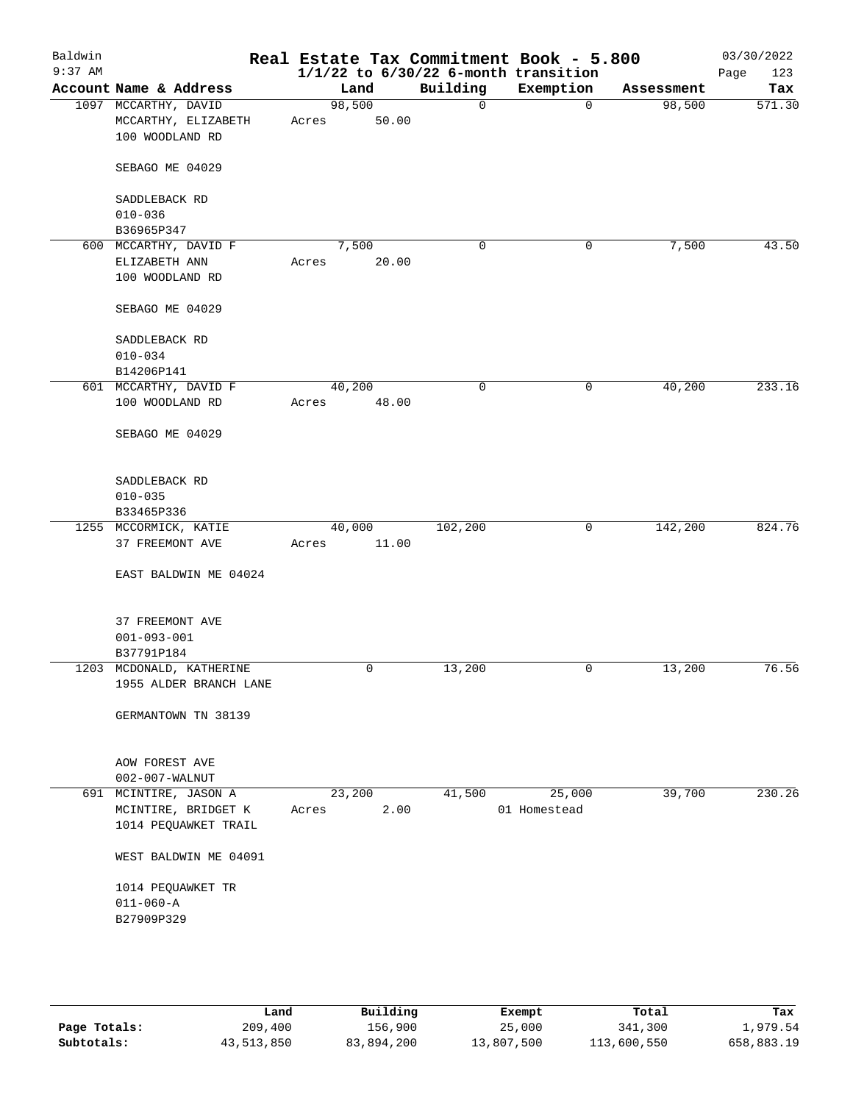| Baldwin<br>$9:37$ AM |                                      |       |        |              | Real Estate Tax Commitment Book - 5.800<br>$1/1/22$ to $6/30/22$ 6-month transition |            | 03/30/2022<br>123<br>Page |
|----------------------|--------------------------------------|-------|--------|--------------|-------------------------------------------------------------------------------------|------------|---------------------------|
|                      | Account Name & Address               |       | Land   | Building     | Exemption                                                                           | Assessment | Tax                       |
|                      | 1097 MCCARTHY, DAVID                 |       | 98,500 | $\mathbf{0}$ | 0                                                                                   | 98,500     | 571.30                    |
|                      | MCCARTHY, ELIZABETH                  | Acres | 50.00  |              |                                                                                     |            |                           |
|                      | 100 WOODLAND RD                      |       |        |              |                                                                                     |            |                           |
|                      | SEBAGO ME 04029                      |       |        |              |                                                                                     |            |                           |
|                      | SADDLEBACK RD                        |       |        |              |                                                                                     |            |                           |
|                      | $010 - 036$                          |       |        |              |                                                                                     |            |                           |
|                      | B36965P347                           |       |        |              |                                                                                     |            |                           |
|                      | 600 MCCARTHY, DAVID F                |       | 7,500  | 0            | 0                                                                                   | 7,500      | 43.50                     |
|                      | ELIZABETH ANN                        | Acres | 20.00  |              |                                                                                     |            |                           |
|                      | 100 WOODLAND RD                      |       |        |              |                                                                                     |            |                           |
|                      | SEBAGO ME 04029                      |       |        |              |                                                                                     |            |                           |
|                      | SADDLEBACK RD                        |       |        |              |                                                                                     |            |                           |
|                      | $010 - 034$                          |       |        |              |                                                                                     |            |                           |
|                      | B14206P141                           |       |        |              |                                                                                     |            |                           |
|                      | 601 MCCARTHY, DAVID F                |       | 40,200 | 0            | 0                                                                                   | 40,200     | 233.16                    |
|                      | 100 WOODLAND RD                      | Acres | 48.00  |              |                                                                                     |            |                           |
|                      | SEBAGO ME 04029                      |       |        |              |                                                                                     |            |                           |
|                      |                                      |       |        |              |                                                                                     |            |                           |
|                      | SADDLEBACK RD                        |       |        |              |                                                                                     |            |                           |
|                      | $010 - 035$                          |       |        |              |                                                                                     |            |                           |
|                      | B33465P336                           |       |        |              |                                                                                     |            |                           |
|                      | 1255 MCCORMICK, KATIE                |       | 40,000 | 102,200      | 0                                                                                   | 142,200    | 824.76                    |
|                      | 37 FREEMONT AVE                      | Acres | 11.00  |              |                                                                                     |            |                           |
|                      | EAST BALDWIN ME 04024                |       |        |              |                                                                                     |            |                           |
|                      |                                      |       |        |              |                                                                                     |            |                           |
|                      | 37 FREEMONT AVE<br>$001 - 093 - 001$ |       |        |              |                                                                                     |            |                           |
|                      | B37791P184                           |       |        |              |                                                                                     |            |                           |
|                      | 1203 MCDONALD, KATHERINE             |       | 0      | 13,200       | 0                                                                                   | 13,200     | 76.56                     |
|                      | 1955 ALDER BRANCH LANE               |       |        |              |                                                                                     |            |                           |
|                      |                                      |       |        |              |                                                                                     |            |                           |
|                      | GERMANTOWN TN 38139                  |       |        |              |                                                                                     |            |                           |
|                      | AOW FOREST AVE                       |       |        |              |                                                                                     |            |                           |
|                      | 002-007-WALNUT                       |       |        |              |                                                                                     |            |                           |
|                      | 691 MCINTIRE, JASON A                |       | 23,200 | 41,500       | 25,000                                                                              | 39,700     | 230.26                    |
|                      | MCINTIRE, BRIDGET K                  | Acres | 2.00   |              | 01 Homestead                                                                        |            |                           |
|                      | 1014 PEQUAWKET TRAIL                 |       |        |              |                                                                                     |            |                           |
|                      | WEST BALDWIN ME 04091                |       |        |              |                                                                                     |            |                           |
|                      | 1014 PEQUAWKET TR                    |       |        |              |                                                                                     |            |                           |
|                      | $011 - 060 - A$                      |       |        |              |                                                                                     |            |                           |
|                      | B27909P329                           |       |        |              |                                                                                     |            |                           |
|                      |                                      |       |        |              |                                                                                     |            |                           |
|                      |                                      |       |        |              |                                                                                     |            |                           |
|                      |                                      |       |        |              |                                                                                     |            |                           |

|              | Land       | Building   | Exempt     | Total       | Tax        |
|--------------|------------|------------|------------|-------------|------------|
| Page Totals: | 209,400    | 156,900    | 25,000     | 341,300     | 1,979.54   |
| Subtotals:   | 43,513,850 | 83,894,200 | 13,807,500 | 113,600,550 | 658,883.19 |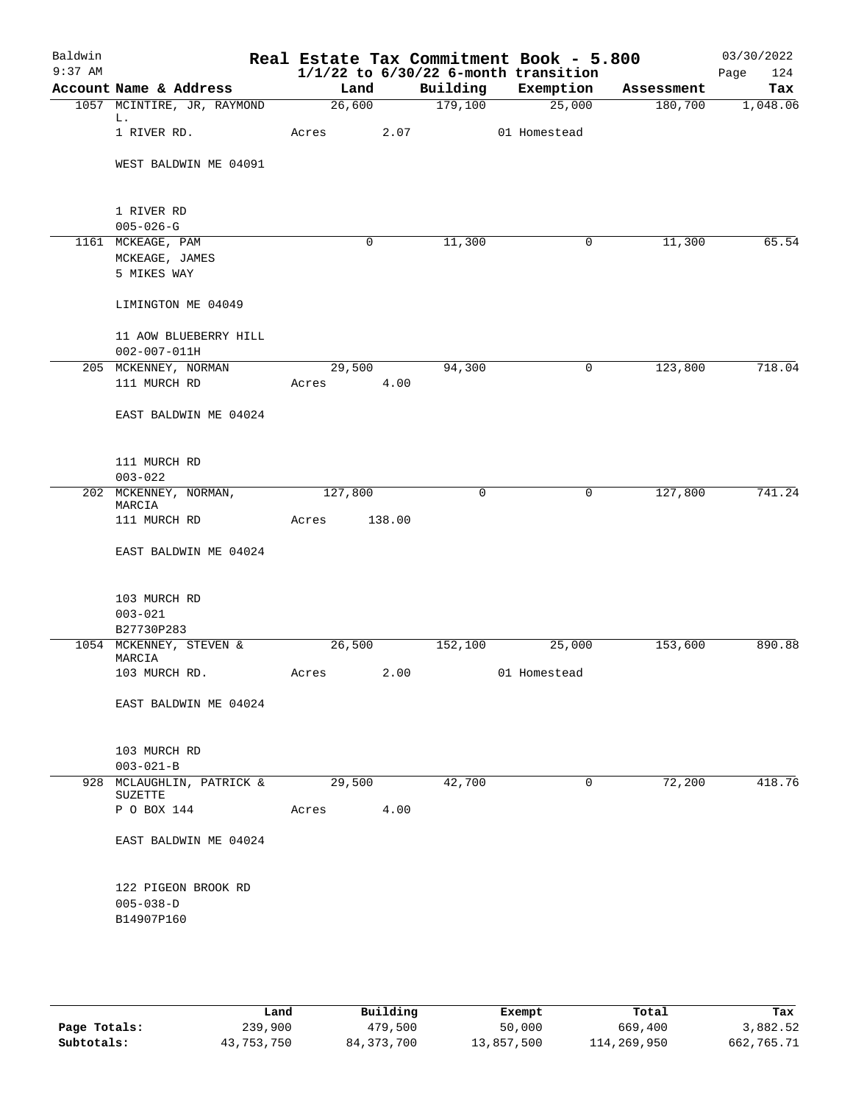| Baldwin   |                                              |         |        |         | Real Estate Tax Commitment Book - 5.800  |            | 03/30/2022  |
|-----------|----------------------------------------------|---------|--------|---------|------------------------------------------|------------|-------------|
| $9:37$ AM |                                              |         |        |         | $1/1/22$ to $6/30/22$ 6-month transition |            | Page<br>124 |
|           | Account Name & Address                       |         | Land   |         | Building Exemption                       | Assessment | Tax         |
|           | 1057 MCINTIRE, JR, RAYMOND                   |         | 26,600 | 179,100 | 25,000                                   | 180,700    | 1,048.06    |
|           | L.<br>1 RIVER RD.                            | Acres   | 2.07   |         | 01 Homestead                             |            |             |
|           | WEST BALDWIN ME 04091                        |         |        |         |                                          |            |             |
|           |                                              |         |        |         |                                          |            |             |
|           | 1 RIVER RD<br>$005 - 026 - G$                |         |        |         |                                          |            |             |
|           | 1161 MCKEAGE, PAM                            |         | 0      | 11,300  | $\mathsf{O}$                             | 11,300     | 65.54       |
|           | MCKEAGE, JAMES                               |         |        |         |                                          |            |             |
|           | 5 MIKES WAY                                  |         |        |         |                                          |            |             |
|           | LIMINGTON ME 04049                           |         |        |         |                                          |            |             |
|           |                                              |         |        |         |                                          |            |             |
|           | 11 AOW BLUEBERRY HILL<br>$002 - 007 - 011H$  |         |        |         |                                          |            |             |
|           | 205 MCKENNEY, NORMAN                         |         | 29,500 | 94,300  | 0                                        | 123,800    | 718.04      |
|           | 111 MURCH RD                                 | Acres   | 4.00   |         |                                          |            |             |
|           |                                              |         |        |         |                                          |            |             |
|           | EAST BALDWIN ME 04024                        |         |        |         |                                          |            |             |
|           | 111 MURCH RD                                 |         |        |         |                                          |            |             |
|           | $003 - 022$                                  |         |        |         |                                          |            |             |
|           | 202 MCKENNEY, NORMAN,<br>MARCIA              | 127,800 |        | 0       | $\mathbf 0$                              | 127,800    | 741.24      |
|           | 111 MURCH RD                                 | Acres   | 138.00 |         |                                          |            |             |
|           | EAST BALDWIN ME 04024                        |         |        |         |                                          |            |             |
|           | 103 MURCH RD                                 |         |        |         |                                          |            |             |
|           | $003 - 021$                                  |         |        |         |                                          |            |             |
|           | B27730P283                                   |         |        |         |                                          |            |             |
|           | 1054 MCKENNEY, STEVEN &<br>MARCIA            |         | 26,500 | 152,100 | 25,000                                   | 153,600    | 890.88      |
|           | 103 MURCH RD.                                |         |        |         | Acres 2.00 01 Homestead                  |            |             |
|           | EAST BALDWIN ME 04024                        |         |        |         |                                          |            |             |
|           |                                              |         |        |         |                                          |            |             |
|           | 103 MURCH RD                                 |         |        |         |                                          |            |             |
|           | $003 - 021 - B$<br>928 MCLAUGHLIN, PATRICK & |         | 29,500 | 42,700  | $\mathbf{0}$                             | 72,200     | 418.76      |
|           | SUZETTE                                      |         |        |         |                                          |            |             |
|           | P O BOX 144                                  | Acres   | 4.00   |         |                                          |            |             |
|           | EAST BALDWIN ME 04024                        |         |        |         |                                          |            |             |
|           | 122 PIGEON BROOK RD                          |         |        |         |                                          |            |             |
|           | $005 - 038 - D$                              |         |        |         |                                          |            |             |
|           | B14907P160                                   |         |        |         |                                          |            |             |
|           |                                              |         |        |         |                                          |            |             |
|           |                                              |         |        |         |                                          |            |             |

|              | Land       | Building   | Exempt     | Total       | Tax        |
|--------------|------------|------------|------------|-------------|------------|
| Page Totals: | 239,900    | 479,500    | 50,000     | 669,400     | 3,882.52   |
| Subtotals:   | 43,753,750 | 84,373,700 | 13,857,500 | 114,269,950 | 662,765.71 |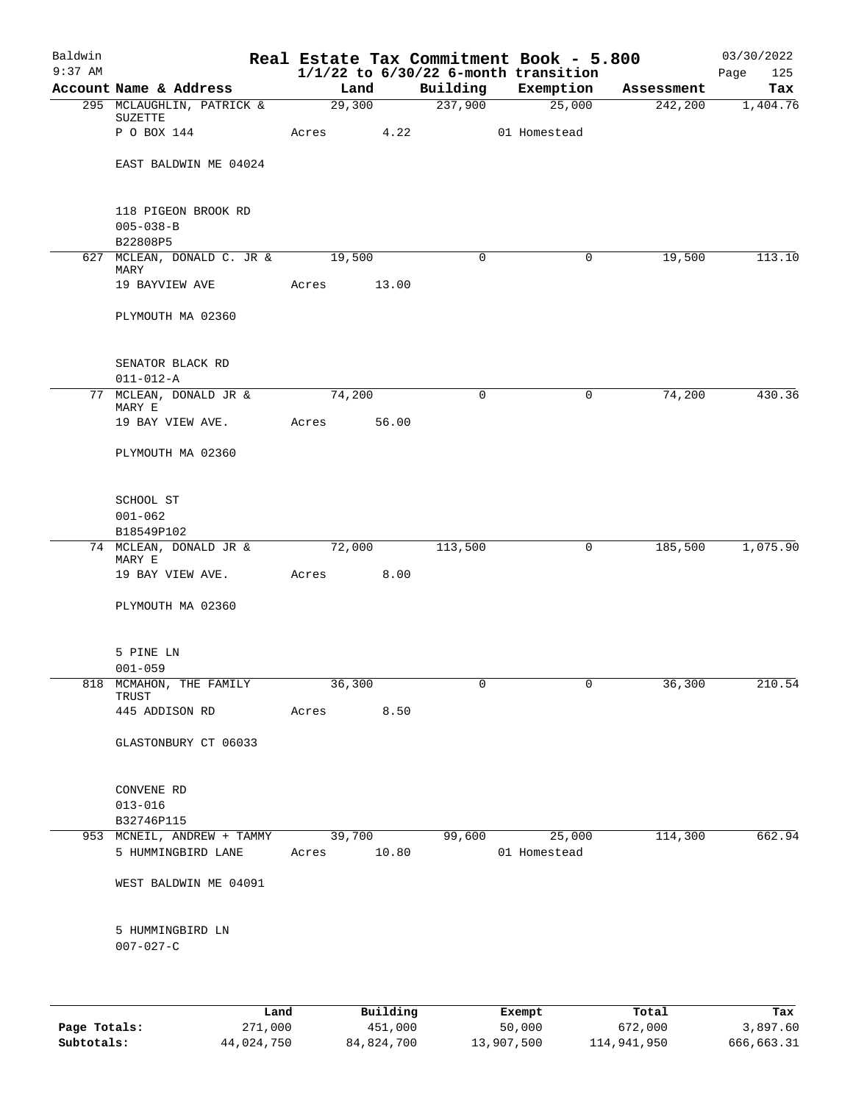| $1/1/22$ to $6/30/22$ 6-month transition<br>Account Name & Address<br>Building<br>Exemption<br>Land<br>Assessment<br>29,300<br>237,900<br>25,000<br>242,200<br>295 MCLAUGHLIN, PATRICK &<br>SUZETTE<br>4.22<br>P O BOX 144<br>01 Homestead<br>Acres<br>EAST BALDWIN ME 04024<br>118 PIGEON BROOK RD<br>$005 - 038 - B$<br>B22808P5<br>627 MCLEAN, DONALD C. JR &<br>19,500<br>$\mathbf 0$<br>$\mathbf 0$<br>19,500<br>MARY<br>19 BAYVIEW AVE<br>13.00<br>Acres<br>PLYMOUTH MA 02360<br>SENATOR BLACK RD<br>$011 - 012 - A$<br>77 MCLEAN, DONALD JR &<br>74,200<br>$\mathbf 0$<br>0<br>74,200<br>MARY E<br>56.00<br>19 BAY VIEW AVE.<br>Acres<br>PLYMOUTH MA 02360<br>SCHOOL ST<br>$001 - 062$<br>B18549P102<br>72,000<br>113,500<br>185,500<br>74 MCLEAN, DONALD JR &<br>0<br>MARY E<br>8.00<br>19 BAY VIEW AVE.<br>Acres<br>PLYMOUTH MA 02360<br>5 PINE LN<br>$001 - 059$<br>$\mathbf 0$<br>36,300<br>0<br>36,300<br>818 MCMAHON, THE FAMILY<br>TRUST<br>445 ADDISON RD<br>Acres<br>8.50<br>GLASTONBURY CT 06033<br>CONVENE RD<br>$013 - 016$<br>B32746P115<br>953 MCNEIL, ANDREW + TAMMY<br>114,300<br>39,700<br>99,600<br>25,000<br>5 HUMMINGBIRD LANE<br>Acres 10.80<br>01 Homestead<br>WEST BALDWIN ME 04091<br>5 HUMMINGBIRD LN<br>$007 - 027 - C$ | Baldwin<br>$9:37$ AM |  |  | Real Estate Tax Commitment Book - 5.800 | 03/30/2022<br>Page<br>125 |
|----------------------------------------------------------------------------------------------------------------------------------------------------------------------------------------------------------------------------------------------------------------------------------------------------------------------------------------------------------------------------------------------------------------------------------------------------------------------------------------------------------------------------------------------------------------------------------------------------------------------------------------------------------------------------------------------------------------------------------------------------------------------------------------------------------------------------------------------------------------------------------------------------------------------------------------------------------------------------------------------------------------------------------------------------------------------------------------------------------------------------------------------------------------------------------------------------------------------------------------------------------|----------------------|--|--|-----------------------------------------|---------------------------|
|                                                                                                                                                                                                                                                                                                                                                                                                                                                                                                                                                                                                                                                                                                                                                                                                                                                                                                                                                                                                                                                                                                                                                                                                                                                          |                      |  |  |                                         | Tax                       |
|                                                                                                                                                                                                                                                                                                                                                                                                                                                                                                                                                                                                                                                                                                                                                                                                                                                                                                                                                                                                                                                                                                                                                                                                                                                          |                      |  |  |                                         | 1,404.76                  |
|                                                                                                                                                                                                                                                                                                                                                                                                                                                                                                                                                                                                                                                                                                                                                                                                                                                                                                                                                                                                                                                                                                                                                                                                                                                          |                      |  |  |                                         |                           |
|                                                                                                                                                                                                                                                                                                                                                                                                                                                                                                                                                                                                                                                                                                                                                                                                                                                                                                                                                                                                                                                                                                                                                                                                                                                          |                      |  |  |                                         |                           |
|                                                                                                                                                                                                                                                                                                                                                                                                                                                                                                                                                                                                                                                                                                                                                                                                                                                                                                                                                                                                                                                                                                                                                                                                                                                          |                      |  |  |                                         |                           |
|                                                                                                                                                                                                                                                                                                                                                                                                                                                                                                                                                                                                                                                                                                                                                                                                                                                                                                                                                                                                                                                                                                                                                                                                                                                          |                      |  |  |                                         | 113.10                    |
|                                                                                                                                                                                                                                                                                                                                                                                                                                                                                                                                                                                                                                                                                                                                                                                                                                                                                                                                                                                                                                                                                                                                                                                                                                                          |                      |  |  |                                         |                           |
|                                                                                                                                                                                                                                                                                                                                                                                                                                                                                                                                                                                                                                                                                                                                                                                                                                                                                                                                                                                                                                                                                                                                                                                                                                                          |                      |  |  |                                         |                           |
|                                                                                                                                                                                                                                                                                                                                                                                                                                                                                                                                                                                                                                                                                                                                                                                                                                                                                                                                                                                                                                                                                                                                                                                                                                                          |                      |  |  |                                         |                           |
|                                                                                                                                                                                                                                                                                                                                                                                                                                                                                                                                                                                                                                                                                                                                                                                                                                                                                                                                                                                                                                                                                                                                                                                                                                                          |                      |  |  |                                         | 430.36                    |
|                                                                                                                                                                                                                                                                                                                                                                                                                                                                                                                                                                                                                                                                                                                                                                                                                                                                                                                                                                                                                                                                                                                                                                                                                                                          |                      |  |  |                                         |                           |
|                                                                                                                                                                                                                                                                                                                                                                                                                                                                                                                                                                                                                                                                                                                                                                                                                                                                                                                                                                                                                                                                                                                                                                                                                                                          |                      |  |  |                                         |                           |
|                                                                                                                                                                                                                                                                                                                                                                                                                                                                                                                                                                                                                                                                                                                                                                                                                                                                                                                                                                                                                                                                                                                                                                                                                                                          |                      |  |  |                                         |                           |
|                                                                                                                                                                                                                                                                                                                                                                                                                                                                                                                                                                                                                                                                                                                                                                                                                                                                                                                                                                                                                                                                                                                                                                                                                                                          |                      |  |  |                                         | 1,075.90                  |
|                                                                                                                                                                                                                                                                                                                                                                                                                                                                                                                                                                                                                                                                                                                                                                                                                                                                                                                                                                                                                                                                                                                                                                                                                                                          |                      |  |  |                                         |                           |
|                                                                                                                                                                                                                                                                                                                                                                                                                                                                                                                                                                                                                                                                                                                                                                                                                                                                                                                                                                                                                                                                                                                                                                                                                                                          |                      |  |  |                                         |                           |
|                                                                                                                                                                                                                                                                                                                                                                                                                                                                                                                                                                                                                                                                                                                                                                                                                                                                                                                                                                                                                                                                                                                                                                                                                                                          |                      |  |  |                                         |                           |
|                                                                                                                                                                                                                                                                                                                                                                                                                                                                                                                                                                                                                                                                                                                                                                                                                                                                                                                                                                                                                                                                                                                                                                                                                                                          |                      |  |  |                                         | 210.54                    |
|                                                                                                                                                                                                                                                                                                                                                                                                                                                                                                                                                                                                                                                                                                                                                                                                                                                                                                                                                                                                                                                                                                                                                                                                                                                          |                      |  |  |                                         |                           |
|                                                                                                                                                                                                                                                                                                                                                                                                                                                                                                                                                                                                                                                                                                                                                                                                                                                                                                                                                                                                                                                                                                                                                                                                                                                          |                      |  |  |                                         |                           |
|                                                                                                                                                                                                                                                                                                                                                                                                                                                                                                                                                                                                                                                                                                                                                                                                                                                                                                                                                                                                                                                                                                                                                                                                                                                          |                      |  |  |                                         |                           |
|                                                                                                                                                                                                                                                                                                                                                                                                                                                                                                                                                                                                                                                                                                                                                                                                                                                                                                                                                                                                                                                                                                                                                                                                                                                          |                      |  |  |                                         |                           |
|                                                                                                                                                                                                                                                                                                                                                                                                                                                                                                                                                                                                                                                                                                                                                                                                                                                                                                                                                                                                                                                                                                                                                                                                                                                          |                      |  |  |                                         | 662.94                    |
|                                                                                                                                                                                                                                                                                                                                                                                                                                                                                                                                                                                                                                                                                                                                                                                                                                                                                                                                                                                                                                                                                                                                                                                                                                                          |                      |  |  |                                         |                           |
|                                                                                                                                                                                                                                                                                                                                                                                                                                                                                                                                                                                                                                                                                                                                                                                                                                                                                                                                                                                                                                                                                                                                                                                                                                                          |                      |  |  |                                         |                           |
|                                                                                                                                                                                                                                                                                                                                                                                                                                                                                                                                                                                                                                                                                                                                                                                                                                                                                                                                                                                                                                                                                                                                                                                                                                                          |                      |  |  |                                         |                           |
| <b>Tond</b><br>$P_{11}$ ilding<br>$T_0 + 1$<br>$F$ vomnt                                                                                                                                                                                                                                                                                                                                                                                                                                                                                                                                                                                                                                                                                                                                                                                                                                                                                                                                                                                                                                                                                                                                                                                                 |                      |  |  |                                         | Tou                       |

|              | Land       | Building   | Exempt     | Total       | Tax        |
|--------------|------------|------------|------------|-------------|------------|
| Page Totals: | 271,000    | 451,000    | 50,000     | 672,000     | 3,897.60   |
| Subtotals:   | 44,024,750 | 84,824,700 | 13,907,500 | 114,941,950 | 666,663.31 |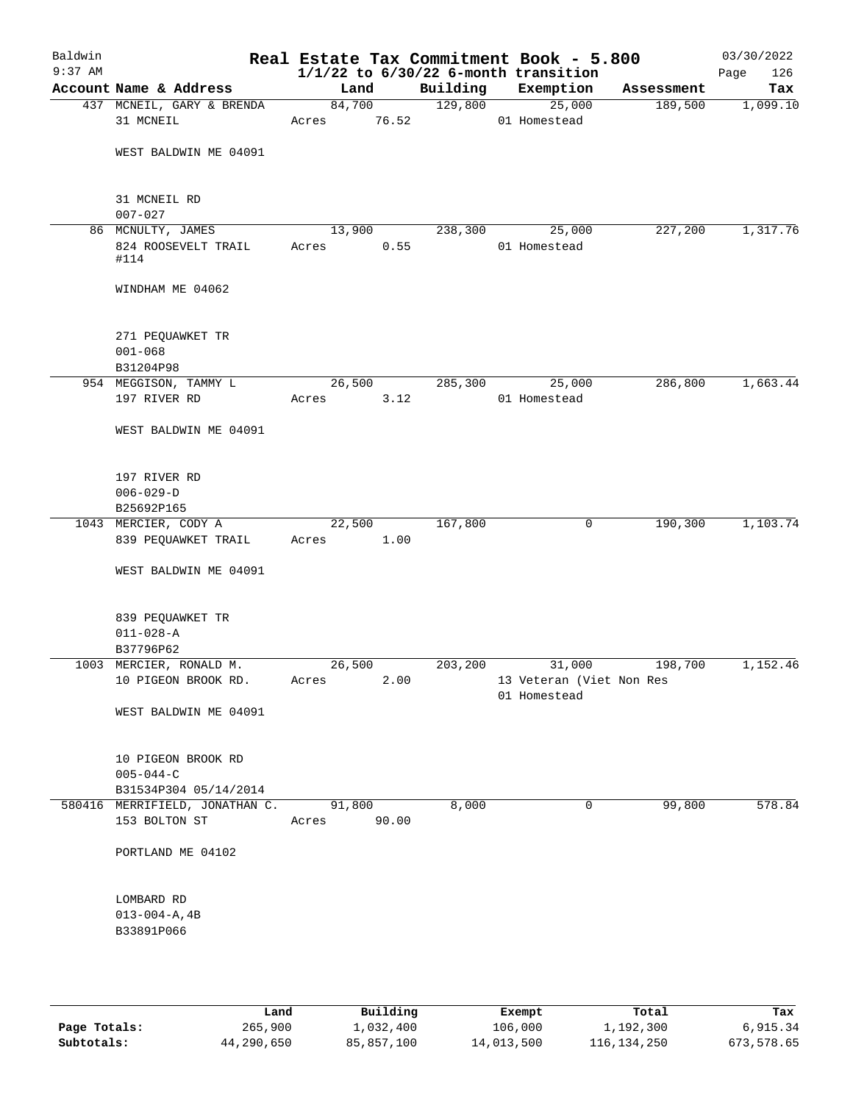| Baldwin<br>$9:37$ AM |                                                 |                 |       |          | Real Estate Tax Commitment Book - 5.800<br>$1/1/22$ to $6/30/22$ 6-month transition |            | 03/30/2022<br>126<br>Page |
|----------------------|-------------------------------------------------|-----------------|-------|----------|-------------------------------------------------------------------------------------|------------|---------------------------|
|                      | Account Name & Address                          | Land            |       | Building | Exemption                                                                           | Assessment | Tax                       |
|                      | 437 MCNEIL, GARY & BRENDA                       | 84,700          |       | 129,800  | 25,000                                                                              | 189,500    | 1,099.10                  |
|                      | 31 MCNEIL                                       | Acres           | 76.52 |          | 01 Homestead                                                                        |            |                           |
|                      | WEST BALDWIN ME 04091                           |                 |       |          |                                                                                     |            |                           |
|                      | 31 MCNEIL RD<br>$007 - 027$                     |                 |       |          |                                                                                     |            |                           |
|                      | 86 MCNULTY, JAMES                               | 13,900          |       | 238,300  | 25,000                                                                              | 227,200    | 1,317.76                  |
|                      | 824 ROOSEVELT TRAIL<br>#114                     | Acres           | 0.55  |          | 01 Homestead                                                                        |            |                           |
|                      | WINDHAM ME 04062                                |                 |       |          |                                                                                     |            |                           |
|                      | 271 PEQUAWKET TR<br>$001 - 068$<br>B31204P98    |                 |       |          |                                                                                     |            |                           |
|                      | 954 MEGGISON, TAMMY L                           | 26,500          |       | 285,300  | 25,000                                                                              | 286,800    | 1,663.44                  |
|                      | 197 RIVER RD                                    | Acres           | 3.12  |          | 01 Homestead                                                                        |            |                           |
|                      | WEST BALDWIN ME 04091                           |                 |       |          |                                                                                     |            |                           |
|                      |                                                 |                 |       |          |                                                                                     |            |                           |
|                      | 197 RIVER RD                                    |                 |       |          |                                                                                     |            |                           |
|                      | $006 - 029 - D$                                 |                 |       |          |                                                                                     |            |                           |
|                      | B25692P165                                      |                 |       |          |                                                                                     |            |                           |
|                      | 1043 MERCIER, CODY A                            | 22,500          |       | 167,800  | 0                                                                                   | 190,300    | 1,103.74                  |
|                      | 839 PEQUAWKET TRAIL                             | Acres           | 1.00  |          |                                                                                     |            |                           |
|                      | WEST BALDWIN ME 04091                           |                 |       |          |                                                                                     |            |                           |
|                      | 839 PEQUAWKET TR<br>$011 - 028 - A$             |                 |       |          |                                                                                     |            |                           |
|                      | B37796P62                                       |                 |       |          |                                                                                     |            |                           |
|                      | 1003 MERCIER, RONALD M.                         | 26,500          |       | 203,200  | 31,000                                                                              | 198,700    | 1,152.46                  |
|                      | 10 PIGEON BROOK RD.                             | Acres           | 2.00  |          | 13 Veteran (Viet Non Res<br>01 Homestead                                            |            |                           |
|                      | WEST BALDWIN ME 04091                           |                 |       |          |                                                                                     |            |                           |
|                      | 10 PIGEON BROOK RD<br>$005 - 044 - C$           |                 |       |          |                                                                                     |            |                           |
|                      | B31534P304 05/14/2014                           |                 |       |          |                                                                                     |            |                           |
|                      | 580416 MERRIFIELD, JONATHAN C.<br>153 BOLTON ST | 91,800<br>Acres | 90.00 | 8,000    | 0                                                                                   | 99,800     | 578.84                    |
|                      | PORTLAND ME 04102                               |                 |       |          |                                                                                     |            |                           |
|                      | LOMBARD RD                                      |                 |       |          |                                                                                     |            |                           |
|                      | $013 - 004 - A, 4B$                             |                 |       |          |                                                                                     |            |                           |
|                      | B33891P066                                      |                 |       |          |                                                                                     |            |                           |
|                      |                                                 |                 |       |          |                                                                                     |            |                           |

|              | Land       | Building   | Exempt     | Total       | Tax        |
|--------------|------------|------------|------------|-------------|------------|
| Page Totals: | 265,900    | l,032,400  | 106,000    | 1,192,300   | 6,915.34   |
| Subtotals:   | 44,290,650 | 85,857,100 | 14,013,500 | 116,134,250 | 673,578.65 |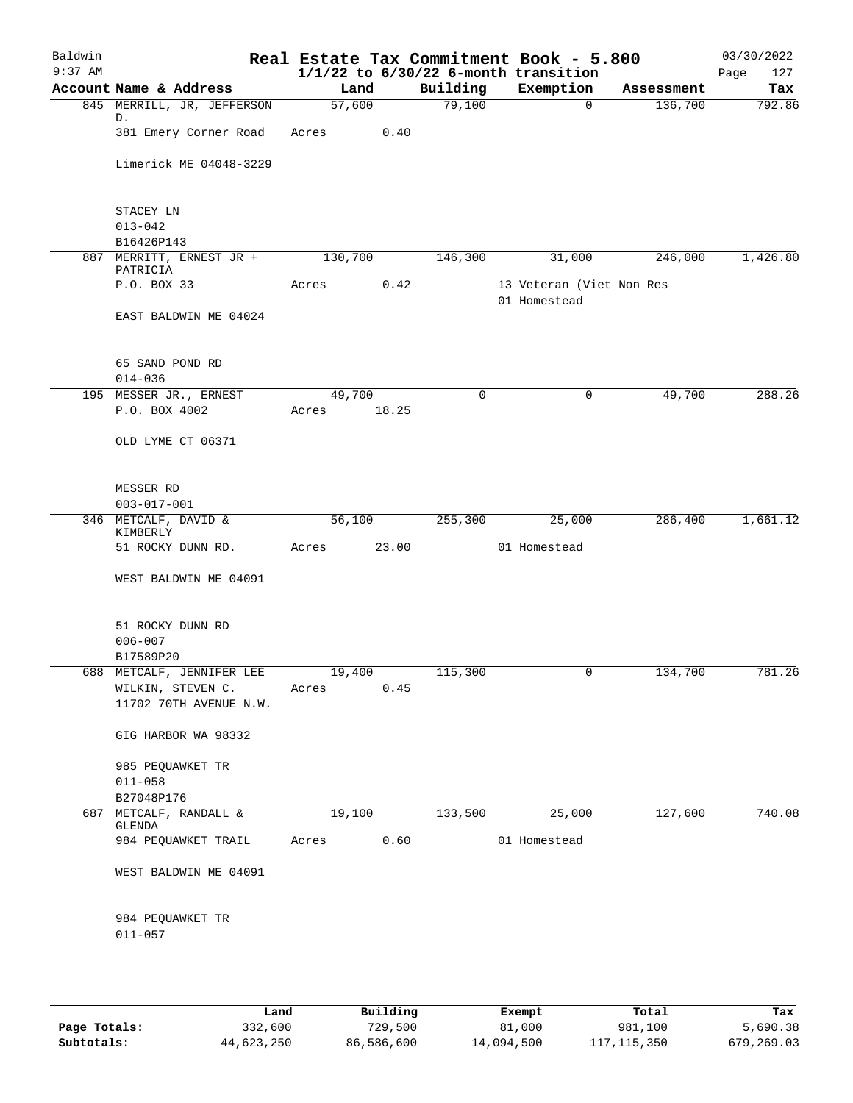| Baldwin<br>$9:37$ AM |                                        |                     |       |          | Real Estate Tax Commitment Book - 5.800<br>$1/1/22$ to $6/30/22$ 6-month transition |            | 03/30/2022<br>127<br>Page |
|----------------------|----------------------------------------|---------------------|-------|----------|-------------------------------------------------------------------------------------|------------|---------------------------|
|                      | Account Name & Address                 | Land                |       | Building | Exemption                                                                           | Assessment | Tax                       |
|                      | 845 MERRILL, JR, JEFFERSON             | $\overline{57,600}$ |       | 79,100   | 0                                                                                   | 136,700    | 792.86                    |
|                      | D.                                     |                     |       |          |                                                                                     |            |                           |
|                      | 381 Emery Corner Road                  | Acres               | 0.40  |          |                                                                                     |            |                           |
|                      | Limerick ME 04048-3229                 |                     |       |          |                                                                                     |            |                           |
|                      |                                        |                     |       |          |                                                                                     |            |                           |
|                      |                                        |                     |       |          |                                                                                     |            |                           |
|                      | STACEY LN                              |                     |       |          |                                                                                     |            |                           |
|                      | $013 - 042$                            |                     |       |          |                                                                                     |            |                           |
|                      | B16426P143<br>887 MERRITT, ERNEST JR + | 130,700             |       | 146,300  | 31,000                                                                              | 246,000    | 1,426.80                  |
|                      | PATRICIA                               |                     |       |          |                                                                                     |            |                           |
|                      | P.O. BOX 33                            | Acres               | 0.42  |          | 13 Veteran (Viet Non Res                                                            |            |                           |
|                      |                                        |                     |       |          | 01 Homestead                                                                        |            |                           |
|                      | EAST BALDWIN ME 04024                  |                     |       |          |                                                                                     |            |                           |
|                      |                                        |                     |       |          |                                                                                     |            |                           |
|                      | 65 SAND POND RD                        |                     |       |          |                                                                                     |            |                           |
|                      | $014 - 036$                            |                     |       |          |                                                                                     |            |                           |
|                      | 195 MESSER JR., ERNEST                 | 49,700              |       | 0        | 0                                                                                   | 49,700     | 288.26                    |
|                      | P.O. BOX 4002                          | Acres               | 18.25 |          |                                                                                     |            |                           |
|                      | OLD LYME CT 06371                      |                     |       |          |                                                                                     |            |                           |
|                      |                                        |                     |       |          |                                                                                     |            |                           |
|                      |                                        |                     |       |          |                                                                                     |            |                           |
|                      | MESSER RD                              |                     |       |          |                                                                                     |            |                           |
|                      | $003 - 017 - 001$                      |                     |       |          |                                                                                     |            |                           |
|                      | 346 METCALF, DAVID &<br>KIMBERLY       | 56,100              |       | 255,300  | 25,000                                                                              | 286,400    | 1,661.12                  |
|                      | 51 ROCKY DUNN RD.                      | Acres               | 23.00 |          | 01 Homestead                                                                        |            |                           |
|                      |                                        |                     |       |          |                                                                                     |            |                           |
|                      | WEST BALDWIN ME 04091                  |                     |       |          |                                                                                     |            |                           |
|                      |                                        |                     |       |          |                                                                                     |            |                           |
|                      | 51 ROCKY DUNN RD                       |                     |       |          |                                                                                     |            |                           |
|                      | $006 - 007$                            |                     |       |          |                                                                                     |            |                           |
|                      | B17589P20                              |                     |       |          |                                                                                     |            |                           |
| 688                  | METCALF, JENNIFER LEE                  | 19,400              |       | 115,300  | 0                                                                                   | 134,700    | 781.26                    |
|                      | WILKIN, STEVEN C.                      | Acres               | 0.45  |          |                                                                                     |            |                           |
|                      | 11702 70TH AVENUE N.W.                 |                     |       |          |                                                                                     |            |                           |
|                      | GIG HARBOR WA 98332                    |                     |       |          |                                                                                     |            |                           |
|                      |                                        |                     |       |          |                                                                                     |            |                           |
|                      | 985 PEQUAWKET TR                       |                     |       |          |                                                                                     |            |                           |
|                      | $011 - 058$                            |                     |       |          |                                                                                     |            |                           |
|                      | B27048P176                             |                     |       |          |                                                                                     |            |                           |
| 687                  | METCALF, RANDALL &<br>GLENDA           | 19,100              |       | 133,500  | 25,000                                                                              | 127,600    | 740.08                    |
|                      | 984 PEQUAWKET TRAIL                    | Acres               | 0.60  |          | 01 Homestead                                                                        |            |                           |
|                      |                                        |                     |       |          |                                                                                     |            |                           |
|                      | WEST BALDWIN ME 04091                  |                     |       |          |                                                                                     |            |                           |
|                      |                                        |                     |       |          |                                                                                     |            |                           |
|                      | 984 PEQUAWKET TR                       |                     |       |          |                                                                                     |            |                           |
|                      | $011 - 057$                            |                     |       |          |                                                                                     |            |                           |
|                      |                                        |                     |       |          |                                                                                     |            |                           |
|                      |                                        |                     |       |          |                                                                                     |            |                           |
|                      |                                        |                     |       |          |                                                                                     |            |                           |

|              | Land       | Building   | Exempt     | Total       | Tax        |
|--------------|------------|------------|------------|-------------|------------|
| Page Totals: | 332,600    | 729,500    | 81,000     | 981,100     | 5,690.38   |
| Subtotals:   | 44,623,250 | 86,586,600 | 14,094,500 | 117,115,350 | 679,269.03 |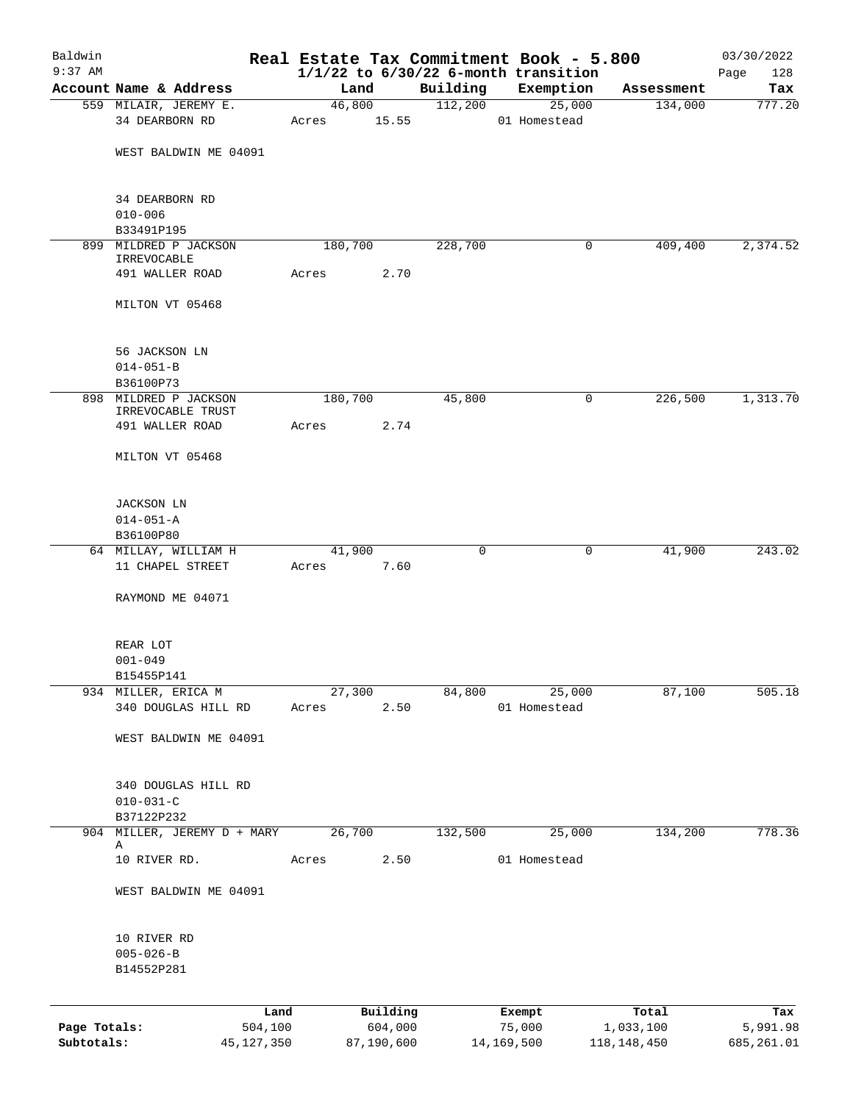| Baldwin<br>$9:37$ AM |                                            |            |                 |            |              | Real Estate Tax Commitment Book - 5.800               |              | 03/30/2022         |
|----------------------|--------------------------------------------|------------|-----------------|------------|--------------|-------------------------------------------------------|--------------|--------------------|
|                      | Account Name & Address                     |            | Land            |            | Building     | $1/1/22$ to $6/30/22$ 6-month transition<br>Exemption | Assessment   | 128<br>Page<br>Tax |
|                      | 559 MILAIR, JEREMY E.                      |            | 46,800          |            | 112,200      | 25,000                                                | 134,000      | 777.20             |
|                      | 34 DEARBORN RD                             |            | Acres           | 15.55      |              | 01 Homestead                                          |              |                    |
|                      | WEST BALDWIN ME 04091                      |            |                 |            |              |                                                       |              |                    |
|                      | 34 DEARBORN RD                             |            |                 |            |              |                                                       |              |                    |
|                      | $010 - 006$<br>B33491P195                  |            |                 |            |              |                                                       |              |                    |
|                      | 899 MILDRED P JACKSON                      |            | 180,700         |            | 228,700      |                                                       | 409,400<br>0 | 2,374.52           |
|                      | IRREVOCABLE                                |            |                 |            |              |                                                       |              |                    |
|                      | 491 WALLER ROAD                            |            | Acres           | 2.70       |              |                                                       |              |                    |
|                      | MILTON VT 05468                            |            |                 |            |              |                                                       |              |                    |
|                      | 56 JACKSON LN                              |            |                 |            |              |                                                       |              |                    |
|                      | $014 - 051 - B$                            |            |                 |            |              |                                                       |              |                    |
|                      | B36100P73                                  |            |                 |            |              |                                                       |              |                    |
|                      | 898 MILDRED P JACKSON<br>IRREVOCABLE TRUST |            | 180,700         |            | 45,800       |                                                       | 226,500<br>0 | 1,313.70           |
|                      | 491 WALLER ROAD                            |            | Acres           | 2.74       |              |                                                       |              |                    |
|                      | MILTON VT 05468                            |            |                 |            |              |                                                       |              |                    |
|                      | <b>JACKSON LN</b>                          |            |                 |            |              |                                                       |              |                    |
|                      | $014 - 051 - A$                            |            |                 |            |              |                                                       |              |                    |
|                      | B36100P80                                  |            |                 |            |              |                                                       |              |                    |
|                      | 64 MILLAY, WILLIAM H<br>11 CHAPEL STREET   |            | 41,900<br>Acres | 7.60       | $\mathsf{O}$ |                                                       | 41,900<br>0  | 243.02             |
|                      |                                            |            |                 |            |              |                                                       |              |                    |
|                      | RAYMOND ME 04071                           |            |                 |            |              |                                                       |              |                    |
|                      | REAR LOT                                   |            |                 |            |              |                                                       |              |                    |
|                      | $001 - 049$                                |            |                 |            |              |                                                       |              |                    |
|                      | B15455P141                                 |            |                 |            |              |                                                       |              |                    |
| 934                  | MILLER, ERICA M<br>340 DOUGLAS HILL RD     |            | 27,300<br>Acres | 2.50       | 84,800       | 25,000<br>01 Homestead                                | 87,100       | 505.18             |
|                      |                                            |            |                 |            |              |                                                       |              |                    |
|                      | WEST BALDWIN ME 04091                      |            |                 |            |              |                                                       |              |                    |
|                      | 340 DOUGLAS HILL RD                        |            |                 |            |              |                                                       |              |                    |
|                      | $010 - 031 - C$<br>B37122P232              |            |                 |            |              |                                                       |              |                    |
|                      | 904 MILLER, JEREMY D + MARY                |            | 26,700          |            | 132,500      | 25,000                                                | 134,200      | 778.36             |
|                      | Α                                          |            |                 |            |              |                                                       |              |                    |
|                      | 10 RIVER RD.                               |            | Acres           | 2.50       |              | 01 Homestead                                          |              |                    |
|                      | WEST BALDWIN ME 04091                      |            |                 |            |              |                                                       |              |                    |
|                      | 10 RIVER RD                                |            |                 |            |              |                                                       |              |                    |
|                      | $005 - 026 - B$<br>B14552P281              |            |                 |            |              |                                                       |              |                    |
|                      |                                            | Land       |                 | Building   |              | Exempt                                                | Total        | Tax                |
| Page Totals:         |                                            | 504,100    |                 | 604,000    |              | 75,000                                                | 1,033,100    | 5,991.98           |
| Subtotals:           |                                            | 45,127,350 |                 | 87,190,600 |              | 14,169,500                                            | 118,148,450  | 685, 261.01        |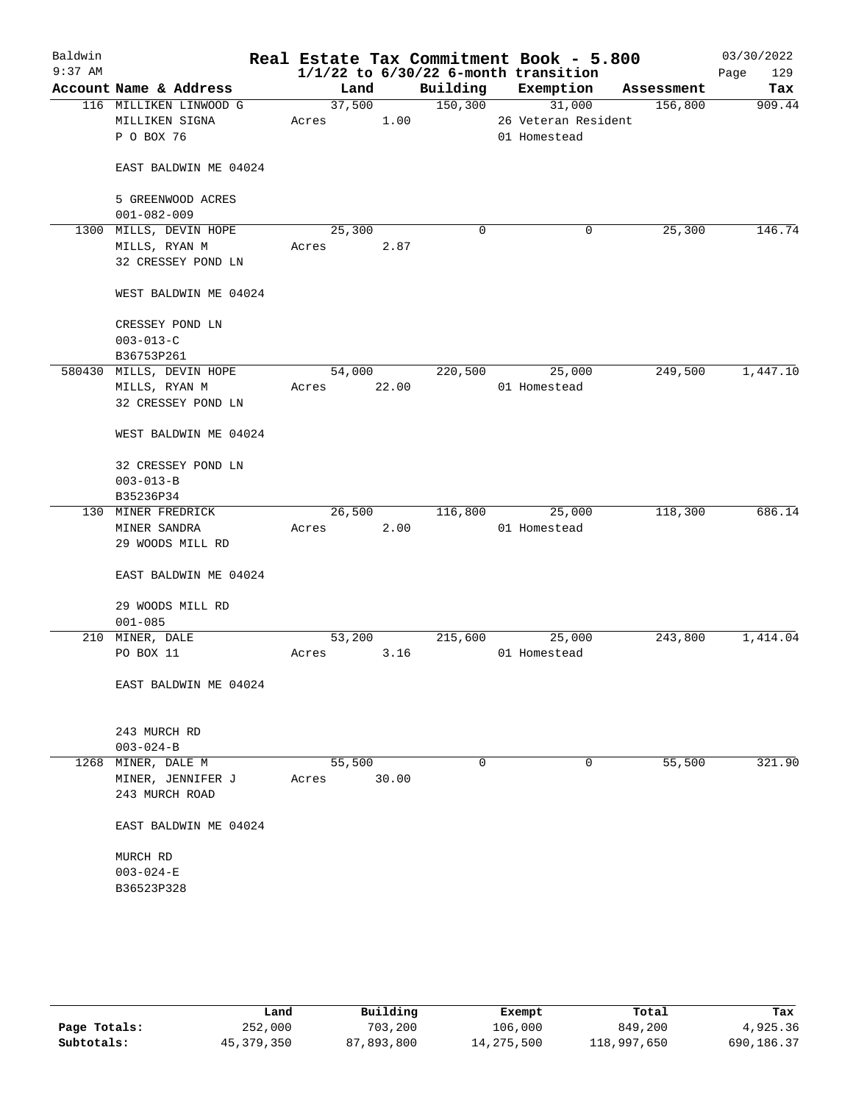| Baldwin<br>$9:37$ AM |                                                        |                 |       |          | Real Estate Tax Commitment Book - 5.800<br>$1/1/22$ to $6/30/22$ 6-month transition |            | 03/30/2022<br>129<br>Page |
|----------------------|--------------------------------------------------------|-----------------|-------|----------|-------------------------------------------------------------------------------------|------------|---------------------------|
|                      | Account Name & Address                                 | Land            |       | Building | Exemption                                                                           | Assessment | Tax                       |
|                      | 116 MILLIKEN LINWOOD G<br>MILLIKEN SIGNA<br>P O BOX 76 | 37,500<br>Acres | 1.00  | 150,300  | 31,000<br>26 Veteran Resident<br>01 Homestead                                       | 156,800    | 909.44                    |
|                      | EAST BALDWIN ME 04024                                  |                 |       |          |                                                                                     |            |                           |
|                      | 5 GREENWOOD ACRES<br>$001 - 082 - 009$                 |                 |       |          |                                                                                     |            |                           |
|                      | 1300 MILLS, DEVIN HOPE                                 | 25,300          |       | 0        | 0                                                                                   | 25,300     | 146.74                    |
|                      | MILLS, RYAN M<br>32 CRESSEY POND LN                    | Acres           | 2.87  |          |                                                                                     |            |                           |
|                      | WEST BALDWIN ME 04024                                  |                 |       |          |                                                                                     |            |                           |
|                      | CRESSEY POND LN<br>$003 - 013 - C$                     |                 |       |          |                                                                                     |            |                           |
|                      | B36753P261                                             |                 |       |          |                                                                                     |            |                           |
|                      | 580430 MILLS, DEVIN HOPE                               | 54,000          |       | 220,500  | 25,000                                                                              | 249,500    | 1,447.10                  |
|                      | MILLS, RYAN M<br>32 CRESSEY POND LN                    | Acres           | 22.00 |          | 01 Homestead                                                                        |            |                           |
|                      | WEST BALDWIN ME 04024                                  |                 |       |          |                                                                                     |            |                           |
|                      | 32 CRESSEY POND LN                                     |                 |       |          |                                                                                     |            |                           |
|                      | $003 - 013 - B$                                        |                 |       |          |                                                                                     |            |                           |
|                      | B35236P34                                              |                 |       |          |                                                                                     |            |                           |
|                      | 130 MINER FREDRICK                                     | 26,500          |       | 116,800  | 25,000                                                                              | 118,300    | 686.14                    |
|                      | MINER SANDRA                                           | Acres           | 2.00  |          | 01 Homestead                                                                        |            |                           |
|                      | 29 WOODS MILL RD                                       |                 |       |          |                                                                                     |            |                           |
|                      | EAST BALDWIN ME 04024                                  |                 |       |          |                                                                                     |            |                           |
|                      | 29 WOODS MILL RD                                       |                 |       |          |                                                                                     |            |                           |
|                      | $001 - 085$                                            |                 |       |          |                                                                                     |            |                           |
|                      | 210 MINER, DALE                                        | 53,200          |       | 215,600  | 25,000                                                                              | 243,800    | 1,414.04                  |
|                      | PO BOX 11                                              | Acres           | 3.16  |          | 01 Homestead                                                                        |            |                           |
|                      | EAST BALDWIN ME 04024                                  |                 |       |          |                                                                                     |            |                           |
|                      | 243 MURCH RD                                           |                 |       |          |                                                                                     |            |                           |
|                      | $003 - 024 - B$                                        |                 |       |          |                                                                                     |            |                           |
| 1268                 | MINER, DALE M                                          | 55,500          |       | 0        | 0                                                                                   | 55,500     | 321.90                    |
|                      | MINER, JENNIFER J<br>243 MURCH ROAD                    | Acres           | 30.00 |          |                                                                                     |            |                           |
|                      | EAST BALDWIN ME 04024                                  |                 |       |          |                                                                                     |            |                           |
|                      | MURCH RD                                               |                 |       |          |                                                                                     |            |                           |
|                      | $003 - 024 - E$                                        |                 |       |          |                                                                                     |            |                           |
|                      | B36523P328                                             |                 |       |          |                                                                                     |            |                           |
|                      |                                                        |                 |       |          |                                                                                     |            |                           |

|              | Land       | Building   | Exempt     | Total       | Tax        |
|--------------|------------|------------|------------|-------------|------------|
| Page Totals: | 252,000    | 703,200    | 106,000    | 849,200     | 4,925.36   |
| Subtotals:   | 45,379,350 | 87,893,800 | 14,275,500 | 118,997,650 | 690,186.37 |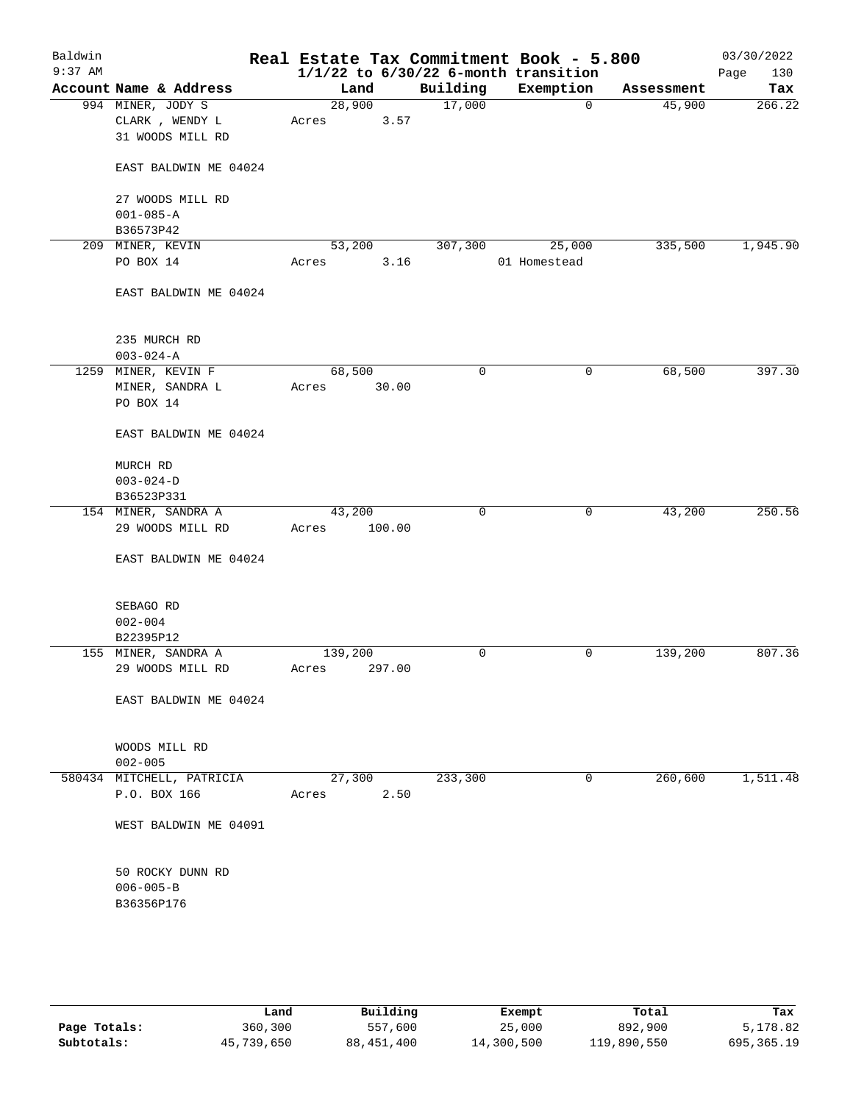| Baldwin<br>$9:37$ AM |                                     |         |        |             | Real Estate Tax Commitment Book - 5.800<br>$1/1/22$ to $6/30/22$ 6-month transition |            | 03/30/2022<br>130<br>Page |
|----------------------|-------------------------------------|---------|--------|-------------|-------------------------------------------------------------------------------------|------------|---------------------------|
|                      | Account Name & Address              | Land    |        | Building    | Exemption                                                                           | Assessment | Tax                       |
|                      | 994 MINER, JODY S                   | 28,900  |        | 17,000      | 0                                                                                   | 45,900     | 266.22                    |
|                      | CLARK, WENDY L                      | Acres   | 3.57   |             |                                                                                     |            |                           |
|                      | 31 WOODS MILL RD                    |         |        |             |                                                                                     |            |                           |
|                      | EAST BALDWIN ME 04024               |         |        |             |                                                                                     |            |                           |
|                      | 27 WOODS MILL RD                    |         |        |             |                                                                                     |            |                           |
|                      | $001 - 085 - A$                     |         |        |             |                                                                                     |            |                           |
|                      | B36573P42                           |         |        |             |                                                                                     |            |                           |
|                      | 209 MINER, KEVIN                    | 53,200  |        | 307,300     | 25,000                                                                              | 335,500    | 1,945.90                  |
|                      | PO BOX 14                           | Acres   | 3.16   |             | 01 Homestead                                                                        |            |                           |
|                      | EAST BALDWIN ME 04024               |         |        |             |                                                                                     |            |                           |
|                      | 235 MURCH RD                        |         |        |             |                                                                                     |            |                           |
|                      | $003 - 024 - A$                     |         |        |             |                                                                                     |            |                           |
|                      | 1259 MINER, KEVIN F                 | 68,500  |        | 0           | 0                                                                                   | 68,500     | 397.30                    |
|                      | MINER, SANDRA L                     | Acres   | 30.00  |             |                                                                                     |            |                           |
|                      | PO BOX 14                           |         |        |             |                                                                                     |            |                           |
|                      | EAST BALDWIN ME 04024               |         |        |             |                                                                                     |            |                           |
|                      | MURCH RD                            |         |        |             |                                                                                     |            |                           |
|                      | $003 - 024 - D$                     |         |        |             |                                                                                     |            |                           |
|                      | B36523P331                          |         |        |             |                                                                                     |            |                           |
|                      | 154 MINER, SANDRA A                 | 43,200  |        | $\mathbf 0$ | 0                                                                                   | 43,200     | 250.56                    |
|                      | 29 WOODS MILL RD                    | Acres   | 100.00 |             |                                                                                     |            |                           |
|                      | EAST BALDWIN ME 04024               |         |        |             |                                                                                     |            |                           |
|                      | SEBAGO RD                           |         |        |             |                                                                                     |            |                           |
|                      | $002 - 004$                         |         |        |             |                                                                                     |            |                           |
|                      | B22395P12                           |         |        |             |                                                                                     |            |                           |
|                      | 155 MINER, SANDRA A                 | 139,200 |        | 0           | 0                                                                                   | 139,200    | 807.36                    |
|                      | 29 WOODS MILL RD                    | Acres   | 297.00 |             |                                                                                     |            |                           |
|                      | EAST BALDWIN ME 04024               |         |        |             |                                                                                     |            |                           |
|                      |                                     |         |        |             |                                                                                     |            |                           |
|                      | WOODS MILL RD                       |         |        |             |                                                                                     |            |                           |
|                      | $002 - 005$                         |         |        |             |                                                                                     |            |                           |
|                      | 580434 MITCHELL, PATRICIA           | 27,300  |        | 233,300     | 0                                                                                   | 260,600    | 1,511.48                  |
|                      | P.O. BOX 166                        | Acres   | 2.50   |             |                                                                                     |            |                           |
|                      | WEST BALDWIN ME 04091               |         |        |             |                                                                                     |            |                           |
|                      | 50 ROCKY DUNN RD<br>$006 - 005 - B$ |         |        |             |                                                                                     |            |                           |
|                      | B36356P176                          |         |        |             |                                                                                     |            |                           |
|                      |                                     |         |        |             |                                                                                     |            |                           |
|                      |                                     |         |        |             |                                                                                     |            |                           |

|              | Land       | Building     | Exempt     | Total       | Tax        |
|--------------|------------|--------------|------------|-------------|------------|
| Page Totals: | 360,300    | 557,600      | 25,000     | 892,900     | 5,178.82   |
| Subtotals:   | 45,739,650 | 88, 451, 400 | 14,300,500 | 119,890,550 | 695,365.19 |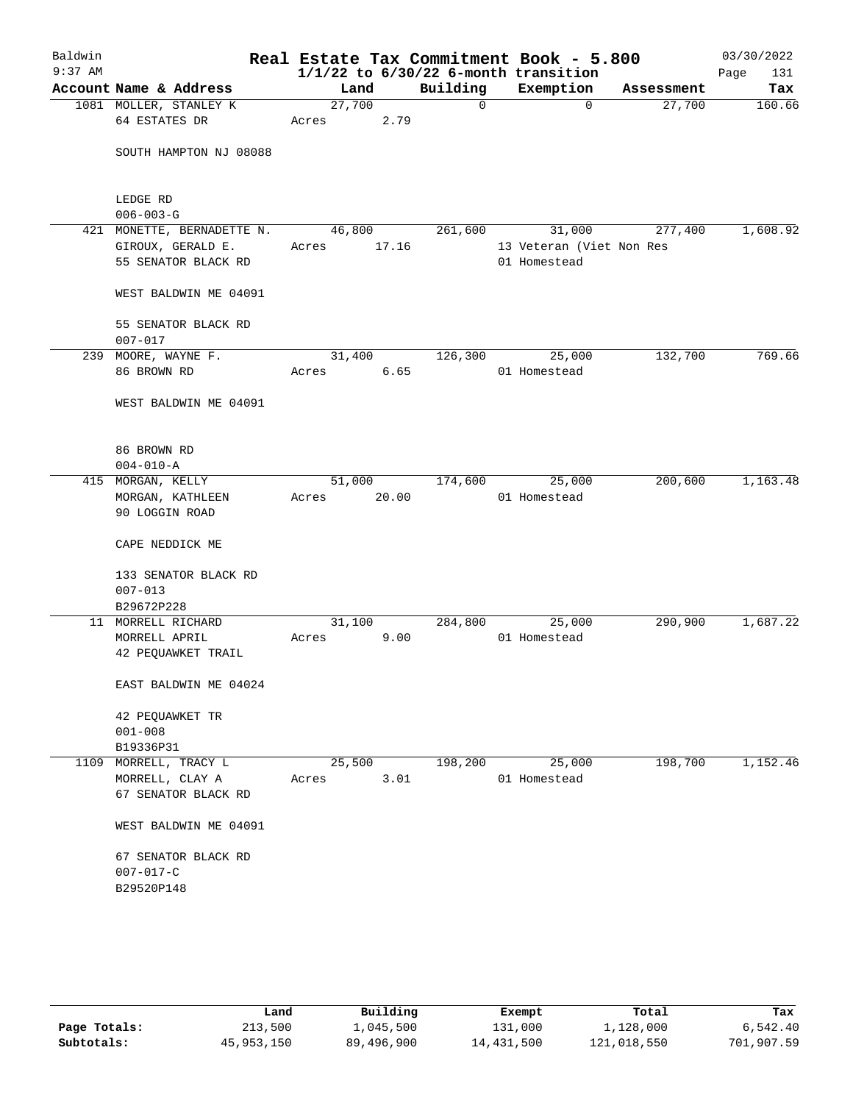| Baldwin<br>$9:37$ AM |                                          |                 |       |          | Real Estate Tax Commitment Book - 5.800<br>$1/1/22$ to $6/30/22$ 6-month transition |            | 03/30/2022<br>Page<br>131 |
|----------------------|------------------------------------------|-----------------|-------|----------|-------------------------------------------------------------------------------------|------------|---------------------------|
|                      | Account Name & Address                   | Land            |       | Building | Exemption                                                                           | Assessment | Tax                       |
|                      | 1081 MOLLER, STANLEY K<br>64 ESTATES DR  | 27,700<br>Acres | 2.79  | 0        | $\Omega$                                                                            | 27,700     | 160.66                    |
|                      | SOUTH HAMPTON NJ 08088                   |                 |       |          |                                                                                     |            |                           |
|                      | LEDGE RD<br>$006 - 003 - G$              |                 |       |          |                                                                                     |            |                           |
|                      | 421 MONETTE, BERNADETTE N.               | 46,800          |       | 261,600  | 31,000                                                                              | 277,400    | 1,608.92                  |
|                      | GIROUX, GERALD E.<br>55 SENATOR BLACK RD | Acres           | 17.16 |          | 13 Veteran (Viet Non Res<br>01 Homestead                                            |            |                           |
|                      | WEST BALDWIN ME 04091                    |                 |       |          |                                                                                     |            |                           |
|                      | 55 SENATOR BLACK RD<br>$007 - 017$       |                 |       |          |                                                                                     |            |                           |
|                      | 239 MOORE, WAYNE F.                      | 31,400          |       | 126,300  | 25,000                                                                              | 132,700    | 769.66                    |
|                      | 86 BROWN RD                              | Acres           | 6.65  |          | 01 Homestead                                                                        |            |                           |
|                      | WEST BALDWIN ME 04091                    |                 |       |          |                                                                                     |            |                           |
|                      | 86 BROWN RD                              |                 |       |          |                                                                                     |            |                           |
|                      | $004 - 010 - A$                          | 51,000          |       | 174,600  |                                                                                     | 200,600    | 1,163.48                  |
|                      | 415 MORGAN, KELLY<br>MORGAN, KATHLEEN    | Acres           | 20.00 |          | 25,000<br>01 Homestead                                                              |            |                           |
|                      | 90 LOGGIN ROAD                           |                 |       |          |                                                                                     |            |                           |
|                      | CAPE NEDDICK ME                          |                 |       |          |                                                                                     |            |                           |
|                      | 133 SENATOR BLACK RD                     |                 |       |          |                                                                                     |            |                           |
|                      | $007 - 013$                              |                 |       |          |                                                                                     |            |                           |
|                      | B29672P228                               |                 |       |          |                                                                                     |            |                           |
|                      | 11 MORRELL RICHARD                       | 31,100<br>Acres |       | 284,800  | 25,000<br>01 Homestead                                                              | 290,900    | 1,687.22                  |
|                      | MORRELL APRIL<br>42 PEQUAWKET TRAIL      |                 | 9.00  |          |                                                                                     |            |                           |
|                      | EAST BALDWIN ME 04024                    |                 |       |          |                                                                                     |            |                           |
|                      | 42 PEQUAWKET TR                          |                 |       |          |                                                                                     |            |                           |
|                      | $001 - 008$<br>B19336P31                 |                 |       |          |                                                                                     |            |                           |
| 1109                 | MORRELL, TRACY L                         | 25,500          |       | 198,200  | 25,000                                                                              | 198,700    | 1,152.46                  |
|                      | MORRELL, CLAY A                          | Acres           | 3.01  |          | 01 Homestead                                                                        |            |                           |
|                      | 67 SENATOR BLACK RD                      |                 |       |          |                                                                                     |            |                           |
|                      | WEST BALDWIN ME 04091                    |                 |       |          |                                                                                     |            |                           |
|                      | 67 SENATOR BLACK RD                      |                 |       |          |                                                                                     |            |                           |
|                      | $007 - 017 - C$                          |                 |       |          |                                                                                     |            |                           |
|                      | B29520P148                               |                 |       |          |                                                                                     |            |                           |
|                      |                                          |                 |       |          |                                                                                     |            |                           |
|                      |                                          |                 |       |          |                                                                                     |            |                           |

|              | Land       | Building   | Exempt     | Total       | Tax        |
|--------------|------------|------------|------------|-------------|------------|
| Page Totals: | 213,500    | 1,045,500  | 131,000    | 1,128,000   | 6,542.40   |
| Subtotals:   | 45,953,150 | 89,496,900 | 14,431,500 | 121,018,550 | 701,907.59 |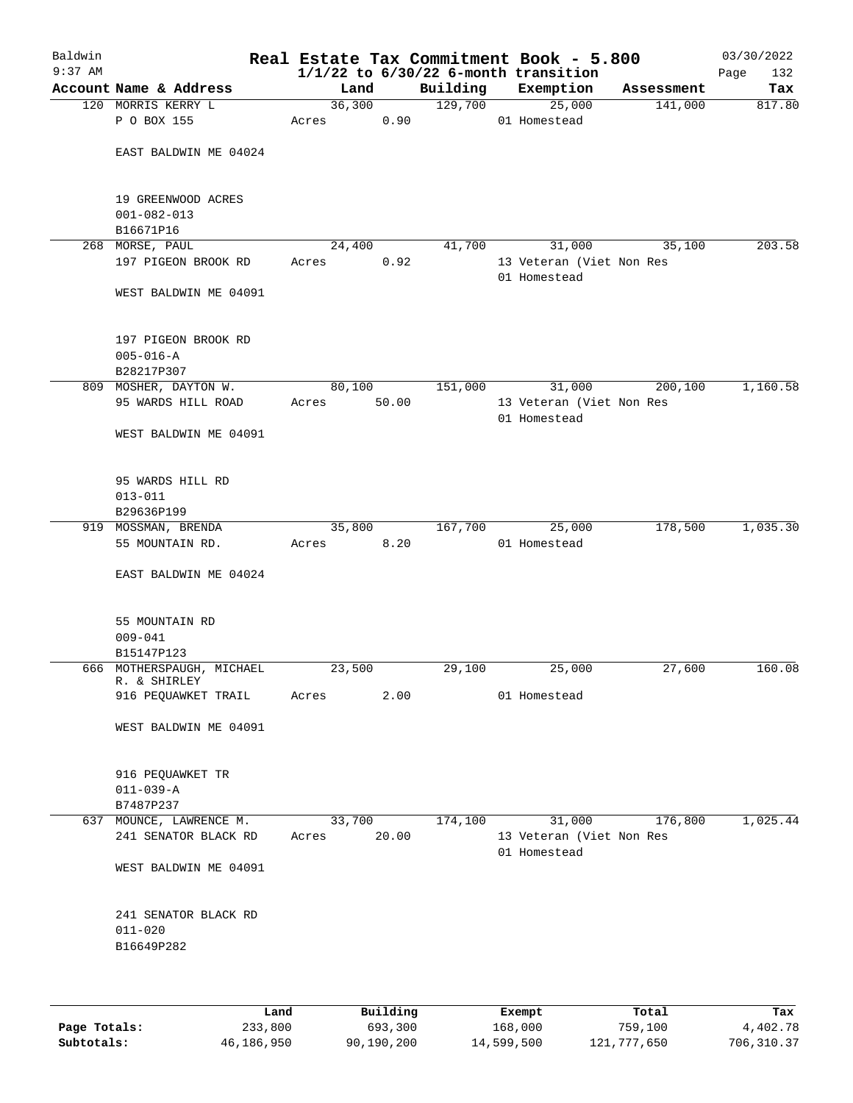| Baldwin<br>$9:37$ AM |                                                      |        |          |          | Real Estate Tax Commitment Book - 5.800<br>$1/1/22$ to $6/30/22$ 6-month transition |            | 03/30/2022<br>132<br>Page |
|----------------------|------------------------------------------------------|--------|----------|----------|-------------------------------------------------------------------------------------|------------|---------------------------|
|                      | Account Name & Address                               | Land   |          | Building | Exemption                                                                           | Assessment | Tax                       |
|                      | 120 MORRIS KERRY L                                   |        | 36,300   | 129,700  | 25,000                                                                              | 141,000    | 817.80                    |
|                      | P O BOX 155                                          | Acres  | 0.90     |          | 01 Homestead                                                                        |            |                           |
|                      | EAST BALDWIN ME 04024                                |        |          |          |                                                                                     |            |                           |
|                      | 19 GREENWOOD ACRES<br>$001 - 082 - 013$              |        |          |          |                                                                                     |            |                           |
|                      | B16671P16<br>268 MORSE, PAUL                         | 24,400 |          | 41,700   | 31,000                                                                              | 35,100     | 203.58                    |
|                      | 197 PIGEON BROOK RD                                  | Acres  | 0.92     |          | 13 Veteran (Viet Non Res                                                            |            |                           |
|                      | WEST BALDWIN ME 04091                                |        |          |          | 01 Homestead                                                                        |            |                           |
|                      | 197 PIGEON BROOK RD<br>$005 - 016 - A$<br>B28217P307 |        |          |          |                                                                                     |            |                           |
|                      | 809 MOSHER, DAYTON W.                                | 80,100 |          | 151,000  | 31,000                                                                              | 200,100    | 1,160.58                  |
|                      | 95 WARDS HILL ROAD                                   | Acres  | 50.00    |          | 13 Veteran (Viet Non Res<br>01 Homestead                                            |            |                           |
|                      | WEST BALDWIN ME 04091                                |        |          |          |                                                                                     |            |                           |
|                      | 95 WARDS HILL RD<br>$013 - 011$                      |        |          |          |                                                                                     |            |                           |
|                      | B29636P199                                           |        |          |          |                                                                                     |            |                           |
|                      | 919 MOSSMAN, BRENDA                                  |        | 35,800   | 167,700  | 25,000                                                                              | 178,500    | 1,035.30                  |
|                      | 55 MOUNTAIN RD.                                      | Acres  | 8.20     |          | 01 Homestead                                                                        |            |                           |
|                      | EAST BALDWIN ME 04024                                |        |          |          |                                                                                     |            |                           |
|                      | 55 MOUNTAIN RD                                       |        |          |          |                                                                                     |            |                           |
|                      | $009 - 041$                                          |        |          |          |                                                                                     |            |                           |
|                      | B15147P123                                           |        |          |          |                                                                                     |            |                           |
|                      | 666 MOTHERSPAUGH, MICHAEL<br>R. & SHIRLEY            | 23,500 | 2.00     | 29,100   | 25,000<br>01 Homestead                                                              | 27,600     | 160.08                    |
|                      | 916 PEQUAWKET TRAIL                                  | Acres  |          |          |                                                                                     |            |                           |
|                      | WEST BALDWIN ME 04091                                |        |          |          |                                                                                     |            |                           |
|                      | 916 PEQUAWKET TR                                     |        |          |          |                                                                                     |            |                           |
|                      | $011 - 039 - A$                                      |        |          |          |                                                                                     |            |                           |
|                      | B7487P237<br>637 MOUNCE, LAWRENCE M.                 | 33,700 |          | 174,100  | 31,000                                                                              | 176,800    | 1,025.44                  |
|                      | 241 SENATOR BLACK RD                                 | Acres  | 20.00    |          | 13 Veteran (Viet Non Res<br>01 Homestead                                            |            |                           |
|                      | WEST BALDWIN ME 04091                                |        |          |          |                                                                                     |            |                           |
|                      | 241 SENATOR BLACK RD                                 |        |          |          |                                                                                     |            |                           |
|                      | $011 - 020$                                          |        |          |          |                                                                                     |            |                           |
|                      | B16649P282                                           |        |          |          |                                                                                     |            |                           |
|                      |                                                      |        |          |          |                                                                                     |            |                           |
|                      | Land                                                 |        | Building |          | Exempt                                                                              | Total      | Tax                       |

|              | Land       | Building   | Exempt     | Total       | Tax        |
|--------------|------------|------------|------------|-------------|------------|
| Page Totals: | 233,800    | 693,300    | 168,000    | 759,100     | 4,402.78   |
| Subtotals:   | 46,186,950 | 90,190,200 | 14,599,500 | 121,777,650 | 706,310.37 |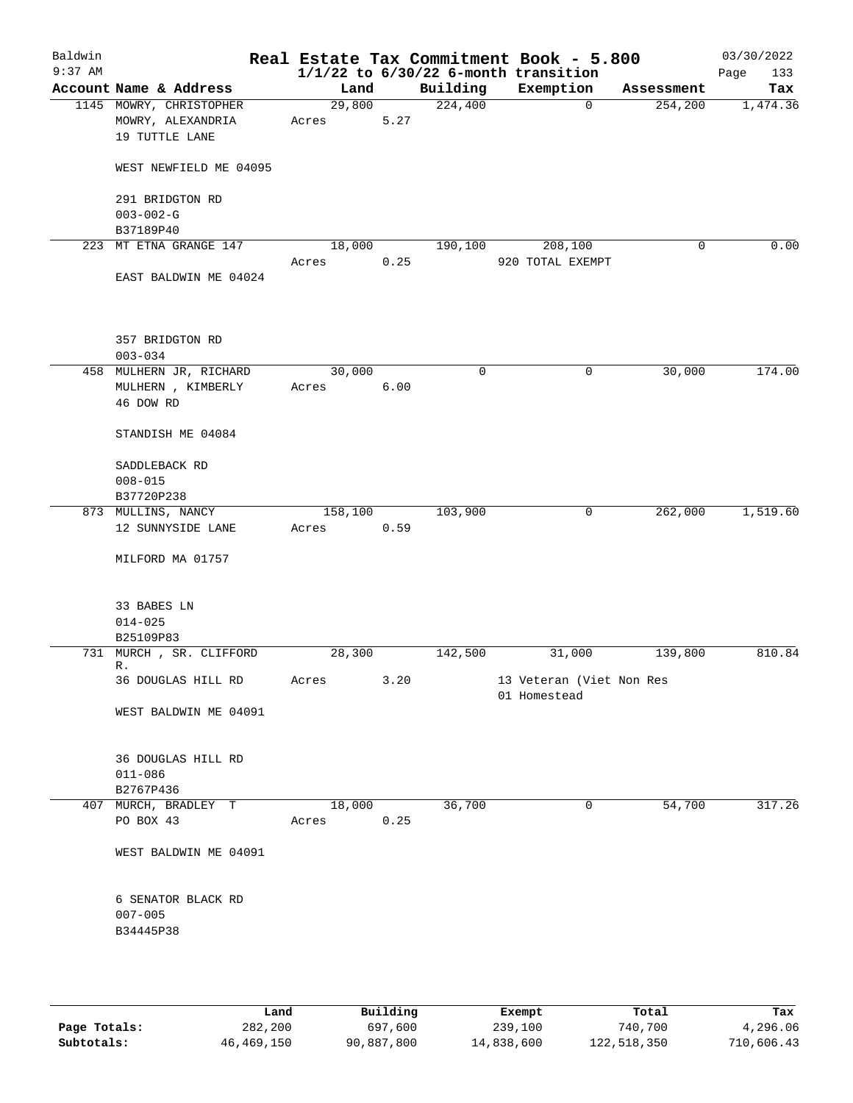| Baldwin   |                                                   |                 |      |                     | Real Estate Tax Commitment Book - 5.800  |            | 03/30/2022  |
|-----------|---------------------------------------------------|-----------------|------|---------------------|------------------------------------------|------------|-------------|
| $9:37$ AM |                                                   |                 |      |                     | $1/1/22$ to $6/30/22$ 6-month transition |            | 133<br>Page |
|           | Account Name & Address<br>1145 MOWRY, CHRISTOPHER | Land<br>29,800  |      | Building<br>224,400 | Exemption<br>$\mathbf 0$                 | Assessment | Tax         |
|           | MOWRY, ALEXANDRIA                                 | Acres           | 5.27 |                     |                                          | 254, 200   | 1,474.36    |
|           | 19 TUTTLE LANE                                    |                 |      |                     |                                          |            |             |
|           |                                                   |                 |      |                     |                                          |            |             |
|           | WEST NEWFIELD ME 04095                            |                 |      |                     |                                          |            |             |
|           | 291 BRIDGTON RD                                   |                 |      |                     |                                          |            |             |
|           | $003 - 002 - G$                                   |                 |      |                     |                                          |            |             |
|           | B37189P40                                         |                 |      |                     |                                          |            |             |
| 223       | MT ETNA GRANGE 147                                | 18,000          |      | 190,100             | 208,100                                  | 0          | 0.00        |
|           |                                                   | Acres           | 0.25 |                     | 920 TOTAL EXEMPT                         |            |             |
|           | EAST BALDWIN ME 04024                             |                 |      |                     |                                          |            |             |
|           | 357 BRIDGTON RD                                   |                 |      |                     |                                          |            |             |
|           | $003 - 034$                                       |                 |      |                     |                                          |            |             |
|           | 458 MULHERN JR, RICHARD                           | 30,000          |      | $\mathbf 0$         | 0                                        | 30,000     | 174.00      |
|           | MULHERN , KIMBERLY                                | Acres           | 6.00 |                     |                                          |            |             |
|           | 46 DOW RD                                         |                 |      |                     |                                          |            |             |
|           | STANDISH ME 04084                                 |                 |      |                     |                                          |            |             |
|           | SADDLEBACK RD                                     |                 |      |                     |                                          |            |             |
|           | $008 - 015$                                       |                 |      |                     |                                          |            |             |
|           | B37720P238                                        |                 |      |                     |                                          |            |             |
|           | 873 MULLINS, NANCY                                | 158,100         |      | 103,900             | 0                                        | 262,000    | 1,519.60    |
|           | 12 SUNNYSIDE LANE                                 | Acres           | 0.59 |                     |                                          |            |             |
|           | MILFORD MA 01757                                  |                 |      |                     |                                          |            |             |
|           |                                                   |                 |      |                     |                                          |            |             |
|           | 33 BABES LN                                       |                 |      |                     |                                          |            |             |
|           | $014 - 025$                                       |                 |      |                     |                                          |            |             |
|           | B25109P83                                         |                 |      |                     |                                          |            |             |
|           | 731 MURCH, SR. CLIFFORD<br>R.                     | 28,300          |      | 142,500             | 31,000                                   | 139,800    | 810.84      |
|           | 36 DOUGLAS HILL RD                                | Acres           | 3.20 |                     | 13 Veteran (Viet Non Res                 |            |             |
|           |                                                   |                 |      |                     | 01 Homestead                             |            |             |
|           | WEST BALDWIN ME 04091                             |                 |      |                     |                                          |            |             |
|           |                                                   |                 |      |                     |                                          |            |             |
|           | 36 DOUGLAS HILL RD                                |                 |      |                     |                                          |            |             |
|           | $011 - 086$                                       |                 |      |                     |                                          |            |             |
|           | B2767P436                                         |                 |      |                     |                                          | 54,700     |             |
|           | 407 MURCH, BRADLEY T<br>PO BOX 43                 | 18,000<br>Acres | 0.25 | 36,700              | $\overline{0}$                           |            | 317.26      |
|           | WEST BALDWIN ME 04091                             |                 |      |                     |                                          |            |             |
|           |                                                   |                 |      |                     |                                          |            |             |
|           | 6 SENATOR BLACK RD<br>$007 - 005$                 |                 |      |                     |                                          |            |             |
|           | B34445P38                                         |                 |      |                     |                                          |            |             |
|           |                                                   |                 |      |                     |                                          |            |             |
|           |                                                   |                 |      |                     |                                          |            |             |
|           |                                                   |                 |      |                     |                                          |            |             |

|              | Land       | Building   | Exempt     | Total       | Tax        |
|--------------|------------|------------|------------|-------------|------------|
| Page Totals: | 282,200    | 697,600    | 239,100    | 740,700     | 4,296.06   |
| Subtotals:   | 46,469,150 | 90,887,800 | 14,838,600 | 122,518,350 | 710,606.43 |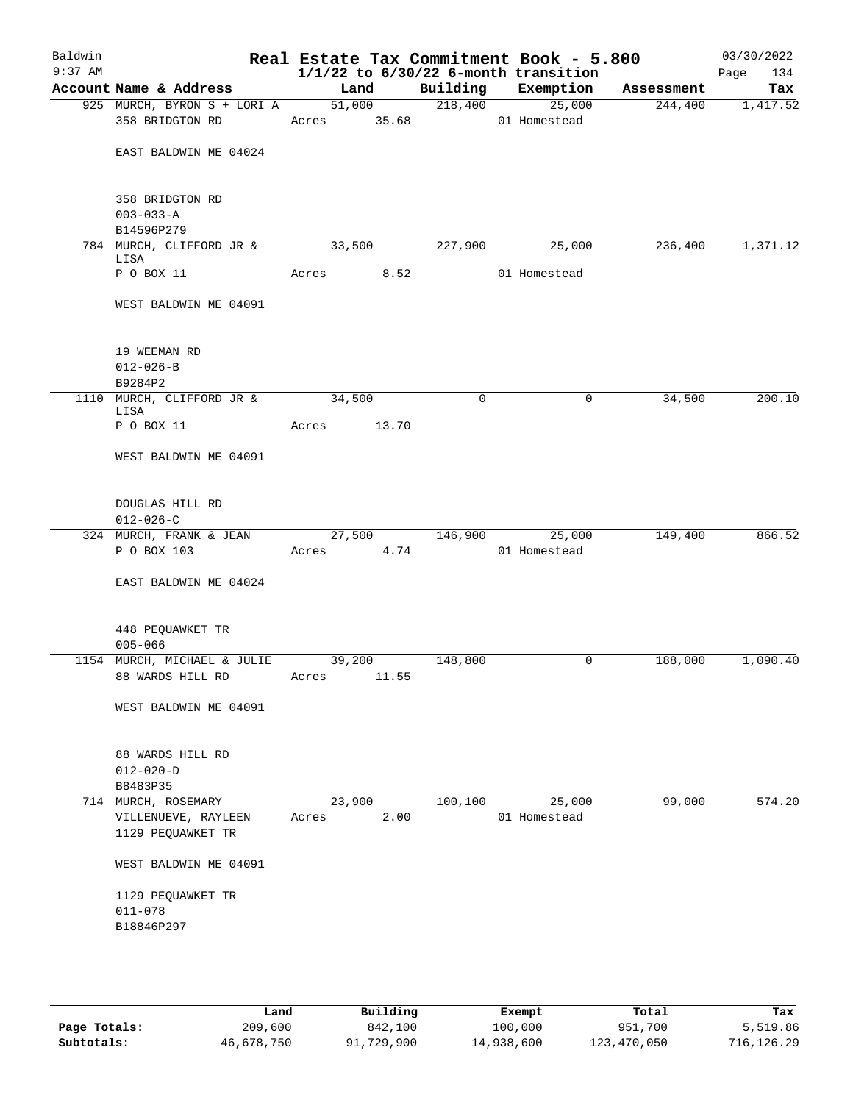| Baldwin<br>$9:37$ AM |                                                  |             |        | $1/1/22$ to $6/30/22$ 6-month transition | Real Estate Tax Commitment Book - 5.800 |            | 03/30/2022<br>Page<br>134 |
|----------------------|--------------------------------------------------|-------------|--------|------------------------------------------|-----------------------------------------|------------|---------------------------|
|                      | Account Name & Address                           | Land        |        | Building Exemption                       |                                         | Assessment | Tax                       |
|                      | 925 MURCH, BYRON S + LORI A<br>358 BRIDGTON RD   |             | 51,000 | 218,400<br>Acres 35.68 01 Homestead      | 25,000                                  | 244,400    | 1,417.52                  |
|                      | EAST BALDWIN ME 04024                            |             |        |                                          |                                         |            |                           |
|                      | 358 BRIDGTON RD<br>$003 - 033 - A$<br>B14596P279 |             |        |                                          |                                         |            |                           |
|                      | 784 MURCH, CLIFFORD JR &                         | 33,500      |        | 227,900                                  | 25,000                                  | 236,400    | 1,371.12                  |
|                      | LISA<br>P O BOX 11                               | Acres 8.52  |        |                                          | 01 Homestead                            |            |                           |
|                      | WEST BALDWIN ME 04091                            |             |        |                                          |                                         |            |                           |
|                      | 19 WEEMAN RD<br>$012 - 026 - B$                  |             |        |                                          |                                         |            |                           |
|                      | B9284P2<br>1110 MURCH, CLIFFORD JR &             | 34,500      |        | $\mathbf 0$                              | 0                                       | 34,500     | 200.10                    |
|                      | LISA                                             |             |        |                                          |                                         |            |                           |
|                      | P O BOX 11                                       | Acres 13.70 |        |                                          |                                         |            |                           |
|                      | WEST BALDWIN ME 04091                            |             |        |                                          |                                         |            |                           |
|                      | DOUGLAS HILL RD<br>$012 - 026 - C$               |             |        |                                          |                                         |            |                           |
|                      | 324 MURCH, FRANK & JEAN                          |             | 27,500 | 146,900                                  | 25,000                                  | 149,400    | 866.52                    |
|                      | P O BOX 103                                      | Acres 4.74  |        |                                          | 01 Homestead                            |            |                           |
|                      | EAST BALDWIN ME 04024                            |             |        |                                          |                                         |            |                           |
|                      | 448 PEQUAWKET TR<br>$005 - 066$                  |             |        |                                          |                                         |            |                           |
|                      | 1154 MURCH, MICHAEL & JULIE                      | 39,200      |        | 148,800                                  | 0                                       | 188,000    | 1,090.40                  |
|                      | 88 WARDS HILL RD                                 | Acres       | 11.55  |                                          |                                         |            |                           |
|                      | WEST BALDWIN ME 04091                            |             |        |                                          |                                         |            |                           |
|                      | 88 WARDS HILL RD<br>$012 - 020 - D$<br>B8483P35  |             |        |                                          |                                         |            |                           |
|                      | 714 MURCH, ROSEMARY                              | 23,900      |        | 100,100                                  | 25,000                                  | 99,000     | 574.20                    |
|                      | VILLENUEVE, RAYLEEN<br>1129 PEQUAWKET TR         | Acres       | 2.00   |                                          | 01 Homestead                            |            |                           |
|                      | WEST BALDWIN ME 04091                            |             |        |                                          |                                         |            |                           |
|                      | 1129 PEQUAWKET TR<br>$011 - 078$<br>B18846P297   |             |        |                                          |                                         |            |                           |
|                      |                                                  |             |        |                                          |                                         |            |                           |

|              | Land       | Building   | Exempt     | Total       | Tax        |
|--------------|------------|------------|------------|-------------|------------|
| Page Totals: | 209,600    | 842,100    | 100,000    | 951,700     | 5,519.86   |
| Subtotals:   | 46,678,750 | 91,729,900 | 14,938,600 | 123,470,050 | 716,126.29 |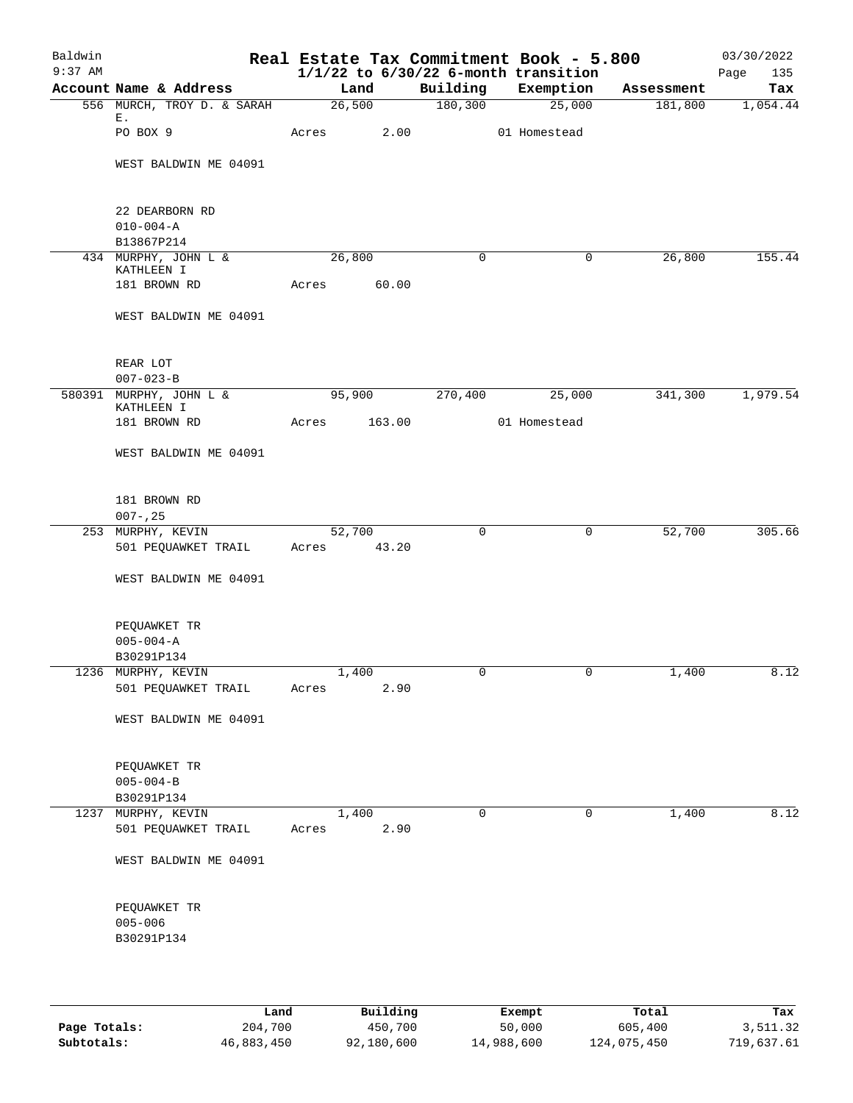| Baldwin<br>$9:37$ AM |                                                 |             |        |        |             | Real Estate Tax Commitment Book - 5.800<br>$1/1/22$ to $6/30/22$ 6-month transition |            | 03/30/2022<br>Page<br>135 |
|----------------------|-------------------------------------------------|-------------|--------|--------|-------------|-------------------------------------------------------------------------------------|------------|---------------------------|
|                      | Account Name & Address                          |             | Land   |        | Building    | Exemption                                                                           | Assessment | Tax                       |
|                      | 556 MURCH, TROY D. & SARAH                      |             | 26,500 |        | 180, 300    | 25,000                                                                              | 181,800    | 1,054.44                  |
|                      | Е.<br>PO BOX 9                                  | Acres       |        | 2.00   |             | 01 Homestead                                                                        |            |                           |
|                      | WEST BALDWIN ME 04091                           |             |        |        |             |                                                                                     |            |                           |
|                      | 22 DEARBORN RD<br>$010 - 004 - A$<br>B13867P214 |             |        |        |             |                                                                                     |            |                           |
|                      | 434 MURPHY, JOHN L &                            |             | 26,800 |        | $\mathbf 0$ | $\mathbf 0$                                                                         | 26,800     | 155.44                    |
|                      | KATHLEEN I<br>181 BROWN RD                      | Acres       |        | 60.00  |             |                                                                                     |            |                           |
|                      | WEST BALDWIN ME 04091                           |             |        |        |             |                                                                                     |            |                           |
|                      | REAR LOT<br>$007 - 023 - B$                     |             |        |        |             |                                                                                     |            |                           |
|                      | 580391 MURPHY, JOHN L &                         |             | 95,900 |        | 270,400     | 25,000                                                                              | 341,300    | 1,979.54                  |
|                      | KATHLEEN I                                      |             |        |        |             |                                                                                     |            |                           |
|                      | 181 BROWN RD                                    | Acres       |        | 163.00 |             | 01 Homestead                                                                        |            |                           |
|                      | WEST BALDWIN ME 04091                           |             |        |        |             |                                                                                     |            |                           |
|                      | 181 BROWN RD<br>$007 - 25$                      |             |        |        |             |                                                                                     |            |                           |
|                      | 253 MURPHY, KEVIN                               |             | 52,700 |        | 0           | 0                                                                                   | 52,700     | 305.66                    |
|                      | 501 PEQUAWKET TRAIL                             | Acres 43.20 |        |        |             |                                                                                     |            |                           |
|                      | WEST BALDWIN ME 04091                           |             |        |        |             |                                                                                     |            |                           |
|                      | PEQUAWKET TR<br>$005 - 004 - A$                 |             |        |        |             |                                                                                     |            |                           |
|                      | B30291P134                                      |             |        |        |             |                                                                                     |            |                           |
|                      | 1236 MURPHY, KEVIN                              |             | 1,400  |        | 0           | 0                                                                                   | 1,400      | 8.12                      |
|                      | 501 PEQUAWKET TRAIL                             | Acres       |        | 2.90   |             |                                                                                     |            |                           |
|                      | WEST BALDWIN ME 04091                           |             |        |        |             |                                                                                     |            |                           |
|                      | PEQUAWKET TR<br>$005 - 004 - B$                 |             |        |        |             |                                                                                     |            |                           |
|                      | B30291P134                                      |             |        |        |             |                                                                                     |            |                           |
|                      | 1237 MURPHY, KEVIN<br>501 PEQUAWKET TRAIL       | Acres       | 1,400  | 2.90   | 0           | 0                                                                                   | 1,400      | 8.12                      |
|                      |                                                 |             |        |        |             |                                                                                     |            |                           |
|                      | WEST BALDWIN ME 04091                           |             |        |        |             |                                                                                     |            |                           |
|                      | PEQUAWKET TR                                    |             |        |        |             |                                                                                     |            |                           |
|                      | $005 - 006$                                     |             |        |        |             |                                                                                     |            |                           |
|                      | B30291P134                                      |             |        |        |             |                                                                                     |            |                           |
|                      |                                                 |             |        |        |             |                                                                                     |            |                           |

|              | Land       | Building   | Exempt     | Total       | Tax        |
|--------------|------------|------------|------------|-------------|------------|
| Page Totals: | 204,700    | 450,700    | 50,000     | 605,400     | 3,511.32   |
| Subtotals:   | 46,883,450 | 92,180,600 | 14,988,600 | 124,075,450 | 719,637.61 |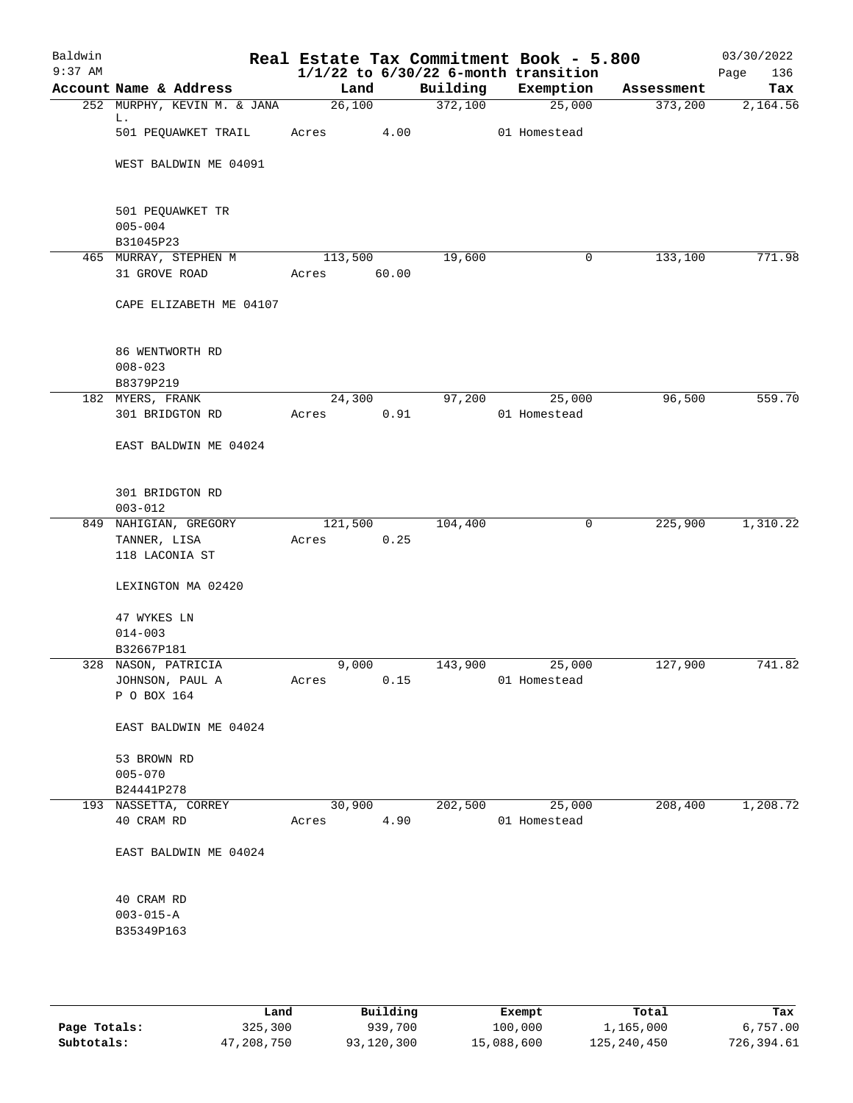| Baldwin<br>$9:37$ AM |                                              |                  |       |          | Real Estate Tax Commitment Book - 5.800<br>$1/1/22$ to $6/30/22$ 6-month transition |            | 03/30/2022<br>Page<br>136 |
|----------------------|----------------------------------------------|------------------|-------|----------|-------------------------------------------------------------------------------------|------------|---------------------------|
|                      | Account Name & Address                       | Land             |       | Building | Exemption                                                                           | Assessment | Tax                       |
|                      | 252 MURPHY, KEVIN M. & JANA                  | 26,100           |       | 372,100  | 25,000                                                                              | 373,200    | 2,164.56                  |
|                      | L.<br>501 PEQUAWKET TRAIL                    | Acres            | 4.00  |          | 01 Homestead                                                                        |            |                           |
|                      | WEST BALDWIN ME 04091                        |                  |       |          |                                                                                     |            |                           |
|                      | 501 PEQUAWKET TR<br>$005 - 004$<br>B31045P23 |                  |       |          |                                                                                     |            |                           |
|                      | 465 MURRAY, STEPHEN M<br>31 GROVE ROAD       | 113,500<br>Acres | 60.00 | 19,600   | 0                                                                                   | 133,100    | 771.98                    |
|                      | CAPE ELIZABETH ME 04107                      |                  |       |          |                                                                                     |            |                           |
|                      | 86 WENTWORTH RD<br>$008 - 023$               |                  |       |          |                                                                                     |            |                           |
|                      | B8379P219                                    |                  |       | 97,200   |                                                                                     |            |                           |
|                      | 182 MYERS, FRANK<br>301 BRIDGTON RD          | 24,300<br>Acres  | 0.91  |          | 25,000<br>01 Homestead                                                              | 96,500     | 559.70                    |
|                      | EAST BALDWIN ME 04024                        |                  |       |          |                                                                                     |            |                           |
|                      | 301 BRIDGTON RD<br>$003 - 012$               |                  |       |          |                                                                                     |            |                           |
|                      | 849 NAHIGIAN, GREGORY                        | 121,500          |       | 104,400  | 0                                                                                   | 225,900    | 1,310.22                  |
|                      | TANNER, LISA<br>118 LACONIA ST               | Acres            | 0.25  |          |                                                                                     |            |                           |
|                      | LEXINGTON MA 02420                           |                  |       |          |                                                                                     |            |                           |
|                      | 47 WYKES LN                                  |                  |       |          |                                                                                     |            |                           |
|                      | $014 - 003$                                  |                  |       |          |                                                                                     |            |                           |
|                      | B32667P181                                   |                  |       |          |                                                                                     |            |                           |
|                      | 328 NASON, PATRICIA                          | 9,000            |       | 143,900  | 25,000                                                                              | 127,900    | 741.82                    |
|                      | JOHNSON, PAUL A<br>P O BOX 164               | Acres            | 0.15  |          | 01 Homestead                                                                        |            |                           |
|                      | EAST BALDWIN ME 04024                        |                  |       |          |                                                                                     |            |                           |
|                      | 53 BROWN RD                                  |                  |       |          |                                                                                     |            |                           |
|                      | $005 - 070$                                  |                  |       |          |                                                                                     |            |                           |
|                      | B24441P278                                   |                  |       |          |                                                                                     |            |                           |
|                      | 193 NASSETTA, CORREY<br>40 CRAM RD           | 30,900<br>Acres  | 4.90  | 202,500  | 25,000<br>01 Homestead                                                              | 208,400    | 1,208.72                  |
|                      | EAST BALDWIN ME 04024                        |                  |       |          |                                                                                     |            |                           |
|                      | 40 CRAM RD<br>$003 - 015 - A$                |                  |       |          |                                                                                     |            |                           |
|                      | B35349P163                                   |                  |       |          |                                                                                     |            |                           |
|                      |                                              |                  |       |          |                                                                                     |            |                           |

|              | Land       | Building   | Exempt     | Total       | Tax        |
|--------------|------------|------------|------------|-------------|------------|
| Page Totals: | 325,300    | 939,700    | 100,000    | 1,165,000   | 6.757.00   |
| Subtotals:   | 47,208,750 | 93,120,300 | 15,088,600 | 125,240,450 | 726,394.61 |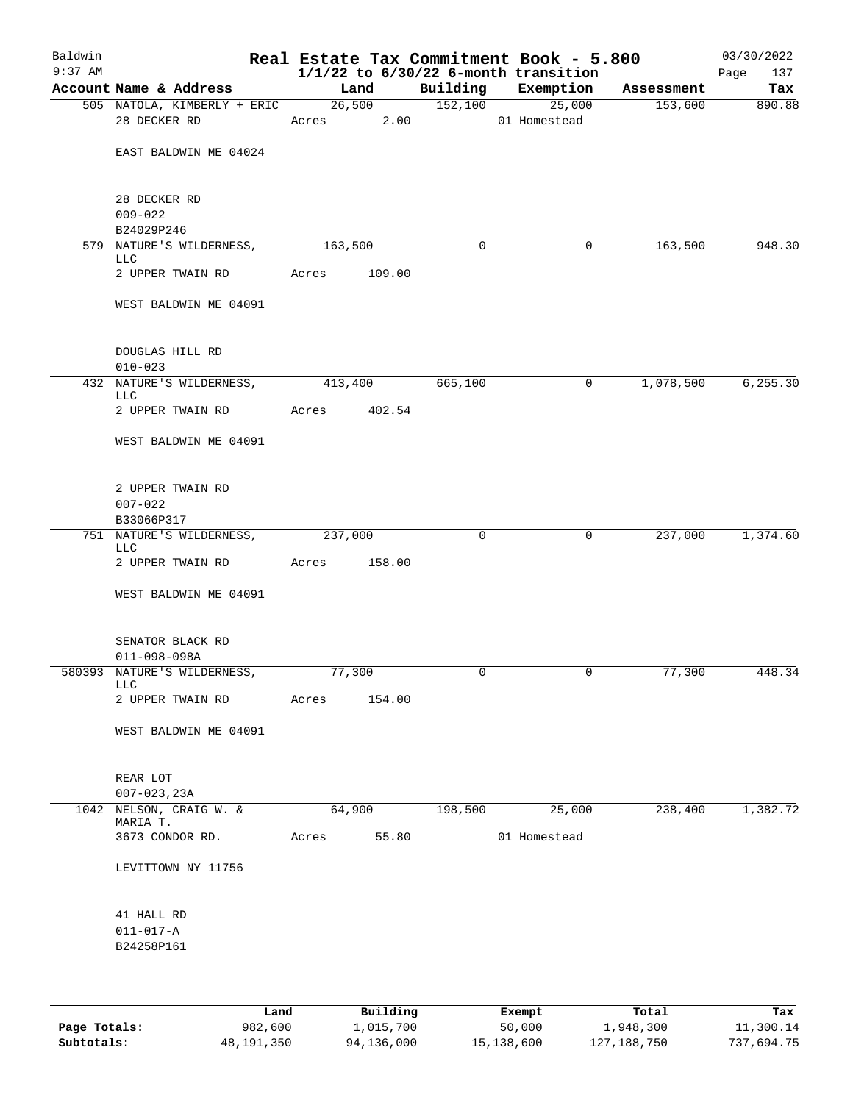| Baldwin<br>$9:37$ AM |                                                |            |        |         | Real Estate Tax Commitment Book - 5.800<br>$1/1/22$ to $6/30/22$ 6-month transition |            | 03/30/2022<br>137<br>Page |
|----------------------|------------------------------------------------|------------|--------|---------|-------------------------------------------------------------------------------------|------------|---------------------------|
|                      | Account Name & Address                         |            | Land   |         | Building Exemption                                                                  | Assessment | Tax                       |
|                      | 505 NATOLA, KIMBERLY + ERIC 26,500             |            |        | 152,100 | 25,000                                                                              | 153,600    | 890.88                    |
|                      | 28 DECKER RD                                   | Acres 2.00 |        |         | 01 Homestead                                                                        |            |                           |
|                      | EAST BALDWIN ME 04024                          |            |        |         |                                                                                     |            |                           |
|                      | 28 DECKER RD                                   |            |        |         |                                                                                     |            |                           |
|                      | $009 - 022$                                    |            |        |         |                                                                                     |            |                           |
|                      | B24029P246<br>579 NATURE'S WILDERNESS, 163,500 |            |        | 0       | $\mathbf{0}$                                                                        | 163,500    | 948.30                    |
|                      | LLC                                            |            |        |         |                                                                                     |            |                           |
|                      | 2 UPPER TWAIN RD                               | Acres      | 109.00 |         |                                                                                     |            |                           |
|                      | WEST BALDWIN ME 04091                          |            |        |         |                                                                                     |            |                           |
|                      | DOUGLAS HILL RD                                |            |        |         |                                                                                     |            |                           |
|                      | $010 - 023$                                    |            |        |         |                                                                                     |            |                           |
|                      | 432 NATURE'S WILDERNESS,<br><b>LLC</b>         | 413,400    |        | 665,100 | 0                                                                                   | 1,078,500  | 6, 255.30                 |
|                      | 2 UPPER TWAIN RD Acres 402.54                  |            |        |         |                                                                                     |            |                           |
|                      | WEST BALDWIN ME 04091                          |            |        |         |                                                                                     |            |                           |
|                      | 2 UPPER TWAIN RD                               |            |        |         |                                                                                     |            |                           |
|                      | $007 - 022$                                    |            |        |         |                                                                                     |            |                           |
|                      | B33066P317                                     |            |        |         |                                                                                     |            |                           |
|                      | 751 NATURE'S WILDERNESS,<br><b>LLC</b>         | 237,000    |        | 0       | $\mathbf{0}$                                                                        | 237,000    | 1,374.60                  |
|                      | 2 UPPER TWAIN RD Acres                         |            | 158.00 |         |                                                                                     |            |                           |
|                      | WEST BALDWIN ME 04091                          |            |        |         |                                                                                     |            |                           |
|                      | SENATOR BLACK RD<br>$011 - 098 - 098A$         |            |        |         |                                                                                     |            |                           |
|                      | 580393 NATURE'S WILDERNESS,                    | 77,300     |        | 0       | 0                                                                                   | 77,300     | 448.34                    |
|                      | <b>LLC</b><br>2 UPPER TWAIN RD                 | Acres      | 154.00 |         |                                                                                     |            |                           |
|                      | WEST BALDWIN ME 04091                          |            |        |         |                                                                                     |            |                           |
|                      | REAR LOT<br>$007 - 023, 23A$                   |            |        |         |                                                                                     |            |                           |
|                      | 1042 NELSON, CRAIG W. &                        | 64,900     |        | 198,500 | 25,000                                                                              | 238,400    | 1,382.72                  |
|                      | MARIA T.<br>3673 CONDOR RD.                    | Acres      | 55.80  |         | 01 Homestead                                                                        |            |                           |
|                      |                                                |            |        |         |                                                                                     |            |                           |
|                      | LEVITTOWN NY 11756                             |            |        |         |                                                                                     |            |                           |
|                      | 41 HALL RD                                     |            |        |         |                                                                                     |            |                           |
|                      | $011 - 017 - A$                                |            |        |         |                                                                                     |            |                           |
|                      | B24258P161                                     |            |        |         |                                                                                     |            |                           |
|                      |                                                |            |        |         |                                                                                     |            |                           |

|              | Land       | Building   | Exempt     | Total         | Tax        |
|--------------|------------|------------|------------|---------------|------------|
| Page Totals: | 982,600    | 1,015,700  | 50,000     | 1,948,300     | 11,300.14  |
| Subtotals:   | 48,191,350 | 94,136,000 | 15,138,600 | 127, 188, 750 | 737,694.75 |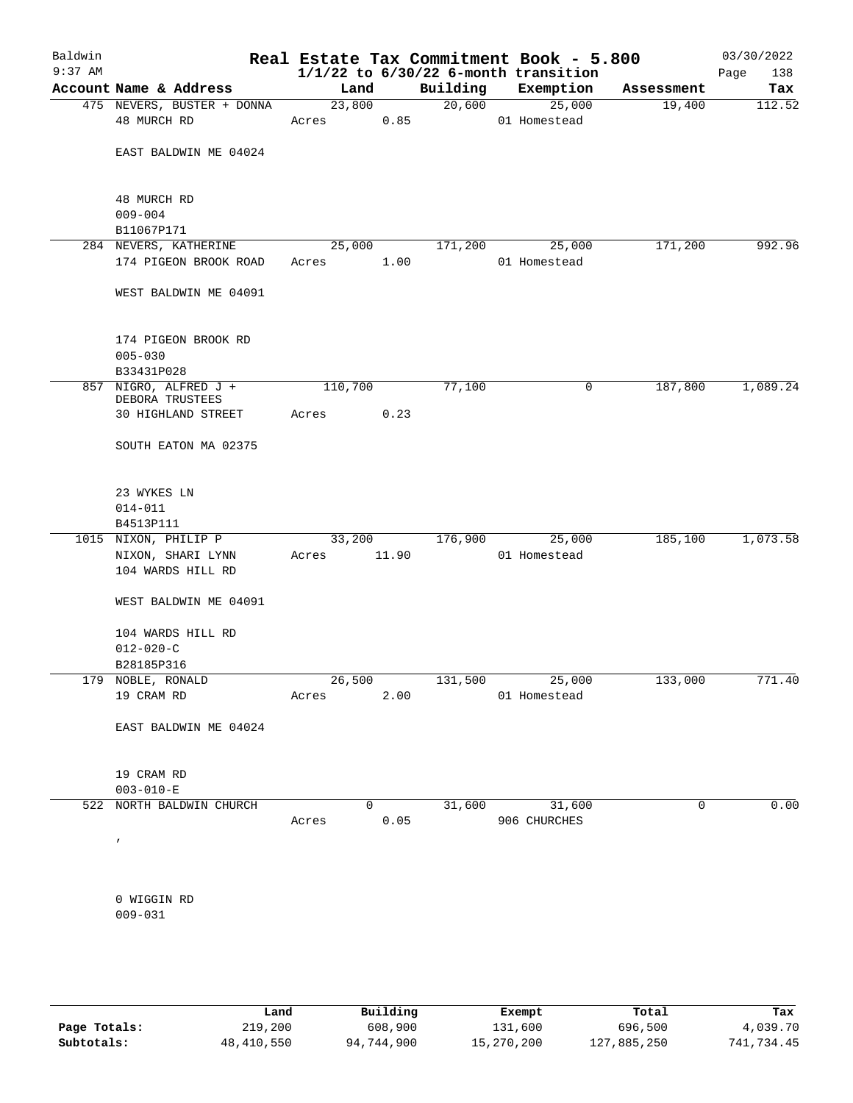| Baldwin<br>$9:37$ AM |                               |                            |         |              |          | Real Estate Tax Commitment Book - 5.800<br>$1/1/22$ to $6/30/22$ 6-month transition |            | 03/30/2022<br>138<br>Page |
|----------------------|-------------------------------|----------------------------|---------|--------------|----------|-------------------------------------------------------------------------------------|------------|---------------------------|
|                      |                               | Account Name & Address     | Land    |              | Building | Exemption                                                                           | Assessment | Tax                       |
|                      |                               | 475 NEVERS, BUSTER + DONNA | 23,800  |              | 20,600   | 25,000                                                                              | 19,400     | 112.52                    |
|                      | 48 MURCH RD                   |                            | Acres   | 0.85         |          | 01 Homestead                                                                        |            |                           |
|                      |                               | EAST BALDWIN ME 04024      |         |              |          |                                                                                     |            |                           |
|                      |                               |                            |         |              |          |                                                                                     |            |                           |
|                      | 48 MURCH RD                   |                            |         |              |          |                                                                                     |            |                           |
|                      | $009 - 004$                   |                            |         |              |          |                                                                                     |            |                           |
|                      | B11067P171                    |                            |         |              |          |                                                                                     |            |                           |
|                      |                               | 284 NEVERS, KATHERINE      | 25,000  |              | 171,200  | 25,000                                                                              | 171,200    | 992.96                    |
|                      |                               | 174 PIGEON BROOK ROAD      | Acres   | 1.00         |          | 01 Homestead                                                                        |            |                           |
|                      |                               | WEST BALDWIN ME 04091      |         |              |          |                                                                                     |            |                           |
|                      |                               | 174 PIGEON BROOK RD        |         |              |          |                                                                                     |            |                           |
|                      | $005 - 030$                   |                            |         |              |          |                                                                                     |            |                           |
|                      | B33431P028                    |                            |         |              |          |                                                                                     |            |                           |
|                      | DEBORA TRUSTEES               | 857 NIGRO, ALFRED J +      | 110,700 |              | 77,100   | 0                                                                                   | 187,800    | 1,089.24                  |
|                      |                               | 30 HIGHLAND STREET         | Acres   | 0.23         |          |                                                                                     |            |                           |
|                      |                               | SOUTH EATON MA 02375       |         |              |          |                                                                                     |            |                           |
|                      |                               |                            |         |              |          |                                                                                     |            |                           |
|                      | 23 WYKES LN                   |                            |         |              |          |                                                                                     |            |                           |
|                      | $014 - 011$                   |                            |         |              |          |                                                                                     |            |                           |
|                      | B4513P111                     |                            |         |              | 176,900  |                                                                                     |            | 1,073.58                  |
|                      |                               | 1015 NIXON, PHILIP P       | 33,200  |              |          | 25,000                                                                              | 185,100    |                           |
|                      |                               | NIXON, SHARI LYNN          | Acres   | 11.90        |          | 01 Homestead                                                                        |            |                           |
|                      |                               | 104 WARDS HILL RD          |         |              |          |                                                                                     |            |                           |
|                      |                               | WEST BALDWIN ME 04091      |         |              |          |                                                                                     |            |                           |
|                      |                               | 104 WARDS HILL RD          |         |              |          |                                                                                     |            |                           |
|                      | $012 - 020 - C$               |                            |         |              |          |                                                                                     |            |                           |
|                      | B28185P316                    |                            |         |              |          |                                                                                     |            |                           |
|                      | 179 NOBLE, RONALD             |                            |         | 26,500       |          | 131,500 25,000                                                                      | 133,000    | 771.40                    |
|                      | 19 CRAM RD                    |                            | Acres   | 2.00         |          | 01 Homestead                                                                        |            |                           |
|                      |                               | EAST BALDWIN ME 04024      |         |              |          |                                                                                     |            |                           |
|                      |                               |                            |         |              |          |                                                                                     |            |                           |
|                      | 19 CRAM RD<br>$003 - 010 - E$ |                            |         |              |          |                                                                                     |            |                           |
|                      |                               | 522 NORTH BALDWIN CHURCH   |         | $\mathbf{0}$ | 31,600   | 31,600                                                                              | 0          | 0.00                      |
|                      |                               |                            | Acres   | 0.05         |          | 906 CHURCHES                                                                        |            |                           |
|                      | $\prime$                      |                            |         |              |          |                                                                                     |            |                           |
|                      |                               |                            |         |              |          |                                                                                     |            |                           |
|                      | 0 WIGGIN RD                   |                            |         |              |          |                                                                                     |            |                           |
|                      | $009 - 031$                   |                            |         |              |          |                                                                                     |            |                           |
|                      |                               |                            |         |              |          |                                                                                     |            |                           |

|              | Land       | Building   | Exempt     | Total       | Tax        |
|--------------|------------|------------|------------|-------------|------------|
| Page Totals: | 219,200    | 608,900    | 131,600    | 696,500     | 4,039.70   |
| Subtotals:   | 48,410,550 | 94,744,900 | 15,270,200 | 127,885,250 | 741,734.45 |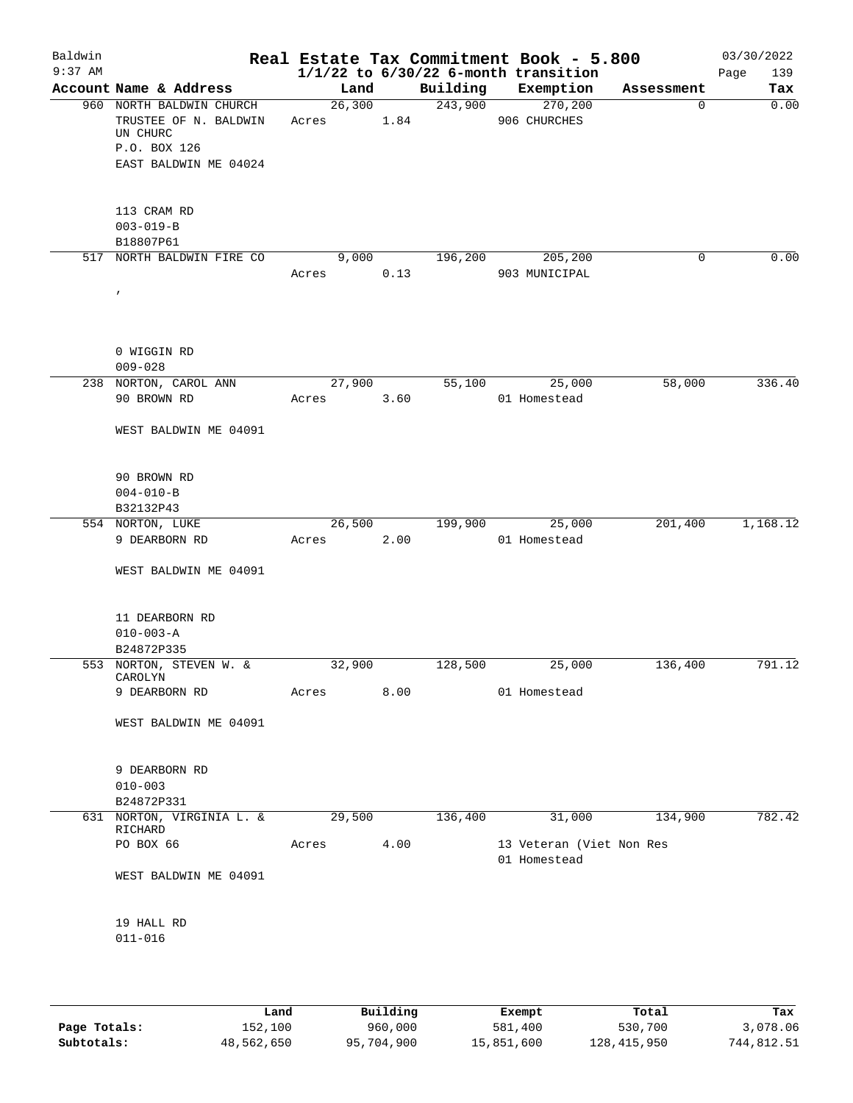| Baldwin<br>$9:37$ AM |                                                                                                        |                      |      |         | Real Estate Tax Commitment Book - 5.800<br>$1/1/22$ to $6/30/22$ 6-month transition |             | 03/30/2022<br>Page<br>139 |
|----------------------|--------------------------------------------------------------------------------------------------------|----------------------|------|---------|-------------------------------------------------------------------------------------|-------------|---------------------------|
|                      | Account Name & Address                                                                                 | Land                 |      |         | Building Exemption                                                                  | Assessment  | Tax                       |
|                      | 960 NORTH BALDWIN CHURCH<br>TRUSTEE OF N. BALDWIN<br>UN CHURC<br>P.O. BOX 126<br>EAST BALDWIN ME 04024 | 26,300<br>Acres 1.84 |      |         | 243,900 270,200<br>906 CHURCHES                                                     | $\mathbf 0$ | 0.00                      |
|                      | 113 CRAM RD<br>$003 - 019 - B$<br>B18807P61                                                            |                      |      |         |                                                                                     |             |                           |
|                      | 517 NORTH BALDWIN FIRE CO<br>$\prime$                                                                  | 9,000<br>Acres       | 0.13 |         | 196,200 205,200<br>903 MUNICIPAL                                                    | 0           | 0.00                      |
|                      | 0 WIGGIN RD<br>$009 - 028$                                                                             |                      |      |         |                                                                                     |             |                           |
|                      | 238 NORTON, CAROL ANN<br>90 BROWN RD                                                                   | 27,900<br>Acres      | 3.60 | 55,100  | 25,000<br>01 Homestead                                                              | 58,000      | 336.40                    |
|                      | WEST BALDWIN ME 04091<br>90 BROWN RD<br>$004 - 010 - B$                                                |                      |      |         |                                                                                     |             |                           |
|                      | B32132P43                                                                                              |                      |      |         |                                                                                     |             |                           |
|                      | 554 NORTON, LUKE<br>9 DEARBORN RD<br>WEST BALDWIN ME 04091                                             | 26,500<br>Acres      | 2.00 | 199,900 | 25,000<br>01 Homestead                                                              | 201,400     | 1,168.12                  |
|                      | 11 DEARBORN RD<br>$010 - 003 - A$<br>B24872P335                                                        |                      |      |         |                                                                                     |             |                           |
|                      | 553 NORTON, STEVEN W. &<br>CAROLYN                                                                     | 32,900               |      | 128,500 | 25,000                                                                              | 136,400     | 791.12                    |
|                      | 9 DEARBORN RD<br>WEST BALDWIN ME 04091                                                                 | Acres                | 8.00 |         | 01 Homestead                                                                        |             |                           |
|                      | 9 DEARBORN RD<br>$010 - 003$<br>B24872P331                                                             |                      |      |         |                                                                                     |             |                           |
|                      | 631 NORTON, VIRGINIA L. &                                                                              | 29,500               |      | 136,400 | 31,000                                                                              | 134,900     | 782.42                    |
|                      | RICHARD<br>PO BOX 66<br>WEST BALDWIN ME 04091                                                          | Acres                | 4.00 |         | 13 Veteran (Viet Non Res<br>01 Homestead                                            |             |                           |
|                      | 19 HALL RD<br>$011 - 016$                                                                              |                      |      |         |                                                                                     |             |                           |

|              | Land       | Building   |            | Total         | Tax        |
|--------------|------------|------------|------------|---------------|------------|
|              |            |            | Exempt     |               |            |
| Page Totals: | 152,100    | 960,000    | 581,400    | 530,700       | 3,078.06   |
| Subtotals:   | 48,562,650 | 95,704,900 | 15,851,600 | 128, 415, 950 | 744,812.51 |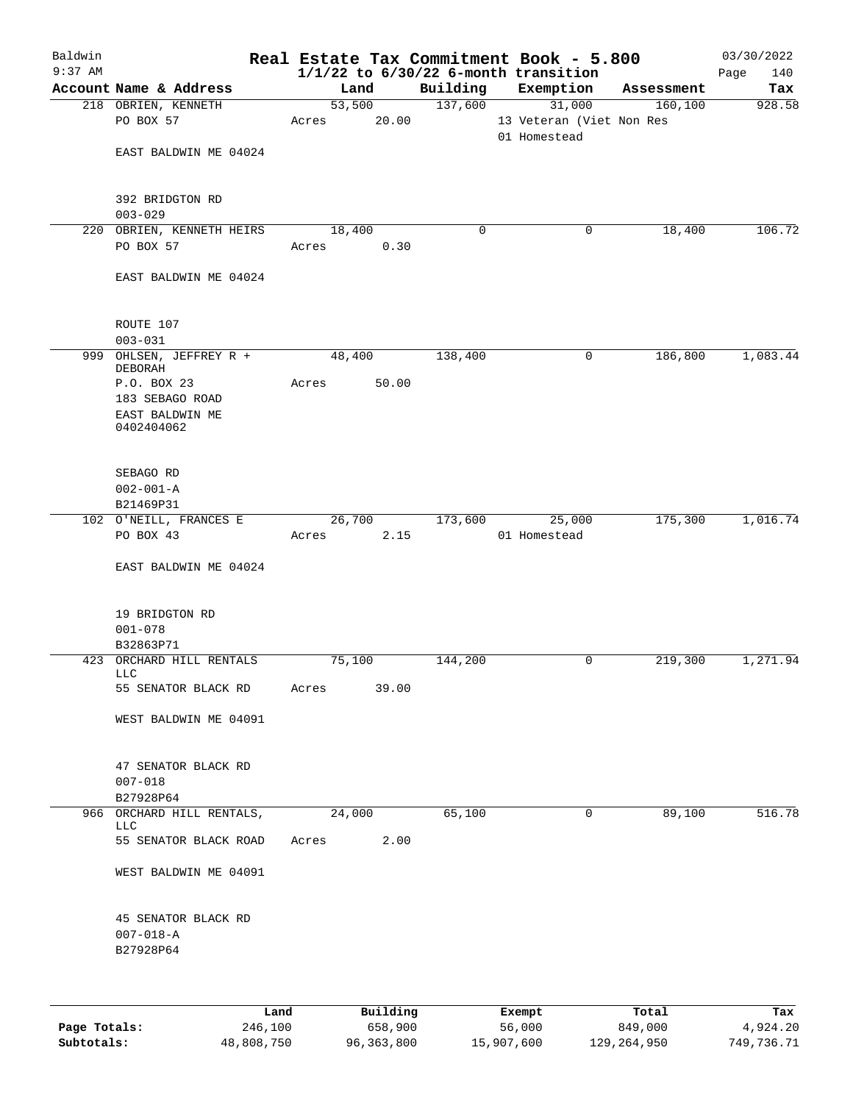|           |                                                                 |                     |                |          | Real Estate Tax Commitment Book - 5.800               |            | 03/30/2022    |
|-----------|-----------------------------------------------------------------|---------------------|----------------|----------|-------------------------------------------------------|------------|---------------|
| $9:37$ AM | Account Name & Address                                          | Land                |                | Building | $1/1/22$ to $6/30/22$ 6-month transition<br>Exemption | Assessment | Page<br>140   |
|           | 218 OBRIEN, KENNETH                                             | $\overline{53,500}$ |                | 137,600  | 31,000                                                | 160, 100   | Tax<br>928.58 |
|           | PO BOX 57                                                       | Acres               | 20.00          |          | 13 Veteran (Viet Non Res<br>01 Homestead              |            |               |
|           | EAST BALDWIN ME 04024                                           |                     |                |          |                                                       |            |               |
|           | 392 BRIDGTON RD<br>$003 - 029$                                  |                     |                |          |                                                       |            |               |
|           | 220 OBRIEN, KENNETH HEIRS<br>PO BOX 57                          | 18,400<br>Acres     | 0.30           | 0        | 0                                                     | 18,400     | 106.72        |
|           | EAST BALDWIN ME 04024                                           |                     |                |          |                                                       |            |               |
|           | ROUTE 107<br>$003 - 031$                                        |                     |                |          |                                                       |            |               |
|           | 999 OHLSEN, JEFFREY R +<br><b>DEBORAH</b>                       | 48,400              |                | 138,400  | 0                                                     | 186,800    | 1,083.44      |
|           | P.O. BOX 23<br>183 SEBAGO ROAD<br>EAST BALDWIN ME<br>0402404062 | Acres               | 50.00          |          |                                                       |            |               |
|           | SEBAGO RD<br>$002 - 001 - A$                                    |                     |                |          |                                                       |            |               |
|           | B21469P31                                                       |                     |                |          |                                                       |            |               |
|           | 102 O'NEILL, FRANCES E<br>PO BOX 43                             | Acres               | 26,700<br>2.15 | 173,600  | 25,000<br>01 Homestead                                | 175,300    | 1,016.74      |
|           | EAST BALDWIN ME 04024                                           |                     |                |          |                                                       |            |               |
|           | 19 BRIDGTON RD<br>$001 - 078$<br>B32863P71                      |                     |                |          |                                                       |            |               |
|           | 423 ORCHARD HILL RENTALS                                        | 75,100              |                | 144,200  | 0                                                     | 219,300    | 1,271.94      |
|           | LLC<br>55 SENATOR BLACK RD                                      | Acres               | 39.00          |          |                                                       |            |               |
|           | WEST BALDWIN ME 04091                                           |                     |                |          |                                                       |            |               |
|           | 47 SENATOR BLACK RD<br>$007 - 018$<br>B27928P64                 |                     |                |          |                                                       |            |               |
|           | 966 ORCHARD HILL RENTALS,<br><b>LLC</b>                         | 24,000              |                | 65,100   | 0                                                     | 89,100     | 516.78        |
|           | 55 SENATOR BLACK ROAD                                           | Acres               | 2.00           |          |                                                       |            |               |
|           | WEST BALDWIN ME 04091                                           |                     |                |          |                                                       |            |               |
|           | 45 SENATOR BLACK RD<br>$007 - 018 - A$<br>B27928P64             |                     |                |          |                                                       |            |               |
|           |                                                                 |                     |                |          |                                                       |            |               |

|              | Land       | Building   | Exempt     | Total       | Tax        |
|--------------|------------|------------|------------|-------------|------------|
| Page Totals: | 246,100    | 658,900    | 56,000     | 849,000     | 4,924.20   |
| Subtotals:   | 48,808,750 | 96,363,800 | 15,907,600 | 129,264,950 | 749,736.71 |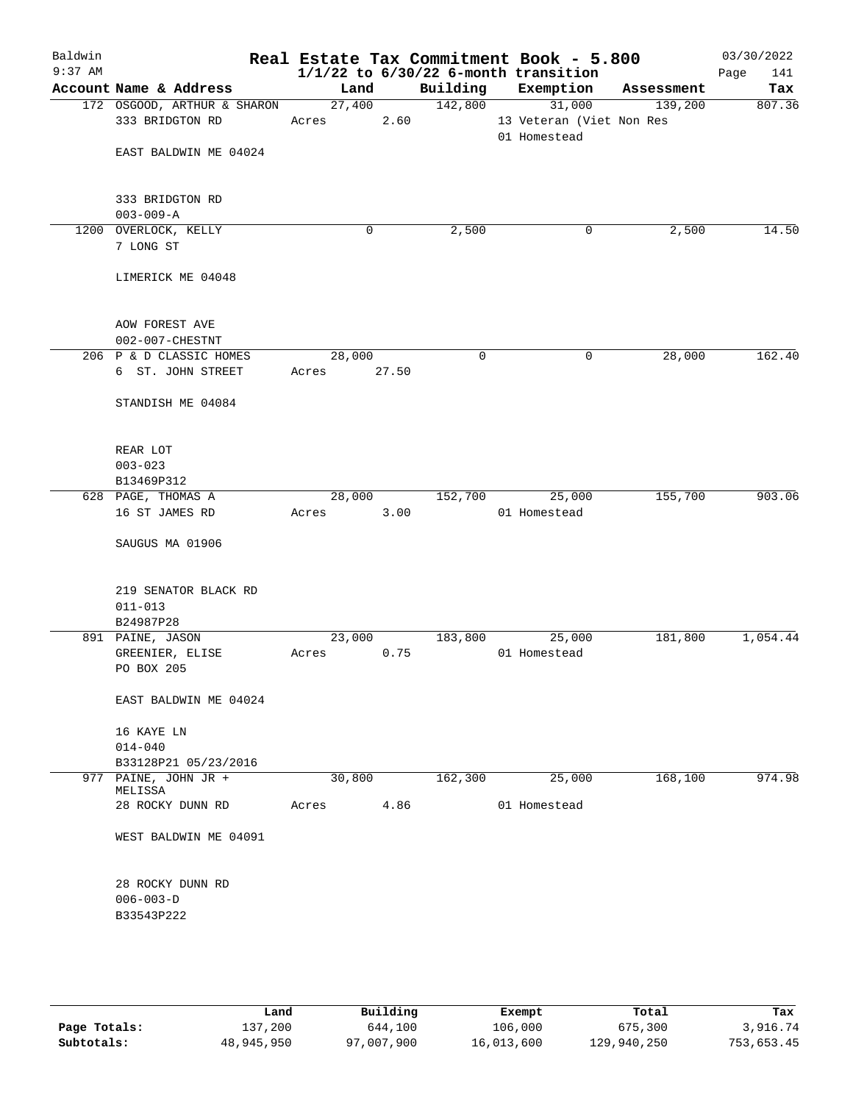| Baldwin<br>$9:37$ AM |                                                |                 |       |             | Real Estate Tax Commitment Book - 5.800<br>$1/1/22$ to $6/30/22$ 6-month transition |            | 03/30/2022<br>141<br>Page |
|----------------------|------------------------------------------------|-----------------|-------|-------------|-------------------------------------------------------------------------------------|------------|---------------------------|
|                      | Account Name & Address                         | Land            |       | Building    | Exemption                                                                           | Assessment | Tax                       |
|                      | 172 OSGOOD, ARTHUR & SHARON<br>333 BRIDGTON RD | 27,400<br>Acres | 2.60  | 142,800     | 31,000<br>13 Veteran (Viet Non Res<br>01 Homestead                                  | 139,200    | 807.36                    |
|                      | EAST BALDWIN ME 04024                          |                 |       |             |                                                                                     |            |                           |
|                      | 333 BRIDGTON RD<br>$003 - 009 - A$             |                 |       |             |                                                                                     |            |                           |
|                      | 1200 OVERLOCK, KELLY<br>7 LONG ST              |                 | 0     | 2,500       | 0                                                                                   | 2,500      | 14.50                     |
|                      | LIMERICK ME 04048                              |                 |       |             |                                                                                     |            |                           |
|                      | AOW FOREST AVE<br>002-007-CHESTNT              |                 |       |             |                                                                                     |            |                           |
|                      | 206 P & D CLASSIC HOMES<br>6 ST. JOHN STREET   | 28,000<br>Acres | 27.50 | $\mathbf 0$ | 0                                                                                   | 28,000     | 162.40                    |
|                      | STANDISH ME 04084                              |                 |       |             |                                                                                     |            |                           |
|                      | REAR LOT<br>$003 - 023$                        |                 |       |             |                                                                                     |            |                           |
|                      | B13469P312                                     |                 |       |             |                                                                                     |            |                           |
|                      | 628 PAGE, THOMAS A                             | 28,000          |       | 152,700     | 25,000                                                                              | 155,700    | 903.06                    |
|                      | 16 ST JAMES RD                                 | Acres           | 3.00  |             | 01 Homestead                                                                        |            |                           |
|                      | SAUGUS MA 01906                                |                 |       |             |                                                                                     |            |                           |
|                      | 219 SENATOR BLACK RD<br>$011 - 013$            |                 |       |             |                                                                                     |            |                           |
|                      | B24987P28                                      |                 |       |             |                                                                                     |            |                           |
|                      | 891 PAINE, JASON                               | 23,000          |       | 183,800     | 25,000                                                                              | 181,800    | 1,054.44                  |
|                      | GREENIER, ELISE<br>PO BOX 205                  | Acres           | 0.75  |             | 01 Homestead                                                                        |            |                           |
|                      | EAST BALDWIN ME 04024                          |                 |       |             |                                                                                     |            |                           |
|                      | 16 KAYE LN                                     |                 |       |             |                                                                                     |            |                           |
|                      | $014 - 040$                                    |                 |       |             |                                                                                     |            |                           |
|                      | B33128P21 05/23/2016                           |                 |       |             |                                                                                     |            |                           |
|                      | 977 PAINE, JOHN JR +<br>MELISSA                | 30,800          |       | 162,300     | 25,000                                                                              | 168,100    | 974.98                    |
|                      | 28 ROCKY DUNN RD                               | Acres           | 4.86  |             | 01 Homestead                                                                        |            |                           |
|                      | WEST BALDWIN ME 04091                          |                 |       |             |                                                                                     |            |                           |
|                      | 28 ROCKY DUNN RD<br>$006 - 003 - D$            |                 |       |             |                                                                                     |            |                           |
|                      | B33543P222                                     |                 |       |             |                                                                                     |            |                           |
|                      |                                                |                 |       |             |                                                                                     |            |                           |
|                      |                                                |                 |       |             |                                                                                     |            |                           |

|              | Land       | Building   | Exempt     | Total       | Tax        |
|--------------|------------|------------|------------|-------------|------------|
| Page Totals: | 137,200    | 644,100    | 106,000    | 675,300     | 3,916.74   |
| Subtotals:   | 48,945,950 | 97,007,900 | 16,013,600 | 129,940,250 | 753,653.45 |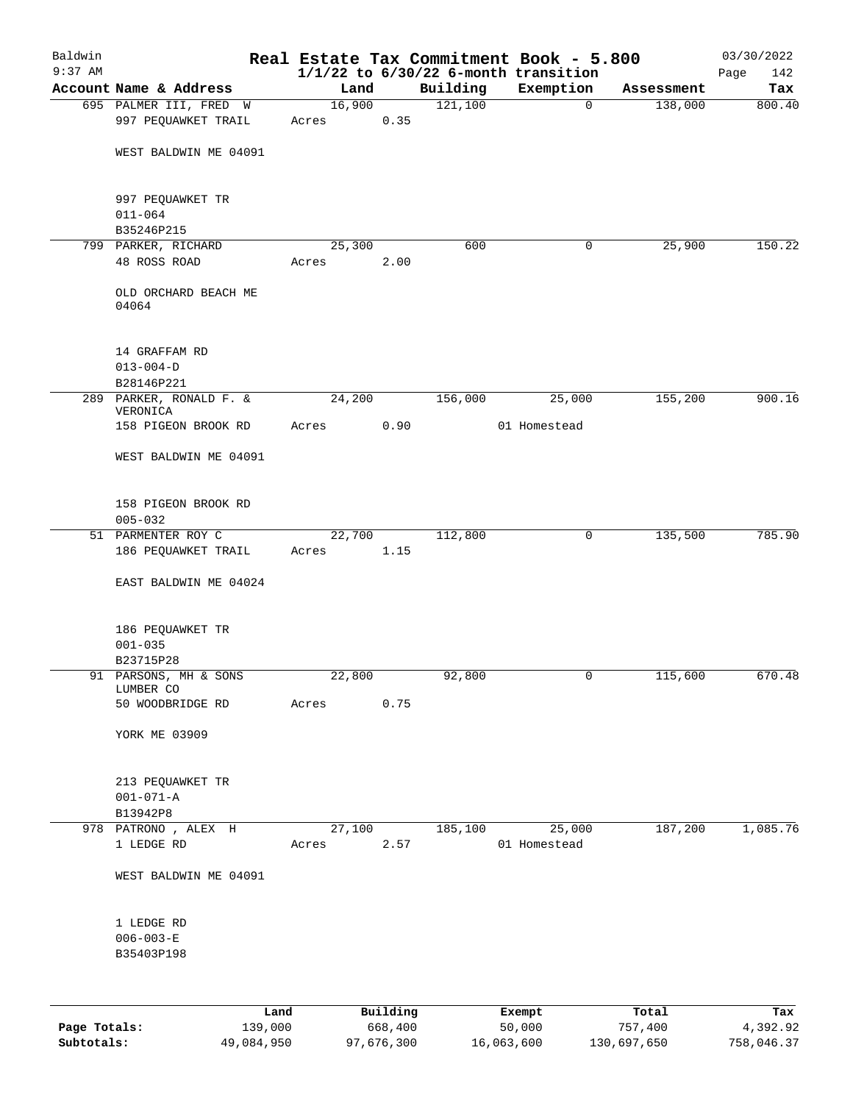| Baldwin      |                                               |                 |          |          | Real Estate Tax Commitment Book - 5.800  |            | 03/30/2022  |
|--------------|-----------------------------------------------|-----------------|----------|----------|------------------------------------------|------------|-------------|
| $9:37$ AM    |                                               |                 |          |          | $1/1/22$ to $6/30/22$ 6-month transition |            | 142<br>Page |
|              | Account Name & Address                        | Land            |          | Building | Exemption                                | Assessment | Tax         |
|              | 695 PALMER III, FRED W<br>997 PEQUAWKET TRAIL | 16,900<br>Acres | 0.35     | 121,100  | $\mathbf 0$                              | 138,000    | 800.40      |
|              | WEST BALDWIN ME 04091                         |                 |          |          |                                          |            |             |
|              | 997 PEQUAWKET TR<br>$011 - 064$               |                 |          |          |                                          |            |             |
|              | B35246P215                                    |                 |          |          |                                          |            |             |
|              | 799 PARKER, RICHARD                           | 25,300          |          | 600      | 0                                        | 25,900     | 150.22      |
|              | 48 ROSS ROAD                                  | Acres           | 2.00     |          |                                          |            |             |
|              | OLD ORCHARD BEACH ME<br>04064                 |                 |          |          |                                          |            |             |
|              | 14 GRAFFAM RD<br>$013 - 004 - D$              |                 |          |          |                                          |            |             |
|              | B28146P221<br>289 PARKER, RONALD F. &         | 24,200          |          | 156,000  | 25,000                                   | 155,200    | 900.16      |
|              | VERONICA<br>158 PIGEON BROOK RD               |                 | 0.90     |          | 01 Homestead                             |            |             |
|              | WEST BALDWIN ME 04091                         | Acres           |          |          |                                          |            |             |
|              | 158 PIGEON BROOK RD<br>$005 - 032$            |                 |          |          |                                          |            |             |
|              | 51 PARMENTER ROY C                            | 22,700          |          | 112,800  | 0                                        | 135,500    | 785.90      |
|              | 186 PEQUAWKET TRAIL                           | Acres           | 1.15     |          |                                          |            |             |
|              | EAST BALDWIN ME 04024                         |                 |          |          |                                          |            |             |
|              | 186 PEQUAWKET TR<br>$001 - 035$               |                 |          |          |                                          |            |             |
|              | B23715P28<br>91 PARSONS, MH & SONS            | 22,800          |          | 92,800   | 0                                        | 115,600    | 670.48      |
|              | LUMBER CO<br>50 WOODBRIDGE RD                 | Acres           | 0.75     |          |                                          |            |             |
|              |                                               |                 |          |          |                                          |            |             |
|              | YORK ME 03909                                 |                 |          |          |                                          |            |             |
|              | 213 PEQUAWKET TR<br>$001 - 071 - A$           |                 |          |          |                                          |            |             |
|              | B13942P8                                      |                 |          |          |                                          |            |             |
|              | 978 PATRONO, ALEX H<br>1 LEDGE RD             | 27,100<br>Acres | 2.57     | 185,100  | 25,000<br>01 Homestead                   | 187,200    | 1,085.76    |
|              | WEST BALDWIN ME 04091                         |                 |          |          |                                          |            |             |
|              | 1 LEDGE RD<br>$006 - 003 - E$<br>B35403P198   |                 |          |          |                                          |            |             |
|              |                                               |                 |          |          |                                          |            |             |
|              | Land                                          |                 | Building |          | Exempt                                   | Total      | Tax         |
| Page Totals: | 139,000                                       |                 | 668,400  |          | 50,000                                   | 757,400    | 4,392.92    |

**Subtotals:** 49,084,950 97,676,300 16,063,600 130,697,650 758,046.37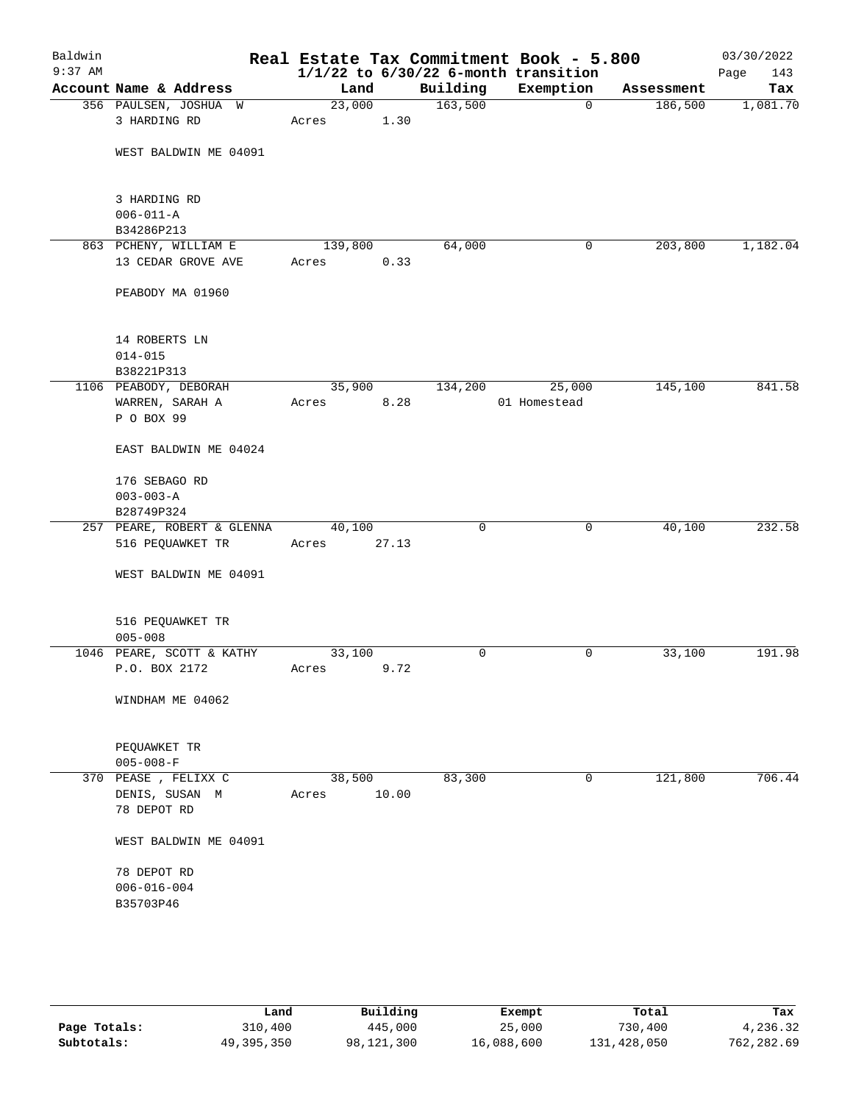| Baldwin<br>$9:37$ AM |                            |         |       |          | Real Estate Tax Commitment Book - 5.800<br>$1/1/22$ to $6/30/22$ 6-month transition |            | 03/30/2022<br>Page<br>143 |
|----------------------|----------------------------|---------|-------|----------|-------------------------------------------------------------------------------------|------------|---------------------------|
|                      | Account Name & Address     | Land    |       | Building | Exemption                                                                           | Assessment | Tax                       |
|                      | 356 PAULSEN, JOSHUA W      | 23,000  |       | 163,500  | $\mathbf 0$                                                                         | 186,500    | 1,081.70                  |
|                      | 3 HARDING RD               | Acres   | 1.30  |          |                                                                                     |            |                           |
|                      |                            |         |       |          |                                                                                     |            |                           |
|                      | WEST BALDWIN ME 04091      |         |       |          |                                                                                     |            |                           |
|                      |                            |         |       |          |                                                                                     |            |                           |
|                      | 3 HARDING RD               |         |       |          |                                                                                     |            |                           |
|                      | $006 - 011 - A$            |         |       |          |                                                                                     |            |                           |
|                      | B34286P213                 |         |       |          |                                                                                     |            |                           |
|                      | 863 PCHENY, WILLIAM E      | 139,800 |       | 64,000   | 0                                                                                   | 203,800    | 1,182.04                  |
|                      | 13 CEDAR GROVE AVE         | Acres   | 0.33  |          |                                                                                     |            |                           |
|                      | PEABODY MA 01960           |         |       |          |                                                                                     |            |                           |
|                      | 14 ROBERTS LN              |         |       |          |                                                                                     |            |                           |
|                      | $014 - 015$                |         |       |          |                                                                                     |            |                           |
|                      | B38221P313                 |         |       |          |                                                                                     |            |                           |
|                      | 1106 PEABODY, DEBORAH      | 35,900  |       | 134,200  | 25,000                                                                              | 145,100    | 841.58                    |
|                      | WARREN, SARAH A            | Acres   | 8.28  |          | 01 Homestead                                                                        |            |                           |
|                      | P O BOX 99                 |         |       |          |                                                                                     |            |                           |
|                      | EAST BALDWIN ME 04024      |         |       |          |                                                                                     |            |                           |
|                      | 176 SEBAGO RD              |         |       |          |                                                                                     |            |                           |
|                      | $003 - 003 - A$            |         |       |          |                                                                                     |            |                           |
|                      | B28749P324                 |         |       |          |                                                                                     |            |                           |
|                      | 257 PEARE, ROBERT & GLENNA | 40,100  |       | 0        | 0                                                                                   | 40,100     | 232.58                    |
|                      | 516 PEQUAWKET TR           | Acres   | 27.13 |          |                                                                                     |            |                           |
|                      | WEST BALDWIN ME 04091      |         |       |          |                                                                                     |            |                           |
|                      |                            |         |       |          |                                                                                     |            |                           |
|                      | 516 PEQUAWKET TR           |         |       |          |                                                                                     |            |                           |
|                      | $005 - 008$                |         |       |          |                                                                                     |            |                           |
|                      | 1046 PEARE, SCOTT & KATHY  | 33,100  |       | 0        | 0                                                                                   | 33,100     | 191.98                    |
|                      | P.O. BOX 2172              | Acres   | 9.72  |          |                                                                                     |            |                           |
|                      | WINDHAM ME 04062           |         |       |          |                                                                                     |            |                           |
|                      |                            |         |       |          |                                                                                     |            |                           |
|                      | PEQUAWKET TR               |         |       |          |                                                                                     |            |                           |
|                      | $005 - 008 - F$            |         |       |          |                                                                                     |            |                           |
|                      | 370 PEASE, FELIXX C        | 38,500  |       | 83,300   | 0                                                                                   | 121,800    | 706.44                    |
|                      | DENIS, SUSAN M             | Acres   | 10.00 |          |                                                                                     |            |                           |
|                      | 78 DEPOT RD                |         |       |          |                                                                                     |            |                           |
|                      | WEST BALDWIN ME 04091      |         |       |          |                                                                                     |            |                           |
|                      | 78 DEPOT RD                |         |       |          |                                                                                     |            |                           |
|                      | $006 - 016 - 004$          |         |       |          |                                                                                     |            |                           |
|                      | B35703P46                  |         |       |          |                                                                                     |            |                           |
|                      |                            |         |       |          |                                                                                     |            |                           |
|                      |                            |         |       |          |                                                                                     |            |                           |
|                      |                            |         |       |          |                                                                                     |            |                           |

|              | Land       | Building   | Exempt     | Total       | Tax        |
|--------------|------------|------------|------------|-------------|------------|
| Page Totals: | 310,400    | 445,000    | 25,000     | 730,400     | 4,236.32   |
| Subtotals:   | 49,395,350 | 98,121,300 | 16,088,600 | 131,428,050 | 762,282.69 |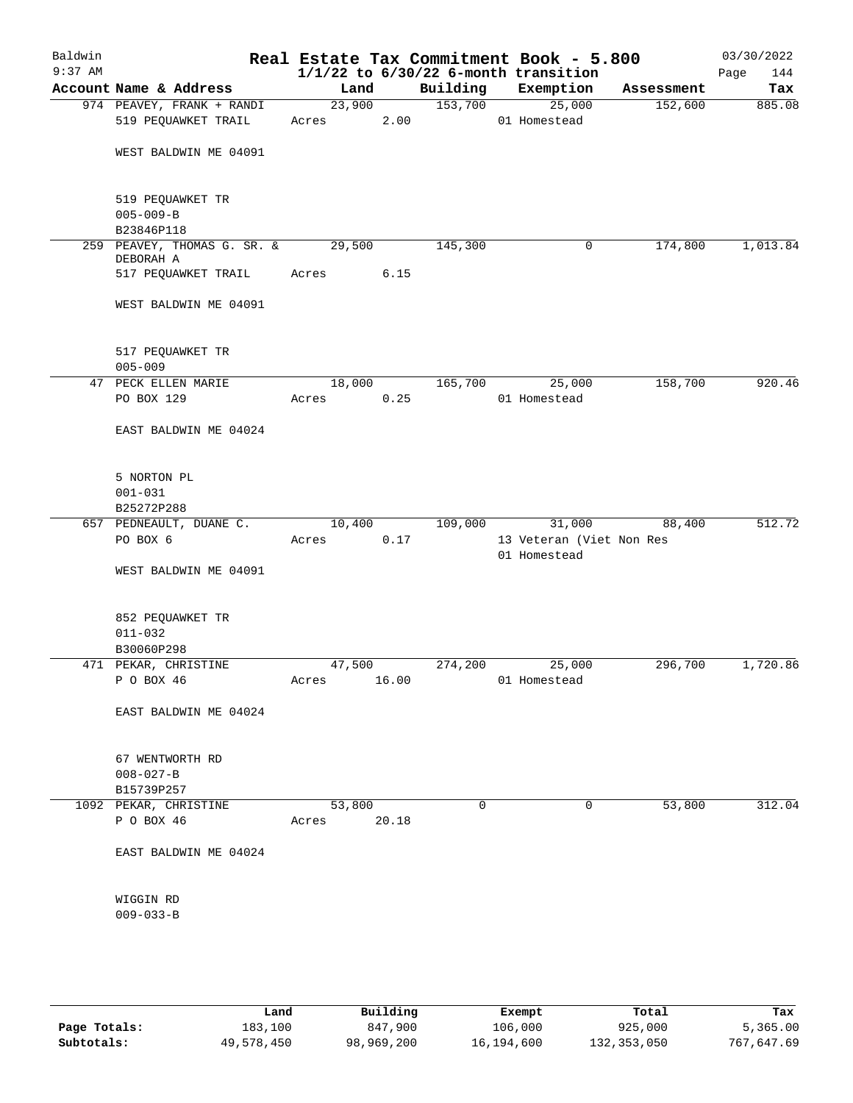| Baldwin<br>$9:37$ AM |                                          |                 |       |          | Real Estate Tax Commitment Book - 5.800<br>$1/1/22$ to $6/30/22$ 6-month transition |            | 03/30/2022<br>144<br>Page |
|----------------------|------------------------------------------|-----------------|-------|----------|-------------------------------------------------------------------------------------|------------|---------------------------|
|                      | Account Name & Address                   | Land            |       | Building | Exemption                                                                           | Assessment | Tax                       |
|                      | 974 PEAVEY, FRANK + RANDI                | 23,900          |       | 153,700  | 25,000                                                                              | 152,600    | 885.08                    |
|                      | 519 PEQUAWKET TRAIL                      | Acres           | 2.00  |          | 01 Homestead                                                                        |            |                           |
|                      | WEST BALDWIN ME 04091                    |                 |       |          |                                                                                     |            |                           |
|                      | 519 PEQUAWKET TR<br>$005 - 009 - B$      |                 |       |          |                                                                                     |            |                           |
|                      | B23846P118                               |                 |       |          |                                                                                     |            |                           |
|                      | 259 PEAVEY, THOMAS G. SR. &<br>DEBORAH A | 29,500          |       | 145,300  | 0                                                                                   | 174,800    | 1,013.84                  |
|                      | 517 PEQUAWKET TRAIL                      | Acres           | 6.15  |          |                                                                                     |            |                           |
|                      | WEST BALDWIN ME 04091                    |                 |       |          |                                                                                     |            |                           |
|                      | 517 PEQUAWKET TR                         |                 |       |          |                                                                                     |            |                           |
|                      | $005 - 009$                              |                 |       |          |                                                                                     |            |                           |
|                      | 47 PECK ELLEN MARIE<br>PO BOX 129        | 18,000<br>Acres | 0.25  | 165,700  | 25,000<br>01 Homestead                                                              | 158,700    | 920.46                    |
|                      | EAST BALDWIN ME 04024                    |                 |       |          |                                                                                     |            |                           |
|                      | 5 NORTON PL<br>$001 - 031$               |                 |       |          |                                                                                     |            |                           |
|                      | B25272P288                               |                 |       |          |                                                                                     |            |                           |
|                      | 657 PEDNEAULT, DUANE C.                  | 10,400          |       | 109,000  | 31,000                                                                              | 88,400     | 512.72                    |
|                      | PO BOX 6                                 | Acres           | 0.17  |          | 13 Veteran (Viet Non Res<br>01 Homestead                                            |            |                           |
|                      | WEST BALDWIN ME 04091                    |                 |       |          |                                                                                     |            |                           |
|                      | 852 PEQUAWKET TR                         |                 |       |          |                                                                                     |            |                           |
|                      | $011 - 032$                              |                 |       |          |                                                                                     |            |                           |
|                      | B30060P298                               |                 |       |          |                                                                                     |            |                           |
|                      | 471 PEKAR, CHRISTINE<br>P O BOX 46       | 47,500<br>Acres | 16.00 | 274,200  | 25,000<br>01 Homestead                                                              | 296,700    | 1,720.86                  |
|                      | EAST BALDWIN ME 04024                    |                 |       |          |                                                                                     |            |                           |
|                      | 67 WENTWORTH RD                          |                 |       |          |                                                                                     |            |                           |
|                      | $008 - 027 - B$                          |                 |       |          |                                                                                     |            |                           |
|                      | B15739P257                               |                 |       |          |                                                                                     |            |                           |
|                      | 1092 PEKAR, CHRISTINE                    | 53,800          |       | $\Omega$ | $\Omega$                                                                            | 53,800     | 312.04                    |
|                      | P O BOX 46                               | Acres           | 20.18 |          |                                                                                     |            |                           |
|                      | EAST BALDWIN ME 04024                    |                 |       |          |                                                                                     |            |                           |
|                      | WIGGIN RD<br>$009 - 033 - B$             |                 |       |          |                                                                                     |            |                           |
|                      |                                          |                 |       |          |                                                                                     |            |                           |

|              | Land       | Building   | Exempt     | Total       | Tax        |
|--------------|------------|------------|------------|-------------|------------|
| Page Totals: | 183,100    | 847,900    | 106,000    | 925,000     | 5,365.00   |
| Subtotals:   | 49,578,450 | 98,969,200 | 16,194,600 | 132,353,050 | 767,647.69 |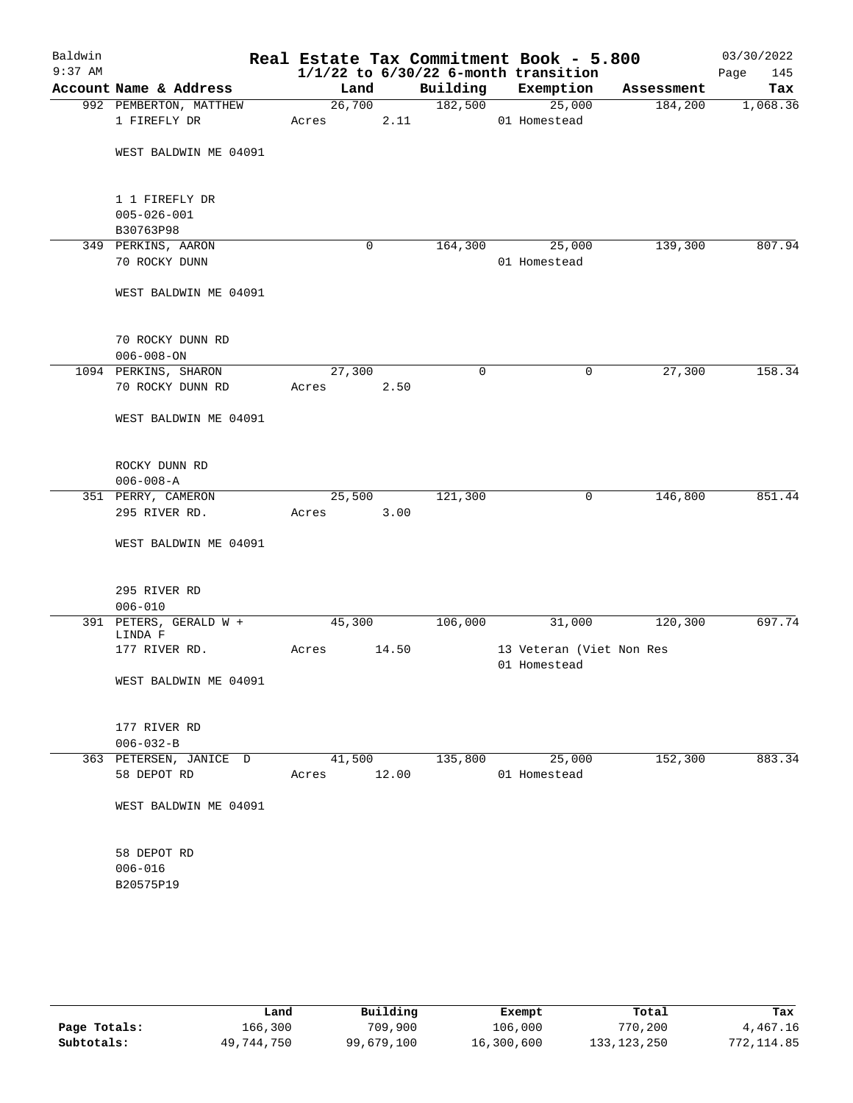| Baldwin<br>$9:37$ AM |                                                  |                 |       |          | Real Estate Tax Commitment Book - 5.800<br>$1/1/22$ to $6/30/22$ 6-month transition |            | 03/30/2022<br>145<br>Page |
|----------------------|--------------------------------------------------|-----------------|-------|----------|-------------------------------------------------------------------------------------|------------|---------------------------|
|                      | Account Name & Address                           | Land            |       | Building | Exemption                                                                           | Assessment | Tax                       |
|                      | 992 PEMBERTON, MATTHEW<br>1 FIREFLY DR           | 26,700<br>Acres | 2.11  | 182,500  | 25,000<br>01 Homestead                                                              | 184,200    | 1,068.36                  |
|                      | WEST BALDWIN ME 04091                            |                 |       |          |                                                                                     |            |                           |
|                      | 1 1 FIREFLY DR<br>$005 - 026 - 001$<br>B30763P98 |                 |       |          |                                                                                     |            |                           |
|                      | 349 PERKINS, AARON                               |                 | 0     | 164,300  | 25,000                                                                              | 139,300    | 807.94                    |
|                      | 70 ROCKY DUNN                                    |                 |       |          | 01 Homestead                                                                        |            |                           |
|                      | WEST BALDWIN ME 04091                            |                 |       |          |                                                                                     |            |                           |
|                      | 70 ROCKY DUNN RD                                 |                 |       |          |                                                                                     |            |                           |
|                      | $006 - 008 - ON$                                 |                 |       |          |                                                                                     |            |                           |
|                      | 1094 PERKINS, SHARON<br>70 ROCKY DUNN RD         | 27,300<br>Acres | 2.50  | 0        | 0                                                                                   | 27,300     | 158.34                    |
|                      | WEST BALDWIN ME 04091                            |                 |       |          |                                                                                     |            |                           |
|                      | ROCKY DUNN RD<br>$006 - 008 - A$                 |                 |       |          |                                                                                     |            |                           |
|                      | 351 PERRY, CAMERON                               | 25,500          |       | 121,300  | 0                                                                                   | 146,800    | 851.44                    |
|                      | 295 RIVER RD.                                    | Acres           | 3.00  |          |                                                                                     |            |                           |
|                      | WEST BALDWIN ME 04091                            |                 |       |          |                                                                                     |            |                           |
|                      | 295 RIVER RD<br>$006 - 010$                      |                 |       |          |                                                                                     |            |                           |
|                      | 391 PETERS, GERALD W +                           | 45,300          |       | 106,000  | 31,000                                                                              | 120,300    | 697.74                    |
|                      | LINDA F<br>177 RIVER RD.                         | Acres           | 14.50 |          | 13 Veteran (Viet Non Res<br>01 Homestead                                            |            |                           |
|                      | WEST BALDWIN ME 04091                            |                 |       |          |                                                                                     |            |                           |
|                      | 177 RIVER RD                                     |                 |       |          |                                                                                     |            |                           |
|                      | $006 - 032 - B$                                  |                 |       |          |                                                                                     |            |                           |
|                      | 363 PETERSEN, JANICE D<br>58 DEPOT RD            | 41,500<br>Acres | 12.00 | 135,800  | 25,000<br>01 Homestead                                                              | 152,300    | 883.34                    |
|                      | WEST BALDWIN ME 04091                            |                 |       |          |                                                                                     |            |                           |
|                      | 58 DEPOT RD                                      |                 |       |          |                                                                                     |            |                           |
|                      | $006 - 016$<br>B20575P19                         |                 |       |          |                                                                                     |            |                           |
|                      |                                                  |                 |       |          |                                                                                     |            |                           |

|              | Land       | Building   | Exempt     | Total         | Tax          |
|--------------|------------|------------|------------|---------------|--------------|
| Page Totals: | 166,300    | 709,900    | 106,000    | 770,200       | 4,467.16     |
| Subtotals:   | 49,744,750 | 99,679,100 | 16,300,600 | 133, 123, 250 | 772, 114, 85 |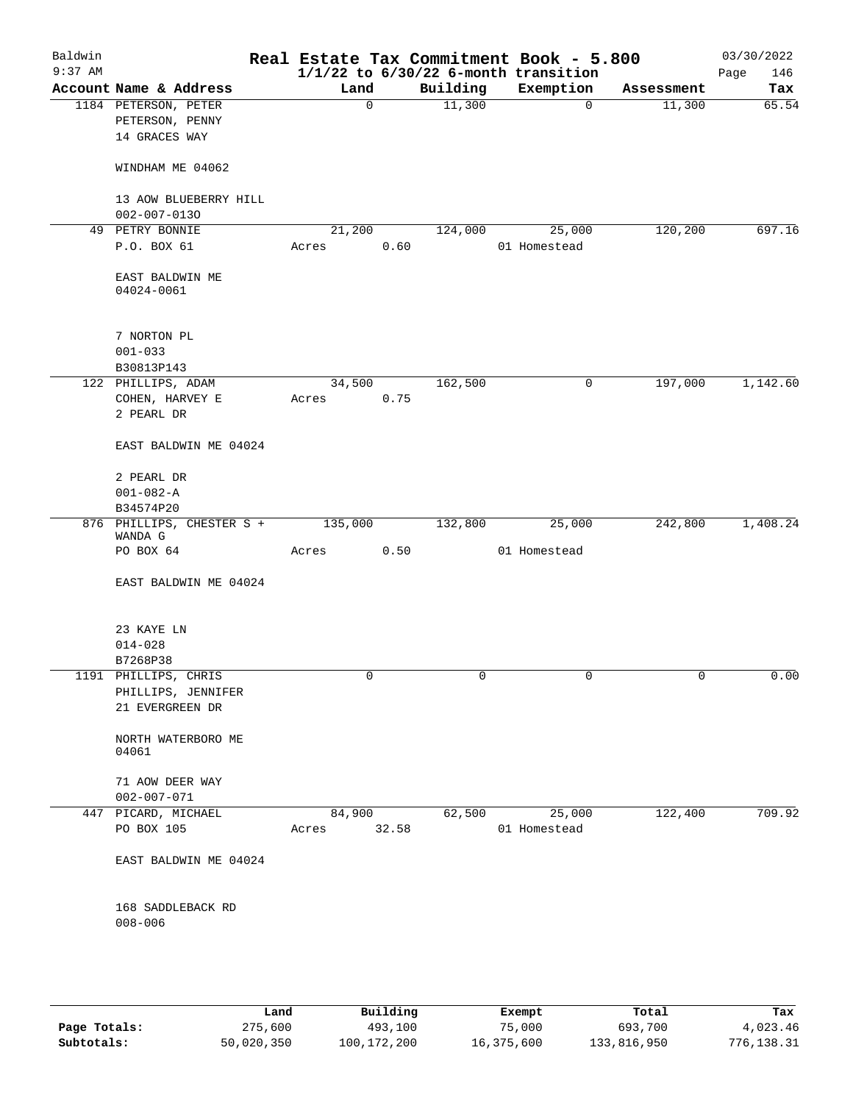| Baldwin<br>$9:37$ AM |                                      |         |       |          | Real Estate Tax Commitment Book - 5.800<br>$1/1/22$ to $6/30/22$ 6-month transition |            | 03/30/2022<br>Page<br>146 |
|----------------------|--------------------------------------|---------|-------|----------|-------------------------------------------------------------------------------------|------------|---------------------------|
|                      | Account Name & Address               | Land    |       | Building | Exemption                                                                           | Assessment | Tax                       |
|                      | 1184 PETERSON, PETER                 |         | 0     | 11,300   | $\mathbf 0$                                                                         | 11,300     | 65.54                     |
|                      | PETERSON, PENNY<br>14 GRACES WAY     |         |       |          |                                                                                     |            |                           |
|                      | WINDHAM ME 04062                     |         |       |          |                                                                                     |            |                           |
|                      | 13 AOW BLUEBERRY HILL                |         |       |          |                                                                                     |            |                           |
|                      | $002 - 007 - 0130$                   |         |       |          |                                                                                     |            |                           |
|                      | 49 PETRY BONNIE                      | 21,200  |       | 124,000  | 25,000                                                                              | 120,200    | 697.16                    |
|                      | P.O. BOX 61                          | Acres   | 0.60  |          | 01 Homestead                                                                        |            |                           |
|                      | EAST BALDWIN ME<br>04024-0061        |         |       |          |                                                                                     |            |                           |
|                      | 7 NORTON PL                          |         |       |          |                                                                                     |            |                           |
|                      | $001 - 033$                          |         |       |          |                                                                                     |            |                           |
|                      | B30813P143                           |         |       |          |                                                                                     |            |                           |
|                      | 122 PHILLIPS, ADAM                   | 34,500  |       | 162,500  | 0                                                                                   | 197,000    | 1,142.60                  |
|                      | COHEN, HARVEY E                      | Acres   | 0.75  |          |                                                                                     |            |                           |
|                      | 2 PEARL DR                           |         |       |          |                                                                                     |            |                           |
|                      | EAST BALDWIN ME 04024                |         |       |          |                                                                                     |            |                           |
|                      | 2 PEARL DR                           |         |       |          |                                                                                     |            |                           |
|                      | $001 - 082 - A$                      |         |       |          |                                                                                     |            |                           |
|                      | B34574P20                            |         |       |          |                                                                                     |            |                           |
|                      | 876 PHILLIPS, CHESTER S +<br>WANDA G | 135,000 |       | 132,800  | 25,000                                                                              | 242,800    | 1,408.24                  |
|                      | PO BOX 64                            | Acres   | 0.50  |          | 01 Homestead                                                                        |            |                           |
|                      | EAST BALDWIN ME 04024                |         |       |          |                                                                                     |            |                           |
|                      | 23 KAYE LN                           |         |       |          |                                                                                     |            |                           |
|                      | $014 - 028$                          |         |       |          |                                                                                     |            |                           |
|                      | B7268P38                             |         |       |          |                                                                                     |            |                           |
|                      | 1191 PHILLIPS, CHRIS                 |         | 0     |          | 0                                                                                   |            | 0.00                      |
|                      | PHILLIPS, JENNIFER                   |         |       |          |                                                                                     |            |                           |
|                      | 21 EVERGREEN DR                      |         |       |          |                                                                                     |            |                           |
|                      | NORTH WATERBORO ME<br>04061          |         |       |          |                                                                                     |            |                           |
|                      | 71 AOW DEER WAY<br>$002 - 007 - 071$ |         |       |          |                                                                                     |            |                           |
|                      | 447 PICARD, MICHAEL                  | 84,900  |       | 62,500   | 25,000                                                                              | 122,400    | 709.92                    |
|                      | PO BOX 105                           | Acres   | 32.58 |          | 01 Homestead                                                                        |            |                           |
|                      | EAST BALDWIN ME 04024                |         |       |          |                                                                                     |            |                           |
|                      | 168 SADDLEBACK RD<br>$008 - 006$     |         |       |          |                                                                                     |            |                           |
|                      |                                      |         |       |          |                                                                                     |            |                           |

|              | Land       | Building    | Exempt     | Total       | Tax        |
|--------------|------------|-------------|------------|-------------|------------|
| Page Totals: | 275,600    | 493,100     | 75,000     | 693,700     | 4,023.46   |
| Subtotals:   | 50,020,350 | 100,172,200 | 16,375,600 | 133,816,950 | 776,138.31 |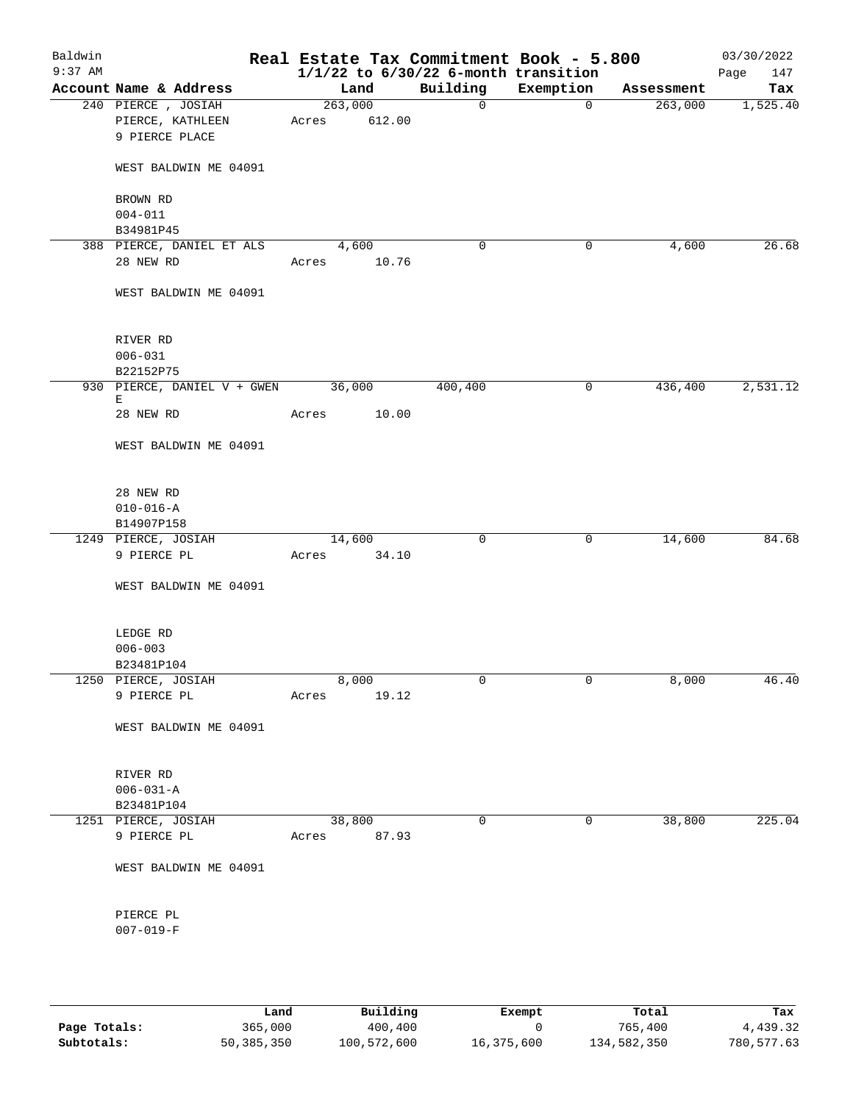| Baldwin<br>$9:37$ AM |                                  |         |        | Real Estate Tax Commitment Book - 5.800<br>$1/1/22$ to $6/30/22$ 6-month transition |              |            | 03/30/2022<br>147<br>Page |
|----------------------|----------------------------------|---------|--------|-------------------------------------------------------------------------------------|--------------|------------|---------------------------|
|                      | Account Name & Address           | Land    |        | Building                                                                            | Exemption    | Assessment | Tax                       |
|                      | 240 PIERCE, JOSIAH               | 263,000 |        | $\overline{0}$                                                                      | $\mathbf{0}$ | 263,000    | 1,525.40                  |
|                      | PIERCE, KATHLEEN                 | Acres   | 612.00 |                                                                                     |              |            |                           |
|                      | 9 PIERCE PLACE                   |         |        |                                                                                     |              |            |                           |
|                      | WEST BALDWIN ME 04091            |         |        |                                                                                     |              |            |                           |
|                      | BROWN RD                         |         |        |                                                                                     |              |            |                           |
|                      | $004 - 011$                      |         |        |                                                                                     |              |            |                           |
|                      | B34981P45                        |         |        |                                                                                     |              |            |                           |
|                      | 388 PIERCE, DANIEL ET ALS        | 4,600   |        | 0                                                                                   | 0            | 4,600      | 26.68                     |
|                      | 28 NEW RD                        | Acres   | 10.76  |                                                                                     |              |            |                           |
|                      | WEST BALDWIN ME 04091            |         |        |                                                                                     |              |            |                           |
|                      | RIVER RD                         |         |        |                                                                                     |              |            |                           |
|                      | $006 - 031$                      |         |        |                                                                                     |              |            |                           |
|                      | B22152P75                        |         |        |                                                                                     |              |            |                           |
|                      | 930 PIERCE, DANIEL V + GWEN<br>Е | 36,000  |        | 400,400                                                                             | 0            | 436,400    | 2,531.12                  |
|                      | 28 NEW RD                        | Acres   | 10.00  |                                                                                     |              |            |                           |
|                      | WEST BALDWIN ME 04091            |         |        |                                                                                     |              |            |                           |
|                      | 28 NEW RD                        |         |        |                                                                                     |              |            |                           |
|                      | $010 - 016 - A$                  |         |        |                                                                                     |              |            |                           |
|                      | B14907P158                       |         |        |                                                                                     |              |            |                           |
|                      | 1249 PIERCE, JOSIAH              | 14,600  |        | 0                                                                                   | $\mathsf{O}$ | 14,600     | 84.68                     |
|                      | 9 PIERCE PL                      | Acres   | 34.10  |                                                                                     |              |            |                           |
|                      | WEST BALDWIN ME 04091            |         |        |                                                                                     |              |            |                           |
|                      | LEDGE RD                         |         |        |                                                                                     |              |            |                           |
|                      | $006 - 003$                      |         |        |                                                                                     |              |            |                           |
|                      | B23481P104                       |         |        |                                                                                     |              |            |                           |
|                      | 1250 PIERCE, JOSIAH              | 8,000   |        | 0                                                                                   | 0            | 8,000      | 46.40                     |
|                      | 9 PIERCE PL                      | Acres   | 19.12  |                                                                                     |              |            |                           |
|                      | WEST BALDWIN ME 04091            |         |        |                                                                                     |              |            |                           |
|                      | RIVER RD                         |         |        |                                                                                     |              |            |                           |
|                      | $006 - 031 - A$                  |         |        |                                                                                     |              |            |                           |
|                      | B23481P104                       |         |        |                                                                                     |              |            |                           |
|                      | 1251 PIERCE, JOSIAH              | 38,800  |        | 0                                                                                   | $\mathbf 0$  | 38,800     | 225.04                    |
|                      | 9 PIERCE PL                      | Acres   | 87.93  |                                                                                     |              |            |                           |
|                      | WEST BALDWIN ME 04091            |         |        |                                                                                     |              |            |                           |
|                      | PIERCE PL                        |         |        |                                                                                     |              |            |                           |
|                      | $007 - 019 - F$                  |         |        |                                                                                     |              |            |                           |
|                      |                                  |         |        |                                                                                     |              |            |                           |
|                      |                                  |         |        |                                                                                     |              |            |                           |

|              | Land       | Building    | Exempt     | Total       | Tax        |
|--------------|------------|-------------|------------|-------------|------------|
| Page Totals: | 365,000    | 400,400     |            | 765,400     | 4,439.32   |
| Subtotals:   | 50,385,350 | 100,572,600 | 16,375,600 | 134,582,350 | 780,577.63 |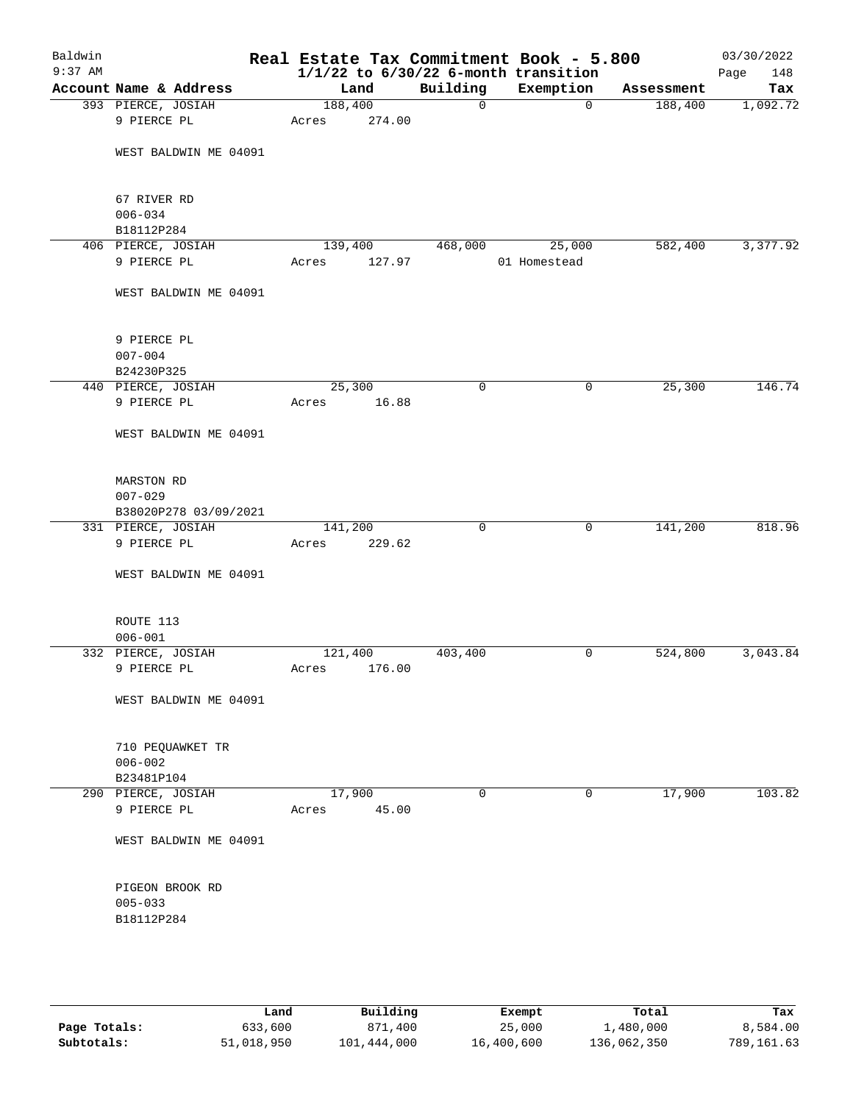| Baldwin<br>$9:37$ AM |                           |         |        |              | Real Estate Tax Commitment Book - 5.800<br>$1/1/22$ to $6/30/22$ 6-month transition |            | 03/30/2022<br>Page<br>148 |
|----------------------|---------------------------|---------|--------|--------------|-------------------------------------------------------------------------------------|------------|---------------------------|
|                      | Account Name & Address    | Land    |        | Building     | Exemption                                                                           | Assessment | Tax                       |
|                      | 393 PIERCE, JOSIAH        | 188,400 |        | $\mathsf{O}$ | $\overline{0}$                                                                      | 188,400    | 1,092.72                  |
|                      | 9 PIERCE PL               | Acres   | 274.00 |              |                                                                                     |            |                           |
|                      | WEST BALDWIN ME 04091     |         |        |              |                                                                                     |            |                           |
|                      |                           |         |        |              |                                                                                     |            |                           |
|                      | 67 RIVER RD               |         |        |              |                                                                                     |            |                           |
|                      | $006 - 034$<br>B18112P284 |         |        |              |                                                                                     |            |                           |
|                      | 406 PIERCE, JOSIAH        | 139,400 |        | 468,000      | 25,000                                                                              | 582,400    | 3,377.92                  |
|                      | 9 PIERCE PL               | Acres   | 127.97 |              | 01 Homestead                                                                        |            |                           |
|                      | WEST BALDWIN ME 04091     |         |        |              |                                                                                     |            |                           |
|                      |                           |         |        |              |                                                                                     |            |                           |
|                      | 9 PIERCE PL               |         |        |              |                                                                                     |            |                           |
|                      | $007 - 004$               |         |        |              |                                                                                     |            |                           |
|                      | B24230P325                |         |        |              |                                                                                     |            |                           |
|                      | 440 PIERCE, JOSIAH        | 25,300  |        | 0            | 0                                                                                   | 25,300     | 146.74                    |
|                      | 9 PIERCE PL               | Acres   | 16.88  |              |                                                                                     |            |                           |
|                      | WEST BALDWIN ME 04091     |         |        |              |                                                                                     |            |                           |
|                      | MARSTON RD                |         |        |              |                                                                                     |            |                           |
|                      | $007 - 029$               |         |        |              |                                                                                     |            |                           |
|                      | B38020P278 03/09/2021     |         |        |              |                                                                                     |            |                           |
|                      | 331 PIERCE, JOSIAH        | 141,200 |        | $\mathbf 0$  | 0                                                                                   | 141,200    | 818.96                    |
|                      | 9 PIERCE PL               | Acres   | 229.62 |              |                                                                                     |            |                           |
|                      |                           |         |        |              |                                                                                     |            |                           |
|                      | WEST BALDWIN ME 04091     |         |        |              |                                                                                     |            |                           |
|                      | ROUTE 113                 |         |        |              |                                                                                     |            |                           |
|                      | $006 - 001$               |         |        |              |                                                                                     |            |                           |
|                      | 332 PIERCE, JOSIAH        | 121,400 |        | 403,400      | 0                                                                                   | 524,800    | 3,043.84                  |
|                      | 9 PIERCE PL               | Acres   | 176.00 |              |                                                                                     |            |                           |
|                      | WEST BALDWIN ME 04091     |         |        |              |                                                                                     |            |                           |
|                      |                           |         |        |              |                                                                                     |            |                           |
|                      | 710 PEQUAWKET TR          |         |        |              |                                                                                     |            |                           |
|                      | $006 - 002$               |         |        |              |                                                                                     |            |                           |
|                      | B23481P104                |         |        |              |                                                                                     |            |                           |
|                      | 290 PIERCE, JOSIAH        | 17,900  |        | $\mathbf 0$  | 0                                                                                   | 17,900     | 103.82                    |
|                      | 9 PIERCE PL               | Acres   | 45.00  |              |                                                                                     |            |                           |
|                      | WEST BALDWIN ME 04091     |         |        |              |                                                                                     |            |                           |
|                      |                           |         |        |              |                                                                                     |            |                           |
|                      | PIGEON BROOK RD           |         |        |              |                                                                                     |            |                           |
|                      | $005 - 033$               |         |        |              |                                                                                     |            |                           |
|                      | B18112P284                |         |        |              |                                                                                     |            |                           |
|                      |                           |         |        |              |                                                                                     |            |                           |
|                      |                           |         |        |              |                                                                                     |            |                           |
|                      |                           |         |        |              |                                                                                     |            |                           |

|              | Land       | Building    | Exempt     | Total       | Tax        |
|--------------|------------|-------------|------------|-------------|------------|
| Page Totals: | 633,600    | 871,400     | 25,000     | 1,480,000   | 8,584.00   |
| Subtotals:   | 51,018,950 | 101,444,000 | 16,400,600 | 136,062,350 | 789,161.63 |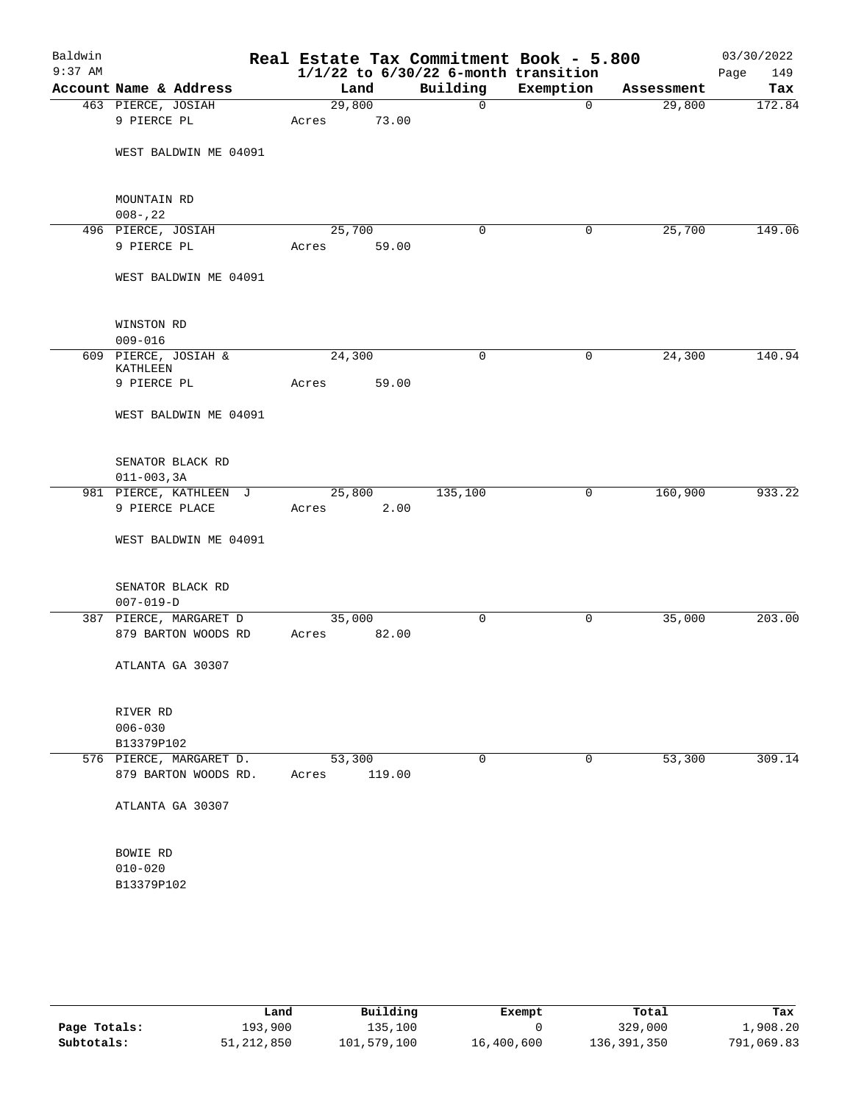| Baldwin<br>$9:37$ AM |                                     | Real Estate Tax Commitment Book - 5.800<br>$1/1/22$ to $6/30/22$ 6-month transition |              |              |            | 03/30/2022<br>149<br>Page |
|----------------------|-------------------------------------|-------------------------------------------------------------------------------------|--------------|--------------|------------|---------------------------|
|                      | Account Name & Address              | Land                                                                                | Building     | Exemption    | Assessment | Tax                       |
|                      | 463 PIERCE, JOSIAH                  | 29,800                                                                              | $\mathsf{O}$ | $\mathbf 0$  | 29,800     | 172.84                    |
|                      | 9 PIERCE PL                         | 73.00<br>Acres                                                                      |              |              |            |                           |
|                      | WEST BALDWIN ME 04091               |                                                                                     |              |              |            |                           |
|                      |                                     |                                                                                     |              |              |            |                           |
|                      | MOUNTAIN RD                         |                                                                                     |              |              |            |                           |
|                      | $008 - 22$                          |                                                                                     |              |              |            | 149.06                    |
|                      | 496 PIERCE, JOSIAH<br>9 PIERCE PL   | 25,700                                                                              | $\mathbf 0$  | 0            | 25,700     |                           |
|                      |                                     | Acres<br>59.00                                                                      |              |              |            |                           |
|                      | WEST BALDWIN ME 04091               |                                                                                     |              |              |            |                           |
|                      | WINSTON RD                          |                                                                                     |              |              |            |                           |
|                      | $009 - 016$                         |                                                                                     |              |              |            |                           |
|                      | 609 PIERCE, JOSIAH &<br>KATHLEEN    | 24,300                                                                              | $\mathbf 0$  | 0            | 24,300     | 140.94                    |
|                      | 9 PIERCE PL                         | 59.00<br>Acres                                                                      |              |              |            |                           |
|                      | WEST BALDWIN ME 04091               |                                                                                     |              |              |            |                           |
|                      | SENATOR BLACK RD<br>$011 - 003, 3A$ |                                                                                     |              |              |            |                           |
|                      | 981 PIERCE, KATHLEEN J              | 25,800                                                                              | 135,100      | 0            | 160,900    | 933.22                    |
|                      | 9 PIERCE PLACE                      | 2.00<br>Acres                                                                       |              |              |            |                           |
|                      | WEST BALDWIN ME 04091               |                                                                                     |              |              |            |                           |
|                      | SENATOR BLACK RD<br>$007 - 019 - D$ |                                                                                     |              |              |            |                           |
|                      | 387 PIERCE, MARGARET D              | 35,000                                                                              | 0            | $\mathsf{O}$ | 35,000     | 203.00                    |
|                      | 879 BARTON WOODS RD                 | 82.00<br>Acres                                                                      |              |              |            |                           |
|                      | ATLANTA GA 30307                    |                                                                                     |              |              |            |                           |
|                      | RIVER RD                            |                                                                                     |              |              |            |                           |
|                      | $006 - 030$                         |                                                                                     |              |              |            |                           |
|                      | B13379P102                          |                                                                                     |              |              |            |                           |
|                      | 576 PIERCE, MARGARET D.             | 53,300                                                                              | 0            | $\mathbf 0$  | 53,300     | 309.14                    |
|                      | 879 BARTON WOODS RD.                | 119.00<br>Acres                                                                     |              |              |            |                           |
|                      | ATLANTA GA 30307                    |                                                                                     |              |              |            |                           |
|                      | BOWIE RD                            |                                                                                     |              |              |            |                           |
|                      | $010 - 020$                         |                                                                                     |              |              |            |                           |
|                      | B13379P102                          |                                                                                     |              |              |            |                           |
|                      |                                     |                                                                                     |              |              |            |                           |

|              | Land       | Building    | Exempt     | Total       | Tax        |
|--------------|------------|-------------|------------|-------------|------------|
| Page Totals: | 193,900    | 135,100     |            | 329,000     | 1,908.20   |
| Subtotals:   | 51,212,850 | 101,579,100 | 16,400,600 | 136,391,350 | 791,069.83 |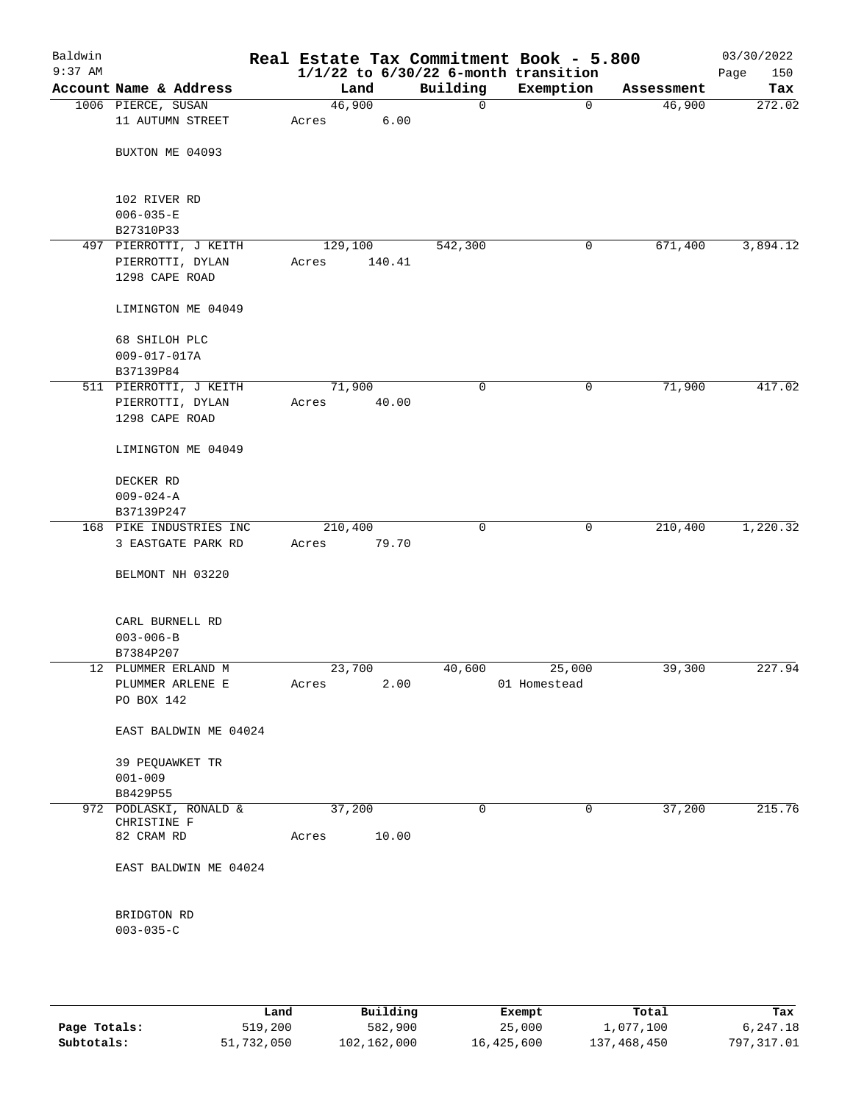| Baldwin<br>$9:37$ AM |                                |         |        |             | Real Estate Tax Commitment Book - 5.800<br>$1/1/22$ to $6/30/22$ 6-month transition |            | 03/30/2022<br>150<br>Page |
|----------------------|--------------------------------|---------|--------|-------------|-------------------------------------------------------------------------------------|------------|---------------------------|
|                      | Account Name & Address         | Land    |        | Building    | Exemption                                                                           | Assessment | Tax                       |
|                      | 1006 PIERCE, SUSAN             | 46,900  |        | 0           | $\mathbf 0$                                                                         | 46,900     | 272.02                    |
|                      | 11 AUTUMN STREET               | Acres   | 6.00   |             |                                                                                     |            |                           |
|                      | BUXTON ME 04093                |         |        |             |                                                                                     |            |                           |
|                      | 102 RIVER RD                   |         |        |             |                                                                                     |            |                           |
|                      | $006 - 035 - E$                |         |        |             |                                                                                     |            |                           |
|                      | B27310P33                      |         |        |             |                                                                                     |            |                           |
|                      | 497 PIERROTTI, J KEITH         | 129,100 |        | 542,300     | 0                                                                                   | 671,400    | 3,894.12                  |
|                      | PIERROTTI, DYLAN               | Acres   | 140.41 |             |                                                                                     |            |                           |
|                      | 1298 CAPE ROAD                 |         |        |             |                                                                                     |            |                           |
|                      | LIMINGTON ME 04049             |         |        |             |                                                                                     |            |                           |
|                      | 68 SHILOH PLC                  |         |        |             |                                                                                     |            |                           |
|                      | $009 - 017 - 017A$             |         |        |             |                                                                                     |            |                           |
|                      | B37139P84                      |         |        |             |                                                                                     |            |                           |
|                      | 511 PIERROTTI, J KEITH         | 71,900  |        | 0           | 0                                                                                   | 71,900     | 417.02                    |
|                      | PIERROTTI, DYLAN               | Acres   | 40.00  |             |                                                                                     |            |                           |
|                      | 1298 CAPE ROAD                 |         |        |             |                                                                                     |            |                           |
|                      | LIMINGTON ME 04049             |         |        |             |                                                                                     |            |                           |
|                      | DECKER RD                      |         |        |             |                                                                                     |            |                           |
|                      | $009 - 024 - A$                |         |        |             |                                                                                     |            |                           |
|                      | B37139P247                     |         |        |             |                                                                                     |            |                           |
|                      | 168 PIKE INDUSTRIES INC        | 210,400 |        | $\mathbf 0$ | 0                                                                                   | 210,400    | 1,220.32                  |
|                      | 3 EASTGATE PARK RD             | Acres   | 79.70  |             |                                                                                     |            |                           |
|                      | BELMONT NH 03220               |         |        |             |                                                                                     |            |                           |
|                      | CARL BURNELL RD                |         |        |             |                                                                                     |            |                           |
|                      | $003 - 006 - B$                |         |        |             |                                                                                     |            |                           |
|                      | B7384P207                      |         |        |             |                                                                                     |            |                           |
|                      | 12 PLUMMER ERLAND M            | 23,700  |        | 40,600      | 25,000                                                                              | 39,300     | 227.94                    |
|                      | PLUMMER ARLENE E               | Acres   | 2.00   |             | 01 Homestead                                                                        |            |                           |
|                      | PO BOX 142                     |         |        |             |                                                                                     |            |                           |
|                      | EAST BALDWIN ME 04024          |         |        |             |                                                                                     |            |                           |
|                      | 39 PEQUAWKET TR<br>$001 - 009$ |         |        |             |                                                                                     |            |                           |
|                      | B8429P55                       |         |        |             |                                                                                     |            |                           |
|                      | 972 PODLASKI, RONALD &         | 37,200  |        | 0           | 0                                                                                   | 37,200     | 215.76                    |
|                      | CHRISTINE F                    |         |        |             |                                                                                     |            |                           |
|                      | 82 CRAM RD                     | Acres   | 10.00  |             |                                                                                     |            |                           |
|                      | EAST BALDWIN ME 04024          |         |        |             |                                                                                     |            |                           |
|                      | BRIDGTON RD                    |         |        |             |                                                                                     |            |                           |
|                      | $003 - 035 - C$                |         |        |             |                                                                                     |            |                           |
|                      |                                |         |        |             |                                                                                     |            |                           |
|                      |                                |         |        |             |                                                                                     |            |                           |
|                      |                                |         |        |             |                                                                                     |            |                           |

|              | Land       | Building    | Exempt     | Total       | Tax        |
|--------------|------------|-------------|------------|-------------|------------|
| Page Totals: | 519,200    | 582,900     | 25,000     | 1,077,100   | 6,247.18   |
| Subtotals:   | 51,732,050 | 102,162,000 | 16,425,600 | 137,468,450 | 797,317.01 |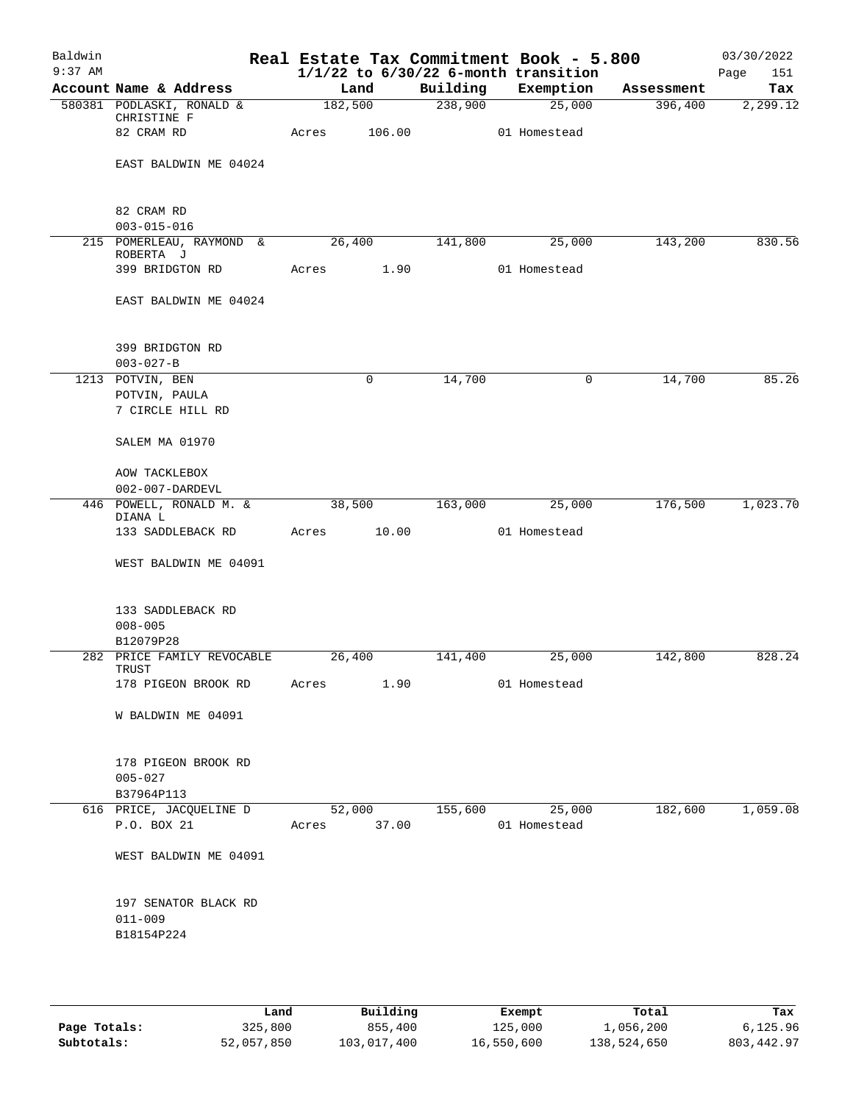| Baldwin   |                                          |         |             |          | Real Estate Tax Commitment Book - 5.800  |            | 03/30/2022  |
|-----------|------------------------------------------|---------|-------------|----------|------------------------------------------|------------|-------------|
| $9:37$ AM |                                          |         |             |          | $1/1/22$ to $6/30/22$ 6-month transition |            | 151<br>Page |
|           | Account Name & Address                   | Land    |             | Building | Exemption                                | Assessment | Tax         |
|           | 580381 PODLASKI, RONALD &<br>CHRISTINE F | 182,500 |             | 238,900  | 25,000                                   | 396,400    | 2,299.12    |
|           | 82 CRAM RD                               | Acres   | 106.00      |          | 01 Homestead                             |            |             |
|           |                                          |         |             |          |                                          |            |             |
|           | EAST BALDWIN ME 04024                    |         |             |          |                                          |            |             |
|           |                                          |         |             |          |                                          |            |             |
|           | 82 CRAM RD<br>$003 - 015 - 016$          |         |             |          |                                          |            |             |
|           | 215 POMERLEAU, RAYMOND &                 | 26,400  |             | 141,800  | 25,000                                   | 143,200    | 830.56      |
|           | ROBERTA J<br>399 BRIDGTON RD             | Acres   | 1.90        |          | 01 Homestead                             |            |             |
|           |                                          |         |             |          |                                          |            |             |
|           | EAST BALDWIN ME 04024                    |         |             |          |                                          |            |             |
|           | 399 BRIDGTON RD                          |         |             |          |                                          |            |             |
|           | $003 - 027 - B$                          |         |             |          |                                          |            |             |
|           | 1213 POTVIN, BEN                         |         | $\mathbf 0$ | 14,700   | 0                                        | 14,700     | 85.26       |
|           | POTVIN, PAULA<br>7 CIRCLE HILL RD        |         |             |          |                                          |            |             |
|           | SALEM MA 01970                           |         |             |          |                                          |            |             |
|           |                                          |         |             |          |                                          |            |             |
|           | AOW TACKLEBOX<br>002-007-DARDEVL         |         |             |          |                                          |            |             |
|           | 446 POWELL, RONALD M. &<br>DIANA L       | 38,500  |             | 163,000  | 25,000                                   | 176,500    | 1,023.70    |
|           | 133 SADDLEBACK RD                        | Acres   | 10.00       |          | 01 Homestead                             |            |             |
|           | WEST BALDWIN ME 04091                    |         |             |          |                                          |            |             |
|           |                                          |         |             |          |                                          |            |             |
|           | 133 SADDLEBACK RD                        |         |             |          |                                          |            |             |
|           | $008 - 005$<br>B12079P28                 |         |             |          |                                          |            |             |
|           | 282 PRICE FAMILY REVOCABLE               | 26,400  |             | 141,400  | 25,000                                   | 142,800    | 828.24      |
|           | TRUST<br>178 PIGEON BROOK RD             | Acres   | 1.90        |          | 01 Homestead                             |            |             |
|           |                                          |         |             |          |                                          |            |             |
|           | W BALDWIN ME 04091                       |         |             |          |                                          |            |             |
|           | 178 PIGEON BROOK RD                      |         |             |          |                                          |            |             |
|           | $005 - 027$                              |         |             |          |                                          |            |             |
|           | B37964P113                               |         |             |          |                                          |            |             |
|           | 616 PRICE, JACQUELINE D                  |         | 52,000      | 155,600  | 25,000                                   | 182,600    | 1,059.08    |
|           | P.O. BOX 21                              | Acres   | 37.00       |          | 01 Homestead                             |            |             |
|           | WEST BALDWIN ME 04091                    |         |             |          |                                          |            |             |
|           | 197 SENATOR BLACK RD                     |         |             |          |                                          |            |             |
|           | $011 - 009$                              |         |             |          |                                          |            |             |
|           | B18154P224                               |         |             |          |                                          |            |             |
|           |                                          |         |             |          |                                          |            |             |
|           |                                          |         |             |          |                                          |            |             |

|              | Land       | Building    | Exempt     | Total       | Tax        |
|--------------|------------|-------------|------------|-------------|------------|
| Page Totals: | 325,800    | 855,400     | 125,000    | 1,056,200   | 6,125.96   |
| Subtotals:   | 52,057,850 | 103,017,400 | 16,550,600 | 138,524,650 | 803,442.97 |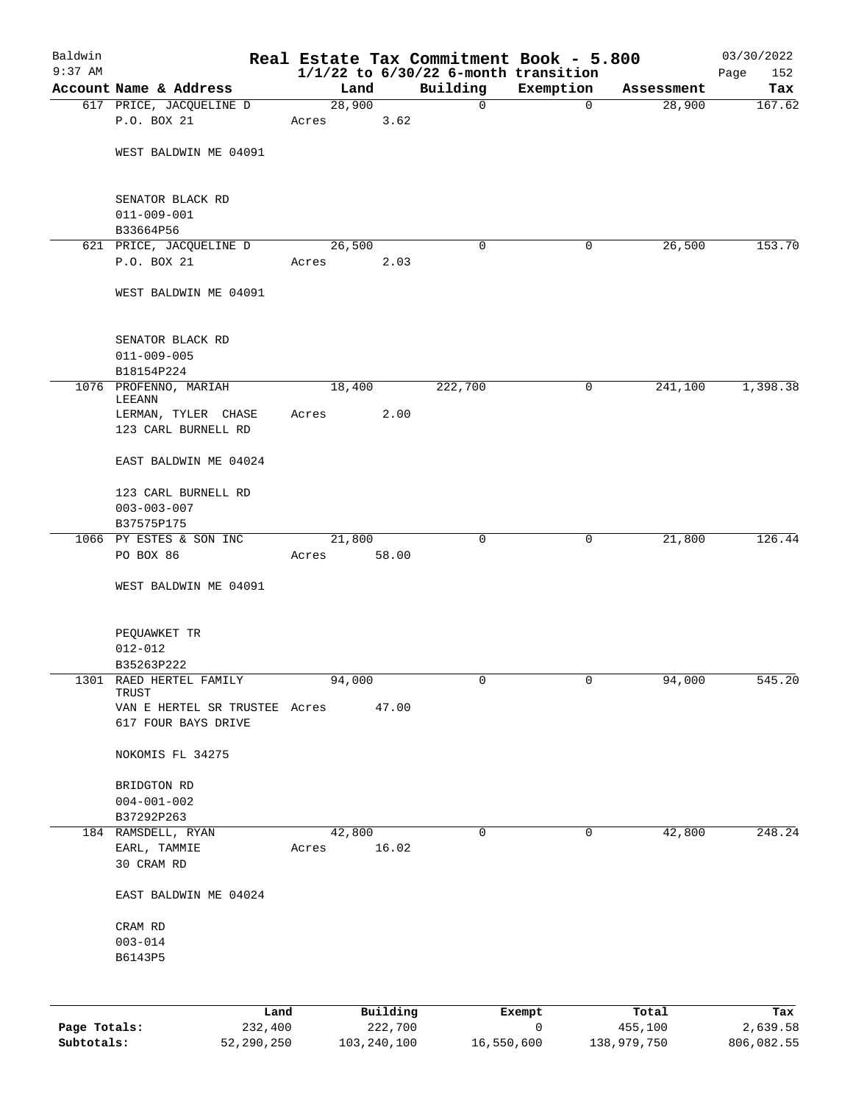| Baldwin      |                                  |        |          |                                                      | Real Estate Tax Commitment Book - 5.800 |            | 03/30/2022         |
|--------------|----------------------------------|--------|----------|------------------------------------------------------|-----------------------------------------|------------|--------------------|
| $9:37$ AM    | Account Name & Address           | Land   |          | $1/1/22$ to $6/30/22$ 6-month transition<br>Building | Exemption                               | Assessment | 152<br>Page<br>Tax |
|              | 617 PRICE, JACQUELINE D          | 28,900 |          | 0                                                    | $\mathbf 0$                             | 28,900     | 167.62             |
|              | P.O. BOX 21                      | Acres  | 3.62     |                                                      |                                         |            |                    |
|              |                                  |        |          |                                                      |                                         |            |                    |
|              | WEST BALDWIN ME 04091            |        |          |                                                      |                                         |            |                    |
|              | SENATOR BLACK RD                 |        |          |                                                      |                                         |            |                    |
|              | $011 - 009 - 001$                |        |          |                                                      |                                         |            |                    |
|              | B33664P56                        |        |          |                                                      |                                         |            |                    |
|              | 621 PRICE, JACQUELINE D          | 26,500 |          | 0                                                    | 0                                       | 26,500     | 153.70             |
|              | P.O. BOX 21                      | Acres  | 2.03     |                                                      |                                         |            |                    |
|              | WEST BALDWIN ME 04091            |        |          |                                                      |                                         |            |                    |
|              | SENATOR BLACK RD                 |        |          |                                                      |                                         |            |                    |
|              | $011 - 009 - 005$                |        |          |                                                      |                                         |            |                    |
|              | B18154P224                       |        |          |                                                      |                                         |            |                    |
|              | 1076 PROFENNO, MARIAH<br>LEEANN  | 18,400 |          | 222,700                                              | 0                                       | 241,100    | 1,398.38           |
|              | LERMAN, TYLER CHASE              | Acres  | 2.00     |                                                      |                                         |            |                    |
|              | 123 CARL BURNELL RD              |        |          |                                                      |                                         |            |                    |
|              | EAST BALDWIN ME 04024            |        |          |                                                      |                                         |            |                    |
|              | 123 CARL BURNELL RD              |        |          |                                                      |                                         |            |                    |
|              | $003 - 003 - 007$                |        |          |                                                      |                                         |            |                    |
|              | B37575P175                       |        |          |                                                      |                                         |            |                    |
|              | 1066 PY ESTES & SON INC          | 21,800 |          | $\mathbf 0$                                          | 0                                       | 21,800     | 126.44             |
|              | PO BOX 86                        | Acres  | 58.00    |                                                      |                                         |            |                    |
|              | WEST BALDWIN ME 04091            |        |          |                                                      |                                         |            |                    |
|              |                                  |        |          |                                                      |                                         |            |                    |
|              | PEQUAWKET TR                     |        |          |                                                      |                                         |            |                    |
|              | $012 - 012$                      |        |          |                                                      |                                         |            |                    |
|              | B35263P222                       |        |          |                                                      |                                         |            |                    |
|              | 1301 RAED HERTEL FAMILY<br>TRUST | 94,000 |          | 0                                                    | 0                                       | 94,000     | 545.20             |
|              | VAN E HERTEL SR TRUSTEE Acres    |        | 47.00    |                                                      |                                         |            |                    |
|              | 617 FOUR BAYS DRIVE              |        |          |                                                      |                                         |            |                    |
|              | NOKOMIS FL 34275                 |        |          |                                                      |                                         |            |                    |
|              | BRIDGTON RD                      |        |          |                                                      |                                         |            |                    |
|              | $004 - 001 - 002$                |        |          |                                                      |                                         |            |                    |
|              | B37292P263                       |        |          |                                                      |                                         |            |                    |
|              | 184 RAMSDELL, RYAN               | 42,800 |          | 0                                                    | 0                                       | 42,800     | 248.24             |
|              | EARL, TAMMIE                     | Acres  | 16.02    |                                                      |                                         |            |                    |
|              | 30 CRAM RD                       |        |          |                                                      |                                         |            |                    |
|              | EAST BALDWIN ME 04024            |        |          |                                                      |                                         |            |                    |
|              | CRAM RD                          |        |          |                                                      |                                         |            |                    |
|              | $003 - 014$                      |        |          |                                                      |                                         |            |                    |
|              | B6143P5                          |        |          |                                                      |                                         |            |                    |
|              |                                  |        |          |                                                      |                                         |            |                    |
|              | Land                             |        | Building |                                                      | Exempt                                  | Total      | Tax                |
| Page Totals: | 232,400                          |        | 222,700  |                                                      | 0                                       | 455,100    | 2,639.58           |

**Subtotals:** 52,290,250 103,240,100 16,550,600 138,979,750 806,082.55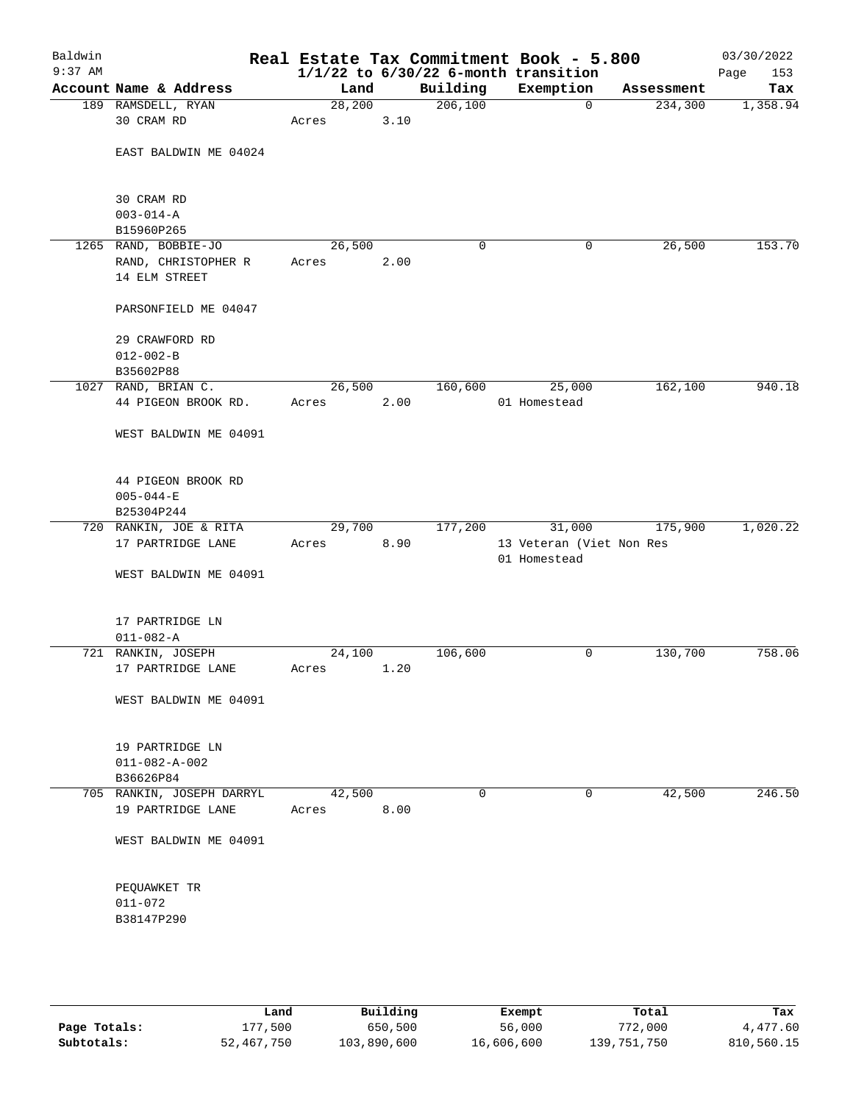| Baldwin<br>$9:37$ AM |                                                              |                 |      |          | Real Estate Tax Commitment Book - 5.800<br>$1/1/22$ to $6/30/22$ 6-month transition |            | 03/30/2022<br>153<br>Page |
|----------------------|--------------------------------------------------------------|-----------------|------|----------|-------------------------------------------------------------------------------------|------------|---------------------------|
|                      | Account Name & Address                                       | Land            |      | Building | Exemption                                                                           | Assessment | Tax                       |
|                      | 189 RAMSDELL, RYAN                                           | 28, 200         |      | 206, 100 | 0                                                                                   | 234,300    | 1,358.94                  |
|                      | 30 CRAM RD                                                   | Acres           | 3.10 |          |                                                                                     |            |                           |
|                      | EAST BALDWIN ME 04024                                        |                 |      |          |                                                                                     |            |                           |
|                      | 30 CRAM RD<br>$003 - 014 - A$                                |                 |      |          |                                                                                     |            |                           |
|                      | B15960P265                                                   |                 |      |          |                                                                                     |            |                           |
|                      | 1265 RAND, BOBBIE-JO<br>RAND, CHRISTOPHER R<br>14 ELM STREET | 26,500<br>Acres | 2.00 | 0        | 0                                                                                   | 26,500     | 153.70                    |
|                      | PARSONFIELD ME 04047                                         |                 |      |          |                                                                                     |            |                           |
|                      | 29 CRAWFORD RD<br>$012 - 002 - B$<br>B35602P88               |                 |      |          |                                                                                     |            |                           |
|                      | 1027 RAND, BRIAN C.                                          | 26,500          |      | 160,600  | 25,000                                                                              | 162,100    | 940.18                    |
|                      | 44 PIGEON BROOK RD.                                          | Acres           | 2.00 |          | 01 Homestead                                                                        |            |                           |
|                      | WEST BALDWIN ME 04091                                        |                 |      |          |                                                                                     |            |                           |
|                      | 44 PIGEON BROOK RD<br>$005 - 044 - E$<br>B25304P244          |                 |      |          |                                                                                     |            |                           |
|                      | 720 RANKIN, JOE & RITA                                       | 29,700          |      | 177,200  | 31,000                                                                              | 175,900    | 1,020.22                  |
|                      | 17 PARTRIDGE LANE                                            | Acres           | 8.90 |          | 13 Veteran (Viet Non Res                                                            |            |                           |
|                      | WEST BALDWIN ME 04091                                        |                 |      |          | 01 Homestead                                                                        |            |                           |
|                      | 17 PARTRIDGE LN<br>$011 - 082 - A$                           |                 |      |          |                                                                                     |            |                           |
|                      | 721 RANKIN, JOSEPH                                           | 24,100          |      | 106,600  | 0                                                                                   | 130,700    | 758.06                    |
|                      | 17 PARTRIDGE LANE                                            | Acres           | 1.20 |          |                                                                                     |            |                           |
|                      | WEST BALDWIN ME 04091                                        |                 |      |          |                                                                                     |            |                           |
|                      | 19 PARTRIDGE LN<br>$011 - 082 - A - 002$<br>B36626P84        |                 |      |          |                                                                                     |            |                           |
|                      | 705 RANKIN, JOSEPH DARRYL                                    | 42,500          |      | 0        | 0                                                                                   | 42,500     | 246.50                    |
|                      | 19 PARTRIDGE LANE                                            | Acres           | 8.00 |          |                                                                                     |            |                           |
|                      | WEST BALDWIN ME 04091                                        |                 |      |          |                                                                                     |            |                           |
|                      | PEQUAWKET TR<br>$011 - 072$                                  |                 |      |          |                                                                                     |            |                           |
|                      | B38147P290                                                   |                 |      |          |                                                                                     |            |                           |
|                      |                                                              |                 |      |          |                                                                                     |            |                           |

|              | Land       | Building    | Exempt     | Total       | Tax        |
|--------------|------------|-------------|------------|-------------|------------|
| Page Totals: | 177,500    | 650,500     | 56,000     | 772,000     | 4,477.60   |
| Subtotals:   | 52,467,750 | 103,890,600 | 16,606,600 | 139,751,750 | 810,560.15 |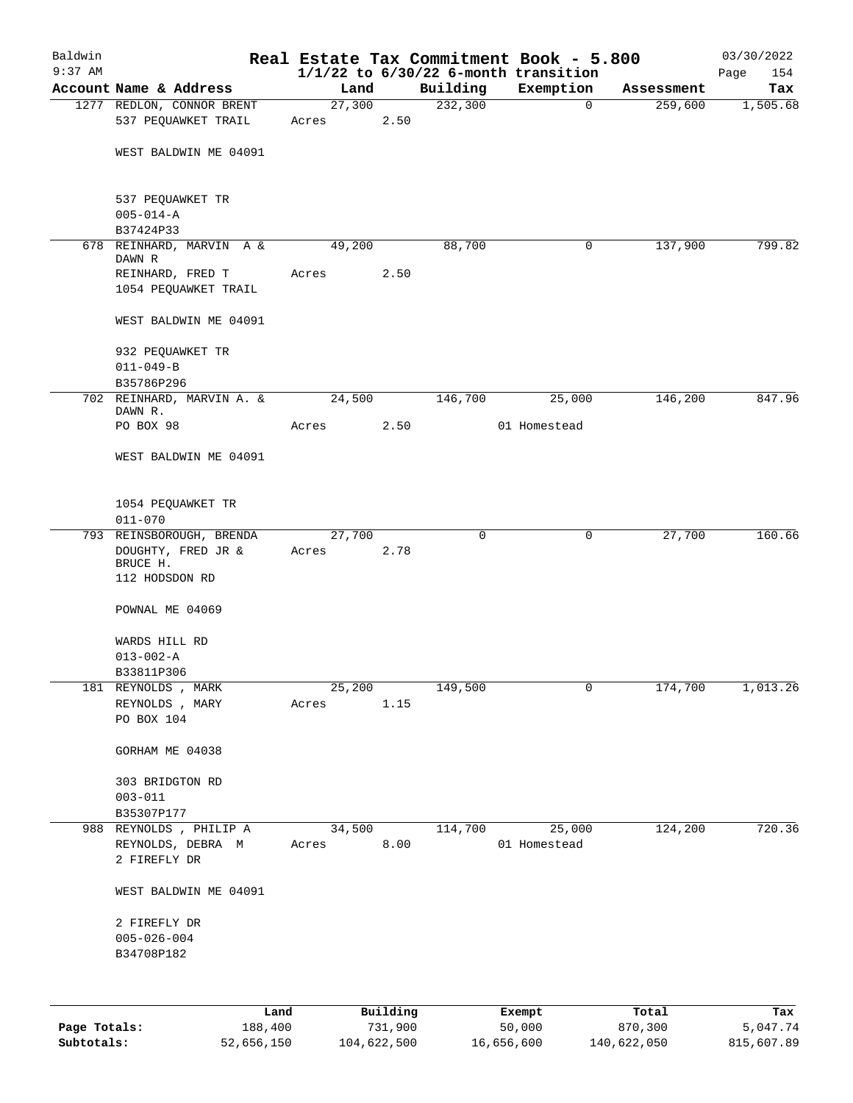| Baldwin      |                                                  |                |          |                     | Real Estate Tax Commitment Book - 5.800  |                       | 03/30/2022      |
|--------------|--------------------------------------------------|----------------|----------|---------------------|------------------------------------------|-----------------------|-----------------|
| $9:37$ AM    | Account Name & Address                           |                |          |                     | $1/1/22$ to $6/30/22$ 6-month transition |                       | 154<br>Page     |
|              | 1277 REDLON, CONNOR BRENT                        | Land<br>27,300 |          | Building<br>232,300 | Exemption<br>0                           | Assessment<br>259,600 | Tax<br>1,505.68 |
|              | 537 PEQUAWKET TRAIL                              | Acres          | 2.50     |                     |                                          |                       |                 |
|              | WEST BALDWIN ME 04091                            |                |          |                     |                                          |                       |                 |
|              | 537 PEQUAWKET TR<br>$005 - 014 - A$              |                |          |                     |                                          |                       |                 |
|              | B37424P33<br>678 REINHARD, MARVIN A &            | 49,200         |          | 88,700              | 0                                        | 137,900               | 799.82          |
|              | DAWN R                                           |                |          |                     |                                          |                       |                 |
|              | REINHARD, FRED T<br>1054 PEQUAWKET TRAIL         | Acres          | 2.50     |                     |                                          |                       |                 |
|              | WEST BALDWIN ME 04091                            |                |          |                     |                                          |                       |                 |
|              | 932 PEQUAWKET TR<br>$011 - 049 - B$              |                |          |                     |                                          |                       |                 |
|              | B35786P296                                       |                |          |                     |                                          |                       |                 |
|              | 702 REINHARD, MARVIN A. &<br>DAWN R.             | 24,500         |          | 146,700             | 25,000                                   | 146,200               | 847.96          |
|              | PO BOX 98                                        | Acres          | 2.50     |                     | 01 Homestead                             |                       |                 |
|              | WEST BALDWIN ME 04091                            |                |          |                     |                                          |                       |                 |
|              | 1054 PEQUAWKET TR<br>$011 - 070$                 |                |          |                     |                                          |                       |                 |
|              | 793 REINSBOROUGH, BRENDA                         | 27,700         |          | 0                   | 0                                        | 27,700                | 160.66          |
|              | DOUGHTY, FRED JR &<br>BRUCE H.<br>112 HODSDON RD | Acres          | 2.78     |                     |                                          |                       |                 |
|              |                                                  |                |          |                     |                                          |                       |                 |
|              | POWNAL ME 04069                                  |                |          |                     |                                          |                       |                 |
|              | WARDS HILL RD                                    |                |          |                     |                                          |                       |                 |
|              | $013 - 002 - A$                                  |                |          |                     |                                          |                       |                 |
|              | B33811P306<br>181 REYNOLDS , MARK                | 25,200         |          | 149,500             | $\mathbf 0$                              | 174,700               | 1,013.26        |
|              | REYNOLDS , MARY                                  | Acres          | 1.15     |                     |                                          |                       |                 |
|              | PO BOX 104                                       |                |          |                     |                                          |                       |                 |
|              | GORHAM ME 04038                                  |                |          |                     |                                          |                       |                 |
|              | 303 BRIDGTON RD<br>$003 - 011$                   |                |          |                     |                                          |                       |                 |
|              | B35307P177                                       |                |          |                     |                                          |                       |                 |
|              | 988 REYNOLDS, PHILIP A                           | 34,500         |          | 114,700             | 25,000                                   | 124,200               | 720.36          |
|              | REYNOLDS, DEBRA M<br>2 FIREFLY DR                | Acres          | 8.00     |                     | 01 Homestead                             |                       |                 |
|              | WEST BALDWIN ME 04091                            |                |          |                     |                                          |                       |                 |
|              | 2 FIREFLY DR                                     |                |          |                     |                                          |                       |                 |
|              | $005 - 026 - 004$                                |                |          |                     |                                          |                       |                 |
|              | B34708P182                                       |                |          |                     |                                          |                       |                 |
|              |                                                  |                |          |                     |                                          |                       |                 |
|              | Land                                             |                | Building |                     | Exempt                                   | Total                 | Tax             |
| Page Totals: | 188,400                                          |                | 731,900  |                     | 50,000                                   | 870,300               | 5,047.74        |

**Subtotals:** 52,656,150 104,622,500 16,656,600 140,622,050 815,607.89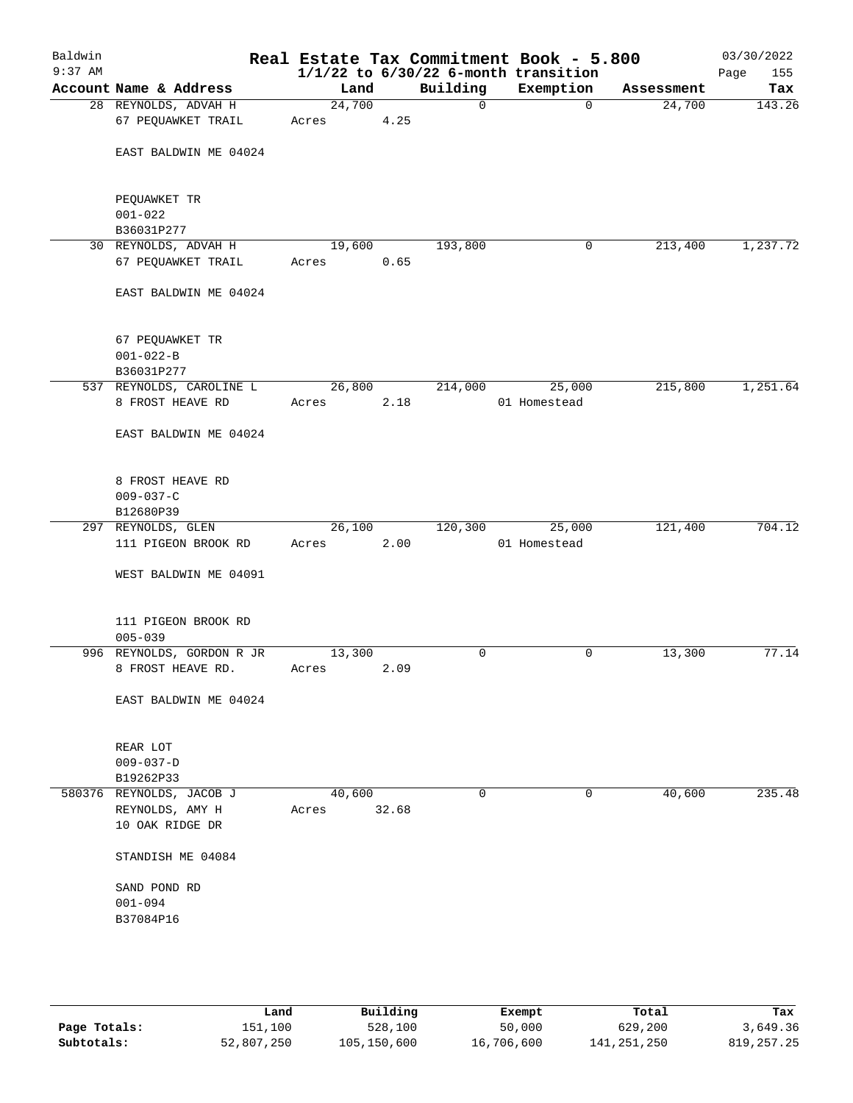| Baldwin<br>$9:37$ AM |                                                                |                 |       |              | Real Estate Tax Commitment Book - 5.800<br>$1/1/22$ to $6/30/22$ 6-month transition |            | 03/30/2022<br>Page<br>155 |
|----------------------|----------------------------------------------------------------|-----------------|-------|--------------|-------------------------------------------------------------------------------------|------------|---------------------------|
|                      | Account Name & Address                                         | Land            |       | Building     | Exemption                                                                           | Assessment | Tax                       |
|                      | 28 REYNOLDS, ADVAH H<br>67 PEQUAWKET TRAIL                     | 24,700<br>Acres | 4.25  | $\mathsf{O}$ | $\Omega$                                                                            | 24,700     | 143.26                    |
|                      | EAST BALDWIN ME 04024                                          |                 |       |              |                                                                                     |            |                           |
|                      | PEQUAWKET TR<br>$001 - 022$                                    |                 |       |              |                                                                                     |            |                           |
|                      | B36031P277<br>30 REYNOLDS, ADVAH H                             | 19,600          |       | 193,800      | 0                                                                                   | 213,400    | 1,237.72                  |
|                      | 67 PEQUAWKET TRAIL                                             | Acres           | 0.65  |              |                                                                                     |            |                           |
|                      | EAST BALDWIN ME 04024                                          |                 |       |              |                                                                                     |            |                           |
|                      | 67 PEQUAWKET TR<br>$001 - 022 - B$<br>B36031P277               |                 |       |              |                                                                                     |            |                           |
|                      | 537 REYNOLDS, CAROLINE L                                       | 26,800          |       | 214,000      | 25,000                                                                              | 215,800    | 1,251.64                  |
|                      | 8 FROST HEAVE RD<br>EAST BALDWIN ME 04024                      | Acres           | 2.18  |              | 01 Homestead                                                                        |            |                           |
|                      | 8 FROST HEAVE RD<br>$009 - 037 - C$<br>B12680P39               |                 |       |              |                                                                                     |            |                           |
|                      | 297 REYNOLDS, GLEN                                             | 26,100          |       | 120,300      | 25,000                                                                              | 121,400    | 704.12                    |
|                      | 111 PIGEON BROOK RD                                            | Acres           | 2.00  |              | 01 Homestead                                                                        |            |                           |
|                      | WEST BALDWIN ME 04091                                          |                 |       |              |                                                                                     |            |                           |
|                      | 111 PIGEON BROOK RD<br>$005 - 039$                             |                 |       |              |                                                                                     |            |                           |
|                      | 996 REYNOLDS, GORDON R JR                                      | 13,300          |       | 0            | 0                                                                                   | 13,300     | 77.14                     |
|                      | 8 FROST HEAVE RD.                                              | Acres           | 2.09  |              |                                                                                     |            |                           |
|                      | EAST BALDWIN ME 04024                                          |                 |       |              |                                                                                     |            |                           |
|                      | REAR LOT<br>$009 - 037 - D$<br>B19262P33                       |                 |       |              |                                                                                     |            |                           |
|                      | 580376 REYNOLDS, JACOB J<br>REYNOLDS, AMY H<br>10 OAK RIDGE DR | 40,600<br>Acres | 32.68 | 0            | 0                                                                                   | 40,600     | 235.48                    |
|                      | STANDISH ME 04084                                              |                 |       |              |                                                                                     |            |                           |
|                      | SAND POND RD<br>$001 - 094$                                    |                 |       |              |                                                                                     |            |                           |
|                      | B37084P16                                                      |                 |       |              |                                                                                     |            |                           |
|                      |                                                                |                 |       |              |                                                                                     |            |                           |

|              | Land       | Building    | Exempt     | Total       | Tax          |
|--------------|------------|-------------|------------|-------------|--------------|
| Page Totals: | 151,100    | 528,100     | 50,000     | 629,200     | 3,649.36     |
| Subtotals:   | 52,807,250 | 105,150,600 | 16,706,600 | 141,251,250 | 819, 257, 25 |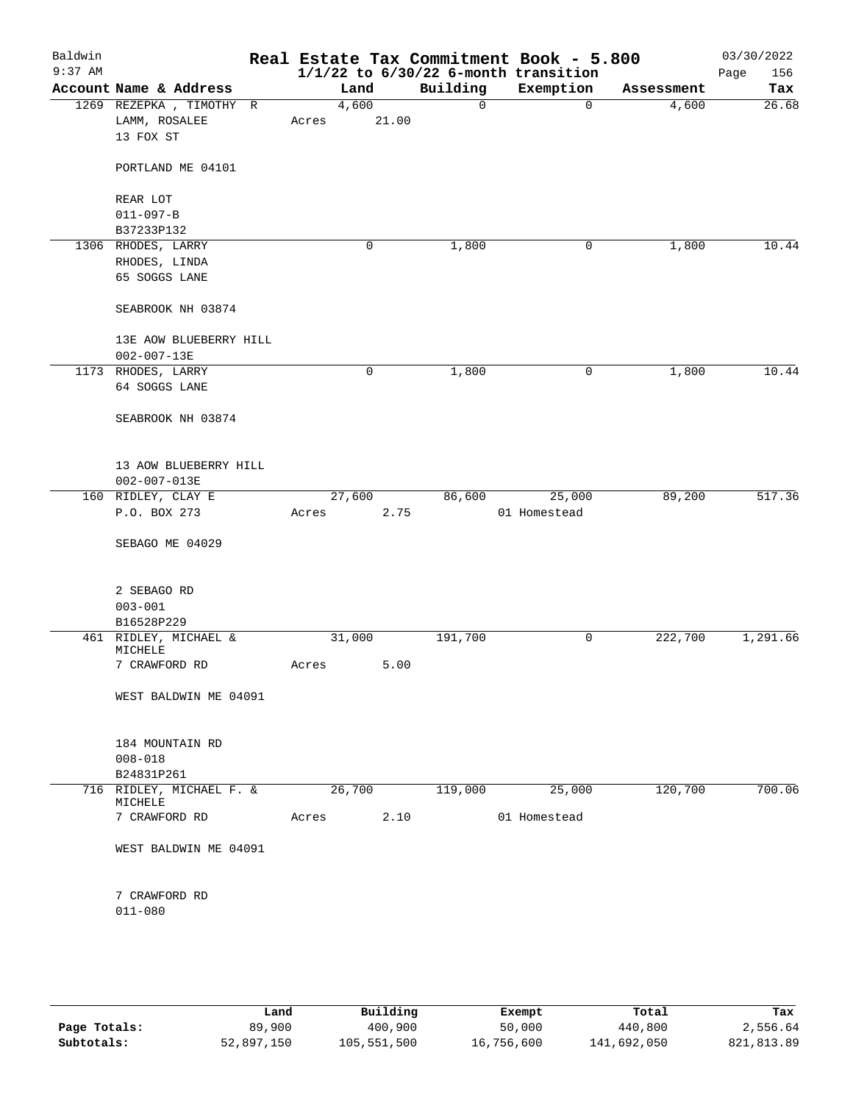| Baldwin<br>$9:37$ AM |                                             |        |       |          | Real Estate Tax Commitment Book - 5.800<br>$1/1/22$ to $6/30/22$ 6-month transition |            | 03/30/2022<br>156<br>Page |
|----------------------|---------------------------------------------|--------|-------|----------|-------------------------------------------------------------------------------------|------------|---------------------------|
|                      | Account Name & Address                      |        | Land  | Building | Exemption                                                                           | Assessment | Tax                       |
|                      | 1269 REZEPKA, TIMOTHY R                     | 4,600  |       | 0        | $\mathbf 0$                                                                         | 4,600      | 26.68                     |
|                      | LAMM, ROSALEE                               | Acres  | 21.00 |          |                                                                                     |            |                           |
|                      | 13 FOX ST                                   |        |       |          |                                                                                     |            |                           |
|                      | PORTLAND ME 04101                           |        |       |          |                                                                                     |            |                           |
|                      | REAR LOT                                    |        |       |          |                                                                                     |            |                           |
|                      | $011 - 097 - B$                             |        |       |          |                                                                                     |            |                           |
|                      | B37233P132                                  |        |       |          |                                                                                     |            |                           |
|                      | 1306 RHODES, LARRY                          |        | 0     | 1,800    | 0                                                                                   | 1,800      | 10.44                     |
|                      | RHODES, LINDA                               |        |       |          |                                                                                     |            |                           |
|                      | 65 SOGGS LANE                               |        |       |          |                                                                                     |            |                           |
|                      | SEABROOK NH 03874                           |        |       |          |                                                                                     |            |                           |
|                      |                                             |        |       |          |                                                                                     |            |                           |
|                      | 13E AOW BLUEBERRY HILL                      |        |       |          |                                                                                     |            |                           |
|                      | $002 - 007 - 13E$                           |        |       |          |                                                                                     |            |                           |
|                      | 1173 RHODES, LARRY<br>64 SOGGS LANE         |        | 0     | 1,800    | 0                                                                                   | 1,800      | 10.44                     |
|                      |                                             |        |       |          |                                                                                     |            |                           |
|                      | SEABROOK NH 03874                           |        |       |          |                                                                                     |            |                           |
|                      | 13 AOW BLUEBERRY HILL<br>$002 - 007 - 013E$ |        |       |          |                                                                                     |            |                           |
|                      | 160 RIDLEY, CLAY E                          | 27,600 |       | 86,600   | 25,000                                                                              | 89,200     | 517.36                    |
|                      | P.O. BOX 273                                | Acres  | 2.75  |          | 01 Homestead                                                                        |            |                           |
|                      | SEBAGO ME 04029                             |        |       |          |                                                                                     |            |                           |
|                      |                                             |        |       |          |                                                                                     |            |                           |
|                      | 2 SEBAGO RD                                 |        |       |          |                                                                                     |            |                           |
|                      | $003 - 001$                                 |        |       |          |                                                                                     |            |                           |
|                      | B16528P229                                  |        |       |          |                                                                                     |            |                           |
|                      | 461 RIDLEY, MICHAEL &<br>MICHELE            | 31,000 |       | 191,700  | 0                                                                                   | 222,700    | 1,291.66                  |
|                      | 7 CRAWFORD RD                               | Acres  | 5.00  |          |                                                                                     |            |                           |
|                      |                                             |        |       |          |                                                                                     |            |                           |
|                      | WEST BALDWIN ME 04091                       |        |       |          |                                                                                     |            |                           |
|                      | 184 MOUNTAIN RD                             |        |       |          |                                                                                     |            |                           |
|                      | $008 - 018$                                 |        |       |          |                                                                                     |            |                           |
|                      | B24831P261                                  |        |       |          |                                                                                     |            |                           |
|                      | 716 RIDLEY, MICHAEL F. &                    | 26,700 |       | 119,000  | 25,000                                                                              | 120,700    | 700.06                    |
|                      | MICHELE<br>7 CRAWFORD RD                    | Acres  | 2.10  |          | 01 Homestead                                                                        |            |                           |
|                      | WEST BALDWIN ME 04091                       |        |       |          |                                                                                     |            |                           |
|                      | 7 CRAWFORD RD                               |        |       |          |                                                                                     |            |                           |
|                      | $011 - 080$                                 |        |       |          |                                                                                     |            |                           |
|                      |                                             |        |       |          |                                                                                     |            |                           |
|                      |                                             |        |       |          |                                                                                     |            |                           |
|                      |                                             |        |       |          |                                                                                     |            |                           |

|              | Land       | Building    | Exempt     | Total       | Tax        |
|--------------|------------|-------------|------------|-------------|------------|
| Page Totals: | 89,900     | 400,900     | 50,000     | 440,800     | 2,556.64   |
| Subtotals:   | 52,897,150 | 105,551,500 | 16,756,600 | 141,692,050 | 821,813.89 |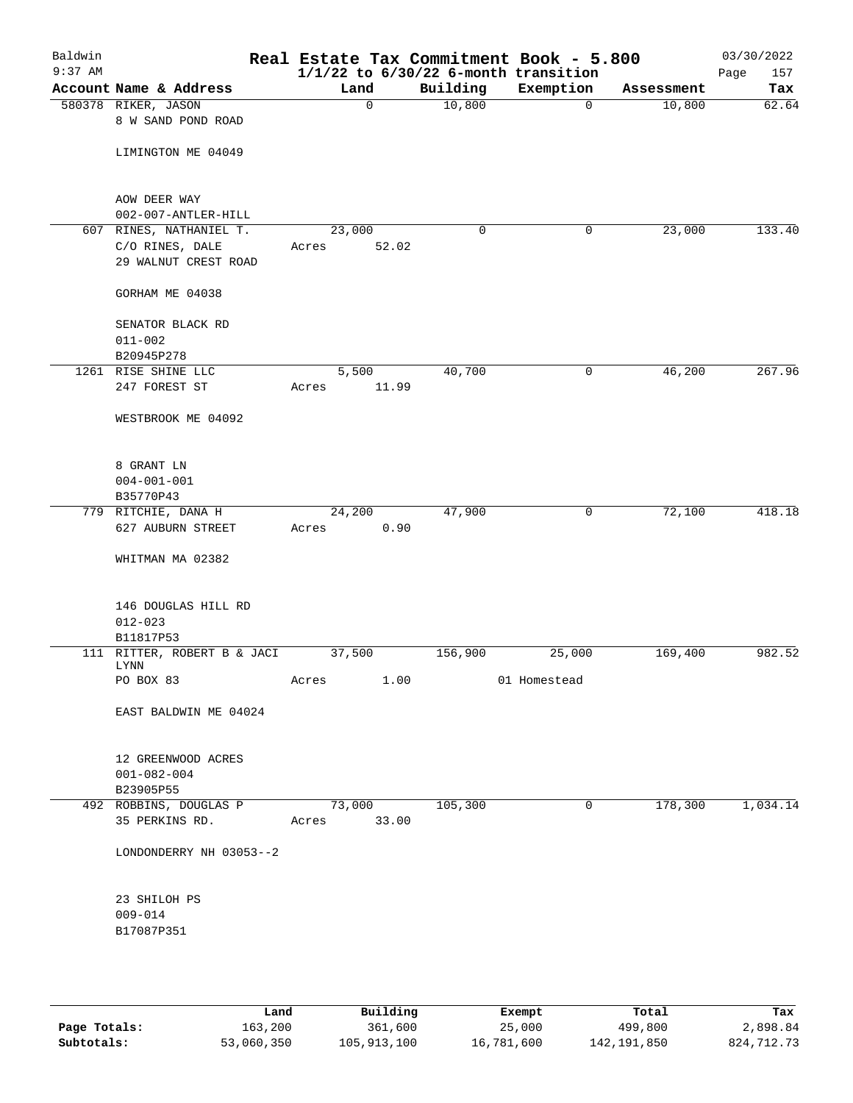| Baldwin<br>$9:37$ AM |                                                                    |                 |       |             | Real Estate Tax Commitment Book - 5.800<br>$1/1/22$ to $6/30/22$ 6-month transition |            | 03/30/2022<br>157<br>Page |
|----------------------|--------------------------------------------------------------------|-----------------|-------|-------------|-------------------------------------------------------------------------------------|------------|---------------------------|
|                      | Account Name & Address                                             | Land            |       | Building    | Exemption                                                                           | Assessment | Tax                       |
|                      | 580378 RIKER, JASON<br>8 W SAND POND ROAD                          |                 | 0     | 10,800      | $\mathbf 0$                                                                         | 10,800     | 62.64                     |
|                      | LIMINGTON ME 04049                                                 |                 |       |             |                                                                                     |            |                           |
|                      | AOW DEER WAY<br>002-007-ANTLER-HILL                                |                 |       |             |                                                                                     |            |                           |
|                      | 607 RINES, NATHANIEL T.<br>C/O RINES, DALE<br>29 WALNUT CREST ROAD | 23,000<br>Acres | 52.02 | $\mathbf 0$ | 0                                                                                   | 23,000     | 133.40                    |
|                      | GORHAM ME 04038                                                    |                 |       |             |                                                                                     |            |                           |
|                      | SENATOR BLACK RD<br>$011 - 002$<br>B20945P278                      |                 |       |             |                                                                                     |            |                           |
|                      | 1261 RISE SHINE LLC                                                | 5,500           |       | 40,700      | 0                                                                                   | 46,200     | 267.96                    |
|                      | 247 FOREST ST                                                      | Acres           | 11.99 |             |                                                                                     |            |                           |
|                      | WESTBROOK ME 04092                                                 |                 |       |             |                                                                                     |            |                           |
|                      | 8 GRANT LN<br>$004 - 001 - 001$                                    |                 |       |             |                                                                                     |            |                           |
|                      | B35770P43                                                          |                 |       |             |                                                                                     |            |                           |
|                      | 779 RITCHIE, DANA H                                                | 24,200          |       | 47,900      | 0                                                                                   | 72,100     | 418.18                    |
|                      | 627 AUBURN STREET                                                  | Acres           | 0.90  |             |                                                                                     |            |                           |
|                      | WHITMAN MA 02382                                                   |                 |       |             |                                                                                     |            |                           |
|                      | 146 DOUGLAS HILL RD<br>$012 - 023$<br>B11817P53                    |                 |       |             |                                                                                     |            |                           |
|                      | 111 RITTER, ROBERT B & JACI                                        | 37,500          |       | 156,900     | 25,000                                                                              | 169,400    | 982.52                    |
|                      | LYNN                                                               |                 |       |             |                                                                                     |            |                           |
|                      | PO BOX 83                                                          | Acres           | 1.00  |             | 01 Homestead                                                                        |            |                           |
|                      | EAST BALDWIN ME 04024                                              |                 |       |             |                                                                                     |            |                           |
|                      | 12 GREENWOOD ACRES<br>$001 - 082 - 004$<br>B23905P55               |                 |       |             |                                                                                     |            |                           |
|                      | 492 ROBBINS, DOUGLAS P<br>35 PERKINS RD.                           | 73,000<br>Acres | 33.00 | 105,300     | 0                                                                                   | 178,300    | 1,034.14                  |
|                      | LONDONDERRY NH 03053--2                                            |                 |       |             |                                                                                     |            |                           |
|                      | 23 SHILOH PS<br>$009 - 014$<br>B17087P351                          |                 |       |             |                                                                                     |            |                           |
|                      |                                                                    |                 |       |             |                                                                                     |            |                           |

|              | Land       | Building    | Exempt     | Total       | Tax        |
|--------------|------------|-------------|------------|-------------|------------|
| Page Totals: | 163,200    | 361,600     | 25,000     | 499,800     | 2,898.84   |
| Subtotals:   | 53,060,350 | 105,913,100 | 16,781,600 | 142,191,850 | 824,712.73 |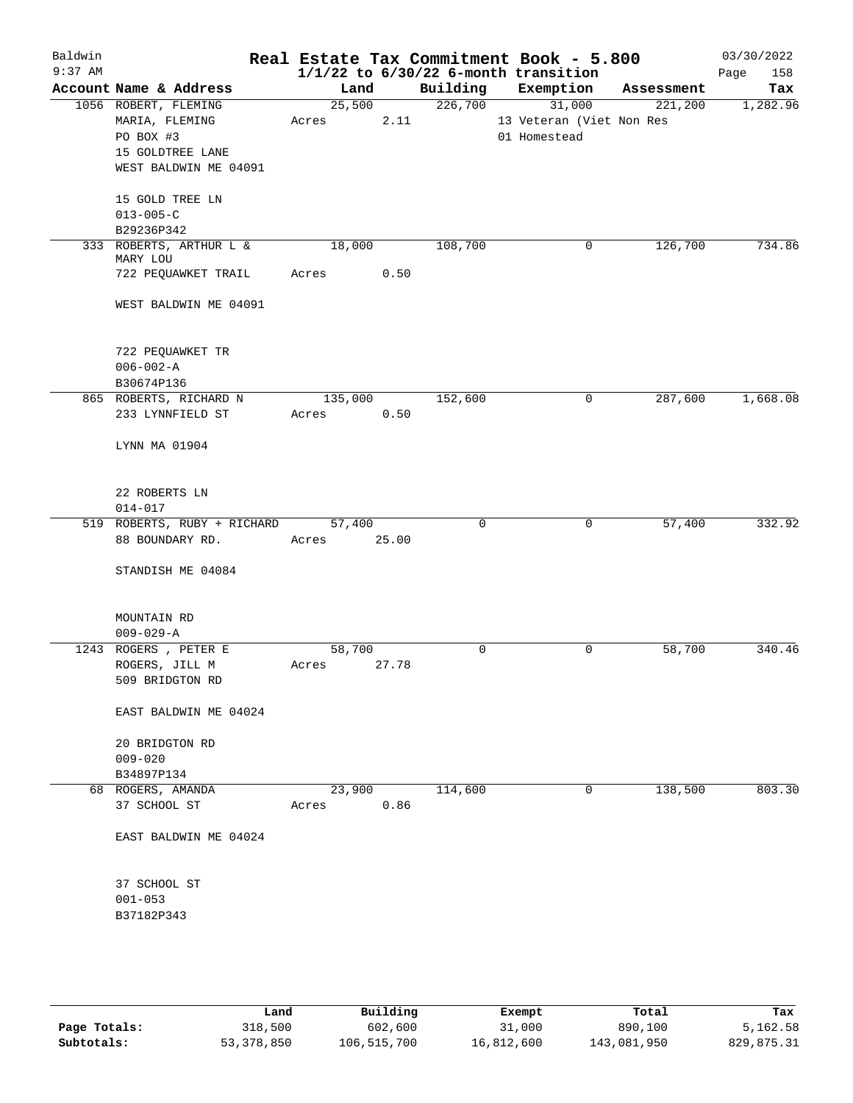| Baldwin<br>$9:37$ AM |                                 |             |      |          | Real Estate Tax Commitment Book - 5.800<br>$1/1/22$ to $6/30/22$ 6-month transition |            | 03/30/2022<br>158<br>Page |
|----------------------|---------------------------------|-------------|------|----------|-------------------------------------------------------------------------------------|------------|---------------------------|
|                      | Account Name & Address          | Land        |      | Building | Exemption                                                                           | Assessment | Tax                       |
|                      | 1056 ROBERT, FLEMING            | 25,500      |      | 226,700  | 31,000                                                                              | 221,200    | 1,282.96                  |
|                      | MARIA, FLEMING                  | Acres       | 2.11 |          | 13 Veteran (Viet Non Res                                                            |            |                           |
|                      | PO BOX #3                       |             |      |          | 01 Homestead                                                                        |            |                           |
|                      | 15 GOLDTREE LANE                |             |      |          |                                                                                     |            |                           |
|                      | WEST BALDWIN ME 04091           |             |      |          |                                                                                     |            |                           |
|                      | 15 GOLD TREE LN                 |             |      |          |                                                                                     |            |                           |
|                      | $013 - 005 - C$                 |             |      |          |                                                                                     |            |                           |
|                      | B29236P342                      |             |      |          |                                                                                     |            |                           |
|                      | 333 ROBERTS, ARTHUR L &         | 18,000      |      | 108,700  | 0                                                                                   | 126,700    | 734.86                    |
|                      | MARY LOU<br>722 PEQUAWKET TRAIL | Acres       | 0.50 |          |                                                                                     |            |                           |
|                      | WEST BALDWIN ME 04091           |             |      |          |                                                                                     |            |                           |
|                      | 722 PEQUAWKET TR                |             |      |          |                                                                                     |            |                           |
|                      | $006 - 002 - A$                 |             |      |          |                                                                                     |            |                           |
|                      | B30674P136                      |             |      |          |                                                                                     |            |                           |
|                      | 865 ROBERTS, RICHARD N          | 135,000     |      | 152,600  | 0                                                                                   | 287,600    | 1,668.08                  |
|                      | 233 LYNNFIELD ST                | Acres       | 0.50 |          |                                                                                     |            |                           |
|                      | LYNN MA 01904                   |             |      |          |                                                                                     |            |                           |
|                      | 22 ROBERTS LN                   |             |      |          |                                                                                     |            |                           |
|                      | $014 - 017$                     |             |      |          |                                                                                     |            |                           |
|                      | 519 ROBERTS, RUBY + RICHARD     | 57,400      |      | $\Omega$ | 0                                                                                   | 57,400     | 332.92                    |
|                      | 88 BOUNDARY RD.                 | Acres 25.00 |      |          |                                                                                     |            |                           |
|                      | STANDISH ME 04084               |             |      |          |                                                                                     |            |                           |
|                      | MOUNTAIN RD                     |             |      |          |                                                                                     |            |                           |
|                      | $009 - 029 - A$                 |             |      |          |                                                                                     |            |                           |
|                      | 1243 ROGERS , PETER E           | 58,700      |      | 0        | 0                                                                                   | 58,700     | 340.46                    |
|                      | ROGERS, JILL M                  | Acres 27.78 |      |          |                                                                                     |            |                           |
|                      | 509 BRIDGTON RD                 |             |      |          |                                                                                     |            |                           |
|                      | EAST BALDWIN ME 04024           |             |      |          |                                                                                     |            |                           |
|                      | 20 BRIDGTON RD                  |             |      |          |                                                                                     |            |                           |
|                      | $009 - 020$                     |             |      |          |                                                                                     |            |                           |
|                      | B34897P134                      |             |      |          |                                                                                     |            |                           |
|                      | 68 ROGERS, AMANDA               | 23,900      |      | 114,600  | 0                                                                                   | 138,500    | 803.30                    |
|                      | 37 SCHOOL ST                    | Acres       | 0.86 |          |                                                                                     |            |                           |
|                      | EAST BALDWIN ME 04024           |             |      |          |                                                                                     |            |                           |
|                      | 37 SCHOOL ST                    |             |      |          |                                                                                     |            |                           |
|                      | $001 - 053$                     |             |      |          |                                                                                     |            |                           |
|                      | B37182P343                      |             |      |          |                                                                                     |            |                           |
|                      |                                 |             |      |          |                                                                                     |            |                           |

|              | Land       | Building    | Exempt     | Total       | Tax        |
|--------------|------------|-------------|------------|-------------|------------|
| Page Totals: | 318,500    | 602,600     | 31,000     | 890,100     | 5,162.58   |
| Subtotals:   | 53,378,850 | 106,515,700 | 16,812,600 | 143,081,950 | 829,875.31 |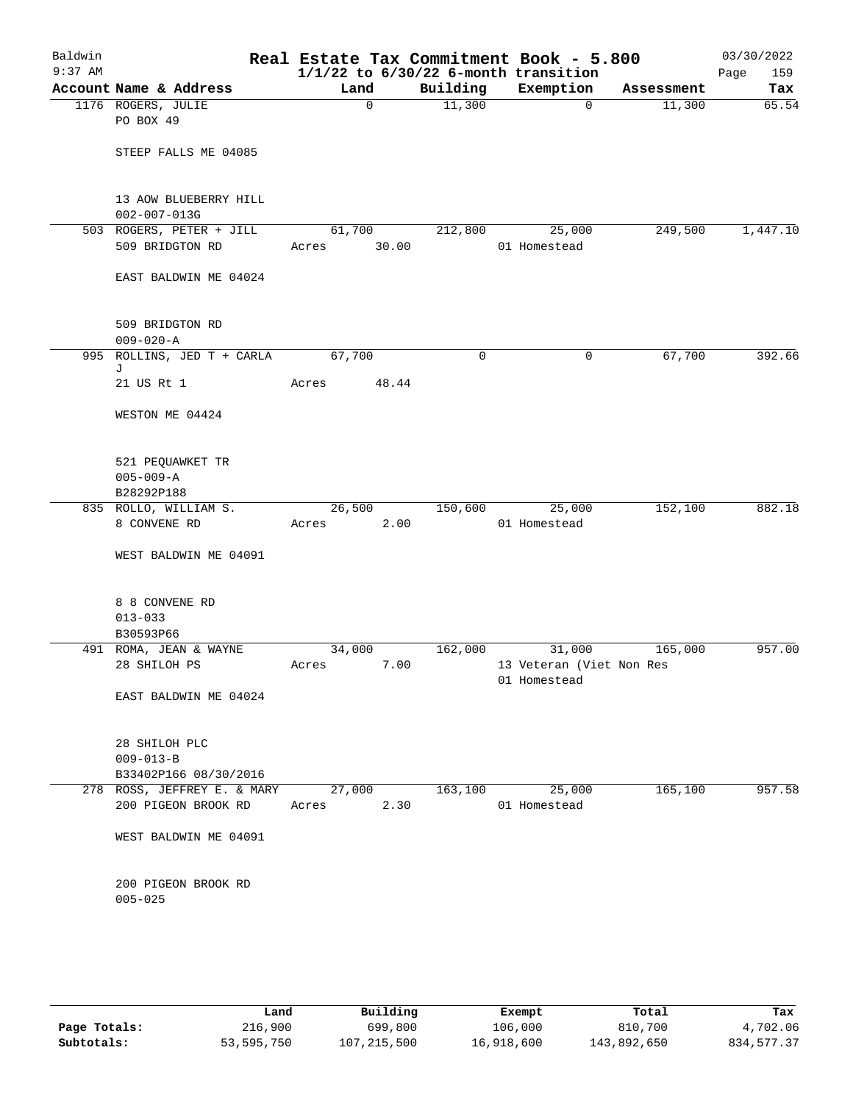| Baldwin<br>$9:37$ AM |                                                           |        |             |          | Real Estate Tax Commitment Book - 5.800<br>$1/1/22$ to $6/30/22$ 6-month transition |            | 03/30/2022<br>159<br>Page |
|----------------------|-----------------------------------------------------------|--------|-------------|----------|-------------------------------------------------------------------------------------|------------|---------------------------|
|                      | Account Name & Address                                    | Land   |             | Building | Exemption                                                                           | Assessment | Tax                       |
|                      | 1176 ROGERS, JULIE<br>PO BOX 49                           |        | $\mathbf 0$ | 11,300   | $\mathbf 0$                                                                         | 11,300     | 65.54                     |
|                      | STEEP FALLS ME 04085                                      |        |             |          |                                                                                     |            |                           |
|                      | 13 AOW BLUEBERRY HILL<br>$002 - 007 - 013G$               |        |             |          |                                                                                     |            |                           |
|                      | 503 ROGERS, PETER + JILL                                  | 61,700 |             | 212,800  | 25,000                                                                              | 249,500    | 1,447.10                  |
|                      | 509 BRIDGTON RD                                           | Acres  | 30.00       |          | 01 Homestead                                                                        |            |                           |
|                      | EAST BALDWIN ME 04024                                     |        |             |          |                                                                                     |            |                           |
|                      | 509 BRIDGTON RD<br>$009 - 020 - A$                        |        |             |          |                                                                                     |            |                           |
|                      | 995 ROLLINS, JED T + CARLA                                | 67,700 |             | 0        | $\mathbf 0$                                                                         | 67,700     | 392.66                    |
|                      | J<br>21 US Rt 1                                           | Acres  | 48.44       |          |                                                                                     |            |                           |
|                      | WESTON ME 04424                                           |        |             |          |                                                                                     |            |                           |
|                      | 521 PEQUAWKET TR<br>$005 - 009 - A$                       |        |             |          |                                                                                     |            |                           |
|                      | B28292P188                                                |        |             |          |                                                                                     |            |                           |
|                      | 835 ROLLO, WILLIAM S.                                     | 26,500 |             | 150,600  | 25,000                                                                              | 152,100    | 882.18                    |
|                      | 8 CONVENE RD                                              | Acres  | 2.00        |          | 01 Homestead                                                                        |            |                           |
|                      | WEST BALDWIN ME 04091                                     |        |             |          |                                                                                     |            |                           |
|                      | 8 8 CONVENE RD                                            |        |             |          |                                                                                     |            |                           |
|                      | $013 - 033$<br>B30593P66                                  |        |             |          |                                                                                     |            |                           |
|                      | 491 ROMA, JEAN & WAYNE                                    | 34,000 |             | 162,000  | 31,000                                                                              | 165,000    | 957.00                    |
|                      | 28 SHILOH PS                                              | Acres  | 7.00        |          | 13 Veteran (Viet Non Res<br>01 Homestead                                            |            |                           |
|                      | EAST BALDWIN ME 04024                                     |        |             |          |                                                                                     |            |                           |
|                      | 28 SHILOH PLC<br>$009 - 013 - B$<br>B33402P166 08/30/2016 |        |             |          |                                                                                     |            |                           |
|                      | 278 ROSS, JEFFREY E. & MARY                               | 27,000 |             | 163,100  | 25,000                                                                              | 165,100    | 957.58                    |
|                      | 200 PIGEON BROOK RD                                       | Acres  | 2.30        |          | 01 Homestead                                                                        |            |                           |
|                      | WEST BALDWIN ME 04091                                     |        |             |          |                                                                                     |            |                           |
|                      | 200 PIGEON BROOK RD<br>$005 - 025$                        |        |             |          |                                                                                     |            |                           |
|                      |                                                           |        |             |          |                                                                                     |            |                           |

|              | Land       | Building      | Exempt     | Total       | Tax         |
|--------------|------------|---------------|------------|-------------|-------------|
| Page Totals: | 216,900    | 699,800       | 106,000    | 810,700     | 4,702.06    |
| Subtotals:   | 53,595,750 | 107, 215, 500 | 16,918,600 | 143,892,650 | 834, 577.37 |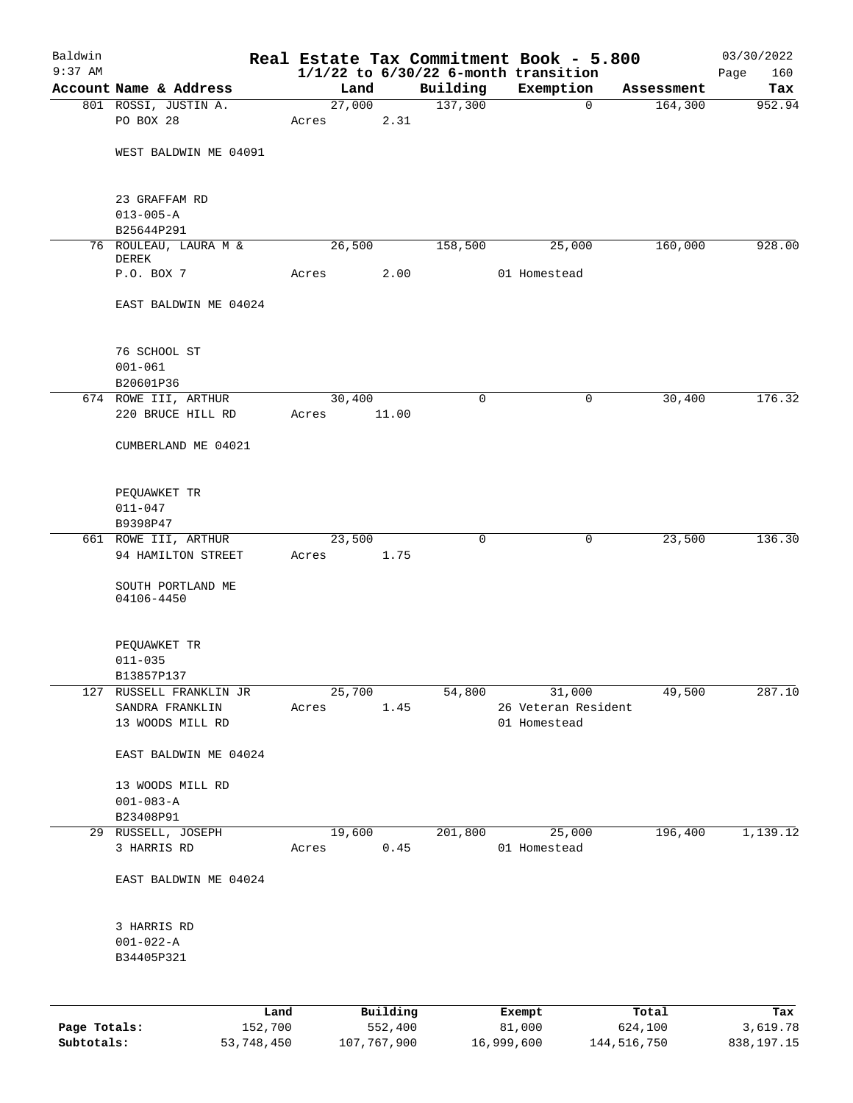| Baldwin      |                                            |                 |                     |          | Real Estate Tax Commitment Book - 5.800               |                  | 03/30/2022         |
|--------------|--------------------------------------------|-----------------|---------------------|----------|-------------------------------------------------------|------------------|--------------------|
| $9:37$ AM    | Account Name & Address                     | Land            |                     | Building | $1/1/22$ to $6/30/22$ 6-month transition<br>Exemption | Assessment       | 160<br>Page<br>Tax |
|              | 801 ROSSI, JUSTIN A.                       | 27,000          |                     | 137,300  | $\overline{0}$                                        | 164,300          | 952.94             |
|              | PO BOX 28                                  | Acres           | 2.31                |          |                                                       |                  |                    |
|              | WEST BALDWIN ME 04091                      |                 |                     |          |                                                       |                  |                    |
|              |                                            |                 |                     |          |                                                       |                  |                    |
|              | 23 GRAFFAM RD                              |                 |                     |          |                                                       |                  |                    |
|              | $013 - 005 - A$<br>B25644P291              |                 |                     |          |                                                       |                  |                    |
|              | 76 ROULEAU, LAURA M &                      | 26,500          |                     | 158,500  | 25,000                                                | 160,000          | 928.00             |
|              | DEREK                                      |                 |                     |          |                                                       |                  |                    |
|              | P.O. BOX 7                                 | Acres           | 2.00                |          | 01 Homestead                                          |                  |                    |
|              | EAST BALDWIN ME 04024                      |                 |                     |          |                                                       |                  |                    |
|              | 76 SCHOOL ST                               |                 |                     |          |                                                       |                  |                    |
|              | $001 - 061$                                |                 |                     |          |                                                       |                  |                    |
|              | B20601P36                                  |                 |                     |          |                                                       |                  |                    |
|              | 674 ROWE III, ARTHUR                       | 30,400          |                     | 0        | 0                                                     | 30,400           | 176.32             |
|              | 220 BRUCE HILL RD                          | Acres           | 11.00               |          |                                                       |                  |                    |
|              | CUMBERLAND ME 04021                        |                 |                     |          |                                                       |                  |                    |
|              | PEQUAWKET TR                               |                 |                     |          |                                                       |                  |                    |
|              | $011 - 047$                                |                 |                     |          |                                                       |                  |                    |
|              | B9398P47                                   |                 |                     |          |                                                       |                  |                    |
|              | 661 ROWE III, ARTHUR<br>94 HAMILTON STREET | 23,500<br>Acres | 1.75                | 0        | 0                                                     | 23,500           | 136.30             |
|              | SOUTH PORTLAND ME<br>04106-4450            |                 |                     |          |                                                       |                  |                    |
|              | PEQUAWKET TR                               |                 |                     |          |                                                       |                  |                    |
|              | $011 - 035$                                |                 |                     |          |                                                       |                  |                    |
|              | B13857P137                                 |                 |                     |          |                                                       |                  |                    |
| 127          | RUSSELL FRANKLIN JR                        | 25,700          |                     | 54,800   | 31,000                                                | 49,500           | 287.10             |
|              | SANDRA FRANKLIN<br>13 WOODS MILL RD        | Acres           | 1.45                |          | 26 Veteran Resident<br>01 Homestead                   |                  |                    |
|              |                                            |                 |                     |          |                                                       |                  |                    |
|              | EAST BALDWIN ME 04024                      |                 |                     |          |                                                       |                  |                    |
|              | 13 WOODS MILL RD                           |                 |                     |          |                                                       |                  |                    |
|              | $001 - 083 - A$                            |                 |                     |          |                                                       |                  |                    |
|              | B23408P91                                  |                 |                     |          |                                                       |                  |                    |
|              | 29 RUSSELL, JOSEPH                         | 19,600          |                     | 201,800  | 25,000                                                | 196,400          | 1,139.12           |
|              | 3 HARRIS RD                                | Acres           | 0.45                |          | 01 Homestead                                          |                  |                    |
|              | EAST BALDWIN ME 04024                      |                 |                     |          |                                                       |                  |                    |
|              | 3 HARRIS RD                                |                 |                     |          |                                                       |                  |                    |
|              | $001 - 022 - A$                            |                 |                     |          |                                                       |                  |                    |
|              | B34405P321                                 |                 |                     |          |                                                       |                  |                    |
|              |                                            |                 |                     |          |                                                       |                  |                    |
|              |                                            |                 |                     |          |                                                       |                  |                    |
| Page Totals: | Land<br>152,700                            |                 | Building<br>552,400 |          | Exempt<br>81,000                                      | Total<br>624,100 | Tax<br>3,619.78    |

**Subtotals:** 53,748,450 107,767,900 16,999,600 144,516,750 838,197.15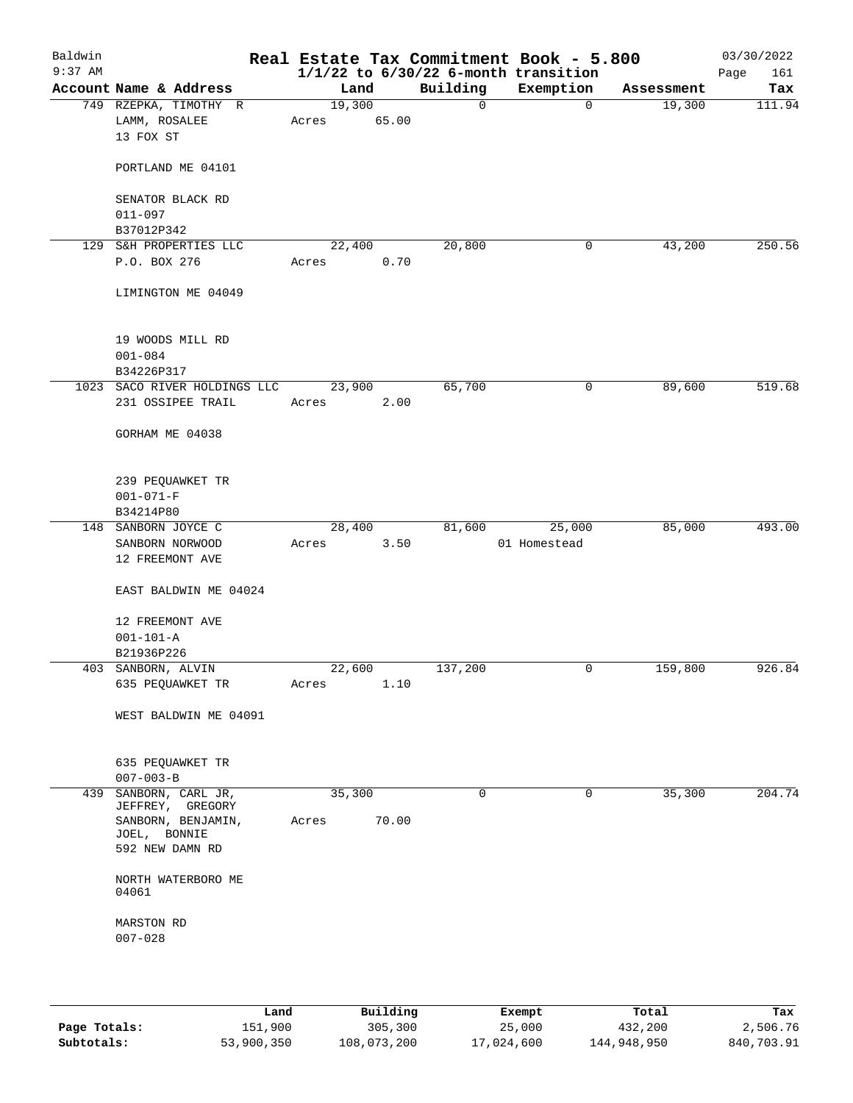| Baldwin<br>$9:37$ AM |                                        |                 |       |              | Real Estate Tax Commitment Book - 5.800<br>$1/1/22$ to $6/30/22$ 6-month transition |            | 03/30/2022<br>Page<br>161 |
|----------------------|----------------------------------------|-----------------|-------|--------------|-------------------------------------------------------------------------------------|------------|---------------------------|
|                      | Account Name & Address                 | Land            |       | Building     | Exemption                                                                           | Assessment | Tax                       |
|                      | 749 RZEPKA, TIMOTHY R<br>LAMM, ROSALEE | 19,300<br>Acres | 65.00 | $\mathsf{O}$ | $\overline{0}$                                                                      | 19,300     | 111.94                    |
|                      | 13 FOX ST                              |                 |       |              |                                                                                     |            |                           |
|                      | PORTLAND ME 04101                      |                 |       |              |                                                                                     |            |                           |
|                      | SENATOR BLACK RD<br>$011 - 097$        |                 |       |              |                                                                                     |            |                           |
|                      | B37012P342                             |                 |       |              |                                                                                     |            |                           |
|                      | 129 S&H PROPERTIES LLC                 | 22,400          |       | 20,800       | 0                                                                                   | 43,200     | 250.56                    |
|                      | P.O. BOX 276                           | Acres           | 0.70  |              |                                                                                     |            |                           |
|                      | LIMINGTON ME 04049                     |                 |       |              |                                                                                     |            |                           |
|                      | 19 WOODS MILL RD                       |                 |       |              |                                                                                     |            |                           |
|                      | $001 - 084$<br>B34226P317              |                 |       |              |                                                                                     |            |                           |
|                      | 1023 SACO RIVER HOLDINGS LLC           | 23,900          |       | 65,700       | 0                                                                                   | 89,600     | 519.68                    |
|                      | 231 OSSIPEE TRAIL                      | Acres           | 2.00  |              |                                                                                     |            |                           |
|                      | GORHAM ME 04038                        |                 |       |              |                                                                                     |            |                           |
|                      | 239 PEQUAWKET TR                       |                 |       |              |                                                                                     |            |                           |
|                      | $001 - 071 - F$                        |                 |       |              |                                                                                     |            |                           |
|                      | B34214P80                              |                 |       |              |                                                                                     |            |                           |
|                      | 148 SANBORN JOYCE C                    | 28,400          |       | 81,600       | 25,000                                                                              | 85,000     | 493.00                    |
|                      | SANBORN NORWOOD<br>12 FREEMONT AVE     | Acres           | 3.50  |              | 01 Homestead                                                                        |            |                           |
|                      | EAST BALDWIN ME 04024                  |                 |       |              |                                                                                     |            |                           |
|                      | 12 FREEMONT AVE<br>$001 - 101 - A$     |                 |       |              |                                                                                     |            |                           |
|                      | B21936P226                             |                 |       |              |                                                                                     |            |                           |
|                      | 403 SANBORN, ALVIN                     | 22,600          |       | 137,200      | $\mathsf{O}$                                                                        | 159,800    | 926.84                    |
|                      | 635 PEQUAWKET TR                       | Acres           | 1.10  |              |                                                                                     |            |                           |
|                      | WEST BALDWIN ME 04091                  |                 |       |              |                                                                                     |            |                           |
|                      | 635 PEQUAWKET TR<br>$007 - 003 - B$    |                 |       |              |                                                                                     |            |                           |
| 439                  | SANBORN, CARL JR,                      | 35,300          |       | 0            | $\mathbf 0$                                                                         | 35,300     | 204.74                    |
|                      | JEFFREY, GREGORY                       |                 |       |              |                                                                                     |            |                           |
|                      | SANBORN, BENJAMIN,<br>JOEL, BONNIE     | Acres           | 70.00 |              |                                                                                     |            |                           |
|                      | 592 NEW DAMN RD                        |                 |       |              |                                                                                     |            |                           |
|                      | NORTH WATERBORO ME<br>04061            |                 |       |              |                                                                                     |            |                           |
|                      | MARSTON RD                             |                 |       |              |                                                                                     |            |                           |
|                      | $007 - 028$                            |                 |       |              |                                                                                     |            |                           |
|                      |                                        |                 |       |              |                                                                                     |            |                           |
|                      |                                        |                 |       |              |                                                                                     |            |                           |

|              | Land       | Building    | Exempt     | Total       | Tax        |
|--------------|------------|-------------|------------|-------------|------------|
| Page Totals: | 151,900    | 305,300     | 25,000     | 432,200     | 2,506.76   |
| Subtotals:   | 53,900,350 | 108,073,200 | 17,024,600 | 144,948,950 | 840,703.91 |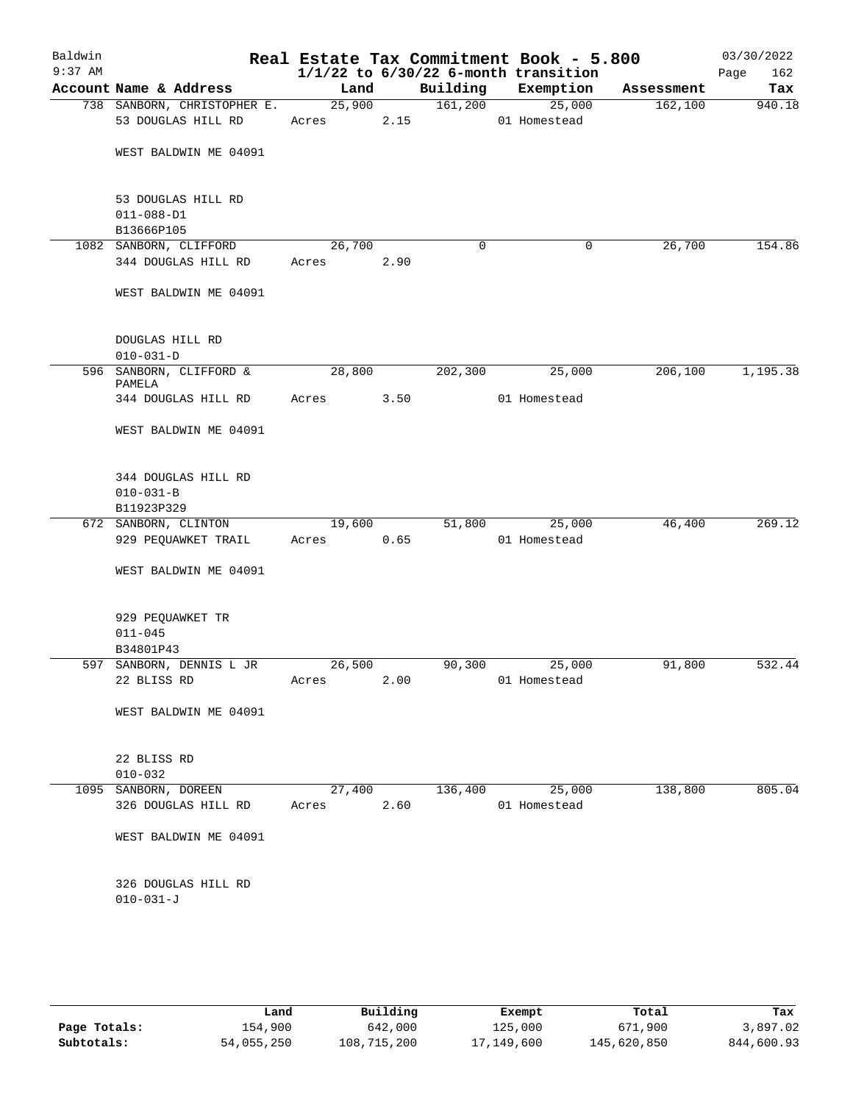| Baldwin<br>$9:37$ AM |                                        |        |      |          | Real Estate Tax Commitment Book - 5.800<br>$1/1/22$ to $6/30/22$ 6-month transition |            | 03/30/2022<br>Page<br>162 |
|----------------------|----------------------------------------|--------|------|----------|-------------------------------------------------------------------------------------|------------|---------------------------|
|                      | Account Name & Address                 | Land   |      | Building | Exemption                                                                           | Assessment | Tax                       |
|                      | 738 SANBORN, CHRISTOPHER E.            | 25,900 |      | 161,200  | 25,000                                                                              | 162,100    | 940.18                    |
|                      | 53 DOUGLAS HILL RD                     | Acres  | 2.15 |          | 01 Homestead                                                                        |            |                           |
|                      | WEST BALDWIN ME 04091                  |        |      |          |                                                                                     |            |                           |
|                      | 53 DOUGLAS HILL RD                     |        |      |          |                                                                                     |            |                           |
|                      | $011 - 088 - D1$<br>B13666P105         |        |      |          |                                                                                     |            |                           |
|                      | 1082 SANBORN, CLIFFORD                 | 26,700 |      | 0        | 0                                                                                   | 26,700     | 154.86                    |
|                      | 344 DOUGLAS HILL RD                    | Acres  | 2.90 |          |                                                                                     |            |                           |
|                      | WEST BALDWIN ME 04091                  |        |      |          |                                                                                     |            |                           |
|                      | DOUGLAS HILL RD                        |        |      |          |                                                                                     |            |                           |
|                      | $010 - 031 - D$                        |        |      |          |                                                                                     |            |                           |
|                      | 596 SANBORN, CLIFFORD &<br>PAMELA      | 28,800 |      | 202,300  | 25,000                                                                              | 206,100    | 1,195.38                  |
|                      | 344 DOUGLAS HILL RD                    | Acres  | 3.50 |          | 01 Homestead                                                                        |            |                           |
|                      | WEST BALDWIN ME 04091                  |        |      |          |                                                                                     |            |                           |
|                      | 344 DOUGLAS HILL RD<br>$010 - 031 - B$ |        |      |          |                                                                                     |            |                           |
|                      | B11923P329                             |        |      |          |                                                                                     |            |                           |
|                      | 672 SANBORN, CLINTON                   | 19,600 |      | 51,800   | 25,000                                                                              | 46,400     | 269.12                    |
|                      | 929 PEQUAWKET TRAIL                    | Acres  | 0.65 |          | 01 Homestead                                                                        |            |                           |
|                      | WEST BALDWIN ME 04091                  |        |      |          |                                                                                     |            |                           |
|                      | 929 PEQUAWKET TR                       |        |      |          |                                                                                     |            |                           |
|                      | $011 - 045$                            |        |      |          |                                                                                     |            |                           |
|                      | B34801P43<br>597 SANBORN, DENNIS L JR  | 26,500 |      | 90,300   | 25,000                                                                              | 91,800     | 532.44                    |
|                      | 22 BLISS RD                            | Acres  | 2.00 |          | 01 Homestead                                                                        |            |                           |
|                      | WEST BALDWIN ME 04091                  |        |      |          |                                                                                     |            |                           |
|                      |                                        |        |      |          |                                                                                     |            |                           |
|                      | 22 BLISS RD                            |        |      |          |                                                                                     |            |                           |
|                      | $010 - 032$                            |        |      |          |                                                                                     |            |                           |
|                      | 1095 SANBORN, DOREEN                   | 27,400 |      | 136,400  | 25,000                                                                              | 138,800    | 805.04                    |
|                      | 326 DOUGLAS HILL RD                    | Acres  | 2.60 |          | 01 Homestead                                                                        |            |                           |
|                      | WEST BALDWIN ME 04091                  |        |      |          |                                                                                     |            |                           |
|                      | 326 DOUGLAS HILL RD                    |        |      |          |                                                                                     |            |                           |
|                      | $010 - 031 - J$                        |        |      |          |                                                                                     |            |                           |
|                      |                                        |        |      |          |                                                                                     |            |                           |
|                      |                                        |        |      |          |                                                                                     |            |                           |

|              | Land       | Building    | Exempt     | Total       | Tax        |
|--------------|------------|-------------|------------|-------------|------------|
| Page Totals: | 154,900    | 642,000     | 125,000    | 671,900     | 3,897.02   |
| Subtotals:   | 54,055,250 | 108,715,200 | 17,149,600 | 145,620,850 | 844,600.93 |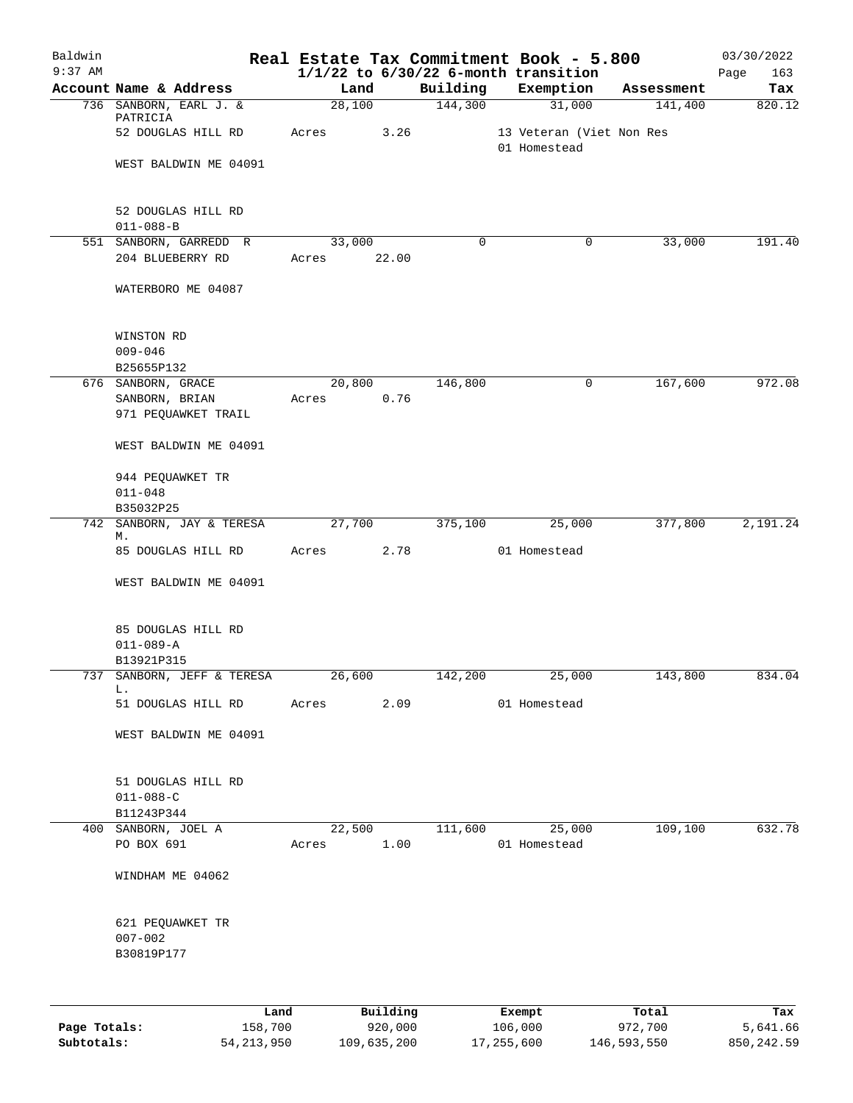| Baldwin<br>$9:37$ AM |                                      |                     |          |          | Real Estate Tax Commitment Book - 5.800<br>$1/1/22$ to $6/30/22$ 6-month transition |            | 03/30/2022<br>Page<br>163 |
|----------------------|--------------------------------------|---------------------|----------|----------|-------------------------------------------------------------------------------------|------------|---------------------------|
|                      | Account Name & Address               | Land                |          | Building | Exemption                                                                           | Assessment | Tax                       |
|                      | 736 SANBORN, EARL J. &               | $\overline{28,100}$ |          | 144,300  | 31,000                                                                              | 141,400    | 820.12                    |
|                      | PATRICIA<br>52 DOUGLAS HILL RD       | Acres               | 3.26     |          | 13 Veteran (Viet Non Res                                                            |            |                           |
|                      |                                      |                     |          |          | 01 Homestead                                                                        |            |                           |
|                      | WEST BALDWIN ME 04091                |                     |          |          |                                                                                     |            |                           |
|                      | 52 DOUGLAS HILL RD                   |                     |          |          |                                                                                     |            |                           |
|                      | $011 - 088 - B$                      |                     |          |          |                                                                                     |            |                           |
|                      | 551 SANBORN, GARREDD R               | 33,000              |          | $\Omega$ | 0                                                                                   | 33,000     | 191.40                    |
|                      | 204 BLUEBERRY RD                     | Acres               | 22.00    |          |                                                                                     |            |                           |
|                      | WATERBORO ME 04087                   |                     |          |          |                                                                                     |            |                           |
|                      | WINSTON RD                           |                     |          |          |                                                                                     |            |                           |
|                      | $009 - 046$                          |                     |          |          |                                                                                     |            |                           |
|                      | B25655P132                           | 20,800              |          | 146,800  | $\mathsf{O}$                                                                        | 167,600    | 972.08                    |
|                      | 676 SANBORN, GRACE<br>SANBORN, BRIAN |                     | 0.76     |          |                                                                                     |            |                           |
|                      | 971 PEQUAWKET TRAIL                  | Acres               |          |          |                                                                                     |            |                           |
|                      | WEST BALDWIN ME 04091                |                     |          |          |                                                                                     |            |                           |
|                      | 944 PEQUAWKET TR                     |                     |          |          |                                                                                     |            |                           |
|                      | $011 - 048$                          |                     |          |          |                                                                                     |            |                           |
|                      | B35032P25                            |                     |          |          |                                                                                     |            |                           |
| 742                  | SANBORN, JAY & TERESA                | 27,700              |          | 375,100  | 25,000                                                                              | 377,800    | 2,191.24                  |
|                      | М.                                   |                     |          |          |                                                                                     |            |                           |
|                      | 85 DOUGLAS HILL RD                   | Acres               | 2.78     |          | 01 Homestead                                                                        |            |                           |
|                      | WEST BALDWIN ME 04091                |                     |          |          |                                                                                     |            |                           |
|                      | 85 DOUGLAS HILL RD                   |                     |          |          |                                                                                     |            |                           |
|                      | $011 - 089 - A$                      |                     |          |          |                                                                                     |            |                           |
|                      | B13921P315                           |                     |          |          |                                                                                     |            |                           |
|                      | 737 SANBORN, JEFF & TERESA<br>L.     | 26,600              |          | 142,200  | 25,000                                                                              | 143,800    | 834.04                    |
|                      | 51 DOUGLAS HILL RD                   | Acres               | 2.09     |          | 01 Homestead                                                                        |            |                           |
|                      | WEST BALDWIN ME 04091                |                     |          |          |                                                                                     |            |                           |
|                      | 51 DOUGLAS HILL RD                   |                     |          |          |                                                                                     |            |                           |
|                      | $011 - 088 - C$                      |                     |          |          |                                                                                     |            |                           |
|                      | B11243P344                           |                     |          |          |                                                                                     |            |                           |
|                      | 400 SANBORN, JOEL A                  |                     | 22,500   |          | 111,600 25,000                                                                      | 109,100    | 632.78                    |
|                      | PO BOX 691                           | Acres               | 1.00     |          | 01 Homestead                                                                        |            |                           |
|                      | WINDHAM ME 04062                     |                     |          |          |                                                                                     |            |                           |
|                      | 621 PEQUAWKET TR                     |                     |          |          |                                                                                     |            |                           |
|                      | $007 - 002$                          |                     |          |          |                                                                                     |            |                           |
|                      | B30819P177                           |                     |          |          |                                                                                     |            |                           |
|                      |                                      |                     |          |          |                                                                                     |            |                           |
|                      | Land                                 |                     | Building |          | Exempt                                                                              | Total      | Tax                       |

|              | --------     | ____________ | ______     | --------    | -------    |
|--------------|--------------|--------------|------------|-------------|------------|
| Page Totals: | 158,700      | 920,000      | 106,000    | 972,700     | 5,641.66   |
| Subtotals:   | 54, 213, 950 | 109,635,200  | 17,255,600 | 146,593,550 | 850,242.59 |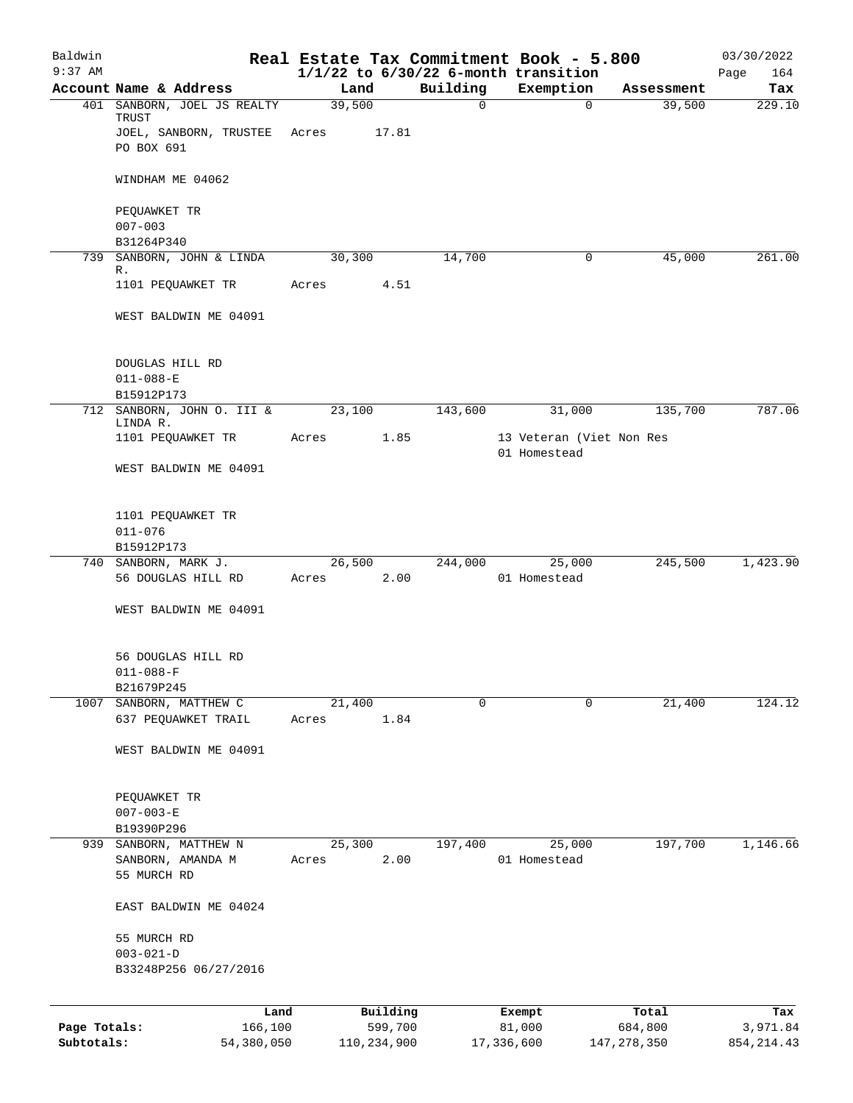| Baldwin      |                                        |        |                     |             | Real Estate Tax Commitment Book - 5.800               |                  | 03/30/2022      |
|--------------|----------------------------------------|--------|---------------------|-------------|-------------------------------------------------------|------------------|-----------------|
| $9:37$ AM    | Account Name & Address                 | Land   |                     | Building    | $1/1/22$ to $6/30/22$ 6-month transition<br>Exemption | Assessment       | 164<br>Page     |
|              | 401 SANBORN, JOEL JS REALTY            | 39,500 |                     | $\mathbf 0$ | $\Omega$                                              | 39,500           | Tax<br>229.10   |
|              | TRUST                                  |        |                     |             |                                                       |                  |                 |
|              | JOEL, SANBORN, TRUSTEE                 | Acres  | 17.81               |             |                                                       |                  |                 |
|              | PO BOX 691                             |        |                     |             |                                                       |                  |                 |
|              | WINDHAM ME 04062                       |        |                     |             |                                                       |                  |                 |
|              | PEQUAWKET TR                           |        |                     |             |                                                       |                  |                 |
|              | $007 - 003$                            |        |                     |             |                                                       |                  |                 |
|              | B31264P340                             |        |                     |             |                                                       |                  |                 |
|              | 739 SANBORN, JOHN & LINDA              | 30,300 |                     | 14,700      | 0                                                     | 45,000           | 261.00          |
|              | R.<br>1101 PEQUAWKET TR                |        | 4.51                |             |                                                       |                  |                 |
|              |                                        | Acres  |                     |             |                                                       |                  |                 |
|              | WEST BALDWIN ME 04091                  |        |                     |             |                                                       |                  |                 |
|              | DOUGLAS HILL RD                        |        |                     |             |                                                       |                  |                 |
|              | $011 - 088 - E$                        |        |                     |             |                                                       |                  |                 |
|              | B15912P173                             |        |                     |             |                                                       |                  |                 |
|              | 712 SANBORN, JOHN O. III &<br>LINDA R. | 23,100 |                     | 143,600     | 31,000                                                | 135,700          | 787.06          |
|              | 1101 PEQUAWKET TR                      | Acres  | 1.85                |             | 13 Veteran (Viet Non Res<br>01 Homestead              |                  |                 |
|              | WEST BALDWIN ME 04091                  |        |                     |             |                                                       |                  |                 |
|              | 1101 PEQUAWKET TR                      |        |                     |             |                                                       |                  |                 |
|              | $011 - 076$                            |        |                     |             |                                                       |                  |                 |
|              | B15912P173                             |        |                     |             |                                                       |                  |                 |
|              | 740 SANBORN, MARK J.                   | 26,500 |                     | 244,000     | 25,000                                                | 245,500          | 1,423.90        |
|              | 56 DOUGLAS HILL RD                     | Acres  | 2.00                |             | 01 Homestead                                          |                  |                 |
|              | WEST BALDWIN ME 04091                  |        |                     |             |                                                       |                  |                 |
|              | 56 DOUGLAS HILL RD                     |        |                     |             |                                                       |                  |                 |
|              | $011 - 088 - F$                        |        |                     |             |                                                       |                  |                 |
|              | B21679P245                             |        |                     |             |                                                       |                  |                 |
|              | 1007 SANBORN, MATTHEW C                | 21,400 |                     | $\mathbf 0$ | 0                                                     | 21,400           | 124.12          |
|              | 637 PEQUAWKET TRAIL                    | Acres  | 1.84                |             |                                                       |                  |                 |
|              | WEST BALDWIN ME 04091                  |        |                     |             |                                                       |                  |                 |
|              | PEQUAWKET TR                           |        |                     |             |                                                       |                  |                 |
|              | $007 - 003 - E$                        |        |                     |             |                                                       |                  |                 |
|              | B19390P296                             |        |                     |             |                                                       |                  |                 |
|              | 939 SANBORN, MATTHEW N                 | 25,300 |                     | 197,400     | 25,000                                                | 197,700          | 1,146.66        |
|              | SANBORN, AMANDA M                      | Acres  | 2.00                |             | 01 Homestead                                          |                  |                 |
|              | 55 MURCH RD                            |        |                     |             |                                                       |                  |                 |
|              | EAST BALDWIN ME 04024                  |        |                     |             |                                                       |                  |                 |
|              | 55 MURCH RD                            |        |                     |             |                                                       |                  |                 |
|              | $003 - 021 - D$                        |        |                     |             |                                                       |                  |                 |
|              | B33248P256 06/27/2016                  |        |                     |             |                                                       |                  |                 |
|              |                                        |        |                     |             |                                                       |                  |                 |
| Page Totals: | Land<br>166,100                        |        | Building<br>599,700 |             | Exempt<br>81,000                                      | Total<br>684,800 | Tax<br>3,971.84 |
| Subtotals:   | 54,380,050                             |        | 110,234,900         |             | 17,336,600                                            | 147, 278, 350    | 854, 214.43     |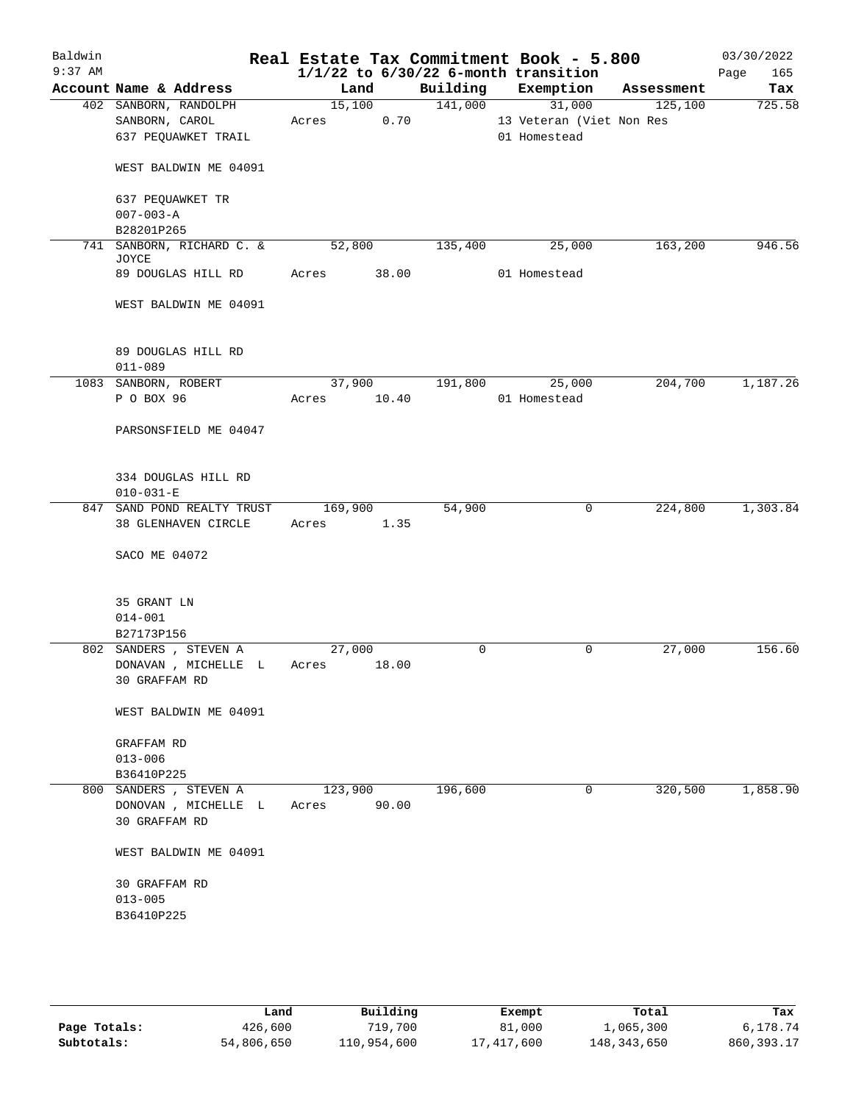| Baldwin   |                                                                 |                  |       |         | Real Estate Tax Commitment Book - 5.800  |            | 03/30/2022  |
|-----------|-----------------------------------------------------------------|------------------|-------|---------|------------------------------------------|------------|-------------|
| $9:37$ AM |                                                                 |                  |       |         | $1/1/22$ to $6/30/22$ 6-month transition |            | 165<br>Page |
|           | Account Name & Address                                          | Land             |       |         | Building Exemption                       | Assessment | Tax         |
|           | 402 SANBORN, RANDOLPH                                           | 15,100           |       | 141,000 | 31,000                                   | 125,100    | 725.58      |
|           | SANBORN, CAROL                                                  | Acres            | 0.70  |         | 13 Veteran (Viet Non Res                 |            |             |
|           | 637 PEQUAWKET TRAIL                                             |                  |       |         | 01 Homestead                             |            |             |
|           | WEST BALDWIN ME 04091                                           |                  |       |         |                                          |            |             |
|           | 637 PEQUAWKET TR                                                |                  |       |         |                                          |            |             |
|           | $007 - 003 - A$                                                 |                  |       |         |                                          |            |             |
|           | B28201P265                                                      |                  |       |         |                                          |            |             |
| 741       | SANBORN, RICHARD C. &                                           | 52,800           |       | 135,400 | 25,000                                   | 163,200    | 946.56      |
|           | JOYCE<br>89 DOUGLAS HILL RD                                     | Acres 38.00      |       |         | 01 Homestead                             |            |             |
|           | WEST BALDWIN ME 04091                                           |                  |       |         |                                          |            |             |
|           | 89 DOUGLAS HILL RD                                              |                  |       |         |                                          |            |             |
|           | $011 - 089$                                                     |                  |       |         |                                          |            |             |
|           | 1083 SANBORN, ROBERT                                            |                  |       |         | 37,900    191,800    25,000              | 204,700    | 1,187.26    |
|           | P O BOX 96                                                      | Acres 10.40      |       |         | 01 Homestead                             |            |             |
|           |                                                                 |                  |       |         |                                          |            |             |
|           | PARSONSFIELD ME 04047                                           |                  |       |         |                                          |            |             |
|           |                                                                 |                  |       |         |                                          |            |             |
|           | 334 DOUGLAS HILL RD                                             |                  |       |         |                                          |            |             |
|           | $010 - 031 - E$                                                 |                  |       |         |                                          |            |             |
|           | 847 SAND POND REALTY TRUST                                      | 169,900          |       | 54,900  | $\overline{0}$                           | 224,800    | 1,303.84    |
|           | 38 GLENHAVEN CIRCLE                                             | Acres 1.35       |       |         |                                          |            |             |
|           | SACO ME 04072                                                   |                  |       |         |                                          |            |             |
|           |                                                                 |                  |       |         |                                          |            |             |
|           | 35 GRANT LN                                                     |                  |       |         |                                          |            |             |
|           | $014 - 001$                                                     |                  |       |         |                                          |            |             |
|           | B27173P156                                                      | 27,000           |       | 0       | $\mathbf 0$                              | 27,000     | 156.60      |
|           | 802 SANDERS , STEVEN A<br>DONAVAN , MICHELLE L<br>30 GRAFFAM RD | Acres 18.00      |       |         |                                          |            |             |
|           | WEST BALDWIN ME 04091                                           |                  |       |         |                                          |            |             |
|           | GRAFFAM RD                                                      |                  |       |         |                                          |            |             |
|           | $013 - 006$                                                     |                  |       |         |                                          |            |             |
|           | B36410P225                                                      |                  |       |         |                                          |            |             |
|           | 800 SANDERS, STEVEN A<br>DONOVAN , MICHELLE L<br>30 GRAFFAM RD  | 123,900<br>Acres | 90.00 | 196,600 | 0                                        | 320,500    | 1,858.90    |
|           | WEST BALDWIN ME 04091                                           |                  |       |         |                                          |            |             |
|           | 30 GRAFFAM RD                                                   |                  |       |         |                                          |            |             |
|           | $013 - 005$                                                     |                  |       |         |                                          |            |             |
|           | B36410P225                                                      |                  |       |         |                                          |            |             |
|           |                                                                 |                  |       |         |                                          |            |             |
|           |                                                                 |                  |       |         |                                          |            |             |
|           |                                                                 |                  |       |         |                                          |            |             |

|              | Land       | Building    | Exempt     | Total         | Tax          |
|--------------|------------|-------------|------------|---------------|--------------|
| Page Totals: | 426,600    | 719,700     | 81,000     | 1,065,300     | 6,178.74     |
| Subtotals:   | 54,806,650 | 110,954,600 | 17,417,600 | 148, 343, 650 | 860, 393. 17 |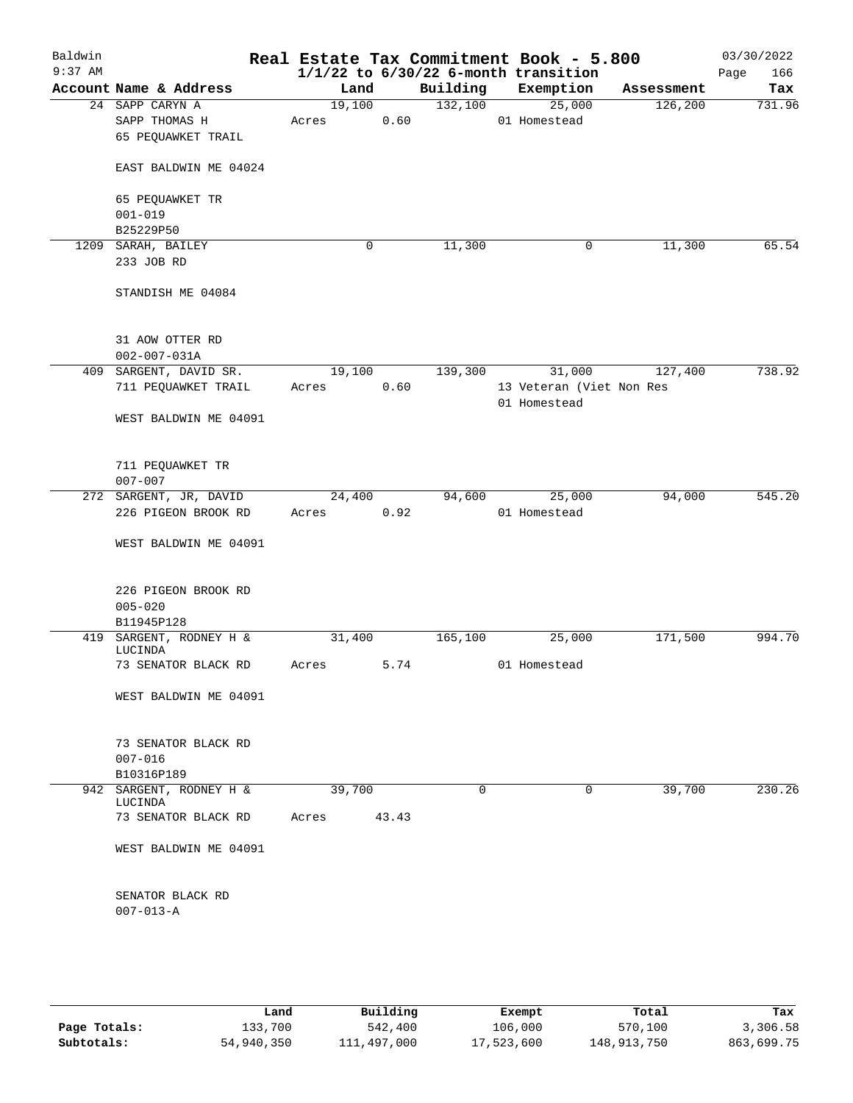| Baldwin<br>$9:37$ AM |                                    |        |          |          | Real Estate Tax Commitment Book - 5.800<br>$1/1/22$ to $6/30/22$ 6-month transition |            | 03/30/2022<br>166<br>Page |
|----------------------|------------------------------------|--------|----------|----------|-------------------------------------------------------------------------------------|------------|---------------------------|
|                      | Account Name & Address             | Land   |          | Building | Exemption                                                                           | Assessment | Tax                       |
|                      | 24 SAPP CARYN A                    | 19,100 |          | 132,100  | 25,000                                                                              | 126,200    | 731.96                    |
|                      | SAPP THOMAS H                      | Acres  | 0.60     |          | 01 Homestead                                                                        |            |                           |
|                      | 65 PEQUAWKET TRAIL                 |        |          |          |                                                                                     |            |                           |
|                      |                                    |        |          |          |                                                                                     |            |                           |
|                      | EAST BALDWIN ME 04024              |        |          |          |                                                                                     |            |                           |
|                      | 65 PEQUAWKET TR                    |        |          |          |                                                                                     |            |                           |
|                      | $001 - 019$                        |        |          |          |                                                                                     |            |                           |
|                      | B25229P50                          |        |          |          |                                                                                     |            |                           |
|                      | 1209 SARAH, BAILEY                 |        | 0        | 11,300   | 0                                                                                   | 11,300     | 65.54                     |
|                      | 233 JOB RD                         |        |          |          |                                                                                     |            |                           |
|                      |                                    |        |          |          |                                                                                     |            |                           |
|                      | STANDISH ME 04084                  |        |          |          |                                                                                     |            |                           |
|                      |                                    |        |          |          |                                                                                     |            |                           |
|                      | 31 AOW OTTER RD                    |        |          |          |                                                                                     |            |                           |
|                      | $002 - 007 - 031A$                 |        |          |          |                                                                                     |            |                           |
|                      | 409 SARGENT, DAVID SR.             | 19,100 |          | 139,300  | 31,000                                                                              | 127,400    | 738.92                    |
|                      | 711 PEQUAWKET TRAIL                | Acres  | 0.60     |          | 13 Veteran (Viet Non Res                                                            |            |                           |
|                      | WEST BALDWIN ME 04091              |        |          |          | 01 Homestead                                                                        |            |                           |
|                      |                                    |        |          |          |                                                                                     |            |                           |
|                      | 711 PEQUAWKET TR                   |        |          |          |                                                                                     |            |                           |
|                      | $007 - 007$                        |        |          |          |                                                                                     |            |                           |
|                      | 272 SARGENT, JR, DAVID             | 24,400 |          | 94,600   | 25,000                                                                              | 94,000     | 545.20                    |
|                      | 226 PIGEON BROOK RD                | Acres  | 0.92     |          | 01 Homestead                                                                        |            |                           |
|                      | WEST BALDWIN ME 04091              |        |          |          |                                                                                     |            |                           |
|                      |                                    |        |          |          |                                                                                     |            |                           |
|                      | 226 PIGEON BROOK RD                |        |          |          |                                                                                     |            |                           |
|                      | $005 - 020$                        |        |          |          |                                                                                     |            |                           |
|                      | B11945P128                         |        |          |          |                                                                                     |            |                           |
|                      | 419 SARGENT, RODNEY H &<br>LUCINDA | 31,400 |          | 165,100  | 25,000                                                                              | 171,500    | 994.70                    |
|                      | 73 SENATOR BLACK RD                | Acres  | 5.74     |          | 01 Homestead                                                                        |            |                           |
|                      | WEST BALDWIN ME 04091              |        |          |          |                                                                                     |            |                           |
|                      |                                    |        |          |          |                                                                                     |            |                           |
|                      | 73 SENATOR BLACK RD                |        |          |          |                                                                                     |            |                           |
|                      | $007 - 016$                        |        |          |          |                                                                                     |            |                           |
|                      | B10316P189                         |        |          |          |                                                                                     |            |                           |
| 942                  | SARGENT, RODNEY H &                | 39,700 |          | $\Omega$ | 0                                                                                   | 39,700     | 230.26                    |
|                      | LUCINDA                            |        |          |          |                                                                                     |            |                           |
|                      | 73 SENATOR BLACK RD                | Acres  | 43.43    |          |                                                                                     |            |                           |
|                      | WEST BALDWIN ME 04091              |        |          |          |                                                                                     |            |                           |
|                      |                                    |        |          |          |                                                                                     |            |                           |
|                      | SENATOR BLACK RD                   |        |          |          |                                                                                     |            |                           |
|                      | $007 - 013 - A$                    |        |          |          |                                                                                     |            |                           |
|                      |                                    |        |          |          |                                                                                     |            |                           |
|                      |                                    |        |          |          |                                                                                     |            |                           |
|                      |                                    |        |          |          |                                                                                     |            |                           |
|                      |                                    | Land   | Building |          | Exempt                                                                              | Total      | Tax                       |

|              | nand.      | Building    | Exempt     | Total         | тах        |
|--------------|------------|-------------|------------|---------------|------------|
| Page Totals: | 133,700    | 542,400     | 106,000    | 570,100       | 3,306.58   |
| Subtotals:   | 54,940,350 | 111,497,000 | 17,523,600 | 148, 913, 750 | 863,699.75 |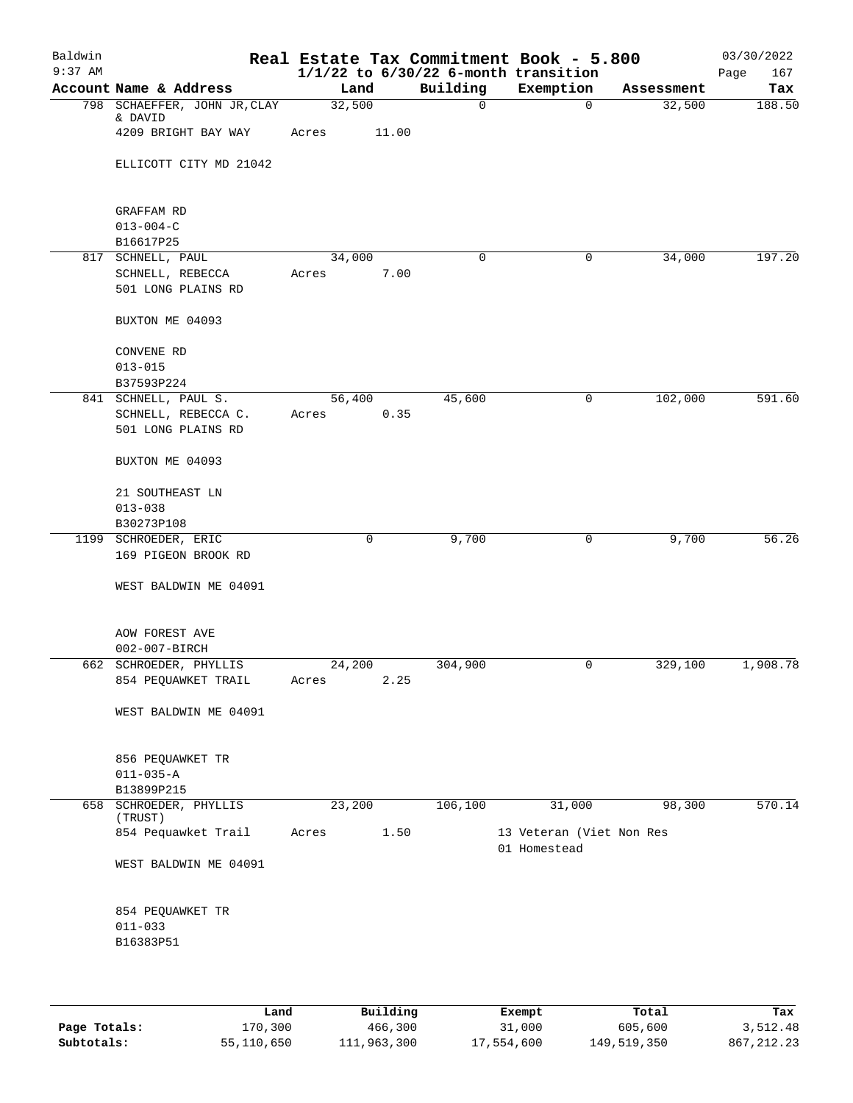| Baldwin<br>$9:37$ AM |                                           |        |       |          | Real Estate Tax Commitment Book - 5.800<br>$1/1/22$ to $6/30/22$ 6-month transition |            | 03/30/2022<br>167<br>Page |
|----------------------|-------------------------------------------|--------|-------|----------|-------------------------------------------------------------------------------------|------------|---------------------------|
|                      | Account Name & Address                    | Land   |       | Building | Exemption                                                                           | Assessment | Tax                       |
|                      | 798 SCHAEFFER, JOHN JR, CLAY<br>& DAVID   | 32,500 |       | 0        | $\mathbf 0$                                                                         | 32,500     | 188.50                    |
|                      | 4209 BRIGHT BAY WAY                       | Acres  | 11.00 |          |                                                                                     |            |                           |
|                      | ELLICOTT CITY MD 21042                    |        |       |          |                                                                                     |            |                           |
|                      | GRAFFAM RD<br>$013 - 004 - C$             |        |       |          |                                                                                     |            |                           |
|                      | B16617P25                                 |        |       |          |                                                                                     |            |                           |
|                      | 817 SCHNELL, PAUL                         | 34,000 |       | 0        | $\mathbf 0$                                                                         | 34,000     | 197.20                    |
|                      | SCHNELL, REBECCA<br>501 LONG PLAINS RD    | Acres  | 7.00  |          |                                                                                     |            |                           |
|                      | BUXTON ME 04093                           |        |       |          |                                                                                     |            |                           |
|                      | CONVENE RD                                |        |       |          |                                                                                     |            |                           |
|                      | $013 - 015$                               |        |       |          |                                                                                     |            |                           |
|                      | B37593P224                                |        |       | 45,600   |                                                                                     | 102,000    | 591.60                    |
|                      | 841 SCHNELL, PAUL S.                      | 56,400 |       |          | 0                                                                                   |            |                           |
|                      | SCHNELL, REBECCA C.<br>501 LONG PLAINS RD | Acres  | 0.35  |          |                                                                                     |            |                           |
|                      |                                           |        |       |          |                                                                                     |            |                           |
|                      | BUXTON ME 04093                           |        |       |          |                                                                                     |            |                           |
|                      | 21 SOUTHEAST LN                           |        |       |          |                                                                                     |            |                           |
|                      | $013 - 038$                               |        |       |          |                                                                                     |            |                           |
|                      | B30273P108<br>1199 SCHROEDER, ERIC        |        | 0     | 9,700    | 0                                                                                   | 9,700      | 56.26                     |
|                      | 169 PIGEON BROOK RD                       |        |       |          |                                                                                     |            |                           |
|                      | WEST BALDWIN ME 04091                     |        |       |          |                                                                                     |            |                           |
|                      | AOW FOREST AVE                            |        |       |          |                                                                                     |            |                           |
|                      | 002-007-BIRCH                             |        |       |          |                                                                                     |            |                           |
|                      | 662 SCHROEDER, PHYLLIS                    | 24,200 |       | 304,900  | 0                                                                                   | 329,100    | 1,908.78                  |
|                      | 854 PEQUAWKET TRAIL                       | Acres  | 2.25  |          |                                                                                     |            |                           |
|                      | WEST BALDWIN ME 04091                     |        |       |          |                                                                                     |            |                           |
|                      | 856 PEQUAWKET TR                          |        |       |          |                                                                                     |            |                           |
|                      | $011 - 035 - A$                           |        |       |          |                                                                                     |            |                           |
|                      | B13899P215                                |        |       |          |                                                                                     |            |                           |
|                      | 658 SCHROEDER, PHYLLIS<br>(TRUST)         | 23,200 |       | 106,100  | 31,000                                                                              | 98,300     | 570.14                    |
|                      | 854 Pequawket Trail                       | Acres  | 1.50  |          | 13 Veteran (Viet Non Res<br>01 Homestead                                            |            |                           |
|                      | WEST BALDWIN ME 04091                     |        |       |          |                                                                                     |            |                           |
|                      | 854 PEQUAWKET TR                          |        |       |          |                                                                                     |            |                           |
|                      | $011 - 033$                               |        |       |          |                                                                                     |            |                           |
|                      | B16383P51                                 |        |       |          |                                                                                     |            |                           |
|                      |                                           |        |       |          |                                                                                     |            |                           |
|                      |                                           |        |       |          |                                                                                     |            |                           |
|                      |                                           |        |       |          |                                                                                     |            |                           |

|              | Land       | Building    | Exempt     | Total       | Tax          |
|--------------|------------|-------------|------------|-------------|--------------|
| Page Totals: | 170,300    | 466,300     | 31,000     | 605,600     | 3,512.48     |
| Subtotals:   | 55,110,650 | 111,963,300 | 17,554,600 | 149,519,350 | 867, 212, 23 |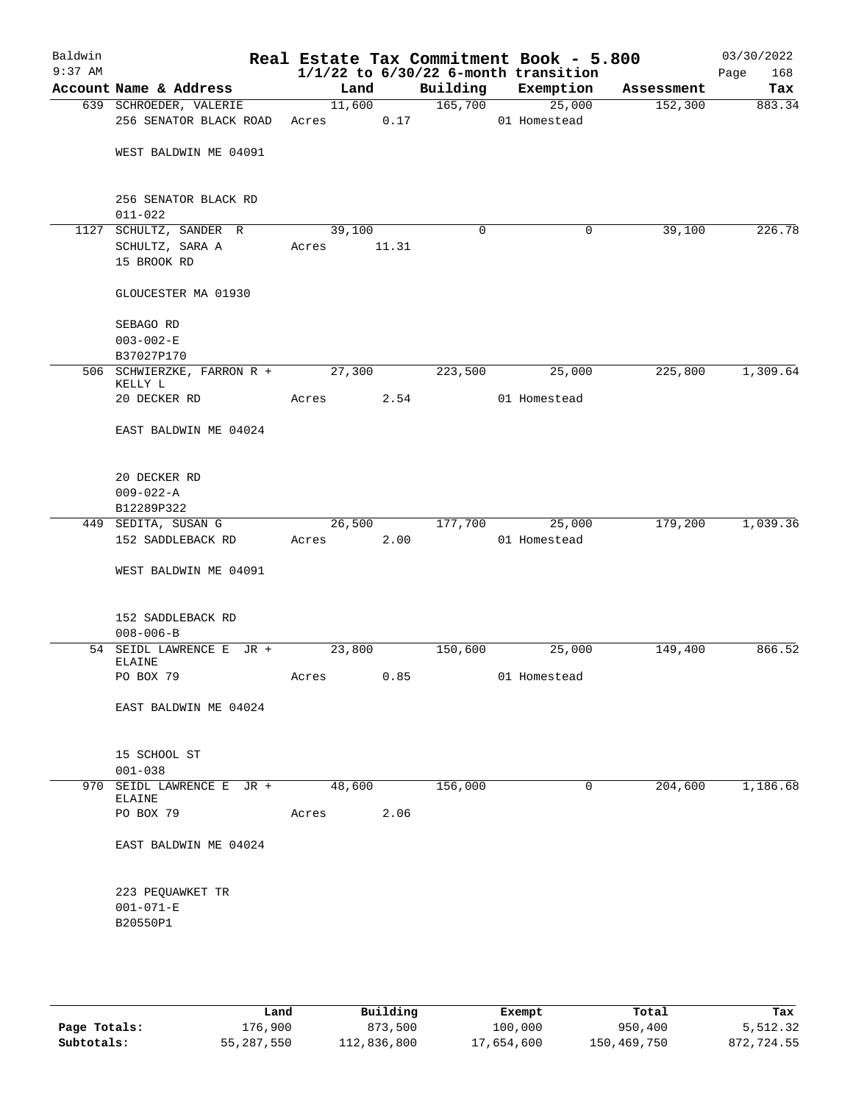| Baldwin<br>$9:37$ AM |                                              |            |        |          | Real Estate Tax Commitment Book - 5.800<br>$1/1/22$ to $6/30/22$ 6-month transition |            | 03/30/2022<br>Page<br>168 |
|----------------------|----------------------------------------------|------------|--------|----------|-------------------------------------------------------------------------------------|------------|---------------------------|
|                      | Account Name & Address                       | Land       |        | Building | Exemption                                                                           | Assessment | Tax                       |
|                      | 639 SCHROEDER, VALERIE                       |            | 11,600 | 165,700  | 25,000                                                                              | 152,300    | 883.34                    |
|                      | 256 SENATOR BLACK ROAD                       | Acres 0.17 |        |          | 01 Homestead                                                                        |            |                           |
|                      | WEST BALDWIN ME 04091                        |            |        |          |                                                                                     |            |                           |
|                      | 256 SENATOR BLACK RD<br>$011 - 022$          |            |        |          |                                                                                     |            |                           |
|                      | 1127 SCHULTZ, SANDER R                       | 39,100     |        | 0        | 0                                                                                   | 39,100     | 226.78                    |
|                      | SCHULTZ, SARA A                              | Acres      | 11.31  |          |                                                                                     |            |                           |
|                      | 15 BROOK RD                                  |            |        |          |                                                                                     |            |                           |
|                      | GLOUCESTER MA 01930                          |            |        |          |                                                                                     |            |                           |
|                      | SEBAGO RD                                    |            |        |          |                                                                                     |            |                           |
|                      | $003 - 002 - E$                              |            |        |          |                                                                                     |            |                           |
|                      | B37027P170                                   |            |        |          |                                                                                     |            |                           |
|                      | 506 SCHWIERZKE, FARRON R + 27,300<br>KELLY L |            |        | 223,500  | 25,000                                                                              | 225,800    | 1,309.64                  |
|                      | 20 DECKER RD                                 | Acres      | 2.54   |          | 01 Homestead                                                                        |            |                           |
|                      | EAST BALDWIN ME 04024                        |            |        |          |                                                                                     |            |                           |
|                      | 20 DECKER RD                                 |            |        |          |                                                                                     |            |                           |
|                      | $009 - 022 - A$                              |            |        |          |                                                                                     |            |                           |
|                      | B12289P322                                   |            |        |          |                                                                                     |            |                           |
|                      | 449 SEDITA, SUSAN G                          | 26,500     |        | 177,700  | 25,000                                                                              | 179,200    | 1,039.36                  |
|                      | 152 SADDLEBACK RD                            | Acres      | 2.00   |          | 01 Homestead                                                                        |            |                           |
|                      | WEST BALDWIN ME 04091                        |            |        |          |                                                                                     |            |                           |
|                      | 152 SADDLEBACK RD                            |            |        |          |                                                                                     |            |                           |
|                      | $008 - 006 - B$                              |            |        |          |                                                                                     |            |                           |
|                      | 54 SEIDL LAWRENCE E JR +<br>ELAINE           | 23,800     |        | 150,600  | 25,000                                                                              | 149,400    | 866.52                    |
|                      | PO BOX 79                                    | Acres 0.85 |        |          | 01 Homestead                                                                        |            |                           |
|                      | EAST BALDWIN ME 04024                        |            |        |          |                                                                                     |            |                           |
|                      | 15 SCHOOL ST<br>$001 - 038$                  |            |        |          |                                                                                     |            |                           |
|                      | 970 SEIDL LAWRENCE E JR + 48,600<br>ELAINE   |            |        | 156,000  | $\mathbf 0$                                                                         | 204,600    | 1,186.68                  |
|                      | PO BOX 79                                    | Acres 2.06 |        |          |                                                                                     |            |                           |
|                      | EAST BALDWIN ME 04024                        |            |        |          |                                                                                     |            |                           |
|                      | 223 PEQUAWKET TR                             |            |        |          |                                                                                     |            |                           |
|                      | $001 - 071 - E$                              |            |        |          |                                                                                     |            |                           |
|                      | B20550P1                                     |            |        |          |                                                                                     |            |                           |
|                      |                                              |            |        |          |                                                                                     |            |                           |
|                      |                                              |            |        |          |                                                                                     |            |                           |

|              | Land       | Building    | Exempt     | Total       | Tax        |
|--------------|------------|-------------|------------|-------------|------------|
| Page Totals: | 176,900    | 873,500     | 100,000    | 950,400     | 5,512.32   |
| Subtotals:   | 55,287,550 | 112,836,800 | 17,654,600 | 150,469,750 | 872,724.55 |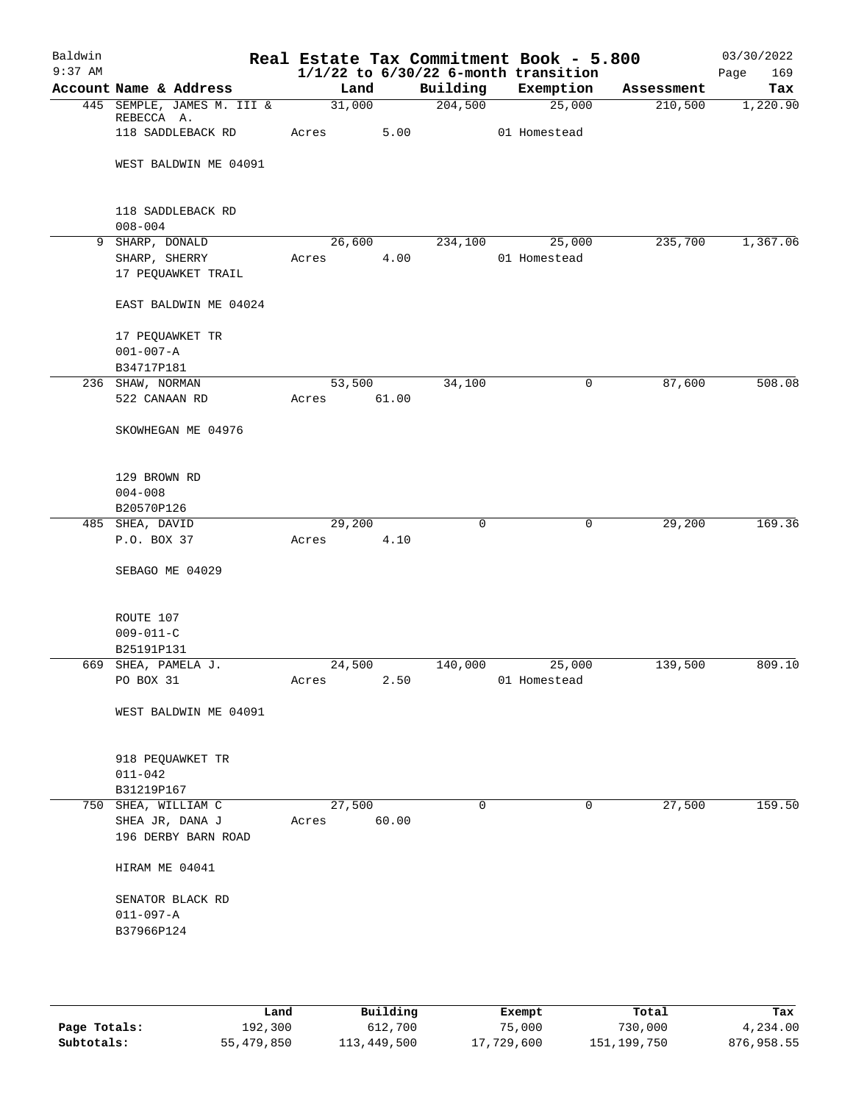| Baldwin<br>$9:37$ AM |                                        |  |       |        |       |             |  | Real Estate Tax Commitment Book - 5.800<br>$1/1/22$ to $6/30/22$ 6-month transition |            | 03/30/2022<br>169<br>Page |
|----------------------|----------------------------------------|--|-------|--------|-------|-------------|--|-------------------------------------------------------------------------------------|------------|---------------------------|
|                      | Account Name & Address                 |  |       | Land   |       | Building    |  | Exemption                                                                           | Assessment | Tax                       |
|                      | 445 SEMPLE, JAMES M. III &             |  |       | 31,000 |       | 204,500     |  | 25,000                                                                              | 210,500    | 1,220.90                  |
|                      | REBECCA A.<br>118 SADDLEBACK RD        |  | Acres |        | 5.00  |             |  | 01 Homestead                                                                        |            |                           |
|                      | WEST BALDWIN ME 04091                  |  |       |        |       |             |  |                                                                                     |            |                           |
|                      | 118 SADDLEBACK RD                      |  |       |        |       |             |  |                                                                                     |            |                           |
|                      | $008 - 004$                            |  |       |        |       |             |  |                                                                                     |            |                           |
|                      | 9 SHARP, DONALD                        |  |       | 26,600 |       | 234,100     |  | 25,000                                                                              | 235,700    | 1,367.06                  |
|                      | SHARP, SHERRY                          |  | Acres |        | 4.00  |             |  | 01 Homestead                                                                        |            |                           |
|                      | 17 PEQUAWKET TRAIL                     |  |       |        |       |             |  |                                                                                     |            |                           |
|                      | EAST BALDWIN ME 04024                  |  |       |        |       |             |  |                                                                                     |            |                           |
|                      | 17 PEQUAWKET TR                        |  |       |        |       |             |  |                                                                                     |            |                           |
|                      | $001 - 007 - A$                        |  |       |        |       |             |  |                                                                                     |            |                           |
|                      | B34717P181                             |  |       |        |       |             |  |                                                                                     |            |                           |
|                      | 236 SHAW, NORMAN                       |  |       | 53,500 |       | 34,100      |  | 0                                                                                   | 87,600     | 508.08                    |
|                      | 522 CANAAN RD                          |  | Acres |        | 61.00 |             |  |                                                                                     |            |                           |
|                      | SKOWHEGAN ME 04976                     |  |       |        |       |             |  |                                                                                     |            |                           |
|                      | 129 BROWN RD                           |  |       |        |       |             |  |                                                                                     |            |                           |
|                      | $004 - 008$                            |  |       |        |       |             |  |                                                                                     |            |                           |
|                      | B20570P126                             |  |       |        |       |             |  |                                                                                     |            |                           |
|                      | 485 SHEA, DAVID                        |  |       | 29,200 |       | $\mathbf 0$ |  | $\mathbf 0$                                                                         | 29,200     | 169.36                    |
|                      | P.O. BOX 37                            |  | Acres |        | 4.10  |             |  |                                                                                     |            |                           |
|                      | SEBAGO ME 04029                        |  |       |        |       |             |  |                                                                                     |            |                           |
|                      | ROUTE 107                              |  |       |        |       |             |  |                                                                                     |            |                           |
|                      | $009 - 011 - C$                        |  |       |        |       |             |  |                                                                                     |            |                           |
|                      | B25191P131                             |  |       |        |       |             |  |                                                                                     |            |                           |
|                      | 669 SHEA, PAMELA J.                    |  |       | 24,500 |       | 140,000     |  | 25,000                                                                              | 139,500    | 809.10                    |
|                      | PO BOX 31                              |  | Acres |        | 2.50  |             |  | 01 Homestead                                                                        |            |                           |
|                      | WEST BALDWIN ME 04091                  |  |       |        |       |             |  |                                                                                     |            |                           |
|                      | 918 PEQUAWKET TR                       |  |       |        |       |             |  |                                                                                     |            |                           |
|                      | $011 - 042$                            |  |       |        |       |             |  |                                                                                     |            |                           |
|                      | B31219P167                             |  |       |        |       |             |  |                                                                                     |            |                           |
|                      | 750 SHEA, WILLIAM C                    |  |       | 27,500 |       | $\Omega$    |  | 0                                                                                   | 27,500     | 159.50                    |
|                      | SHEA JR, DANA J<br>196 DERBY BARN ROAD |  | Acres |        | 60.00 |             |  |                                                                                     |            |                           |
|                      | HIRAM ME 04041                         |  |       |        |       |             |  |                                                                                     |            |                           |
|                      | SENATOR BLACK RD                       |  |       |        |       |             |  |                                                                                     |            |                           |
|                      | $011 - 097 - A$                        |  |       |        |       |             |  |                                                                                     |            |                           |
|                      | B37966P124                             |  |       |        |       |             |  |                                                                                     |            |                           |
|                      |                                        |  |       |        |       |             |  |                                                                                     |            |                           |
|                      |                                        |  |       |        |       |             |  |                                                                                     |            |                           |

|              | Land       | Building    | Exempt     | Total       | Tax        |
|--------------|------------|-------------|------------|-------------|------------|
| Page Totals: | 192,300    | 612,700     | 75,000     | 730,000     | 4,234.00   |
| Subtotals:   | 55,479,850 | 113,449,500 | 17,729,600 | 151,199,750 | 876,958.55 |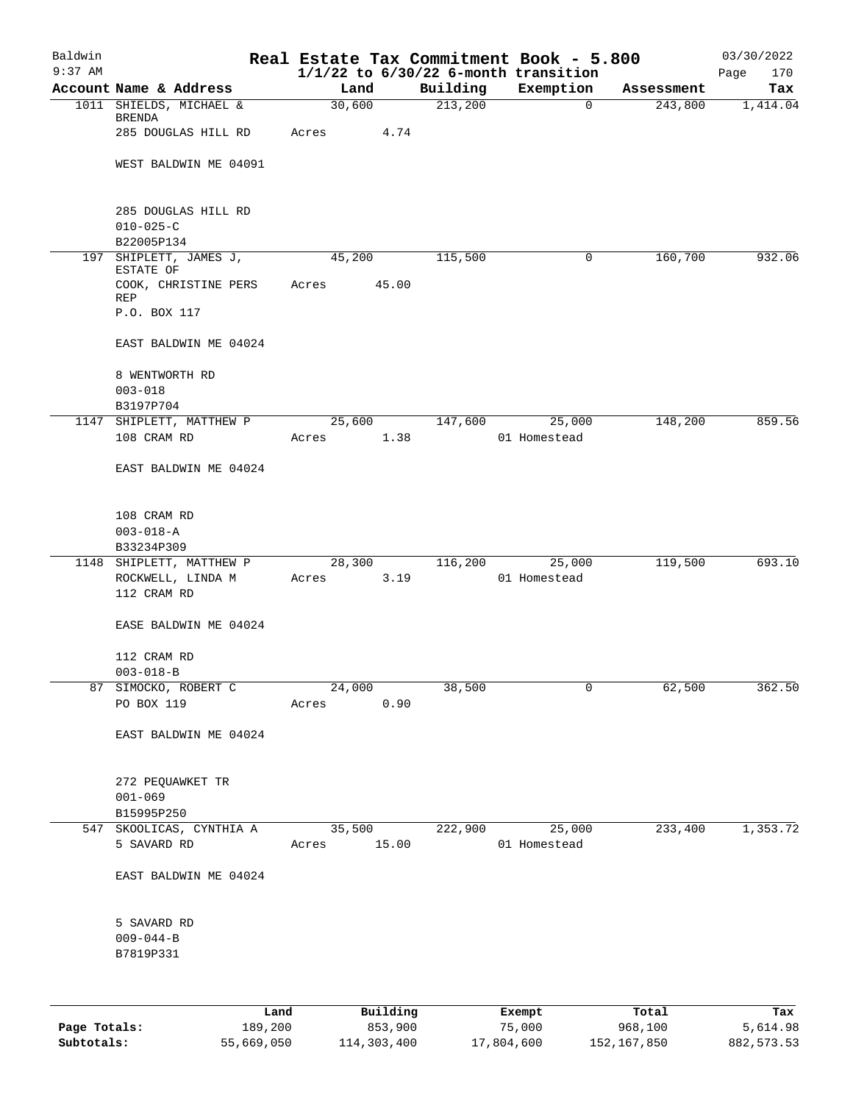| Baldwin<br>$9:37$ AM |                                   |             |          |          | Real Estate Tax Commitment Book - 5.800<br>$1/1/22$ to $6/30/22$ 6-month transition |            | 03/30/2022<br>170<br>Page |
|----------------------|-----------------------------------|-------------|----------|----------|-------------------------------------------------------------------------------------|------------|---------------------------|
|                      | Account Name & Address            | Land        |          | Building | Exemption                                                                           | Assessment | Tax                       |
|                      | 1011 SHIELDS, MICHAEL &           | 30,600      |          | 213,200  | 0                                                                                   | 243,800    | 1,414.04                  |
|                      | BRENDA                            |             |          |          |                                                                                     |            |                           |
|                      | 285 DOUGLAS HILL RD               | Acres       | 4.74     |          |                                                                                     |            |                           |
|                      |                                   |             |          |          |                                                                                     |            |                           |
|                      | WEST BALDWIN ME 04091             |             |          |          |                                                                                     |            |                           |
|                      | 285 DOUGLAS HILL RD               |             |          |          |                                                                                     |            |                           |
|                      | $010 - 025 - C$                   |             |          |          |                                                                                     |            |                           |
|                      | B22005P134                        |             |          |          |                                                                                     |            |                           |
| 197                  | SHIPLETT, JAMES J,                | 45,200      |          | 115,500  | 0                                                                                   | 160,700    | 932.06                    |
|                      | ESTATE OF<br>COOK, CHRISTINE PERS | Acres       | 45.00    |          |                                                                                     |            |                           |
|                      | REP                               |             |          |          |                                                                                     |            |                           |
|                      | P.O. BOX 117                      |             |          |          |                                                                                     |            |                           |
|                      | EAST BALDWIN ME 04024             |             |          |          |                                                                                     |            |                           |
|                      | 8 WENTWORTH RD                    |             |          |          |                                                                                     |            |                           |
|                      | $003 - 018$                       |             |          |          |                                                                                     |            |                           |
|                      | B3197P704                         |             |          |          |                                                                                     |            |                           |
|                      | 1147 SHIPLETT, MATTHEW P          | 25,600      |          | 147,600  | 25,000                                                                              | 148,200    | 859.56                    |
|                      | 108 CRAM RD                       | Acres       | 1.38     |          | 01 Homestead                                                                        |            |                           |
|                      | EAST BALDWIN ME 04024             |             |          |          |                                                                                     |            |                           |
|                      | 108 CRAM RD                       |             |          |          |                                                                                     |            |                           |
|                      | $003 - 018 - A$                   |             |          |          |                                                                                     |            |                           |
|                      | B33234P309                        |             |          |          |                                                                                     |            |                           |
|                      | 1148 SHIPLETT, MATTHEW P          | 28,300      |          | 116,200  | 25,000                                                                              | 119,500    | 693.10                    |
|                      | ROCKWELL, LINDA M                 | Acres       | 3.19     |          | 01 Homestead                                                                        |            |                           |
|                      | 112 CRAM RD                       |             |          |          |                                                                                     |            |                           |
|                      | EASE BALDWIN ME 04024             |             |          |          |                                                                                     |            |                           |
|                      | 112 CRAM RD                       |             |          |          |                                                                                     |            |                           |
|                      | $003 - 018 - B$                   |             |          |          |                                                                                     |            |                           |
|                      | 87 SIMOCKO, ROBERT C              | 24,000      |          | 38,500   | 0                                                                                   | 62,500     | 362.50                    |
|                      | PO BOX 119                        | Acres       | 0.90     |          |                                                                                     |            |                           |
|                      | EAST BALDWIN ME 04024             |             |          |          |                                                                                     |            |                           |
|                      |                                   |             |          |          |                                                                                     |            |                           |
|                      | 272 PEQUAWKET TR<br>$001 - 069$   |             |          |          |                                                                                     |            |                           |
|                      | B15995P250                        |             |          |          |                                                                                     |            |                           |
|                      | 547 SKOOLICAS, CYNTHIA A          | 35,500      |          |          | 222,900 25,000                                                                      | 233,400    | 1,353.72                  |
|                      | 5 SAVARD RD                       | Acres 15.00 |          |          | 01 Homestead                                                                        |            |                           |
|                      | EAST BALDWIN ME 04024             |             |          |          |                                                                                     |            |                           |
|                      | 5 SAVARD RD                       |             |          |          |                                                                                     |            |                           |
|                      | $009 - 044 - B$                   |             |          |          |                                                                                     |            |                           |
|                      | B7819P331                         |             |          |          |                                                                                     |            |                           |
|                      |                                   |             |          |          |                                                                                     |            |                           |
|                      | Land                              |             | Building |          | Exempt                                                                              | Total      | Tax                       |

**Page Totals:** 189,200 853,900 75,000 968,100 5,614.98 **Subtotals:** 55,669,050 114,303,400 17,804,600 152,167,850 882,573.53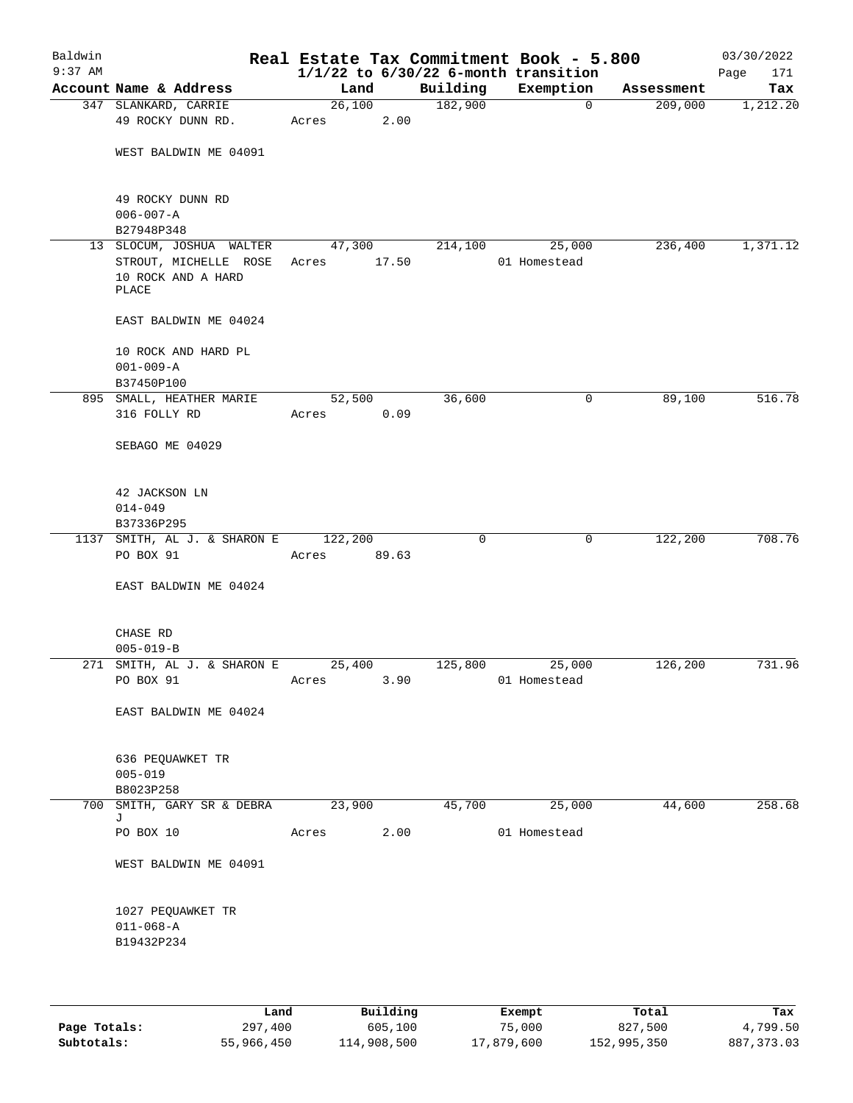| Baldwin<br>$9:37$ AM |                                                                                  |                 |       |          | Real Estate Tax Commitment Book - 5.800<br>$1/1/22$ to $6/30/22$ 6-month transition |            | 03/30/2022<br>Page<br>171 |
|----------------------|----------------------------------------------------------------------------------|-----------------|-------|----------|-------------------------------------------------------------------------------------|------------|---------------------------|
|                      | Account Name & Address                                                           | Land            |       | Building | Exemption                                                                           | Assessment | Tax                       |
|                      | 347 SLANKARD, CARRIE<br>49 ROCKY DUNN RD.                                        | 26,100<br>Acres | 2.00  | 182,900  | $\mathbf 0$                                                                         | 209,000    | 1,212.20                  |
|                      | WEST BALDWIN ME 04091                                                            |                 |       |          |                                                                                     |            |                           |
|                      | 49 ROCKY DUNN RD<br>$006 - 007 - A$<br>B27948P348                                |                 |       |          |                                                                                     |            |                           |
|                      | 13 SLOCUM, JOSHUA WALTER<br>STROUT, MICHELLE ROSE<br>10 ROCK AND A HARD<br>PLACE | 47,300<br>Acres | 17.50 | 214,100  | 25,000<br>01 Homestead                                                              | 236,400    | 1,371.12                  |
|                      | EAST BALDWIN ME 04024                                                            |                 |       |          |                                                                                     |            |                           |
|                      | 10 ROCK AND HARD PL<br>$001 - 009 - A$<br>B37450P100                             |                 |       |          |                                                                                     |            |                           |
|                      | 895 SMALL, HEATHER MARIE                                                         | 52,500          |       | 36,600   | 0                                                                                   | 89,100     | 516.78                    |
|                      | 316 FOLLY RD                                                                     | Acres           | 0.09  |          |                                                                                     |            |                           |
|                      | SEBAGO ME 04029                                                                  |                 |       |          |                                                                                     |            |                           |
|                      | 42 JACKSON LN<br>$014 - 049$<br>B37336P295                                       |                 |       |          |                                                                                     |            |                           |
|                      | 1137 SMITH, AL J. & SHARON E                                                     | 122,200         |       | 0        | 0                                                                                   | 122,200    | 708.76                    |
|                      | PO BOX 91                                                                        | Acres           | 89.63 |          |                                                                                     |            |                           |
|                      | EAST BALDWIN ME 04024                                                            |                 |       |          |                                                                                     |            |                           |
|                      | CHASE RD<br>$005 - 019 - B$                                                      |                 |       |          |                                                                                     |            |                           |
|                      | 271 SMITH, AL J. & SHARON E<br>PO BOX 91                                         | 25,400<br>Acres | 3.90  | 125,800  | 25,000<br>01 Homestead                                                              | 126, 200   | 731.96                    |
|                      | EAST BALDWIN ME 04024                                                            |                 |       |          |                                                                                     |            |                           |
|                      | 636 PEQUAWKET TR<br>$005 - 019$<br>B8023P258                                     |                 |       |          |                                                                                     |            |                           |
|                      | 700 SMITH, GARY SR & DEBRA                                                       | 23,900          |       | 45,700   | 25,000                                                                              | 44,600     | 258.68                    |
|                      | J<br>PO BOX 10                                                                   | Acres           | 2.00  |          | 01 Homestead                                                                        |            |                           |
|                      | WEST BALDWIN ME 04091                                                            |                 |       |          |                                                                                     |            |                           |
|                      | 1027 PEQUAWKET TR<br>$011 - 068 - A$<br>B19432P234                               |                 |       |          |                                                                                     |            |                           |
|                      |                                                                                  |                 |       |          |                                                                                     |            |                           |

|              | Land       | Building    | Exempt     | Total       | Tax         |
|--------------|------------|-------------|------------|-------------|-------------|
| Page Totals: | 297,400    | 605,100     | 75,000     | 827,500     | 4,799.50    |
| Subtotals:   | 55,966,450 | 114,908,500 | 17,879,600 | 152,995,350 | 887, 373.03 |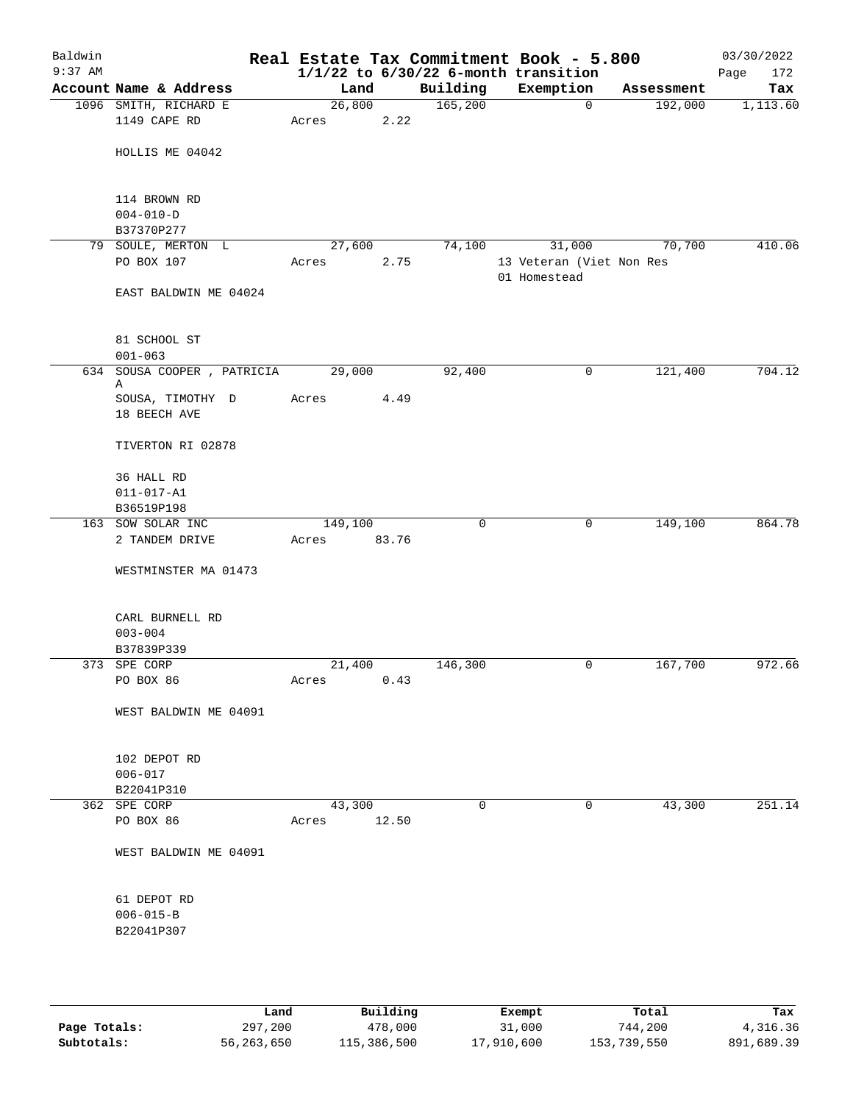| Baldwin<br>$9:37$ AM |                                              |                  |       |              | Real Estate Tax Commitment Book - 5.800<br>$1/1/22$ to $6/30/22$ 6-month transition |            | 03/30/2022<br>Page<br>172 |
|----------------------|----------------------------------------------|------------------|-------|--------------|-------------------------------------------------------------------------------------|------------|---------------------------|
|                      | Account Name & Address                       | Land             |       | Building     | Exemption                                                                           | Assessment | Tax                       |
|                      | 1096 SMITH, RICHARD E                        | 26,800           |       | 165,200      | $\mathbf 0$                                                                         | 192,000    | 1,113.60                  |
|                      | 1149 CAPE RD                                 | Acres            | 2.22  |              |                                                                                     |            |                           |
|                      | HOLLIS ME 04042                              |                  |       |              |                                                                                     |            |                           |
|                      | 114 BROWN RD<br>$004 - 010 - D$              |                  |       |              |                                                                                     |            |                           |
|                      | B37370P277                                   |                  |       |              |                                                                                     |            |                           |
|                      | 79 SOULE, MERTON L<br>PO BOX 107             | 27,600<br>Acres  | 2.75  | 74,100       | 31,000<br>13 Veteran (Viet Non Res<br>01 Homestead                                  | 70,700     | 410.06                    |
|                      | EAST BALDWIN ME 04024                        |                  |       |              |                                                                                     |            |                           |
|                      | 81 SCHOOL ST<br>$001 - 063$                  |                  |       |              |                                                                                     |            |                           |
|                      | 634 SOUSA COOPER, PATRICIA                   | 29,000           |       | 92,400       | 0                                                                                   | 121,400    | 704.12                    |
|                      | Α                                            |                  |       |              |                                                                                     |            |                           |
|                      | SOUSA, TIMOTHY D<br>18 BEECH AVE             | Acres            | 4.49  |              |                                                                                     |            |                           |
|                      | TIVERTON RI 02878                            |                  |       |              |                                                                                     |            |                           |
|                      | 36 HALL RD                                   |                  |       |              |                                                                                     |            |                           |
|                      | $011 - 017 - A1$                             |                  |       |              |                                                                                     |            |                           |
|                      | B36519P198                                   |                  |       |              |                                                                                     |            |                           |
|                      | 163 SOW SOLAR INC<br>2 TANDEM DRIVE          | 149,100<br>Acres | 83.76 | $\mathsf{O}$ | 0                                                                                   | 149,100    | 864.78                    |
|                      | WESTMINSTER MA 01473                         |                  |       |              |                                                                                     |            |                           |
|                      | CARL BURNELL RD                              |                  |       |              |                                                                                     |            |                           |
|                      | $003 - 004$                                  |                  |       |              |                                                                                     |            |                           |
|                      | B37839P339                                   |                  |       |              |                                                                                     |            |                           |
|                      | 373 SPE CORP                                 | 21,400           |       | 146,300      | 0                                                                                   | 167,700    | 972.66                    |
|                      | PO BOX 86                                    | Acres            | 0.43  |              |                                                                                     |            |                           |
|                      | WEST BALDWIN ME 04091                        |                  |       |              |                                                                                     |            |                           |
|                      | 102 DEPOT RD                                 |                  |       |              |                                                                                     |            |                           |
|                      | $006 - 017$                                  |                  |       |              |                                                                                     |            |                           |
|                      | B22041P310                                   |                  |       |              |                                                                                     |            |                           |
|                      | 362 SPE CORP                                 | 43,300           |       | 0            | 0                                                                                   | 43,300     | 251.14                    |
|                      | PO BOX 86                                    | Acres            | 12.50 |              |                                                                                     |            |                           |
|                      | WEST BALDWIN ME 04091                        |                  |       |              |                                                                                     |            |                           |
|                      | 61 DEPOT RD<br>$006 - 015 - B$<br>B22041P307 |                  |       |              |                                                                                     |            |                           |
|                      |                                              |                  |       |              |                                                                                     |            |                           |

|              | Land       | Building    | Exempt     | Total       | Tax        |
|--------------|------------|-------------|------------|-------------|------------|
| Page Totals: | 297,200    | 478,000     | 31,000     | 744,200     | 4,316.36   |
| Subtotals:   | 56,263,650 | 115,386,500 | 17,910,600 | 153,739,550 | 891,689.39 |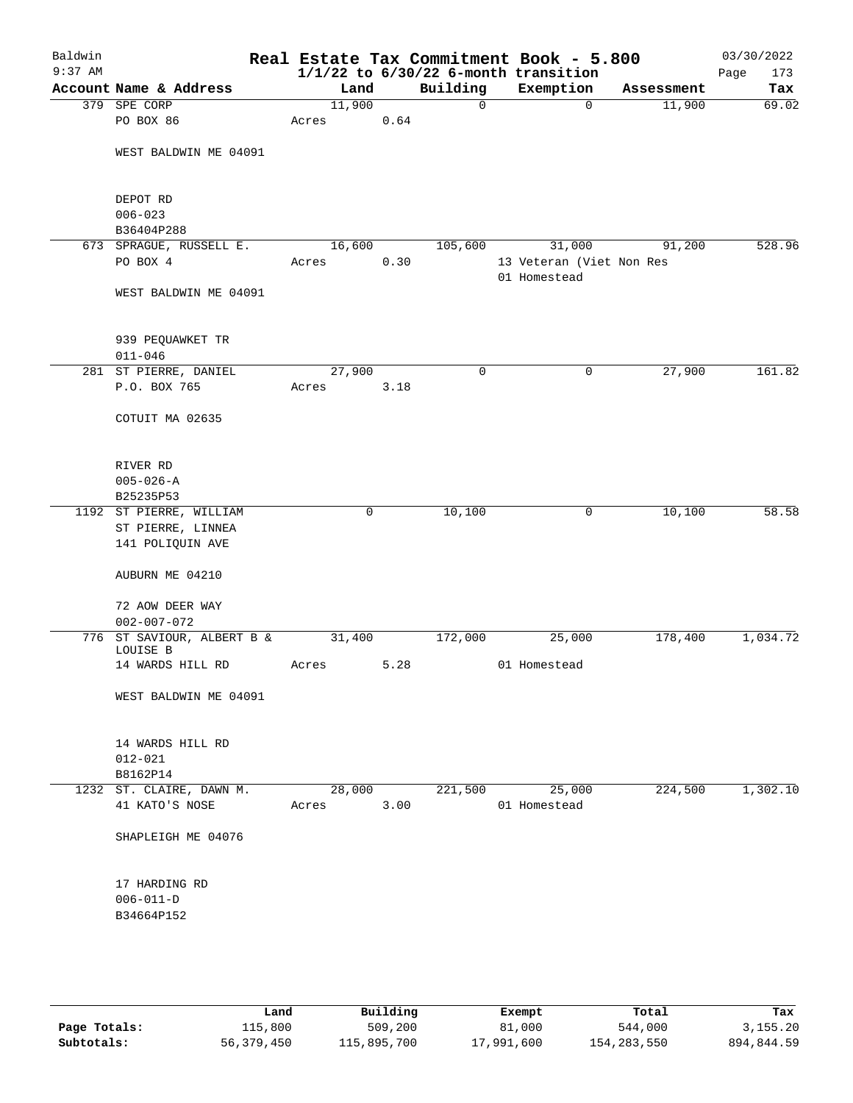| Baldwin<br>$9:37$ AM |                                      |        |      |          | Real Estate Tax Commitment Book - 5.800<br>$1/1/22$ to $6/30/22$ 6-month transition |            | 03/30/2022<br>Page<br>173 |
|----------------------|--------------------------------------|--------|------|----------|-------------------------------------------------------------------------------------|------------|---------------------------|
|                      | Account Name & Address               | Land   |      | Building | Exemption                                                                           | Assessment | Tax                       |
|                      | 379 SPE CORP                         | 11,900 |      | 0        | $\mathbf 0$                                                                         | 11,900     | 69.02                     |
|                      | PO BOX 86                            | Acres  | 0.64 |          |                                                                                     |            |                           |
|                      | WEST BALDWIN ME 04091                |        |      |          |                                                                                     |            |                           |
|                      | DEPOT RD                             |        |      |          |                                                                                     |            |                           |
|                      | $006 - 023$                          |        |      |          |                                                                                     |            |                           |
|                      | B36404P288                           |        |      |          |                                                                                     |            |                           |
|                      | 673 SPRAGUE, RUSSELL E.              | 16,600 |      | 105,600  | 31,000                                                                              | 91,200     | 528.96                    |
|                      | PO BOX 4                             | Acres  | 0.30 |          | 13 Veteran (Viet Non Res<br>01 Homestead                                            |            |                           |
|                      | WEST BALDWIN ME 04091                |        |      |          |                                                                                     |            |                           |
|                      | 939 PEQUAWKET TR                     |        |      |          |                                                                                     |            |                           |
|                      | $011 - 046$                          |        |      |          |                                                                                     |            |                           |
|                      | 281 ST PIERRE, DANIEL                | 27,900 |      | 0        | 0                                                                                   | 27,900     | 161.82                    |
|                      | P.O. BOX 765                         | Acres  | 3.18 |          |                                                                                     |            |                           |
|                      | COTUIT MA 02635                      |        |      |          |                                                                                     |            |                           |
|                      | RIVER RD                             |        |      |          |                                                                                     |            |                           |
|                      | $005 - 026 - A$                      |        |      |          |                                                                                     |            |                           |
|                      | B25235P53                            |        |      |          |                                                                                     |            |                           |
|                      | 1192 ST PIERRE, WILLIAM              | 0      |      | 10,100   | 0                                                                                   | 10,100     | 58.58                     |
|                      | ST PIERRE, LINNEA                    |        |      |          |                                                                                     |            |                           |
|                      | 141 POLIQUIN AVE                     |        |      |          |                                                                                     |            |                           |
|                      | AUBURN ME 04210                      |        |      |          |                                                                                     |            |                           |
|                      | 72 AOW DEER WAY<br>$002 - 007 - 072$ |        |      |          |                                                                                     |            |                           |
|                      | 776 ST SAVIOUR, ALBERT B &           | 31,400 |      | 172,000  | 25,000                                                                              | 178,400    | 1,034.72                  |
|                      | LOUISE B                             |        |      |          |                                                                                     |            |                           |
|                      | 14 WARDS HILL RD                     | Acres  | 5.28 |          | 01 Homestead                                                                        |            |                           |
|                      | WEST BALDWIN ME 04091                |        |      |          |                                                                                     |            |                           |
|                      | 14 WARDS HILL RD                     |        |      |          |                                                                                     |            |                           |
|                      | $012 - 021$                          |        |      |          |                                                                                     |            |                           |
|                      | B8162P14                             |        |      |          |                                                                                     |            |                           |
|                      | 1232 ST. CLAIRE, DAWN M.             | 28,000 |      | 221,500  | 25,000                                                                              | 224,500    | 1,302.10                  |
|                      | 41 KATO'S NOSE                       | Acres  | 3.00 |          | 01 Homestead                                                                        |            |                           |
|                      | SHAPLEIGH ME 04076                   |        |      |          |                                                                                     |            |                           |
|                      | 17 HARDING RD                        |        |      |          |                                                                                     |            |                           |
|                      | $006 - 011 - D$                      |        |      |          |                                                                                     |            |                           |
|                      | B34664P152                           |        |      |          |                                                                                     |            |                           |
|                      |                                      |        |      |          |                                                                                     |            |                           |
|                      |                                      |        |      |          |                                                                                     |            |                           |
|                      |                                      |        |      |          |                                                                                     |            |                           |

|              | Land       | Building    | Exempt     | Total       | Tax        |
|--------------|------------|-------------|------------|-------------|------------|
| Page Totals: | 115,800    | 509,200     | 81,000     | 544,000     | 3, 155, 20 |
| Subtotals:   | 56,379,450 | 115,895,700 | 17,991,600 | 154,283,550 | 894,844.59 |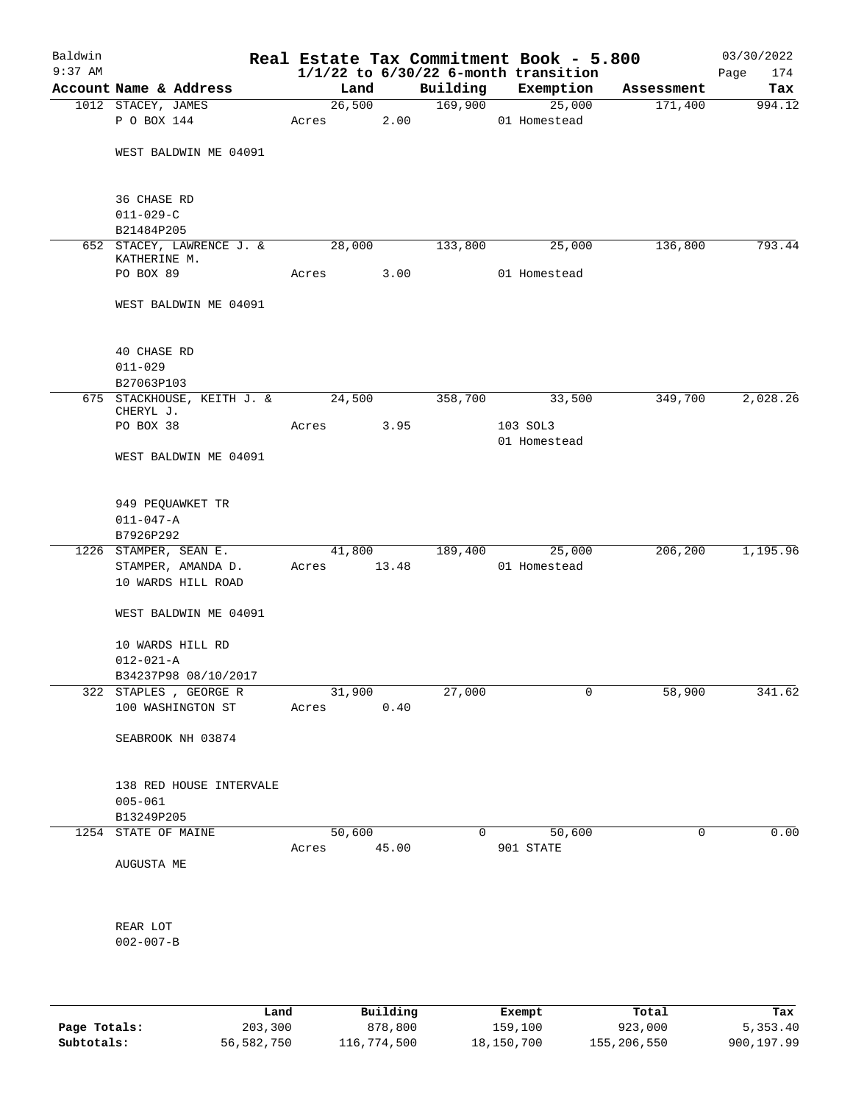| Baldwin<br>$9:37$ AM |                                           |       |        |        |          | Real Estate Tax Commitment Book - 5.800<br>$1/1/22$ to $6/30/22$ 6-month transition |            | 03/30/2022<br>174<br>Page |
|----------------------|-------------------------------------------|-------|--------|--------|----------|-------------------------------------------------------------------------------------|------------|---------------------------|
|                      | Account Name & Address                    |       | Land   |        | Building | Exemption                                                                           | Assessment | Tax                       |
|                      | 1012 STACEY, JAMES                        |       |        | 26,500 | 169,900  | 25,000                                                                              | 171,400    | 994.12                    |
|                      | P O BOX 144                               | Acres |        | 2.00   |          | 01 Homestead                                                                        |            |                           |
|                      | WEST BALDWIN ME 04091                     |       |        |        |          |                                                                                     |            |                           |
|                      | 36 CHASE RD                               |       |        |        |          |                                                                                     |            |                           |
|                      | $011 - 029 - C$<br>B21484P205             |       |        |        |          |                                                                                     |            |                           |
|                      | 652 STACEY, LAWRENCE J. &<br>KATHERINE M. |       | 28,000 |        | 133,800  | 25,000                                                                              | 136,800    | 793.44                    |
|                      | PO BOX 89                                 | Acres |        | 3.00   |          | 01 Homestead                                                                        |            |                           |
|                      | WEST BALDWIN ME 04091                     |       |        |        |          |                                                                                     |            |                           |
|                      | 40 CHASE RD                               |       |        |        |          |                                                                                     |            |                           |
|                      | $011 - 029$                               |       |        |        |          |                                                                                     |            |                           |
|                      | B27063P103                                |       |        |        |          |                                                                                     |            |                           |
|                      | 675 STACKHOUSE, KEITH J. &<br>CHERYL J.   |       | 24,500 |        | 358,700  | 33,500                                                                              | 349,700    | 2,028.26                  |
|                      | PO BOX 38                                 | Acres |        | 3.95   |          | 103 SOL3<br>01 Homestead                                                            |            |                           |
|                      | WEST BALDWIN ME 04091                     |       |        |        |          |                                                                                     |            |                           |
|                      | 949 PEQUAWKET TR                          |       |        |        |          |                                                                                     |            |                           |
|                      | $011 - 047 - A$                           |       |        |        |          |                                                                                     |            |                           |
|                      | B7926P292                                 |       |        |        |          |                                                                                     |            |                           |
|                      | 1226 STAMPER, SEAN E.                     |       | 41,800 |        | 189,400  | 25,000                                                                              | 206,200    | 1,195.96                  |
|                      | STAMPER, AMANDA D.<br>10 WARDS HILL ROAD  | Acres |        | 13.48  |          | 01 Homestead                                                                        |            |                           |
|                      | WEST BALDWIN ME 04091                     |       |        |        |          |                                                                                     |            |                           |
|                      | 10 WARDS HILL RD<br>$012 - 021 - A$       |       |        |        |          |                                                                                     |            |                           |
|                      | B34237P98 08/10/2017                      |       |        |        |          |                                                                                     |            |                           |
|                      | 322 STAPLES , GEORGE R                    |       | 31,900 |        | 27,000   | 0                                                                                   | 58,900     | 341.62                    |
|                      | 100 WASHINGTON ST                         | Acres |        | 0.40   |          |                                                                                     |            |                           |
|                      | SEABROOK NH 03874                         |       |        |        |          |                                                                                     |            |                           |
|                      | 138 RED HOUSE INTERVALE<br>$005 - 061$    |       |        |        |          |                                                                                     |            |                           |
|                      | B13249P205                                |       |        |        |          |                                                                                     |            |                           |
|                      | 1254 STATE OF MAINE                       |       | 50,600 |        | 0        | 50,600                                                                              | 0          | 0.00                      |
|                      |                                           | Acres |        | 45.00  |          | 901 STATE                                                                           |            |                           |
|                      | AUGUSTA ME                                |       |        |        |          |                                                                                     |            |                           |
|                      | REAR LOT                                  |       |        |        |          |                                                                                     |            |                           |
|                      | $002 - 007 - B$                           |       |        |        |          |                                                                                     |            |                           |
|                      |                                           |       |        |        |          |                                                                                     |            |                           |

|              | Land       | Building    | Exempt     | Total       | Tax        |
|--------------|------------|-------------|------------|-------------|------------|
| Page Totals: | 203,300    | 878,800     | 159,100    | 923,000     | 5,353.40   |
| Subtotals:   | 56,582,750 | 116,774,500 | 18,150,700 | 155,206,550 | 900,197.99 |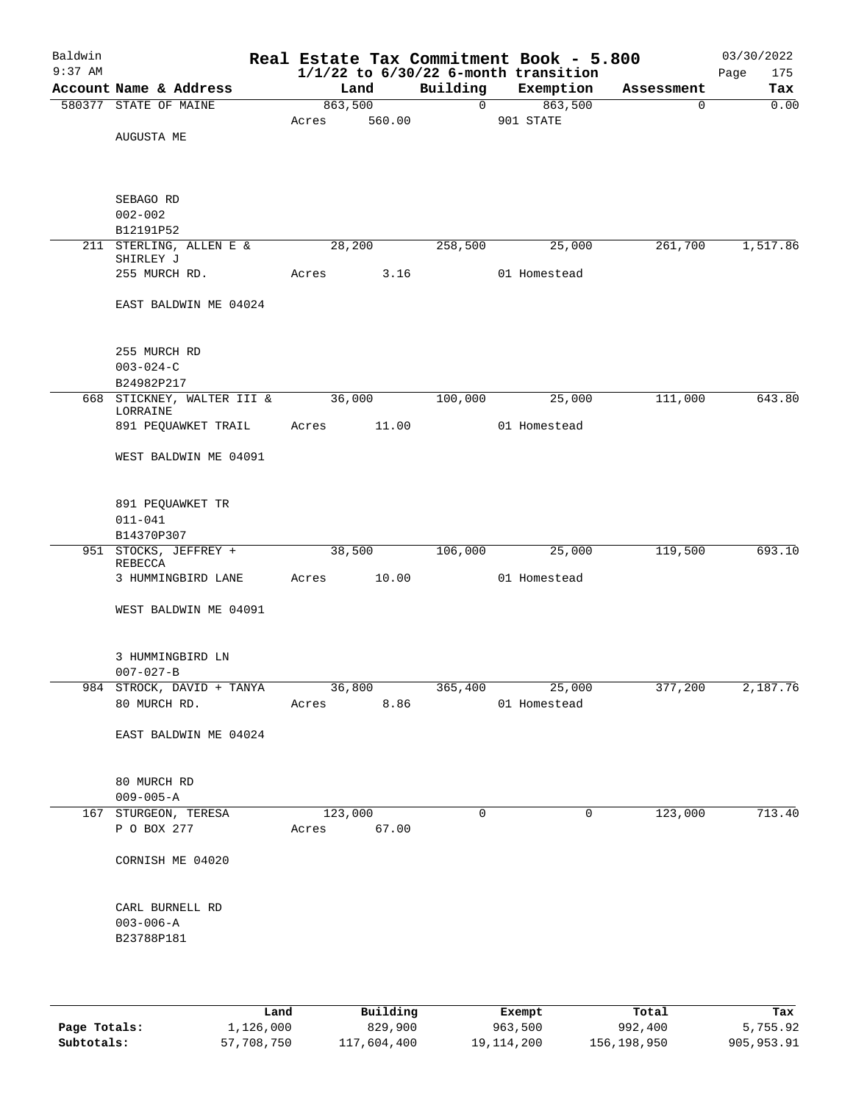| Baldwin<br>$9:37$ AM |                                                  |                        |        |                | Real Estate Tax Commitment Book - 5.800<br>$1/1/22$ to $6/30/22$ 6-month transition |             | 03/30/2022<br>Page<br>175 |
|----------------------|--------------------------------------------------|------------------------|--------|----------------|-------------------------------------------------------------------------------------|-------------|---------------------------|
|                      | Account Name & Address                           | Land                   |        | Building       | Exemption                                                                           | Assessment  | Tax                       |
|                      | 580377 STATE OF MAINE                            | 863,500<br>Acres       | 560.00 | $\overline{0}$ | 863,500<br>901 STATE                                                                | $\mathbf 0$ | 0.00                      |
|                      | AUGUSTA ME                                       |                        |        |                |                                                                                     |             |                           |
|                      | SEBAGO RD                                        |                        |        |                |                                                                                     |             |                           |
|                      | $002 - 002$<br>B12191P52                         |                        |        |                |                                                                                     |             |                           |
|                      | 211 STERLING, ALLEN E &                          | 28,200                 |        | 258,500        | 25,000                                                                              | 261,700     | 1,517.86                  |
|                      | SHIRLEY J<br>255 MURCH RD.                       | Acres                  | 3.16   |                | 01 Homestead                                                                        |             |                           |
|                      | EAST BALDWIN ME 04024                            |                        |        |                |                                                                                     |             |                           |
|                      |                                                  |                        |        |                |                                                                                     |             |                           |
|                      | 255 MURCH RD                                     |                        |        |                |                                                                                     |             |                           |
|                      | $003 - 024 - C$<br>B24982P217                    |                        |        |                |                                                                                     |             |                           |
|                      | 668 STICKNEY, WALTER III &<br>LORRAINE           | 36,000                 |        | 100,000        | 25,000                                                                              | 111,000     | 643.80                    |
|                      | 891 PEQUAWKET TRAIL                              | Acres                  | 11.00  |                | 01 Homestead                                                                        |             |                           |
|                      | WEST BALDWIN ME 04091                            |                        |        |                |                                                                                     |             |                           |
|                      | 891 PEQUAWKET TR<br>$011 - 041$                  |                        |        |                |                                                                                     |             |                           |
|                      | B14370P307                                       |                        |        |                |                                                                                     |             |                           |
|                      | 951 STOCKS, JEFFREY +<br>REBECCA                 | 38,500                 |        | 106,000        | 25,000                                                                              | 119,500     | 693.10                    |
|                      | 3 HUMMINGBIRD LANE                               | Acres                  | 10.00  |                | 01 Homestead                                                                        |             |                           |
|                      | WEST BALDWIN ME 04091                            |                        |        |                |                                                                                     |             |                           |
|                      | 3 HUMMINGBIRD LN<br>$007 - 027 - B$              |                        |        |                |                                                                                     |             |                           |
|                      | 984 STROCK, DAVID + TANYA                        | 36,800                 |        | 365,400        | 25,000                                                                              | 377,200     | 2,187.76                  |
|                      | 80 MURCH RD.                                     | Acres                  | 8.86   |                | 01 Homestead                                                                        |             |                           |
|                      | EAST BALDWIN ME 04024                            |                        |        |                |                                                                                     |             |                           |
|                      | 80 MURCH RD                                      |                        |        |                |                                                                                     |             |                           |
|                      | $009 - 005 - A$                                  |                        |        |                |                                                                                     |             |                           |
|                      | 167 STURGEON, TERESA<br>P O BOX 277              | 123,000<br>Acres 67.00 |        | 0              | 0                                                                                   | 123,000     | 713.40                    |
|                      | CORNISH ME 04020                                 |                        |        |                |                                                                                     |             |                           |
|                      | CARL BURNELL RD<br>$003 - 006 - A$<br>B23788P181 |                        |        |                |                                                                                     |             |                           |
|                      |                                                  |                        |        |                |                                                                                     |             |                           |

|              | Land       | Building    | Exempt     | Total       | Tax        |
|--------------|------------|-------------|------------|-------------|------------|
| Page Totals: | 1,126,000  | 829,900     | 963,500    | 992,400     | 5,755.92   |
| Subtotals:   | 57,708,750 | 117,604,400 | 19,114,200 | 156,198,950 | 905,953.91 |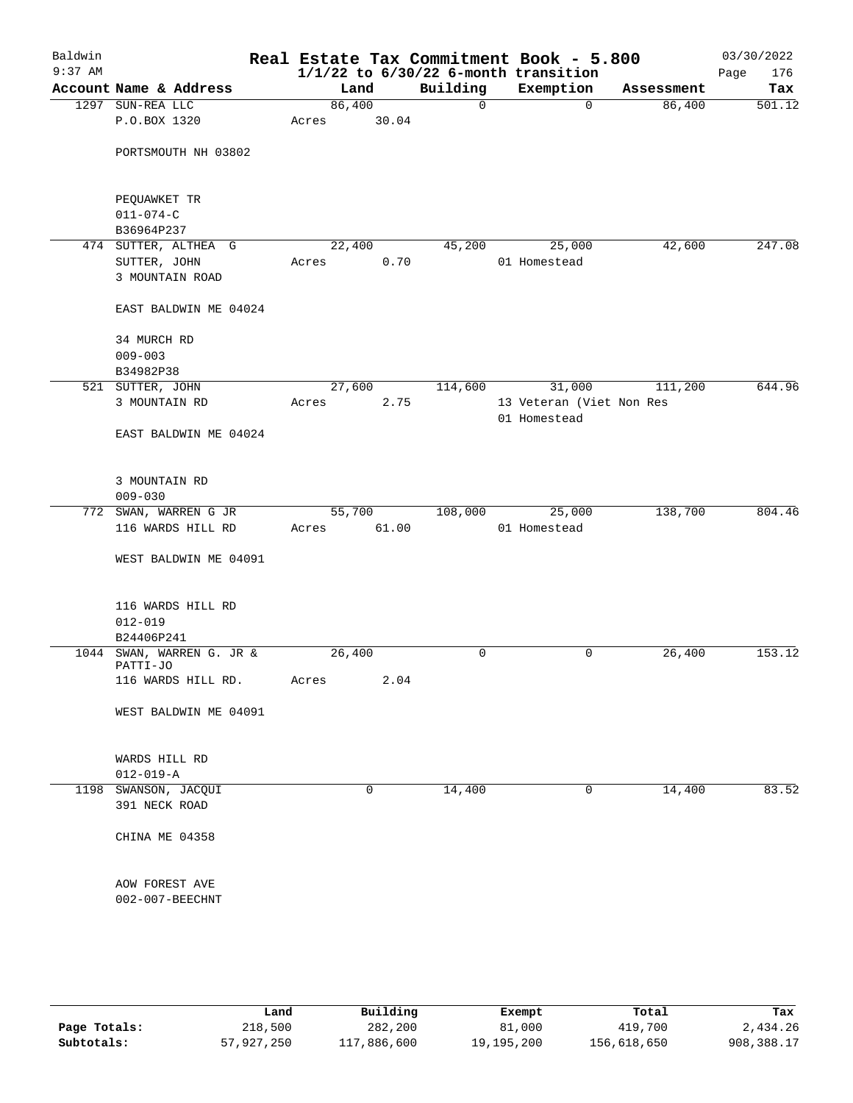| Baldwin<br>$9:37$ AM |                                  |                           |        |        |              | Real Estate Tax Commitment Book - 5.800<br>$1/1/22$ to $6/30/22$ 6-month transition |            | 03/30/2022         |
|----------------------|----------------------------------|---------------------------|--------|--------|--------------|-------------------------------------------------------------------------------------|------------|--------------------|
|                      |                                  | Account Name & Address    |        | Land   | Building     | Exemption                                                                           | Assessment | 176<br>Page<br>Tax |
|                      | 1297 SUN-REA LLC                 |                           |        | 86,400 | $\mathsf{O}$ | 0                                                                                   | 86,400     | 501.12             |
|                      | P.O.BOX 1320                     |                           | Acres  | 30.04  |              |                                                                                     |            |                    |
|                      |                                  | PORTSMOUTH NH 03802       |        |        |              |                                                                                     |            |                    |
|                      | PEQUAWKET TR                     |                           |        |        |              |                                                                                     |            |                    |
|                      | $011 - 074 - C$                  |                           |        |        |              |                                                                                     |            |                    |
|                      | B36964P237                       |                           |        |        |              |                                                                                     |            |                    |
|                      |                                  | 474 SUTTER, ALTHEA G      |        | 22,400 | 45,200       | 25,000                                                                              | 42,600     | 247.08             |
|                      | SUTTER, JOHN<br>3 MOUNTAIN ROAD  |                           | Acres  | 0.70   |              | 01 Homestead                                                                        |            |                    |
|                      |                                  | EAST BALDWIN ME 04024     |        |        |              |                                                                                     |            |                    |
|                      | 34 MURCH RD<br>$009 - 003$       |                           |        |        |              |                                                                                     |            |                    |
|                      | B34982P38                        |                           |        |        |              |                                                                                     |            |                    |
|                      | 521 SUTTER, JOHN                 |                           |        | 27,600 | 114,600      | 31,000                                                                              | 111,200    | 644.96             |
|                      | 3 MOUNTAIN RD                    |                           | Acres  | 2.75   |              | 13 Veteran (Viet Non Res<br>01 Homestead                                            |            |                    |
|                      |                                  | EAST BALDWIN ME 04024     |        |        |              |                                                                                     |            |                    |
|                      | 3 MOUNTAIN RD<br>$009 - 030$     |                           |        |        |              |                                                                                     |            |                    |
|                      |                                  | 772 SWAN, WARREN G JR     |        | 55,700 | 108,000      | 25,000                                                                              | 138,700    | 804.46             |
|                      |                                  | 116 WARDS HILL RD         | Acres  | 61.00  |              | 01 Homestead                                                                        |            |                    |
|                      |                                  | WEST BALDWIN ME 04091     |        |        |              |                                                                                     |            |                    |
|                      | $012 - 019$                      | 116 WARDS HILL RD         |        |        |              |                                                                                     |            |                    |
|                      | B24406P241                       |                           |        |        |              |                                                                                     |            |                    |
|                      | PATTI-JO                         | 1044 SWAN, WARREN G. JR & | 26,400 |        | 0            | 0                                                                                   | 26,400     | 153.12             |
|                      |                                  | 116 WARDS HILL RD.        | Acres  | 2.04   |              |                                                                                     |            |                    |
|                      |                                  | WEST BALDWIN ME 04091     |        |        |              |                                                                                     |            |                    |
|                      | WARDS HILL RD<br>$012 - 019 - A$ |                           |        |        |              |                                                                                     |            |                    |
| 1198                 | SWANSON, JACQUI                  |                           |        | 0      | 14,400       | 0                                                                                   | 14,400     | 83.52              |
|                      | 391 NECK ROAD                    |                           |        |        |              |                                                                                     |            |                    |
|                      | CHINA ME 04358                   |                           |        |        |              |                                                                                     |            |                    |
|                      | AOW FOREST AVE                   |                           |        |        |              |                                                                                     |            |                    |
|                      | 002-007-BEECHNT                  |                           |        |        |              |                                                                                     |            |                    |
|                      |                                  |                           |        |        |              |                                                                                     |            |                    |

|              | Land       | Building    | Exempt     | Total       | Tax        |
|--------------|------------|-------------|------------|-------------|------------|
| Page Totals: | 218,500    | 282,200     | 81,000     | 419,700     | 2,434.26   |
| Subtotals:   | 57,927,250 | 117,886,600 | 19,195,200 | 156,618,650 | 908,388.17 |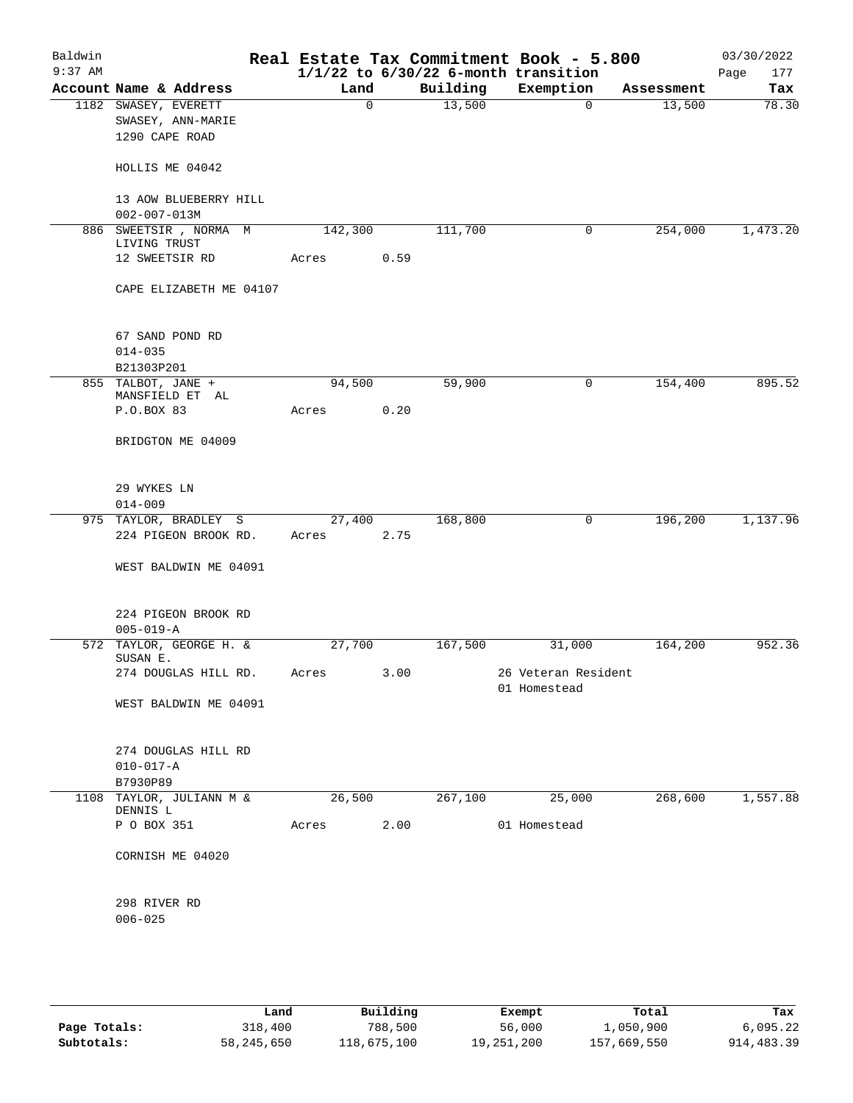| Baldwin<br>$9:37$ AM |                                      |         |             |          | Real Estate Tax Commitment Book - 5.800<br>$1/1/22$ to $6/30/22$ 6-month transition |            | 03/30/2022<br>Page<br>177 |
|----------------------|--------------------------------------|---------|-------------|----------|-------------------------------------------------------------------------------------|------------|---------------------------|
|                      | Account Name & Address               | Land    |             | Building | Exemption                                                                           | Assessment | Tax                       |
|                      | 1182 SWASEY, EVERETT                 |         | $\mathbf 0$ | 13,500   | 0                                                                                   | 13,500     | 78.30                     |
|                      | SWASEY, ANN-MARIE                    |         |             |          |                                                                                     |            |                           |
|                      | 1290 CAPE ROAD                       |         |             |          |                                                                                     |            |                           |
|                      | HOLLIS ME 04042                      |         |             |          |                                                                                     |            |                           |
|                      | 13 AOW BLUEBERRY HILL                |         |             |          |                                                                                     |            |                           |
|                      | $002 - 007 - 013M$                   |         |             |          |                                                                                     |            |                           |
|                      | 886 SWEETSIR, NORMA M                | 142,300 |             | 111,700  | 0                                                                                   | 254,000    | 1,473.20                  |
|                      | LIVING TRUST                         |         |             |          |                                                                                     |            |                           |
|                      | 12 SWEETSIR RD                       | Acres   | 0.59        |          |                                                                                     |            |                           |
|                      | CAPE ELIZABETH ME 04107              |         |             |          |                                                                                     |            |                           |
|                      |                                      |         |             |          |                                                                                     |            |                           |
|                      | 67 SAND POND RD                      |         |             |          |                                                                                     |            |                           |
|                      | $014 - 035$<br>B21303P201            |         |             |          |                                                                                     |            |                           |
|                      | 855 TALBOT, JANE +                   | 94,500  |             | 59,900   | $\mathsf{O}$                                                                        | 154,400    | 895.52                    |
|                      | MANSFIELD ET AL                      |         |             |          |                                                                                     |            |                           |
|                      | P.O.BOX 83                           | Acres   | 0.20        |          |                                                                                     |            |                           |
|                      | BRIDGTON ME 04009                    |         |             |          |                                                                                     |            |                           |
|                      |                                      |         |             |          |                                                                                     |            |                           |
|                      | 29 WYKES LN                          |         |             |          |                                                                                     |            |                           |
|                      | $014 - 009$                          |         |             |          |                                                                                     |            |                           |
|                      | 975 TAYLOR, BRADLEY S                | 27,400  |             | 168,800  | 0                                                                                   | 196,200    | 1,137.96                  |
|                      | 224 PIGEON BROOK RD.                 | Acres   | 2.75        |          |                                                                                     |            |                           |
|                      | WEST BALDWIN ME 04091                |         |             |          |                                                                                     |            |                           |
|                      | 224 PIGEON BROOK RD                  |         |             |          |                                                                                     |            |                           |
|                      | $005 - 019 - A$                      |         |             |          |                                                                                     |            |                           |
|                      | 572 TAYLOR, GEORGE H. &<br>SUSAN E.  | 27,700  |             | 167,500  | 31,000                                                                              | 164,200    | 952.36                    |
|                      | 274 DOUGLAS HILL RD.                 | Acres   | 3.00        |          | 26 Veteran Resident                                                                 |            |                           |
|                      | WEST BALDWIN ME 04091                |         |             |          | 01 Homestead                                                                        |            |                           |
|                      |                                      |         |             |          |                                                                                     |            |                           |
|                      | 274 DOUGLAS HILL RD                  |         |             |          |                                                                                     |            |                           |
|                      | $010 - 017 - A$                      |         |             |          |                                                                                     |            |                           |
|                      | B7930P89                             |         |             |          |                                                                                     |            |                           |
|                      | 1108 TAYLOR, JULIANN M &<br>DENNIS L | 26,500  |             | 267,100  | 25,000                                                                              | 268,600    | 1,557.88                  |
|                      | P O BOX 351                          | Acres   | 2.00        |          | 01 Homestead                                                                        |            |                           |
|                      | CORNISH ME 04020                     |         |             |          |                                                                                     |            |                           |
|                      |                                      |         |             |          |                                                                                     |            |                           |
|                      | 298 RIVER RD                         |         |             |          |                                                                                     |            |                           |
|                      | $006 - 025$                          |         |             |          |                                                                                     |            |                           |
|                      |                                      |         |             |          |                                                                                     |            |                           |
|                      |                                      |         |             |          |                                                                                     |            |                           |
|                      |                                      |         |             |          |                                                                                     |            |                           |

|              | Land       | Building    | Exempt     | Total       | Tax        |
|--------------|------------|-------------|------------|-------------|------------|
| Page Totals: | 318,400    | 788,500     | 56,000     | 1,050,900   | 6.095.22   |
| Subtotals:   | 58,245,650 | 118,675,100 | 19,251,200 | 157,669,550 | 914,483.39 |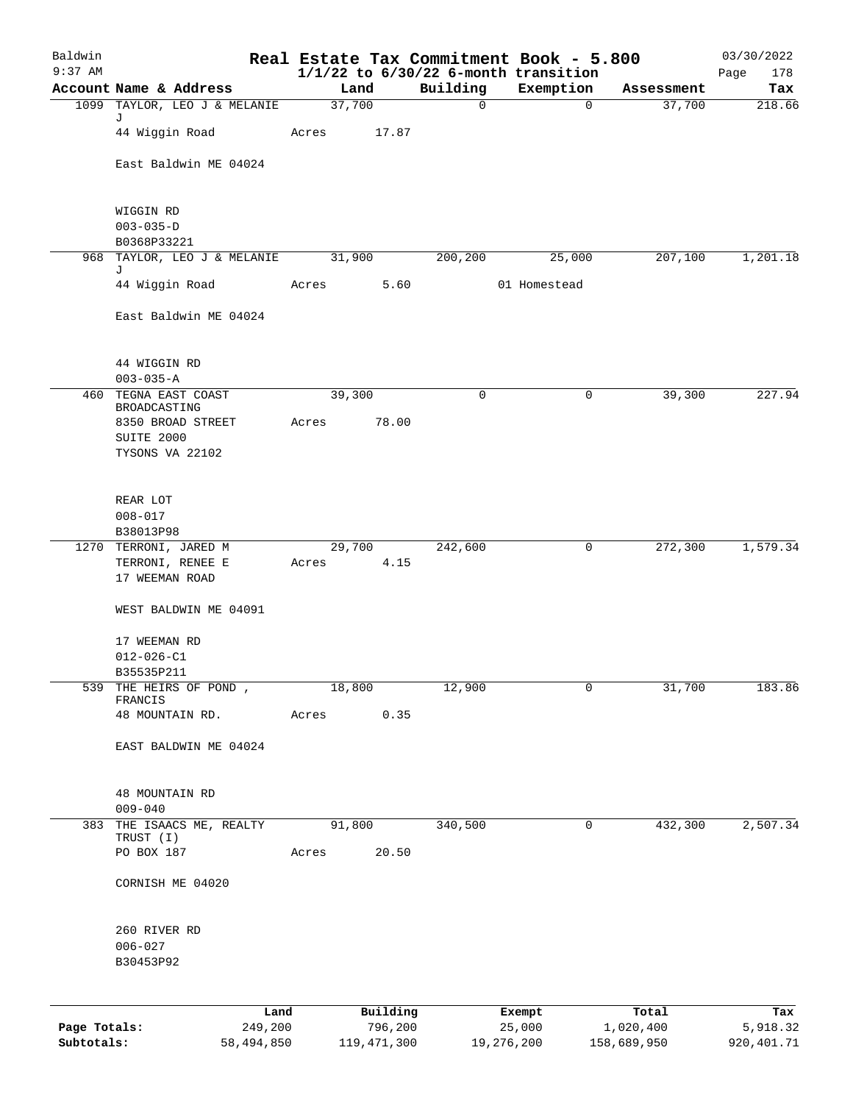| Baldwin      |                                      |       |        |                     |             | Real Estate Tax Commitment Book - 5.800               |                    | 03/30/2022         |
|--------------|--------------------------------------|-------|--------|---------------------|-------------|-------------------------------------------------------|--------------------|--------------------|
| $9:37$ AM    | Account Name & Address               |       | Land   |                     | Building    | $1/1/22$ to $6/30/22$ 6-month transition<br>Exemption | Assessment         | Page<br>178<br>Tax |
|              | 1099 TAYLOR, LEO J & MELANIE         |       | 37,700 |                     | $\mathbf 0$ | 0                                                     | 37,700             | 218.66             |
|              | J<br>44 Wiggin Road                  | Acres |        | 17.87               |             |                                                       |                    |                    |
|              | East Baldwin ME 04024                |       |        |                     |             |                                                       |                    |                    |
|              | WIGGIN RD                            |       |        |                     |             |                                                       |                    |                    |
|              | $003 - 035 - D$<br>B0368P33221       |       |        |                     |             |                                                       |                    |                    |
|              | 968 TAYLOR, LEO J & MELANIE          |       | 31,900 |                     | 200,200     | 25,000                                                | 207,100            | 1,201.18           |
|              | J<br>44 Wiggin Road                  | Acres |        | 5.60                |             | 01 Homestead                                          |                    |                    |
|              |                                      |       |        |                     |             |                                                       |                    |                    |
|              | East Baldwin ME 04024                |       |        |                     |             |                                                       |                    |                    |
|              | 44 WIGGIN RD<br>$003 - 035 - A$      |       |        |                     |             |                                                       |                    |                    |
| 460          | TEGNA EAST COAST                     |       | 39,300 |                     | 0           | 0                                                     | 39,300             | 227.94             |
|              | BROADCASTING<br>8350 BROAD STREET    | Acres |        | 78.00               |             |                                                       |                    |                    |
|              | SUITE 2000                           |       |        |                     |             |                                                       |                    |                    |
|              | TYSONS VA 22102                      |       |        |                     |             |                                                       |                    |                    |
|              | REAR LOT                             |       |        |                     |             |                                                       |                    |                    |
|              | $008 - 017$                          |       |        |                     |             |                                                       |                    |                    |
|              | B38013P98<br>1270 TERRONI, JARED M   |       | 29,700 |                     | 242,600     | 0                                                     | 272,300            | 1,579.34           |
|              | TERRONI, RENEE E<br>17 WEEMAN ROAD   | Acres |        | 4.15                |             |                                                       |                    |                    |
|              | WEST BALDWIN ME 04091                |       |        |                     |             |                                                       |                    |                    |
|              | 17 WEEMAN RD                         |       |        |                     |             |                                                       |                    |                    |
|              | $012 - 026 - C1$                     |       |        |                     |             |                                                       |                    |                    |
|              | B35535P211<br>539 THE HEIRS OF POND, |       | 18,800 |                     | 12,900      | 0                                                     | 31,700             | 183.86             |
|              | FRANCIS                              |       |        |                     |             |                                                       |                    |                    |
|              | 48 MOUNTAIN RD.                      | Acres |        | 0.35                |             |                                                       |                    |                    |
|              | EAST BALDWIN ME 04024                |       |        |                     |             |                                                       |                    |                    |
|              | 48 MOUNTAIN RD                       |       |        |                     |             |                                                       |                    |                    |
| 383          | $009 - 040$<br>THE ISAACS ME, REALTY |       | 91,800 |                     | 340,500     | 0                                                     | 432,300            | 2,507.34           |
|              | TRUST (I)                            |       |        |                     |             |                                                       |                    |                    |
|              | PO BOX 187                           | Acres |        | 20.50               |             |                                                       |                    |                    |
|              | CORNISH ME 04020                     |       |        |                     |             |                                                       |                    |                    |
|              | 260 RIVER RD                         |       |        |                     |             |                                                       |                    |                    |
|              | $006 - 027$                          |       |        |                     |             |                                                       |                    |                    |
|              | B30453P92                            |       |        |                     |             |                                                       |                    |                    |
|              |                                      |       |        |                     |             |                                                       |                    |                    |
| Page Totals: | Land<br>249,200                      |       |        | Building<br>796,200 |             | Exempt<br>25,000                                      | Total<br>1,020,400 | Tax<br>5,918.32    |

**Subtotals:** 58,494,850 119,471,300 19,276,200 158,689,950 920,401.71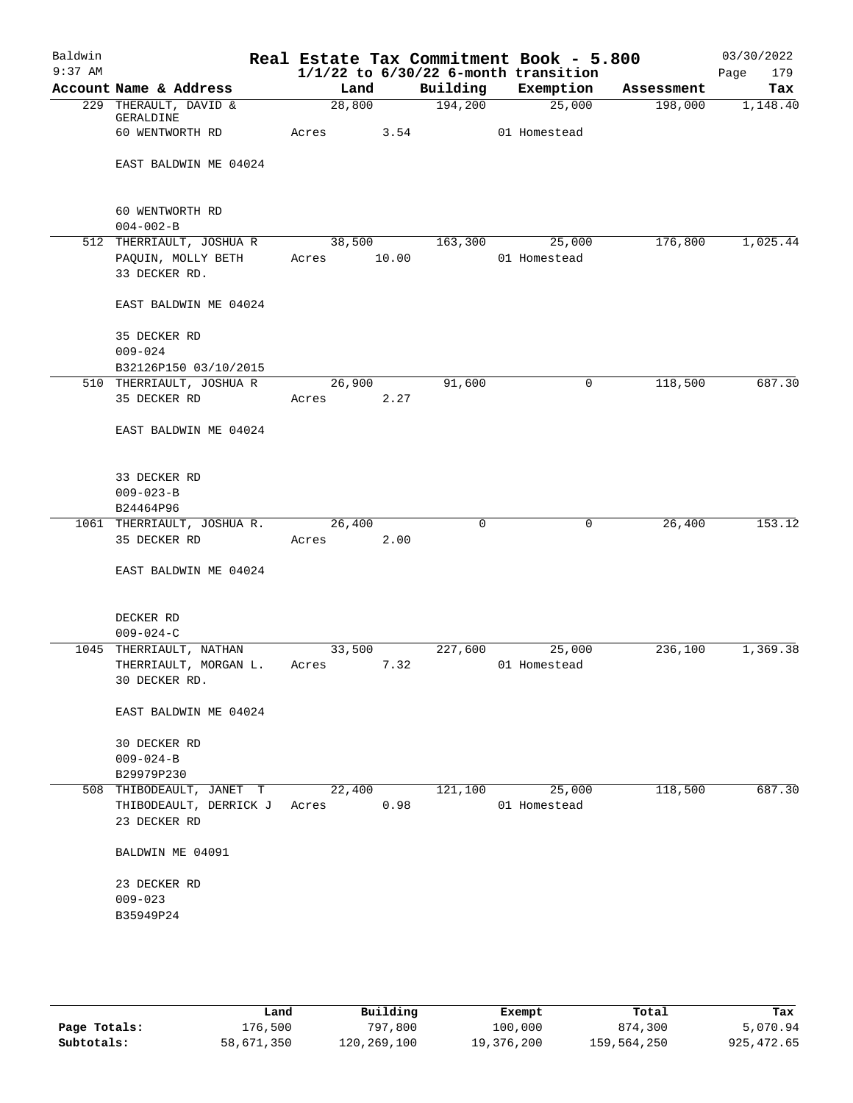| Baldwin   |                                    |             |        |          | Real Estate Tax Commitment Book - 5.800  |            | 03/30/2022  |
|-----------|------------------------------------|-------------|--------|----------|------------------------------------------|------------|-------------|
| $9:37$ AM |                                    |             |        |          | $1/1/22$ to $6/30/22$ 6-month transition |            | 179<br>Page |
|           | Account Name & Address             |             | Land   |          | Building Exemption                       | Assessment | Tax         |
|           | 229 THERAULT, DAVID &<br>GERALDINE |             | 28,800 | 194,200  | 25,000                                   | 198,000    | 1,148.40    |
|           | 60 WENTWORTH RD                    | Acres 3.54  |        |          | 01 Homestead                             |            |             |
|           | EAST BALDWIN ME 04024              |             |        |          |                                          |            |             |
|           | 60 WENTWORTH RD                    |             |        |          |                                          |            |             |
|           | $004 - 002 - B$                    |             |        |          |                                          |            |             |
|           | 512 THERRIAULT, JOSHUA R           |             |        |          | 38,500 163,300 25,000                    | 176,800    | 1,025.44    |
|           | PAQUIN, MOLLY BETH                 | Acres 10.00 |        |          | 01 Homestead                             |            |             |
|           | 33 DECKER RD.                      |             |        |          |                                          |            |             |
|           | EAST BALDWIN ME 04024              |             |        |          |                                          |            |             |
|           | 35 DECKER RD                       |             |        |          |                                          |            |             |
|           | $009 - 024$                        |             |        |          |                                          |            |             |
|           | B32126P150 03/10/2015              |             |        |          |                                          |            |             |
|           | 510 THERRIAULT, JOSHUA R           |             | 26,900 | 91,600   | 0                                        | 118,500    | 687.30      |
|           | 35 DECKER RD                       | Acres 2.27  |        |          |                                          |            |             |
|           | EAST BALDWIN ME 04024              |             |        |          |                                          |            |             |
|           | 33 DECKER RD                       |             |        |          |                                          |            |             |
|           | $009 - 023 - B$                    |             |        |          |                                          |            |             |
|           | B24464P96                          |             |        |          |                                          |            |             |
|           | 1061 THERRIAULT, JOSHUA R.         |             | 26,400 | $\Omega$ | 0                                        | 26,400     | 153.12      |
|           | 35 DECKER RD                       | Acres       | 2.00   |          |                                          |            |             |
|           | EAST BALDWIN ME 04024              |             |        |          |                                          |            |             |
|           |                                    |             |        |          |                                          |            |             |
|           | DECKER RD                          |             |        |          |                                          |            |             |
|           | $009 - 024 - C$                    |             |        |          |                                          |            |             |
|           | 1045 THERRIAULT, NATHAN            |             | 33,500 | 227,600  | 25,000                                   | 236,100    | 1,369.38    |
|           | THERRIAULT, MORGAN L.              | Acres 7.32  |        |          | 01 Homestead                             |            |             |
|           | 30 DECKER RD.                      |             |        |          |                                          |            |             |
|           | EAST BALDWIN ME 04024              |             |        |          |                                          |            |             |
|           | 30 DECKER RD                       |             |        |          |                                          |            |             |
|           | $009 - 024 - B$                    |             |        |          |                                          |            |             |
|           | B29979P230                         |             |        |          |                                          |            |             |
|           | 508 THIBODEAULT, JANET T           |             | 22,400 | 121,100  | 25,000                                   | 118,500    | 687.30      |
|           | THIBODEAULT, DERRICK J             | Acres       | 0.98   |          | 01 Homestead                             |            |             |
|           | 23 DECKER RD                       |             |        |          |                                          |            |             |
|           | BALDWIN ME 04091                   |             |        |          |                                          |            |             |
|           | 23 DECKER RD                       |             |        |          |                                          |            |             |
|           | $009 - 023$                        |             |        |          |                                          |            |             |
|           | B35949P24                          |             |        |          |                                          |            |             |
|           |                                    |             |        |          |                                          |            |             |
|           |                                    |             |        |          |                                          |            |             |
|           |                                    |             |        |          |                                          |            |             |

|              | Land       | Building    | Exempt     | Total       | Tax        |
|--------------|------------|-------------|------------|-------------|------------|
| Page Totals: | 176,500    | 797,800     | 100,000    | 874,300     | 5,070.94   |
| Subtotals:   | 58,671,350 | 120,269,100 | 19,376,200 | 159,564,250 | 925,472.65 |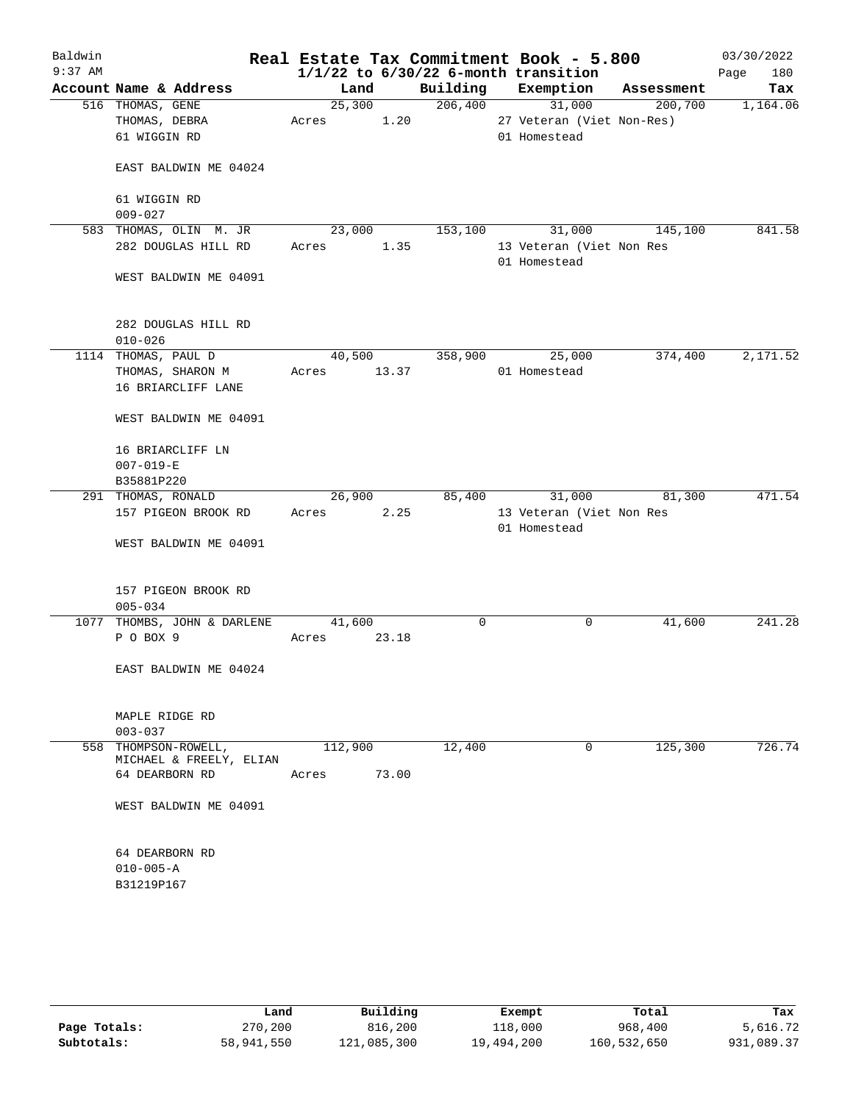| Baldwin   |                                           |             |        |             | Real Estate Tax Commitment Book - 5.800  |            | 03/30/2022  |
|-----------|-------------------------------------------|-------------|--------|-------------|------------------------------------------|------------|-------------|
| $9:37$ AM |                                           |             |        |             | $1/1/22$ to $6/30/22$ 6-month transition |            | Page<br>180 |
|           | Account Name & Address                    | Land        |        |             | Building Exemption                       | Assessment | Tax         |
|           | 516 THOMAS, GENE                          | 25,300      |        | 206,400     | 31,000                                   | 200,700    | 1,164.06    |
|           | THOMAS, DEBRA                             | Acres       | 1.20   |             | 27 Veteran (Viet Non-Res)                |            |             |
|           | 61 WIGGIN RD                              |             |        |             | 01 Homestead                             |            |             |
|           |                                           |             |        |             |                                          |            |             |
|           | EAST BALDWIN ME 04024                     |             |        |             |                                          |            |             |
|           |                                           |             |        |             |                                          |            |             |
|           | 61 WIGGIN RD                              |             |        |             |                                          |            |             |
|           | $009 - 027$                               |             |        |             |                                          |            |             |
|           | 583 THOMAS, OLIN M. JR                    | 23,000      |        | 153,100     | 31,000                                   | 145,100    | 841.58      |
|           | 282 DOUGLAS HILL RD                       | Acres       | 1.35   |             | 13 Veteran (Viet Non Res<br>01 Homestead |            |             |
|           | WEST BALDWIN ME 04091                     |             |        |             |                                          |            |             |
|           |                                           |             |        |             |                                          |            |             |
|           | 282 DOUGLAS HILL RD                       |             |        |             |                                          |            |             |
|           | $010 - 026$                               |             |        |             |                                          |            |             |
|           | 1114 THOMAS, PAUL D                       |             | 40,500 | 358,900     | 25,000                                   | 374,400    | 2,171.52    |
|           | THOMAS, SHARON M                          | Acres 13.37 |        |             | 01 Homestead                             |            |             |
|           | 16 BRIARCLIFF LANE                        |             |        |             |                                          |            |             |
|           | WEST BALDWIN ME 04091                     |             |        |             |                                          |            |             |
|           | 16 BRIARCLIFF LN                          |             |        |             |                                          |            |             |
|           | $007 - 019 - E$                           |             |        |             |                                          |            |             |
|           | B35881P220                                |             |        |             |                                          |            |             |
|           | 291 THOMAS, RONALD                        | 26,900      |        | 85,400      | 31,000                                   | 81,300     | 471.54      |
|           | 157 PIGEON BROOK RD                       |             | 2.25   |             | 13 Veteran (Viet Non Res                 |            |             |
|           |                                           | Acres       |        |             |                                          |            |             |
|           |                                           |             |        |             | 01 Homestead                             |            |             |
|           | WEST BALDWIN ME 04091                     |             |        |             |                                          |            |             |
|           | 157 PIGEON BROOK RD                       |             |        |             |                                          |            |             |
|           | $005 - 034$                               |             |        |             |                                          |            |             |
|           | 1077 THOMBS, JOHN & DARLENE               | 41,600      |        | $\mathbf 0$ | $\mathbf 0$                              | 41,600     | 241.28      |
|           | P O BOX 9                                 | Acres       | 23.18  |             |                                          |            |             |
|           |                                           |             |        |             |                                          |            |             |
|           | EAST BALDWIN ME 04024                     |             |        |             |                                          |            |             |
|           |                                           |             |        |             |                                          |            |             |
|           |                                           |             |        |             |                                          |            |             |
|           | MAPLE RIDGE RD                            |             |        |             |                                          |            |             |
|           | $003 - 037$                               |             |        |             |                                          |            |             |
| 558       | THOMPSON-ROWELL,                          | 112,900     |        | 12,400      | $\mathbf 0$                              | 125,300    | 726.74      |
|           | MICHAEL & FREELY, ELIAN<br>64 DEARBORN RD |             | 73.00  |             |                                          |            |             |
|           |                                           | Acres       |        |             |                                          |            |             |
|           | WEST BALDWIN ME 04091                     |             |        |             |                                          |            |             |
|           |                                           |             |        |             |                                          |            |             |
|           | 64 DEARBORN RD                            |             |        |             |                                          |            |             |
|           | $010 - 005 - A$                           |             |        |             |                                          |            |             |
|           | B31219P167                                |             |        |             |                                          |            |             |
|           |                                           |             |        |             |                                          |            |             |
|           |                                           |             |        |             |                                          |            |             |
|           |                                           |             |        |             |                                          |            |             |

|              | Land       | Building    | Exempt     | Total       | Tax        |
|--------------|------------|-------------|------------|-------------|------------|
| Page Totals: | 270,200    | 816,200     | 118,000    | 968,400     | 5,616.72   |
| Subtotals:   | 58,941,550 | 121,085,300 | 19,494,200 | 160,532,650 | 931,089.37 |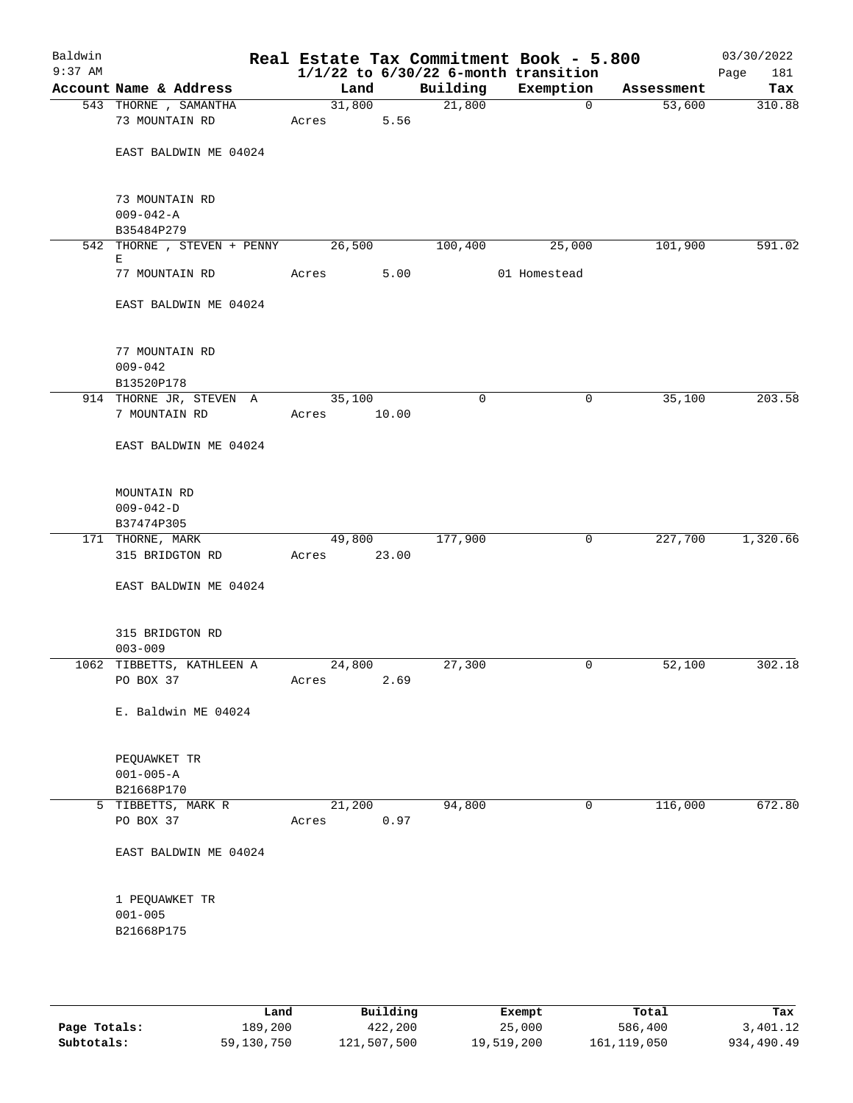| Baldwin<br>$9:37$ AM |                                                 |                 |       |             | Real Estate Tax Commitment Book - 5.800<br>$1/1/22$ to $6/30/22$ 6-month transition |            | 03/30/2022<br>Page<br>181 |
|----------------------|-------------------------------------------------|-----------------|-------|-------------|-------------------------------------------------------------------------------------|------------|---------------------------|
|                      | Account Name & Address                          | Land            |       | Building    | Exemption                                                                           | Assessment | Tax                       |
|                      | 543 THORNE , SAMANTHA<br>73 MOUNTAIN RD         | 31,800<br>Acres | 5.56  | 21,800      | 0                                                                                   | 53,600     | 310.88                    |
|                      | EAST BALDWIN ME 04024                           |                 |       |             |                                                                                     |            |                           |
|                      | 73 MOUNTAIN RD<br>$009 - 042 - A$<br>B35484P279 |                 |       |             |                                                                                     |            |                           |
|                      | 542 THORNE , STEVEN + PENNY                     | 26,500          |       | 100,400     | 25,000                                                                              | 101,900    | 591.02                    |
|                      | Е<br>77 MOUNTAIN RD                             | Acres           | 5.00  |             | 01 Homestead                                                                        |            |                           |
|                      | EAST BALDWIN ME 04024                           |                 |       |             |                                                                                     |            |                           |
|                      | 77 MOUNTAIN RD<br>$009 - 042$<br>B13520P178     |                 |       |             |                                                                                     |            |                           |
|                      | 914 THORNE JR, STEVEN A<br>7 MOUNTAIN RD        | 35,100<br>Acres | 10.00 | $\mathbf 0$ | 0                                                                                   | 35,100     | 203.58                    |
|                      | EAST BALDWIN ME 04024                           |                 |       |             |                                                                                     |            |                           |
|                      | MOUNTAIN RD<br>$009 - 042 - D$<br>B37474P305    |                 |       |             |                                                                                     |            |                           |
|                      | 171 THORNE, MARK                                | 49,800          |       | 177,900     | 0                                                                                   | 227,700    | 1,320.66                  |
|                      | 315 BRIDGTON RD                                 | Acres           | 23.00 |             |                                                                                     |            |                           |
|                      | EAST BALDWIN ME 04024                           |                 |       |             |                                                                                     |            |                           |
|                      | 315 BRIDGTON RD<br>$003 - 009$                  |                 |       |             |                                                                                     |            |                           |
|                      | 1062 TIBBETTS, KATHLEEN A<br>PO BOX 37          | 24,800<br>Acres | 2.69  | 27,300      | 0                                                                                   | 52,100     | 302.18                    |
|                      | E. Baldwin ME 04024                             |                 |       |             |                                                                                     |            |                           |
|                      | PEQUAWKET TR<br>$001 - 005 - A$<br>B21668P170   |                 |       |             |                                                                                     |            |                           |
|                      | 5 TIBBETTS, MARK R<br>PO BOX 37                 | 21,200<br>Acres | 0.97  | 94,800      | 0                                                                                   | 116,000    | 672.80                    |
|                      | EAST BALDWIN ME 04024                           |                 |       |             |                                                                                     |            |                           |
|                      | 1 PEQUAWKET TR<br>$001 - 005$<br>B21668P175     |                 |       |             |                                                                                     |            |                           |
|                      |                                                 |                 |       |             |                                                                                     |            |                           |

|              | Land       | Building    | Exempt     | Total         | Tax        |
|--------------|------------|-------------|------------|---------------|------------|
| Page Totals: | 189,200    | 422,200     | 25,000     | 586,400       | 3,401.12   |
| Subtotals:   | 59,130,750 | 121,507,500 | 19,519,200 | 161, 119, 050 | 934,490.49 |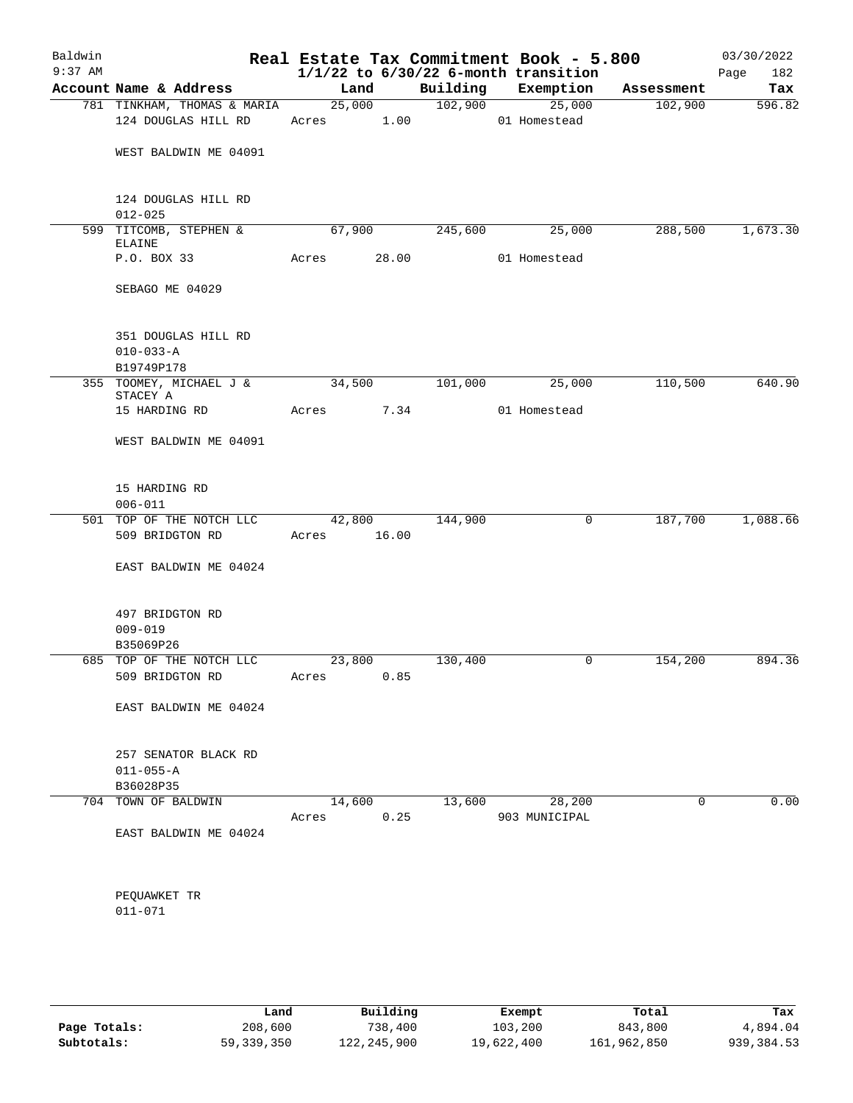| Baldwin<br>$9:37$ AM |                                                      |            |                 |          | Real Estate Tax Commitment Book - 5.800<br>$1/1/22$ to $6/30/22$ 6-month transition |             | 03/30/2022<br>Page<br>182 |
|----------------------|------------------------------------------------------|------------|-----------------|----------|-------------------------------------------------------------------------------------|-------------|---------------------------|
|                      | Account Name & Address                               | Land       |                 | Building | Exemption                                                                           | Assessment  | Tax                       |
|                      | 781 TINKHAM, THOMAS & MARIA                          |            | 25,000          | 102,900  | 25,000                                                                              | 102,900     | 596.82                    |
|                      | 124 DOUGLAS HILL RD                                  | Acres 1.00 |                 |          | 01 Homestead                                                                        |             |                           |
|                      | WEST BALDWIN ME 04091                                |            |                 |          |                                                                                     |             |                           |
|                      | 124 DOUGLAS HILL RD<br>$012 - 025$                   |            |                 |          |                                                                                     |             |                           |
|                      | 599 TITCOMB, STEPHEN &<br>ELAINE                     | 67,900     |                 | 245,600  | 25,000                                                                              | 288,500     | 1,673.30                  |
|                      | P.O. BOX 33                                          | Acres      | 28.00           |          | 01 Homestead                                                                        |             |                           |
|                      | SEBAGO ME 04029                                      |            |                 |          |                                                                                     |             |                           |
|                      | 351 DOUGLAS HILL RD<br>$010 - 033 - A$               |            |                 |          |                                                                                     |             |                           |
|                      | B19749P178                                           |            |                 |          |                                                                                     |             |                           |
|                      | 355 TOOMEY, MICHAEL J &<br>STACEY A                  | 34,500     |                 | 101,000  | 25,000                                                                              | 110,500     | 640.90                    |
|                      | 15 HARDING RD                                        | Acres      | 7.34            |          | 01 Homestead                                                                        |             |                           |
|                      | WEST BALDWIN ME 04091                                |            |                 |          |                                                                                     |             |                           |
|                      | 15 HARDING RD<br>$006 - 011$                         |            |                 |          |                                                                                     |             |                           |
|                      | 501 TOP OF THE NOTCH LLC<br>509 BRIDGTON RD          | Acres      | 42,800<br>16.00 | 144,900  | 0                                                                                   | 187,700     | 1,088.66                  |
|                      | EAST BALDWIN ME 04024                                |            |                 |          |                                                                                     |             |                           |
|                      | 497 BRIDGTON RD<br>$009 - 019$<br>B35069P26          |            |                 |          |                                                                                     |             |                           |
|                      | 685 TOP OF THE NOTCH LLC                             | 23,800     |                 | 130,400  | 0                                                                                   | 154,200     | 894.36                    |
|                      | 509 BRIDGTON RD                                      | Acres 0.85 |                 |          |                                                                                     |             |                           |
|                      | EAST BALDWIN ME 04024                                |            |                 |          |                                                                                     |             |                           |
|                      | 257 SENATOR BLACK RD<br>$011 - 055 - A$<br>B36028P35 |            |                 |          |                                                                                     |             |                           |
|                      | 704 TOWN OF BALDWIN                                  |            | 14,600          |          | 13,600 28,200                                                                       | $\mathbf 0$ | 0.00                      |
|                      | EAST BALDWIN ME 04024                                | Acres      | 0.25            |          | 903 MUNICIPAL                                                                       |             |                           |
|                      | PEQUAWKET TR<br>$011 - 071$                          |            |                 |          |                                                                                     |             |                           |
|                      |                                                      |            |                 |          |                                                                                     |             |                           |

|              | Land       | Building    | Exempt     | Total       | Tax         |
|--------------|------------|-------------|------------|-------------|-------------|
| Page Totals: | 208,600    | 738,400     | 103,200    | 843,800     | 4,894.04    |
| Subtotals:   | 59,339,350 | 122,245,900 | 19,622,400 | 161,962,850 | 939, 384.53 |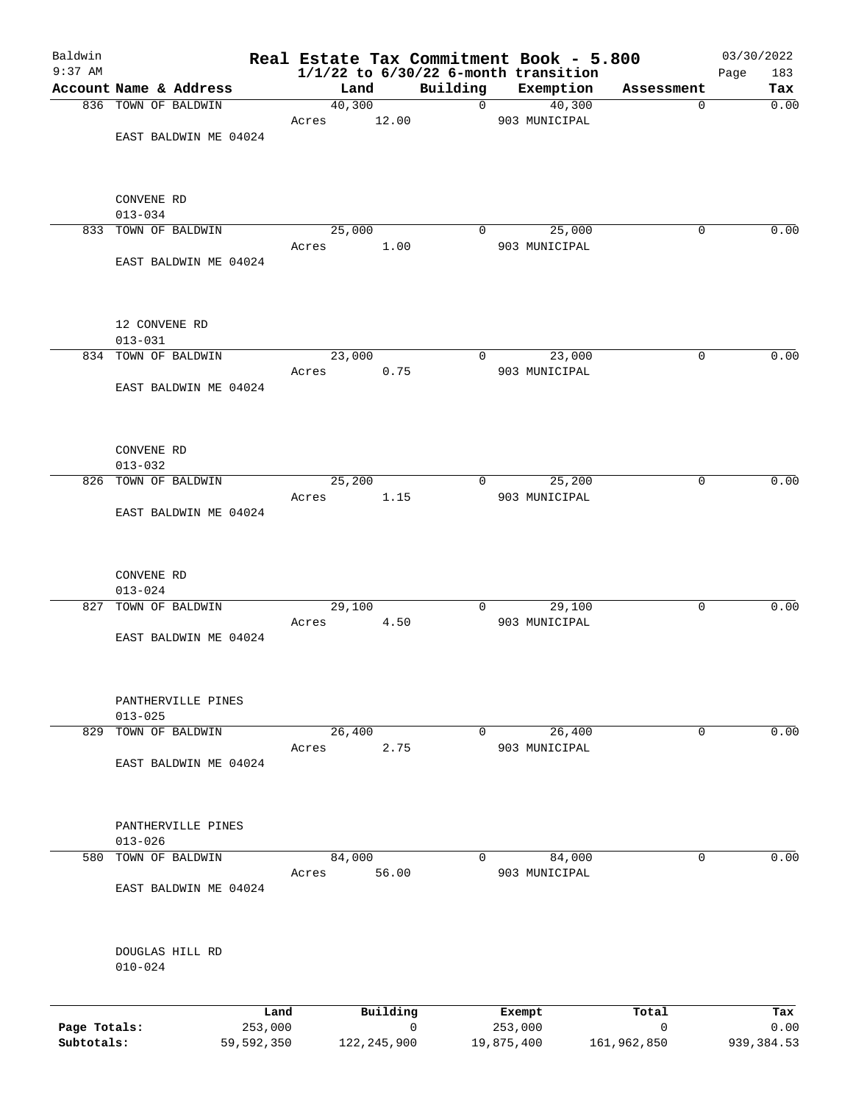| Baldwin                    |                                               |                |                    |               | Real Estate Tax Commitment Book - 5.800  |                            | 03/30/2022          |
|----------------------------|-----------------------------------------------|----------------|--------------------|---------------|------------------------------------------|----------------------------|---------------------|
| $9:37$ AM                  |                                               |                |                    |               | $1/1/22$ to $6/30/22$ 6-month transition |                            | Page<br>183         |
|                            | Account Name & Address<br>836 TOWN OF BALDWIN | Land<br>40,300 |                    | Building<br>0 | Exemption<br>40,300                      | Assessment<br>0            | Tax<br>0.00         |
|                            |                                               | Acres          | 12.00              |               | 903 MUNICIPAL                            |                            |                     |
|                            | EAST BALDWIN ME 04024                         |                |                    |               |                                          |                            |                     |
|                            |                                               |                |                    |               |                                          |                            |                     |
|                            | CONVENE RD                                    |                |                    |               |                                          |                            |                     |
|                            | $013 - 034$                                   |                |                    |               |                                          |                            |                     |
|                            | 833 TOWN OF BALDWIN                           | 25,000         |                    | $\mathbf 0$   | 25,000                                   | 0                          | 0.00                |
|                            | EAST BALDWIN ME 04024                         | Acres          | 1.00               |               | 903 MUNICIPAL                            |                            |                     |
|                            |                                               |                |                    |               |                                          |                            |                     |
|                            | 12 CONVENE RD<br>$013 - 031$                  |                |                    |               |                                          |                            |                     |
|                            | 834 TOWN OF BALDWIN                           | 23,000         |                    | 0             | 23,000                                   | 0                          | 0.00                |
|                            |                                               | Acres          | 0.75               |               | 903 MUNICIPAL                            |                            |                     |
|                            | EAST BALDWIN ME 04024                         |                |                    |               |                                          |                            |                     |
|                            | CONVENE RD                                    |                |                    |               |                                          |                            |                     |
|                            | $013 - 032$                                   |                |                    |               |                                          |                            |                     |
|                            | 826 TOWN OF BALDWIN                           | 25,200         |                    | $\mathbf 0$   | 25,200                                   | 0                          | 0.00                |
|                            | EAST BALDWIN ME 04024                         | Acres          | 1.15               |               | 903 MUNICIPAL                            |                            |                     |
| 827                        | CONVENE RD<br>$013 - 024$<br>TOWN OF BALDWIN  | 29,100         |                    | 0             | 29,100                                   | 0                          | 0.00                |
|                            |                                               | Acres          | 4.50               |               | 903 MUNICIPAL                            |                            |                     |
|                            | EAST BALDWIN ME 04024                         |                |                    |               |                                          |                            |                     |
|                            | PANTHERVILLE PINES<br>$013 - 025$             |                |                    |               |                                          |                            |                     |
| 829                        | TOWN OF BALDWIN                               | 26,400         |                    | 0             | 26,400                                   | 0                          | 0.00                |
|                            |                                               | Acres          | 2.75               |               | 903 MUNICIPAL                            |                            |                     |
|                            | EAST BALDWIN ME 04024                         |                |                    |               |                                          |                            |                     |
|                            | PANTHERVILLE PINES<br>$013 - 026$             |                |                    |               |                                          |                            |                     |
| 580                        | TOWN OF BALDWIN                               | 84,000         |                    | 0             | 84,000                                   | 0                          | 0.00                |
|                            |                                               | Acres          | 56.00              |               | 903 MUNICIPAL                            |                            |                     |
|                            | EAST BALDWIN ME 04024                         |                |                    |               |                                          |                            |                     |
|                            | DOUGLAS HILL RD                               |                |                    |               |                                          |                            |                     |
|                            | $010 - 024$                                   |                |                    |               |                                          |                            |                     |
|                            |                                               |                |                    |               |                                          |                            |                     |
|                            | Land                                          |                | Building           |               | Exempt                                   | Total                      | Tax                 |
| Page Totals:<br>Subtotals: | 253,000<br>59,592,350                         |                | 0<br>122, 245, 900 | 19,875,400    | 253,000                                  | $\mathbf 0$<br>161,962,850 | 0.00<br>939, 384.53 |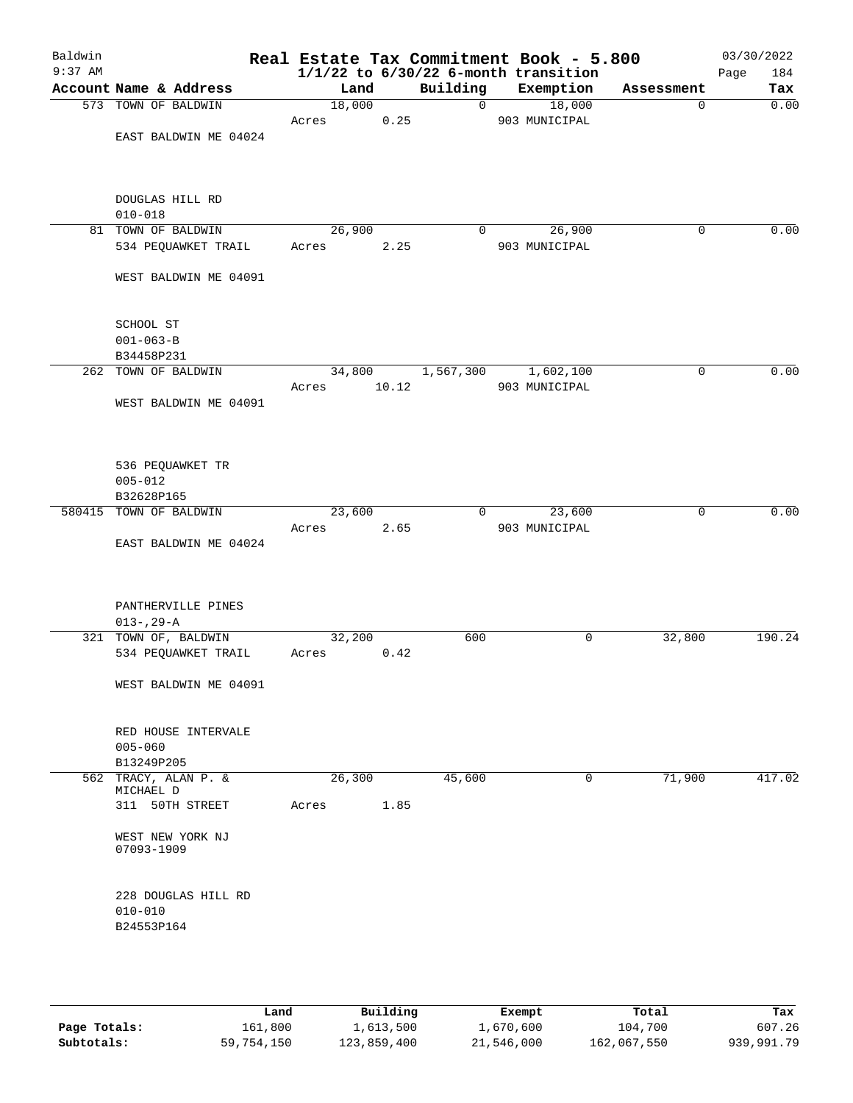| Baldwin   |                                   |       |        |       |              | Real Estate Tax Commitment Book - 5.800  |             | 03/30/2022  |
|-----------|-----------------------------------|-------|--------|-------|--------------|------------------------------------------|-------------|-------------|
| $9:37$ AM |                                   |       |        |       |              | $1/1/22$ to $6/30/22$ 6-month transition |             | Page<br>184 |
|           | Account Name & Address            |       | Land   |       | Building     | Exemption                                | Assessment  | Tax         |
|           | 573 TOWN OF BALDWIN               |       | 18,000 |       | $\mathsf{O}$ | 18,000                                   | 0           | 0.00        |
|           |                                   | Acres |        | 0.25  |              | 903 MUNICIPAL                            |             |             |
|           | EAST BALDWIN ME 04024             |       |        |       |              |                                          |             |             |
|           |                                   |       |        |       |              |                                          |             |             |
|           |                                   |       |        |       |              |                                          |             |             |
|           |                                   |       |        |       |              |                                          |             |             |
|           | DOUGLAS HILL RD                   |       |        |       |              |                                          |             |             |
|           | $010 - 018$                       |       |        |       |              |                                          |             |             |
|           | 81 TOWN OF BALDWIN                |       | 26,900 |       | $\mathbf 0$  | 26,900                                   | 0           | 0.00        |
|           | 534 PEQUAWKET TRAIL               | Acres |        | 2.25  |              | 903 MUNICIPAL                            |             |             |
|           |                                   |       |        |       |              |                                          |             |             |
|           | WEST BALDWIN ME 04091             |       |        |       |              |                                          |             |             |
|           |                                   |       |        |       |              |                                          |             |             |
|           |                                   |       |        |       |              |                                          |             |             |
|           | SCHOOL ST                         |       |        |       |              |                                          |             |             |
|           | $001 - 063 - B$                   |       |        |       |              |                                          |             |             |
|           | B34458P231                        |       |        |       |              |                                          |             |             |
|           | 262 TOWN OF BALDWIN               |       | 34,800 |       | 1,567,300    | 1,602,100                                | $\mathbf 0$ | 0.00        |
|           |                                   | Acres |        | 10.12 |              | 903 MUNICIPAL                            |             |             |
|           | WEST BALDWIN ME 04091             |       |        |       |              |                                          |             |             |
|           |                                   |       |        |       |              |                                          |             |             |
|           |                                   |       |        |       |              |                                          |             |             |
|           |                                   |       |        |       |              |                                          |             |             |
|           | 536 PEQUAWKET TR                  |       |        |       |              |                                          |             |             |
|           | $005 - 012$                       |       |        |       |              |                                          |             |             |
|           | B32628P165                        |       |        |       |              |                                          |             |             |
|           | 580415 TOWN OF BALDWIN            |       | 23,600 |       | $\Omega$     | 23,600                                   | 0           | 0.00        |
|           |                                   |       |        |       |              |                                          |             |             |
|           |                                   | Acres |        | 2.65  |              | 903 MUNICIPAL                            |             |             |
|           | EAST BALDWIN ME 04024             |       |        |       |              |                                          |             |             |
|           |                                   |       |        |       |              |                                          |             |             |
|           |                                   |       |        |       |              |                                          |             |             |
|           | PANTHERVILLE PINES                |       |        |       |              |                                          |             |             |
|           |                                   |       |        |       |              |                                          |             |             |
|           | $013 - 29 - A$                    |       |        |       |              | 0                                        |             | 190.24      |
|           | 321 TOWN OF, BALDWIN              |       | 32,200 |       | 600          |                                          | 32,800      |             |
|           | 534 PEQUAWKET TRAIL               | Acres |        | 0.42  |              |                                          |             |             |
|           |                                   |       |        |       |              |                                          |             |             |
|           | WEST BALDWIN ME 04091             |       |        |       |              |                                          |             |             |
|           |                                   |       |        |       |              |                                          |             |             |
|           |                                   |       |        |       |              |                                          |             |             |
|           | RED HOUSE INTERVALE               |       |        |       |              |                                          |             |             |
|           | $005 - 060$                       |       |        |       |              |                                          |             |             |
|           | B13249P205                        |       |        |       |              |                                          |             |             |
|           | 562 TRACY, ALAN P. &<br>MICHAEL D |       | 26,300 |       | 45,600       | 0                                        | 71,900      | 417.02      |
|           | 311 50TH STREET                   | Acres |        | 1.85  |              |                                          |             |             |
|           |                                   |       |        |       |              |                                          |             |             |
|           | WEST NEW YORK NJ                  |       |        |       |              |                                          |             |             |
|           | 07093-1909                        |       |        |       |              |                                          |             |             |
|           |                                   |       |        |       |              |                                          |             |             |
|           |                                   |       |        |       |              |                                          |             |             |
|           | 228 DOUGLAS HILL RD               |       |        |       |              |                                          |             |             |
|           | $010 - 010$                       |       |        |       |              |                                          |             |             |
|           | B24553P164                        |       |        |       |              |                                          |             |             |
|           |                                   |       |        |       |              |                                          |             |             |
|           |                                   |       |        |       |              |                                          |             |             |
|           |                                   |       |        |       |              |                                          |             |             |
|           |                                   |       |        |       |              |                                          |             |             |

|              | Land       | Building    | Exempt     | Total       | Tax        |
|--------------|------------|-------------|------------|-------------|------------|
| Page Totals: | 161,800    | 1,613,500   | 1,670,600  | 104,700     | 607.26     |
| Subtotals:   | 59,754,150 | 123,859,400 | 21,546,000 | 162,067,550 | 939,991.79 |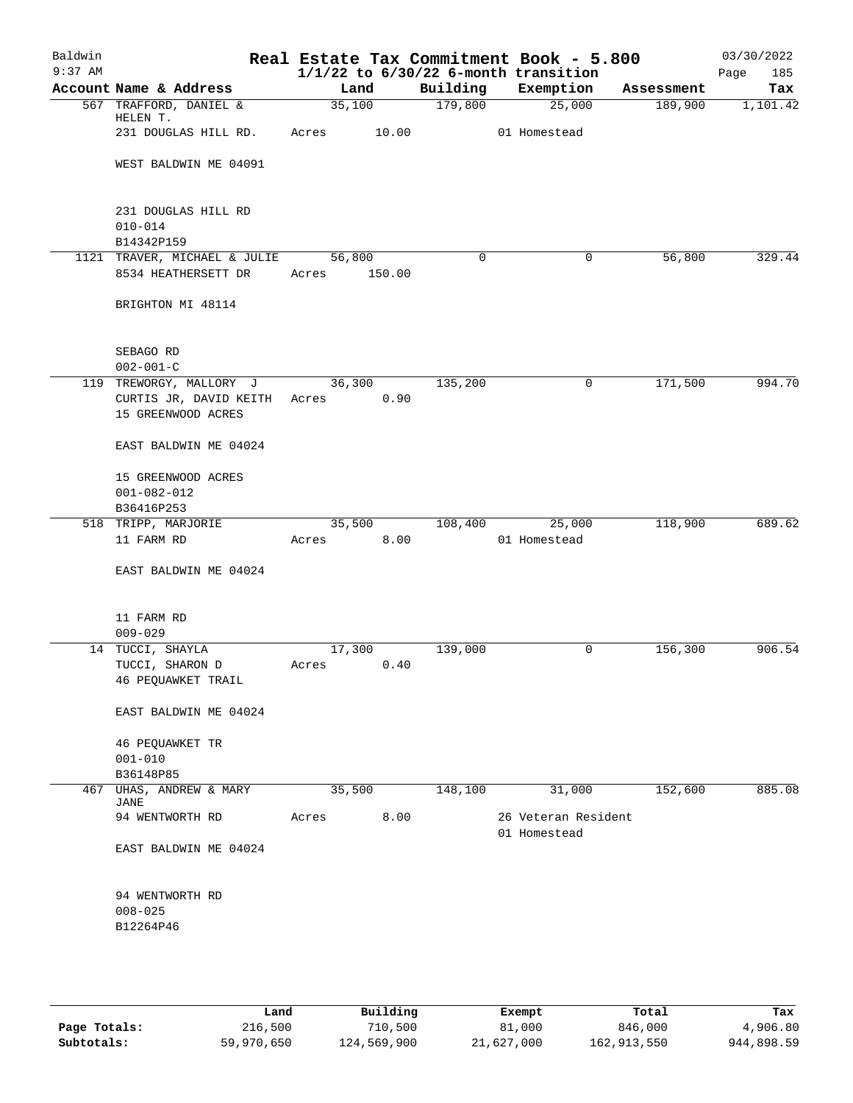| Baldwin   |                                                                               |       |                |             |                     | Real Estate Tax Commitment Book - 5.800  |                       | 03/30/2022      |
|-----------|-------------------------------------------------------------------------------|-------|----------------|-------------|---------------------|------------------------------------------|-----------------------|-----------------|
| $9:37$ AM |                                                                               |       |                |             |                     | $1/1/22$ to $6/30/22$ 6-month transition |                       | 185<br>Page     |
|           | Account Name & Address<br>567 TRAFFORD, DANIEL &                              |       | Land<br>35,100 |             | Building<br>179,800 | Exemption<br>25,000                      | Assessment<br>189,900 | Tax<br>1,101.42 |
|           | HELEN T.                                                                      |       |                |             |                     |                                          |                       |                 |
|           | 231 DOUGLAS HILL RD.                                                          |       |                | Acres 10.00 |                     | 01 Homestead                             |                       |                 |
|           | WEST BALDWIN ME 04091                                                         |       |                |             |                     |                                          |                       |                 |
|           | 231 DOUGLAS HILL RD<br>$010 - 014$                                            |       |                |             |                     |                                          |                       |                 |
|           | B14342P159                                                                    |       |                |             |                     |                                          |                       |                 |
|           | 1121 TRAVER, MICHAEL & JULIE                                                  |       | 56,800         |             | $\Omega$            | 0                                        | 56,800                | 329.44          |
|           | 8534 HEATHERSETT DR                                                           | Acres |                | 150.00      |                     |                                          |                       |                 |
|           | BRIGHTON MI 48114                                                             |       |                |             |                     |                                          |                       |                 |
|           | SEBAGO RD<br>$002 - 001 - C$                                                  |       |                |             |                     |                                          |                       |                 |
|           | 119 TREWORGY, MALLORY J<br>CURTIS JR, DAVID KEITH Acres<br>15 GREENWOOD ACRES |       | 36,300         | 0.90        | 135,200             | 0                                        | 171,500               | 994.70          |
|           | EAST BALDWIN ME 04024                                                         |       |                |             |                     |                                          |                       |                 |
|           | 15 GREENWOOD ACRES<br>$001 - 082 - 012$                                       |       |                |             |                     |                                          |                       |                 |
|           | B36416P253                                                                    |       |                |             |                     |                                          |                       |                 |
|           | 518 TRIPP, MARJORIE                                                           |       | 35,500         |             | 108,400             | 25,000                                   | 118,900               | 689.62          |
|           | 11 FARM RD                                                                    | Acres |                | 8.00        |                     | 01 Homestead                             |                       |                 |
|           | EAST BALDWIN ME 04024                                                         |       |                |             |                     |                                          |                       |                 |
|           | 11 FARM RD<br>$009 - 029$                                                     |       |                |             |                     |                                          |                       |                 |
|           | 14 TUCCI, SHAYLA                                                              |       | 17,300         |             | 139,000             | 0                                        | 156,300               | 906.54          |
|           | TUCCI, SHARON D                                                               | Acres |                | 0.40        |                     |                                          |                       |                 |
|           | 46 PEQUAWKET TRAIL                                                            |       |                |             |                     |                                          |                       |                 |
|           | EAST BALDWIN ME 04024                                                         |       |                |             |                     |                                          |                       |                 |
|           | 46 PEQUAWKET TR<br>$001 - 010$                                                |       |                |             |                     |                                          |                       |                 |
|           | B36148P85                                                                     |       |                |             | 148,100             |                                          | 152,600               | 885.08          |
| 467       | UHAS, ANDREW & MARY<br><b>JANE</b>                                            |       | 35,500         |             |                     | 31,000                                   |                       |                 |
|           | 94 WENTWORTH RD                                                               | Acres |                | 8.00        |                     | 26 Veteran Resident<br>01 Homestead      |                       |                 |
|           | EAST BALDWIN ME 04024                                                         |       |                |             |                     |                                          |                       |                 |
|           | 94 WENTWORTH RD                                                               |       |                |             |                     |                                          |                       |                 |
|           | $008 - 025$                                                                   |       |                |             |                     |                                          |                       |                 |
|           | B12264P46                                                                     |       |                |             |                     |                                          |                       |                 |
|           |                                                                               |       |                |             |                     |                                          |                       |                 |
|           |                                                                               |       |                |             |                     |                                          |                       |                 |

|              | Land       | Building    | Exempt     | Total       | Tax        |
|--------------|------------|-------------|------------|-------------|------------|
| Page Totals: | 216,500    | 710,500     | 81,000     | 846,000     | 4,906.80   |
| Subtotals:   | 59,970,650 | 124,569,900 | 21,627,000 | 162,913,550 | 944,898.59 |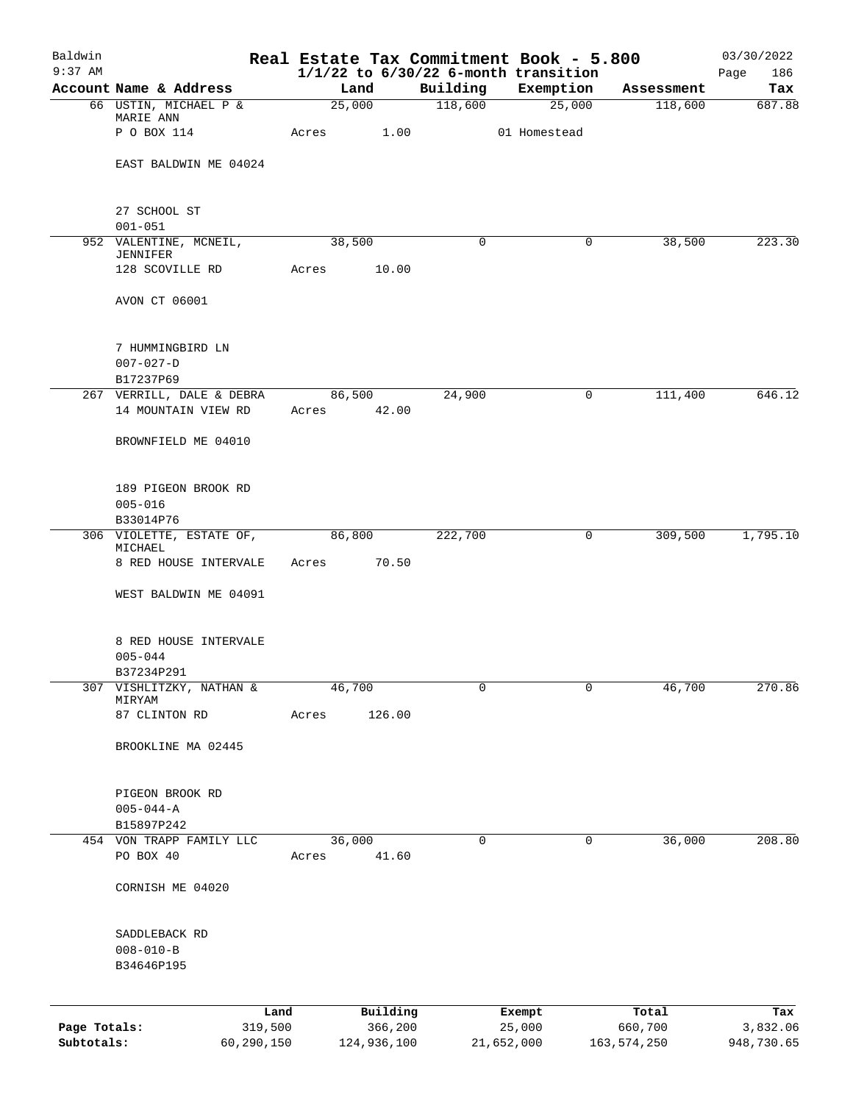| Baldwin<br>$9:37$ AM |                                                          |            |       |        |             | Real Estate Tax Commitment Book - 5.800<br>$1/1/22$ to $6/30/22$ 6-month transition |                  |             |               | 03/30/2022<br>Page<br>186 |
|----------------------|----------------------------------------------------------|------------|-------|--------|-------------|-------------------------------------------------------------------------------------|------------------|-------------|---------------|---------------------------|
|                      | Account Name & Address                                   |            |       | Land   |             | Building                                                                            |                  | Exemption   | Assessment    | Tax                       |
|                      | 66 USTIN, MICHAEL P &                                    |            |       | 25,000 |             | 118,600                                                                             |                  | 25,000      | 118,600       | 687.88                    |
|                      | MARIE ANN<br>P O BOX 114                                 |            | Acres |        | 1.00        |                                                                                     | 01 Homestead     |             |               |                           |
|                      | EAST BALDWIN ME 04024                                    |            |       |        |             |                                                                                     |                  |             |               |                           |
|                      | 27 SCHOOL ST                                             |            |       |        |             |                                                                                     |                  |             |               |                           |
|                      | $001 - 051$<br>952 VALENTINE, MCNEIL,<br><b>JENNIFER</b> |            |       | 38,500 |             | 0                                                                                   |                  | 0           | 38,500        | 223.30                    |
|                      | 128 SCOVILLE RD                                          |            | Acres |        | 10.00       |                                                                                     |                  |             |               |                           |
|                      | AVON CT 06001                                            |            |       |        |             |                                                                                     |                  |             |               |                           |
|                      | 7 HUMMINGBIRD LN<br>$007 - 027 - D$<br>B17237P69         |            |       |        |             |                                                                                     |                  |             |               |                           |
|                      | 267 VERRILL, DALE & DEBRA                                |            |       | 86,500 |             | 24,900                                                                              |                  | 0           | 111,400       | 646.12                    |
|                      | 14 MOUNTAIN VIEW RD                                      |            |       |        | Acres 42.00 |                                                                                     |                  |             |               |                           |
|                      | BROWNFIELD ME 04010                                      |            |       |        |             |                                                                                     |                  |             |               |                           |
|                      | 189 PIGEON BROOK RD<br>$005 - 016$<br>B33014P76          |            |       |        |             |                                                                                     |                  |             |               |                           |
|                      | 306 VIOLETTE, ESTATE OF,                                 |            |       | 86,800 |             | 222,700                                                                             |                  | 0           | 309,500       | 1,795.10                  |
|                      | MICHAEL<br>8 RED HOUSE INTERVALE                         |            | Acres |        | 70.50       |                                                                                     |                  |             |               |                           |
|                      | WEST BALDWIN ME 04091                                    |            |       |        |             |                                                                                     |                  |             |               |                           |
|                      | 8 RED HOUSE INTERVALE<br>$005 - 044$<br>B37234P291       |            |       |        |             |                                                                                     |                  |             |               |                           |
|                      | 307 VISHLITZKY, NATHAN &                                 |            |       | 46,700 |             | 0                                                                                   |                  | $\mathbf 0$ | 46,700        | 270.86                    |
|                      | MIRYAM<br>87 CLINTON RD                                  |            | Acres |        | 126.00      |                                                                                     |                  |             |               |                           |
|                      | BROOKLINE MA 02445                                       |            |       |        |             |                                                                                     |                  |             |               |                           |
|                      | PIGEON BROOK RD<br>$005 - 044 - A$<br>B15897P242         |            |       |        |             |                                                                                     |                  |             |               |                           |
|                      | 454 VON TRAPP FAMILY LLC                                 |            |       | 36,000 |             | 0                                                                                   |                  | 0           | 36,000        | 208.80                    |
|                      | PO BOX 40                                                |            | Acres |        | 41.60       |                                                                                     |                  |             |               |                           |
|                      | CORNISH ME 04020                                         |            |       |        |             |                                                                                     |                  |             |               |                           |
|                      | SADDLEBACK RD<br>$008 - 010 - B$<br>B34646P195           |            |       |        |             |                                                                                     |                  |             |               |                           |
|                      |                                                          | Land       |       |        | Building    |                                                                                     |                  |             | Total         | Tax                       |
| Page Totals:         |                                                          | 319,500    |       |        | 366,200     |                                                                                     | Exempt<br>25,000 |             | 660,700       | 3,832.06                  |
| Subtotals:           |                                                          | 60,290,150 |       |        | 124,936,100 |                                                                                     | 21,652,000       |             | 163, 574, 250 | 948,730.65                |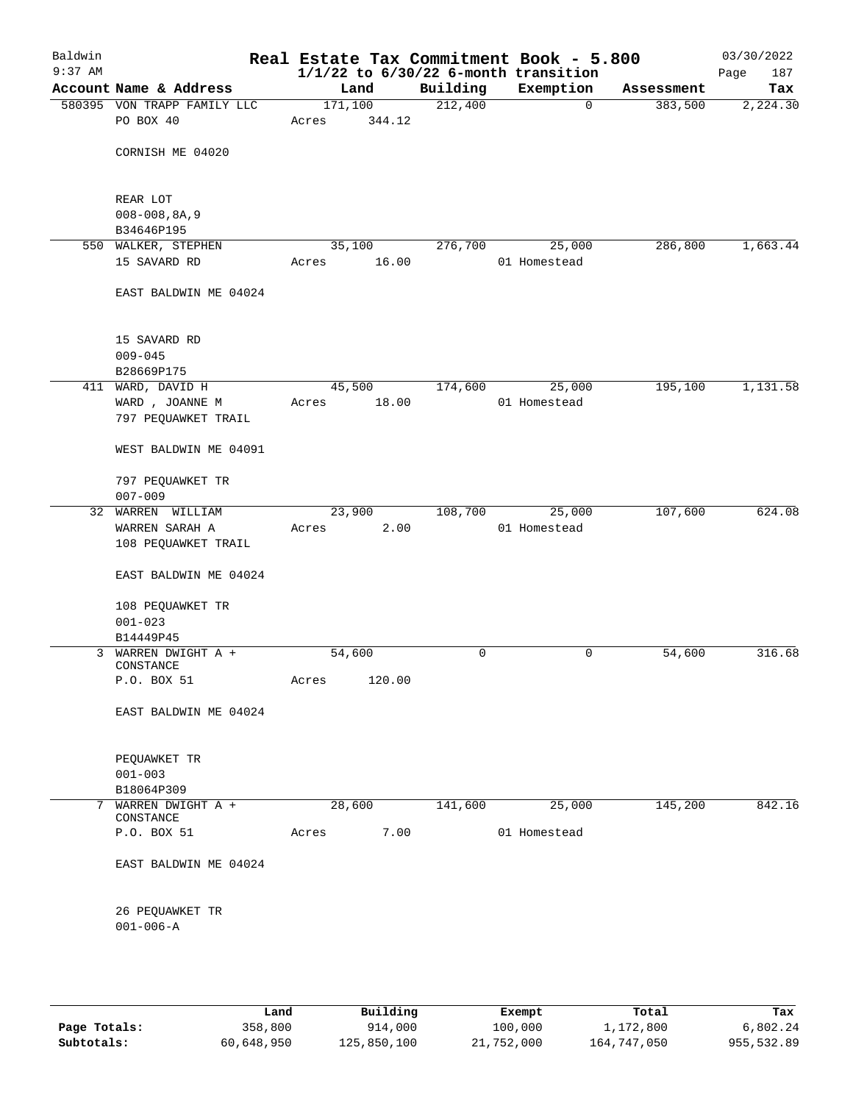| Baldwin<br>$9:37$ AM |                                    |         |        |          | Real Estate Tax Commitment Book - 5.800<br>$1/1/22$ to $6/30/22$ 6-month transition |            | 03/30/2022<br>187<br>Page |
|----------------------|------------------------------------|---------|--------|----------|-------------------------------------------------------------------------------------|------------|---------------------------|
|                      | Account Name & Address             | Land    |        | Building | Exemption                                                                           | Assessment | Tax                       |
|                      | 580395 VON TRAPP FAMILY LLC        | 171,100 |        | 212,400  | $\mathbf 0$                                                                         | 383,500    | 2,224.30                  |
|                      | PO BOX 40                          | Acres   | 344.12 |          |                                                                                     |            |                           |
|                      | CORNISH ME 04020                   |         |        |          |                                                                                     |            |                           |
|                      | REAR LOT                           |         |        |          |                                                                                     |            |                           |
|                      | $008 - 008, 8A, 9$<br>B34646P195   |         |        |          |                                                                                     |            |                           |
|                      | 550 WALKER, STEPHEN                | 35,100  |        | 276,700  | 25,000                                                                              | 286,800    | 1,663.44                  |
|                      | 15 SAVARD RD                       | Acres   | 16.00  |          | 01 Homestead                                                                        |            |                           |
|                      | EAST BALDWIN ME 04024              |         |        |          |                                                                                     |            |                           |
|                      | 15 SAVARD RD                       |         |        |          |                                                                                     |            |                           |
|                      | $009 - 045$                        |         |        |          |                                                                                     |            |                           |
|                      | B28669P175                         |         |        |          |                                                                                     |            |                           |
|                      | 411 WARD, DAVID H                  | 45,500  |        | 174,600  | 25,000                                                                              | 195,100    | 1,131.58                  |
|                      | WARD, JOANNE M                     | Acres   | 18.00  |          | 01 Homestead                                                                        |            |                           |
|                      | 797 PEQUAWKET TRAIL                |         |        |          |                                                                                     |            |                           |
|                      | WEST BALDWIN ME 04091              |         |        |          |                                                                                     |            |                           |
|                      | 797 PEQUAWKET TR                   |         |        |          |                                                                                     |            |                           |
|                      | $007 - 009$                        |         |        |          |                                                                                     |            |                           |
|                      | 32 WARREN WILLIAM                  | 23,900  |        | 108,700  | 25,000                                                                              | 107,600    | 624.08                    |
|                      | WARREN SARAH A                     | Acres   | 2.00   |          | 01 Homestead                                                                        |            |                           |
|                      | 108 PEQUAWKET TRAIL                |         |        |          |                                                                                     |            |                           |
|                      | EAST BALDWIN ME 04024              |         |        |          |                                                                                     |            |                           |
|                      | 108 PEQUAWKET TR                   |         |        |          |                                                                                     |            |                           |
|                      | $001 - 023$                        |         |        |          |                                                                                     |            |                           |
|                      | B14449P45                          |         |        |          |                                                                                     |            |                           |
|                      | 3 WARREN DWIGHT A +<br>CONSTANCE   | 54,600  |        | 0        | 0                                                                                   | 54,600     | 316.68                    |
|                      | P.O. BOX 51                        | Acres   | 120.00 |          |                                                                                     |            |                           |
|                      | EAST BALDWIN ME 04024              |         |        |          |                                                                                     |            |                           |
|                      | PEQUAWKET TR                       |         |        |          |                                                                                     |            |                           |
|                      | $001 - 003$                        |         |        |          |                                                                                     |            |                           |
|                      | B18064P309                         |         |        |          |                                                                                     |            |                           |
|                      | 7 WARREN DWIGHT A +                | 28,600  |        | 141,600  | 25,000                                                                              | 145,200    | 842.16                    |
|                      | CONSTANCE                          |         |        |          |                                                                                     |            |                           |
|                      | P.O. BOX 51                        | Acres   | 7.00   |          | 01 Homestead                                                                        |            |                           |
|                      | EAST BALDWIN ME 04024              |         |        |          |                                                                                     |            |                           |
|                      | 26 PEQUAWKET TR<br>$001 - 006 - A$ |         |        |          |                                                                                     |            |                           |
|                      |                                    |         |        |          |                                                                                     |            |                           |

|              | Land       | Building    | Exempt     | Total       | Tax        |
|--------------|------------|-------------|------------|-------------|------------|
| Page Totals: | 358,800    | 914,000     | 100,000    | 1,172,800   | 6,802.24   |
| Subtotals:   | 60,648,950 | 125,850,100 | 21,752,000 | 164,747,050 | 955,532.89 |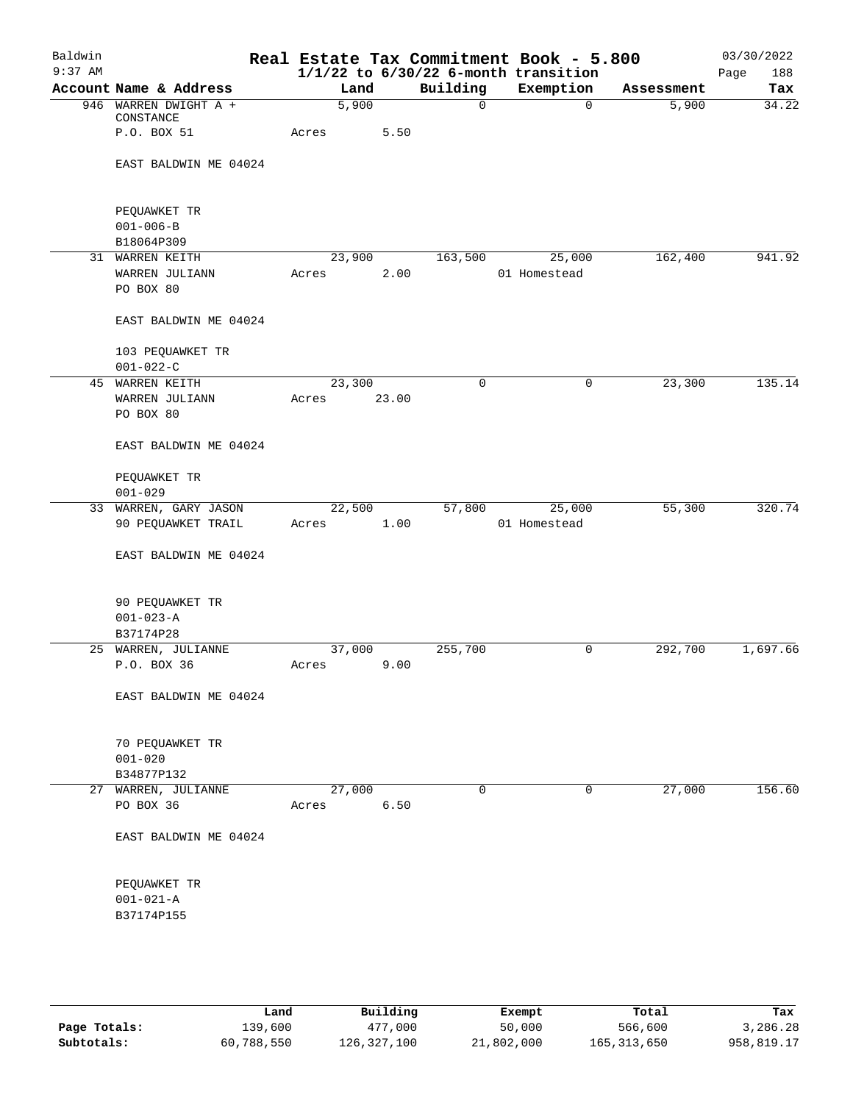| Baldwin<br>$9:37$ AM |                           |       |        |             | Real Estate Tax Commitment Book - 5.800<br>$1/1/22$ to $6/30/22$ 6-month transition |            | 03/30/2022<br>Page<br>188 |
|----------------------|---------------------------|-------|--------|-------------|-------------------------------------------------------------------------------------|------------|---------------------------|
|                      | Account Name & Address    |       | Land   | Building    | Exemption                                                                           | Assessment | Tax                       |
|                      | 946 WARREN DWIGHT A +     |       | 5,900  | $\mathbf 0$ | $\mathbf 0$                                                                         | 5,900      | 34.22                     |
|                      | CONSTANCE                 |       |        |             |                                                                                     |            |                           |
|                      | P.O. BOX 51               | Acres | 5.50   |             |                                                                                     |            |                           |
|                      |                           |       |        |             |                                                                                     |            |                           |
|                      | EAST BALDWIN ME 04024     |       |        |             |                                                                                     |            |                           |
|                      |                           |       |        |             |                                                                                     |            |                           |
|                      | PEQUAWKET TR              |       |        |             |                                                                                     |            |                           |
|                      | $001 - 006 - B$           |       |        |             |                                                                                     |            |                           |
|                      | B18064P309                |       |        |             |                                                                                     |            |                           |
|                      | 31 WARREN KEITH           |       | 23,900 | 163,500     | 25,000                                                                              | 162,400    | 941.92                    |
|                      | WARREN JULIANN            | Acres | 2.00   |             | 01 Homestead                                                                        |            |                           |
|                      | PO BOX 80                 |       |        |             |                                                                                     |            |                           |
|                      |                           |       |        |             |                                                                                     |            |                           |
|                      | EAST BALDWIN ME 04024     |       |        |             |                                                                                     |            |                           |
|                      | 103 PEQUAWKET TR          |       |        |             |                                                                                     |            |                           |
|                      | $001 - 022 - C$           |       |        |             |                                                                                     |            |                           |
|                      | 45 WARREN KEITH           |       | 23,300 | 0           | 0                                                                                   | 23,300     | 135.14                    |
|                      | WARREN JULIANN            | Acres | 23.00  |             |                                                                                     |            |                           |
|                      | PO BOX 80                 |       |        |             |                                                                                     |            |                           |
|                      | EAST BALDWIN ME 04024     |       |        |             |                                                                                     |            |                           |
|                      |                           |       |        |             |                                                                                     |            |                           |
|                      | PEQUAWKET TR              |       |        |             |                                                                                     |            |                           |
|                      | $001 - 029$               |       |        |             |                                                                                     |            |                           |
|                      | 33 WARREN, GARY JASON     |       | 22,500 | 57,800      | 25,000                                                                              | 55,300     | 320.74                    |
|                      | 90 PEQUAWKET TRAIL        | Acres | 1.00   |             | 01 Homestead                                                                        |            |                           |
|                      | EAST BALDWIN ME 04024     |       |        |             |                                                                                     |            |                           |
|                      |                           |       |        |             |                                                                                     |            |                           |
|                      | 90 PEQUAWKET TR           |       |        |             |                                                                                     |            |                           |
|                      | $001 - 023 - A$           |       |        |             |                                                                                     |            |                           |
|                      | B37174P28                 |       |        |             |                                                                                     |            |                           |
|                      | 25 WARREN, JULIANNE       |       | 37,000 | 255,700     | 0                                                                                   | 292,700    | 1,697.66                  |
|                      | P.O. BOX 36               | Acres | 9.00   |             |                                                                                     |            |                           |
|                      |                           |       |        |             |                                                                                     |            |                           |
|                      | EAST BALDWIN ME 04024     |       |        |             |                                                                                     |            |                           |
|                      |                           |       |        |             |                                                                                     |            |                           |
|                      | 70 PEQUAWKET TR           |       |        |             |                                                                                     |            |                           |
|                      | $001 - 020$<br>B34877P132 |       |        |             |                                                                                     |            |                           |
|                      | 27 WARREN, JULIANNE       |       | 27,000 | 0           | 0                                                                                   | 27,000     | 156.60                    |
|                      | PO BOX 36                 | Acres | 6.50   |             |                                                                                     |            |                           |
|                      |                           |       |        |             |                                                                                     |            |                           |
|                      | EAST BALDWIN ME 04024     |       |        |             |                                                                                     |            |                           |
|                      |                           |       |        |             |                                                                                     |            |                           |
|                      | PEQUAWKET TR              |       |        |             |                                                                                     |            |                           |
|                      | $001 - 021 - A$           |       |        |             |                                                                                     |            |                           |
|                      | B37174P155                |       |        |             |                                                                                     |            |                           |
|                      |                           |       |        |             |                                                                                     |            |                           |
|                      |                           |       |        |             |                                                                                     |            |                           |
|                      |                           |       |        |             |                                                                                     |            |                           |
|                      |                           |       |        |             |                                                                                     |            |                           |

|              | Land       | Building    | Exempt     | Total         | Tax        |
|--------------|------------|-------------|------------|---------------|------------|
| Page Totals: | 139,600    | 477,000     | 50,000     | 566,600       | 3,286.28   |
| Subtotals:   | 60,788,550 | 126,327,100 | 21,802,000 | 165, 313, 650 | 958,819.17 |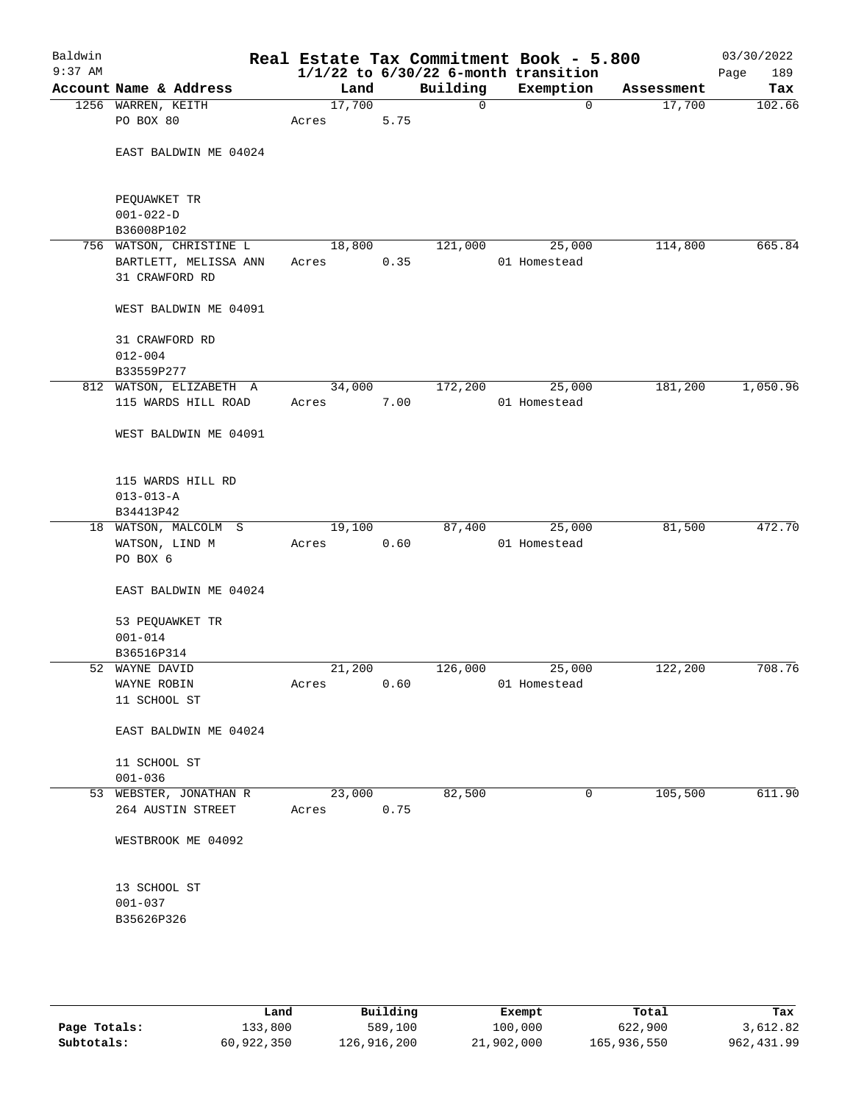| Baldwin<br>$9:37$ AM |                                 |        |      |          | Real Estate Tax Commitment Book - 5.800<br>$1/1/22$ to $6/30/22$ 6-month transition |            | 03/30/2022<br>189<br>Page |
|----------------------|---------------------------------|--------|------|----------|-------------------------------------------------------------------------------------|------------|---------------------------|
|                      | Account Name & Address          | Land   |      | Building | Exemption                                                                           | Assessment | Tax                       |
|                      | 1256 WARREN, KEITH              | 17,700 |      | 0        | $\mathbf 0$                                                                         | 17,700     | 102.66                    |
|                      | PO BOX 80                       | Acres  | 5.75 |          |                                                                                     |            |                           |
|                      | EAST BALDWIN ME 04024           |        |      |          |                                                                                     |            |                           |
|                      | PEQUAWKET TR<br>$001 - 022 - D$ |        |      |          |                                                                                     |            |                           |
|                      | B36008P102                      |        |      |          |                                                                                     |            |                           |
|                      | 756 WATSON, CHRISTINE L         | 18,800 |      | 121,000  | 25,000                                                                              | 114,800    | 665.84                    |
|                      | BARTLETT, MELISSA ANN           | Acres  | 0.35 |          | 01 Homestead                                                                        |            |                           |
|                      | 31 CRAWFORD RD                  |        |      |          |                                                                                     |            |                           |
|                      | WEST BALDWIN ME 04091           |        |      |          |                                                                                     |            |                           |
|                      | 31 CRAWFORD RD                  |        |      |          |                                                                                     |            |                           |
|                      | $012 - 004$                     |        |      |          |                                                                                     |            |                           |
|                      | B33559P277                      |        |      |          |                                                                                     |            |                           |
|                      | 812 WATSON, ELIZABETH A         | 34,000 |      | 172,200  | 25,000                                                                              | 181,200    | 1,050.96                  |
|                      | 115 WARDS HILL ROAD             | Acres  | 7.00 |          | 01 Homestead                                                                        |            |                           |
|                      | WEST BALDWIN ME 04091           |        |      |          |                                                                                     |            |                           |
|                      | 115 WARDS HILL RD               |        |      |          |                                                                                     |            |                           |
|                      | $013 - 013 - A$                 |        |      |          |                                                                                     |            |                           |
|                      | B34413P42                       |        |      |          |                                                                                     |            |                           |
|                      | 18 WATSON, MALCOLM S            | 19,100 |      | 87,400   | 25,000                                                                              | 81,500     | 472.70                    |
|                      | WATSON, LIND M                  | Acres  | 0.60 |          | 01 Homestead                                                                        |            |                           |
|                      | PO BOX 6                        |        |      |          |                                                                                     |            |                           |
|                      | EAST BALDWIN ME 04024           |        |      |          |                                                                                     |            |                           |
|                      | 53 PEQUAWKET TR                 |        |      |          |                                                                                     |            |                           |
|                      | $001 - 014$                     |        |      |          |                                                                                     |            |                           |
|                      | B36516P314                      |        |      |          |                                                                                     |            |                           |
|                      | 52 WAYNE DAVID                  | 21,200 |      | 126,000  | 25,000                                                                              | 122,200    | 708.76                    |
|                      | WAYNE ROBIN                     | Acres  | 0.60 |          | 01 Homestead                                                                        |            |                           |
|                      | 11 SCHOOL ST                    |        |      |          |                                                                                     |            |                           |
|                      | EAST BALDWIN ME 04024           |        |      |          |                                                                                     |            |                           |
|                      | 11 SCHOOL ST                    |        |      |          |                                                                                     |            |                           |
|                      | $001 - 036$                     |        |      |          |                                                                                     |            |                           |
|                      | 53 WEBSTER, JONATHAN R          | 23,000 |      | 82,500   | 0                                                                                   | 105,500    | 611.90                    |
|                      | 264 AUSTIN STREET               | Acres  | 0.75 |          |                                                                                     |            |                           |
|                      | WESTBROOK ME 04092              |        |      |          |                                                                                     |            |                           |
|                      | 13 SCHOOL ST                    |        |      |          |                                                                                     |            |                           |
|                      | $001 - 037$                     |        |      |          |                                                                                     |            |                           |
|                      | B35626P326                      |        |      |          |                                                                                     |            |                           |
|                      |                                 |        |      |          |                                                                                     |            |                           |
|                      |                                 |        |      |          |                                                                                     |            |                           |
|                      |                                 |        |      |          |                                                                                     |            |                           |

|              | Land       | Building    | Exempt     | Total       | Tax         |
|--------------|------------|-------------|------------|-------------|-------------|
| Page Totals: | 133,800    | 589,100     | 100,000    | 622,900     | 3,612.82    |
| Subtotals:   | 60,922,350 | 126,916,200 | 21,902,000 | 165,936,550 | 962, 431.99 |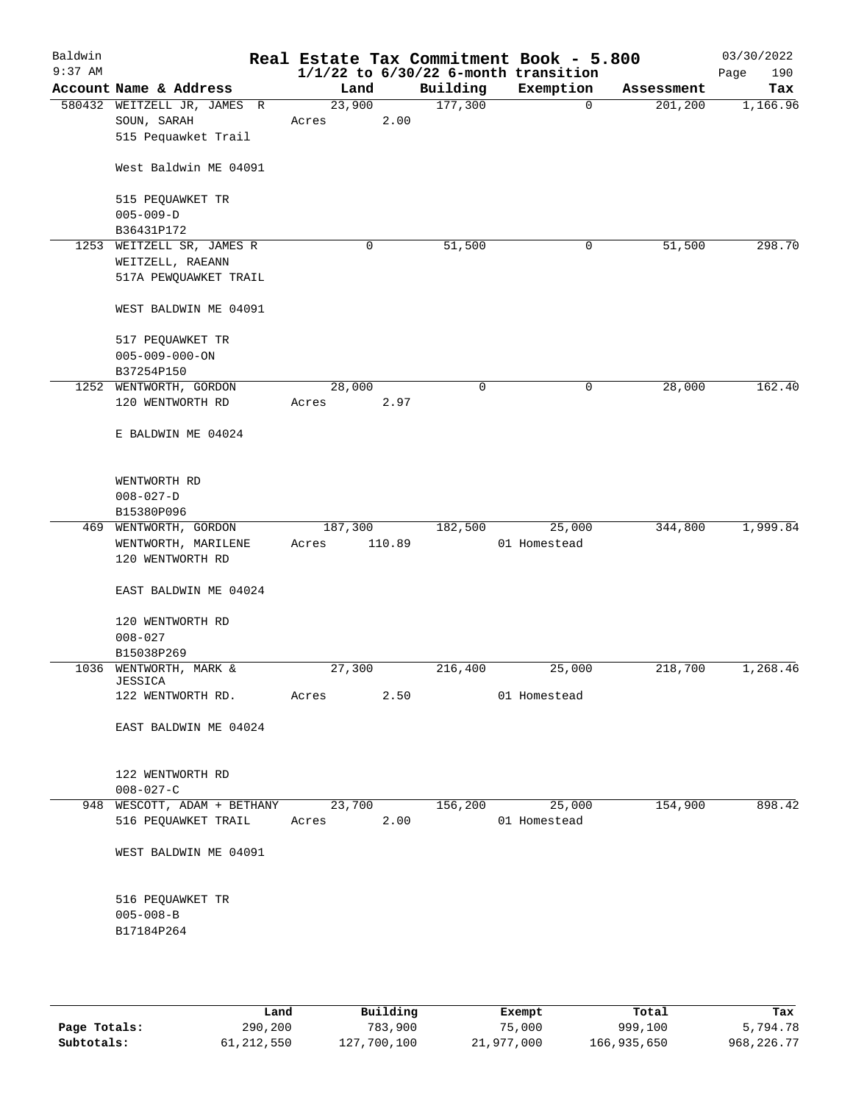| Baldwin<br>$9:37$ AM |                                     |         |        |          | Real Estate Tax Commitment Book - 5.800<br>$1/1/22$ to $6/30/22$ 6-month transition |            | 03/30/2022<br>190<br>Page |
|----------------------|-------------------------------------|---------|--------|----------|-------------------------------------------------------------------------------------|------------|---------------------------|
|                      | Account Name & Address              | Land    |        | Building | Exemption                                                                           | Assessment | Tax                       |
|                      | 580432 WEITZELL JR, JAMES R         | 23,900  |        | 177,300  | 0                                                                                   | 201,200    | 1,166.96                  |
|                      | SOUN, SARAH                         | Acres   | 2.00   |          |                                                                                     |            |                           |
|                      | 515 Pequawket Trail                 |         |        |          |                                                                                     |            |                           |
|                      | West Baldwin ME 04091               |         |        |          |                                                                                     |            |                           |
|                      |                                     |         |        |          |                                                                                     |            |                           |
|                      | 515 PEQUAWKET TR                    |         |        |          |                                                                                     |            |                           |
|                      | $005 - 009 - D$<br>B36431P172       |         |        |          |                                                                                     |            |                           |
| 1253                 | WEITZELL SR, JAMES R                |         | 0      | 51,500   | 0                                                                                   | 51,500     | 298.70                    |
|                      | WEITZELL, RAEANN                    |         |        |          |                                                                                     |            |                           |
|                      | 517A PEWQUAWKET TRAIL               |         |        |          |                                                                                     |            |                           |
|                      |                                     |         |        |          |                                                                                     |            |                           |
|                      | WEST BALDWIN ME 04091               |         |        |          |                                                                                     |            |                           |
|                      | 517 PEQUAWKET TR                    |         |        |          |                                                                                     |            |                           |
|                      | $005 - 009 - 000 - ON$              |         |        |          |                                                                                     |            |                           |
|                      | B37254P150                          |         |        |          |                                                                                     |            |                           |
|                      | 1252 WENTWORTH, GORDON              | 28,000  |        | 0        | 0                                                                                   | 28,000     | 162.40                    |
|                      | 120 WENTWORTH RD                    | Acres   | 2.97   |          |                                                                                     |            |                           |
|                      | E BALDWIN ME 04024                  |         |        |          |                                                                                     |            |                           |
|                      |                                     |         |        |          |                                                                                     |            |                           |
|                      | WENTWORTH RD                        |         |        |          |                                                                                     |            |                           |
|                      | $008 - 027 - D$                     |         |        |          |                                                                                     |            |                           |
|                      | B15380P096                          |         |        |          |                                                                                     |            |                           |
|                      | 469 WENTWORTH, GORDON               | 187,300 |        | 182,500  | 25,000                                                                              | 344,800    | 1,999.84                  |
|                      | WENTWORTH, MARILENE                 | Acres   | 110.89 |          | 01 Homestead                                                                        |            |                           |
|                      | 120 WENTWORTH RD                    |         |        |          |                                                                                     |            |                           |
|                      | EAST BALDWIN ME 04024               |         |        |          |                                                                                     |            |                           |
|                      | 120 WENTWORTH RD                    |         |        |          |                                                                                     |            |                           |
|                      | $008 - 027$                         |         |        |          |                                                                                     |            |                           |
|                      | B15038P269                          |         |        |          |                                                                                     |            |                           |
|                      | 1036 WENTWORTH, MARK &              | 27,300  |        | 216,400  | 25,000                                                                              | 218,700    | 1,268.46                  |
|                      | <b>JESSICA</b>                      |         |        |          |                                                                                     |            |                           |
|                      | 122 WENTWORTH RD.                   | Acres   | 2.50   |          | 01 Homestead                                                                        |            |                           |
|                      | EAST BALDWIN ME 04024               |         |        |          |                                                                                     |            |                           |
|                      |                                     |         |        |          |                                                                                     |            |                           |
|                      | 122 WENTWORTH RD                    |         |        |          |                                                                                     |            |                           |
|                      | $008 - 027 - C$                     |         |        |          |                                                                                     |            |                           |
|                      | 948 WESCOTT, ADAM + BETHANY         | 23,700  |        | 156,200  | 25,000                                                                              | 154,900    | 898.42                    |
|                      | 516 PEQUAWKET TRAIL                 | Acres   | 2.00   |          | 01 Homestead                                                                        |            |                           |
|                      | WEST BALDWIN ME 04091               |         |        |          |                                                                                     |            |                           |
|                      |                                     |         |        |          |                                                                                     |            |                           |
|                      | 516 PEQUAWKET TR<br>$005 - 008 - B$ |         |        |          |                                                                                     |            |                           |
|                      |                                     |         |        |          |                                                                                     |            |                           |
|                      | B17184P264                          |         |        |          |                                                                                     |            |                           |
|                      |                                     |         |        |          |                                                                                     |            |                           |
|                      |                                     |         |        |          |                                                                                     |            |                           |

|              | Land       | Building    | Exempt     | Total       | Tax          |
|--------------|------------|-------------|------------|-------------|--------------|
| Page Totals: | 290,200    | 783,900     | 75,000     | 999,100     | 5,794.78     |
| Subtotals:   | 61,212,550 | 127,700,100 | 21,977,000 | 166,935,650 | 968, 226, 77 |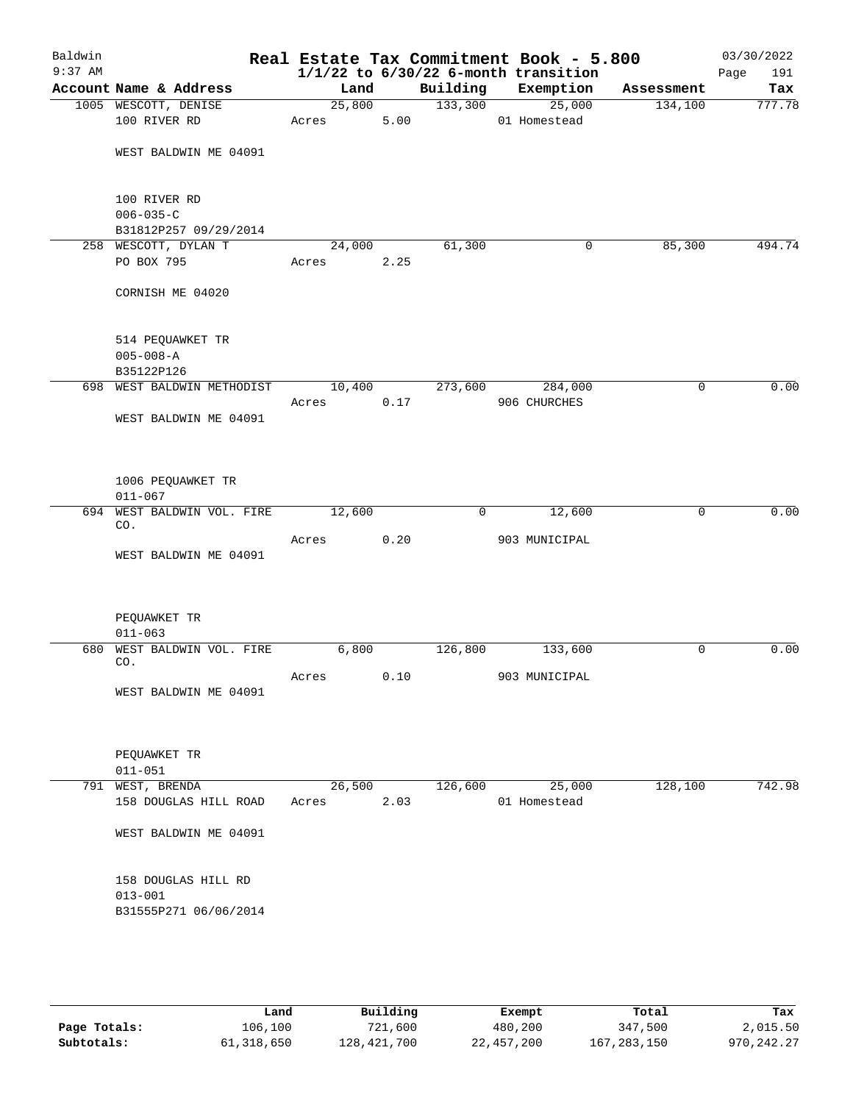| Baldwin<br>$9:37$ AM |                                       |        |      |              | Real Estate Tax Commitment Book - 5.800<br>$1/1/22$ to $6/30/22$ 6-month transition |                | 03/30/2022<br>Page<br>191 |
|----------------------|---------------------------------------|--------|------|--------------|-------------------------------------------------------------------------------------|----------------|---------------------------|
|                      | Account Name & Address                | Land   |      |              | Building Exemption                                                                  | Assessment     | Tax                       |
|                      | 1005 WESCOTT, DENISE                  | 25,800 |      | 133,300      | 25,000                                                                              | 134,100        | 777.78                    |
|                      | 100 RIVER RD                          | Acres  | 5.00 |              | 01 Homestead                                                                        |                |                           |
|                      | WEST BALDWIN ME 04091                 |        |      |              |                                                                                     |                |                           |
|                      |                                       |        |      |              |                                                                                     |                |                           |
|                      | 100 RIVER RD                          |        |      |              |                                                                                     |                |                           |
|                      | $006 - 035 - C$                       |        |      |              |                                                                                     |                |                           |
|                      | B31812P257 09/29/2014                 |        |      |              |                                                                                     |                |                           |
|                      | 258 WESCOTT, DYLAN T                  | 24,000 |      | 61,300       | 0                                                                                   | 85,300         | 494.74                    |
|                      | PO BOX 795                            | Acres  | 2.25 |              |                                                                                     |                |                           |
|                      | CORNISH ME 04020                      |        |      |              |                                                                                     |                |                           |
|                      | 514 PEQUAWKET TR                      |        |      |              |                                                                                     |                |                           |
|                      | $005 - 008 - A$                       |        |      |              |                                                                                     |                |                           |
|                      | B35122P126                            |        |      |              |                                                                                     |                |                           |
|                      | 698 WEST BALDWIN METHODIST            | 10,400 |      | 273,600      | 284,000                                                                             | $\mathbf 0$    | 0.00                      |
|                      |                                       | Acres  | 0.17 |              | 906 CHURCHES                                                                        |                |                           |
|                      | WEST BALDWIN ME 04091                 |        |      |              |                                                                                     |                |                           |
|                      | 1006 PEQUAWKET TR                     |        |      |              |                                                                                     |                |                           |
|                      | $011 - 067$                           |        |      |              |                                                                                     |                |                           |
|                      | 694 WEST BALDWIN VOL. FIRE<br>CO.     | 12,600 |      | $\mathbf{0}$ | 12,600                                                                              | $\mathbf 0$    | 0.00                      |
|                      | WEST BALDWIN ME 04091                 | Acres  | 0.20 |              | 903 MUNICIPAL                                                                       |                |                           |
|                      |                                       |        |      |              |                                                                                     |                |                           |
|                      | PEQUAWKET TR                          |        |      |              |                                                                                     |                |                           |
| 680                  | $011 - 063$<br>WEST BALDWIN VOL. FIRE | 6,800  |      | 126,800      | 133,600                                                                             | $\overline{0}$ | 0.00                      |
|                      | CO.                                   |        |      |              |                                                                                     |                |                           |
|                      |                                       | Acres  | 0.10 |              | 903 MUNICIPAL                                                                       |                |                           |
|                      | WEST BALDWIN ME 04091                 |        |      |              |                                                                                     |                |                           |
|                      | PEQUAWKET TR                          |        |      |              |                                                                                     |                |                           |
|                      | $011 - 051$                           |        |      |              |                                                                                     |                |                           |
|                      | 791 WEST, BRENDA                      | 26,500 |      | 126,600      | 25,000                                                                              | 128,100        | 742.98                    |
|                      | 158 DOUGLAS HILL ROAD                 | Acres  | 2.03 |              | 01 Homestead                                                                        |                |                           |
|                      | WEST BALDWIN ME 04091                 |        |      |              |                                                                                     |                |                           |
|                      | 158 DOUGLAS HILL RD                   |        |      |              |                                                                                     |                |                           |
|                      | $013 - 001$                           |        |      |              |                                                                                     |                |                           |
|                      | B31555P271 06/06/2014                 |        |      |              |                                                                                     |                |                           |
|                      |                                       |        |      |              |                                                                                     |                |                           |
|                      |                                       |        |      |              |                                                                                     |                |                           |

|              | Land       | Building    | Exempt     | Total       | Tax        |
|--------------|------------|-------------|------------|-------------|------------|
| Page Totals: | 106,100    | 721,600     | 480,200    | 347,500     | 2,015.50   |
| Subtotals:   | 61,318,650 | 128,421,700 | 22,457,200 | 167,283,150 | 970,242.27 |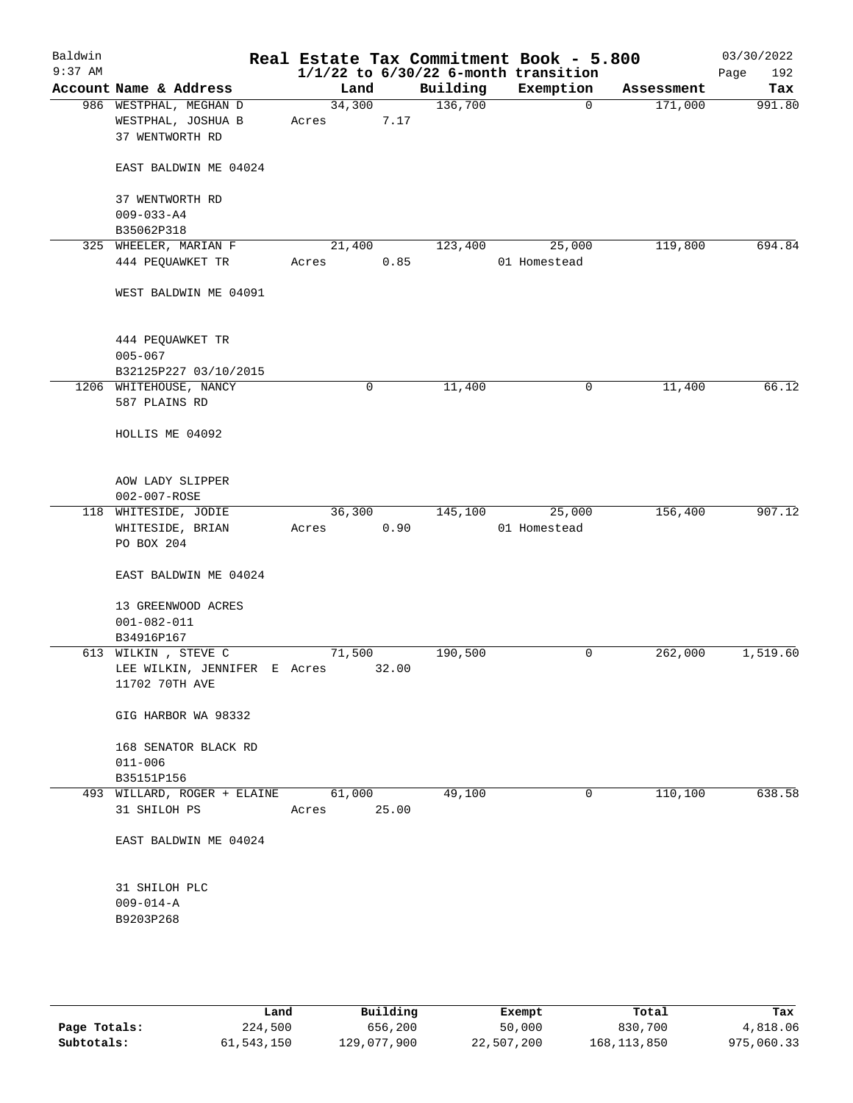| Baldwin<br>$9:37$ AM |                                                                 |                 |       |          | Real Estate Tax Commitment Book - 5.800<br>$1/1/22$ to $6/30/22$ 6-month transition |            | 03/30/2022<br>192<br>Page |
|----------------------|-----------------------------------------------------------------|-----------------|-------|----------|-------------------------------------------------------------------------------------|------------|---------------------------|
|                      | Account Name & Address                                          | Land            |       | Building | Exemption                                                                           | Assessment | Tax                       |
|                      | 986 WESTPHAL, MEGHAN D<br>WESTPHAL, JOSHUA B<br>37 WENTWORTH RD | 34,300<br>Acres | 7.17  | 136,700  | 0                                                                                   | 171,000    | 991.80                    |
|                      | EAST BALDWIN ME 04024                                           |                 |       |          |                                                                                     |            |                           |
|                      | 37 WENTWORTH RD<br>$009 - 033 - A4$<br>B35062P318               |                 |       |          |                                                                                     |            |                           |
|                      | 325 WHEELER, MARIAN F                                           | 21,400          |       | 123,400  | 25,000                                                                              | 119,800    | 694.84                    |
|                      | 444 PEQUAWKET TR                                                | Acres           | 0.85  |          | 01 Homestead                                                                        |            |                           |
|                      | WEST BALDWIN ME 04091                                           |                 |       |          |                                                                                     |            |                           |
|                      | 444 PEQUAWKET TR<br>$005 - 067$                                 |                 |       |          |                                                                                     |            |                           |
|                      | B32125P227 03/10/2015                                           |                 |       |          |                                                                                     |            |                           |
|                      | 1206 WHITEHOUSE, NANCY<br>587 PLAINS RD                         |                 | 0     | 11,400   | 0                                                                                   | 11,400     | 66.12                     |
|                      | HOLLIS ME 04092                                                 |                 |       |          |                                                                                     |            |                           |
|                      | AOW LADY SLIPPER<br>002-007-ROSE                                |                 |       |          |                                                                                     |            |                           |
|                      | 118 WHITESIDE, JODIE                                            | 36,300          |       | 145,100  | 25,000                                                                              | 156,400    | 907.12                    |
|                      | WHITESIDE, BRIAN<br>PO BOX 204                                  | Acres           | 0.90  |          | 01 Homestead                                                                        |            |                           |
|                      | EAST BALDWIN ME 04024                                           |                 |       |          |                                                                                     |            |                           |
|                      | 13 GREENWOOD ACRES<br>$001 - 082 - 011$<br>B34916P167           |                 |       |          |                                                                                     |            |                           |
|                      | 613 WILKIN, STEVE C                                             | 71,500          |       | 190,500  | 0                                                                                   | 262,000    | 1,519.60                  |
|                      | LEE WILKIN, JENNIFER E Acres<br>11702 70TH AVE                  |                 | 32.00 |          |                                                                                     |            |                           |
|                      | GIG HARBOR WA 98332                                             |                 |       |          |                                                                                     |            |                           |
|                      | 168 SENATOR BLACK RD<br>$011 - 006$                             |                 |       |          |                                                                                     |            |                           |
|                      | B35151P156                                                      |                 |       |          |                                                                                     |            |                           |
|                      | 493 WILLARD, ROGER + ELAINE<br>31 SHILOH PS                     | 61,000<br>Acres | 25.00 | 49,100   | 0                                                                                   | 110,100    | 638.58                    |
|                      | EAST BALDWIN ME 04024                                           |                 |       |          |                                                                                     |            |                           |
|                      | 31 SHILOH PLC<br>$009 - 014 - A$                                |                 |       |          |                                                                                     |            |                           |
|                      | B9203P268                                                       |                 |       |          |                                                                                     |            |                           |
|                      |                                                                 |                 |       |          |                                                                                     |            |                           |

|              | Land       | Building    | Exempt     | Total         | Tax        |
|--------------|------------|-------------|------------|---------------|------------|
| Page Totals: | 224,500    | 656,200     | 50,000     | 830,700       | 4,818.06   |
| Subtotals:   | 61,543,150 | 129,077,900 | 22,507,200 | 168, 113, 850 | 975,060.33 |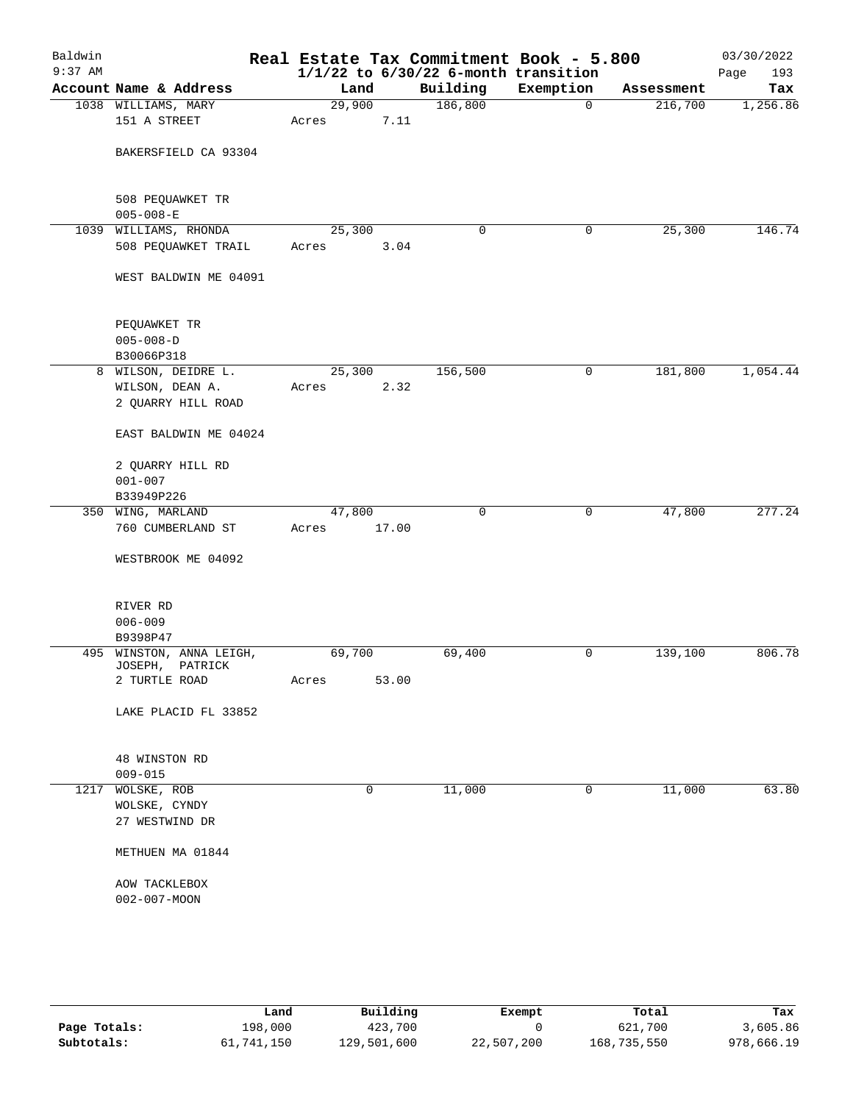| Baldwin<br>$9:37$ AM |                                                              |                 |       | Real Estate Tax Commitment Book - 5.800<br>$1/1/22$ to $6/30/22$ 6-month transition |             |            | 03/30/2022<br>Page<br>193 |
|----------------------|--------------------------------------------------------------|-----------------|-------|-------------------------------------------------------------------------------------|-------------|------------|---------------------------|
|                      | Account Name & Address                                       | Land            |       | Building                                                                            | Exemption   | Assessment | Tax                       |
|                      | 1038 WILLIAMS, MARY<br>151 A STREET                          | 29,900<br>Acres | 7.11  | 186,800                                                                             | 0           | 216,700    | 1,256.86                  |
|                      | BAKERSFIELD CA 93304                                         |                 |       |                                                                                     |             |            |                           |
|                      | 508 PEQUAWKET TR<br>$005 - 008 - E$                          |                 |       |                                                                                     |             |            |                           |
|                      | 1039 WILLIAMS, RHONDA<br>508 PEQUAWKET TRAIL                 | 25,300<br>Acres | 3.04  | 0                                                                                   | 0           | 25,300     | 146.74                    |
|                      | WEST BALDWIN ME 04091                                        |                 |       |                                                                                     |             |            |                           |
|                      | PEQUAWKET TR<br>$005 - 008 - D$<br>B30066P318                |                 |       |                                                                                     |             |            |                           |
|                      | 8 WILSON, DEIDRE L.<br>WILSON, DEAN A.<br>2 QUARRY HILL ROAD | 25,300<br>Acres | 2.32  | 156,500                                                                             | 0           | 181,800    | 1,054.44                  |
|                      | EAST BALDWIN ME 04024                                        |                 |       |                                                                                     |             |            |                           |
|                      | 2 QUARRY HILL RD<br>$001 - 007$<br>B33949P226                |                 |       |                                                                                     |             |            |                           |
|                      | 350 WING, MARLAND                                            | 47,800          |       | $\mathbf 0$                                                                         | $\mathbf 0$ | 47,800     | 277.24                    |
|                      | 760 CUMBERLAND ST                                            | Acres           | 17.00 |                                                                                     |             |            |                           |
|                      | WESTBROOK ME 04092                                           |                 |       |                                                                                     |             |            |                           |
|                      | RIVER RD<br>$006 - 009$<br>B9398P47                          |                 |       |                                                                                     |             |            |                           |
|                      | 495 WINSTON, ANNA LEIGH,                                     | 69,700          |       | 69,400                                                                              | 0           | 139,100    | 806.78                    |
|                      | JOSEPH, PATRICK<br>2 TURTLE ROAD                             | Acres           | 53.00 |                                                                                     |             |            |                           |
|                      | LAKE PLACID FL 33852                                         |                 |       |                                                                                     |             |            |                           |
|                      | 48 WINSTON RD                                                |                 |       |                                                                                     |             |            |                           |
| 1217                 | $009 - 015$<br>WOLSKE, ROB                                   |                 | 0     | 11,000                                                                              | 0           | 11,000     | 63.80                     |
|                      | WOLSKE, CYNDY<br>27 WESTWIND DR                              |                 |       |                                                                                     |             |            |                           |
|                      | METHUEN MA 01844                                             |                 |       |                                                                                     |             |            |                           |
|                      | AOW TACKLEBOX<br>$002 - 007 - MOON$                          |                 |       |                                                                                     |             |            |                           |
|                      |                                                              |                 |       |                                                                                     |             |            |                           |

|              | Land       | Building    | Exempt     | Total       | Tax        |
|--------------|------------|-------------|------------|-------------|------------|
| Page Totals: | 198,000    | 423,700     |            | 621,700     | 3,605.86   |
| Subtotals:   | 61,741,150 | 129,501,600 | 22,507,200 | 168,735,550 | 978,666.19 |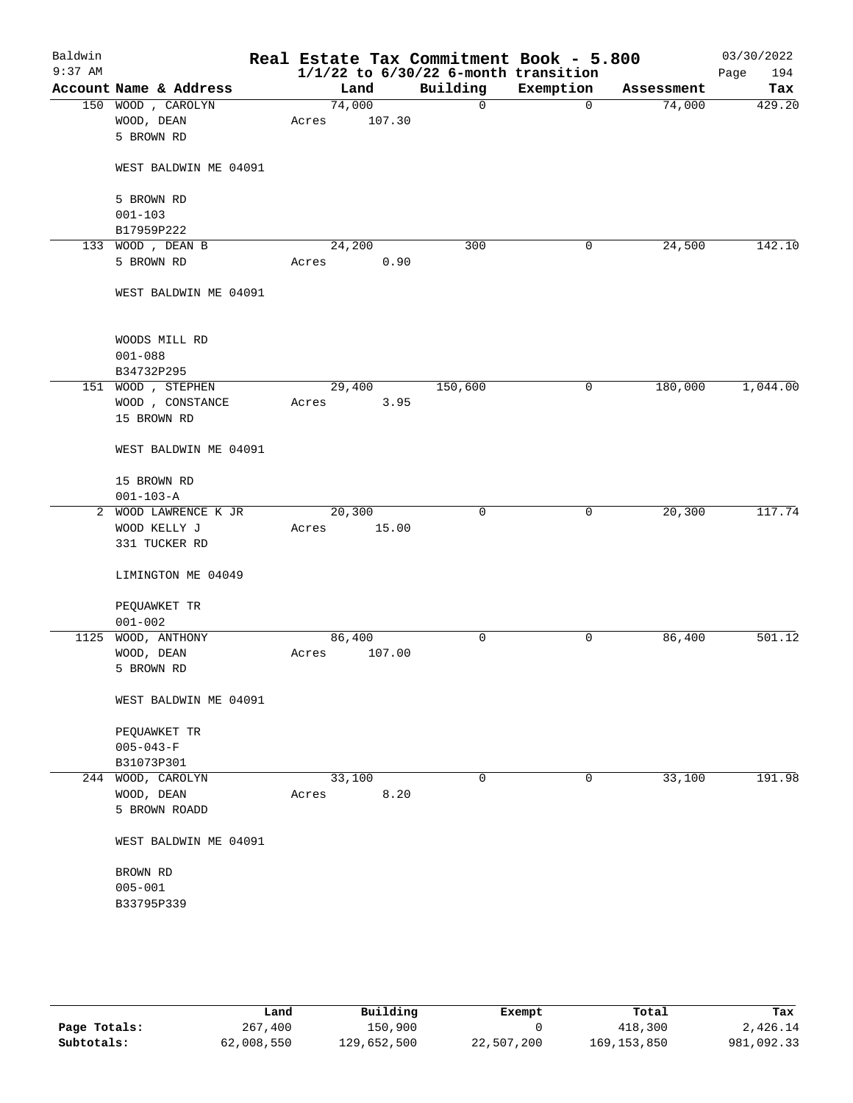| Baldwin<br>$9:37$ AM |                        |        |        | Real Estate Tax Commitment Book - 5.800<br>$1/1/22$ to $6/30/22$ 6-month transition |             |            | 03/30/2022<br>194<br>Page |
|----------------------|------------------------|--------|--------|-------------------------------------------------------------------------------------|-------------|------------|---------------------------|
|                      | Account Name & Address | Land   |        | Building                                                                            | Exemption   | Assessment | Tax                       |
|                      | 150 WOOD, CAROLYN      | 74,000 |        | 0                                                                                   | $\mathbf 0$ | 74,000     | 429.20                    |
|                      | WOOD, DEAN             | Acres  | 107.30 |                                                                                     |             |            |                           |
|                      | 5 BROWN RD             |        |        |                                                                                     |             |            |                           |
|                      | WEST BALDWIN ME 04091  |        |        |                                                                                     |             |            |                           |
|                      | 5 BROWN RD             |        |        |                                                                                     |             |            |                           |
|                      | $001 - 103$            |        |        |                                                                                     |             |            |                           |
|                      | B17959P222             |        |        |                                                                                     |             |            |                           |
|                      | 133 WOOD, DEAN B       | 24,200 |        | 300                                                                                 | 0           | 24,500     | 142.10                    |
|                      | 5 BROWN RD             | Acres  | 0.90   |                                                                                     |             |            |                           |
|                      | WEST BALDWIN ME 04091  |        |        |                                                                                     |             |            |                           |
|                      | WOODS MILL RD          |        |        |                                                                                     |             |            |                           |
|                      | $001 - 088$            |        |        |                                                                                     |             |            |                           |
|                      | B34732P295             |        |        |                                                                                     |             |            |                           |
|                      | 151 WOOD , STEPHEN     | 29,400 |        | 150,600                                                                             | 0           | 180,000    | 1,044.00                  |
|                      | WOOD , CONSTANCE       | Acres  | 3.95   |                                                                                     |             |            |                           |
|                      | 15 BROWN RD            |        |        |                                                                                     |             |            |                           |
|                      | WEST BALDWIN ME 04091  |        |        |                                                                                     |             |            |                           |
|                      | 15 BROWN RD            |        |        |                                                                                     |             |            |                           |
|                      | $001 - 103 - A$        |        |        |                                                                                     |             |            |                           |
|                      | 2 WOOD LAWRENCE K JR   | 20,300 |        | $\mathbf 0$                                                                         | 0           | 20,300     | 117.74                    |
|                      | WOOD KELLY J           | Acres  | 15.00  |                                                                                     |             |            |                           |
|                      | 331 TUCKER RD          |        |        |                                                                                     |             |            |                           |
|                      | LIMINGTON ME 04049     |        |        |                                                                                     |             |            |                           |
|                      | PEQUAWKET TR           |        |        |                                                                                     |             |            |                           |
|                      | $001 - 002$            |        |        |                                                                                     |             |            |                           |
|                      | 1125 WOOD, ANTHONY     | 86,400 |        | 0                                                                                   | 0           | 86,400     | 501.12                    |
|                      | WOOD, DEAN             | Acres  | 107.00 |                                                                                     |             |            |                           |
|                      | 5 BROWN RD             |        |        |                                                                                     |             |            |                           |
|                      | WEST BALDWIN ME 04091  |        |        |                                                                                     |             |            |                           |
|                      | PEQUAWKET TR           |        |        |                                                                                     |             |            |                           |
|                      | $005 - 043 - F$        |        |        |                                                                                     |             |            |                           |
|                      | B31073P301             |        |        |                                                                                     |             |            |                           |
|                      | 244 WOOD, CAROLYN      | 33,100 |        | 0                                                                                   | 0           | 33,100     | 191.98                    |
|                      | WOOD, DEAN             | Acres  | 8.20   |                                                                                     |             |            |                           |
|                      | 5 BROWN ROADD          |        |        |                                                                                     |             |            |                           |
|                      | WEST BALDWIN ME 04091  |        |        |                                                                                     |             |            |                           |
|                      | BROWN RD               |        |        |                                                                                     |             |            |                           |
|                      | $005 - 001$            |        |        |                                                                                     |             |            |                           |
|                      | B33795P339             |        |        |                                                                                     |             |            |                           |
|                      |                        |        |        |                                                                                     |             |            |                           |
|                      |                        |        |        |                                                                                     |             |            |                           |

|              | Land       | Building    | Exempt     | Total         | Tax        |
|--------------|------------|-------------|------------|---------------|------------|
| Page Totals: | 267,400    | 150,900     |            | 418,300       | 2,426.14   |
| Subtotals:   | 62,008,550 | 129,652,500 | 22,507,200 | 169, 153, 850 | 981,092.33 |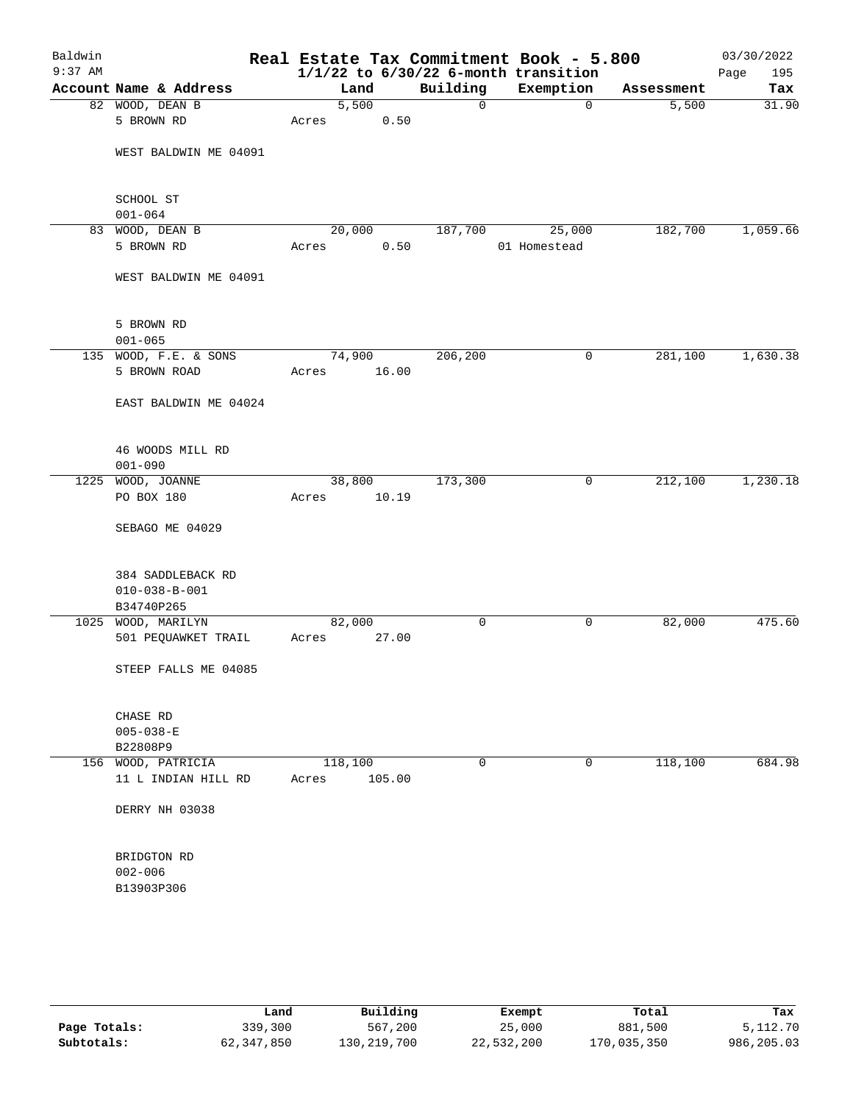| Baldwin<br>$9:37$ AM |                                       |       |                 |             | Real Estate Tax Commitment Book - 5.800<br>$1/1/22$ to $6/30/22$ 6-month transition |            | 03/30/2022<br>Page<br>195 |
|----------------------|---------------------------------------|-------|-----------------|-------------|-------------------------------------------------------------------------------------|------------|---------------------------|
|                      | Account Name & Address                |       | Land            | Building    | Exemption                                                                           | Assessment | Tax                       |
|                      | 82 WOOD, DEAN B                       |       | 5,500           | $\mathbf 0$ | $\mathbf 0$                                                                         | 5,500      | 31.90                     |
|                      | 5 BROWN RD                            | Acres | 0.50            |             |                                                                                     |            |                           |
|                      | WEST BALDWIN ME 04091                 |       |                 |             |                                                                                     |            |                           |
|                      |                                       |       |                 |             |                                                                                     |            |                           |
|                      | SCHOOL ST<br>$001 - 064$              |       |                 |             |                                                                                     |            |                           |
|                      | 83 WOOD, DEAN B                       |       | 20,000          | 187,700     | 25,000                                                                              | 182,700    | 1,059.66                  |
|                      | 5 BROWN RD                            | Acres | 0.50            |             | 01 Homestead                                                                        |            |                           |
|                      | WEST BALDWIN ME 04091                 |       |                 |             |                                                                                     |            |                           |
|                      | 5 BROWN RD                            |       |                 |             |                                                                                     |            |                           |
|                      | $001 - 065$                           |       |                 |             |                                                                                     |            |                           |
|                      | 135 WOOD, F.E. & SONS<br>5 BROWN ROAD | Acres | 74,900<br>16.00 | 206, 200    | 0                                                                                   | 281,100    | 1,630.38                  |
|                      |                                       |       |                 |             |                                                                                     |            |                           |
|                      | EAST BALDWIN ME 04024                 |       |                 |             |                                                                                     |            |                           |
|                      | 46 WOODS MILL RD                      |       |                 |             |                                                                                     |            |                           |
|                      | $001 - 090$                           |       |                 |             |                                                                                     |            |                           |
| 1225                 | WOOD, JOANNE                          |       | 38,800          | 173,300     | 0                                                                                   | 212,100    | 1,230.18                  |
|                      | PO BOX 180                            | Acres | 10.19           |             |                                                                                     |            |                           |
|                      | SEBAGO ME 04029                       |       |                 |             |                                                                                     |            |                           |
|                      | 384 SADDLEBACK RD                     |       |                 |             |                                                                                     |            |                           |
|                      | $010 - 038 - B - 001$                 |       |                 |             |                                                                                     |            |                           |
|                      | B34740P265                            |       |                 |             |                                                                                     |            |                           |
|                      | 1025 WOOD, MARILYN                    |       | 82,000          | 0           | 0                                                                                   | 82,000     | 475.60                    |
|                      | 501 PEQUAWKET TRAIL                   | Acres | 27.00           |             |                                                                                     |            |                           |
|                      | STEEP FALLS ME 04085                  |       |                 |             |                                                                                     |            |                           |
|                      | CHASE RD                              |       |                 |             |                                                                                     |            |                           |
|                      | $005 - 038 - E$                       |       |                 |             |                                                                                     |            |                           |
|                      | B22808P9                              |       |                 |             |                                                                                     |            |                           |
|                      | 156 WOOD, PATRICIA                    |       | 118,100         | 0           | 0                                                                                   | 118,100    | 684.98                    |
|                      | 11 L INDIAN HILL RD                   | Acres | 105.00          |             |                                                                                     |            |                           |
|                      | DERRY NH 03038                        |       |                 |             |                                                                                     |            |                           |
|                      | BRIDGTON RD                           |       |                 |             |                                                                                     |            |                           |
|                      | $002 - 006$                           |       |                 |             |                                                                                     |            |                           |
|                      | B13903P306                            |       |                 |             |                                                                                     |            |                           |
|                      |                                       |       |                 |             |                                                                                     |            |                           |
|                      |                                       |       |                 |             |                                                                                     |            |                           |
|                      |                                       |       |                 |             |                                                                                     |            |                           |
|                      |                                       |       |                 |             |                                                                                     |            |                           |

|              | Land       | Building    | Exempt     | Total       | Tax        |
|--------------|------------|-------------|------------|-------------|------------|
| Page Totals: | 339,300    | 567,200     | 25,000     | 881,500     | 5,112.70   |
| Subtotals:   | 62,347,850 | 130,219,700 | 22,532,200 | 170,035,350 | 986,205.03 |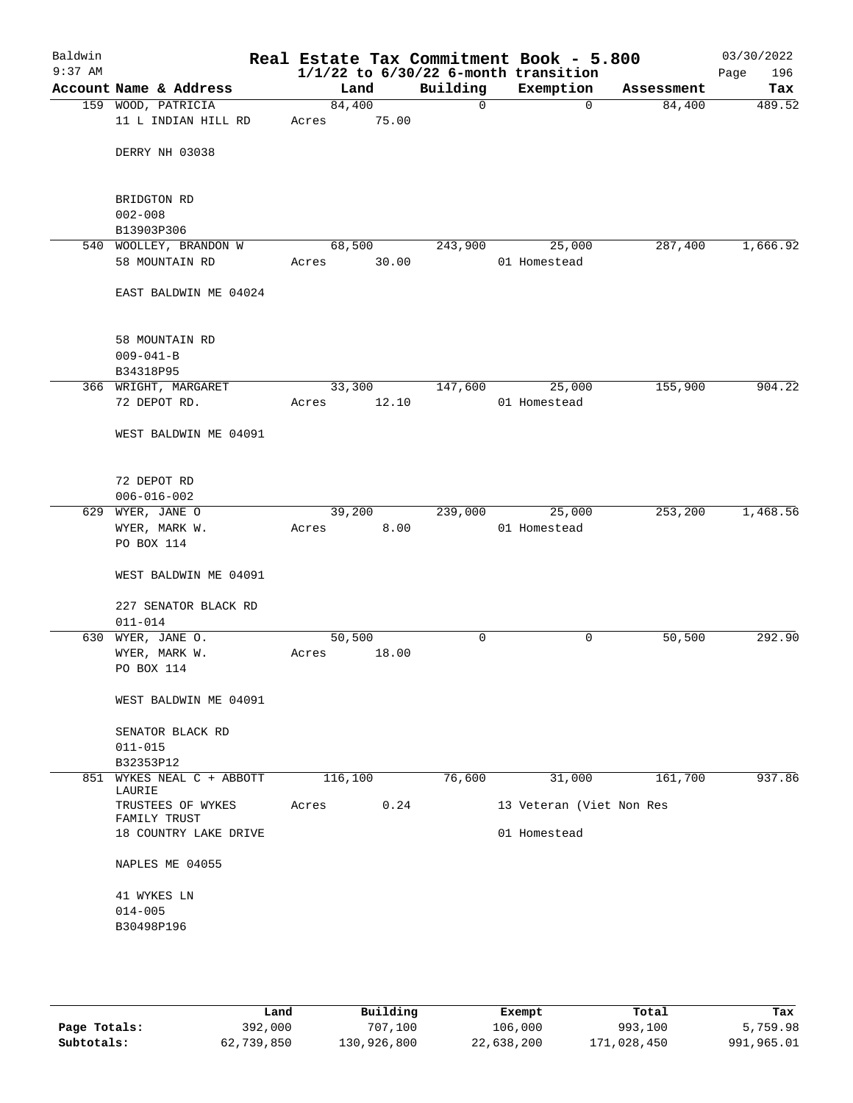| Baldwin<br>$9:37$ AM |                                 |         |       |             | Real Estate Tax Commitment Book - 5.800<br>$1/1/22$ to $6/30/22$ 6-month transition |            | 03/30/2022<br>Page<br>196 |
|----------------------|---------------------------------|---------|-------|-------------|-------------------------------------------------------------------------------------|------------|---------------------------|
|                      | Account Name & Address          | Land    |       | Building    | Exemption                                                                           | Assessment | Tax                       |
|                      | 159 WOOD, PATRICIA              | 84,400  |       | $\mathbf 0$ | $\mathbf 0$                                                                         | 84,400     | 489.52                    |
|                      | 11 L INDIAN HILL RD             | Acres   | 75.00 |             |                                                                                     |            |                           |
|                      | DERRY NH 03038                  |         |       |             |                                                                                     |            |                           |
|                      | BRIDGTON RD                     |         |       |             |                                                                                     |            |                           |
|                      | $002 - 008$                     |         |       |             |                                                                                     |            |                           |
|                      | B13903P306                      |         |       |             |                                                                                     |            |                           |
|                      | 540 WOOLLEY, BRANDON W          | 68,500  |       | 243,900     | 25,000                                                                              | 287,400    | 1,666.92                  |
|                      | 58 MOUNTAIN RD                  | Acres   | 30.00 |             | 01 Homestead                                                                        |            |                           |
|                      | EAST BALDWIN ME 04024           |         |       |             |                                                                                     |            |                           |
|                      | 58 MOUNTAIN RD                  |         |       |             |                                                                                     |            |                           |
|                      | $009 - 041 - B$                 |         |       |             |                                                                                     |            |                           |
|                      | B34318P95                       |         |       |             |                                                                                     |            |                           |
|                      | 366 WRIGHT, MARGARET            | 33,300  |       | 147,600     | 25,000<br>01 Homestead                                                              | 155,900    | 904.22                    |
|                      | 72 DEPOT RD.                    | Acres   | 12.10 |             |                                                                                     |            |                           |
|                      | WEST BALDWIN ME 04091           |         |       |             |                                                                                     |            |                           |
|                      | 72 DEPOT RD                     |         |       |             |                                                                                     |            |                           |
|                      | $006 - 016 - 002$               |         |       |             |                                                                                     |            |                           |
|                      | 629 WYER, JANE O                | 39,200  |       | 239,000     | 25,000                                                                              | 253,200    | 1,468.56                  |
|                      | WYER, MARK W.                   | Acres   | 8.00  |             | 01 Homestead                                                                        |            |                           |
|                      | PO BOX 114                      |         |       |             |                                                                                     |            |                           |
|                      | WEST BALDWIN ME 04091           |         |       |             |                                                                                     |            |                           |
|                      | 227 SENATOR BLACK RD            |         |       |             |                                                                                     |            |                           |
|                      | $011 - 014$                     |         |       |             |                                                                                     |            |                           |
|                      | 630 WYER, JANE O.               | 50,500  |       | 0           | 0                                                                                   | 50,500     | 292.90                    |
|                      | WYER, MARK W.                   | Acres   | 18.00 |             |                                                                                     |            |                           |
|                      | PO BOX 114                      |         |       |             |                                                                                     |            |                           |
|                      | WEST BALDWIN ME 04091           |         |       |             |                                                                                     |            |                           |
|                      | SENATOR BLACK RD                |         |       |             |                                                                                     |            |                           |
|                      | $011 - 015$                     |         |       |             |                                                                                     |            |                           |
|                      | B32353P12                       |         |       |             |                                                                                     |            |                           |
| 851                  | WYKES NEAL C + ABBOTT<br>LAURIE | 116,100 |       | 76,600      | 31,000                                                                              | 161,700    | 937.86                    |
|                      | TRUSTEES OF WYKES               | Acres   | 0.24  |             | 13 Veteran (Viet Non Res                                                            |            |                           |
|                      | FAMILY TRUST                    |         |       |             |                                                                                     |            |                           |
|                      | 18 COUNTRY LAKE DRIVE           |         |       |             | 01 Homestead                                                                        |            |                           |
|                      | NAPLES ME 04055                 |         |       |             |                                                                                     |            |                           |
|                      | 41 WYKES LN                     |         |       |             |                                                                                     |            |                           |
|                      | $014 - 005$                     |         |       |             |                                                                                     |            |                           |
|                      | B30498P196                      |         |       |             |                                                                                     |            |                           |
|                      |                                 |         |       |             |                                                                                     |            |                           |
|                      |                                 |         |       |             |                                                                                     |            |                           |

|              | Land       | Building    | Exempt     | Total       | Tax        |
|--------------|------------|-------------|------------|-------------|------------|
| Page Totals: | 392,000    | 707,100     | 106,000    | 993,100     | 5,759.98   |
| Subtotals:   | 62,739,850 | 130,926,800 | 22,638,200 | 171,028,450 | 991,965.01 |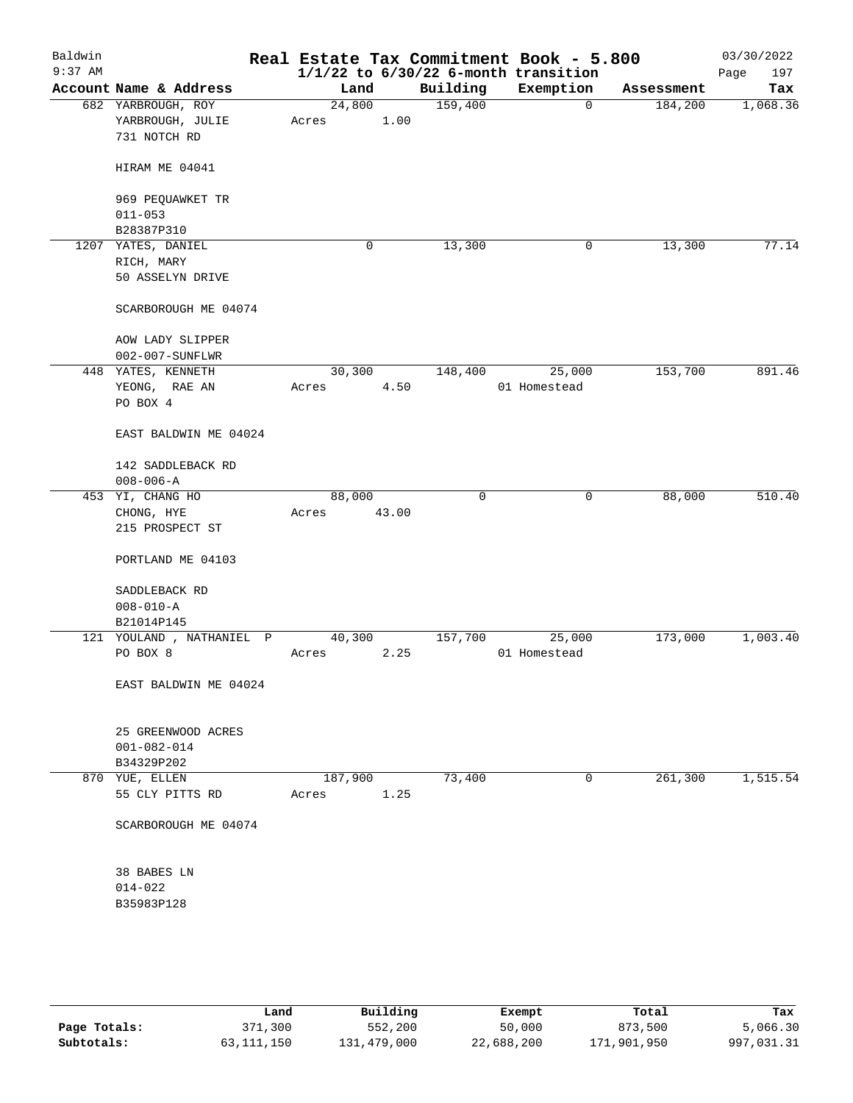| Baldwin<br>$9:37$ AM |                           | Real Estate Tax Commitment Book - 5.800 |       |          | $1/1/22$ to $6/30/22$ 6-month transition |            | 03/30/2022<br>Page<br>197 |
|----------------------|---------------------------|-----------------------------------------|-------|----------|------------------------------------------|------------|---------------------------|
|                      | Account Name & Address    | Land                                    |       | Building | Exemption                                | Assessment | Tax                       |
|                      | 682 YARBROUGH, ROY        | 24,800                                  |       | 159,400  | $\mathbf 0$                              | 184,200    | 1,068.36                  |
|                      | YARBROUGH, JULIE          | Acres                                   | 1.00  |          |                                          |            |                           |
|                      | 731 NOTCH RD              |                                         |       |          |                                          |            |                           |
|                      | HIRAM ME 04041            |                                         |       |          |                                          |            |                           |
|                      | 969 PEQUAWKET TR          |                                         |       |          |                                          |            |                           |
|                      | $011 - 053$               |                                         |       |          |                                          |            |                           |
|                      | B28387P310                |                                         |       |          |                                          |            |                           |
|                      | 1207 YATES, DANIEL        | 0                                       |       | 13,300   | 0                                        | 13,300     | 77.14                     |
|                      | RICH, MARY                |                                         |       |          |                                          |            |                           |
|                      | 50 ASSELYN DRIVE          |                                         |       |          |                                          |            |                           |
|                      | SCARBOROUGH ME 04074      |                                         |       |          |                                          |            |                           |
|                      | AOW LADY SLIPPER          |                                         |       |          |                                          |            |                           |
|                      | 002-007-SUNFLWR           |                                         |       |          |                                          |            |                           |
|                      | 448 YATES, KENNETH        | 30,300                                  |       | 148,400  | 25,000                                   | 153,700    | 891.46                    |
|                      | YEONG, RAE AN             | Acres                                   | 4.50  |          | 01 Homestead                             |            |                           |
|                      | PO BOX 4                  |                                         |       |          |                                          |            |                           |
|                      | EAST BALDWIN ME 04024     |                                         |       |          |                                          |            |                           |
|                      | 142 SADDLEBACK RD         |                                         |       |          |                                          |            |                           |
|                      | $008 - 006 - A$           |                                         |       |          |                                          |            |                           |
|                      | 453 YI, CHANG HO          | 88,000                                  |       | 0        | $\mathsf{O}$                             | 88,000     | 510.40                    |
|                      | CHONG, HYE                | Acres                                   | 43.00 |          |                                          |            |                           |
|                      | 215 PROSPECT ST           |                                         |       |          |                                          |            |                           |
|                      | PORTLAND ME 04103         |                                         |       |          |                                          |            |                           |
|                      | SADDLEBACK RD             |                                         |       |          |                                          |            |                           |
|                      | $008 - 010 - A$           |                                         |       |          |                                          |            |                           |
|                      | B21014P145                |                                         |       |          |                                          |            |                           |
|                      | 121 YOULAND , NATHANIEL P | 40,300                                  |       | 157,700  | 25,000                                   | 173,000    | 1,003.40                  |
|                      | PO BOX 8                  | Acres                                   | 2.25  |          | 01 Homestead                             |            |                           |
|                      |                           |                                         |       |          |                                          |            |                           |
|                      | EAST BALDWIN ME 04024     |                                         |       |          |                                          |            |                           |
|                      | 25 GREENWOOD ACRES        |                                         |       |          |                                          |            |                           |
|                      | $001 - 082 - 014$         |                                         |       |          |                                          |            |                           |
|                      | B34329P202                |                                         |       |          |                                          |            |                           |
|                      | 870 YUE, ELLEN            | 187,900                                 |       | 73,400   | 0                                        | 261,300    | 1,515.54                  |
|                      | 55 CLY PITTS RD           | Acres                                   | 1.25  |          |                                          |            |                           |
|                      | SCARBOROUGH ME 04074      |                                         |       |          |                                          |            |                           |
|                      |                           |                                         |       |          |                                          |            |                           |
|                      | 38 BABES LN               |                                         |       |          |                                          |            |                           |
|                      | $014 - 022$               |                                         |       |          |                                          |            |                           |
|                      | B35983P128                |                                         |       |          |                                          |            |                           |
|                      |                           |                                         |       |          |                                          |            |                           |
|                      |                           |                                         |       |          |                                          |            |                           |
|                      |                           |                                         |       |          |                                          |            |                           |

|              | Land       | Building    | Exempt     | Total       | Tax        |
|--------------|------------|-------------|------------|-------------|------------|
| Page Totals: | 371,300    | 552,200     | 50,000     | 873,500     | 5,066.30   |
| Subtotals:   | 63,111,150 | 131,479,000 | 22,688,200 | 171,901,950 | 997,031.31 |